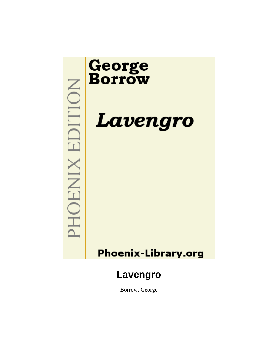

Borrow, George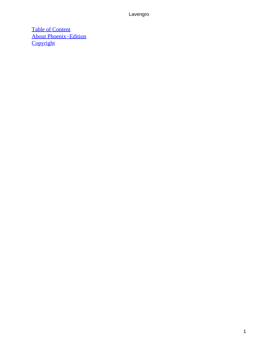[Table of Content](#page-494-0) [About Phoenix−Edition](#page-499-0) **[Copyright](#page-500-0)**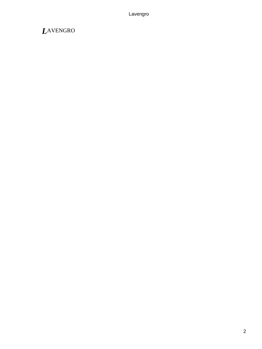## *L*AVENGRO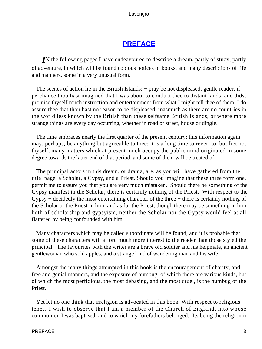### **[PREFACE](#page-494-0)**

*I*N the following pages I have endeavoured to describe a dream, partly of study, partly of adventure, in which will be found copious notices of books, and many descriptions of life and manners, some in a very unusual form.

The scenes of action lie in the British Islands; – pray be not displeased, gentle reader, if perchance thou hast imagined that I was about to conduct thee to distant lands, and didst promise thyself much instruction and entertainment from what I might tell thee of them. I do assure thee that thou hast no reason to be displeased, inasmuch as there are no countries in the world less known by the British than these selfsame British Islands, or where more strange things are every day occurring, whether in road or street, house or dingle.

 The time embraces nearly the first quarter of the present century: this information again may, perhaps, be anything but agreeable to thee; it is a long time to revert to, but fret not thyself, many matters which at present much occupy the public mind originated in some degree towards the latter end of that period, and some of them will be treated of.

 The principal actors in this dream, or drama, are, as you will have gathered from the title−page, a Scholar, a Gypsy, and a Priest. Should you imagine that these three form one, permit me to assure you that you are very much mistaken. Should there be something of the Gypsy manifest in the Scholar, there is certainly nothing of the Priest. With respect to the Gypsy − decidedly the most entertaining character of the three − there is certainly nothing of the Scholar or the Priest in him; and as for the Priest, though there may be something in him both of scholarship and gypsyism, neither the Scholar nor the Gypsy would feel at all flattered by being confounded with him.

 Many characters which may be called subordinate will be found, and it is probable that some of these characters will afford much more interest to the reader than those styled the principal. The favourites with the writer are a brave old soldier and his helpmate, an ancient gentlewoman who sold apples, and a strange kind of wandering man and his wife.

 Amongst the many things attempted in this book is the encouragement of charity, and free and genial manners, and the exposure of humbug, of which there are various kinds, but of which the most perfidious, the most debasing, and the most cruel, is the humbug of the Priest.

 Yet let no one think that irreligion is advocated in this book. With respect to religious tenets I wish to observe that I am a member of the Church of England, into whose communion I was baptized, and to which my forefathers belonged. Its being the religion in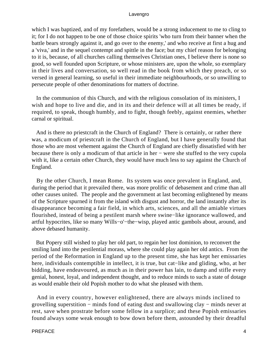which I was baptized, and of my forefathers, would be a strong inducement to me to cling to it; for I do not happen to be one of those choice spirits 'who turn from their banner when the battle bears strongly against it, and go over to the enemy,' and who receive at first a hug and a 'viva,' and in the sequel contempt and spittle in the face; but my chief reason for belonging to it is, because, of all churches calling themselves Christian ones, I believe there is none so good, so well founded upon Scripture, or whose ministers are, upon the whole, so exemplary in their lives and conversation, so well read in the book from which they preach, or so versed in general learning, so useful in their immediate neighbourhoods, or so unwilling to persecute people of other denominations for matters of doctrine.

 In the communion of this Church, and with the religious consolation of its ministers, I wish and hope to live and die, and in its and their defence will at all times be ready, if required, to speak, though humbly, and to fight, though feebly, against enemies, whether carnal or spiritual.

 And is there no priestcraft in the Church of England? There is certainly, or rather there was, a modicum of priestcraft in the Church of England, but I have generally found that those who are most vehement against the Church of England are chiefly dissatisfied with her because there is only a modicum of that article in her − were she stuffed to the very cupola with it, like a certain other Church, they would have much less to say against the Church of England.

 By the other Church, I mean Rome. Its system was once prevalent in England, and, during the period that it prevailed there, was more prolific of debasement and crime than all other causes united. The people and the government at last becoming enlightened by means of the Scripture spurned it from the island with disgust and horror, the land instantly after its disappearance becoming a fair field, in which arts, sciences, and all the amiable virtues flourished, instead of being a pestilent marsh where swine−like ignorance wallowed, and artful hypocrites, like so many Wills−o'−the−wisp, played antic gambols about, around, and above debased humanity.

 But Popery still wished to play her old part, to regain her lost dominion, to reconvert the smiling land into the pestilential morass, where she could play again her old antics. From the period of the Reformation in England up to the present time, she has kept her emissaries here, individuals contemptible in intellect, it is true, but cat−like and gliding, who, at her bidding, have endeavoured, as much as in their power has lain, to damp and stifle every genial, honest, loyal, and independent thought, and to reduce minds to such a state of dotage as would enable their old Popish mother to do what she pleased with them.

 And in every country, however enlightened, there are always minds inclined to grovelling superstition − minds fond of eating dust and swallowing clay − minds never at rest, save when prostrate before some fellow in a surplice; and these Popish emissaries found always some weak enough to bow down before them, astounded by their dreadful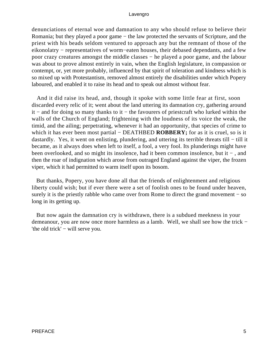denunciations of eternal woe and damnation to any who should refuse to believe their Romania; but they played a poor game − the law protected the servants of Scripture, and the priest with his beads seldom ventured to approach any but the remnant of those of the eikonolatry − representatives of worm−eaten houses, their debased dependants, and a few poor crazy creatures amongst the middle classes − he played a poor game, and the labour was about to prove almost entirely in vain, when the English legislature, in compassion or contempt, or, yet more probably, influenced by that spirit of toleration and kindness which is so mixed up with Protestantism, removed almost entirely the disabilities under which Popery laboured, and enabled it to raise its head and to speak out almost without fear.

 And it did raise its head, and, though it spoke with some little fear at first, soon discarded every relic of it; went about the land uttering its damnation cry, gathering around it − and for doing so many thanks to it − the favourers of priestcraft who lurked within the walls of the Church of England; frightening with the loudness of its voice the weak, the timid, and the ailing; perpetrating, whenever it had an opportunity, that species of crime to which it has ever been most partial – DEATHBED **ROBBERY**; for as it is cruel, so is it dastardly. Yes, it went on enlisting, plundering, and uttering its terrible threats till − till it became, as it always does when left to itself, a fool, a very fool. Its plunderings might have been overlooked, and so might its insolence, had it been common insolence, but it − , and then the roar of indignation which arose from outraged England against the viper, the frozen viper, which it had permitted to warm itself upon its bosom.

 But thanks, Popery, you have done all that the friends of enlightenment and religious liberty could wish; but if ever there were a set of foolish ones to be found under heaven, surely it is the priestly rabble who came over from Rome to direct the grand movement – so long in its getting up.

 But now again the damnation cry is withdrawn, there is a subdued meekness in your demeanour, you are now once more harmless as a lamb. Well, we shall see how the trick − 'the old trick' − will serve you.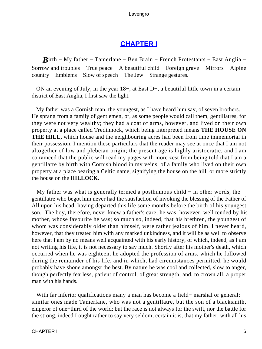### **[CHAPTER I](#page-494-0)**

*B*irth – My father – Tamerlane – Ben Brain – French Protestants – East Anglia – Sorrow and troubles − True peace − A beautiful child − Foreign grave − Mirrors − Alpine country − Emblems − Slow of speech − The Jew − Strange gestures.

 ON an evening of July, in the year 18−, at East D−, a beautiful little town in a certain district of East Anglia, I first saw the light.

 My father was a Cornish man, the youngest, as I have heard him say, of seven brothers. He sprang from a family of gentlemen, or, as some people would call them, gentillatres, for they were not very wealthy; they had a coat of arms, however, and lived on their own property at a place called Tredinnock, which being interpreted means **THE HOUSE ON THE HILL,** which house and the neighbouring acres had been from time immemorial in their possession. I mention these particulars that the reader may see at once that I am not altogether of low and plebeian origin; the present age is highly aristocratic, and I am convinced that the public will read my pages with more zest from being told that I am a gentillatre by birth with Cornish blood in my veins, of a family who lived on their own property at a place bearing a Celtic name, signifying the house on the hill, or more strictly the house on the **HILLOCK.**

My father was what is generally termed a posthumous child  $-$  in other words, the gentillatre who begot him never had the satisfaction of invoking the blessing of the Father of All upon his head; having departed this life some months before the birth of his youngest son. The boy, therefore, never knew a father's care; he was, however, well tended by his mother, whose favourite he was; so much so, indeed, that his brethren, the youngest of whom was considerably older than himself, were rather jealous of him. I never heard, however, that they treated him with any marked unkindness, and it will be as well to observe here that I am by no means well acquainted with his early history, of which, indeed, as I am not writing his life, it is not necessary to say much. Shortly after his mother's death, which occurred when he was eighteen, he adopted the profession of arms, which he followed during the remainder of his life, and in which, had circumstances permitted, he would probably have shone amongst the best. By nature he was cool and collected, slow to anger, though perfectly fearless, patient of control, of great strength; and, to crown all, a proper man with his hands.

 With far inferior qualifications many a man has become a field− marshal or general; similar ones made Tamerlane, who was not a gentillatre, but the son of a blacksmith, emperor of one−third of the world; but the race is not always for the swift, nor the battle for the strong, indeed I ought rather to say very seldom; certain it is, that my father, with all his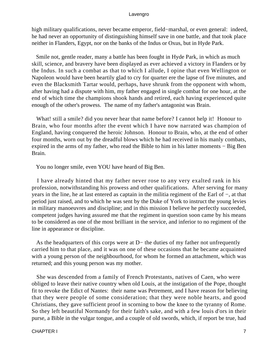high military qualifications, never became emperor, field−marshal, or even general: indeed, he had never an opportunity of distinguishing himself save in one battle, and that took place neither in Flanders, Egypt, nor on the banks of the Indus or Oxus, but in Hyde Park.

 Smile not, gentle reader, many a battle has been fought in Hyde Park, in which as much skill, science, and bravery have been displayed as ever achieved a victory in Flanders or by the Indus. In such a combat as that to which I allude, I opine that even Wellington or Napoleon would have been heartily glad to cry for quarter ere the lapse of five minutes, and even the Blacksmith Tartar would, perhaps, have shrunk from the opponent with whom, after having had a dispute with him, my father engaged in single combat for one hour, at the end of which time the champions shook hands and retired, each having experienced quite enough of the other's prowess. The name of my father's antagonist was Brain.

 What! still a smile? did you never hear that name before? I cannot help it! Honour to Brain, who four months after the event which I have now narrated was champion of England, having conquered the heroic Johnson. Honour to Brain, who, at the end of other four months, worn out by the dreadful blows which he had received in his manly combats, expired in the arms of my father, who read the Bible to him in his latter moments − Big Ben Brain.

You no longer smile, even YOU have heard of Big Ben.

 I have already hinted that my father never rose to any very exalted rank in his profession, notwithstanding his prowess and other qualifications. After serving for many years in the line, he at last entered as captain in the militia regiment of the Earl of −, at that period just raised, and to which he was sent by the Duke of York to instruct the young levies in military manoeuvres and discipline; and in this mission I believe he perfectly succeeded, competent judges having assured me that the regiment in question soon came by his means to be considered as one of the most brilliant in the service, and inferior to no regiment of the line in appearance or discipline.

 As the headquarters of this corps were at D− the duties of my father not unfrequently carried him to that place, and it was on one of these occasions that he became acquainted with a young person of the neighbourhood, for whom he formed an attachment, which was returned; and this young person was my mother.

 She was descended from a family of French Protestants, natives of Caen, who were obliged to leave their native country when old Louis, at the instigation of the Pope, thought fit to revoke the Edict of Nantes: their name was Petrement, and I have reason for believing that they were people of some consideration; that they were noble hearts, and good Christians, they gave sufficient proof in scorning to bow the knee to the tyranny of Rome. So they left beautiful Normandy for their faith's sake, and with a few louis d'ors in their purse, a Bible in the vulgar tongue, and a couple of old swords, which, if report be true, had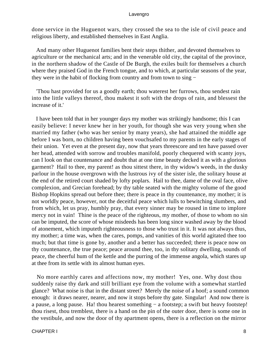done service in the Huguenot wars, they crossed the sea to the isle of civil peace and religious liberty, and established themselves in East Anglia.

 And many other Huguenot families bent their steps thither, and devoted themselves to agriculture or the mechanical arts; and in the venerable old city, the capital of the province, in the northern shadow of the Castle of De Burgh, the exiles built for themselves a church where they praised God in the French tongue, and to which, at particular seasons of the year, they were in the habit of flocking from country and from town to sing −

 'Thou hast provided for us a goodly earth; thou waterest her furrows, thou sendest rain into the little valleys thereof, thou makest it soft with the drops of rain, and blessest the increase of it.'

 I have been told that in her younger days my mother was strikingly handsome; this I can easily believe: I never knew her in her youth, for though she was very young when she married my father (who was her senior by many years), she had attained the middle age before I was born, no children having been vouchsafed to my parents in the early stages of their union. Yet even at the present day, now that years threescore and ten have passed over her head, attended with sorrow and troubles manifold, poorly chequered with scanty joys, can I look on that countenance and doubt that at one time beauty decked it as with a glorious garment? Hail to thee, my parent! as thou sittest there, in thy widow's weeds, in the dusky parlour in the house overgrown with the lustrous ivy of the sister isle, the solitary house at the end of the retired court shaded by lofty poplars. Hail to thee, dame of the oval face, olive complexion, and Grecian forehead; by thy table seated with the mighty volume of the good Bishop Hopkins spread out before thee; there is peace in thy countenance, my mother; it is not worldly peace, however, not the deceitful peace which lulls to bewitching slumbers, and from which, let us pray, humbly pray, that every sinner may be roused in time to implore mercy not in vain! Thine is the peace of the righteous, my mother, of those to whom no sin can be imputed, the score of whose misdeeds has been long since washed away by the blood of atonement, which imputeth righteousness to those who trust in it. It was not always thus, my mother; a time was, when the cares, pomps, and vanities of this world agitated thee too much; but that time is gone by, another and a better has succeeded; there is peace now on thy countenance, the true peace; peace around thee, too, in thy solitary dwelling, sounds of peace, the cheerful hum of the kettle and the purring of the immense angola, which stares up at thee from its settle with its almost human eyes.

 No more earthly cares and affections now, my mother! Yes, one. Why dost thou suddenly raise thy dark and still brilliant eye from the volume with a somewhat startled glance? What noise is that in the distant street? Merely the noise of a hoof; a sound common enough: it draws nearer, nearer, and now it stops before thy gate. Singular! And now there is a pause, a long pause. Ha! thou hearest something − a footstep; a swift but heavy footstep! thou risest, thou tremblest, there is a hand on the pin of the outer door, there is some one in the vestibule, and now the door of thy apartment opens, there is a reflection on the mirror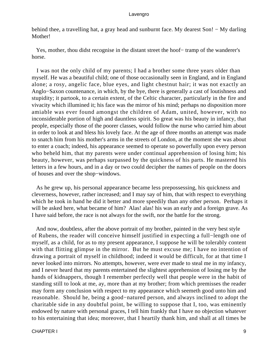behind thee, a travelling hat, a gray head and sunburnt face. My dearest Son! − My darling Mother!

 Yes, mother, thou didst recognise in the distant street the hoof− tramp of the wanderer's horse.

 I was not the only child of my parents; I had a brother some three years older than myself. He was a beautiful child; one of those occasionally seen in England, and in England alone; a rosy, angelic face, blue eyes, and light chestnut hair; it was not exactly an Anglo−Saxon countenance, in which, by the bye, there is generally a cast of loutishness and stupidity; it partook, to a certain extent, of the Celtic character, particularly in the fire and vivacity which illumined it; his face was the mirror of his mind; perhaps no disposition more amiable was ever found amongst the children of Adam, united, however, with no inconsiderable portion of high and dauntless spirit. So great was his beauty in infancy, that people, especially those of the poorer classes, would follow the nurse who carried him about in order to look at and bless his lovely face. At the age of three months an attempt was made to snatch him from his mother's arms in the streets of London, at the moment she was about to enter a coach; indeed, his appearance seemed to operate so powerfully upon every person who beheld him, that my parents were under continual apprehension of losing him; his beauty, however, was perhaps surpassed by the quickness of his parts. He mastered his letters in a few hours, and in a day or two could decipher the names of people on the doors of houses and over the shop−windows.

 As he grew up, his personal appearance became less prepossessing, his quickness and cleverness, however, rather increased; and I may say of him, that with respect to everything which he took in hand he did it better and more speedily than any other person. Perhaps it will be asked here, what became of him? Alas! alas! his was an early and a foreign grave. As I have said before, the race is not always for the swift, nor the battle for the strong.

 And now, doubtless, after the above portrait of my brother, painted in the very best style of Rubens, the reader will conceive himself justified in expecting a full−length one of myself, as a child, for as to my present appearance, I suppose he will be tolerably content with that flitting glimpse in the mirror. But he must excuse me; I have no intention of drawing a portrait of myself in childhood; indeed it would be difficult, for at that time I never looked into mirrors. No attempts, however, were ever made to steal me in my infancy, and I never heard that my parents entertained the slightest apprehension of losing me by the hands of kidnappers, though I remember perfectly well that people were in the habit of standing still to look at me, ay, more than at my brother; from which premisses the reader may form any conclusion with respect to my appearance which seemeth good unto him and reasonable. Should he, being a good−natured person, and always inclined to adopt the charitable side in any doubtful point, be willing to suppose that I, too, was eminently endowed by nature with personal graces, I tell him frankly that I have no objection whatever to his entertaining that idea; moreover, that I heartily thank him, and shall at all times be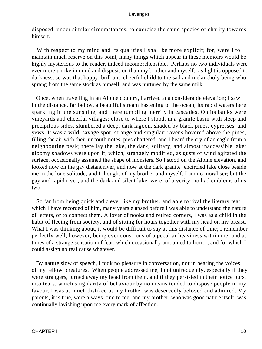disposed, under similar circumstances, to exercise the same species of charity towards himself.

With respect to my mind and its qualities I shall be more explicit; for, were I to maintain much reserve on this point, many things which appear in these memoirs would be highly mysterious to the reader, indeed incomprehensible. Perhaps no two individuals were ever more unlike in mind and disposition than my brother and myself: as light is opposed to darkness, so was that happy, brilliant, cheerful child to the sad and melancholy being who sprang from the same stock as himself, and was nurtured by the same milk.

 Once, when travelling in an Alpine country, I arrived at a considerable elevation; I saw in the distance, far below, a beautiful stream hastening to the ocean, its rapid waters here sparkling in the sunshine, and there tumbling merrily in cascades. On its banks were vineyards and cheerful villages; close to where I stood, in a granite basin with steep and precipitous sides, slumbered a deep, dark lagoon, shaded by black pines, cypresses, and yews. It was a wild, savage spot, strange and singular; ravens hovered above the pines, filling the air with their uncouth notes, pies chattered, and I heard the cry of an eagle from a neighbouring peak; there lay the lake, the dark, solitary, and almost inaccessible lake; gloomy shadows were upon it, which, strangely modified, as gusts of wind agitated the surface, occasionally assumed the shape of monsters. So I stood on the Alpine elevation, and looked now on the gay distant river, and now at the dark granite−encircled lake close beside me in the lone solitude, and I thought of my brother and myself. I am no moraliser; but the gay and rapid river, and the dark and silent lake, were, of a verity, no had emblems of us two.

 So far from being quick and clever like my brother, and able to rival the literary feat which I have recorded of him, many years elapsed before I was able to understand the nature of letters, or to connect them. A lover of nooks and retired corners, I was as a child in the habit of fleeing from society, and of sitting for hours together with my head on my breast. What I was thinking about, it would be difficult to say at this distance of time; I remember perfectly well, however, being ever conscious of a peculiar heaviness within me, and at times of a strange sensation of fear, which occasionally amounted to horror, and for which I could assign no real cause whatever.

 By nature slow of speech, I took no pleasure in conversation, nor in hearing the voices of my fellow−creatures. When people addressed me, I not unfrequently, especially if they were strangers, turned away my head from them, and if they persisted in their notice burst into tears, which singularity of behaviour by no means tended to dispose people in my favour. I was as much disliked as my brother was deservedly beloved and admired. My parents, it is true, were always kind to me; and my brother, who was good nature itself, was continually lavishing upon me every mark of affection.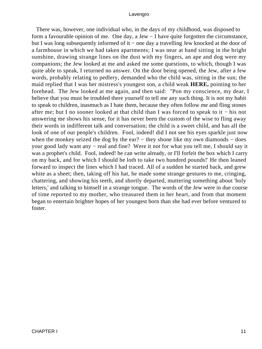There was, however, one individual who, in the days of my childhood, was disposed to form a favourable opinion of me. One day, a Jew − I have quite forgotten the circumstance, but I was long subsequently informed of it − one day a travelling Jew knocked at the door of a farmhouse in which we had taken apartments; I was near at hand sitting in the bright sunshine, drawing strange lines on the dust with my fingers, an ape and dog were my companions; the Jew looked at me and asked me some questions, to which, though I was quite able to speak, I returned no answer. On the door being opened, the Jew, after a few words, probably relating to pedlery, demanded who the child was, sitting in the sun; the maid replied that I was her mistress's youngest son, a child weak **HERE,** pointing to her forehead. The Jew looked at me again, and then said: ''Pon my conscience, my dear, I believe that you must be troubled there yourself to tell me any such thing. It is not my habit to speak to children, inasmuch as I hate them, because they often follow me and fling stones after me; but I no sooner looked at that child than I was forced to speak to it − his not answering me shows his sense, for it has never been the custom of the wise to fling away their words in indifferent talk and conversation; the child is a sweet child, and has all the look of one of our people's children. Fool, indeed! did I not see his eyes sparkle just now when the monkey seized the dog by the ear? – they shone like my own diamonds – does your good lady want any − real and fine? Were it not for what you tell me, I should say it was a prophet's child. Fool, indeed! he can write already, or I'll forfeit the box which I carry on my back, and for which I should be loth to take two hundred pounds!' He then leaned forward to inspect the lines which I had traced. All of a sudden he started back, and grew white as a sheet; then, taking off his hat, he made some strange gestures to me, cringing, chattering, and showing his teeth, and shortly departed, muttering something about 'holy letters,' and talking to himself in a strange tongue. The words of the Jew were in due course of time reported to my mother, who treasured them in her heart, and from that moment began to entertain brighter hopes of her youngest born than she had ever before ventured to foster.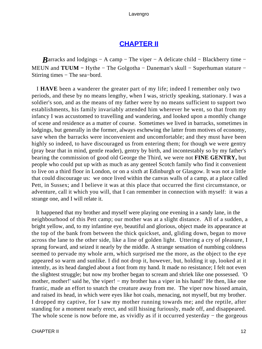### **[CHAPTER II](#page-494-0)**

*Barracks and lodgings – A camp – The viper – A delicate child – Blackberry time –* MEUN and **TUUM −** Hythe − The Golgotha − Daneman's skull − Superhuman stature − Stirring times − The sea−bord.

 I **HAVE** been a wanderer the greater part of my life; indeed I remember only two periods, and these by no means lengthy, when I was, strictly speaking, stationary. I was a soldier's son, and as the means of my father were by no means sufficient to support two establishments, his family invariably attended him wherever he went, so that from my infancy I was accustomed to travelling and wandering, and looked upon a monthly change of scene and residence as a matter of course. Sometimes we lived in barracks, sometimes in lodgings, but generally in the former, always eschewing the latter from motives of economy, save when the barracks were inconvenient and uncomfortable; and they must have been highly so indeed, to have discouraged us from entering them; for though we were gentry (pray bear that in mind, gentle reader), gentry by birth, and incontestably so by my father's bearing the commission of good old George the Third, we were not **FINE GENTRY,** but people who could put up with as much as any genteel Scotch family who find it convenient to live on a third floor in London, or on a sixth at Edinburgh or Glasgow. It was not a little that could discourage us: we once lived within the canvas walls of a camp, at a place called Pett, in Sussex; and I believe it was at this place that occurred the first circumstance, or adventure, call it which you will, that I can remember in connection with myself: it was a strange one, and I will relate it.

 It happened that my brother and myself were playing one evening in a sandy lane, in the neighbourhood of this Pett camp; our mother was at a slight distance. All of a sudden, a bright yellow, and, to my infantine eye, beautiful and glorious, object made its appearance at the top of the bank from between the thick quickset, and, gliding down, began to move across the lane to the other side, like a line of golden light. Uttering a cry of pleasure, I sprang forward, and seized it nearly by the middle. A strange sensation of numbing coldness seemed to pervade my whole arm, which surprised me the more, as the object to the eye appeared so warm and sunlike. I did not drop it, however, but, holding it up, looked at it intently, as its head dangled about a foot from my hand. It made no resistance; I felt not even the slightest struggle; but now my brother began to scream and shriek like one possessed. 'O mother, mother!' said he, 'the viper! – my brother has a viper in his hand!' He then, like one frantic, made an effort to snatch the creature away from me. The viper now hissed amain, and raised its head, in which were eyes like hot coals, menacing, not myself, but my brother. I dropped my captive, for I saw my mother running towards me; and the reptile, after standing for a moment nearly erect, and still hissing furiously, made off, and disappeared. The whole scene is now before me, as vividly as if it occurred yesterday – the gorgeous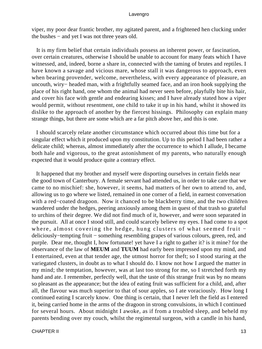viper, my poor dear frantic brother, my agitated parent, and a frightened hen clucking under the bushes − and yet I was not three years old.

 It is my firm belief that certain individuals possess an inherent power, or fascination, over certain creatures, otherwise I should be unable to account for many feats which I have witnessed, and, indeed, borne a share in, connected with the taming of brutes and reptiles. I have known a savage and vicious mare, whose stall it was dangerous to approach, even when bearing provender, welcome, nevertheless, with every appearance of pleasure, an uncouth, wiry− headed man, with a frightfully seamed face, and an iron hook supplying the place of his right hand, one whom the animal had never seen before, playfully bite his hair, and cover his face with gentle and endearing kisses; and I have already stated how a viper would permit, without resentment, one child to take it up in his hand, whilst it showed its dislike to the approach of another by the fiercest hissings. Philosophy can explain many strange things, but there are some which are a far pitch above her, and this is one.

 I should scarcely relate another circumstance which occurred about this time but for a singular effect which it produced upon my constitution. Up to this period I had been rather a delicate child; whereas, almost immediately after the occurrence to which I allude, I became both hale and vigorous, to the great astonishment of my parents, who naturally enough expected that it would produce quite a contrary effect.

 It happened that my brother and myself were disporting ourselves in certain fields near the good town of Canterbury. A female servant had attended us, in order to take care that we came to no mischief: she, however, it seems, had matters of her own to attend to, and, allowing us to go where we listed, remained in one corner of a field, in earnest conversation with a red−coated dragoon. Now it chanced to be blackberry time, and the two children wandered under the hedges, peering anxiously among them in quest of that trash so grateful to urchins of their degree. We did not find much of it, however, and were soon separated in the pursuit. All at once I stood still, and could scarcely believe my eyes. I had come to a spot where, almost covering the hedge, hung clusters of what seemed fruit − deliciously−tempting fruit − something resembling grapes of various colours, green, red, and purple. Dear me, thought I, how fortunate! yet have I a right to gather it? is it mine? for the observance of the law of **MEUM** and **TUUM** had early been impressed upon my mind, and I entertained, even at that tender age, the utmost horror for theft; so I stood staring at the variegated clusters, in doubt as to what I should do. I know not how I argued the matter in my mind; the temptation, however, was at last too strong for me, so I stretched forth my hand and ate. I remember, perfectly well, that the taste of this strange fruit was by no means so pleasant as the appearance; but the idea of eating fruit was sufficient for a child, and, after all, the flavour was much superior to that of sour apples, so I ate voraciously. How long I continued eating I scarcely know. One thing is certain, that I never left the field as I entered it, being carried home in the arms of the dragoon in strong convulsions, in which I continued for several hours. About midnight I awoke, as if from a troubled sleep, and beheld my parents bending over my couch, whilst the regimental surgeon, with a candle in his hand,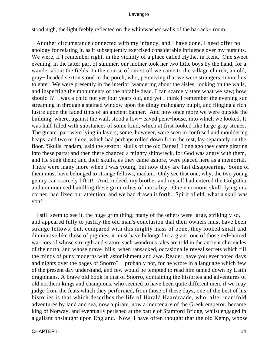stood nigh, the light feebly reflected on the whitewashed walls of the barrack− room.

 Another circumstance connected with my infancy, and I have done. I need offer no apology for relating it, as it subsequently exercised considerable influence over my pursuits. We were, if I remember right, in the vicinity of a place called Hythe, in Kent. One sweet evening, in the latter part of summer, our mother took her two little boys by the hand, for a wander about the fields. In the course of our stroll we came to the village church; an old, gray− headed sexton stood in the porch, who, perceiving that we were strangers, invited us to enter. We were presently in the interior, wandering about the aisles, looking on the walls, and inspecting the monuments of the notable dead. I can scarcely state what we saw; how should I? I was a child not yet four years old, and yet I think I remember the evening sun streaming in through a stained window upon the dingy mahogany pulpit, and flinging a rich lustre upon the faded tints of an ancient banner. And now once more we were outside the building, where, against the wall, stood a low− eaved pent−house, into which we looked. It was half filled with substances of some kind, which at first looked like large gray stones. The greater part were lying in layers; some, however, were seen in confused and mouldering heaps, and two or three, which had perhaps rolled down from the rest, lay separately on the floor. 'Skulls, madam,' said the sexton; 'skulls of the old Danes! Long ago they came pirating into these parts; and then there chanced a mighty shipwreck, for God was angry with them, and He sunk them; and their skulls, as they came ashore, were placed here as a memorial. There were many more when I was young, but now they are fast disappearing. Some of them must have belonged to strange fellows, madam. Only see that one; why, the two young gentry can scarcely lift it!' And, indeed, my brother and myself had entered the Golgotha, and commenced handling these grim relics of mortality. One enormous skull, lying in a corner, had fixed our attention, and we had drawn it forth. Spirit of eld, what a skull was yon!

 I still seem to see it, the huge grim thing; many of the others were large, strikingly so, and appeared fully to justify the old man's conclusion that their owners must have been strange fellows; but, compared with this mighty mass of bone, they looked small and diminutive like those of pigmies; it must have belonged to a giant, one of those red−haired warriors of whose strength and stature such wondrous tales are told in the ancient chronicles of the north, and whose grave−hills, when ransacked, occasionally reveal secrets which fill the minds of puny moderns with astonishment and awe. Reader, have you ever pored days and nights over the pages of Snorro? – probably not, for he wrote in a language which few of the present day understand, and few would be tempted to read him tamed down by Latin dragomans. A brave old book is that of Snorro, containing the histories and adventures of old northern kings and champions, who seemed to have been quite different men, if we may judge from the feats which they performed, from those of these days; one of the best of his histories is that which describes the life of Harald Haardraade, who, after manifold adventures by land and sea, now a pirate, now a mercenary of the Greek emperor, became king of Norway, and eventually perished at the battle of Stamford Bridge, whilst engaged in a gallant onslaught upon England. Now, I have often thought that the old Kemp, whose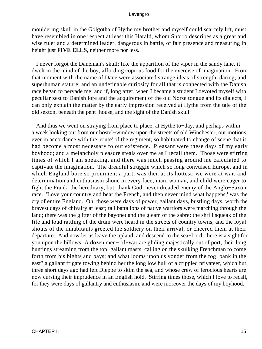mouldering skull in the Golgotha of Hythe my brother and myself could scarcely lift, must have resembled in one respect at least this Harald, whom Snorro describes as a great and wise ruler and a determined leader, dangerous in battle, of fair presence and measuring in height just **FIVE ELLS,** neither more nor less.

 I never forgot the Daneman's skull; like the apparition of the viper in the sandy lane, it dwelt in the mind of the boy, affording copious food for the exercise of imagination. From that moment with the name of Dane were associated strange ideas of strength, daring, and superhuman stature; and an undefinable curiosity for all that is connected with the Danish race began to pervade me; and if, long after, when I became a student I devoted myself with peculiar zest to Danish lore and the acquirement of the old Norse tongue and its dialects, I can only explain the matter by the early impression received at Hythe from the tale of the old sexton, beneath the pent−house, and the sight of the Danish skull.

 And thus we went on straying from place to place, at Hythe to−day, and perhaps within a week looking out from our hostel−window upon the streets of old Winchester, our motions ever in accordance with the 'route' of the regiment, so habituated to change of scene that it had become almost necessary to our existence. Pleasant were these days of my early boyhood; and a melancholy pleasure steals over me as I recall them. Those were stirring times of which I am speaking, and there was much passing around me calculated to captivate the imagination. The dreadful struggle which so long convulsed Europe, and in which England bore so prominent a part, was then at its hottest; we were at war, and determination and enthusiasm shone in every face; man, woman, and child were eager to fight the Frank, the hereditary, but, thank God, never dreaded enemy of the Anglo−Saxon race. 'Love your country and beat the French, and then never mind what happens,' was the cry of entire England. Oh, those were days of power, gallant days, bustling days, worth the bravest days of chivalry at least; tall battalions of native warriors were marching through the land; there was the glitter of the bayonet and the gleam of the sabre; the shrill squeak of the fife and loud rattling of the drum were heard in the streets of country towns, and the loyal shouts of the inhabitants greeted the soldiery on their arrival, or cheered them at their departure. And now let us leave the upland, and descend to the sea−bord; there is a sight for you upon the billows! A dozen men− of−war are gliding majestically out of port, their long buntings streaming from the top−gallant masts, calling on the skulking Frenchman to come forth from his bights and bays; and what looms upon us yonder from the fog−bank in the east? a gallant frigate towing behind her the long low hull of a crippled privateer, which but three short days ago had left Dieppe to skim the sea, and whose crew of ferocious hearts are now cursing their imprudence in an English hold. Stirring times those, which I love to recall, for they were days of gallantry and enthusiasm, and were moreover the days of my boyhood.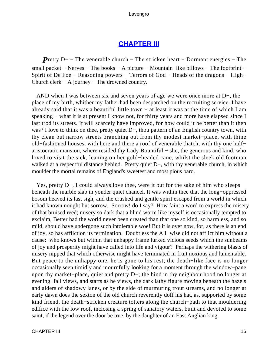### **[CHAPTER III](#page-494-0)**

*P*retty D− − The venerable church – The stricken heart – Dormant energies – The small packet – Nerves – The books – A picture – Mountain–like billows – The footprint – Spirit of De Foe − Reasoning powers − Terrors of God − Heads of the dragons − High– Church clerk − A journey − The drowned country.

 AND when I was between six and seven years of age we were once more at D−, the place of my birth, whither my father had been despatched on the recruiting service. I have already said that it was a beautiful little town − at least it was at the time of which I am speaking – what it is at present I know not, for thirty years and more have elapsed since I last trod its streets. It will scarcely have improved, for how could it be better than it then was? I love to think on thee, pretty quiet D–, thou pattern of an English country town, with thy clean but narrow streets branching out from thy modest market−place, with thine old−fashioned houses, with here and there a roof of venerable thatch, with thy one half− aristocratic mansion, where resided thy Lady Bountiful − she, the generous and kind, who loved to visit the sick, leaning on her gold−headed cane, whilst the sleek old footman walked at a respectful distance behind. Pretty quiet D−, with thy venerable church, in which moulder the mortal remains of England's sweetest and most pious bard.

 Yes, pretty D−, I could always love thee, were it but for the sake of him who sleeps beneath the marble slab in yonder quiet chancel. It was within thee that the long−oppressed bosom heaved its last sigh, and the crushed and gentle spirit escaped from a world in which it had known nought but sorrow. Sorrow! do I say? How faint a word to express the misery of that bruised reed; misery so dark that a blind worm like myself is occasionally tempted to exclaim, Better had the world never been created than that one so kind, so harmless, and so mild, should have undergone such intolerable woe! But it is over now, for, as there is an end of joy, so has affliction its termination. Doubtless the All−wise did not afflict him without a cause: who knows but within that unhappy frame lurked vicious seeds which the sunbeams of joy and prosperity might have called into life and vigour? Perhaps the withering blasts of misery nipped that which otherwise might have terminated in fruit noxious and lamentable. But peace to the unhappy one, he is gone to his rest; the death−like face is no longer occasionally seen timidly and mournfully looking for a moment through the window−pane upon thy market−place, quiet and pretty D−; the hind in thy neighbourhood no longer at evening−fall views, and starts as he views, the dark lathy figure moving beneath the hazels and alders of shadowy lanes, or by the side of murmuring trout streams, and no longer at early dawn does the sexton of the old church reverently doff his hat, as, supported by some kind friend, the death−stricken creature totters along the church−path to that mouldering edifice with the low roof, inclosing a spring of sanatory waters, built and devoted to some saint, if the legend over the door be true, by the daughter of an East Anglian king.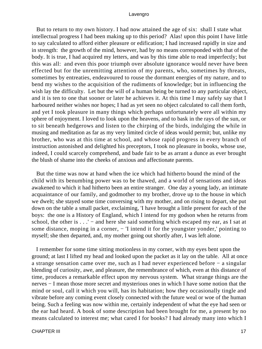But to return to my own history. I had now attained the age of six: shall I state what intellectual progress I had been making up to this period? Alas! upon this point I have little to say calculated to afford either pleasure or edification; I had increased rapidly in size and in strength: the growth of the mind, however, had by no means corresponded with that of the body. It is true, I had acquired my letters, and was by this time able to read imperfectly; but this was all: and even this poor triumph over absolute ignorance would never have been effected but for the unremitting attention of my parents, who, sometimes by threats, sometimes by entreaties, endeavoured to rouse the dormant energies of my nature, and to bend my wishes to the acquisition of the rudiments of knowledge; but in influencing the wish lay the difficulty. Let but the will of a human being be turned to any particular object, and it is ten to one that sooner or later he achieves it. At this time I may safely say that I harboured neither wishes nor hopes; I had as yet seen no object calculated to call them forth, and yet I took pleasure in many things which perhaps unfortunately were all within my sphere of enjoyment. I loved to look upon the heavens, and to bask in the rays of the sun, or to sit beneath hedgerows and listen to the chirping of the birds, indulging the while in musing and meditation as far as my very limited circle of ideas would permit; but, unlike my brother, who was at this time at school, and whose rapid progress in every branch of instruction astonished and delighted his preceptors, I took no pleasure in books, whose use, indeed, I could scarcely comprehend, and bade fair to be as arrant a dunce as ever brought the blush of shame into the cheeks of anxious and affectionate parents.

 But the time was now at hand when the ice which had hitherto bound the mind of the child with its benumbing power was to be thawed, and a world of sensations and ideas awakened to which it had hitherto been an entire stranger. One day a young lady, an intimate acquaintance of our family, and godmother to my brother, drove up to the house in which we dwelt; she stayed some time conversing with my mother, and on rising to depart, she put down on the table a small packet, exclaiming, 'I have brought a little present for each of the boys: the one is a History of England, which I intend for my godson when he returns from school, the other is  $\dots$  – and here she said something which escaped my ear, as I sat at some distance, moping in a corner, − 'I intend it for the youngster yonder,' pointing to myself; she then departed, and, my mother going out shortly after, I was left alone.

 I remember for some time sitting motionless in my corner, with my eyes bent upon the ground; at last I lifted my head and looked upon the packet as it lay on the table. All at once a strange sensation came over me, such as I had never experienced before − a singular blending of curiosity, awe, and pleasure, the remembrance of which, even at this distance of time, produces a remarkable effect upon my nervous system. What strange things are the nerves − I mean those more secret and mysterious ones in which I have some notion that the mind or soul, call it which you will, has its habitation; how they occasionally tingle and vibrate before any coming event closely connected with the future weal or woe of the human being. Such a feeling was now within me, certainly independent of what the eye had seen or the ear had heard. A book of some description had been brought for me, a present by no means calculated to interest me; what cared I for books? I had already many into which I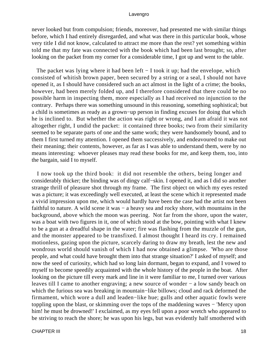never looked but from compulsion; friends, moreover, had presented me with similar things before, which I had entirely disregarded, and what was there in this particular book, whose very title I did not know, calculated to attract me more than the rest? yet something within told me that my fate was connected with the book which had been last brought; so, after looking on the packet from my corner for a considerable time, I got up and went to the table.

The packet was lying where it had been left – I took it up; had the envelope, which consisted of whitish brown paper, been secured by a string or a seal, I should not have opened it, as I should have considered such an act almost in the light of a crime; the books, however, had been merely folded up, and I therefore considered that there could be no possible harm in inspecting them, more especially as I had received no injunction to the contrary. Perhaps there was something unsound in this reasoning, something sophistical; but a child is sometimes as ready as a grown−up person in finding excuses for doing that which he is inclined to. But whether the action was right or wrong, and I am afraid it was not altogether right, I undid the packet: it contained three books; two from their similarity seemed to be separate parts of one and the same work; they were handsomely bound, and to them I first turned my attention. I opened them successively, and endeavoured to make out their meaning; their contents, however, as far as I was able to understand them, were by no means interesting: whoever pleases may read these books for me, and keep them, too, into the bargain, said I to myself.

 I now took up the third book: it did not resemble the others, being longer and considerably thicker; the binding was of dingy calf−skin. I opened it, and as I did so another strange thrill of pleasure shot through my frame. The first object on which my eyes rested was a picture; it was exceedingly well executed, at least the scene which it represented made a vivid impression upon me, which would hardly have been the case had the artist not been faithful to nature. A wild scene it was − a heavy sea and rocky shore, with mountains in the background, above which the moon was peering. Not far from the shore, upon the water, was a boat with two figures in it, one of which stood at the bow, pointing with what I knew to be a gun at a dreadful shape in the water; fire was flashing from the muzzle of the gun, and the monster appeared to be transfixed. I almost thought I heard its cry. I remained motionless, gazing upon the picture, scarcely daring to draw my breath, lest the new and wondrous world should vanish of which I had now obtained a glimpse. 'Who are those people, and what could have brought them into that strange situation?' I asked of myself; and now the seed of curiosity, which had so long lain dormant, began to expand, and I vowed to myself to become speedily acquainted with the whole history of the people in the boat. After looking on the picture till every mark and line in it were familiar to me, I turned over various leaves till I came to another engraving; a new source of wonder − a low sandy beach on which the furious sea was breaking in mountain−like billows; cloud and rack deformed the firmament, which wore a dull and leaden−like hue; gulls and other aquatic fowls were toppling upon the blast, or skimming over the tops of the maddening waves − 'Mercy upon him! he must be drowned!' I exclaimed, as my eyes fell upon a poor wretch who appeared to be striving to reach the shore; he was upon his legs, but was evidently half smothered with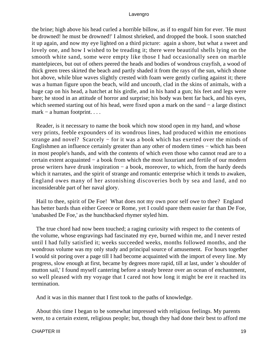the brine; high above his head curled a horrible billow, as if to engulf him for ever. 'He must be drowned! he must be drowned!' I almost shrieked, and dropped the book. I soon snatched it up again, and now my eye lighted on a third picture: again a shore, but what a sweet and lovely one, and how I wished to be treading it; there were beautiful shells lying on the smooth white sand, some were empty like those I had occasionally seen on marble mantelpieces, but out of others peered the heads and bodies of wondrous crayfish, a wood of thick green trees skirted the beach and partly shaded it from the rays of the sun, which shone hot above, while blue waves slightly crested with foam were gently curling against it; there was a human figure upon the beach, wild and uncouth, clad in the skins of animals, with a huge cap on his head, a hatchet at his girdle, and in his hand a gun; his feet and legs were bare; he stood in an attitude of horror and surprise; his body was bent far back, and his eyes, which seemed starting out of his head, were fixed upon a mark on the sand − a large distinct mark − a human footprint. . . .

 Reader, is it necessary to name the book which now stood open in my hand, and whose very prints, feeble expounders of its wondrous lines, had produced within me emotions strange and novel? Scarcely − for it was a book which has exerted over the minds of Englishmen an influence certainly greater than any other of modern times − which has been in most people's hands, and with the contents of which even those who cannot read are to a certain extent acquainted − a book from which the most luxuriant and fertile of our modern prose writers have drunk inspiration − a book, moreover, to which, from the hardy deeds which it narrates, and the spirit of strange and romantic enterprise which it tends to awaken, England owes many of her astonishing discoveries both by sea and land, and no inconsiderable part of her naval glory.

 Hail to thee, spirit of De Foe! What does not my own poor self owe to thee? England has better bards than either Greece or Rome, yet I could spare them easier far than De Foe, 'unabashed De Foe,' as the hunchbacked rhymer styled him.

 The true chord had now been touched; a raging curiosity with respect to the contents of the volume, whose engravings had fascinated my eye, burned within me, and I never rested until I had fully satisfied it; weeks succeeded weeks, months followed months, and the wondrous volume was my only study and principal source of amusement. For hours together I would sit poring over a page till I had become acquainted with the import of every line. My progress, slow enough at first, became by degrees more rapid, till at last, under 'a shoulder of mutton sail,' I found myself cantering before a steady breeze over an ocean of enchantment, so well pleased with my voyage that I cared not how long it might be ere it reached its termination.

And it was in this manner that I first took to the paths of knowledge.

 About this time I began to be somewhat impressed with religious feelings. My parents were, to a certain extent, religious people; but, though they had done their best to afford me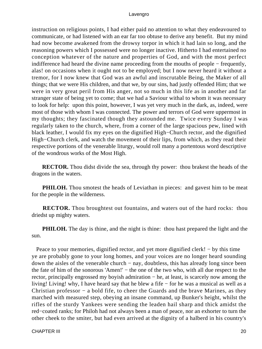instruction on religious points, I had either paid no attention to what they endeavoured to communicate, or had listened with an ear far too obtuse to derive any benefit. But my mind had now become awakened from the drowsy torpor in which it had lain so long, and the reasoning powers which I possessed were no longer inactive. Hitherto I had entertained no conception whatever of the nature and properties of God, and with the most perfect indifference had heard the divine name proceeding from the mouths of people − frequently, alas! on occasions when it ought not to be employed; but I now never heard it without a tremor, for I now knew that God was an awful and inscrutable Being, the Maker of all things; that we were His children, and that we, by our sins, had justly offended Him; that we were in very great peril from His anger, not so much in this life as in another and far stranger state of being yet to come; that we had a Saviour withal to whom it was necessary to look for help: upon this point, however, I was yet very much in the dark, as, indeed, were most of those with whom I was connected. The power and terrors of God were uppermost in my thoughts; they fascinated though they astounded me. Twice every Sunday I was regularly taken to the church, where, from a corner of the large spacious pew, lined with black leather, I would fix my eyes on the dignified High−Church rector, and the dignified High–Church clerk, and watch the movement of their lips, from which, as they read their respective portions of the venerable liturgy, would roll many a portentous word descriptive of the wondrous works of the Most High.

**RECTOR.** Thou didst divide the sea, through thy power: thou brakest the heads of the dragons in the waters.

**PHILOH.** Thou smotest the heads of Leviathan in pieces: and gavest him to be meat for the people in the wilderness.

**RECTOR.** Thou broughtest out fountains, and waters out of the hard rocks: thou driedst up mighty waters.

**PHILOH.** The day is thine, and the night is thine: thou hast prepared the light and the sun.

Peace to your memories, dignified rector, and yet more dignified clerk! – by this time ye are probably gone to your long homes, and your voices are no longer heard sounding down the aisles of the venerable church − nay, doubtless, this has already long since been the fate of him of the sonorous 'Amen!' − the one of the two who, with all due respect to the rector, principally engrossed my boyish admiration − he, at least, is scarcely now among the living! Living! why, I have heard say that he blew a fife − for he was a musical as well as a Christian professor − a bold fife, to cheer the Guards and the brave Marines, as they marched with measured step, obeying an insane command, up Bunker's height, whilst the rifles of the sturdy Yankees were sending the leaden hail sharp and thick amidst the red−coated ranks; for Philoh had not always been a man of peace, nor an exhorter to turn the other cheek to the smiter, but had even arrived at the dignity of a halberd in his country's

CHAPTER III 20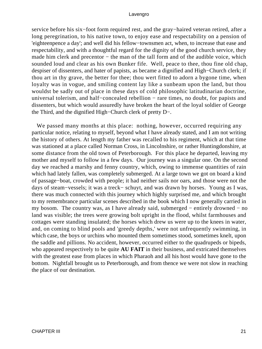service before his six−foot form required rest, and the gray−haired veteran retired, after a long peregrination, to his native town, to enjoy ease and respectability on a pension of 'eighteenpence a day'; and well did his fellow−townsmen act, when, to increase that ease and respectability, and with a thoughtful regard for the dignity of the good church service, they made him clerk and precentor – the man of the tall form and of the audible voice, which sounded loud and clear as his own Bunker fife. Well, peace to thee, thou fine old chap, despiser of dissenters, and hater of papists, as became a dignified and High−Church clerk; if thou art in thy grave, the better for thee; thou wert fitted to adorn a bygone time, when loyalty was in vogue, and smiling content lay like a sunbeam upon the land, but thou wouldst be sadly out of place in these days of cold philosophic latitudinarian doctrine, universal tolerism, and half−concealed rebellion − rare times, no doubt, for papists and dissenters, but which would assuredly have broken the heart of the loyal soldier of George the Third, and the dignified High−Church clerk of pretty D−.

We passed many months at this place: nothing, however, occurred requiring any particular notice, relating to myself, beyond what I have already stated, and I am not writing the history of others. At length my father was recalled to his regiment, which at that time was stationed at a place called Norman Cross, in Lincolnshire, or rather Huntingdonshire, at some distance from the old town of Peterborough. For this place he departed, leaving my mother and myself to follow in a few days. Our journey was a singular one. On the second day we reached a marshy and fenny country, which, owing to immense quantities of rain which had lately fallen, was completely submerged. At a large town we got on board a kind of passage−boat, crowded with people; it had neither sails nor oars, and those were not the days of steam−vessels; it was a treck− schuyt, and was drawn by horses. Young as I was, there was much connected with this journey which highly surprised me, and which brought to my remembrance particular scenes described in the book which I now generally carried in my bosom. The country was, as I have already said, submerged − entirely drowned − no land was visible; the trees were growing bolt upright in the flood, whilst farmhouses and cottages were standing insulated; the horses which drew us were up to the knees in water, and, on coming to blind pools and 'greedy depths,' were not unfrequently swimming, in which case, the boys or urchins who mounted them sometimes stood, sometimes knelt, upon the saddle and pillions. No accident, however, occurred either to the quadrupeds or bipeds, who appeared respectively to be quite **AU FAIT** in their business, and extricated themselves with the greatest ease from places in which Pharaoh and all his host would have gone to the bottom. Nightfall brought us to Peterborough, and from thence we were not slow in reaching the place of our destination.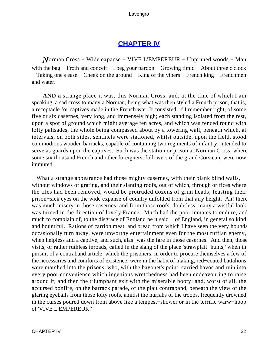### **[CHAPTER IV](#page-494-0)**

*N*orman Cross – Wide expanse – VIVE L'EMPEREUR – Unpruned woods – Man with the bag – Froth and conceit – I beg your pardon – Growing timid – About three o'clock − Taking one's ease − Cheek on the ground − King of the vipers − French king − Frenchmen and water.

**AND a** strange place it was, this Norman Cross, and, at the time of which I am speaking, a sad cross to many a Norman, being what was then styled a French prison, that is, a receptacle for captives made in the French war. It consisted, if I remember right, of some five or six casernes, very long, and immensely high; each standing isolated from the rest, upon a spot of ground which might average ten acres, and which was fenced round with lofty palisades, the whole being compassed about by a towering wall, beneath which, at intervals, on both sides, sentinels were stationed, whilst outside, upon the field, stood commodious wooden barracks, capable of containing two regiments of infantry, intended to serve as guards upon the captives. Such was the station or prison at Norman Cross, where some six thousand French and other foreigners, followers of the grand Corsican, were now immured.

 What a strange appearance had those mighty casernes, with their blank blind walls, without windows or grating, and their slanting roofs, out of which, through orifices where the tiles had been removed, would be protruded dozens of grim heads, feasting their prison−sick eyes on the wide expanse of country unfolded from that airy height. Ah! there was much misery in those casernes; and from those roofs, doubtless, many a wistful look was turned in the direction of lovely France. Much had the poor inmates to endure, and much to complain of, to the disgrace of England be it said − of England, in general so kind and bountiful. Rations of carrion meat, and bread from which I have seen the very hounds occasionally turn away, were unworthy entertainment even for the most ruffian enemy, when helpless and a captive; and such, alas! was the fare in those casernes. And then, those visits, or rather ruthless inroads, called in the slang of the place 'strawplait−hunts,' when in pursuit of a contraband article, which the prisoners, in order to procure themselves a few of the necessaries and comforts of existence, were in the habit of making, red−coated battalions were marched into the prisons, who, with the bayonet's point, carried havoc and ruin into every poor convenience which ingenious wretchedness had been endeavouring to raise around it; and then the triumphant exit with the miserable booty; and, worst of all, the accursed bonfire, on the barrack parade, of the plait contraband, beneath the view of the glaring eyeballs from those lofty roofs, amidst the hurrahs of the troops, frequently drowned in the curses poured down from above like a tempest−shower or in the terrific warw−hoop of 'VIVE L'EMPEREUR!'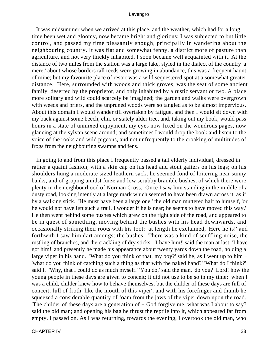It was midsummer when we arrived at this place, and the weather, which had for a long time been wet and gloomy, now became bright and glorious; I was subjected to but little control, and passed my time pleasantly enough, principally in wandering about the neighbouring country. It was flat and somewhat fenny, a district more of pasture than agriculture, and not very thickly inhabited. I soon became well acquainted with it. At the distance of two miles from the station was a large lake, styled in the dialect of the country 'a mere,' about whose borders tall reeds were growing in abundance, this was a frequent haunt of mine; but my favourite place of resort was a wild sequestered spot at a somewhat greater distance. Here, surrounded with woods and thick groves, was the seat of some ancient family, deserted by the proprietor, and only inhabited by a rustic servant or two. A place more solitary and wild could scarcely be imagined; the garden and walks were overgrown with weeds and briers, and the unpruned woods were so tangled as to be almost impervious. About this domain I would wander till overtaken by fatigue, and then I would sit down with my back against some beech, elm, or stately alder tree, and, taking out my book, would pass hours in a state of unmixed enjoyment, my eyes now fixed on the wondrous pages, now glancing at the sylvan scene around; and sometimes I would drop the book and listen to the voice of the rooks and wild pigeons, and not unfrequently to the croaking of multitudes of frogs from the neighbouring swamps and fens.

 In going to and from this place I frequently passed a tall elderly individual, dressed in rather a quaint fashion, with a skin cap on his head and stout gaiters on his legs; on his shoulders hung a moderate sized leathern sack; he seemed fond of loitering near sunny banks, and of groping amidst furze and low scrubby bramble bushes, of which there were plenty in the neighbourhood of Norman Cross. Once I saw him standing in the middle of a dusty road, looking intently at a large mark which seemed to have been drawn across it, as if by a walking stick. 'He must have been a large one,' the old man muttered half to himself, 'or he would not have left such a trail, I wonder if he is near; he seems to have moved this way.' He then went behind some bushes which grew on the right side of the road, and appeared to be in quest of something, moving behind the bushes with his head downwards, and occasionally striking their roots with his foot: at length he exclaimed, 'Here he is!' and forthwith I saw him dart amongst the bushes. There was a kind of scuffling noise, the rustling of branches, and the crackling of dry sticks. 'I have him!' said the man at last; 'I have got him!' and presently he made his appearance about twenty yards down the road, holding a large viper in his hand. 'What do you think of that, my boy?' said he, as I went up to him − 'what do you think of catching such a thing as that with the naked hand?' 'What do I think?' said I. 'Why, that I could do as much myself.' 'You do,' said the man, 'do you? Lord! how the young people in these days are given to conceit; it did not use to be so in my time: when I was a child, childer knew how to behave themselves; but the childer of these days are full of conceit, full of froth, like the mouth of this viper'; and with his forefinger and thumb he squeezed a considerable quantity of foam from the jaws of the viper down upon the road. 'The childer of these days are a generation of − God forgive me, what was I about to say?' said the old man; and opening his bag he thrust the reptile into it, which appeared far from empty. I passed on. As I was returning, towards the evening, I overtook the old man, who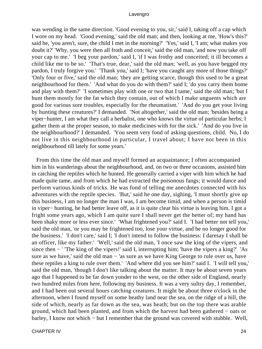was wending in the same direction. 'Good evening to you, sir,' said I, taking off a cap which I wore on my head. 'Good evening,' said the old man; and then, looking at me, 'How's this?' said he, 'you aren't, sure, the child I met in the morning?' 'Yes,' said I, 'I am; what makes you doubt it?' 'Why, you were then all froth and conceit,' said the old man, 'and now you take off your cap to me.' 'I beg your pardon,' said I, 'if I was frothy and conceited; it ill becomes a child like me to be so.' 'That's true, dear,' said the old man; 'well, as you have begged my pardon, I truly forgive you.' 'Thank you,' said I; 'have you caught any more of those things?' 'Only four or five,' said the old man; 'they are getting scarce, though this used to be a great neighbourhood for them.' 'And what do you do with them?' said I; 'do you carry them home and play with them?' 'I sometimes play with one or two that I tame,' said the old man; 'but I hunt them mostly for the fat which they contain, out of which I make unguents which are good for various sore troubles, especially for the rheumatism.' 'And do you get your living by hunting these creatures?' I demanded. 'Not altogether,' said the old man; 'besides being a viper−hunter, I am what they call a herbalist, one who knows the virtue of particular herbs; I gather them at the proper season, to make medicines with for the sick.' 'And do you live in the neighbourhood?' I demanded. 'You seem very fond of asking questions, child. No, I do not live in this neighbourhood in particular, I travel about; I have not been in this neighbourhood till lately for some years.'

 From this time the old man and myself formed an acquaintance; I often accompanied him in his wanderings about the neighbourhood, and, on two or three occasions, assisted him in catching the reptiles which he hunted. He generally carried a viper with him which he had made quite tame, and from which he had extracted the poisonous fangs; it would dance and perform various kinds of tricks. He was fond of telling me anecdotes connected with his adventures with the reptile species. 'But,' said he one day, sighing, 'I must shortly give up this business, I am no longer the man I was, I am become timid, and when a person is timid in viper− hunting, he had better leave off, as it is quite clear his virtue is leaving him. I got a fright some years ago, which I am quite sure I shall never get the better of; my hand has been shaky more or less ever since.' 'What frightened you?' said I. 'I had better not tell you,' said the old man, 'or you may be frightened too, lose your virtue, and be no longer good for the business.' 'I don't care,' said I; 'I don't intend to follow the business: I daresay I shall be an officer, like my father.' 'Well,' said the old man, 'I once saw the king of the vipers, and since then − ' 'The king of the vipers!' said I, interrupting him; 'have the vipers a king?' 'As sure as we have,' said the old man – 'as sure as we have King George to rule over us, have these reptiles a king to rule over them.' 'And where did you see him?' said I. 'I will tell you,' said the old man, 'though I don't like talking about the matter. It may be about seven years ago that I happened to be far down yonder to the west, on the other side of England, nearly two hundred miles from here, following my business. It was a very sultry day, I remember, and I had been out several hours catching creatures. It might be about three o'clock in the afternoon, when I found myself on some heathy land near the sea, on the ridge of a hill, the side of which, nearly as far down as the sea, was heath; but on the top there was arable ground, which had been planted, and from which the harvest had been gathered − oats or barley, I know not which − but I remember that the ground was covered with stubble. Well,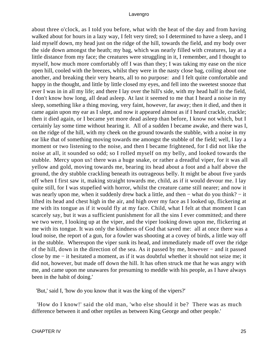about three o'clock, as I told you before, what with the heat of the day and from having walked about for hours in a lazy way, I felt very tired; so I determined to have a sleep, and I laid myself down, my head just on the ridge of the hill, towards the field, and my body over the side down amongst the heath; my bag, which was nearly filled with creatures, lay at a little distance from my face; the creatures were struggling in it, I remember, and I thought to myself, how much more comfortably off I was than they; I was taking my ease on the nice open hill, cooled with the breezes, whilst they were in the nasty close bag, coiling about one another, and breaking their very hearts, all to no purpose: and I felt quite comfortable and happy in the thought, and little by little closed my eyes, and fell into the sweetest snooze that ever I was in in all my life; and there I lay over the hill's side, with my head half in the field, I don't know how long, all dead asleep. At last it seemed to me that I heard a noise in my sleep, something like a thing moving, very faint, however, far away; then it died, and then it came again upon my ear as I slept, and now it appeared almost as if I heard crackle, crackle; then it died again, or I became yet more dead asleep than before, I know not which, but I certainly lay some time without hearing it. All of a sudden I became awake, and there was I, on the ridge of the hill, with my cheek on the ground towards the stubble, with a noise in my ear like that of something moving towards me amongst the stubble of the field; well, I lay a moment or two listening to the noise, and then I became frightened, for I did not like the noise at all, it sounded so odd; so I rolled myself on my belly, and looked towards the stubble. Mercy upon us! there was a huge snake, or rather a dreadful viper, for it was all yellow and gold, moving towards me, bearing its head about a foot and a half above the ground, the dry stubble crackling beneath its outrageous belly. It might be about five yards off when I first saw it, making straight towards me, child, as if it would devour me. I lay quite still, for I was stupefied with horror, whilst the creature came still nearer; and now it was nearly upon me, when it suddenly drew back a little, and then – what do you think? – it lifted its head and chest high in the air, and high over my face as I looked up, flickering at me with its tongue as if it would fly at my face. Child, what I felt at that moment I can scarcely say, but it was a sufficient punishment for all the sins I ever committed; and there we two were, I looking up at the viper, and the viper looking down upon me, flickering at me with its tongue. It was only the kindness of God that saved me: all at once there was a loud noise, the report of a gun, for a fowler was shooting at a covey of birds, a little way off in the stubble. Whereupon the viper sunk its head, and immediately made off over the ridge of the hill, down in the direction of the sea. As it passed by me, however − and it passed close by me − it hesitated a moment, as if it was doubtful whether it should not seize me; it did not, however, but made off down the hill. It has often struck me that he was angry with me, and came upon me unawares for presuming to meddle with his people, as I have always been in the habit of doing.'

'But,' said I, 'how do you know that it was the king of the vipers?'

 'How do I know!' said the old man, 'who else should it be? There was as much difference between it and other reptiles as between King George and other people.'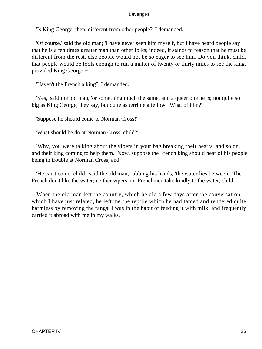'Is King George, then, different from other people?' I demanded.

 'Of course,' said the old man; 'I have never seen him myself, but I have heard people say that he is a ten times greater man than other folks; indeed, it stands to reason that he must be different from the rest, else people would not be so eager to see him. Do you think, child, that people would be fools enough to run a matter of twenty or thirty miles to see the king, provided King George − '

'Haven't the French a king?' I demanded.

 'Yes,' said the old man, 'or something much the same, and a queer one he is; not quite so big as King George, they say, but quite as terrible a fellow. What of him?'

'Suppose he should come to Norman Cross!'

'What should he do at Norman Cross, child?'

 'Why, you were talking about the vipers in your bag breaking their hearts, and so on, and their king coming to help them. Now, suppose the French king should hear of his people being in trouble at Norman Cross, and − '

 'He can't come, child,' said the old man, rubbing his hands, 'the water lies between. The French don't like the water; neither vipers nor Frenchmen take kindly to the water, child.'

 When the old man left the country, which he did a few days after the conversation which I have just related, he left me the reptile which he had tamed and rendered quite harmless by removing the fangs. I was in the habit of feeding it with milk, and frequently carried it abroad with me in my walks.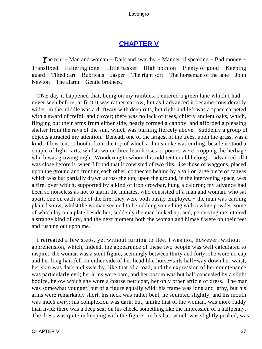### **[CHAPTER V](#page-494-0)**

**The tent – Man and woman – Dark and swarthy – Manner of speaking – Bad money –** Transfixed − Faltering tone − Little basket − High opinion − Plenty of good − Keeping guard − Tilted cart − Rubricals − Jasper − The right sort − The horseman of the lane − John Newton – The alarm – Gentle brothers.

 ONE day it happened that, being on my rambles, I entered a green lane which I had never seen before; at first it was rather narrow, but as I advanced it became considerably wider; in the middle was a driftway with deep ruts, but right and left was a space carpeted with a sward of trefoil and clover; there was no lack of trees, chiefly ancient oaks, which, flinging out their arms from either side, nearly formed a canopy, and afforded a pleasing shelter from the rays of the sun, which was burning fiercely above. Suddenly a group of objects attracted my attention. Beneath one of the largest of the trees, upon the grass, was a kind of low tent or booth, from the top of which a thin smoke was curling; beside it stood a couple of light carts, whilst two or three lean horses or ponies were cropping the herbage which was growing nigh. Wondering to whom this odd tent could belong, I advanced till I was close before it, when I found that it consisted of two tilts, like those of waggons, placed upon the ground and fronting each other, connected behind by a sail or large piece of canvas which was but partially drawn across the top; upon the ground, in the intervening space, was a fire, over which, supported by a kind of iron crowbar, hung a caldron; my advance had been so noiseless as not to alarm the inmates, who consisted of a man and woman, who sat apart, one on each side of the fire; they were both busily employed − the man was carding plaited straw, whilst the woman seemed to be rubbing something with a white powder, some of which lay on a plate beside her; suddenly the man looked up, and, perceiving me, uttered a strange kind of cry, and the next moment both the woman and himself were on their feet and rushing out upon me.

 I retreated a few steps, yet without turning to flee. I was not, however, without apprehension, which, indeed, the appearance of these two people was well calculated to inspire: the woman was a stout figure, seemingly between thirty and forty; she wore no cap, and her long hair fell on either side of her head like horse−tails half−way down her waist; her skin was dark and swarthy, like that of a toad, and the expression of her countenance was particularly evil; her arms were bare, and her bosom was but half concealed by a slight bodice, below which she wore a coarse petticoat, her only other article of dress. The man was somewhat younger, but of a figure equally wild; his frame was long and lathy, but his arms were remarkably short, his neck was rather bent, he squinted slightly, and his mouth was much awry; his complexion was dark, but, unlike that of the woman, was more ruddy than livid; there was a deep scar on his cheek, something like the impression of a halfpenny. The dress was quite in keeping with the figure: in his hat, which was slightly peaked, was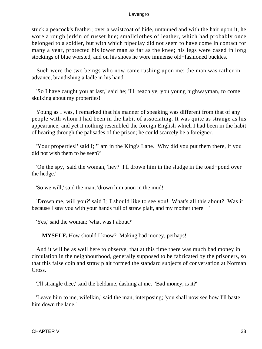stuck a peacock's feather; over a waistcoat of hide, untanned and with the hair upon it, he wore a rough jerkin of russet hue; smallclothes of leather, which had probably once belonged to a soldier, but with which pipeclay did not seem to have come in contact for many a year, protected his lower man as far as the knee; his legs were cased in long stockings of blue worsted, and on his shoes he wore immense old−fashioned buckles.

 Such were the two beings who now came rushing upon me; the man was rather in advance, brandishing a ladle in his hand.

 'So I have caught you at last,' said he; 'I'll teach ye, you young highwayman, to come skulking about my properties!'

 Young as I was, I remarked that his manner of speaking was different from that of any people with whom I had been in the habit of associating. It was quite as strange as his appearance, and yet it nothing resembled the foreign English which I had been in the habit of hearing through the palisades of the prison; he could scarcely be a foreigner.

 'Your properties!' said I; 'I am in the King's Lane. Why did you put them there, if you did not wish them to be seen?'

 'On the spy,' said the woman, 'hey? I'll drown him in the sludge in the toad−pond over the hedge.'

'So we will,' said the man, 'drown him anon in the mud!'

 'Drown me, will you?' said I; 'I should like to see you! What's all this about? Was it because I saw you with your hands full of straw plait, and my mother there − '

'Yes,' said the woman; 'what was I about?'

**MYSELF.** How should I know? Making bad money, perhaps!

 And it will be as well here to observe, that at this time there was much bad money in circulation in the neighbourhood, generally supposed to be fabricated by the prisoners, so that this false coin and straw plait formed the standard subjects of conversation at Norman Cross.

'I'll strangle thee,' said the beldame, dashing at me. 'Bad money, is it?'

 'Leave him to me, wifelkin,' said the man, interposing; 'you shall now see how I'll baste him down the lane.'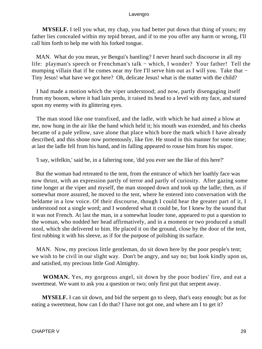**MYSELF.** I tell you what, my chap, you had better put down that thing of yours; my father lies concealed within my tepid breast, and if to me you offer any harm or wrong, I'll call him forth to help me with his forked tongue.

 MAN. What do you mean, ye Bengui's bantling? I never heard such discourse in all my life: playman's speech or Frenchman's talk − which, I wonder? Your father! Tell the mumping villain that if he comes near my fire I'll serve him out as I will you. Take that − Tiny Jesus! what have we got here? Oh, delicate Jesus! what is the matter with the child?

 I had made a motion which the viper understood; and now, partly disengaging itself from my bosom, where it had lain perdu, it raised its head to a level with my face, and stared upon my enemy with its glittering eyes.

 The man stood like one transfixed, and the ladle, with which he had aimed a blow at me, now hung in the air like the hand which held it; his mouth was extended, and his cheeks became of a pale yellow, save alone that place which bore the mark which I have already described, and this shone now portentously, like fire. He stood in this manner for some time; at last the ladle fell from his hand, and its falling appeared to rouse him from his stupor.

'I say, wifelkin,' said he, in a faltering tone, 'did you ever see the like of this here?'

 But the woman had retreated to the tent, from the entrance of which her loathly face was now thrust, with an expression partly of terror and partly of curiosity. After gazing some time longer at the viper and myself, the man stooped down and took up the ladle; then, as if somewhat more assured, he moved to the tent, where he entered into conversation with the beldame in a low voice. Of their discourse, though I could hear the greater part of it, I understood not a single word; and I wondered what it could be, for I knew by the sound that it was not French. At last the man, in a somewhat louder tone, appeared to put a question to the woman, who nodded her head affirmatively, and in a moment or two produced a small stool, which she delivered to him. He placed it on the ground, close by the door of the tent, first rubbing it with his sleeve, as if for the purpose of polishing its surface.

 MAN. Now, my precious little gentleman, do sit down here by the poor people's tent; we wish to be civil in our slight way. Don't be angry, and say no; but look kindly upon us, and satisfied, my precious little God Almighty.

**WOMAN.** Yes, my gorgeous angel, sit down by the poor bodies' fire, and eat a sweetmeat. We want to ask you a question or two; only first put that serpent away.

**MYSELF.** I can sit down, and bid the serpent go to sleep, that's easy enough; but as for eating a sweetmeat, how can I do that? I have not got one, and where am I to get it?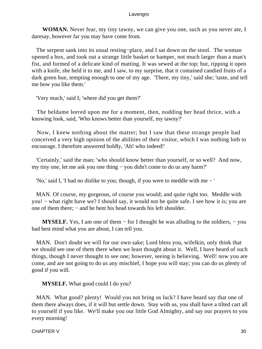**WOMAN.** Never fear, my tiny tawny, we can give you one, such as you never ate, I daresay, however far you may have come from.

 The serpent sank into its usual resting−place, and I sat down on the stool. The woman opened a box, and took out a strange little basket or hamper, not much larger than a man's fist, and formed of a delicate kind of matting. It was sewed at the top; but, ripping it open with a knife, she held it to me, and I saw, to my surprise, that it contained candied fruits of a dark green hue, tempting enough to one of my age. 'There, my tiny,' said she; 'taste, and tell me how you like them.'

'Very much,' said I; 'where did you get them?'

 The beldame leered upon me for a moment, then, nodding her head thrice, with a knowing look, said, 'Who knows better than yourself, my tawny?'

 Now, I knew nothing about the matter; but I saw that these strange people had conceived a very high opinion of the abilities of their visitor, which I was nothing loth to encourage. I therefore answered boldly, 'Ah! who indeed!'

 'Certainly,' said the man; 'who should know better than yourself, or so well? And now, my tiny one, let me ask you one thing − you didn't come to do us any harm?'

'No,' said I, 'I had no dislike to you; though, if you were to meddle with me − '

 MAN. Of course, my gorgeous, of course you would; and quite right too. Meddle with you! − what right have we? I should say, it would not be quite safe. I see how it is; you are one of them there; – and he bent his head towards his left shoulder.

**MYSELF.** Yes, I am one of them – for I thought he was alluding to the soldiers, – you had best mind what you are about, I can tell you.

 MAN. Don't doubt we will for our own sake; Lord bless you, wifelkin, only think that we should see one of them there when we least thought about it. Well, I have heard of such things, though I never thought to see one; however, seeing is believing. Well! now you are come, and are not going to do us any mischief, I hope you will stay; you can do us plenty of good if you will.

**MYSELF.** What good could I do you?

MAN. What good? plenty! Would you not bring us luck? I have heard say that one of them there always does, if it will but settle down. Stay with us, you shall have a tilted cart all to yourself if you like. We'll make you our little God Almighty, and say our prayers to you every morning!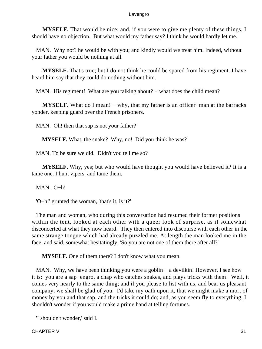**MYSELF.** That would be nice; and, if you were to give me plenty of these things, I should have no objection. But what would my father say? I think he would hardly let me.

 MAN. Why not? he would be with you; and kindly would we treat him. Indeed, without your father you would be nothing at all.

**MYSELF.** That's true; but I do not think he could be spared from his regiment. I have heard him say that they could do nothing without him.

MAN. His regiment! What are you talking about? – what does the child mean?

**MYSELF.** What do I mean! – why, that my father is an officer–man at the barracks yonder, keeping guard over the French prisoners.

MAN. Oh! then that sap is not your father?

**MYSELF.** What, the snake? Why, no! Did you think he was?

MAN. To be sure we did. Didn't you tell me so?

**MYSELF.** Why, yes; but who would have thought you would have believed it? It is a tame one. I hunt vipers, and tame them.

MAN. O−h!

'O−h!' grunted the woman, 'that's it, is it?'

 The man and woman, who during this conversation had resumed their former positions within the tent, looked at each other with a queer look of surprise, as if somewhat disconcerted at what they now heard. They then entered into discourse with each other in the same strange tongue which had already puzzled me. At length the man looked me in the face, and said, somewhat hesitatingly, 'So you are not one of them there after all?'

**MYSELF.** One of them there? I don't know what you mean.

MAN. Why, we have been thinking you were a goblin – a devilkin! However, I see how it is: you are a sap−engro, a chap who catches snakes, and plays tricks with them! Well, it comes very nearly to the same thing; and if you please to list with us, and bear us pleasant company, we shall be glad of you. I'd take my oath upon it, that we might make a mort of money by you and that sap, and the tricks it could do; and, as you seem fly to everything, I shouldn't wonder if you would make a prime hand at telling fortunes.

'I shouldn't wonder,' said I.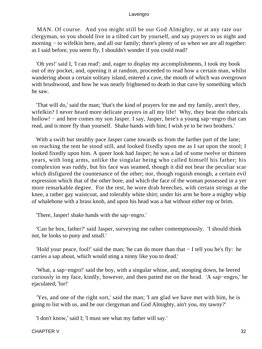MAN. Of course. And you might still be our God Almighty, or at any rate our clergyman, so you should live in a tilted cart by yourself, and say prayers to us night and morning – to wifelkin here, and all our family; there's plenty of us when we are all together: as I said before, you seem fly, I shouldn't wonder if you could read?

 'Oh yes!' said I, 'I can read'; and, eager to display my accomplishments, I took my book out of my pocket, and, opening it at random, proceeded to read how a certain man, whilst wandering about a certain solitary island, entered a cave, the mouth of which was overgrown with brushwood, and how he was nearly frightened to death in that cave by something which he saw.

 'That will do,' said the man; 'that's the kind of prayers for me and my family, aren't they, wifelkin? I never heard more delicate prayers in all my life! Why, they beat the rubricals hollow! − and here comes my son Jasper. I say, Jasper, here's a young sap−engro that can read, and is more fly than yourself. Shake hands with him; I wish ye to be two brothers.'

With a swift but stealthy pace Jasper came towards us from the farther part of the lane; on reaching the tent he stood still, and looked fixedly upon me as I sat upon the stool; I looked fixedly upon him. A queer look had Jasper; he was a lad of some twelve or thirteen years, with long arms, unlike the singular being who called himself his father; his complexion was ruddy, but his face was seamed, though it did not bear the peculiar scar which disfigured the countenance of the other; nor, though roguish enough, a certain evil expression which that of the other bore, and which the face of the woman possessed in a yet more remarkable degree. For the rest, he wore drab breeches, with certain strings at the knee, a rather gay waistcoat, and tolerably white shirt; under his arm he bore a mighty whip of whalebone with a brass knob, and upon his head was a hat without either top or brim.

'There, Jasper! shake hands with the sap−engro.'

 'Can he box, father?' said Jasper, surveying me rather contemptuously. 'I should think not, he looks so puny and small.'

 'Hold your peace, fool!' said the man; 'he can do more than that − I tell you he's fly: he carries a sap about, which would sting a ninny like you to dead.'

 'What, a sap−engro!' said the boy, with a singular whine, and, stooping down, he leered curiously in my face, kindly, however, and then patted me on the head. 'A sap−engro,' he ejaculated; 'lor!'

 'Yes, and one of the right sort,' said the man; 'I am glad we have met with him, he is going to list with us, and be our clergyman and God Almighty, ain't you, my tawny?'

'I don't know,' said I; 'I must see what my father will say.'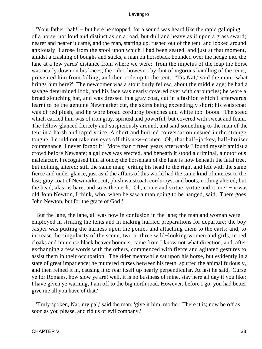'Your father; bah!' − but here he stopped, for a sound was heard like the rapid galloping of a horse, not loud and distinct as on a road, but dull and heavy as if upon a grass sward; nearer and nearer it came, and the man, starting up, rushed out of the tent, and looked around anxiously. I arose from the stool upon which I had been seated, and just at that moment, amidst a crashing of boughs and sticks, a man on horseback bounded over the hedge into the lane at a few yards' distance from where we were: from the impetus of the leap the horse was nearly down on his knees; the rider, however, by dint of vigorous handling of the reins, prevented him from falling, and then rode up to the tent. ''Tis Nat,' said the man; 'what brings him here?' The newcomer was a stout burly fellow, about the middle age; he had a savage determined look, and his face was nearly covered over with carbuncles; he wore a broad slouching hat, and was dressed in a gray coat, cut in a fashion which I afterwards learnt to be the genuine Newmarket cut, the skirts being exceedingly short; his waistcoat was of red plush, and he wore broad corduroy breeches and white top−boots. The steed which carried him was of iron gray, spirited and powerful, but covered with sweat and foam. The fellow glanced fiercely and suspiciously around, and said something to the man of the tent in a harsh and rapid voice. A short and hurried conversation ensued in the strange tongue. I could not take my eyes off this new−comer. Oh, that half−jockey, half−bruiser countenance, I never forgot it! More than fifteen years afterwards I found myself amidst a crowd before Newgate; a gallows was erected, and beneath it stood a criminal, a notorious malefactor. I recognised him at once; the horseman of the lane is now beneath the fatal tree, but nothing altered; still the same man; jerking his head to the right and left with the same fierce and under glance, just as if the affairs of this world had the same kind of interest to the last; gray coat of Newmarket cut, plush waistcoat, corduroys, and boots, nothing altered; but the head, alas! is bare, and so is the neck. Oh, crime and virtue, virtue and crime! − it was old John Newton, I think, who, when he saw a man going to be hanged, said, 'There goes John Newton, but for the grace of God!'

 But the lane, the lane, all was now in confusion in the lane; the man and woman were employed in striking the tents and in making hurried preparations for departure; the boy Jasper was putting the harness upon the ponies and attaching them to the carts; and, to increase the singularity of the scene, two or three wild−looking women and girls, in red cloaks and immense black beaver bonnets, came from I know not what direction, and, after exchanging a few words with the others, commenced with fierce and agitated gestures to assist them in their occupation. The rider meanwhile sat upon his horse, but evidently in a state of great impatience; he muttered curses between his teeth, spurred the animal furiously, and then reined it in, causing it to rear itself up nearly perpendicular. At last he said, 'Curse ye for Romans, how slow ye are! well, it is no business of mine, stay here all day if you like; I have given ye warning, I am off to the big north road. However, before I go, you had better give me all you have of that.'

 'Truly spoken, Nat, my pal,' said the man; 'give it him, mother. There it is; now be off as soon as you please, and rid us of evil company.'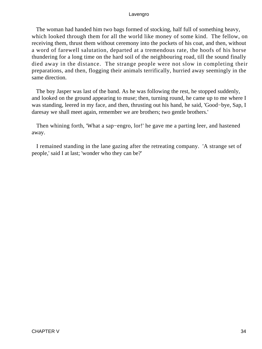The woman had handed him two bags formed of stocking, half full of something heavy, which looked through them for all the world like money of some kind. The fellow, on receiving them, thrust them without ceremony into the pockets of his coat, and then, without a word of farewell salutation, departed at a tremendous rate, the hoofs of his horse thundering for a long time on the hard soil of the neighbouring road, till the sound finally died away in the distance. The strange people were not slow in completing their preparations, and then, flogging their animals terrifically, hurried away seemingly in the same direction.

 The boy Jasper was last of the band. As he was following the rest, he stopped suddenly, and looked on the ground appearing to muse; then, turning round, he came up to me where I was standing, leered in my face, and then, thrusting out his hand, he said, 'Good−bye, Sap, I daresay we shall meet again, remember we are brothers; two gentle brothers.'

Then whining forth, 'What a sap–engro, lor!' he gave me a parting leer, and hastened away.

 I remained standing in the lane gazing after the retreating company. 'A strange set of people,' said I at last; 'wonder who they can be?'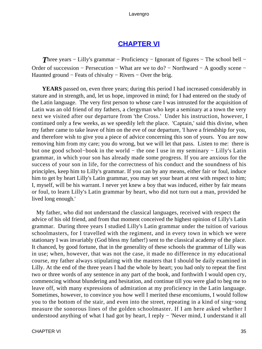### **[CHAPTER VI](#page-494-0)**

*Three years – Lilly's grammar – Proficiency – Ignorant of figures – The school bell –* Order of succession − Persecution − What are we to do? − Northward − A goodly scene − Haunted ground − Feats of chivalry − Rivers − Over the brig.

**YEARS** passed on, even three years; during this period I had increased considerably in stature and in strength, and, let us hope, improved in mind; for I had entered on the study of the Latin language. The very first person to whose care I was intrusted for the acquisition of Latin was an old friend of my fathers, a clergyman who kept a seminary at a town the very next we visited after our departure from 'the Cross.' Under his instruction, however, I continued only a few weeks, as we speedily left the place. 'Captain,' said this divine, when my father came to take leave of him on the eve of our departure, 'I have a friendship for you, and therefore wish to give you a piece of advice concerning this son of yours. You are now removing him from my care; you do wrong, but we will let that pass. Listen to me: there is but one good school−book in the world − the one I use in my seminary − Lilly's Latin grammar, in which your son has already made some progress. If you are anxious for the success of your son in life, for the correctness of his conduct and the soundness of his principles, keep him to Lilly's grammar. If you can by any means, either fair or foul, induce him to get by heart Lilly's Latin grammar, you may set your heart at rest with respect to him; I, myself, will be his warrant. I never yet knew a boy that was induced, either by fair means or foul, to learn Lilly's Latin grammar by heart, who did not turn out a man, provided he lived long enough.'

 My father, who did not understand the classical languages, received with respect the advice of his old friend, and from that moment conceived the highest opinion of Lilly's Latin grammar. During three years I studied Lilly's Latin grammar under the tuition of various schoolmasters, for I travelled with the regiment, and in every town in which we were stationary I was invariably (God bless my father!) sent to the classical academy of the place. It chanced, by good fortune, that in the generality of these schools the grammar of Lilly was in use; when, however, that was not the case, it made no difference in my educational course, my father always stipulating with the masters that I should be daily examined in Lilly. At the end of the three years I had the whole by heart; you had only to repeat the first two or three words of any sentence in any part of the book, and forthwith I would open cry, commencing without blundering and hesitation, and continue till you were glad to beg me to leave off, with many expressions of admiration at my proficiency in the Latin language. Sometimes, however, to convince you how well I merited these encomiums, I would follow you to the bottom of the stair, and even into the street, repeating in a kind of sing−song measure the sonorous lines of the golden schoolmaster. If I am here asked whether I understood anything of what I had got by heart, I reply − 'Never mind, I understand it all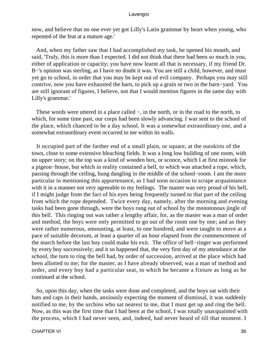now, and believe that no one ever yet got Lilly's Latin grammar by heart when young, who repented of the feat at a mature age.'

 And, when my father saw that I had accomplished my task, he opened his mouth, and said, 'Truly, this is more than I expected. I did not think that there had been so much in you, either of application or capacity; you have now learnt all that is necessary, if my friend Dr. B–'s opinion was sterling, as I have no doubt it was. You are still a child, however, and must yet go to school, in order that you may be kept out of evil company. Perhaps you may still contrive, now you have exhausted the barn, to pick up a grain or two in the barn−yard. You are still ignorant of figures, I believe, not that I would mention figures in the same day with Lilly's grammar.'

 These words were uttered in a place called −, in the north, or in the road to the north, to which, for some time past, our corps had been slowly advancing. I was sent to the school of the place, which chanced to be a day school. It was a somewhat extraordinary one, and a somewhat extraordinary event occurred to me within its walls.

 It occupied part of the farther end of a small plain, or square, at the outskirts of the town, close to some extensive bleaching fields. It was a long low building of one room, with no upper story; on the top was a kind of wooden box, or sconce, which I at first mistook for a pigeon−house, but which in reality contained a bell, to which was attached a rope, which, passing through the ceiling, hung dangling in the middle of the school−room. I am the more particular in mentioning this appurtenance, as I had soon occasion to scrape acquaintance with it in a manner not very agreeable to my feelings. The master was very proud of his bell, if I might judge from the fact of his eyes being frequently turned to that part of the ceiling from which the rope depended. Twice every day, namely, after the morning and evening tasks had been gone through, were the boys rung out of school by the monotonous jingle of this bell. This ringing out was rather a lengthy affair, for, as the master was a man of order and method, the boys were only permitted to go out of the room one by one; and as they were rather numerous, amounting, at least, to one hundred, and were taught to move at a pace of suitable decorum, at least a quarter of an hour elapsed from the commencement of the march before the last boy could make his exit. The office of bell−ringer was performed by every boy successively; and it so happened that, the very first day of my attendance at the school, the turn to ring the bell had, by order of succession, arrived at the place which had been allotted to me; for the master, as I have already observed, was a man of method and order, and every boy had a particular seat, to which he became a fixture as long as he continued at the school.

 So, upon this day, when the tasks were done and completed, and the boys sat with their hats and caps in their hands, anxiously expecting the moment of dismissal, it was suddenly notified to me, by the urchins who sat nearest to me, that I must get up and ring the bell. Now, as this was the first time that I had been at the school, I was totally unacquainted with the process, which I had never seen, and, indeed, had never heard of till that moment. I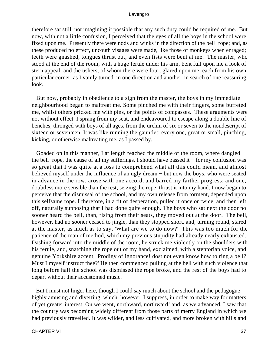therefore sat still, not imagining it possible that any such duty could be required of me. But now, with not a little confusion, I perceived that the eyes of all the boys in the school were fixed upon me. Presently there were nods and winks in the direction of the bell−rope; and, as these produced no effect, uncouth visages were made, like those of monkeys when enraged; teeth were gnashed, tongues thrust out, and even fists were bent at me. The master, who stood at the end of the room, with a huge ferule under his arm, bent full upon me a look of stern appeal; and the ushers, of whom there were four, glared upon me, each from his own particular corner, as I vainly turned, in one direction and another, in search of one reassuring look.

 But now, probably in obedience to a sign from the master, the boys in my immediate neighbourhood began to maltreat me. Some pinched me with their fingers, some buffeted me, whilst others pricked me with pins, or the points of compasses. These arguments were not without effect. I sprang from my seat, and endeavoured to escape along a double line of benches, thronged with boys of all ages, from the urchin of six or seven to the nondescript of sixteen or seventeen. It was like running the gauntlet; every one, great or small, pinching, kicking, or otherwise maltreating me, as I passed by.

 Goaded on in this manner, I at length reached the middle of the room, where dangled the bell−rope, the cause of all my sufferings. I should have passed it − for my confusion was so great that I was quite at a loss to comprehend what all this could mean, and almost believed myself under the influence of an ugly dream − but now the boys, who were seated in advance in the row, arose with one accord, and barred my farther progress; and one, doubtless more sensible than the rest, seizing the rope, thrust it into my hand. I now began to perceive that the dismissal of the school, and my own release from torment, depended upon this selfsame rope. I therefore, in a fit of desperation, pulled it once or twice, and then left off, naturally supposing that I had done quite enough. The boys who sat next the door no sooner heard the bell, than, rising from their seats, they moved out at the door. The bell, however, had no sooner ceased to jingle, than they stopped short, and, turning round, stared at the master, as much as to say, 'What are we to do now?' This was too much for the patience of the man of method, which my previous stupidity had already nearly exhausted. Dashing forward into the middle of the room, he struck me violently on the shoulders with his ferule, and, snatching the rope out of my hand, exclaimed, with a stentorian voice, and genuine Yorkshire accent, 'Prodigy of ignorance! dost not even know how to ring a bell? Must I myself instruct thee?' He then commenced pulling at the bell with such violence that long before half the school was dismissed the rope broke, and the rest of the boys had to depart without their accustomed music.

 But I must not linger here, though I could say much about the school and the pedagogue highly amusing and diverting, which, however, I suppress, in order to make way for matters of yet greater interest. On we went, northward, northward! and, as we advanced, I saw that the country was becoming widely different from those parts of merry England in which we had previously travelled. It was wilder, and less cultivated, and more broken with hills and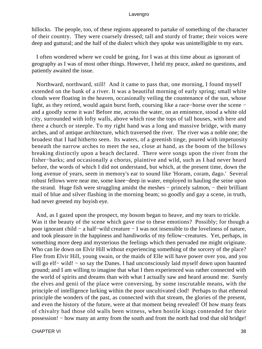hillocks. The people, too, of these regions appeared to partake of something of the character of their country. They were coarsely dressed; tall and sturdy of frame; their voices were deep and guttural; and the half of the dialect which they spoke was unintelligible to my ears.

 I often wondered where we could be going, for I was at this time about as ignorant of geography as I was of most other things. However, I held my peace, asked no questions, and patiently awaited the issue.

 Northward, northward, still! And it came to pass that, one morning, I found myself extended on the bank of a river. It was a beautiful morning of early spring; small white clouds were floating in the heaven, occasionally veiling the countenance of the sun, whose light, as they retired, would again burst forth, coursing like a race−horse over the scene − and a goodly scene it was! Before me, across the water, on an eminence, stood a white old city, surrounded with lofty walls, above which rose the tops of tall houses, with here and there a church or steeple. To my right hand was a long and massive bridge, with many arches, and of antique architecture, which traversed the river. The river was a noble one; the broadest that I had hitherto seen. Its waters, of a greenish tinge, poured with impetuosity beneath the narrow arches to meet the sea, close at hand, as the boom of the billows breaking distinctly upon a beach declared. There were songs upon the river from the fisher−barks; and occasionally a chorus, plaintive and wild, such as I had never heard before, the words of which I did not understand, but which, at the present time, down the long avenue of years, seem in memory's ear to sound like 'Horam, coram, dago.' Several robust fellows were near me, some knee−deep in water, employed in hauling the seine upon the strand. Huge fish were struggling amidst the meshes − princely salmon, − their brilliant mail of blue and silver flashing in the morning beam; so goodly and gay a scene, in truth, had never greeted my boyish eye.

 And, as I gazed upon the prospect, my bosom began to heave, and my tears to trickle. Was it the beauty of the scene which gave rise to these emotions? Possibly; for though a poor ignorant child − a half−wild creature − I was not insensible to the loveliness of nature, and took pleasure in the happiness and handiworks of my fellow−creatures. Yet, perhaps, in something more deep and mysterious the feelings which then pervaded me might originate. Who can lie down on Elvir Hill without experiencing something of the sorcery of the place? Flee from Elvir Hill, young swain, or the maids of Elle will have power over you, and you will go elf– wild! – so say the Danes. I had unconsciously laid myself down upon haunted ground; and I am willing to imagine that what I then experienced was rather connected with the world of spirits and dreams than with what I actually saw and heard around me. Surely the elves and genii of the place were conversing, by some inscrutable means, with the principle of intelligence lurking within the poor uncultivated clod! Perhaps to that ethereal principle the wonders of the past, as connected with that stream, the glories of the present, and even the history of the future, were at that moment being revealed! Of how many feats of chivalry had those old walls been witness, when hostile kings contended for their possession! − how many an army from the south and from the north had trod that old bridge!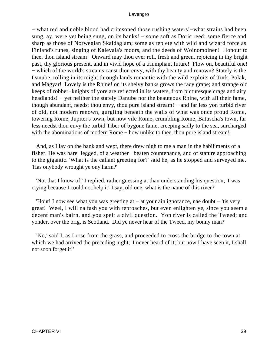− what red and noble blood had crimsoned those rushing waters!−what strains had been sung, ay, were yet being sung, on its banks! – some soft as Doric reed; some fierce and sharp as those of Norwegian Skaldaglam; some as replete with wild and wizard force as Finland's runes, singing of Kalevala's moors, and the deeds of Woinomoinen! Honour to thee, thou island stream! Onward may thou ever roll, fresh and green, rejoicing in thy bright past, thy glorious present, and in vivid hope of a triumphant future! Flow on, beautiful one! − which of the world's streams canst thou envy, with thy beauty and renown? Stately is the Danube, rolling in its might through lands romantic with the wild exploits of Turk, Polak, and Magyar! Lovely is the Rhine! on its shelvy banks grows the racy grape; and strange old keeps of robber−knights of yore are reflected in its waters, from picturesque crags and airy headlands! – yet neither the stately Danube nor the beauteous Rhine, with all their fame, though abundant, needst thou envy, thou pure island stream! − and far less yon turbid river of old, not modern renown, gurgling beneath the walls of what was once proud Rome, towering Rome, Jupiter's town, but now vile Rome, crumbling Rome, Batuscha's town, far less needst thou envy the turbid Tiber of bygone fame, creeping sadly to the sea, surcharged with the abominations of modern Rome – how unlike to thee, thou pure island stream!

 And, as I lay on the bank and wept, there drew nigh to me a man in the habiliments of a fisher. He was bare−legged, of a weather− beaten countenance, and of stature approaching to the gigantic. 'What is the callant greeting for?' said he, as he stopped and surveyed me. 'Has onybody wrought ye ony harm?'

 'Not that I know of,' I replied, rather guessing at than understanding his question; 'I was crying because I could not help it! I say, old one, what is the name of this river?'

 'Hout! I now see what you was greeting at − at your ain ignorance, nae doubt − 'tis very great! Weel, I will na fash you with reproaches, but even enlighten ye, since you seem a decent man's bairn, and you speir a civil question. Yon river is called the Tweed; and yonder, over the brig, is Scotland. Did ye never hear of the Tweed, my bonny man?'

 'No,' said I, as I rose from the grass, and proceeded to cross the bridge to the town at which we had arrived the preceding night; 'I never heard of it; but now I have seen it, I shall not soon forget it!'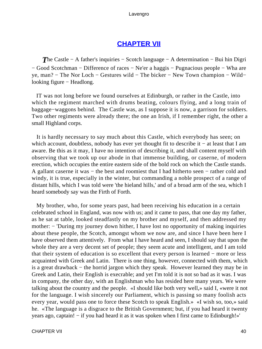# **[CHAPTER VII](#page-494-0)**

*The Castle − A father's inquiries – Scotch language – A determination – Bui hin Digri* − Good Scotchman − Difference of races − Ne'er a haggis − Pugnacious people − Wha are ye, man? − The Nor Loch − Gestures wild − The bicker − New Town champion − Wild− looking figure − Headlong.

 IT was not long before we found ourselves at Edinburgh, or rather in the Castle, into which the regiment marched with drums beating, colours flying, and a long train of baggage−waggons behind. The Castle was, as I suppose it is now, a garrison for soldiers. Two other regiments were already there; the one an Irish, if I remember right, the other a small Highland corps.

 It is hardly necessary to say much about this Castle, which everybody has seen; on which account, doubtless, nobody has ever yet thought fit to describe it − at least that I am aware. Be this as it may, I have no intention of describing it, and shall content myself with observing that we took up our abode in that immense building, or caserne, of modern erection, which occupies the entire eastern side of the bold rock on which the Castle stands. A gallant caserne it was − the best and roomiest that I had hitherto seen − rather cold and windy, it is true, especially in the winter, but commanding a noble prospect of a range of distant hills, which I was told were 'the hieland hills,' and of a broad arm of the sea, which I heard somebody say was the Firth of Forth.

 My brother, who, for some years past, had been receiving his education in a certain celebrated school in England, was now with us; and it came to pass, that one day my father, as he sat at table, looked steadfastly on my brother and myself, and then addressed my mother: − 'During my journey down hither, I have lost no opportunity of making inquiries about these people, the Scotch, amongst whom we now are, and since I have been here I have observed them attentively. From what I have heard and seen, I should say that upon the whole they are a very decent set of people; they seem acute and intelligent, and I am told that their system of education is so excellent that every person is learned − more or less acquainted with Greek and Latin. There is one thing, however, connected with them, which is a great drawback − the horrid jargon which they speak. However learned they may be in Greek and Latin, their English is execrable; and yet I'm told it is not so bad as it was. I was in company, the other day, with an Englishman who has resided here many years. We were talking about the country and the people. «I should like both very well,» said I, «were it not for the language. I wish sincerely our Parliament, which is passing so many foolish acts every year, would pass one to force these Scotch to speak English.» «I wish so, too,» said he. «The language is a disgrace to the British Government; but, if you had heard it twenty years ago, captain! − if you had heard it as it was spoken when I first came to Edinburgh!»'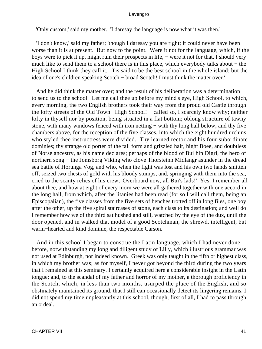'Only custom,' said my mother. 'I daresay the language is now what it was then.'

 'I don't know,' said my father; 'though I daresay you are right; it could never have been worse than it is at present. But now to the point. Were it not for the language, which, if the boys were to pick it up, might ruin their prospects in life, − were it not for that, I should very much like to send them to a school there is in this place, which everybody talks about − the High School I think they call it. 'Tis said to be the best school in the whole island; but the idea of one's children speaking Scotch − broad Scotch! I must think the matter over.'

 And he did think the matter over; and the result of his deliberation was a determination to send us to the school. Let me call thee up before my mind's eye, High School, to which, every morning, the two English brothers took their way from the proud old Castle through the lofty streets of the Old Town. High School! − called so, I scarcely know why; neither lofty in thyself nor by position, being situated in a flat bottom; oblong structure of tawny stone, with many windows fenced with iron netting – with thy long hall below, and thy five chambers above, for the reception of the five classes, into which the eight hundred urchins who styled thee instructress were divided. Thy learned rector and his four subordinate dominies; thy strange old porter of the tall form and grizzled hair, hight Boee, and doubtless of Norse ancestry, as his name declares; perhaps of the blood of Bui hin Digri, the hero of northern song – the Jomsborg Viking who clove Thorsteinn Midlangr asunder in the dread sea battle of Horunga Vog, and who, when the fight was lost and his own two hands smitten off, seized two chests of gold with his bloody stumps, and, springing with them into the sea, cried to the scanty relics of his crew, 'Overboard now, all Bui's lads!' Yes, I remember all about thee, and how at eight of every morn we were all gathered together with one accord in the long hall, from which, after the litanies had been read (for so I will call them, being an Episcopalian), the five classes from the five sets of benches trotted off in long files, one boy after the other, up the five spiral staircases of stone, each class to its destination; and well do I remember how we of the third sat hushed and still, watched by the eye of the dux, until the door opened, and in walked that model of a good Scotchman, the shrewd, intelligent, but warm−hearted and kind dominie, the respectable Carson.

 And in this school I began to construe the Latin language, which I had never done before, notwithstanding my long and diligent study of Lilly, which illustrious grammar was not used at Edinburgh, nor indeed known. Greek was only taught in the fifth or highest class, in which my brother was; as for myself, I never got beyond the third during the two years that I remained at this seminary. I certainly acquired here a considerable insight in the Latin tongue; and, to the scandal of my father and horror of my mother, a thorough proficiency in the Scotch, which, in less than two months, usurped the place of the English, and so obstinately maintained its ground, that I still can occasionally detect its lingering remains. I did not spend my time unpleasantly at this school, though, first of all, I had to pass through an ordeal.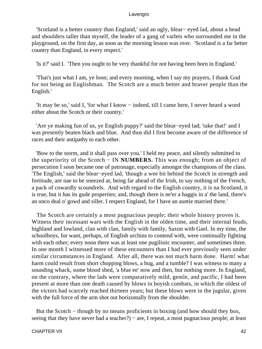'Scotland is a better country than England,' said an ugly, blear− eyed lad, about a head and shoulders taller than myself, the leader of a gang of varlets who surrounded me in the playground, on the first day, as soon as the morning lesson was over. 'Scotland is a far better country than England, in every respect.'

'Is it?' said I. 'Then you ought to be very thankful for not having been born in England.'

 'That's just what I am, ye loon; and every morning, when I say my prayers, I thank God for not being an Englishman. The Scotch are a much better and braver people than the English.'

 'It may be so,' said I, 'for what I know − indeed, till I came here, I never heard a word either about the Scotch or their country.'

 'Are ye making fun of us, ye English puppy?' said the blear−eyed lad; 'take that!' and I was presently beaten black and blue. And thus did I first become aware of the difference of races and their antipathy to each other.

 'Bow to the storm, and it shall pass over you.' I held my peace, and silently submitted to the superiority of the Scotch − IN **NUMBERS.** This was enough; from an object of persecution I soon became one of patronage, especially amongst the champions of the class. 'The English,' said the blear−eyed lad, 'though a wee bit behind the Scotch in strength and fortitude, are nae to be sneezed at, being far ahead of the Irish, to say nothing of the French, a pack of cowardly scoundrels. And with regard to the English country, it is na Scotland, it is true, but it has its gude properties; and, though there is ne'er a haggis in a' the land, there's an unco deal o' gowd and siller. I respect England, for I have an auntie married there.'

 The Scotch are certainly a most pugnacious people; their whole history proves it. Witness their incessant wars with the English in the olden time, and their internal feuds, highland and lowland, clan with clan, family with family, Saxon with Gael. In my time, the schoolboys, for want, perhaps, of English urchins to contend with, were continually fighting with each other; every noon there was at least one pugilistic encounter, and sometimes three. In one month I witnessed more of these encounters than I had ever previously seen under similar circumstances in England. After all, there was not much harm done. Harm! what harm could result from short chopping blows, a hug, and a tumble? I was witness to many a sounding whack, some blood shed, 'a blue ee' now and then, but nothing more. In England, on the contrary, where the lads were comparatively mild, gentle, and pacific, I had been present at more than one death caused by blows in boyish combats, in which the oldest of the victors had scarcely reached thirteen years; but these blows were in the jugular, given with the full force of the arm shot out horizontally from the shoulder.

 But the Scotch − though by no means proficients in boxing (and how should they box, seeing that they have never had a teacher?) – are, I repeat, a most pugnacious people; at least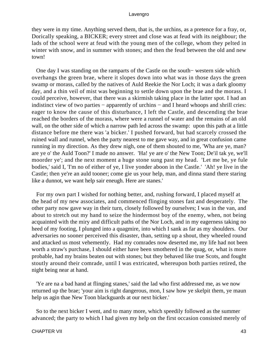they were in my time. Anything served them, that is, the urchins, as a pretence for a fray, or, Dorically speaking, a BICKER; every street and close was at feud with its neighbour; the lads of the school were at feud with the young men of the college, whom they pelted in winter with snow, and in summer with stones; and then the feud between the old and new town!

 One day I was standing on the ramparts of the Castle on the south− western side which overhangs the green brae, where it slopes down into what was in those days the green swamp or morass, called by the natives of Auld Reekie the Nor Loch; it was a dark gloomy day, and a thin veil of mist was beginning to settle down upon the brae and the morass. I could perceive, however, that there was a skirmish taking place in the latter spot. I had an indistinct view of two parties − apparently of urchins − and I heard whoops and shrill cries: eager to know the cause of this disturbance, I left the Castle, and descending the brae reached the borders of the morass, where were a runnel of water and the remains of an old wall, on the other side of which a narrow path led across the swamp: upon this path at a little distance before me there was 'a bicker.' I pushed forward, but had scarcely crossed the ruined wall and runnel, when the party nearest to me gave way, and in great confusion came running in my direction. As they drew nigh, one of them shouted to me, 'Wha are ye, man? are ye o' the Auld Toon?' I made no answer. 'Ha! ye are o' the New Toon; De'il tak ye, we'll moorder ye'; and the next moment a huge stone sung past my head. 'Let me be, ye fule bodies,' said I, 'I'm no of either of ye, I live yonder aboon in the Castle.' 'Ah! ye live in the Castle; then ye're an auld tooner; come gie us your help, man, and dinna stand there staring like a dunnot, we want help sair eneugh. Here are stanes.'

 For my own part I wished for nothing better, and, rushing forward, I placed myself at the head of my new associates, and commenced flinging stones fast and desperately. The other party now gave way in their turn, closely followed by ourselves; I was in the van, and about to stretch out my hand to seize the hindermost boy of the enemy, when, not being acquainted with the miry and difficult paths of the Nor Loch, and in my eagerness taking no heed of my footing, I plunged into a quagmire, into which I sank as far as my shoulders. Our adversaries no sooner perceived this disaster, than, setting up a shout, they wheeled round and attacked us most vehemently. Had my comrades now deserted me, my life had not been worth a straw's purchase, I should either have been smothered in the quag, or, what is more probable, had my brains beaten out with stones; but they behaved like true Scots, and fought stoutly around their comrade, until I was extricated, whereupon both parties retired, the night being near at hand.

 'Ye are na a bad hand at flinging stanes,' said the lad who first addressed me, as we now returned up the brae; 'your aim is right dangerous, mon, I saw how ye skelpit them, ye maun help us agin thae New Toon blackguards at our next bicker.'

 So to the next bicker I went, and to many more, which speedily followed as the summer advanced; the party to which I had given my help on the first occasion consisted merely of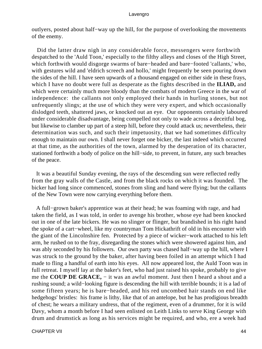outlyers, posted about half−way up the hill, for the purpose of overlooking the movements of the enemy.

 Did the latter draw nigh in any considerable force, messengers were forthwith despatched to the 'Auld Toon,' especially to the filthy alleys and closes of the High Street, which forthwith would disgorge swarms of bare−headed and bare−footed 'callants,' who, with gestures wild and 'eldrich screech and hollo,' might frequently be seen pouring down the sides of the hill. I have seen upwards of a thousand engaged on either side in these frays, which I have no doubt were full as desperate as the fights described in the **ILIAD,** and which were certainly much more bloody than the combats of modern Greece in the war of independence: the callants not only employed their hands in hurling stones, but not unfrequently slings; at the use of which they were very expert, and which occasionally dislodged teeth, shattered jaws, or knocked out an eye. Our opponents certainly laboured under considerable disadvantage, being compelled not only to wade across a deceitful bog, but likewise to clamber up part of a steep hill, before they could attack us; nevertheless, their determination was such, and such their impetuosity, that we had sometimes difficulty enough to maintain our own. I shall never forget one bicker, the last indeed which occurred at that time, as the authorities of the town, alarmed by the desperation of its character, stationed forthwith a body of police on the hill−side, to prevent, in future, any such breaches of the peace.

 It was a beautiful Sunday evening, the rays of the descending sun were reflected redly from the gray walls of the Castle, and from the black rocks on which it was founded. The bicker had long since commenced, stones from sling and hand were flying; but the callants of the New Town were now carrying everything before them.

 A full−grown baker's apprentice was at their head; he was foaming with rage, and had taken the field, as I was told, in order to avenge his brother, whose eye had been knocked out in one of the late bickers. He was no slinger or flinger, but brandished in his right hand the spoke of a cart−wheel, like my countryman Tom Hickathrift of old in his encounter with the giant of the Lincolnshire fen. Protected by a piece of wicker−work attached to his left arm, he rushed on to the fray, disregarding the stones which were showered against him, and was ably seconded by his followers. Our own party was chased half−way up the hill, where I was struck to the ground by the baker, after having been foiled in an attempt which I had made to fling a handful of earth into his eyes. All now appeared lost, the Auld Toon was in full retreat. I myself lay at the baker's feet, who had just raised his spoke, probably to give me the **COUP DE GRACE,** − it was an awful moment. Just then I heard a shout and a rushing sound; a wild−looking figure is descending the hill with terrible bounds; it is a lad of some fifteen years; he is bare−headed, and his red uncombed hair stands on end like hedgehogs' bristles: his frame is lithy, like that of an antelope, but he has prodigious breadth of chest; he wears a military undress, that of the regiment, even of a drummer, for it is wild Davy, whom a month before I had seen enlisted on Leith Links to serve King George with drum and drumstick as long as his services might be required, and who, ere a week had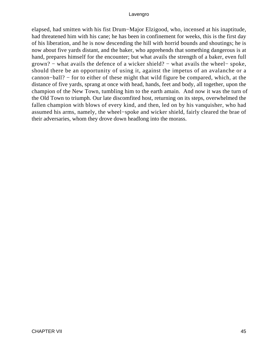elapsed, had smitten with his fist Drum−Major Elzigood, who, incensed at his inaptitude, had threatened him with his cane; he has been in confinement for weeks, this is the first day of his liberation, and he is now descending the hill with horrid bounds and shoutings; he is now about five yards distant, and the baker, who apprehends that something dangerous is at hand, prepares himself for the encounter; but what avails the strength of a baker, even full grown? − what avails the defence of a wicker shield? − what avails the wheel− spoke, should there be an opportunity of using it, against the impetus of an avalanche or a cannon−ball? − for to either of these might that wild figure be compared, which, at the distance of five yards, sprang at once with head, hands, feet and body, all together, upon the champion of the New Town, tumbling him to the earth amain. And now it was the turn of the Old Town to triumph. Our late discomfited host, returning on its steps, overwhelmed the fallen champion with blows of every kind, and then, led on by his vanquisher, who had assumed his arms, namely, the wheel−spoke and wicker shield, fairly cleared the brae of their adversaries, whom they drove down headlong into the morass.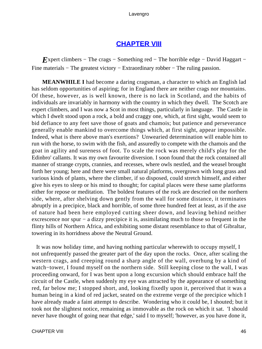# **[CHAPTER VIII](#page-494-0)**

*E*xpert climbers – The crags – Something red – The horrible edge – David Haggart – Fine materials – The greatest victory – Extraordinary robber – The ruling passion.

**MEANWHILE I** had become a daring cragsman, a character to which an English lad has seldom opportunities of aspiring; for in England there are neither crags nor mountains. Of these, however, as is well known, there is no lack in Scotland, and the habits of individuals are invariably in harmony with the country in which they dwell. The Scotch are expert climbers, and I was now a Scot in most things, particularly in language. The Castle in which I dwelt stood upon a rock, a bold and craggy one, which, at first sight, would seem to bid defiance to any feet save those of goats and chamois; but patience and perseverance generally enable mankind to overcome things which, at first sight, appear impossible. Indeed, what is there above man's exertions? Unwearied determination will enable him to run with the horse, to swim with the fish, and assuredly to compete with the chamois and the goat in agility and sureness of foot. To scale the rock was merely child's play for the Edinbro' callants. It was my own favourite diversion. I soon found that the rock contained all manner of strange crypts, crannies, and recesses, where owls nestled, and the weasel brought forth her young; here and there were small natural platforms, overgrown with long grass and various kinds of plants, where the climber, if so disposed, could stretch himself, and either give his eyes to sleep or his mind to thought; for capital places were these same platforms either for repose or meditation. The boldest features of the rock are descried on the northern side, where, after shelving down gently from the wall for some distance, it terminates abruptly in a precipice, black and horrible, of some three hundred feet at least, as if the axe of nature had been here employed cutting sheer down, and leaving behind neither excrescence nor spur − a dizzy precipice it is, assimilating much to those so frequent in the flinty hills of Northern Africa, and exhibiting some distant resemblance to that of Gibraltar, towering in its horridness above the Neutral Ground.

 It was now holiday time, and having nothing particular wherewith to occupy myself, I not unfrequently passed the greater part of the day upon the rocks. Once, after scaling the western crags, and creeping round a sharp angle of the wall, overhung by a kind of watch−tower, I found myself on the northern side. Still keeping close to the wall, I was proceeding onward, for I was bent upon a long excursion which should embrace half the circuit of the Castle, when suddenly my eye was attracted by the appearance of something red, far below me; I stopped short, and, looking fixedly upon it, perceived that it was a human being in a kind of red jacket, seated on the extreme verge of the precipice which I have already made a faint attempt to describe. Wondering who it could be, I shouted; but it took not the slightest notice, remaining as immovable as the rock on which it sat. 'I should never have thought of going near that edge,' said I to myself; 'however, as you have done it,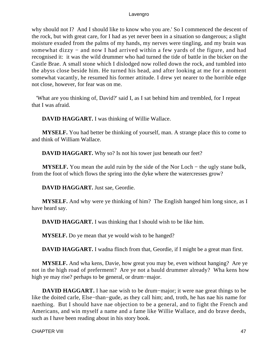why should not I? And I should like to know who you are.' So I commenced the descent of the rock, but with great care, for I had as yet never been in a situation so dangerous; a slight moisture exuded from the palms of my hands, my nerves were tingling, and my brain was somewhat dizzy – and now I had arrived within a few yards of the figure, and had recognised it: it was the wild drummer who had turned the tide of battle in the bicker on the Castle Brae. A small stone which I dislodged now rolled down the rock, and tumbled into the abyss close beside him. He turned his head, and after looking at me for a moment somewhat vacantly, he resumed his former attitude. I drew yet nearer to the horrible edge not close, however, for fear was on me.

 'What are you thinking of, David?' said I, as I sat behind him and trembled, for I repeat that I was afraid.

**DAVID HAGGART.** I was thinking of Willie Wallace.

**MYSELF.** You had better be thinking of yourself, man. A strange place this to come to and think of William Wallace.

**DAVID HAGGART.** Why so? Is not his tower just beneath our feet?

**MYSELF.** You mean the auld ruin by the side of the Nor Loch − the ugly stane bulk, from the foot of which flows the spring into the dyke where the watercresses grow?

**DAVID HAGGART.** Just sae, Geordie.

**MYSELF.** And why were ye thinking of him? The English hanged him long since, as I have heard say.

**DAVID HAGGART.** I was thinking that I should wish to be like him.

**MYSELF.** Do ye mean that ye would wish to be hanged?

**DAVID HAGGART.** I wadna flinch from that, Geordie, if I might be a great man first.

**MYSELF.** And wha kens, Davie, how great you may be, even without hanging? Are ye not in the high road of preferment? Are ye not a bauld drummer already? Wha kens how high ye may rise? perhaps to be general, or drum−major.

**DAVID HAGGART.** I hae nae wish to be drum−major; it were nae great things to be like the doited carle, Else−than−gude, as they call him; and, troth, he has nae his name for naething. But I should have nae objection to be a general, and to fight the French and Americans, and win myself a name and a fame like Willie Wallace, and do brave deeds, such as I have been reading about in his story book.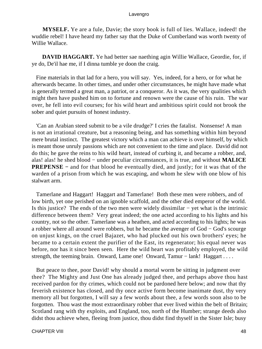**MYSELF.** Ye are a fule, Davie; the story book is full of lies. Wallace, indeed! the wuddie rebel! I have heard my father say that the Duke of Cumberland was worth twenty of Willie Wallace.

**DAVID HAGGART.** Ye had better sae naething agin Willie Wallace, Geordie, for, if ye do, De'il hae me, if I dinna tumble ye doon the craig.

 Fine materials in that lad for a hero, you will say. Yes, indeed, for a hero, or for what he afterwards became. In other times, and under other circumstances, he might have made what is generally termed a great man, a patriot, or a conqueror. As it was, the very qualities which might then have pushed him on to fortune and renown were the cause of his ruin. The war over, he fell into evil courses; for his wild heart and ambitious spirit could not brook the sober and quiet pursuits of honest industry.

 'Can an Arabian steed submit to be a vile drudge?' I cries the fatalist. Nonsense! A man is not an irrational creature, but a reasoning being, and has something within him beyond mere brutal instinct. The greatest victory which a man can achieve is over himself, by which is meant those unruly passions which are not convenient to the time and place. David did not do this; he gave the reins to his wild heart, instead of curbing it, and became a robber, and, alas! alas! he shed blood − under peculiar circumstances, it is true, and without **MALICE PREPENSE** − and for that blood he eventually died, and justly; for it was that of the warden of a prison from which he was escaping, and whom he slew with one blow of his stalwart arm.

 Tamerlane and Haggart! Haggart and Tamerlane! Both these men were robbers, and of low birth, yet one perished on an ignoble scaffold, and the other died emperor of the world. Is this justice? The ends of the two men were widely dissimilar − yet what is the intrinsic difference between them? Very great indeed; the one acted according to his lights and his country, not so the other. Tamerlane was a heathen, and acted according to his lights; he was a robber where all around were robbers, but he became the avenger of God − God's scourge on unjust kings, on the cruel Bajazet, who had plucked out his own brothers' eyes; he became to a certain extent the purifier of the East, its regenerator; his equal never was before, nor has it since been seen. Here the wild heart was profitably employed, the wild strength, the teeming brain. Onward, Lame one! Onward, Tamur – lank! Haggart . . . .

 But peace to thee, poor David! why should a mortal worm be sitting in judgment over thee? The Mighty and Just One has already judged thee, and perhaps above thou hast received pardon for thy crimes, which could not be pardoned here below; and now that thy feverish existence has closed, and thy once active form become inanimate dust, thy very memory all but forgotten, I will say a few words about thee, a few words soon also to be forgotten. Thou wast the most extraordinary robber that ever lived within the belt of Britain; Scotland rang with thy exploits, and England, too, north of the Humber; strange deeds also didst thou achieve when, fleeing from justice, thou didst find thyself in the Sister Isle; busy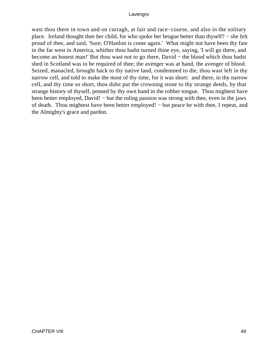wast thou there in town and on curragh, at fair and race−course, and also in the solitary place. Ireland thought thee her child, for who spoke her brogue better than thyself? − she felt proud of thee, and said, 'Sure, O'Hanlon is come again.' What might not have been thy fate in the far west in America, whither thou hadst turned thine eye, saying, 'I will go there, and become an honest man!' But thou wast not to go there, David − the blood which thou hadst shed in Scotland was to be required of thee; the avenger was at hand, the avenger of blood. Seized, manacled, brought back to thy native land, condemned to die, thou wast left in thy narrow cell, and told to make the most of thy time, for it was short: and there, in thy narrow cell, and thy time so short, thou didst put the crowning stone to thy strange deeds, by that strange history of thyself, penned by thy own hand in the robber tongue. Thou mightest have been better employed, David! – but the ruling passion was strong with thee, even in the jaws of death. Thou mightest have been better employed! – but peace be with thee, I repeat, and the Almighty's grace and pardon.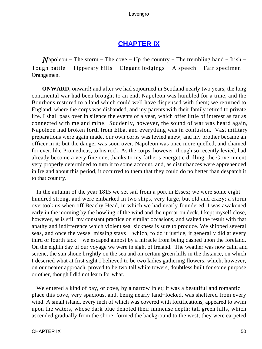# **[CHAPTER IX](#page-494-0)**

*Napoleon* − The storm − The cove − Up the country − The trembling hand − Irish − Tough battle − Tipperary hills − Elegant lodgings − A speech − Fair specimen − Orangemen.

**ONWARD**, onward! and after we had sojourned in Scotland nearly two years, the long continental war had been brought to an end, Napoleon was humbled for a time, and the Bourbons restored to a land which could well have dispensed with them; we returned to England, where the corps was disbanded, and my parents with their family retired to private life. I shall pass over in silence the events of a year, which offer little of interest as far as connected with me and mine. Suddenly, however, the sound of war was heard again, Napoleon had broken forth from Elba, and everything was in confusion. Vast military preparations were again made, our own corps was levied anew, and my brother became an officer in it; but the danger was soon over, Napoleon was once more quelled, and chained for ever, like Prometheus, to his rock. As the corps, however, though so recently levied, had already become a very fine one, thanks to my father's energetic drilling, the Government very properly determined to turn it to some account, and, as disturbances were apprehended in Ireland about this period, it occurred to them that they could do no better than despatch it to that country.

 In the autumn of the year 1815 we set sail from a port in Essex; we were some eight hundred strong, and were embarked in two ships, very large, but old and crazy; a storm overtook us when off Beachy Head, in which we had nearly foundered. I was awakened early in the morning by the howling of the wind and the uproar on deck. I kept myself close, however, as is still my constant practice on similar occasions, and waited the result with that apathy and indifference which violent sea−sickness is sure to produce. We shipped several seas, and once the vessel missing stays – which, to do it justice, it generally did at every third or fourth tack − we escaped almost by a miracle from being dashed upon the foreland. On the eighth day of our voyage we were in sight of Ireland. The weather was now calm and serene, the sun shone brightly on the sea and on certain green hills in the distance, on which I descried what at first sight I believed to be two ladies gathering flowers, which, however, on our nearer approach, proved to be two tall white towers, doubtless built for some purpose or other, though I did not learn for what.

We entered a kind of bay, or cove, by a narrow inlet; it was a beautiful and romantic place this cove, very spacious, and, being nearly land−locked, was sheltered from every wind. A small island, every inch of which was covered with fortifications, appeared to swim upon the waters, whose dark blue denoted their immense depth; tall green hills, which ascended gradually from the shore, formed the background to the west; they were carpeted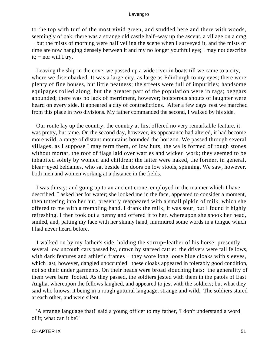to the top with turf of the most vivid green, and studded here and there with woods, seemingly of oak; there was a strange old castle half–way up the ascent, a village on a crag − but the mists of morning were half veiling the scene when I surveyed it, and the mists of time are now hanging densely between it and my no longer youthful eye; I may not describe it; − nor will I try.

 Leaving the ship in the cove, we passed up a wide river in boats till we came to a city, where we disembarked. It was a large city, as large as Edinburgh to my eyes; there were plenty of fine houses, but little neatness; the streets were full of impurities; handsome equipages rolled along, but the greater part of the population were in rags; beggars abounded; there was no lack of merriment, however; boisterous shouts of laughter were heard on every side. It appeared a city of contradictions. After a few days' rest we marched from this place in two divisions. My father commanded the second, I walked by his side.

 Our route lay up the country; the country at first offered no very remarkable feature, it was pretty, but tame. On the second day, however, its appearance had altered, it had become more wild; a range of distant mountains bounded the horizon. We passed through several villages, as I suppose I may term them, of low huts, the walls formed of rough stones without mortar, the roof of flags laid over wattles and wicker−work; they seemed to be inhabited solely by women and children; the latter were naked, the former, in general, blear−eyed beldames, who sat beside the doors on low stools, spinning. We saw, however, both men and women working at a distance in the fields.

 I was thirsty; and going up to an ancient crone, employed in the manner which I have described, I asked her for water; she looked me in the face, appeared to consider a moment, then tottering into her hut, presently reappeared with a small pipkin of milk, which she offered to me with a trembling hand. I drank the milk; it was sour, but I found it highly refreshing. I then took out a penny and offered it to her, whereupon she shook her head, smiled, and, patting my face with her skinny hand, murmured some words in a tongue which I had never heard before.

 I walked on by my father's side, holding the stirrup−leather of his horse; presently several low uncouth cars passed by, drawn by starved cattle: the drivers were tall fellows, with dark features and athletic frames – they wore long loose blue cloaks with sleeves, which last, however, dangled unoccupied: these cloaks appeared in tolerably good condition, not so their under garments. On their heads were broad slouching hats: the generality of them were bare−footed. As they passed, the soldiers jested with them in the patois of East Anglia, whereupon the fellows laughed, and appeared to jest with the soldiers; but what they said who knows, it being in a rough guttural language, strange and wild. The soldiers stared at each other, and were silent.

 'A strange language that!' said a young officer to my father, 'I don't understand a word of it; what can it be?'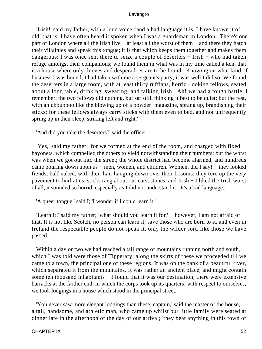'Irish!' said my father, with a loud voice, 'and a bad language it is, I have known it of old, that is, I have often heard it spoken when I was a guardsman in London. There's one part of London where all the Irish live − at least all the worst of them − and there they hatch their villainies and speak this tongue; it is that which keeps them together and makes them dangerous: I was once sent there to seize a couple of deserters − Irish − who had taken refuge amongst their companions; we found them in what was in my time called a ken, that is a house where only thieves and desperadoes are to be found. Knowing on what kind of business I was bound, I had taken with me a sergeant's party; it was well I did so. We found the deserters in a large room, with at least thirty ruffians, horrid−looking fellows, seated about a long table, drinking, swearing, and talking Irish. Ah! we had a tough battle, I remember; the two fellows did nothing, but sat still, thinking it best to be quiet; but the rest, with an ubbubboo like the blowing up of a powder−magazine, sprang up, brandishing their sticks; for these fellows always carry sticks with them even to bed, and not unfrequently spring up in their sleep, striking left and right.'

'And did you take the deserters?' said the officer.

 'Yes,' said my father; 'for we formed at the end of the room, and charged with fixed bayonets, which compelled the others to yield notwithstanding their numbers; but the worst was when we got out into the street; the whole district had become alarmed, and hundreds came pouring down upon us – men, women, and children. Women, did I say! – they looked fiends, half naked, with their hair hanging down over their bosoms; they tore up the very pavement to hurl at us, sticks rang about our ears, stones, and Irish − I liked the Irish worst of all, it sounded so horrid, especially as I did not understand it. It's a bad language.'

'A queer tongue,' said I; 'I wonder if I could learn it.'

 'Learn it!' said my father; 'what should you learn it for? − however, I am not afraid of that. It is not like Scotch, no person can learn it, save those who are born to it, and even in Ireland the respectable people do not speak it, only the wilder sort, like those we have passed.'

 Within a day or two we had reached a tall range of mountains running north and south, which I was told were those of Tipperary; along the skirts of these we proceeded till we came to a town, the principal one of these regions. It was on the bank of a beautiful river, which separated it from the mountains. It was rather an ancient place, and might contain some ten thousand inhabitants – I found that it was our destination; there were extensive barracks at the farther end, in which the corps took up its quarters; with respect to ourselves, we took lodgings in a house which stood in the principal street.

 'You never saw more elegant lodgings than these, captain,' said the master of the house, a tall, handsome, and athletic man, who came up whilst our little family were seated at dinner late in the afternoon of the day of our arrival; 'they beat anything in this town of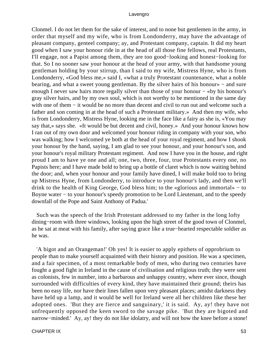Clonmel. I do not let them for the sake of interest, and to none but gentlemen in the army, in order that myself and my wife, who is from Londonderry, may have the advantage of pleasant company, genteel company; ay, and Protestant company, captain. It did my heart good when I saw your honour ride in at the head of all those fine fellows, real Protestants, I'll engage, not a Papist among them, they are too good−looking and honest−looking for that. So I no sooner saw your honour at the head of your army, with that handsome young gentleman holding by your stirrup, than I said to my wife, Mistress Hyne, who is from Londonderry, «God bless me,» said I, «what a truly Protestant countenance, what a noble bearing, and what a sweet young gentleman. By the silver hairs of his honour» − and sure enough I never saw hairs more regally silver than those of your honour – «by his honour's gray silver hairs, and by my own soul, which is not worthy to be mentioned in the same day with one of them – it would be no more than decent and civil to run out and welcome such a father and son coming in at the head of such a Protestant military.» And then my wife, who is from Londonderry, Mistress Hyne, looking me in the face like a fairy as she is, «You may say that,» says she. «It would be but decent and civil, honey.» And your honour knows how I ran out of my own door and welcomed your honour riding in company with your son, who was walking; how I welcomed ye both at the head of your royal regiment, and how I shook your honour by the hand, saying, I am glad to see your honour, and your honour's son, and your honour's royal military Protestant regiment. And now I have you in the house, and right proud I am to have ye one and all; one, two, three, four, true Protestants every one, no Papists here; and I have made bold to bring up a bottle of claret which is now waiting behind the door; and, when your honour and your family have dined, I will make bold too to bring up Mistress Hyne, from Londonderry, to introduce to your honour's lady, and then we'll drink to the health of King George, God bless him; to the «glorious and immortal» − to Boyne water − to your honour's speedy promotion to be Lord Lieutenant, and to the speedy downfall of the Pope and Saint Anthony of Padua.'

 Such was the speech of the Irish Protestant addressed to my father in the long lofty dining−room with three windows, looking upon the high street of the good town of Clonmel, as he sat at meat with his family, after saying grace like a true−hearted respectable soldier as he was.

 'A bigot and an Orangeman!' Oh yes! It is easier to apply epithets of opprobrium to people than to make yourself acquainted with their history and position. He was a specimen, and a fair specimen, of a most remarkable body of men, who during two centuries have fought a good fight in Ireland in the cause of civilisation and religious truth; they were sent as colonists, few in number, into a barbarous and unhappy country, where ever since, though surrounded with difficulties of every kind, they have maintained their ground; theirs has been no easy life, nor have their lines fallen upon very pleasant places; amidst darkness they have held up a lamp, and it would be well for Ireland were all her children like these her adopted ones. 'But they are fierce and sanguinary,' it is said. Ay, ay! they have not unfrequently opposed the keen sword to the savage pike. 'But they are bigoted and narrow−minded.' Ay, ay! they do not like idolatry, and will not bow the knee before a stone!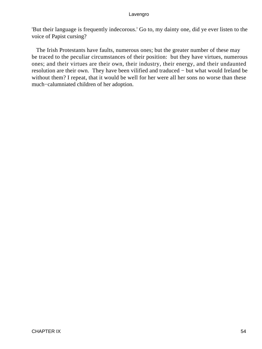'But their language is frequently indecorous.' Go to, my dainty one, did ye ever listen to the voice of Papist cursing?

 The Irish Protestants have faults, numerous ones; but the greater number of these may be traced to the peculiar circumstances of their position: but they have virtues, numerous ones; and their virtues are their own, their industry, their energy, and their undaunted resolution are their own. They have been vilified and traduced − but what would Ireland be without them? I repeat, that it would be well for her were all her sons no worse than these much−calumniated children of her adoption.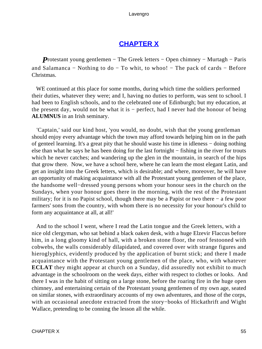# **[CHAPTER X](#page-494-0)**

*P*rotestant young gentlemen – The Greek letters – Open chimney – Murtagh – Paris and Salamanca − Nothing to do − To whit, to whoo! − The pack of cards − Before Christmas.

 WE continued at this place for some months, during which time the soldiers performed their duties, whatever they were; and I, having no duties to perform, was sent to school. I had been to English schools, and to the celebrated one of Edinburgh; but my education, at the present day, would not be what it is − perfect, had I never had the honour of being **ALUMNUS** in an Irish seminary.

 'Captain,' said our kind host, 'you would, no doubt, wish that the young gentleman should enjoy every advantage which the town may afford towards helping him on in the path of genteel learning. It's a great pity that he should waste his time in idleness − doing nothing else than what he says he has been doing for the last fortnight − fishing in the river for trouts which he never catches; and wandering up the glen in the mountain, in search of the hips that grow there. Now, we have a school here, where he can learn the most elegant Latin, and get an insight into the Greek letters, which is desirable; and where, moreover, he will have an opportunity of making acquaintance with all the Protestant young gentlemen of the place, the handsome well−dressed young persons whom your honour sees in the church on the Sundays, when your honour goes there in the morning, with the rest of the Protestant military; for it is no Papist school, though there may be a Papist or two there − a few poor farmers' sons from the country, with whom there is no necessity for your honour's child to form any acquaintance at all, at all!'

 And to the school I went, where I read the Latin tongue and the Greek letters, with a nice old clergyman, who sat behind a black oaken desk, with a huge Elzevir Flaccus before him, in a long gloomy kind of hall, with a broken stone floor, the roof festooned with cobwebs, the walls considerably dilapidated, and covered over with strange figures and hieroglyphics, evidently produced by the application of burnt stick; and there I made acquaintance with the Protestant young gentlemen of the place, who, with whatever **ECLAT** they might appear at church on a Sunday, did assuredly not exhibit to much advantage in the schoolroom on the week days, either with respect to clothes or looks. And there I was in the habit of sitting on a large stone, before the roaring fire in the huge open chimney, and entertaining certain of the Protestant young gentlemen of my own age, seated on similar stones, with extraordinary accounts of my own adventures, and those of the corps, with an occasional anecdote extracted from the story−books of Hickathrift and Wight Wallace, pretending to be conning the lesson all the while.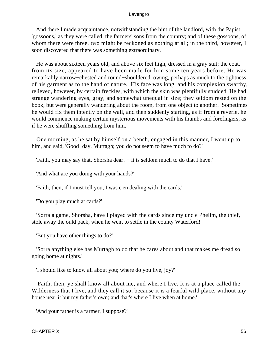And there I made acquaintance, notwithstanding the hint of the landlord, with the Papist 'gossoons,' as they were called, the farmers' sons from the country; and of these gossoons, of whom there were three, two might be reckoned as nothing at all; in the third, however, I soon discovered that there was something extraordinary.

 He was about sixteen years old, and above six feet high, dressed in a gray suit; the coat, from its size, appeared to have been made for him some ten years before. He was remarkably narrow−chested and round−shouldered, owing, perhaps as much to the tightness of his garment as to the hand of nature. His face was long, and his complexion swarthy, relieved, however, by certain freckles, with which the skin was plentifully studded. He had strange wandering eyes, gray, and somewhat unequal in size; they seldom rested on the book, but were generally wandering about the room, from one object to another. Sometimes he would fix them intently on the wall, and then suddenly starting, as if from a reverie, he would commence making certain mysterious movements with his thumbs and forefingers, as if he were shuffling something from him.

 One morning, as he sat by himself on a bench, engaged in this manner, I went up to him, and said, 'Good−day, Murtagh; you do not seem to have much to do?'

'Faith, you may say that, Shorsha dear! − it is seldom much to do that I have.'

'And what are you doing with your hands?'

'Faith, then, if I must tell you, I was e'en dealing with the cards.'

'Do you play much at cards?'

 'Sorra a game, Shorsha, have I played with the cards since my uncle Phelim, the thief, stole away the ould pack, when he went to settle in the county Waterford!'

'But you have other things to do?'

 'Sorra anything else has Murtagh to do that he cares about and that makes me dread so going home at nights.'

'I should like to know all about you; where do you live, joy?'

 'Faith, then, ye shall know all about me, and where I live. It is at a place called the Wilderness that I live, and they call it so, because it is a fearful wild place, without any house near it but my father's own; and that's where I live when at home.'

'And your father is a farmer, I suppose?'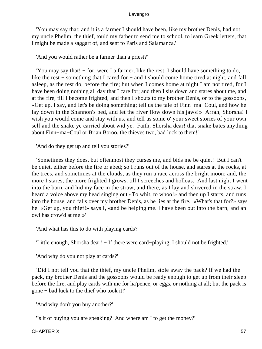'You may say that; and it is a farmer I should have been, like my brother Denis, had not my uncle Phelim, the thief, tould my father to send me to school, to learn Greek letters, that I might be made a saggart of, and sent to Paris and Salamanca.'

'And you would rather be a farmer than a priest?'

 'You may say that! − for, were I a farmer, like the rest, I should have something to do, like the rest − something that I cared for − and I should come home tired at night, and fall asleep, as the rest do, before the fire; but when I comes home at night I am not tired, for I have been doing nothing all day that I care for; and then I sits down and stares about me, and at the fire, till I become frighted; and then I shouts to my brother Denis, or to the gossoons, «Get up, I say, and let's be doing something; tell us the tale of Finn−ma−Coul, and how he lay down in the Shannon's bed, and let the river flow down his jaws!» Arrah, Shorsha! I wish you would come and stay with us, and tell us some o' your sweet stories of your own self and the snake ye carried about wid ye. Faith, Shorsha dear! that snake bates anything about Finn−ma−Coul or Brian Boroo, the thieves two, bad luck to them!'

'And do they get up and tell you stories?'

 'Sometimes they does, but oftenmost they curses me, and bids me be quiet! But I can't be quiet, either before the fire or abed; so I runs out of the house, and stares at the rocks, at the trees, and sometimes at the clouds, as they run a race across the bright moon; and, the more I stares, the more frighted I grows, till I screeches and holloas. And last night I went into the barn, and hid my face in the straw; and there, as I lay and shivered in the straw, I heard a voice above my head singing out «To whit, to whoo!» and then up I starts, and runs into the house, and falls over my brother Denis, as he lies at the fire. «What's that for?» says he. «Get up, you thief!» says I, «and be helping me. I have been out into the barn, and an owl has crow'd at me!»'

'And what has this to do with playing cards?'

'Little enough, Shorsha dear! − If there were card−playing, I should not be frighted.'

'And why do you not play at cards?'

 'Did I not tell you that the thief, my uncle Phelim, stole away the pack? If we had the pack, my brother Denis and the gossoons would be ready enough to get up from their sleep before the fire, and play cards with me for ha'pence, or eggs, or nothing at all; but the pack is gone − bad luck to the thief who took it!'

'And why don't you buy another?'

'Is it of buying you are speaking? And where am I to get the money?'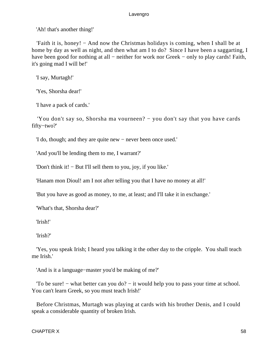'Ah! that's another thing!'

 'Faith it is, honey! − And now the Christmas holidays is coming, when I shall be at home by day as well as night, and then what am I to do? Since I have been a saggarting, I have been good for nothing at all – neither for work nor Greek – only to play cards! Faith, it's going mad I will be!'

'I say, Murtagh!'

'Yes, Shorsha dear!'

'I have a pack of cards.'

 'You don't say so, Shorsha ma vourneen? − you don't say that you have cards fifty−two?'

'I do, though; and they are quite new − never been once used.'

'And you'll be lending them to me, I warrant?'

'Don't think it! − But I'll sell them to you, joy, if you like.'

'Hanam mon Dioul! am I not after telling you that I have no money at all!'

'But you have as good as money, to me, at least; and I'll take it in exchange.'

'What's that, Shorsha dear?'

'Irish!'

'Irish?'

 'Yes, you speak Irish; I heard you talking it the other day to the cripple. You shall teach me Irish.'

'And is it a language−master you'd be making of me?'

 'To be sure! − what better can you do? − it would help you to pass your time at school. You can't learn Greek, so you must teach Irish!'

 Before Christmas, Murtagh was playing at cards with his brother Denis, and I could speak a considerable quantity of broken Irish.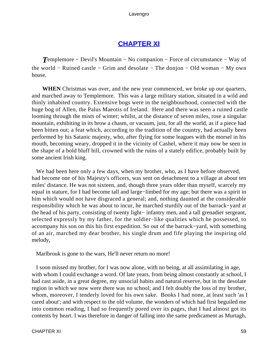# **[CHAPTER XI](#page-494-0)**

*T*emplemore − Devil's Mountain − No companion − Force of circumstance − Way of the world − Ruined castle − Grim and desolate − The donjon − Old woman − My own house.

**WHEN** Christmas was over, and the new year commenced, we broke up our quarters, and marched away to Templemore. This was a large military station, situated in a wild and thinly inhabited country. Extensive bogs were in the neighbourhood, connected with the huge bog of Allen, the Palus Maeotis of Ireland. Here and there was seen a ruined castle looming through the mists of winter; whilst, at the distance of seven miles, rose a singular mountain, exhibiting in its brow a chasm, or vacuum, just, for all the world, as if a piece had been bitten out; a feat which, according to the tradition of the country, had actually been performed by his Satanic majesty, who, after flying for some leagues with the morsel in his mouth, becoming weary, dropped it in the vicinity of Cashel, where it may now be seen in the shape of a bold bluff hill, crowned with the ruins of a stately edifice, probably built by some ancient Irish king.

We had been here only a few days, when my brother, who, as I have before observed, had become one of his Majesty's officers, was sent on detachment to a village at about ten miles' distance. He was not sixteen, and, though three years older than myself, scarcely my equal in stature, for I had become tall and large−limbed for my age; but there was a spirit in him which would not have disgraced a general; and, nothing daunted at the considerable responsibility which he was about to incur, he marched sturdily out of the barrack−yard at the head of his party, consisting of twenty light− infantry men, and a tall grenadier sergeant, selected expressly by my father, for the soldier−like qualities which he possessed, to accompany his son on this his first expedition. So out of the barrack−yard, with something of an air, marched my dear brother, his single drum and fife playing the inspiring old melody,

Marlbrouk is gone to the wars, He'll never return no more!

 I soon missed my brother, for I was now alone, with no being, at all assimilating in age, with whom I could exchange a word. Of late years, from being almost constantly at school, I had cast aside, in a great degree, my unsocial habits and natural reserve, but in the desolate region in which we now were there was no school; and I felt doubly the loss of my brother, whom, moreover, I tenderly loved for his own sake. Books I had none, at least such 'as I cared about'; and with respect to the old volume, the wonders of which had first beguiled me into common reading, I had so frequently pored over its pages, that I had almost got its contents by heart. I was therefore in danger of falling into the same predicament as Murtagh,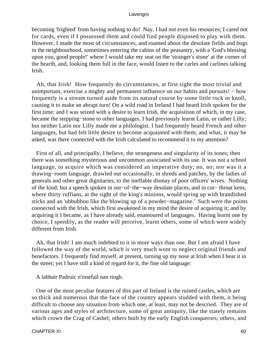becoming 'frighted' from having nothing to do! Nay, I had not even his resources; I cared not for cards, even if I possessed them and could find people disposed to play with them. However, I made the most of circumstances, and roamed about the desolate fields and bogs in the neighbourhood, sometimes entering the cabins of the peasantry, with a 'God's blessing upon you, good people!' where I would take my seat on the 'stranger's stone' at the corner of the hearth, and, looking them full in the face, would listen to the carles and carlines talking Irish.

 Ah, that Irish! How frequently do circumstances, at first sight the most trivial and unimportant, exercise a mighty and permanent influence on our habits and pursuits! – how frequently is a stream turned aside from its natural course by some little rock or knoll, causing it to make an abrupt turn! On a wild road in Ireland I had heard Irish spoken for the first time; and I was seized with a desire to learn Irish, the acquisition of which, in my case, became the stepping−stone to other languages. I had previously learnt Latin, or rather Lilly; but neither Latin nor Lilly made me a philologist. I had frequently heard French and other languages, but had felt little desire to become acquainted with them; and what, it may be asked, was there connected with the Irish calculated to recommend it to my attention?

 First of all, and principally, I believe, the strangeness and singularity of its tones; then there was something mysterious and uncommon associated with its use. It was not a school language, to acquire which was considered an imperative duty; no, no; nor was it a drawing−room language, drawled out occasionally, in shreds and patches, by the ladies of generals and other great dignitaries, to the ineffable dismay of poor officers' wives. Nothing of the kind; but a speech spoken in out−of−the−way desolate places, and in cut− throat kens, where thirty ruffians, at the sight of the king's minions, would spring up with brandished sticks and an 'ubbubboo like the blowing up of a powder−magazine.' Such were the points connected with the Irish, which first awakened in my mind the desire of acquiring it; and by acquiring it I became, as I have already said, enamoured of languages. Having learnt one by choice, I speedily, as the reader will perceive, learnt others, some of which were widely different from Irish.

 Ah, that Irish! I am much indebted to it in more ways than one. But I am afraid I have followed the way of the world, which is very much wont to neglect original friends and benefactors. I frequently find myself, at present, turning up my nose at Irish when I hear it in the street; yet I have still a kind of regard for it, the fine old language:

A labhair Padruic n'insefail nan riogh.

 One of the most peculiar features of this part of Ireland is the ruined castles, which are so thick and numerous that the face of the country appears studded with them, it being difficult to choose any situation from which one, at least, may not be descried. They are of various ages and styles of architecture, some of great antiquity, like the stately remains which crown the Crag of Cashel; others built by the early English conquerors; others, and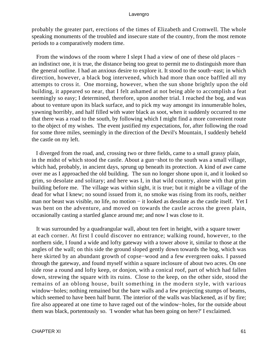probably the greater part, erections of the times of Elizabeth and Cromwell. The whole speaking monuments of the troubled and insecure state of the country, from the most remote periods to a comparatively modern time.

 From the windows of the room where I slept I had a view of one of these old places − an indistinct one, it is true, the distance being too great to permit me to distinguish more than the general outline. I had an anxious desire to explore it. It stood to the south−east; in which direction, however, a black bog intervened, which had more than once baffled all my attempts to cross it. One morning, however, when the sun shone brightly upon the old building, it appeared so near, that I felt ashamed at not being able to accomplish a feat seemingly so easy; I determined, therefore, upon another trial. I reached the bog, and was about to venture upon its black surface, and to pick my way amongst its innumerable holes, yawning horribly, and half filled with water black as soot, when it suddenly occurred to me that there was a road to the south, by following which I might find a more convenient route to the object of my wishes. The event justified my expectations, for, after following the road for some three miles, seemingly in the direction of the Devil's Mountain, I suddenly beheld the castle on my left.

 I diverged from the road, and, crossing two or three fields, came to a small grassy plain, in the midst of which stood the castle. About a gun−shot to the south was a small village, which had, probably, in ancient days, sprung up beneath its protection. A kind of awe came over me as I approached the old building. The sun no longer shone upon it, and it looked so grim, so desolate and solitary; and here was I, in that wild country, alone with that grim building before me. The village was within sight, it is true; but it might be a village of the dead for what I knew; no sound issued from it, no smoke was rising from its roofs, neither man nor beast was visible, no life, no motion − it looked as desolate as the castle itself. Yet I was bent on the adventure, and moved on towards the castle across the green plain, occasionally casting a startled glance around me; and now I was close to it.

 It was surrounded by a quadrangular wall, about ten feet in height, with a square tower at each corner. At first I could discover no entrance; walking round, however, to the northern side, I found a wide and lofty gateway with a tower above it, similar to those at the angles of the wall; on this side the ground sloped gently down towards the bog, which was here skirted by an abundant growth of copse−wood and a few evergreen oaks. I passed through the gateway, and found myself within a square inclosure of about two acres. On one side rose a round and lofty keep, or donjon, with a conical roof, part of which had fallen down, strewing the square with its ruins. Close to the keep, on the other side, stood the remains of an oblong house, built something in the modern style, with various window−holes; nothing remained but the bare walls and a few projecting stumps of beams, which seemed to have been half burnt. The interior of the walls was blackened, as if by fire; fire also appeared at one time to have raged out of the window−holes, for the outside about them was black, portentously so. 'I wonder what has been going on here?' I exclaimed.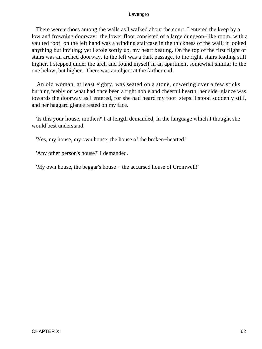There were echoes among the walls as I walked about the court. I entered the keep by a low and frowning doorway: the lower floor consisted of a large dungeon−like room, with a vaulted roof; on the left hand was a winding staircase in the thickness of the wall; it looked anything but inviting; yet I stole softly up, my heart beating. On the top of the first flight of stairs was an arched doorway, to the left was a dark passage, to the right, stairs leading still higher. I stepped under the arch and found myself in an apartment somewhat similar to the one below, but higher. There was an object at the farther end.

 An old woman, at least eighty, was seated on a stone, cowering over a few sticks burning feebly on what had once been a right noble and cheerful hearth; her side−glance was towards the doorway as I entered, for she had heard my foot−steps. I stood suddenly still, and her haggard glance rested on my face.

 'Is this your house, mother?' I at length demanded, in the language which I thought she would best understand.

'Yes, my house, my own house; the house of the broken−hearted.'

'Any other person's house?' I demanded.

'My own house, the beggar's house − the accursed house of Cromwell!'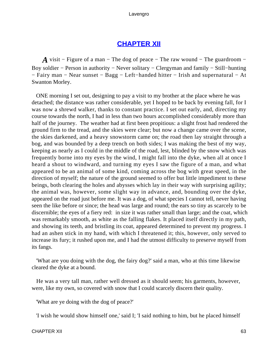# **[CHAPTER XII](#page-494-0)**

*A* visit – Figure of a man – The dog of peace – The raw wound – The guardroom – Boy soldier − Person in authority − Never solitary − Clergyman and family − Still−hunting − Fairy man − Near sunset − Bagg − Left−handed hitter − Irish and supernatural − At Swanton Morley.

 ONE morning I set out, designing to pay a visit to my brother at the place where he was detached; the distance was rather considerable, yet I hoped to be back by evening fall, for I was now a shrewd walker, thanks to constant practice. I set out early, and, directing my course towards the north, I had in less than two hours accomplished considerably more than half of the journey. The weather had at first been propitious: a slight frost had rendered the ground firm to the tread, and the skies were clear; but now a change came over the scene, the skies darkened, and a heavy snowstorm came on; the road then lay straight through a bog, and was bounded by a deep trench on both sides; I was making the best of my way, keeping as nearly as I could in the middle of the road, lest, blinded by the snow which was frequently borne into my eyes by the wind, I might fall into the dyke, when all at once I heard a shout to windward, and turning my eyes I saw the figure of a man, and what appeared to be an animal of some kind, coming across the bog with great speed, in the direction of myself; the nature of the ground seemed to offer but little impediment to these beings, both clearing the holes and abysses which lay in their way with surprising agility; the animal was, however, some slight way in advance, and, bounding over the dyke, appeared on the road just before me. It was a dog, of what species I cannot tell, never having seen the like before or since; the head was large and round; the ears so tiny as scarcely to be discernible; the eyes of a fiery red: in size it was rather small than large; and the coat, which was remarkably smooth, as white as the falling flakes. It placed itself directly in my path, and showing its teeth, and bristling its coat, appeared determined to prevent my progress. I had an ashen stick in my hand, with which I threatened it; this, however, only served to increase its fury; it rushed upon me, and I had the utmost difficulty to preserve myself from its fangs.

 'What are you doing with the dog, the fairy dog?' said a man, who at this time likewise cleared the dyke at a bound.

 He was a very tall man, rather well dressed as it should seem; his garments, however, were, like my own, so covered with snow that I could scarcely discern their quality.

'What are ye doing with the dog of peace?'

'I wish he would show himself one,' said I; 'I said nothing to him, but he placed himself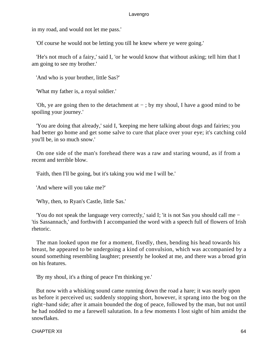in my road, and would not let me pass.'

'Of course he would not be letting you till he knew where ye were going.'

 'He's not much of a fairy,' said I, 'or he would know that without asking; tell him that I am going to see my brother.'

'And who is your brother, little Sas?'

'What my father is, a royal soldier.'

'Oh, ye are going then to the detachment at  $-$ ; by my shoul, I have a good mind to be spoiling your journey.'

 'You are doing that already,' said I, 'keeping me here talking about dogs and fairies; you had better go home and get some salve to cure that place over your eye; it's catching cold you'll be, in so much snow.'

 On one side of the man's forehead there was a raw and staring wound, as if from a recent and terrible blow.

'Faith, then I'll be going, but it's taking you wid me I will be.'

'And where will you take me?'

'Why, then, to Ryan's Castle, little Sas.'

 'You do not speak the language very correctly,' said I; 'it is not Sas you should call me − 'tis Sassannach,' and forthwith I accompanied the word with a speech full of flowers of Irish rhetoric.

 The man looked upon me for a moment, fixedly, then, bending his head towards his breast, he appeared to be undergoing a kind of convulsion, which was accompanied by a sound something resembling laughter; presently he looked at me, and there was a broad grin on his features.

'By my shoul, it's a thing of peace I'm thinking ye.'

 But now with a whisking sound came running down the road a hare; it was nearly upon us before it perceived us; suddenly stopping short, however, it sprang into the bog on the right−hand side; after it amain bounded the dog of peace, followed by the man, but not until he had nodded to me a farewell salutation. In a few moments I lost sight of him amidst the snowflakes.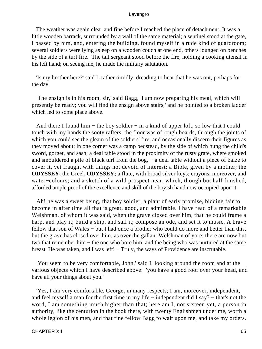The weather was again clear and fine before I reached the place of detachment. It was a little wooden barrack, surrounded by a wall of the same material; a sentinel stood at the gate, I passed by him, and, entering the building, found myself in a rude kind of guardroom; several soldiers were lying asleep on a wooden couch at one end, others lounged on benches by the side of a turf fire. The tall sergeant stood before the fire, holding a cooking utensil in his left hand; on seeing me, he made the military salutation.

 'Is my brother here?' said I, rather timidly, dreading to hear that he was out, perhaps for the day.

 'The ensign is in his room, sir,' said Bagg, 'I am now preparing his meal, which will presently be ready; you will find the ensign above stairs,' and he pointed to a broken ladder which led to some place above.

And there I found him – the boy soldier – in a kind of upper loft, so low that I could touch with my hands the sooty rafters; the floor was of rough boards, through the joints of which you could see the gleam of the soldiers' fire, and occasionally discern their figures as they moved about; in one corner was a camp bedstead, by the side of which hung the child's sword, gorget, and sash; a deal table stood in the proximity of the rusty grate, where smoked and smouldered a pile of black turf from the bog, – a deal table without a piece of baize to cover it, yet fraught with things not devoid of interest: a Bible, given by a mother; the **ODYSSEY,** the Greek **ODYSSEY;** a flute, with broad silver keys; crayons, moreover, and water−colours; and a sketch of a wild prospect near, which, though but half finished, afforded ample proof of the excellence and skill of the boyish hand now occupied upon it.

 Ah! he was a sweet being, that boy soldier, a plant of early promise, bidding fair to become in after time all that is great, good, and admirable. I have read of a remarkable Welshman, of whom it was said, when the grave closed over him, that he could frame a harp, and play it; build a ship, and sail it; compose an ode, and set it to music. A brave fellow that son of Wales – but I had once a brother who could do more and better than this, but the grave has closed over him, as over the gallant Welshman of yore; there are now but two that remember him − the one who bore him, and the being who was nurtured at the same breast. He was taken, and I was left! − Truly, the ways of Providence are inscrutable.

 'You seem to be very comfortable, John,' said I, looking around the room and at the various objects which I have described above: 'you have a good roof over your head, and have all your things about you.'

 'Yes, I am very comfortable, George, in many respects; I am, moreover, independent, and feel myself a man for the first time in my life − independent did I say? − that's not the word, I am something much higher than that; here am I, not sixteen yet, a person in authority, like the centurion in the book there, with twenty Englishmen under me, worth a whole legion of his men, and that fine fellow Bagg to wait upon me, and take my orders.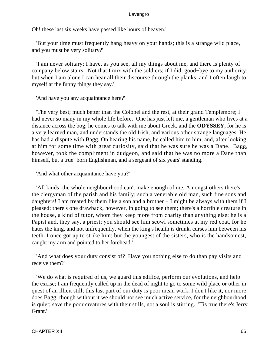Oh! these last six weeks have passed like hours of heaven.'

 'But your time must frequently hang heavy on your hands; this is a strange wild place, and you must be very solitary?'

 'I am never solitary; I have, as you see, all my things about me, and there is plenty of company below stairs. Not that I mix with the soldiers; if I did, good−bye to my authority; but when I am alone I can hear all their discourse through the planks, and I often laugh to myself at the funny things they say.'

'And have you any acquaintance here?'

 'The very best; much better than the Colonel and the rest, at their grand Templemore; I had never so many in my whole life before. One has just left me, a gentleman who lives at a distance across the bog; he comes to talk with me about Greek, and the **ODYSSEY,** for he is a very learned man, and understands the old Irish, and various other strange languages. He has had a dispute with Bagg. On hearing his name, he called him to him, and, after looking at him for some time with great curiosity, said that he was sure he was a Dane. Bagg, however, took the compliment in dudgeon, and said that he was no more a Dane than himself, but a true−born Englishman, and a sergeant of six years' standing.'

'And what other acquaintance have you?'

 'All kinds; the whole neighbourhood can't make enough of me. Amongst others there's the clergyman of the parish and his family; such a venerable old man, such fine sons and daughters! I am treated by them like a son and a brother − I might be always with them if I pleased; there's one drawback, however, in going to see them; there's a horrible creature in the house, a kind of tutor, whom they keep more from charity than anything else; he is a Papist and, they say, a priest; you should see him scowl sometimes at my red coat, for he hates the king, and not unfrequently, when the king's health is drunk, curses him between his teeth. I once got up to strike him; but the youngest of the sisters, who is the handsomest, caught my arm and pointed to her forehead.'

 'And what does your duty consist of? Have you nothing else to do than pay visits and receive them?'

 'We do what is required of us, we guard this edifice, perform our evolutions, and help the excise; I am frequently called up in the dead of night to go to some wild place or other in quest of an illicit still; this last part of our duty is poor mean work, I don't like it, nor more does Bagg; though without it we should not see much active service, for the neighbourhood is quiet; save the poor creatures with their stills, not a soul is stirring. 'Tis true there's Jerry Grant.'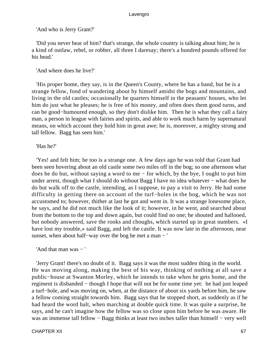'And who is Jerry Grant?'

 'Did you never hear of him? that's strange, the whole country is talking about him; he is a kind of outlaw, rebel, or robber, all three I daresay; there's a hundred pounds offered for his head.'

'And where does he live?'

 'His proper home, they say, is in the Queen's County, where he has a band, but he is a strange fellow, fond of wandering about by himself amidst the bogs and mountains, and living in the old castles; occasionally he quarters himself in the peasants' houses, who let him do just what he pleases; he is free of his money, and often does them good turns, and can be good−humoured enough, so they don't dislike him. Then he is what they call a fairy man, a person in league with fairies and spirits, and able to work much harm by supernatural means, on which account they hold him in great awe; he is, moreover, a mighty strong and tall fellow. Bagg has seen him.'

# 'Has he?'

 'Yes! and felt him; he too is a strange one. A few days ago he was told that Grant had been seen hovering about an old castle some two miles off in the bog; so one afternoon what does he do but, without saying a word to me − for which, by the bye, I ought to put him under arrest, though what I should do without Bagg I have no idea whatever – what does he do but walk off to the castle, intending, as I suppose, to pay a visit to Jerry. He had some difficulty in getting there on account of the turf−holes in the bog, which he was not accustomed to; however, thither at last he got and went in. It was a strange lonesome place, he says, and he did not much like the look of it; however, in he went, and searched about from the bottom to the top and down again, but could find no one; he shouted and hallooed, but nobody answered, save the rooks and choughs, which started up in great numbers. «I have lost my trouble,» said Bagg, and left the castle. It was now late in the afternoon, near sunset, when about half–way over the bog he met a man − '

'And that man was − '

 'Jerry Grant! there's no doubt of it. Bagg says it was the most sudden thing in the world. He was moving along, making the best of his way, thinking of nothing at all save a public−house at Swanton Morley, which he intends to take when he gets home, and the regiment is disbanded − though I hope that will not be for some time yet: he had just leaped a turf−hole, and was moving on, when, at the distance of about six yards before him, he saw a fellow coming straight towards him. Bagg says that he stopped short, as suddenly as if he had heard the word halt, when marching at double quick time. It was quite a surprise, he says, and he can't imagine how the fellow was so close upon him before he was aware. He was an immense tall fellow − Bagg thinks at least two inches taller than himself – very well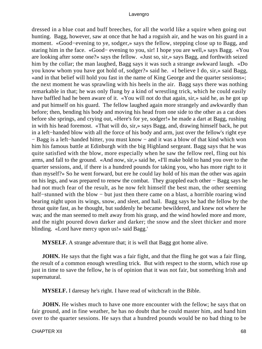dressed in a blue coat and buff breeches, for all the world like a squire when going out hunting. Bagg, however, saw at once that he had a roguish air, and he was on his guard in a moment. «Good−evening to ye, sodger,» says the fellow, stepping close up to Bagg, and staring him in the face. «Good− evening to you, sir! I hope you are well,» says Bagg. «You are looking after some one?» says the fellow. «Just so, sir,» says Bagg, and forthwith seized him by the collar; the man laughed, Bagg says it was such a strange awkward laugh. «Do you know whom you have got hold of, sodger?» said he. «I believe I do, sir,» said Bagg, «and in that belief will hold you fast in the name of King George and the quarter sessions»; the next moment he was sprawling with his heels in the air. Bagg says there was nothing remarkable in that; he was only flung by a kind of wrestling trick, which he could easily have baffled had he been aware of it. «You will not do that again, sir,» said he, as he got up and put himself on his guard. The fellow laughed again more strangely and awkwardly than before; then, bending his body and moving his head from one side to the other as a cat does before she springs, and crying out, «Here's for ye, sodger!» he made a dart at Bagg, rushing in with his head foremost. «That will do, sir,» says Bagg, and, drawing himself back, he put in a left−handed blow with all the force of his body and arm, just over the fellow's right eye − Bagg is a left−handed hitter, you must know − and it was a blow of that kind which won him his famous battle at Edinburgh with the big Highland sergeant. Bagg says that he was quite satisfied with the blow, more especially when he saw the fellow reel, fling out his arms, and fall to the ground. «And now, sir,» said he, «I'll make bold to hand you over to the quarter sessions, and, if there is a hundred pounds for taking you, who has more right to it than myself?» So he went forward, but ere he could lay hold of his man the other was again on his legs, and was prepared to renew the combat. They grappled each other − Bagg says he had not much fear of the result, as he now felt himself the best man, the other seeming half–stunned with the blow – but just then there came on a blast, a horrible roaring wind bearing night upon its wings, snow, and sleet, and hail. Bagg says he had the fellow by the throat quite fast, as he thought, but suddenly he became bewildered, and knew not where he was; and the man seemed to melt away from his grasp, and the wind howled more and more, and the night poured down darker and darker; the snow and the sleet thicker and more blinding. «Lord have mercy upon us!» said Bagg.'

**MYSELF.** A strange adventure that; it is well that Bagg got home alive.

**JOHN.** He says that the fight was a fair fight, and that the fling he got was a fair fling, the result of a common enough wrestling trick. But with respect to the storm, which rose up just in time to save the fellow, he is of opinion that it was not fair, but something Irish and supernatural.

**MYSELF.** I daresay he's right. I have read of witchcraft in the Bible.

**JOHN.** He wishes much to have one more encounter with the fellow; he says that on fair ground, and in fine weather, he has no doubt that he could master him, and hand him over to the quarter sessions. He says that a hundred pounds would be no bad thing to be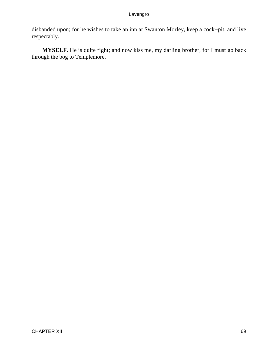disbanded upon; for he wishes to take an inn at Swanton Morley, keep a cock−pit, and live respectably.

**MYSELF.** He is quite right; and now kiss me, my darling brother, for I must go back through the bog to Templemore.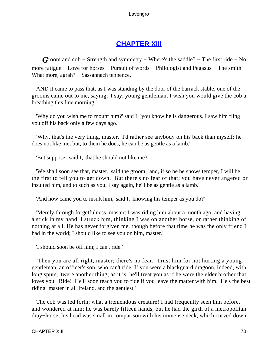# **[CHAPTER XIII](#page-494-0)**

*G*room and cob – Strength and symmetry – Where's the saddle? – The first ride – No more fatigue − Love for horses − Pursuit of words − Philologist and Pegasus − The smith − What more, agrah? – Sassannach tenpence.

 AND it came to pass that, as I was standing by the door of the barrack stable, one of the grooms came out to me, saying, 'I say, young gentleman, I wish you would give the cob a breathing this fine morning.'

 'Why do you wish me to mount him?' said I; 'you know he is dangerous. I saw him fling you off his back only a few days ago.'

 'Why, that's the very thing, master. I'd rather see anybody on his back than myself; he does not like me; but, to them he does, he can be as gentle as a lamb.'

'But suppose,' said I, 'that he should not like me?'

 'We shall soon see that, master,' said the groom; 'and, if so be he shows temper, I will be the first to tell you to get down. But there's no fear of that; you have never angered or insulted him, and to such as you, I say again, he'll be as gentle as a lamb.'

'And how came you to insult him,' said I, 'knowing his temper as you do?'

 'Merely through forgetfulness, master: I was riding him about a month ago, and having a stick in my hand, I struck him, thinking I was on another horse, or rather thinking of nothing at all. He has never forgiven me, though before that time he was the only friend I had in the world; I should like to see you on him, master.'

'I should soon be off him; I can't ride.'

 'Then you are all right, master; there's no fear. Trust him for not hurting a young gentleman, an officer's son, who can't ride. If you were a blackguard dragoon, indeed, with long spurs, 'twere another thing; as it is, he'll treat you as if he were the elder brother that loves you. Ride! He'll soon teach you to ride if you leave the matter with him. He's the best riding−master in all Ireland, and the gentlest.'

 The cob was led forth; what a tremendous creature! I had frequently seen him before, and wondered at him; he was barely fifteen hands, but he had the girth of a metropolitan dray−horse; his head was small in comparison with his immense neck, which curved down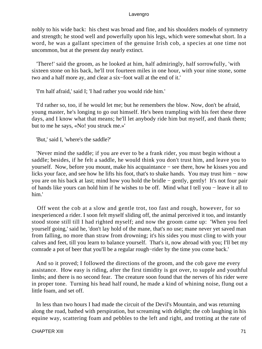nobly to his wide back: his chest was broad and fine, and his shoulders models of symmetry and strength; he stood well and powerfully upon his legs, which were somewhat short. In a word, he was a gallant specimen of the genuine Irish cob, a species at one time not uncommon, but at the present day nearly extinct.

 'There!' said the groom, as he looked at him, half admiringly, half sorrowfully, 'with sixteen stone on his back, he'll trot fourteen miles in one hour, with your nine stone, some two and a half more ay, and clear a six−foot wall at the end of it.'

'I'm half afraid,' said I; 'I had rather you would ride him.'

 'I'd rather so, too, if he would let me; but he remembers the blow. Now, don't be afraid, young master, he's longing to go out himself. He's been trampling with his feet these three days, and I know what that means; he'll let anybody ride him but myself, and thank them; but to me he says, «No! you struck me.»'

'But,' said I, 'where's the saddle?'

 'Never mind the saddle; if you are ever to be a frank rider, you must begin without a saddle; besides, if he felt a saddle, he would think you don't trust him, and leave you to yourself. Now, before you mount, make his acquaintance − see there, how he kisses you and licks your face, and see how he lifts his foot, that's to shake hands. You may trust him − now you are on his back at last; mind how you hold the bridle − gently, gently! It's not four pair of hands like yours can hold him if he wishes to be off. Mind what I tell you − leave it all to him.'

 Off went the cob at a slow and gentle trot, too fast and rough, however, for so inexperienced a rider. I soon felt myself sliding off, the animal perceived it too, and instantly stood stone still till I had righted myself; and now the groom came up: 'When you feel yourself going,' said he, 'don't lay hold of the mane, that's no use; mane never yet saved man from falling, no more than straw from drowning; it's his sides you must cling to with your calves and feet, till you learn to balance yourself. That's it, now abroad with you; I'll bet my comrade a pot of beer that you'll be a regular rough−rider by the time you come back.'

 And so it proved; I followed the directions of the groom, and the cob gave me every assistance. How easy is riding, after the first timidity is got over, to supple and youthful limbs; and there is no second fear. The creature soon found that the nerves of his rider were in proper tone. Turning his head half round, he made a kind of whining noise, flung out a little foam, and set off.

 In less than two hours I had made the circuit of the Devil's Mountain, and was returning along the road, bathed with perspiration, but screaming with delight; the cob laughing in his equine way, scattering foam and pebbles to the left and right, and trotting at the rate of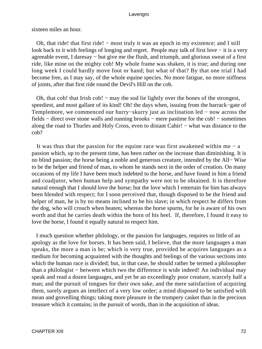sixteen miles an hour.

 Oh, that ride! that first ride! − most truly it was an epoch in my existence; and I still look back to it with feelings of longing and regret. People may talk of first love − it is a very agreeable event, I daresay − but give me the flush, and triumph, and glorious sweat of a first ride, like mine on the mighty cob! My whole frame was shaken, it is true; and during one long week I could hardly move foot or hand; but what of that? By that one trial I had become free, as I may say, of the whole equine species. No more fatigue, no more stiffness of joints, after that first ride round the Devil's Hill on the cob.

Oh, that cob! that Irish cob! – may the sod lie lightly over the bones of the strongest, speediest, and most gallant of its kind! Oh! the days when, issuing from the barrack−gate of Templemore, we commenced our hurry–skurry just as inclination led – now across the fields – direct over stone walls and running brooks – mere pastime for the cob! – sometimes along the road to Thurles and Holy Cross, even to distant Cahir! − what was distance to the cob?

 It was thus that the passion for the equine race was first awakened within me − a passion which, up to the present time, has been rather on the increase than diminishing. It is no blind passion; the horse being a noble and generous creature, intended by the All− Wise to be the helper and friend of man, to whom he stands next in the order of creation. On many occasions of my life I have been much indebted to the horse, and have found in him a friend and coadjutor, when human help and sympathy were not to be obtained. It is therefore natural enough that I should love the horse; but the love which I entertain for him has always been blended with respect; for I soon perceived that, though disposed to be the friend and helper of man, he is by no means inclined to be his slave; in which respect he differs from the dog, who will crouch when beaten; whereas the horse spurns, for he is aware of his own worth and that he carries death within the horn of his heel. If, therefore, I found it easy to love the horse, I found it equally natural to respect him.

 I much question whether philology, or the passion for languages, requires so little of an apology as the love for horses. It has been said, I believe, that the more languages a man speaks, the more a man is he; which is very true, provided he acquires languages as a medium for becoming acquainted with the thoughts and feelings of the various sections into which the human race is divided; but, in that case, he should rather be termed a philosopher than a philologist − between which two the difference is wide indeed! An individual may speak and read a dozen languages, and yet be an exceedingly poor creature, scarcely half a man; and the pursuit of tongues for their own sake, and the mere satisfaction of acquiring them, surely argues an intellect of a very low order; a mind disposed to be satisfied with mean and grovelling things; taking more pleasure in the trumpery casket than in the precious treasure which it contains; in the pursuit of words, than in the acquisition of ideas.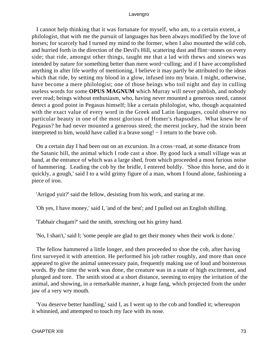I cannot help thinking that it was fortunate for myself, who am, to a certain extent, a philologist, that with me the pursuit of languages has been always modified by the love of horses; for scarcely had I turned my mind to the former, when I also mounted the wild cob, and hurried forth in the direction of the Devil's Hill, scattering dust and flint−stones on every side; that ride, amongst other things, taught me that a lad with thews and sinews was intended by nature for something better than mere word−culling; and if I have accomplished anything in after life worthy of mentioning, I believe it may partly be attributed to the ideas which that ride, by setting my blood in a glow, infused into my brain. I might, otherwise, have become a mere philologist; one of those beings who toil night and day in culling useless words for some **OPUS MAGNUM** which Murray will never publish, and nobody ever read; beings without enthusiasm, who, having never mounted a generous steed, cannot detect a good point in Pegasus himself; like a certain philologist, who, though acquainted with the exact value of every word in the Greek and Latin languages, could observe no particular beauty in one of the most glorious of Homer's rhapsodies. What knew he of Pegasus? he had never mounted a generous steed; the merest jockey, had the strain been interpreted to him, would have called it a brave song! − I return to the brave cob.

 On a certain day I had been out on an excursion. In a cross−road, at some distance from the Satanic hill, the animal which I rode cast a shoe. By good luck a small village was at hand, at the entrance of which was a large shed, from which proceeded a most furious noise of hammering. Leading the cob by the bridle, I entered boldly. 'Shoe this horse, and do it quickly, a gough,' said I to a wild grimy figure of a man, whom I found alone, fashioning a piece of iron.

'Arrigod yuit?' said the fellow, desisting from his work, and staring at me.

'Oh yes, I have money,' said I, 'and of the best'; and I pulled out an English shilling.

'Tabhair chugam?' said the smith, stretching out his grimy hand.

'No, I shan't,' said I; 'some people are glad to get their money when their work is done.'

 The fellow hammered a little longer, and then proceeded to shoe the cob, after having first surveyed it with attention. He performed his job rather roughly, and more than once appeared to give the animal unnecessary pain, frequently making use of loud and boisterous words. By the time the work was done, the creature was in a state of high excitement, and plunged and tore. The smith stood at a short distance, seeming to enjoy the irritation of the animal, and showing, in a remarkable manner, a huge fang, which projected from the under jaw of a very wry mouth.

 'You deserve better handling,' said I, as I went up to the cob and fondled it; whereupon it whinnied, and attempted to touch my face with its nose.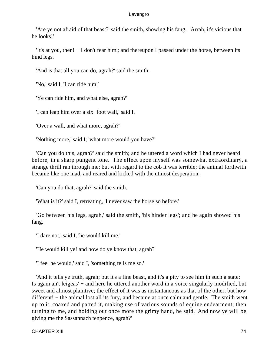'Are ye not afraid of that beast?' said the smith, showing his fang. 'Arrah, it's vicious that he looks!'

 'It's at you, then! − I don't fear him'; and thereupon I passed under the horse, between its hind legs.

'And is that all you can do, agrah?' said the smith.

'No,' said I, 'I can ride him.'

'Ye can ride him, and what else, agrah?'

'I can leap him over a six−foot wall,' said I.

'Over a wall, and what more, agrah?'

'Nothing more,' said I; 'what more would you have?'

 'Can you do this, agrah?' said the smith; and he uttered a word which I had never heard before, in a sharp pungent tone. The effect upon myself was somewhat extraordinary, a strange thrill ran through me; but with regard to the cob it was terrible; the animal forthwith became like one mad, and reared and kicked with the utmost desperation.

'Can you do that, agrah?' said the smith.

'What is it?' said I, retreating, 'I never saw the horse so before.'

 'Go between his legs, agrah,' said the smith, 'his hinder legs'; and he again showed his fang.

'I dare not,' said I, 'he would kill me.'

'He would kill ye! and how do ye know that, agrah?'

'I feel he would,' said I, 'something tells me so.'

 'And it tells ye truth, agrah; but it's a fine beast, and it's a pity to see him in such a state: Is agam an't leigeas' − and here he uttered another word in a voice singularly modified, but sweet and almost plaintive; the effect of it was as instantaneous as that of the other, but how different! − the animal lost all its fury, and became at once calm and gentle. The smith went up to it, coaxed and patted it, making use of various sounds of equine endearment; then turning to me, and holding out once more the grimy hand, he said, 'And now ye will be giving me the Sassannach tenpence, agrah?'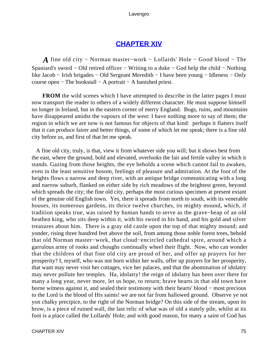# **[CHAPTER XIV](#page-494-0)**

*A* fine old city – Norman master–work – Lollards' Hole – Good blood – The Spaniard's sword − Old retired officer − Writing to a duke − God help the child − Nothing like Jacob − Irish brigades − Old Sergeant Meredith − I have been young − Idleness − Only course open − The bookstall − A portrait − A banished priest.

**FROM** the wild scenes which I have attempted to describe in the latter pages I must now transport the reader to others of a widely different character. He must suppose himself no longer in Ireland, but in the eastern corner of merry England. Bogs, ruins, and mountains have disappeared amidst the vapours of the west: I have nothing more to say of them; the region in which we are now is not famous for objects of that kind: perhaps it flatters itself that it can produce fairer and better things, of some of which let me speak; there is a fine old city before us, and first of that let me speak.

 A fine old city, truly, is that, view it from whatever side you will; but it shows best from the east, where the ground, bold and elevated, overlooks the fair and fertile valley in which it stands. Gazing from those heights, the eye beholds a scene which cannot fail to awaken, even in the least sensitive bosom, feelings of pleasure and admiration. At the foot of the heights flows a narrow and deep river, with an antique bridge communicating with a long and narrow suburb, flanked on either side by rich meadows of the brightest green, beyond which spreads the city; the fine old city, perhaps the most curious specimen at present extant of the genuine old English town. Yes, there it spreads from north to south, with its venerable houses, its numerous gardens, its thrice twelve churches, its mighty mound, which, if tradition speaks true, was raised by human hands to serve as the grave−heap of an old heathen king, who sits deep within it, with his sword in his hand, and his gold and silver treasures about him. There is a gray old castle upon the top of that mighty mound; and yonder, rising three hundred feet above the soil, from among those noble forest trees, behold that old Norman master−work, that cloud−encircled cathedral spire, around which a garrulous army of rooks and choughs continually wheel their flight. Now, who can wonder that the children of that fine old city are proud of her, and offer up prayers for her prosperity? I, myself, who was not born within her walls, offer up prayers for her prosperity, that want may never visit her cottages, vice her palaces, and that the abomination of idolatry may never pollute her temples. Ha, idolatry! the reign of idolatry has been over there for many a long year, never more, let us hope, to return; brave hearts in that old town have borne witness against it, and sealed their testimony with their hearts' blood − most precious to the Lord is the blood of His saints! we are not far from hallowed ground. Observe ye not yon chalky precipice, to the right of the Norman bridge? On this side of the stream, upon its brow, is a piece of ruined wall, the last relic of what was of old a stately pile, whilst at its foot is a place called the Lollards' Hole; and with good reason, for many a saint of God has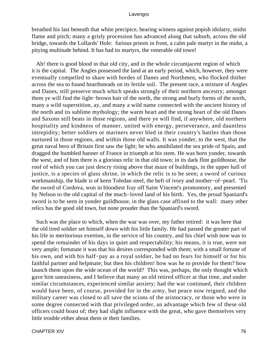breathed his last beneath that white precipice, bearing witness against popish idolatry, midst flame and pitch; many a grisly procession has advanced along that suburb, across the old bridge, towards the Lollards' Hole: furious priests in front, a calm pale martyr in the midst, a pitying multitude behind. It has had its martyrs, the venerable old town!

 Ah! there is good blood in that old city, and in the whole circumjacent region of which it is the capital. The Angles possessed the land at an early period, which, however, they were eventually compelled to share with hordes of Danes and Northmen, who flocked thither across the sea to found hearthsteads on its fertile soil. The present race, a mixture of Angles and Danes, still preserve much which speaks strongly of their northern ancestry; amongst them ye will find the light−brown hair of the north, the strong and burly forms of the north, many a wild superstition, ay, and many a wild name connected with the ancient history of the north and its sublime mythology; the warm heart and the strong heart of the old Danes and Saxons still beats in those regions, and there ye will find, if anywhere, old northern hospitality and kindness of manner, united with energy, perseverance, and dauntless intrepidity; better soldiers or mariners never bled in their country's battles than those nurtured in those regions, and within those old walls. It was yonder, to the west, that the great naval hero of Britain first saw the light; he who annihilated the sea pride of Spain, and dragged the humbled banner of France in triumph at his stem. He was born yonder, towards the west, and of him there is a glorious relic in that old town; in its dark flint guildhouse, the roof of which you can just descry rising above that maze of buildings, in the upper hall of justice, is a species of glass shrine, in which the relic is to be seen; a sword of curious workmanship, the blade is of keen Toledan steel, the heft of ivory and mother−of−pearl. 'Tis the sword of Cordova, won in bloodiest fray off Saint Vincent's promontory, and presented by Nelson to the old capital of the much−loved land of his birth. Yes, the proud Spaniard's sword is to be seen in yonder guildhouse, in the glass case affixed to the wall: many other relics has the good old town, but none prouder than the Spaniard's sword.

 Such was the place to which, when the war was over, my father retired: it was here that the old tired soldier set himself down with his little family. He had passed the greater part of his life in meritorious exertion, in the service of his country, and his chief wish now was to spend the remainder of his days in quiet and respectability; his means, it is true, were not very ample; fortunate it was that his desires corresponded with them; with a small fortune of his own, and with his half−pay as a royal soldier, he had no fears for himself or for his faithful partner and helpmate; but then his children! how was he to provide for them? how launch them upon the wide ocean of the world? This was, perhaps, the only thought which gave him uneasiness, and I believe that many an old retired officer at that time, and under similar circumstances, experienced similar anxiety; had the war continued, their children would have been, of course, provided for in the army, but peace now reigned, and the military career was closed to all save the scions of the aristocracy, or those who were in some degree connected with that privileged order, an advantage which few of these old officers could boast of; they had slight influence with the great, who gave themselves very little trouble either about them or their families.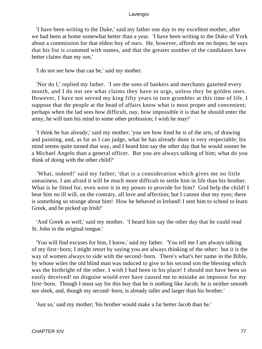'I have been writing to the Duke,' said my father one day to my excellent mother, after we had been at home somewhat better than a year. 'I have been writing to the Duke of York about a commission for that eldest boy of ours. He, however, affords me no hopes; he says that his list is crammed with names, and that the greater number of the candidates have better claims than my son.'

'I do not see how that can be,' said my mother.

 'Nor do I,' replied my father. 'I see the sons of bankers and merchants gazetted every month, and I do not see what claims they have to urge, unless they be golden ones. However, I have not served my king fifty years to turn grumbler at this time of life. I suppose that the people at the head of affairs know what is most proper and convenient; perhaps when the lad sees how difficult, nay, how impossible it is that he should enter the army, he will turn his mind to some other profession; I wish he may!'

 'I think he has already,' said my mother; 'you see how fond he is of the arts, of drawing and painting, and, as far as I can judge, what he has already done is very respectable; his mind seems quite turned that way, and I heard him say the other day that he would sooner be a Michael Angelo than a general officer. But you are always talking of him; what do you think of doing with the other child?'

 'What, indeed!' said my father; 'that is a consideration which gives me no little uneasiness. I am afraid it will be much more difficult to settle him in life than his brother. What is he fitted for, even were it in my power to provide for him? God help the child! I bear him no ill will, on the contrary, all love and affection; but I cannot shut my eyes; there is something so strange about him! How he behaved in Ireland! I sent him to school to learn Greek, and he picked up Irish!'

 'And Greek as well,' said my mother. 'I heard him say the other day that he could read St. John in the original tongue.'

 'You will find excuses for him, I know,' said my father. 'You tell me I am always talking of my first−born; I might retort by saying you are always thinking of the other: but it is the way of women always to side with the second−born. There's what's her name in the Bible, by whose wiles the old blind man was induced to give to his second son the blessing which was the birthright of the other. I wish I had been in his place! I should not have been so easily deceived! no disguise would ever have caused me to mistake an impostor for my first−born. Though I must say for this boy that he is nothing like Jacob; he is neither smooth nor sleek, and, though my second−born, is already taller and larger than his brother.'

'Just so,' said my mother; 'his brother would make a far better Jacob than he.'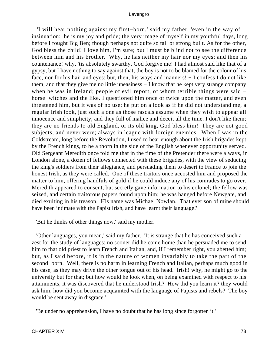'I will hear nothing against my first−born,' said my father, 'even in the way of insinuation: he is my joy and pride; the very image of myself in my youthful days, long before I fought Big Ben; though perhaps not quite so tall or strong built. As for the other, God bless the child! I love him, I'm sure; but I must be blind not to see the difference between him and his brother. Why, he has neither my hair nor my eyes; and then his countenance! why, 'tis absolutely swarthy, God forgive me! I had almost said like that of a gypsy, but I have nothing to say against that; the boy is not to be blamed for the colour of his face, nor for his hair and eyes; but, then, his ways and manners! − I confess I do not like them, and that they give me no little uneasiness − I know that he kept very strange company when he was in Ireland; people of evil report, of whom terrible things were said − horse−witches and the like. I questioned him once or twice upon the matter, and even threatened him, but it was of no use; he put on a look as if he did not understand me, a regular Irish look, just such a one as those rascals assume when they wish to appear all innocence and simplicity, and they full of malice and deceit all the time. I don't like them; they are no friends to old England, or its old king, God bless him! They are not good subjects, and never were; always in league with foreign enemies. When I was in the Coldstream, long before the Revolution, I used to hear enough about the Irish brigades kept by the French kings, to be a thorn in the side of the English whenever opportunity served. Old Sergeant Meredith once told me that in the time of the Pretender there were always, in London alone, a dozen of fellows connected with these brigades, with the view of seducing the king's soldiers from their allegiance, and persuading them to desert to France to join the honest Irish, as they were called. One of these traitors once accosted him and proposed the matter to him, offering handfuls of gold if he could induce any of his comrades to go over. Meredith appeared to consent, but secretly gave information to his colonel; the fellow was seized, and certain traitorous papers found upon him; he was hanged before Newgate, and died exulting in his treason. His name was Michael Nowlan. That ever son of mine should have been intimate with the Papist Irish, and have learnt their language!'

'But he thinks of other things now,' said my mother.

 'Other languages, you mean,' said my father. 'It is strange that he has conceived such a zest for the study of languages; no sooner did he come home than he persuaded me to send him to that old priest to learn French and Italian, and, if I remember right, you abetted him; but, as I said before, it is in the nature of women invariably to take the part of the second−born. Well, there is no harm in learning French and Italian, perhaps much good in his case, as they may drive the other tongue out of his head. Irish! why, he might go to the university but for that; but how would he look when, on being examined with respect to his attainments, it was discovered that he understood Irish? How did you learn it? they would ask him; how did you become acquainted with the language of Papists and rebels? The boy would be sent away in disgrace.'

'Be under no apprehension, I have no doubt that he has long since forgotten it.'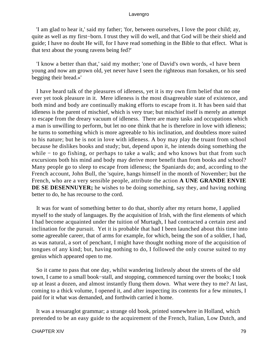'I am glad to hear it,' said my father; 'for, between ourselves, I love the poor child; ay, quite as well as my first−born. I trust they will do well, and that God will be their shield and guide; I have no doubt He will, for I have read something in the Bible to that effect. What is that text about the young ravens being fed?'

 'I know a better than that,' said my mother; 'one of David's own words, «I have been young and now am grown old, yet never have I seen the righteous man forsaken, or his seed begging their bread.»'

 I have heard talk of the pleasures of idleness, yet it is my own firm belief that no one ever yet took pleasure in it. Mere idleness is the most disagreeable state of existence, and both mind and body are continually making efforts to escape from it. It has been said that idleness is the parent of mischief, which is very true; but mischief itself is merely an attempt to escape from the dreary vacuum of idleness. There are many tasks and occupations which a man is unwilling to perform, but let no one think that he is therefore in love with idleness; he turns to something which is more agreeable to his inclination, and doubtless more suited to his nature; but he is not in love with idleness. A boy may play the truant from school because he dislikes books and study; but, depend upon it, he intends doing something the while − to go fishing, or perhaps to take a walk; and who knows but that from such excursions both his mind and body may derive more benefit than from books and school? Many people go to sleep to escape from idleness; the Spaniards do; and, according to the French account, John Bull, the 'squire, hangs himself in the month of November; but the French, who are a very sensible people, attribute the action **A UNE GRANDE ENVIE DE SE DESENNUYER;** he wishes to be doing something, say they, and having nothing better to do, he has recourse to the cord.

 It was for want of something better to do that, shortly after my return home, I applied myself to the study of languages. By the acquisition of Irish, with the first elements of which I had become acquainted under the tuition of Murtagh, I had contracted a certain zest and inclination for the pursuit. Yet it is probable that had I been launched about this time into some agreeable career, that of arms for example, for which, being the son of a soldier, I had, as was natural, a sort of penchant, I might have thought nothing more of the acquisition of tongues of any kind; but, having nothing to do, I followed the only course suited to my genius which appeared open to me.

 So it came to pass that one day, whilst wandering listlessly about the streets of the old town, I came to a small book−stall, and stopping, commenced turning over the books; I took up at least a dozen, and almost instantly flung them down. What were they to me? At last, coming to a thick volume, I opened it, and after inspecting its contents for a few minutes, I paid for it what was demanded, and forthwith carried it home.

 It was a tessaraglot grammar; a strange old book, printed somewhere in Holland, which pretended to be an easy guide to the acquirement of the French, Italian, Low Dutch, and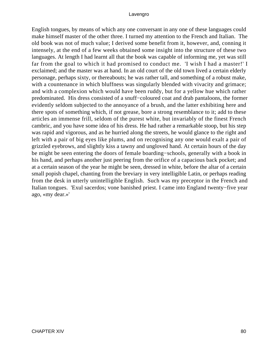English tongues, by means of which any one conversant in any one of these languages could make himself master of the other three. I turned my attention to the French and Italian. The old book was not of much value; I derived some benefit from it, however, and, conning it intensely, at the end of a few weeks obtained some insight into the structure of these two languages. At length I had learnt all that the book was capable of informing me, yet was still far from the goal to which it had promised to conduct me. 'I wish I had a master!' I exclaimed; and the master was at hand. In an old court of the old town lived a certain elderly personage, perhaps sixty, or thereabouts; he was rather tall, and something of a robust make, with a countenance in which bluffness was singularly blended with vivacity and grimace; and with a complexion which would have been ruddy, but for a yellow hue which rather predominated. His dress consisted of a snuff−coloured coat and drab pantaloons, the former evidently seldom subjected to the annoyance of a brush, and the latter exhibiting here and there spots of something which, if not grease, bore a strong resemblance to it; add to these articles an immense frill, seldom of the purest white, but invariably of the finest French cambric, and you have some idea of his dress. He had rather a remarkable stoop, but his step was rapid and vigorous, and as he hurried along the streets, he would glance to the right and left with a pair of big eyes like plums, and on recognising any one would exalt a pair of grizzled eyebrows, and slightly kiss a tawny and ungloved hand. At certain hours of the day be might be seen entering the doors of female boarding−schools, generally with a book in his hand, and perhaps another just peering from the orifice of a capacious back pocket; and at a certain season of the year he might be seen, dressed in white, before the altar of a certain small popish chapel, chanting from the breviary in very intelligible Latin, or perhaps reading from the desk in utterly unintelligible English. Such was my preceptor in the French and Italian tongues. 'Exul sacerdos; vone banished priest. I came into England twenty−five year ago, «my dear.»'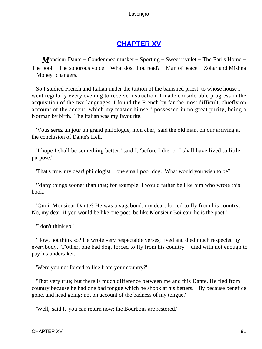# **[CHAPTER XV](#page-494-0)**

*M*onsieur Dante – Condemned musket – Sporting – Sweet rivulet – The Earl's Home – The pool – The sonorous voice – What dost thou read? – Man of peace – Zohar and Mishna − Money−changers.

 So I studied French and Italian under the tuition of the banished priest, to whose house I went regularly every evening to receive instruction. I made considerable progress in the acquisition of the two languages. I found the French by far the most difficult, chiefly on account of the accent, which my master himself possessed in no great purity, being a Norman by birth. The Italian was my favourite.

 'Vous serez un jour un grand philologue, mon cher,' said the old man, on our arriving at the conclusion of Dante's Hell.

 'I hope I shall be something better,' said I, 'before I die, or I shall have lived to little purpose.'

'That's true, my dear! philologist − one small poor dog. What would you wish to be?'

 'Many things sooner than that; for example, I would rather be like him who wrote this book.'

 'Quoi, Monsieur Dante? He was a vagabond, my dear, forced to fly from his country. No, my dear, if you would be like one poet, be like Monsieur Boileau; he is the poet.'

'I don't think so.'

 'How, not think so? He wrote very respectable verses; lived and died much respected by everybody. T'other, one bad dog, forced to fly from his country – died with not enough to pay his undertaker.'

'Were you not forced to flee from your country?'

 'That very true; but there is much difference between me and this Dante. He fled from country because he had one bad tongue which he shook at his betters. I fly because benefice gone, and head going; not on account of the badness of my tongue.'

'Well,' said I, 'you can return now; the Bourbons are restored.'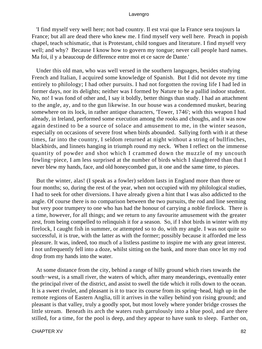'I find myself very well here; not bad country. Il est vrai que la France sera toujours la France; but all are dead there who knew me. I find myself very well here. Preach in popish chapel, teach schismatic, that is Protestant, child tongues and literature. I find myself very well; and why? Because I know how to govern my tongue; never call people hard names. Ma foi, il y a beaucoup de difference entre moi et ce sacre de Dante.'

 Under this old man, who was well versed in the southern languages, besides studying French and Italian, I acquired some knowledge of Spanish. But I did not devote my time entirely to philology; I had other pursuits. I had not forgotten the roving life I had led in former days, nor its delights; neither was I formed by Nature to be a pallid indoor student. No, no! I was fond of other and, I say it boldly, better things than study. I had an attachment to the angle, ay, and to the gun likewise. In our house was a condemned musket, bearing somewhere on its lock, in rather antique characters, 'Tower, 1746'; with this weapon I had already, in Ireland, performed some execution among the rooks and choughs, and it was now again destined to be a source of solace and amusement to me, in the winter season, especially on occasions of severe frost when birds abounded. Sallying forth with it at these times, far into the country, I seldom returned at night without a string of bullfinches, blackbirds, and linnets hanging in triumph round my neck. When I reflect on the immense quantity of powder and shot which I crammed down the muzzle of my uncouth fowling−piece, I am less surprised at the number of birds which I slaughtered than that I never blew my hands, face, and old honeycombed gun, it one and the same time, to pieces.

 But the winter, alas! (I speak as a fowler) seldom lasts in England more than three or four months; so, during the rest of the year, when not occupied with my philological studies, I had to seek for other diversions. I have already given a hint that I was also addicted to the angle. Of course there is no comparison between the two pursuits, the rod and line seeming but very poor trumpery to one who has had the honour of carrying a noble firelock. There is a time, however, for all things; and we return to any favourite amusement with the greater zest, from being compelled to relinquish it for a season. So, if I shot birds in winter with my firelock, I caught fish in summer, or attempted so to do, with my angle. I was not quite so successful, it is true, with the latter as with the former; possibly because it afforded me less pleasure. It was, indeed, too much of a listless pastime to inspire me with any great interest. I not unfrequently fell into a doze, whilst sitting on the bank, and more than once let my rod drop from my hands into the water.

 At some distance from the city, behind a range of hilly ground which rises towards the south−west, is a small river, the waters of which, after many meanderings, eventually enter the principal river of the district, and assist to swell the tide which it rolls down to the ocean. It is a sweet rivulet, and pleasant is it to trace its course from its spring−head, high up in the remote regions of Eastern Anglia, till it arrives in the valley behind yon rising ground; and pleasant is that valley, truly a goodly spot, but most lovely where yonder bridge crosses the little stream. Beneath its arch the waters rush garrulously into a blue pool, and are there stilled, for a time, for the pool is deep, and they appear to have sunk to sleep. Farther on,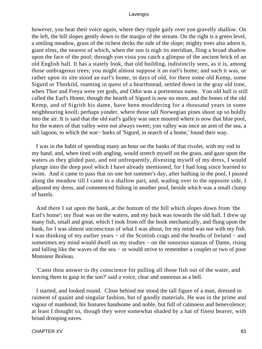however, you hear their voice again, where they ripple gaily over yon gravelly shallow. On the left, the hill slopes gently down to the margin of the stream. On the right is a green level, a smiling meadow, grass of the richest decks the side of the slope; mighty trees also adorn it, giant elms, the nearest of which, when the sun is nigh its meridian, fling a broad shadow upon the face of the pool; through yon vista you catch a glimpse of the ancient brick of an old English hall. It has a stately look, that old building, indistinctly seen, as it is, among those umbrageous trees; you might almost suppose it an earl's home; and such it was, or rather upon its site stood an earl's home, in days of old, for there some old Kemp, some Sigurd or Thorkild, roaming in quest of a hearthstead, settled down in the gray old time, when Thor and Freya were yet gods, and Odin was a portentous name. Yon old hall is still called the Earl's Home, though the hearth of Sigurd is now no more, and the bones of the old Kemp, and of Sigrith his dame, have been mouldering for a thousand years in some neighbouring knoll; perhaps yonder, where those tall Norwegian pines shoot up so boldly into the air. It is said that the old earl's galley was once moored where is now that blue pool, for the waters of that valley were not always sweet; yon valley was once an arm of the sea, a salt lagoon, to which the war− barks of 'Sigurd, in search of a home,' found their way.

 I was in the habit of spending many an hour on the banks of that rivulet, with my rod in my hand, and, when tired with angling, would stretch myself on the grass, and gaze upon the waters as they glided past, and not unfrequently, divesting myself of my dress, I would plunge into the deep pool which I have already mentioned, for I had long since learned to swim. And it came to pass that on one hot summer's day, after bathing in the pool, I passed along the meadow till I came to a shallow part, and, wading over to the opposite side, I adjusted my dress, and commenced fishing in another pool, beside which was a small clump of hazels.

 And there I sat upon the bank, at the bottom of the hill which slopes down from 'the Earl's home'; my float was on the waters, and my back was towards the old hall. I drew up many fish, small and great, which I took from off the hook mechanically, and flung upon the bank, for I was almost unconscious of what I was about, for my mind was not with my fish. I was thinking of my earlier years − of the Scottish crags and the heaths of Ireland − and sometimes my mind would dwell on my studies – on the sonorous stanzas of Dante, rising and falling like the waves of the sea − or would strive to remember a couplet or two of poor Monsieur Boileau.

 'Canst thou answer to thy conscience for pulling all those fish out of the water, and leaving them to gasp in the sun?' said a voice, clear and sonorous as a bell.

 I started, and looked round. Close behind me stood the tall figure of a man, dressed in raiment of quaint and singular fashion, but of goodly materials. He was in the prime and vigour of manhood; his features handsome and noble, but full of calmness and benevolence; at least I thought so, though they were somewhat shaded by a hat of finest beaver, with broad drooping eaves.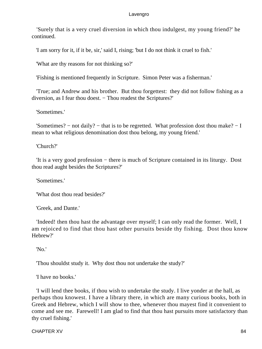'Surely that is a very cruel diversion in which thou indulgest, my young friend?' he continued.

'I am sorry for it, if it be, sir,' said I, rising; 'but I do not think it cruel to fish.'

'What are thy reasons for not thinking so?'

'Fishing is mentioned frequently in Scripture. Simon Peter was a fisherman.'

 'True; and Andrew and his brother. But thou forgettest: they did not follow fishing as a diversion, as I fear thou doest. − Thou readest the Scriptures?'

'Sometimes.'

 'Sometimes? − not daily? − that is to be regretted. What profession dost thou make? − I mean to what religious denomination dost thou belong, my young friend.'

'Church?'

 'It is a very good profession − there is much of Scripture contained in its liturgy. Dost thou read aught besides the Scriptures?'

'Sometimes.'

'What dost thou read besides?'

'Greek, and Dante.'

 'Indeed! then thou hast the advantage over myself; I can only read the former. Well, I am rejoiced to find that thou hast other pursuits beside thy fishing. Dost thou know Hebrew?'

'No.'

'Thou shouldst study it. Why dost thou not undertake the study?'

'I have no books.'

 'I will lend thee books, if thou wish to undertake the study. I live yonder at the hall, as perhaps thou knowest. I have a library there, in which are many curious books, both in Greek and Hebrew, which I will show to thee, whenever thou mayest find it convenient to come and see me. Farewell! I am glad to find that thou hast pursuits more satisfactory than thy cruel fishing.'

CHAPTER XV 84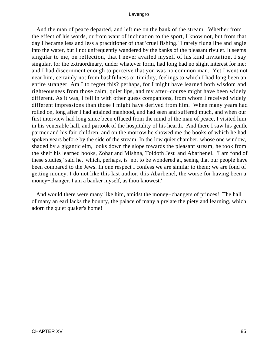And the man of peace departed, and left me on the bank of the stream. Whether from the effect of his words, or from want of inclination to the sport, I know not, but from that day I became less and less a practitioner of that 'cruel fishing.' I rarely flung line and angle into the water, but I not unfrequently wandered by the banks of the pleasant rivulet. It seems singular to me, on reflection, that I never availed myself of his kind invitation. I say singular, for the extraordinary, under whatever form, had long had no slight interest for me; and I had discernment enough to perceive that yon was no common man. Yet I went not near him, certainly not from bashfulness or timidity, feelings to which I had long been an entire stranger. Am I to regret this? perhaps, for I might have learned both wisdom and righteousness from those calm, quiet lips, and my after−course might have been widely different. As it was, I fell in with other guess companions, from whom I received widely different impressions than those I might have derived from him. When many years had rolled on, long after I had attained manhood, and had seen and suffered much, and when our first interview had long since been effaced from the mind of the man of peace, I visited him in his venerable hall, and partook of the hospitality of his hearth. And there I saw his gentle partner and his fair children, and on the morrow he showed me the books of which he had spoken years before by the side of the stream. In the low quiet chamber, whose one window, shaded by a gigantic elm, looks down the slope towards the pleasant stream, he took from the shelf his learned books, Zohar and Mishna, Toldoth Jesu and Abarbenel. 'I am fond of these studies,' said he, 'which, perhaps, is not to be wondered at, seeing that our people have been compared to the Jews. In one respect I confess we are similar to them; we are fond of getting money. I do not like this last author, this Abarbenel, the worse for having been a money−changer. I am a banker myself, as thou knowest.'

 And would there were many like him, amidst the money−changers of princes! The hall of many an earl lacks the bounty, the palace of many a prelate the piety and learning, which adorn the quiet quaker's home!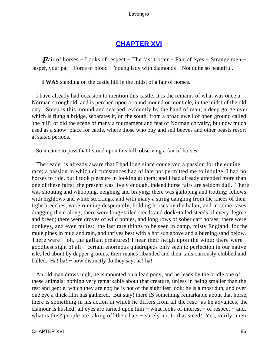# **[CHAPTER XVI](#page-494-0)**

*Fair* of horses – Looks of respect – The fast trotter – Pair of eyes – Strange men – Jasper, your pal − Force of blood − Young lady with diamonds − Not quite so beautiful.

**I WAS** standing on the castle hill in the midst of a fair of horses.

 I have already had occasion to mention this castle. It is the remains of what was once a Norman stronghold, and is perched upon a round mound or monticle, in the midst of the old city. Steep is this mound and scarped, evidently by the hand of man; a deep gorge over which is flung a bridge, separates it, on the south, from a broad swell of open ground called 'the hill'; of old the scene of many a tournament and feat of Norman chivalry, but now much used as a show−place for cattle, where those who buy and sell beeves and other beasts resort at stated periods.

So it came to pass that I stood upon this hill, observing a fair of horses.

 The reader is already aware that I had long since conceived a passion for the equine race; a passion in which circumstances had of late not permitted me to indulge. I had no horses to ride, but I took pleasure in looking at them; and I had already attended more than one of these fairs: the present was lively enough, indeed horse fairs are seldom dull. There was shouting and whooping, neighing and braying; there was galloping and trotting; fellows with highlows and white stockings, and with many a string dangling from the knees of their tight breeches, were running desperately, holding horses by the halter, and in some cases dragging them along; there were long−tailed steeds and dock−tailed steeds of every degree and breed; there were droves of wild ponies, and long rows of sober cart horses; there were donkeys, and even mules: the last rare things to be seen in damp, misty England, for the mule pines in mud and rain, and thrives best with a hot sun above and a burning sand below. There were – oh, the gallant creatures! I hear their neigh upon the wind; there were – goodliest sight of all – certain enormous quadrupeds only seen to perfection in our native isle, led about by dapper grooms, their manes ribanded and their tails curiously clubbed and balled. Ha! ha! – how distinctly do they say, ha! ha!

 An old man draws nigh, he is mounted on a lean pony, and he leads by the bridle one of these animals; nothing very remarkable about that creature, unless in being smaller than the rest and gentle, which they are not; he is not of the sightliest look; he is almost dun, and over one eye a thick film has gathered. But stay! there IS something remarkable about that horse, there is something in his action in which he differs from all the rest: as he advances, the clamour is hushed! all eyes are turned upon him − what looks of interest − of respect − and, what is this? people are taking off their hats – surely not to that steed! Yes, verily! men,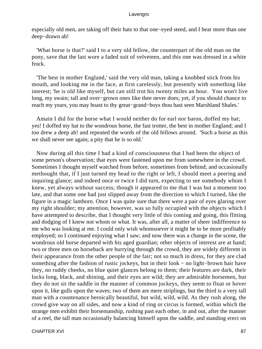especially old men, are taking off their hats to that one−eyed steed, and I hear more than one deep−drawn ah!

 'What horse is that?' said I to a very old fellow, the counterpart of the old man on the pony, save that the last wore a faded suit of velveteen, and this one was dressed in a white frock.

 'The best in mother England,' said the very old man, taking a knobbed stick from his mouth, and looking me in the face, at first carelessly, but presently with something like interest; 'he is old like myself, but can still trot his twenty miles an hour. You won't live long, my swain; tall and over−grown ones like thee never does; yet, if you should chance to reach my years, you may boast to thy great−grand−boys thou hast seen Marshland Shales.'

 Amain I did for the horse what I would neither do for earl nor baron, doffed my hat; yes! I doffed my hat to the wondrous horse, the fast trotter, the best in mother England; and I too drew a deep ah! and repeated the words of the old fellows around. 'Such a horse as this we shall never see again; a pity that he is so old.'

 Now during all this time I had a kind of consciousness that I had been the object of some person's observation; that eyes were fastened upon me from somewhere in the crowd. Sometimes I thought myself watched from before, sometimes from behind; and occasionally methought that, if I just turned my head to the right or left, I should meet a peering and inquiring glance; and indeed once or twice I did turn, expecting to see somebody whom I knew, yet always without success; though it appeared to me that I was but a moment too late, and that some one had just slipped away from the direction to which I turned, like the figure in a magic lanthorn. Once I was quite sure that there were a pair of eyes glaring over my right shoulder; my attention, however, was so fully occupied with the objects which I have attempted to describe, that I thought very little of this coming and going, this flitting and dodging of I knew not whom or what. It was, after all, a matter of sheer indifference to me who was looking at me. I could only wish whomsoever it might be to be more profitably employed; so I continued enjoying what I saw; and now there was a change in the scene, the wondrous old horse departed with his aged guardian; other objects of interest are at hand; two or three men on horseback are hurrying through the crowd, they are widely different in their appearance from the other people of the fair; not so much in dress, for they are clad something after the fashion of rustic jockeys, but in their look – no light–brown hair have they, no ruddy cheeks, no blue quiet glances belong to them; their features are dark, their locks long, black, and shining, and their eyes are wild; they are admirable horsemen, but they do not sit the saddle in the manner of common jockeys, they seem to float or hover upon it, like gulls upon the waves; two of them are mere striplings, but the third is a very tall man with a countenance heroically beautiful, but wild, wild, wild. As they rush along, the crowd give way on all sides, and now a kind of ring or circus is formed, within which the strange men exhibit their horsemanship, rushing past each other, in and out, after the manner of a reel, the tall man occasionally balancing himself upon the saddle, and standing erect on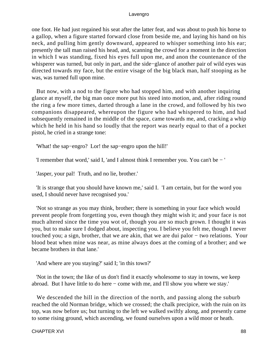one foot. He had just regained his seat after the latter feat, and was about to push his horse to a gallop, when a figure started forward close from beside me, and laying his hand on his neck, and pulling him gently downward, appeared to whisper something into his ear; presently the tall man raised his head, and, scanning the crowd for a moment in the direction in which I was standing, fixed his eyes full upon me, and anon the countenance of the whisperer was turned, but only in part, and the side−glance of another pair of wild eyes was directed towards my face, but the entire visage of the big black man, half stooping as he was, was turned full upon mine.

 But now, with a nod to the figure who had stopped him, and with another inquiring glance at myself, the big man once more put his steed into motion, and, after riding round the ring a few more times, darted through a lane in the crowd, and followed by his two companions disappeared, whereupon the figure who had whispered to him, and had subsequently remained in the middle of the space, came towards me, and, cracking a whip which he held in his hand so loudly that the report was nearly equal to that of a pocket pistol, he cried in a strange tone:

'What! the sap−engro? Lor! the sap−engro upon the hill!'

'I remember that word,' said I, 'and I almost think I remember you. You can't be − '

'Jasper, your pal! Truth, and no lie, brother.'

 'It is strange that you should have known me,' said I. 'I am certain, but for the word you used, I should never have recognised you.'

 'Not so strange as you may think, brother; there is something in your face which would prevent people from forgetting you, even though they might wish it; and your face is not much altered since the time you wot of, though you are so much grown. I thought it was you, but to make sure I dodged about, inspecting you. I believe you felt me, though I never touched you; a sign, brother, that we are akin, that we are dui palor − two relations. Your blood beat when mine was near, as mine always does at the coming of a brother; and we became brothers in that lane.'

'And where are you staying?' said I; 'in this town?'

 'Not in the town; the like of us don't find it exactly wholesome to stay in towns, we keep abroad. But I have little to do here − come with me, and I'll show you where we stay.'

 We descended the hill in the direction of the north, and passing along the suburb reached the old Norman bridge, which we crossed; the chalk precipice, with the ruin on its top, was now before us; but turning to the left we walked swiftly along, and presently came to some rising ground, which ascending, we found ourselves upon a wild moor or heath.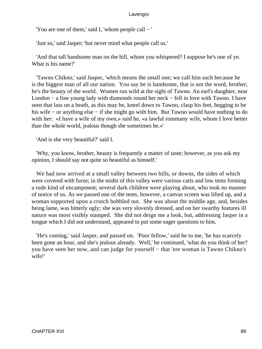'You are one of them,' said I, 'whom people call − '

'Just so,' said Jasper; 'but never mind what people call us.'

 'And that tall handsome man on the hill, whom you whispered? I suppose he's one of ye. What is his name?'

 'Tawno Chikno,' said Jasper, 'which means the small one; we call him such because he is the biggest man of all our nation. You say he is handsome, that is not the word, brother; he's the beauty of the world. Women run wild at the sight of Tawno. An earl's daughter, near London − a fine young lady with diamonds round her neck − fell in love with Tawno. I have seen that lass on a heath, as this may be, kneel down to Tawno, clasp his feet, begging to be his wife − or anything else − if she might go with him. But Tawno would have nothing to do with her: «I have a wife of my own,» said he, «a lawful rommany wife, whom I love better than the whole world, jealous though she sometimes be.»'

'And is she very beautiful?' said I.

 'Why, you know, brother, beauty is frequently a matter of taste; however, as you ask my opinion, I should say not quite so beautiful as himself.'

 We had now arrived at a small valley between two hills, or downs, the sides of which were covered with furze; in the midst of this valley were various carts and low tents forming a rude kind of encampment; several dark children were playing about, who took no manner of notice of us. As we passed one of the tents, however, a canvas screen was lifted up, and a woman supported upon a crutch hobbled out. She was about the middle age, and, besides being lame, was bitterly ugly; she was very slovenly dressed, and on her swarthy features ill nature was most visibly stamped. She did not deign me a look, but, addressing Jasper in a tongue which I did not understand, appeared to put some eager questions to him.

 'He's coming,' said Jasper, and passed on. 'Poor fellow,' said he to me, 'he has scarcely been gone an hour, and she's jealous already. Well,' he continued, 'what do you think of her? you have seen her now, and can judge for yourself − that 'ere woman is Tawno Chikno's wife!'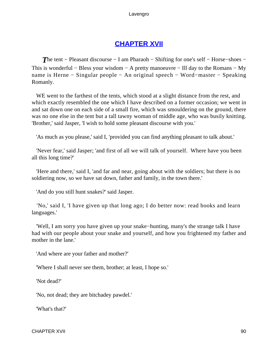# **[CHAPTER XVII](#page-494-0)**

**The tent − Pleasant discourse − I am Pharaoh − Shifting for one's self − Horse–shoes −** This is wonderful − Bless your wisdom − A pretty manoeuvre − Ill day to the Romans − My name is Herne − Singular people − An original speech − Word−master − Speaking Romanly.

WE went to the farthest of the tents, which stood at a slight distance from the rest, and which exactly resembled the one which I have described on a former occasion; we went in and sat down one on each side of a small fire, which was smouldering on the ground, there was no one else in the tent but a tall tawny woman of middle age, who was busily knitting. 'Brother,' said Jasper, 'I wish to hold some pleasant discourse with you.'

'As much as you please,' said I, 'provided you can find anything pleasant to talk about.'

 'Never fear,' said Jasper; 'and first of all we will talk of yourself. Where have you been all this long time?'

 'Here and there,' said I, 'and far and near, going about with the soldiers; but there is no soldiering now, so we have sat down, father and family, in the town there.'

'And do you still hunt snakes?' said Jasper.

 'No,' said I, 'I have given up that long ago; I do better now: read books and learn languages.'

 'Well, I am sorry you have given up your snake−hunting, many's the strange talk I have had with our people about your snake and yourself, and how you frightened my father and mother in the lane.'

'And where are your father and mother?'

'Where I shall never see them, brother; at least, I hope so.'

'Not dead?'

'No, not dead; they are bitchadey pawdel.'

'What's that?'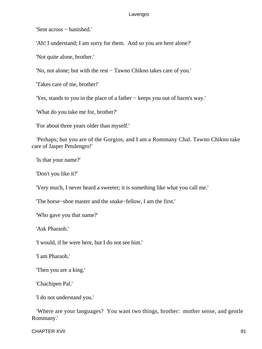'Sent across − banished.'

'Ah! I understand; I am sorry for them. And so you are here alone?'

'Not quite alone, brother.'

'No, not alone; but with the rest − Tawno Chikno takes care of you.'

'Takes care of me, brother!'

'Yes, stands to you in the place of a father − keeps you out of harm's way.'

'What do you take me for, brother?'

'For about three years older than myself.'

 'Perhaps; but you are of the Gorgios, and I am a Rommany Chal. Tawno Chikno take care of Jasper Petulengro!'

'Is that your name?'

'Don't you like it?'

'Very much, I never heard a sweeter; it is something like what you call me.'

'The horse−shoe master and the snake−fellow, I am the first.'

'Who gave you that name?'

'Ask Pharaoh.'

'I would, if he were here, but I do not see him.'

'I am Pharaoh.'

'Then you are a king.'

'Chachipen Pal.'

'I do not understand you.'

 'Where are your languages? You want two things, brother: mother sense, and gentle Rommany.'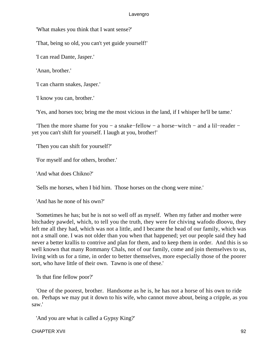'What makes you think that I want sense?'

'That, being so old, you can't yet guide yourself!'

'I can read Dante, Jasper.'

'Anan, brother.'

'I can charm snakes, Jasper.'

'I know you can, brother.'

'Yes, and horses too; bring me the most vicious in the land, if I whisper he'll be tame.'

 'Then the more shame for you − a snake−fellow − a horse−witch − and a lil−reader − yet you can't shift for yourself. I laugh at you, brother!'

'Then you can shift for yourself?'

'For myself and for others, brother.'

'And what does Chikno?'

'Sells me horses, when I bid him. Those horses on the chong were mine.'

'And has he none of his own?'

 'Sometimes he has; but he is not so well off as myself. When my father and mother were bitchadey pawdel, which, to tell you the truth, they were for chiving wafodo dloovu, they left me all they had, which was not a little, and I became the head of our family, which was not a small one. I was not older than you when that happened; yet our people said they had never a better krallis to contrive and plan for them, and to keep them in order. And this is so well known that many Rommany Chals, not of our family, come and join themselves to us, living with us for a time, in order to better themselves, more especially those of the poorer sort, who have little of their own. Tawno is one of these.'

'Is that fine fellow poor?'

 'One of the poorest, brother. Handsome as he is, he has not a horse of his own to ride on. Perhaps we may put it down to his wife, who cannot move about, being a cripple, as you saw.'

'And you are what is called a Gypsy King?'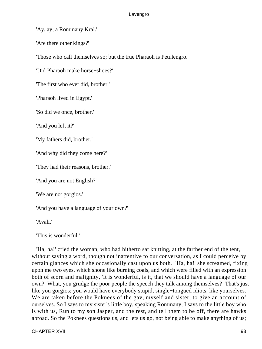'Ay, ay; a Rommany Kral.'

'Are there other kings?'

'Those who call themselves so; but the true Pharaoh is Petulengro.'

'Did Pharaoh make horse−shoes?'

'The first who ever did, brother.'

'Pharaoh lived in Egypt.'

'So did we once, brother.'

'And you left it?'

'My fathers did, brother.'

'And why did they come here?'

'They had their reasons, brother.'

'And you are not English?'

'We are not gorgios.'

'And you have a language of your own?'

'Avali.'

'This is wonderful.'

 'Ha, ha!' cried the woman, who had hitherto sat knitting, at the farther end of the tent, without saying a word, though not inattentive to our conversation, as I could perceive by certain glances which she occasionally cast upon us both. 'Ha, ha!' she screamed, fixing upon me two eyes, which shone like burning coals, and which were filled with an expression both of scorn and malignity, 'It is wonderful, is it, that we should have a language of our own? What, you grudge the poor people the speech they talk among themselves? That's just like you gorgios; you would have everybody stupid, single−tongued idiots, like yourselves. We are taken before the Poknees of the gav, myself and sister, to give an account of ourselves. So I says to my sister's little boy, speaking Rommany, I says to the little boy who is with us, Run to my son Jasper, and the rest, and tell them to be off, there are hawks abroad. So the Poknees questions us, and lets us go, not being able to make anything of us;

CHAPTER XVII 93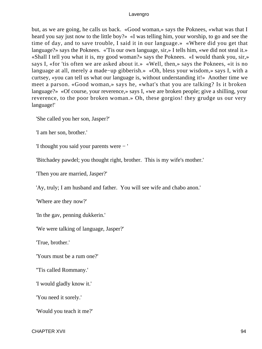but, as we are going, he calls us back. «Good woman,» says the Poknees, «what was that I heard you say just now to the little boy?» «I was telling him, your worship, to go and see the time of day, and to save trouble, I said it in our language.» «Where did you get that language?» says the Poknees. «'Tis our own language, sir,» I tells him, «we did not steal it.» «Shall I tell you what it is, my good woman?» says the Poknees. «I would thank you, sir,» says I, «for 'tis often we are asked about it.» «Well, then,» says the Poknees, «it is no language at all, merely a made−up gibberish.» «Oh, bless your wisdom,» says I, with a curtsey, «you can tell us what our language is, without understanding it!» Another time we meet a parson. «Good woman,» says he, «what's that you are talking? Is it broken language?» «Of course, your reverence,» says I, «we are broken people; give a shilling, your reverence, to the poor broken woman.» Oh, these gorgios! they grudge us our very language!'

'She called you her son, Jasper?'

'I am her son, brother.'

'I thought you said your parents were − '

'Bitchadey pawdel; you thought right, brother. This is my wife's mother.'

'Then you are married, Jasper?'

'Ay, truly; I am husband and father. You will see wife and chabo anon.'

'Where are they now?'

'In the gav, penning dukkerin.'

'We were talking of language, Jasper?'

'True, brother.'

'Yours must be a rum one?'

''Tis called Rommany.'

'I would gladly know it.'

'You need it sorely.'

'Would you teach it me?'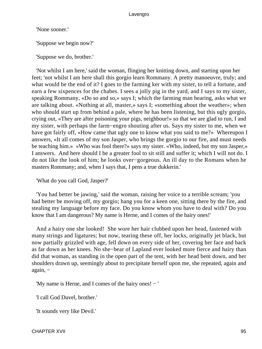'None sooner.'

'Suppose we begin now?'

'Suppose we do, brother.'

 'Not whilst I am here,' said the woman, flinging her knitting down, and starting upon her feet; 'not whilst I am here shall this gorgio learn Rommany. A pretty manoeuvre, truly; and what would be the end of it? I goes to the farming ker with my sister, to tell a fortune, and earn a few sixpences for the chabes. I sees a jolly pig in the yard, and I says to my sister, speaking Rommany, «Do so and so,» says I; which the farming man hearing, asks what we are talking about. «Nothing at all, master,» says I; «something about the weather»; when who should start up from behind a pale, where he has been listening, but this ugly gorgio, crying out, «They are after poisoning your pigs, neighbour!» so that we are glad to run, I and my sister, with perhaps the farm−engro shouting after us. Says my sister to me, when we have got fairly off, «How came that ugly one to know what you said to me?» Whereupon I answers, «It all comes of my son Jasper, who brings the gorgio to our fire, and must needs be teaching him.» «Who was fool there?» says my sister. «Who, indeed, but my son Jasper,» I answers. And here should I be a greater fool to sit still and suffer it; which I will not do. I do not like the look of him; he looks over−gorgeous. An ill day to the Romans when he masters Rommany; and, when I says that, I pens a true dukkerin.'

'What do you call God, Jasper?'

 'You had better be jawing,' said the woman, raising her voice to a terrible scream; 'you had better be moving off, my gorgio; hang you for a keen one, sitting there by the fire, and stealing my language before my face. Do you know whom you have to deal with? Do you know that I am dangerous? My name is Herne, and I comes of the hairy ones!'

 And a hairy one she looked! She wore her hair clubbed upon her head, fastened with many strings and ligatures; but now, tearing these off, her locks, originally jet black, but now partially grizzled with age, fell down on every side of her, covering her face and back as far down as her knees. No she−bear of Lapland ever looked more fierce and hairy than did that woman, as standing in the open part of the tent, with her head bent down, and her shoulders drawn up, seemingly about to precipitate herself upon me, she repeated, again and again, −

'My name is Herne, and I comes of the hairy ones! − '

'I call God Duvel, brother.'

'It sounds very like Devil.'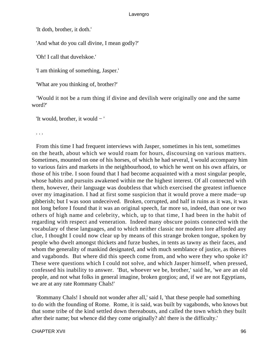'It doth, brother, it doth.'

'And what do you call divine, I mean godly?'

'Oh! I call that duvelskoe.'

'I am thinking of something, Jasper.'

'What are you thinking of, brother?'

 'Would it not be a rum thing if divine and devilish were originally one and the same word?'

'It would, brother, it would − '

. . .

 From this time I had frequent interviews with Jasper, sometimes in his tent, sometimes on the heath, about which we would roam for hours, discoursing on various matters. Sometimes, mounted on one of his horses, of which he had several, I would accompany him to various fairs and markets in the neighbourhood, to which he went on his own affairs, or those of his tribe. I soon found that I had become acquainted with a most singular people, whose habits and pursuits awakened within me the highest interest. Of all connected with them, however, their language was doubtless that which exercised the greatest influence over my imagination. I had at first some suspicion that it would prove a mere made−up gibberish; but I was soon undeceived. Broken, corrupted, and half in ruins as it was, it was not long before I found that it was an original speech, far more so, indeed, than one or two others of high name and celebrity, which, up to that time, I had been in the habit of regarding with respect and veneration. Indeed many obscure points connected with the vocabulary of these languages, and to which neither classic nor modern lore afforded any clue, I thought I could now clear up by means of this strange broken tongue, spoken by people who dwelt amongst thickets and furze bushes, in tents as tawny as their faces, and whom the generality of mankind designated, and with much semblance of justice, as thieves and vagabonds. But where did this speech come from, and who were they who spoke it? These were questions which I could not solve, and which Jasper himself, when pressed, confessed his inability to answer. 'But, whoever we be, brother,' said he, 'we are an old people, and not what folks in general imagine, broken gorgios; and, if we are not Egyptians, we are at any rate Rommany Chals!'

 'Rommany Chals! I should not wonder after all,' said I, 'that these people had something to do with the founding of Rome. Rome, it is said, was built by vagabonds, who knows but that some tribe of the kind settled down thereabouts, and called the town which they built after their name; but whence did they come originally? ah! there is the difficulty.'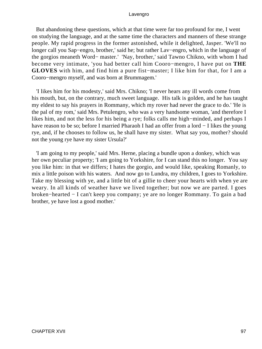But abandoning these questions, which at that time were far too profound for me, I went on studying the language, and at the same time the characters and manners of these strange people. My rapid progress in the former astonished, while it delighted, Jasper. 'We'll no longer call you Sap−engro, brother,' said he; but rather Lav−engro, which in the language of the gorgios meaneth Word− master.' 'Nay, brother,' said Tawno Chikno, with whom I had become very intimate, 'you had better call him Cooro−mengro, I have put on **THE GLOVES** with him, and find him a pure fist−master; I like him for that, for I am a Cooro−mengro myself, and was born at Brummagem.'

 'I likes him for his modesty,' said Mrs. Chikno; 'I never hears any ill words come from his mouth, but, on the contrary, much sweet language. His talk is golden, and he has taught my eldest to say his prayers in Rommany, which my rover had never the grace to do.' 'He is the pal of my rom,' said Mrs. Petulengro, who was a very handsome woman, 'and therefore I likes him, and not the less for his being a rye; folks calls me high−minded, and perhaps I have reason to be so; before I married Pharaoh I had an offer from a lord − I likes the young rye, and, if he chooses to follow us, he shall have my sister. What say you, mother? should not the young rye have my sister Ursula?'

 'I am going to my people,' said Mrs. Herne, placing a bundle upon a donkey, which was her own peculiar property; 'I am going to Yorkshire, for I can stand this no longer. You say you like him: in that we differs; I hates the gorgio, and would like, speaking Romanly, to mix a little poison with his waters. And now go to Lundra, my children, I goes to Yorkshire. Take my blessing with ye, and a little bit of a gillie to cheer your hearts with when ye are weary. In all kinds of weather have we lived together; but now we are parted. I goes broken−hearted − I can't keep you company; ye are no longer Rommany. To gain a bad brother, ye have lost a good mother.'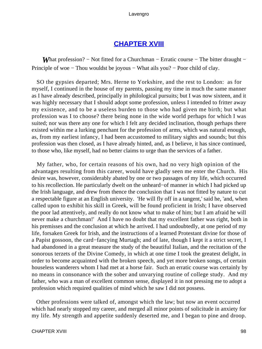# **[CHAPTER XVIII](#page-494-0)**

*What profession?* – Not fitted for a Churchman – Erratic course – The bitter draught – Principle of woe − Thou wouldst be joyous − What ails you? − Poor child of clay.

 SO the gypsies departed; Mrs. Herne to Yorkshire, and the rest to London: as for myself, I continued in the house of my parents, passing my time in much the same manner as I have already described, principally in philological pursuits; but I was now sixteen, and it was highly necessary that I should adopt some profession, unless I intended to fritter away my existence, and to be a useless burden to those who had given me birth; but what profession was I to choose? there being none in the wide world perhaps for which I was suited; nor was there any one for which I felt any decided inclination, though perhaps there existed within me a lurking penchant for the profession of arms, which was natural enough, as, from my earliest infancy, I had been accustomed to military sights and sounds; but this profession was then closed, as I have already hinted, and, as I believe, it has since continued, to those who, like myself, had no better claims to urge than the services of a father.

 My father, who, for certain reasons of his own, had no very high opinion of the advantages resulting from this career, would have gladly seen me enter the Church. His desire was, however, considerably abated by one or two passages of my life, which occurred to his recollection. He particularly dwelt on the unheard−of manner in which I had picked up the Irish language, and drew from thence the conclusion that I was not fitted by nature to cut a respectable figure at an English university. 'He will fly off in a tangent,' said he, 'and, when called upon to exhibit his skill in Greek, will be found proficient in Irish; I have observed the poor lad attentively, and really do not know what to make of him; but I am afraid he will never make a churchman!' And I have no doubt that my excellent father was right, both in his premisses and the conclusion at which he arrived. I had undoubtedly, at one period of my life, forsaken Greek for Irish, and the instructions of a learned Protestant divine for those of a Papist gossoon, the card−fancying Murtagh; and of late, though I kept it a strict secret, I had abandoned in a great measure the study of the beautiful Italian, and the recitation of the sonorous terzets of the Divine Comedy, in which at one time I took the greatest delight, in order to become acquainted with the broken speech, and yet more broken songs, of certain houseless wanderers whom I had met at a horse fair. Such an erratic course was certainly by no means in consonance with the sober and unvarying routine of college study. And my father, who was a man of excellent common sense, displayed it in not pressing me to adopt a profession which required qualities of mind which he saw I did not possess.

 Other professions were talked of, amongst which the law; but now an event occurred which had nearly stopped my career, and merged all minor points of solicitude in anxiety for my life. My strength and appetite suddenly deserted me, and I began to pine and droop.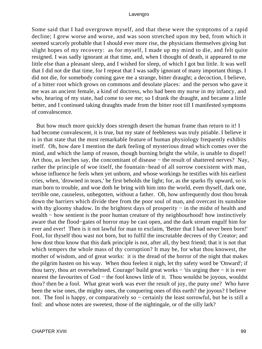Some said that I had overgrown myself, and that these were the symptoms of a rapid decline; I grew worse and worse, and was soon stretched upon my bed, from which it seemed scarcely probable that I should ever more rise, the physicians themselves giving but slight hopes of my recovery: as for myself, I made up my mind to die, and felt quite resigned. I was sadly ignorant at that time, and, when I thought of death, it appeared to me little else than a pleasant sleep, and I wished for sleep, of which I got but little. It was well that I did not die that time, for I repeat that I was sadly ignorant of many important things. I did not die, for somebody coming gave me a strange, bitter draught; a decoction, I believe, of a bitter root which grows on commons and desolate places: and the person who gave it me was an ancient female, a kind of doctress, who had been my nurse in my infancy, and who, hearing of my state, had come to see me; so I drank the draught, and became a little better, and I continued taking draughts made from the bitter root till I manifested symptoms of convalescence.

 But how much more quickly does strength desert the human frame than return to it! I had become convalescent, it is true, but my state of feebleness was truly pitiable. I believe it is in that state that the most remarkable feature of human physiology frequently exhibits itself. Oh, how dare I mention the dark feeling of mysterious dread which comes over the mind, and which the lamp of reason, though burning bright the while, is unable to dispel! Art thou, as leeches say, the concomitant of disease − the result of shattered nerves? Nay, rather the principle of woe itself, the fountain−head of all sorrow coexistent with man, whose influence he feels when yet unborn, and whose workings he testifies with his earliest cries, when, 'drowned in tears,' he first beholds the light; for, as the sparks fly upward, so is man born to trouble, and woe doth he bring with him into the world, even thyself, dark one, terrible one, causeless, unbegotten, without a father. Oh, how unfrequently dost thou break down the barriers which divide thee from the poor soul of man, and overcast its sunshine with thy gloomy shadow. In the brightest days of prosperity – in the midst of health and wealth – how sentient is the poor human creature of thy neighbourhood! how instinctively aware that the flood−gates of horror may be cast open, and the dark stream engulf him for ever and ever! Then is it not lawful for man to exclaim, 'Better that I had never been born!' Fool, for thyself thou wast not born, but to fulfil the inscrutable decrees of thy Creator; and how dost thou know that this dark principle is not, after all, thy best friend; that it is not that which tempers the whole mass of thy corruption? It may be, for what thou knowest, the mother of wisdom, and of great works: it is the dread of the horror of the night that makes the pilgrim hasten on his way. When thou feelest it nigh, let thy safety word be 'Onward'; if thou tarry, thou art overwhelmed. Courage! build great works − 'tis urging thee − it is ever nearest the favourites of God – the fool knows little of it. Thou wouldst be joyous, wouldst thou? then be a fool. What great work was ever the result of joy, the puny one? Who have been the wise ones, the mighty ones, the conquering ones of this earth? the joyous? I believe not. The fool is happy, or comparatively so – certainly the least sorrowful, but he is still a fool: and whose notes are sweetest, those of the nightingale, or of the silly lark?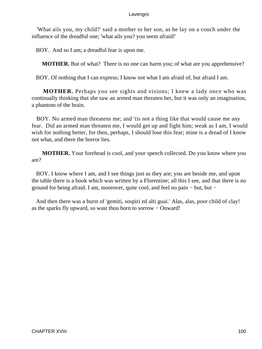'What ails you, my child?' said a mother to her son, as he lay on a couch under the influence of the dreadful one; 'what ails you? you seem afraid!'

BOY. And so I am; a dreadful fear is upon me.

**MOTHER.** But of what? There is no one can harm you; of what are you apprehensive?

BOY. Of nothing that I can express; I know not what I am afraid of, but afraid I am.

**MOTHER.** Perhaps you see sights and visions; I knew a lady once who was continually thinking that she saw an armed man threaten her, but it was only an imagination, a phantom of the brain.

 BOY. No armed man threatens me; and 'tis not a thing like that would cause me any fear. Did an armed man threaten me, I would get up and fight him; weak as I am, I would wish for nothing better, for then, perhaps, I should lose this fear; mine is a dread of I know not what, and there the horror lies.

**MOTHER.** Your forehead is cool, and your speech collected. Do you know where you are?

 BOY. I know where I am, and I see things just as they are; you are beside me, and upon the table there is a book which was written by a Florentine; all this I see, and that there is no ground for being afraid. I am, moreover, quite cool, and feel no pain − but, but −

 And then there was a burst of 'gemiti, sospiri ed alti guai.' Alas, alas, poor child of clay! as the sparks fly upward, so wast thou born to sorrow − Onward!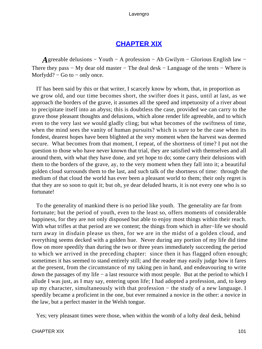# **[CHAPTER XIX](#page-494-0)**

*A*greeable delusions − Youth − A profession − Ab Gwilym − Glorious English law − There they pass – My dear old master – The deal desk – Language of the tents – Where is Morfydd? − Go to − only once.

 IT has been said by this or that writer, I scarcely know by whom, that, in proportion as we grow old, and our time becomes short, the swifter does it pass, until at last, as we approach the borders of the grave, it assumes all the speed and impetuosity of a river about to precipitate itself into an abyss; this is doubtless the case, provided we can carry to the grave those pleasant thoughts and delusions, which alone render life agreeable, and to which even to the very last we would gladly cling; but what becomes of the swiftness of time, when the mind sees the vanity of human pursuits? which is sure to be the case when its fondest, dearest hopes have been blighted at the very moment when the harvest was deemed secure. What becomes from that moment, I repeat, of the shortness of time? I put not the question to those who have never known that trial, they are satisfied with themselves and all around them, with what they have done, and yet hope to do; some carry their delusions with them to the borders of the grave, ay, to the very moment when they fall into it; a beautiful golden cloud surrounds them to the last, and such talk of the shortness of time: through the medium of that cloud the world has ever been a pleasant world to them; their only regret is that they are so soon to quit it; but oh, ye dear deluded hearts, it is not every one who is so fortunate!

 To the generality of mankind there is no period like youth. The generality are far from fortunate; but the period of youth, even to the least so, offers moments of considerable happiness, for they are not only disposed but able to enjoy most things within their reach. With what trifles at that period are we content; the things from which in after−life we should turn away in disdain please us then, for we are in the midst of a golden cloud, and everything seems decked with a golden hue. Never during any portion of my life did time flow on more speedily than during the two or three years immediately succeeding the period to which we arrived in the preceding chapter: since then it has flagged often enough; sometimes it has seemed to stand entirely still; and the reader may easily judge how it fares at the present, from the circumstance of my taking pen in hand, and endeavouring to write down the passages of my life − a last resource with most people. But at the period to which I allude I was just, as I may say, entering upon life; I had adopted a profession, and, to keep up my character, simultaneously with that profession − the study of a new language. I speedily became a proficient in the one, but ever remained a novice in the other: a novice in the law, but a perfect master in the Welsh tongue.

Yes; very pleasant times were those, when within the womb of a lofty deal desk, behind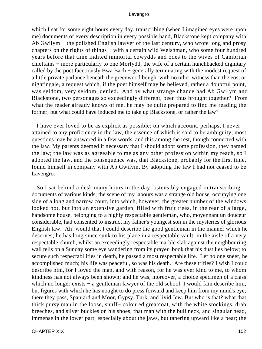which I sat for some eight hours every day, transcribing (when I imagined eyes were upon me) documents of every description in every possible hand, Blackstone kept company with Ab Gwilym − the polished English lawyer of the last century, who wrote long and prosy chapters on the rights of things − with a certain wild Welshman, who some four hundred years before that time indited immortal cowydds and odes to the wives of Cambrian chieftains − more particularly to one Morfydd, the wife of a certain hunchbacked dignitary called by the poet facetiously Bwa Bach − generally terminating with the modest request of a little private parlance beneath the greenwood bough, with no other witness than the eos, or nightingale, a request which, if the poet himself may be believed, rather a doubtful point, was seldom, very seldom, denied. And by what strange chance had Ab Gwilym and Blackstone, two personages so exceedingly different, been thus brought together? From what the reader already knows of me, he may be quite prepared to find me reading the former; but what could have induced me to take up Blackstone, or rather the law?

 I have ever loved to be as explicit as possible; on which account, perhaps, I never attained to any proficiency in the law, the essence of which is said to be ambiguity; most questions may be answered in a few words, and this among the rest, though connected with the law. My parents deemed it necessary that I should adopt some profession, they named the law; the law was as agreeable to me as any other profession within my reach, so I adopted the law, and the consequence was, that Blackstone, probably for the first time, found himself in company with Ab Gwilym. By adopting the law I had not ceased to be Lavengro.

 So I sat behind a desk many hours in the day, ostensibly engaged in transcribing documents of various kinds; the scene of my labours was a strange old house, occupying one side of a long and narrow court, into which, however, the greater number of the windows looked not, but into an extensive garden, filled with fruit trees, in the rear of a large, handsome house, belonging to a highly respectable gentleman, who, moyennant un douceur considerable, had consented to instruct my father's youngest son in the mysteries of glorious English law. Ah! would that I could describe the good gentleman in the manner which he deserves; he has long since sunk to his place in a respectable vault, in the aisle of a very respectable church, whilst an exceedingly respectable marble slab against the neighbouring wall tells on a Sunday some eye wandering from its prayer−book that his dust lies below; to secure such respectabilities in death, he passed a most respectable life. Let no one sneer, he accomplished much; his life was peaceful, so was his death. Are these trifles? I wish I could describe him, for I loved the man, and with reason, for he was ever kind to me, to whom kindness has not always been shown; and he was, moreover, a choice specimen of a class which no longer exists − a gentleman lawyer of the old school. I would fain describe him, but figures with which he has nought to do press forward and keep him from my mind's eye; there they pass, Spaniard and Moor, Gypsy, Turk, and livid Jew. But who is that? what that thick pursy man in the loose, snuff− coloured greatcoat, with the white stockings, drab breeches, and silver buckles on his shoes; that man with the bull neck, and singular head, immense in the lower part, especially about the jaws, but tapering upward like a pear; the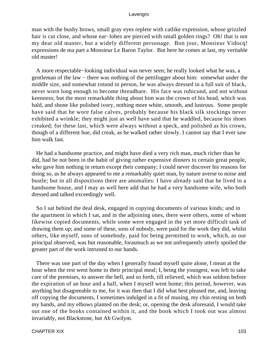man with the bushy brows, small gray eyes replete with catlike expression, whose grizzled hair is cut close, and whose ear−lobes are pierced with small golden rings? Oh! that is not my dear old master, but a widely different personage. Bon jour, Monsieur Vidocq! expressions de ma part a Monsieur Le Baron Taylor. But here he comes at last, my veritable old master!

 A more respectable−looking individual was never seen; he really looked what he was, a gentleman of the law – there was nothing of the pettifogger about him: somewhat under the middle size, and somewhat rotund in person, he was always dressed in a full suit of black, never worn long enough to become threadbare. His face was rubicund, and not without keenness; but the most remarkable thing about him was the crown of his head, which was bald, and shone like polished ivory, nothing more white, smooth, and lustrous. Some people have said that he wore false calves, probably because his black silk stockings never exhibited a wrinkle; they might just as well have said that he waddled, because his shoes creaked; for these last, which were always without a speck, and polished as his crown, though of a different hue, did creak, as he walked rather slowly. I cannot say that I ever saw him walk fast.

 He had a handsome practice, and might have died a very rich man, much richer than he did, had he not been in the habit of giving rather expensive dinners to certain great people, who gave him nothing in return except their company; I could never discover his reasons for doing so, as he always appeared to me a remarkably quiet man, by nature averse to noise and bustle; but in all dispositions there are anomalies: I have already said that he lived in a handsome house, and I may as well here add that he had a very handsome wife, who both dressed and talked exceedingly well.

 So I sat behind the deal desk, engaged in copying documents of various kinds; and in the apartment in which I sat, and in the adjoining ones, there were others, some of whom likewise copied documents, while some were engaged in the yet more difficult task of drawing them up; and some of these, sons of nobody, were paid for the work they did, whilst others, like myself, sons of somebody, paid for being permitted to work, which, as our principal observed, was but reasonable, forasmuch as we not unfrequently utterly spoiled the greater part of the work intrusted to our hands.

 There was one part of the day when I generally found myself quite alone, I mean at the hour when the rest went home to their principal meal; I, being the youngest, was left to take care of the premises, to answer the bell, and so forth, till relieved, which was seldom before the expiration of an hour and a half, when I myself went home; this period, however, was anything but disagreeable to me, for it was then that I did what best pleased me, and, leaving off copying the documents, I sometimes indulged in a fit of musing, my chin resting on both my hands, and my elbows planted on the desk; or, opening the desk aforesaid, I would take out one of the books contained within it, and the book which I took out was almost invariably, not Blackstone, but Ab Gwilym.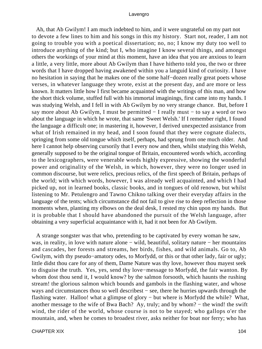Ah, that Ab Gwilym! I am much indebted to him, and it were ungrateful on my part not to devote a few lines to him and his songs in this my history. Start not, reader, I am not going to trouble you with a poetical dissertation; no, no; I know my duty too well to introduce anything of the kind; but I, who imagine I know several things, and amongst others the workings of your mind at this moment, have an idea that you are anxious to learn a little, a very little, more about Ab Gwilym than I have hitherto told you, the two or three words that I have dropped having awakened within you a languid kind of curiosity. I have no hesitation in saying that he makes one of the some half−dozen really great poets whose verses, in whatever language they wrote, exist at the present day, and are more or less known. It matters little how I first became acquainted with the writings of this man, and how the short thick volume, stuffed full with his immortal imaginings, first came into my hands. I was studying Welsh, and I fell in with Ab Gwilym by no very strange chance. But, before I say more about Ab Gwilym, I must be permitted − I really must − to say a word or two about the language in which he wrote, that same 'Sweet Welsh.' If I remember right, I found the language a difficult one; in mastering it, however, I derived unexpected assistance from what of Irish remained in my head, and I soon found that they were cognate dialects, springing from some old tongue which itself, perhaps, had sprung from one much older. And here I cannot help observing cursorily that I every now and then, whilst studying this Welsh, generally supposed to be the original tongue of Britain, encountered words which, according to the lexicographers, were venerable words highly expressive, showing the wonderful power and originality of the Welsh, in which, however, they were no longer used in common discourse, but were relics, precious relics, of the first speech of Britain, perhaps of the world; with which words, however, I was already well acquainted, and which I had picked up, not in learned books, classic books, and in tongues of old renown, but whilst listening to Mr. Petulengro and Tawno Chikno talking over their everyday affairs in the language of the tents; which circumstance did not fail to give rise to deep reflection in those moments when, planting my elbows on the deal desk, I rested my chin upon my hands. But it is probable that I should have abandoned the pursuit of the Welsh language, after obtaining a very superficial acquaintance with it, had it not been for Ab Gwilym.

 A strange songster was that who, pretending to be captivated by every woman he saw, was, in reality, in love with nature alone – wild, beautiful, solitary nature – her mountains and cascades, her forests and streams, her birds, fishes, and wild animals. Go to, Ab Gwilym, with thy pseudo−amatory odes, to Morfydd, or this or that other lady, fair or ugly; little didst thou care for any of them, Dame Nature was thy love, however thou mayest seek to disguise the truth. Yes, yes, send thy love−message to Morfydd, the fair wanton. By whom dost thou send it, I would know? by the salmon forsooth, which haunts the rushing stream! the glorious salmon which bounds and gambols in the flashing water, and whose ways and circumstances thou so well describest − see, there he hurries upwards through the flashing water. Halloo! what a glimpse of glory − but where is Morfydd the while? What, another message to the wife of Bwa Bach? Ay, truly; and by whom? − the wind! the swift wind, the rider of the world, whose course is not to be stayed; who gallops o'er the mountain, and, when he comes to broadest river, asks neither for boat nor ferry; who has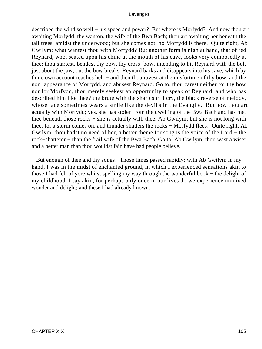described the wind so well – his speed and power? But where is Morfydd? And now thou art awaiting Morfydd, the wanton, the wife of the Bwa Bach; thou art awaiting her beneath the tall trees, amidst the underwood; but she comes not; no Morfydd is there. Quite right, Ab Gwilym; what wantest thou with Morfydd? But another form is nigh at hand, that of red Reynard, who, seated upon his chine at the mouth of his cave, looks very composedly at thee; thou startest, bendest thy bow, thy cross−bow, intending to hit Reynard with the bolt just about the jaw; but the bow breaks, Reynard barks and disappears into his cave, which by thine own account reaches hell − and then thou ravest at the misfortune of thy bow, and the non−appearance of Morfydd, and abusest Reynard. Go to, thou carest neither for thy bow nor for Morfydd, thou merely seekest an opportunity to speak of Reynard; and who has described him like thee? the brute with the sharp shrill cry, the black reverse of melody, whose face sometimes wears a smile like the devil's in the Evangile. But now thou art actually with Morfydd; yes, she has stolen from the dwelling of the Bwa Bach and has met thee beneath those rocks − she is actually with thee, Ab Gwilym; but she is not long with thee, for a storm comes on, and thunder shatters the rocks − Morfydd flees! Quite right, Ab Gwilym; thou hadst no need of her, a better theme for song is the voice of the Lord − the rock−shatterer − than the frail wife of the Bwa Bach. Go to, Ab Gwilym, thou wast a wiser and a better man than thou wouldst fain have had people believe.

 But enough of thee and thy songs! Those times passed rapidly; with Ab Gwilym in my hand, I was in the midst of enchanted ground, in which I experienced sensations akin to those I had felt of yore whilst spelling my way through the wonderful book − the delight of my childhood. I say akin, for perhaps only once in our lives do we experience unmixed wonder and delight; and these I had already known.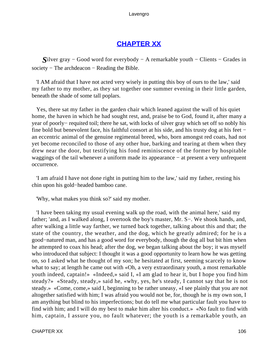# **[CHAPTER XX](#page-495-0)**

*S*ilver gray – Good word for everybody – A remarkable youth – Clients – Grades in society – The archdeacon – Reading the Bible.

 'I AM afraid that I have not acted very wisely in putting this boy of ours to the law,' said my father to my mother, as they sat together one summer evening in their little garden, beneath the shade of some tall poplars.

 Yes, there sat my father in the garden chair which leaned against the wall of his quiet home, the haven in which he had sought rest, and, praise be to God, found it, after many a year of poorly− requited toil; there he sat, with locks of silver gray which set off so nobly his fine bold but benevolent face, his faithful consort at his side, and his trusty dog at his feet − an eccentric animal of the genuine regimental breed, who, born amongst red coats, had not yet become reconciled to those of any other hue, barking and tearing at them when they drew near the door, but testifying his fond reminiscence of the former by hospitable waggings of the tail whenever a uniform made its appearance − at present a very unfrequent occurrence.

 'I am afraid I have not done right in putting him to the law,' said my father, resting his chin upon his gold−headed bamboo cane.

'Why, what makes you think so?' said my mother.

 'I have been taking my usual evening walk up the road, with the animal here,' said my father; 'and, as I walked along, I overtook the boy's master, Mr. S−. We shook hands, and, after walking a little way farther, we turned back together, talking about this and that; the state of the country, the weather, and the dog, which he greatly admired; for he is a good−natured man, and has a good word for everybody, though the dog all but bit him when he attempted to coax his head; after the dog, we began talking about the boy; it was myself who introduced that subject: I thought it was a good opportunity to learn how he was getting on, so I asked what he thought of my son; he hesitated at first, seeming scarcely to know what to say; at length he came out with «Oh, a very extraordinary youth, a most remarkable youth indeed, captain!» «Indeed,» said I, «I am glad to hear it, but I hope you find him steady?» «Steady, steady,» said he, «why, yes, he's steady, I cannot say that he is not steady.» «Come, come,» said I, beginning to be rather uneasy, «I see plainly that you are not altogether satisfied with him; I was afraid you would not be, for, though he is my own son, I am anything but blind to his imperfections; but do tell me what particular fault you have to find with him; and I will do my best to make him alter his conduct.» «No fault to find with him, captain, I assure you, no fault whatever; the youth is a remarkable youth, an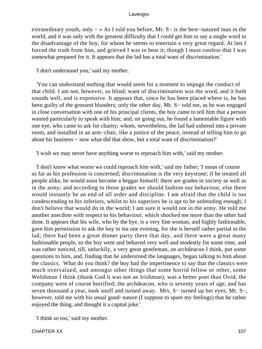extraordinary youth, only − » As I told you before, Mr. S− is the best−natured man in the world, and it was only with the greatest difficulty that I could get him to say a single word to the disadvantage of the boy, for whom he seems to entertain a very great regard. At last I forced the truth from him, and grieved I was to hear it; though I must confess that I was somewhat prepared for it. It appears that the lad has a total want of discrimination.'

'I don't understand you,' said my mother.

 'You can understand nothing that would seem for a moment to impugn the conduct of that child. I am not, however, so blind; want of discrimination was the word, and it both sounds well, and is expressive. It appears that, since he has been placed where is, he has been guilty of the grossest blunders; only the other day, Mr. S− told me, as he was engaged in close conversation with one of his principal clients, the boy came to tell him that a person wanted particularly to speak with him; and, on going out, he found a lamentable figure with one eye, who came to ask for charity; whom, nevertheless, the lad had ushered into a private room, and installed in an arm−chair, like a justice of the peace, instead of telling him to go about his business − now what did that show, but a total want of discrimination?'

'I wish we may never have anything worse to reproach him with,' said my mother.

 'I don't know what worse we could reproach him with,' said my father; 'I mean of course as far as his profession is concerned; discrimination is the very keystone; if he treated all people alike, he would soon become a beggar himself; there are grades in society as well as in the army; and according to those grades we should fashion our behaviour, else there would instantly be an end of all order and discipline. I am afraid that the child is too condescending to his inferiors, whilst to his superiors he is apt to be unbending enough; I don't believe that would do in the world; I am sure it would not in the army. He told me another anecdote with respect to his behaviour, which shocked me more than the other had done. It appears that his wife, who by the bye, is a very fine woman, and highly fashionable, gave him permission to ask the boy to tea one evening, for she is herself rather partial to the lad; there had been a great dinner party there that day, and there were a great many fashionable people, so the boy went and behaved very well and modestly for some time, and was rather noticed, till, unluckily, a very great gentleman, an archdeacon I think, put some questions to him, and, finding that he understood the languages, began talking to him about the classics. What do you think? the boy had the impertinence to say that the classics were much overvalued, and amongst other things that some horrid fellow or other, some Welshman I think (thank God it was not an Irishman), was a better poet than Ovid; the company were of course horrified; the archdeacon, who is seventy years of age, and has seven thousand a year, took snuff and turned away. Mrs. S− turned up her eyes, Mr. S−, however, told me with his usual good−nature (I suppose to spare my feelings) that he rather enjoyed the thing, and thought it a capital joke.'

'I think so too,' said my mother.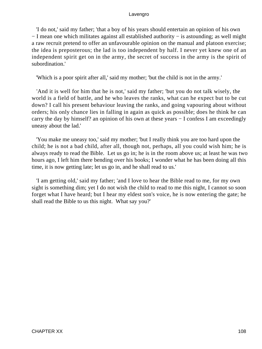'I do not,' said my father; 'that a boy of his years should entertain an opinion of his own − I mean one which militates against all established authority − is astounding; as well might a raw recruit pretend to offer an unfavourable opinion on the manual and platoon exercise; the idea is preposterous; the lad is too independent by half. I never yet knew one of an independent spirit get on in the army, the secret of success in the army is the spirit of subordination.'

'Which is a poor spirit after all,' said my mother; 'but the child is not in the army.'

 'And it is well for him that he is not,' said my father; 'but you do not talk wisely, the world is a field of battle, and he who leaves the ranks, what can he expect but to be cut down? I call his present behaviour leaving the ranks, and going vapouring about without orders; his only chance lies in falling in again as quick as possible; does he think he can carry the day by himself? an opinion of his own at these years − I confess I am exceedingly uneasy about the lad.'

 'You make me uneasy too,' said my mother; 'but I really think you are too hard upon the child; he is not a bad child, after all, though not, perhaps, all you could wish him; he is always ready to read the Bible. Let us go in; he is in the room above us; at least he was two hours ago, I left him there bending over his books; I wonder what he has been doing all this time, it is now getting late; let us go in, and he shall read to us.'

 'I am getting old,' said my father; 'and I love to hear the Bible read to me, for my own sight is something dim; yet I do not wish the child to read to me this night, I cannot so soon forget what I have heard; but I hear my eldest son's voice, he is now entering the gate; he shall read the Bible to us this night. What say you?'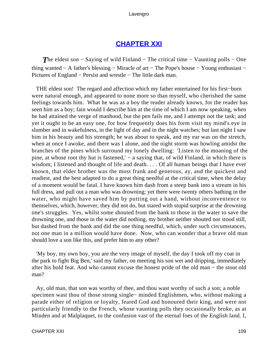# **[CHAPTER XXI](#page-495-0)**

*The eldest son – Saying of wild Finland – The critical time – Vaunting polls – One* thing wanted − A father's blessing − Miracle of art − The Pope's house − Young enthusiast − Pictures of England − Persist and wrestle − The little dark man.

 THE eldest son! The regard and affection which my father entertained for his first−born were natural enough, and appeared to none more so than myself, who cherished the same feelings towards him. What he was as a boy the reader already knows, for the reader has seen him as a boy; fain would I describe him at the time of which I am now speaking, when he had attained the verge of manhood, but the pen fails me, and I attempt not the task; and yet it ought to be an easy one, for how frequently does his form visit my mind's eye in slumber and in wakefulness, in the light of day and in the night watches; but last night I saw him in his beauty and his strength; he was about to speak, and my ear was on the stretch, when at once I awoke, and there was I alone, and the night storm was howling amidst the branches of the pines which surround my lonely dwelling: 'Listen to the moaning of the pine, at whose root thy hut is fastened,' – a saying that, of wild Finland, in which there is wisdom; I listened and thought of life and death. . . . Of all human beings that I have ever known, that elder brother was the most frank and generous, ay, and the quickest and readiest, and the best adapted to do a great thing needful at the critical time, when the delay of a moment would be fatal. I have known him dash from a steep bank into a stream in his full dress, and pull out a man who was drowning; yet there were twenty others bathing in the water, who might have saved him by putting out a hand, without inconvenience to themselves, which, however, they did not do, but stared with stupid surprise at the drowning one's struggles. Yes, whilst some shouted from the bank to those in the water to save the drowning one, and those in the water did nothing, my brother neither shouted nor stood still, but dashed from the bank and did the one thing needful, which, under such circumstances, not one man in a million would have done. Now, who can wonder that a brave old man should love a son like this, and prefer him to any other?

 'My boy, my own boy, you are the very image of myself, the day I took off my coat in the park to fight Big Ben,' said my father, on meeting his son wet and dripping, immediately after his bold feat. And who cannot excuse the honest pride of the old man − the stout old man?

 Ay, old man, that son was worthy of thee, and thou wast worthy of such a son; a noble specimen wast thou of those strong single− minded Englishmen, who, without making a parade either of religion or loyalty, feared God and honoured their king, and were not particularly friendly to the French, whose vaunting polls they occasionally broke, as at Minden and at Malplaquet, to the confusion vast of the eternal foes of the English land. I,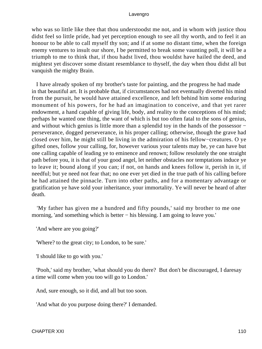who was so little like thee that thou understoodst me not, and in whom with justice thou didst feel so little pride, had yet perception enough to see all thy worth, and to feel it an honour to be able to call myself thy son; and if at some no distant time, when the foreign enemy ventures to insult our shore, I be permitted to break some vaunting poll, it will be a triumph to me to think that, if thou hadst lived, thou wouldst have hailed the deed, and mightest yet discover some distant resemblance to thyself, the day when thou didst all but vanquish the mighty Brain.

 I have already spoken of my brother's taste for painting, and the progress he had made in that beautiful art. It is probable that, if circumstances had not eventually diverted his mind from the pursuit, he would have attained excellence, and left behind him some enduring monument of his powers, for he had an imagination to conceive, and that yet rarer endowment, a hand capable of giving life, body, and reality to the conceptions of his mind; perhaps he wanted one thing, the want of which is but too often fatal to the sons of genius, and without which genius is little more than a splendid toy in the hands of the possessor − perseverance, dogged perseverance, in his proper calling; otherwise, though the grave had closed over him, he might still be living in the admiration of his fellow−creatures. O ye gifted ones, follow your calling, for, however various your talents may be, ye can have but one calling capable of leading ye to eminence and renown; follow resolutely the one straight path before you, it is that of your good angel, let neither obstacles nor temptations induce ye to leave it; bound along if you can; if not, on hands and knees follow it, perish in it, if needful; but ye need not fear that; no one ever yet died in the true path of his calling before he had attained the pinnacle. Turn into other paths, and for a momentary advantage or gratification ye have sold your inheritance, your immortality. Ye will never be heard of after death.

 'My father has given me a hundred and fifty pounds,' said my brother to me one morning, 'and something which is better − his blessing. I am going to leave you.'

'And where are you going?'

'Where? to the great city; to London, to be sure.'

'I should like to go with you.'

 'Pooh,' said my brother, 'what should you do there? But don't be discouraged, I daresay a time will come when you too will go to London.'

And, sure enough, so it did, and all but too soon.

'And what do you purpose doing there?' I demanded.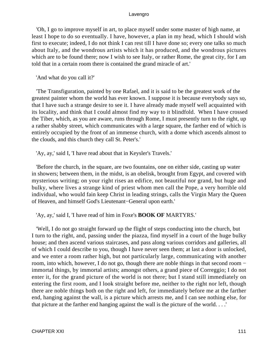'Oh, I go to improve myself in art, to place myself under some master of high name, at least I hope to do so eventually. I have, however, a plan in my head, which I should wish first to execute; indeed, I do not think I can rest till I have done so; every one talks so much about Italy, and the wondrous artists which it has produced, and the wondrous pictures which are to be found there; now I wish to see Italy, or rather Rome, the great city, for I am told that in a certain room there is contained the grand miracle of art.'

'And what do you call it?'

 'The Transfiguration, painted by one Rafael, and it is said to be the greatest work of the greatest painter whom the world has ever known. I suppose it is because everybody says so, that I have such a strange desire to see it. I have already made myself well acquainted with its locality, and think that I could almost find my way to it blindfold. When I have crossed the Tiber, which, as you are aware, runs through Rome, I must presently turn to the right, up a rather shabby street, which communicates with a large square, the farther end of which is entirely occupied by the front of an immense church, with a dome which ascends almost to the clouds, and this church they call St. Peter's.'

'Ay, ay,' said I, 'I have read about that in Keysler's Travels.'

 'Before the church, in the square, are two fountains, one on either side, casting up water in showers; between them, in the midst, is an obelisk, brought from Egypt, and covered with mysterious writing; on your right rises an edifice, not beautiful nor grand, but huge and bulky, where lives a strange kind of priest whom men call the Pope, a very horrible old individual, who would fain keep Christ in leading strings, calls the Virgin Mary the Queen of Heaven, and himself God's Lieutenant−General upon earth.'

'Ay, ay,' said I, 'I have read of him in Foxe's **BOOK OF** MARTYRS.'

 'Well, I do not go straight forward up the flight of steps conducting into the church, but I turn to the right, and, passing under the piazza, find myself in a court of the huge bulky house; and then ascend various staircases, and pass along various corridors and galleries, all of which I could describe to you, though I have never seen them; at last a door is unlocked, and we enter a room rather high, but not particularly large, communicating with another room, into which, however, I do not go, though there are noble things in that second room − immortal things, by immortal artists; amongst others, a grand piece of Correggio; I do not enter it, for the grand picture of the world is not there; but I stand still immediately on entering the first room, and I look straight before me, neither to the right nor left, though there are noble things both on the right and left, for immediately before me at the farther end, hanging against the wall, is a picture which arrests me, and I can see nothing else, for that picture at the farther end hanging against the wall is the picture of the world. . . .'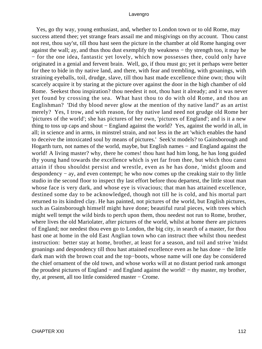Yes, go thy way, young enthusiast, and, whether to London town or to old Rome, may success attend thee; yet strange fears assail me and misgivings on thy account. Thou canst not rest, thou say'st, till thou hast seen the picture in the chamber at old Rome hanging over against the wall; ay, and thus thou dust exemplify thy weakness − thy strength too, it may be − for the one idea, fantastic yet lovely, which now possesses thee, could only have originated in a genial and fervent brain. Well, go, if thou must go; yet it perhaps were better for thee to bide in thy native land, and there, with fear and trembling, with groanings, with straining eyeballs, toil, drudge, slave, till thou hast made excellence thine own; thou wilt scarcely acquire it by staring at the picture over against the door in the high chamber of old Rome. Seekest thou inspiration? thou needest it not, thou hast it already; and it was never yet found by crossing the sea. What hast thou to do with old Rome, and thou an Englishman? 'Did thy blood never glow at the mention of thy native land?' as an artist merely? Yes, I trow, and with reason, for thy native land need not grudge old Rome her 'pictures of the world'; she has pictures of her own, 'pictures of England'; and is it a new thing to toss up caps and shout − England against the world? Yes, against the world in all, in all; in science and in arms, in minstrel strain, and not less in the art 'which enables the hand to deceive the intoxicated soul by means of pictures.' Seek'st models? to Gainsborough and Hogarth turn, not names of the world, maybe, but English names − and England against the world! A living master? why, there he comes! thou hast had him long, he has long guided thy young hand towards the excellence which is yet far from thee, but which thou canst attain if thou shouldst persist and wrestle, even as he has done, 'midst gloom and despondency − ay, and even contempt; he who now comes up the creaking stair to thy little studio in the second floor to inspect thy last effort before thou departest, the little stout man whose face is very dark, and whose eye is vivacious; that man has attained excellence, destined some day to be acknowledged, though not till he is cold, and his mortal part returned to its kindred clay. He has painted, not pictures of the world, but English pictures, such as Gainsborough himself might have done; beautiful rural pieces, with trees which might well tempt the wild birds to perch upon them, thou needest not run to Rome, brother, where lives the old Mariolater, after pictures of the world, whilst at home there are pictures of England; nor needest thou even go to London, the big city, in search of a master, for thou hast one at home in the old East Anglian town who can instruct thee whilst thou needest instruction: better stay at home, brother, at least for a season, and toil and strive 'midst groanings and despondency till thou hast attained excellence even as he has done − the little dark man with the brown coat and the top−boots, whose name will one day be considered the chief ornament of the old town, and whose works will at no distant period rank amongst the proudest pictures of England − and England against the world! − thy master, my brother, thy, at present, all too little considered master − Crome.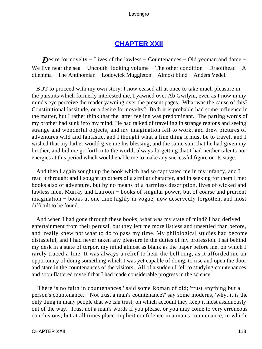# **[CHAPTER XXII](#page-495-0)**

*Desire for novelty − Lives of the lawless – Countenances – Old yeoman and dame –* We live near the sea – Uncouth–looking volume – The other condition – Draoitheac – A dilemma − The Antinomian − Lodowick Muggleton − Almost blind − Anders Vedel.

 BUT to proceed with my own story: I now ceased all at once to take much pleasure in the pursuits which formerly interested me, I yawned over Ab Gwilym, even as I now in my mind's eye perceive the reader yawning over the present pages. What was the cause of this? Constitutional lassitude, or a desire for novelty? Both it is probable had some influence in the matter, but I rather think that the latter feeling was predominant. The parting words of my brother had sunk into my mind. He had talked of travelling in strange regions and seeing strange and wonderful objects, and my imagination fell to work, and drew pictures of adventures wild and fantastic, and I thought what a fine thing it must be to travel, and I wished that my father would give me his blessing, and the same sum that he had given my brother, and bid me go forth into the world; always forgetting that I had neither talents nor energies at this period which would enable me to make any successful figure on its stage.

 And then I again sought up the book which had so captivated me in my infancy, and I read it through; and I sought up others of a similar character, and in seeking for them I met books also of adventure, but by no means of a harmless description, lives of wicked and lawless men, Murray and Latroon − books of singular power, but of coarse and prurient imagination − books at one time highly in vogue; now deservedly forgotten, and most difficult to be found.

 And when I had gone through these books, what was my state of mind? I had derived entertainment from their perusal, but they left me more listless and unsettled than before, and really knew not what to do to pass my time. My philological studies had become distasteful, and I had never taken any pleasure in the duties of my profession. I sat behind my desk in a state of torpor, my mind almost as blank as the paper before me, on which I rarely traced a line. It was always a relief to hear the bell ring, as it afforded me an opportunity of doing something which I was yet capable of doing, to rise and open the door and stare in the countenances of the visitors. All of a sudden I fell to studying countenances, and soon flattered myself that I had made considerable progress in the science.

 'There is no faith in countenances,' said some Roman of old; 'trust anything but a person's countenance.' 'Not trust a man's countenance?' say some moderns, 'why, it is the only thing in many people that we can trust; on which account they keep it most assiduously out of the way. Trust not a man's words if you please, or you may come to very erroneous conclusions; but at all times place implicit confidence in a man's countenance, in which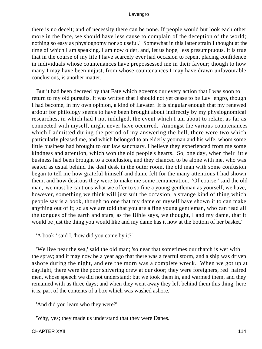there is no deceit; and of necessity there can be none. If people would but look each other more in the face, we should have less cause to complain of the deception of the world; nothing so easy as physiognomy nor so useful.' Somewhat in this latter strain I thought at the time of which I am speaking. I am now older, and, let us hope, less presumptuous. It is true that in the course of my life I have scarcely ever had occasion to repent placing confidence in individuals whose countenances have prepossessed me in their favour; though to how many I may have been unjust, from whose countenances I may have drawn unfavourable conclusions, is another matter.

 But it had been decreed by that Fate which governs our every action that I was soon to return to my old pursuits. It was written that I should not yet cease to be Lav−engro, though I had become, in my own opinion, a kind of Lavater. It is singular enough that my renewed ardour for philology seems to have been brought about indirectly by my physiognomical researches, in which had I not indulged, the event which I am about to relate, as far as connected with myself, might never have occurred. Amongst the various countenances which I admitted during the period of my answering the bell, there were two which particularly pleased me, and which belonged to an elderly yeoman and his wife, whom some little business had brought to our law sanctuary. I believe they experienced from me some kindness and attention, which won the old people's hearts. So, one day, when their little business had been brought to a conclusion, and they chanced to be alone with me, who was seated as usual behind the deal desk in the outer room, the old man with some confusion began to tell me how grateful himself and dame felt for the many attentions I had shown them, and how desirous they were to make me some remuneration. 'Of course,' said the old man, 'we must be cautious what we offer to so fine a young gentleman as yourself; we have, however, something we think will just suit the occasion, a strange kind of thing which people say is a book, though no one that my dame or myself have shown it to can make anything out of it; so as we are told that you are a fine young gentleman, who can read all the tongues of the earth and stars, as the Bible says, we thought, I and my dame, that it would be just the thing you would like and my dame has it now at the bottom of her basket.'

'A book!' said I, 'how did you come by it?'

 'We live near the sea,' said the old man; 'so near that sometimes our thatch is wet with the spray; and it may now be a year ago that there was a fearful storm, and a ship was driven ashore during the night, and ere the morn was a complete wreck. When we got up at daylight, there were the poor shivering crew at our door; they were foreigners, red−haired men, whose speech we did not understand; but we took them in, and warmed them, and they remained with us three days; and when they went away they left behind them this thing, here it is, part of the contents of a box which was washed ashore.'

'And did you learn who they were?'

'Why, yes; they made us understand that they were Danes.'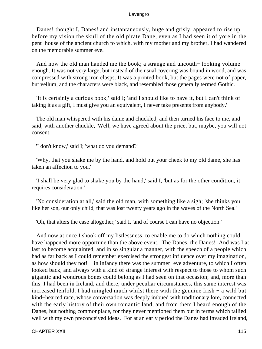Danes! thought I, Danes! and instantaneously, huge and grisly, appeared to rise up before my vision the skull of the old pirate Dane, even as I had seen it of yore in the pent−house of the ancient church to which, with my mother and my brother, I had wandered on the memorable summer eve.

 And now the old man handed me the book; a strange and uncouth− looking volume enough. It was not very large, but instead of the usual covering was bound in wood, and was compressed with strong iron clasps. It was a printed book, but the pages were not of paper, but vellum, and the characters were black, and resembled those generally termed Gothic.

 'It is certainly a curious book,' said I; 'and I should like to have it, but I can't think of taking it as a gift, I must give you an equivalent, I never take presents from anybody.'

 The old man whispered with his dame and chuckled, and then turned his face to me, and said, with another chuckle, 'Well, we have agreed about the price, but, maybe, you will not consent.'

'I don't know,' said I; 'what do you demand?'

 'Why, that you shake me by the hand, and hold out your cheek to my old dame, she has taken an affection to you.'

 'I shall be very glad to shake you by the hand,' said I, 'but as for the other condition, it requires consideration.'

 'No consideration at all,' said the old man, with something like a sigh; 'she thinks you like her son, our only child, that was lost twenty years ago in the waves of the North Sea.'

'Oh, that alters the case altogether,' said I, 'and of course I can have no objection.'

 And now at once I shook off my listlessness, to enable me to do which nothing could have happened more opportune than the above event. The Danes, the Danes! And was I at last to become acquainted, and in so singular a manner, with the speech of a people which had as far back as I could remember exercised the strongest influence over my imagination, as how should they not! − in infancy there was the summer−eve adventure, to which I often looked back, and always with a kind of strange interest with respect to those to whom such gigantic and wondrous bones could belong as I had seen on that occasion; and, more than this, I had been in Ireland, and there, under peculiar circumstances, this same interest was increased tenfold. I had mingled much whilst there with the genuine Irish − a wild but kind−hearted race, whose conversation was deeply imbued with traditionary lore, connected with the early history of their own romantic land, and from them I heard enough of the Danes, but nothing commonplace, for they never mentioned them but in terms which tallied well with my own preconceived ideas. For at an early period the Danes had invaded Ireland,

CHAPTER XXII 115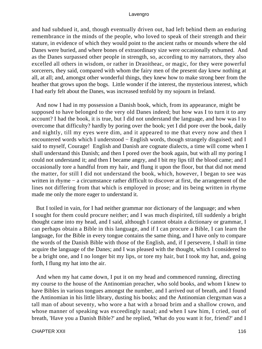and had subdued it, and, though eventually driven out, had left behind them an enduring remembrance in the minds of the people, who loved to speak of their strength and their stature, in evidence of which they would point to the ancient raths or mounds where the old Danes were buried, and where bones of extraordinary size were occasionally exhumed. And as the Danes surpassed other people in strength, so, according to my narrators, they also excelled all others in wisdom, or rather in Draoitheac, or magic, for they were powerful sorcerers, they said, compared with whom the fairy men of the present day knew nothing at all, at all; and, amongst other wonderful things, they knew how to make strong beer from the heather that grows upon the bogs. Little wonder if the interest, the mysterious interest, which I had early felt about the Danes, was increased tenfold by my sojourn in Ireland.

 And now I had in my possession a Danish book, which, from its appearance, might be supposed to have belonged to the very old Danes indeed; but how was I to turn it to any account? I had the book, it is true, but I did not understand the language, and how was I to overcome that difficulty? hardly by poring over the book; yet I did pore over the book, daily and nightly, till my eyes were dim, and it appeared to me that every now and then I encountered words which I understood – English words, though strangely disguised; and I said to myself, Courage! English and Danish are cognate dialects, a time will come when I shall understand this Danish; and then I pored over the book again, but with all my poring I could not understand it; and then I became angry, and I bit my lips till the blood came; and I occasionally tore a handful from my hair, and flung it upon the floor, but that did not mend the matter, for still I did not understand the book, which, however, I began to see was written in rhyme − a circumstance rather difficult to discover at first, the arrangement of the lines not differing from that which is employed in prose; and its being written in rhyme made me only the more eager to understand it.

 But I toiled in vain, for I had neither grammar nor dictionary of the language; and when I sought for them could procure neither; and I was much dispirited, till suddenly a bright thought came into my head, and I said, although I cannot obtain a dictionary or grammar, I can perhaps obtain a Bible in this language, and if I can procure a Bible, I can learn the language, for the Bible in every tongue contains the same thing, and I have only to compare the words of the Danish Bible with those of the English, and, if I persevere, I shall in time acquire the language of the Danes; and I was pleased with the thought, which I considered to be a bright one, and I no longer bit my lips, or tore my hair, but I took my hat, and, going forth, I flung my hat into the air.

 And when my hat came down, I put it on my head and commenced running, directing my course to the house of the Antinomian preacher, who sold books, and whom I knew to have Bibles in various tongues amongst the number, and I arrived out of breath, and I found the Antinomian in his little library, dusting his books; and the Antinomian clergyman was a tall man of about seventy, who wore a hat with a broad brim and a shallow crown, and whose manner of speaking was exceedingly nasal; and when I saw him, I cried, out of breath, 'Have you a Danish Bible?' and he replied, 'What do you want it for, friend?' and I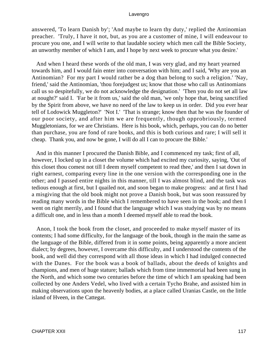answered, 'To learn Danish by'; 'And maybe to learn thy duty,' replied the Antinomian preacher. 'Truly, I have it not, but, as you are a customer of mine, I will endeavour to procure you one, and I will write to that laudable society which men call the Bible Society, an unworthy member of which I am, and I hope by next week to procure what you desire.'

 And when I heard these words of the old man, I was very glad, and my heart yearned towards him, and I would fain enter into conversation with him; and I said, 'Why are you an Antinomian? For my part I would rather be a dog than belong to such a religion.' 'Nay, friend,' said the Antinomian, 'thou forejudgest us; know that those who call us Antinomians call us so despitefully, we do not acknowledge the designation.' 'Then you do not set all law at nought?' said I. 'Far be it from us,' said the old man, 'we only hope that, being sanctified by the Spirit from above, we have no need of the law to keep us in order. Did you ever hear tell of Lodowick Muggleton?' 'Not I.' 'That is strange; know then that he was the founder of our poor society, and after him we are frequently, though opprobriously, termed Muggletonians, for we are Christians. Here is his book, which, perhaps, you can do no better than purchase, you are fond of rare books, and this is both curious and rare; I will sell it cheap. Thank you, and now be gone, I will do all I can to procure the Bible.'

 And in this manner I procured the Danish Bible, and I commenced my task; first of all, however, I locked up in a closet the volume which had excited my curiosity, saying, 'Out of this closet thou comest not till I deem myself competent to read thee,' and then I sat down in right earnest, comparing every line in the one version with the corresponding one in the other; and I passed entire nights in this manner, till I was almost blind, and the task was tedious enough at first, but I quailed not, and soon began to make progress: and at first I had a misgiving that the old book might not prove a Danish book, but was soon reassured by reading many words in the Bible which I remembered to have seen in the book; and then I went on right merrily, and I found that the language which I was studying was by no means a difficult one, and in less than a month I deemed myself able to read the book.

 Anon, I took the book from the closet, and proceeded to make myself master of its contents; I had some difficulty, for the language of the book, though in the main the same as the language of the Bible, differed from it in some points, being apparently a more ancient dialect; by degrees, however, I overcame this difficulty, and I understood the contents of the book, and well did they correspond with all those ideas in which I had indulged connected with the Danes. For the book was a book of ballads, about the deeds of knights and champions, and men of huge stature; ballads which from time immemorial had been sung in the North, and which some two centuries before the time of which I am speaking had been collected by one Anders Vedel, who lived with a certain Tycho Brahe, and assisted him in making observations upon the heavenly bodies, at a place called Uranias Castle, on the little island of Hveen, in the Cattegat.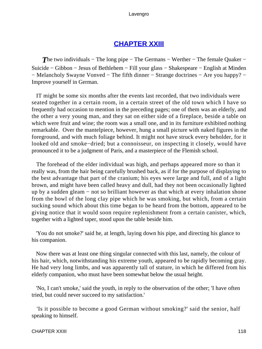# **[CHAPTER XXIII](#page-495-0)**

**The two individuals – The long pipe – The Germans – Werther – The female Quaker –** Suicide − Gibbon − Jesus of Bethlehem − Fill your glass − Shakespeare − English at Minden − Melancholy Swayne Vonved − The fifth dinner − Strange doctrines − Are you happy? − Improve yourself in German.

 IT might be some six months after the events last recorded, that two individuals were seated together in a certain room, in a certain street of the old town which I have so frequently had occasion to mention in the preceding pages; one of them was an elderly, and the other a very young man, and they sat on either side of a fireplace, beside a table on which were fruit and wine; the room was a small one, and in its furniture exhibited nothing remarkable. Over the mantelpiece, however, hung a small picture with naked figures in the foreground, and with much foliage behind. It might not have struck every beholder, for it looked old and smoke−dried; but a connoisseur, on inspecting it closely, would have pronounced it to be a judgment of Paris, and a masterpiece of the Flemish school.

 The forehead of the elder individual was high, and perhaps appeared more so than it really was, from the hair being carefully brushed back, as if for the purpose of displaying to the best advantage that part of the cranium; his eyes were large and full, and of a light brown, and might have been called heavy and dull, had they not been occasionally lighted up by a sudden gleam − not so brilliant however as that which at every inhalation shone from the bowl of the long clay pipe which he was smoking, but which, from a certain sucking sound which about this time began to be heard from the bottom, appeared to be giving notice that it would soon require replenishment from a certain canister, which, together with a lighted taper, stood upon the table beside him.

 'You do not smoke?' said he, at length, laying down his pipe, and directing his glance to his companion.

 Now there was at least one thing singular connected with this last, namely, the colour of his hair, which, notwithstanding his extreme youth, appeared to be rapidly becoming gray. He had very long limbs, and was apparently tall of stature, in which he differed from his elderly companion, who must have been somewhat below the usual height.

 'No, I can't smoke,' said the youth, in reply to the observation of the other; 'I have often tried, but could never succeed to my satisfaction.'

 'Is it possible to become a good German without smoking?' said the senior, half speaking to himself.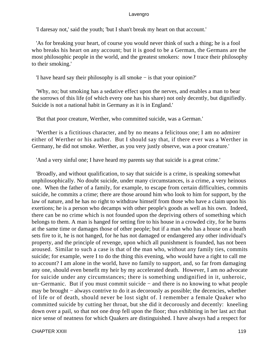'I daresay not,' said the youth; 'but I shan't break my heart on that account.'

 'As for breaking your heart, of course you would never think of such a thing; he is a fool who breaks his heart on any account; but it is good to be a German, the Germans are the most philosophic people in the world, and the greatest smokers: now I trace their philosophy to their smoking.'

'I have heard say their philosophy is all smoke − is that your opinion?'

 'Why, no; but smoking has a sedative effect upon the nerves, and enables a man to bear the sorrows of this life (of which every one has his share) not only decently, but dignifiedly. Suicide is not a national habit in Germany as it is in England.'

'But that poor creature, Werther, who committed suicide, was a German.'

 'Werther is a fictitious character, and by no means a felicitous one; I am no admirer either of Werther or his author. But I should say that, if there ever was a Werther in Germany, he did not smoke. Werther, as you very justly observe, was a poor creature.'

'And a very sinful one; I have heard my parents say that suicide is a great crime.'

 'Broadly, and without qualification, to say that suicide is a crime, is speaking somewhat unphilosophically. No doubt suicide, under many circumstances, is a crime, a very heinous one. When the father of a family, for example, to escape from certain difficulties, commits suicide, he commits a crime; there are those around him who look to him for support, by the law of nature, and he has no right to withdraw himself from those who have a claim upon his exertions; he is a person who decamps with other people's goods as well as his own. Indeed, there can be no crime which is not founded upon the depriving others of something which belongs to them. A man is hanged for setting fire to his house in a crowded city, for he burns at the same time or damages those of other people; but if a man who has a house on a heath sets fire to it, he is not hanged, for he has not damaged or endangered any other individual's property, and the principle of revenge, upon which all punishment is founded, has not been aroused. Similar to such a case is that of the man who, without any family ties, commits suicide; for example, were I to do the thing this evening, who would have a right to call me to account? I am alone in the world, have no family to support, and, so far from damaging any one, should even benefit my heir by my accelerated death. However, I am no advocate for suicide under any circumstances; there is something undignified in it, unheroic, un−Germanic. But if you must commit suicide − and there is no knowing to what people may be brought – always contrive to do it as decorously as possible; the decencies, whether of life or of death, should never be lost sight of. I remember a female Quaker who committed suicide by cutting her throat, but she did it decorously and decently: kneeling down over a pail, so that not one drop fell upon the floor; thus exhibiting in her last act that nice sense of neatness for which Quakers are distinguished. I have always had a respect for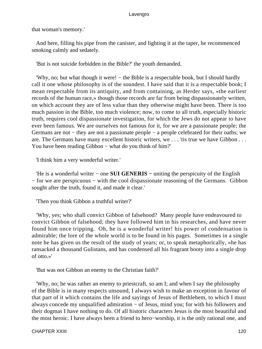that woman's memory.'

 And here, filling his pipe from the canister, and lighting it at the taper, he recommenced smoking calmly and sedately.

'But is not suicide forbidden in the Bible?' the youth demanded.

 'Why, no; but what though it were! − the Bible is a respectable book, but I should hardly call it one whose philosophy is of the soundest. I have said that it is a respectable book; I mean respectable from its antiquity, and from containing, as Herder says, «the earliest records of the human race,» though those records are far from being dispassionately written, on which account they are of less value than they otherwise might have been. There is too much passion in the Bible, too much violence; now, to come to all truth, especially historic truth, requires cool dispassionate investigation, for which the Jews do not appear to have ever been famous. We are ourselves not famous for it, for we are a passionate people; the Germans are not − they are not a passionate people − a people celebrated for their oaths; we are. The Germans have many excellent historic writers, we . . . 'tis true we have Gibbon . . . You have been reading Gibbon – what do you think of him?'

'I think him a very wonderful writer.'

 'He is a wonderful writer − one **SUI GENERIS −** uniting the perspicuity of the English − for we are perspicuous − with the cool dispassionate reasoning of the Germans. Gibbon sought after the truth, found it, and made it clear.'

'Then you think Gibbon a truthful writer?'

 'Why, yes; who shall convict Gibbon of falsehood? Many people have endeavoured to convict Gibbon of falsehood; they have followed him in his researches, and have never found him once tripping. Oh, he is a wonderful writer! his power of condensation is admirable; the lore of the whole world is to be found in his pages. Sometimes in a single note he has given us the result of the study of years; or, to speak metaphorically, «he has ransacked a thousand Gulistans, and has condensed all his fragrant booty into a single drop of otto.»'

'But was not Gibbon an enemy to the Christian faith?'

 'Why, no; he was rather an enemy to priestcraft, so am I; and when I say the philosophy of the Bible is in many respects unsound, I always wish to make an exception in favour of that part of it which contains the life and sayings of Jesus of Bethlehem, to which I must always concede my unqualified admiration − of Jesus, mind you; for with his followers and their dogmas I have nothing to do. Of all historic characters Jesus is the most beautiful and the most heroic. I have always been a friend to hero−worship, it is the only rational one, and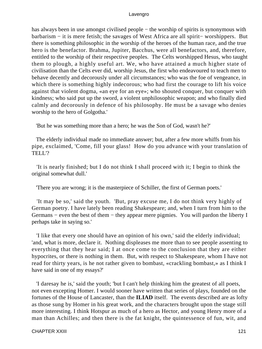has always been in use amongst civilised people – the worship of spirits is synonymous with barbarism − it is mere fetish; the savages of West Africa are all spirit− worshippers. But there is something philosophic in the worship of the heroes of the human race, and the true hero is the benefactor. Brahma, Jupiter, Bacchus, were all benefactors, and, therefore, entitled to the worship of their respective peoples. The Celts worshipped Hesus, who taught them to plough, a highly useful art. We, who have attained a much higher state of civilisation than the Celts ever did, worship Jesus, the first who endeavoured to teach men to behave decently and decorously under all circumstances; who was the foe of vengeance, in which there is something highly indecorous; who had first the courage to lift his voice against that violent dogma, «an eye for an eye»; who shouted conquer, but conquer with kindness; who said put up the sword, a violent unphilosophic weapon; and who finally died calmly and decorously in defence of his philosophy. He must be a savage who denies worship to the hero of Golgotha.'

'But he was something more than a hero; he was the Son of God, wasn't he?'

 The elderly individual made no immediate answer; but, after a few more whiffs from his pipe, exclaimed, 'Come, fill your glass! How do you advance with your translation of TELL'?

 'It is nearly finished; but I do not think I shall proceed with it; I begin to think the original somewhat dull.'

'There you are wrong; it is the masterpiece of Schiller, the first of German poets.'

 'It may be so,' said the youth. 'But, pray excuse me, I do not think very highly of German poetry. I have lately been reading Shakespeare; and, when I turn from him to the Germans − even the best of them − they appear mere pigmies. You will pardon the liberty I perhaps take in saying so.'

 'I like that every one should have an opinion of his own,' said the elderly individual; 'and, what is more, declare it. Nothing displeases me more than to see people assenting to everything that they hear said; I at once come to the conclusion that they are either hypocrites, or there is nothing in them. But, with respect to Shakespeare, whom I have not read for thirty years, is he not rather given to bombast, «crackling bombast,» as I think I have said in one of my essays?'

 'I daresay he is,' said the youth; 'but I can't help thinking him the greatest of all poets, not even excepting Homer. I would sooner have written that series of plays, founded on the fortunes of the House of Lancaster, than the **ILIAD** itself. The events described are as lofty as those sung by Homer in his great work, and the characters brought upon the stage still more interesting. I think Hotspur as much of a hero as Hector, and young Henry more of a man than Achilles; and then there is the fat knight, the quintessence of fun, wit, and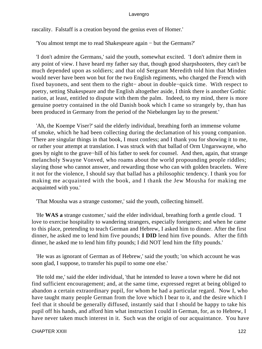rascality. Falstaff is a creation beyond the genius even of Homer.'

'You almost tempt me to read Shakespeare again − but the Germans?'

 'I don't admire the Germans,' said the youth, somewhat excited. 'I don't admire them in any point of view. I have heard my father say that, though good sharpshooters, they can't be much depended upon as soldiers; and that old Sergeant Meredith told him that Minden would never have been won but for the two English regiments, who charged the French with fixed bayonets, and sent them to the right− about in double−quick time. With respect to poetry, setting Shakespeare and the English altogether aside, I think there is another Gothic nation, at least, entitled to dispute with them the palm. Indeed, to my mind, there is more genuine poetry contained in the old Danish book which I came so strangely by, than has been produced in Germany from the period of the Niebelungen lay to the present.'

 'Ah, the Koempe Viser?' said the elderly individual, breathing forth an immense volume of smoke, which he had been collecting during the declamation of his young companion. 'There are singular things in that book, I must confess; and I thank you for showing it to me, or rather your attempt at translation. I was struck with that ballad of Orm Ungarswayne, who goes by night to the grave−hill of his father to seek for counsel. And then, again, that strange melancholy Swayne Vonved, who roams about the world propounding people riddles; slaying those who cannot answer, and rewarding those who can with golden bracelets. Were it not for the violence, I should say that ballad has a philosophic tendency. I thank you for making me acquainted with the book, and I thank the Jew Mousha for making me acquainted with you.'

'That Mousha was a strange customer,' said the youth, collecting himself.

 'He **WAS a** strange customer,' said the elder individual, breathing forth a gentle cloud. 'I love to exercise hospitality to wandering strangers, especially foreigners; and when he came to this place, pretending to teach German and Hebrew, I asked him to dinner. After the first dinner, he asked me to lend him five pounds; **I DID** lend him five pounds. After the fifth dinner, he asked me to lend him fifty pounds; I did NOT lend him the fifty pounds.'

 'He was as ignorant of German as of Hebrew,' said the youth; 'on which account he was soon glad, I suppose, to transfer his pupil to some one else.'

 'He told me,' said the elder individual, 'that he intended to leave a town where he did not find sufficient encouragement; and, at the same time, expressed regret at being obliged to abandon a certain extraordinary pupil, for whom he had a particular regard. Now I, who have taught many people German from the love which I bear to it, and the desire which I feel that it should be generally diffused, instantly said that I should be happy to take his pupil off his hands, and afford him what instruction I could in German, for, as to Hebrew, I have never taken much interest in it. Such was the origin of our acquaintance. You have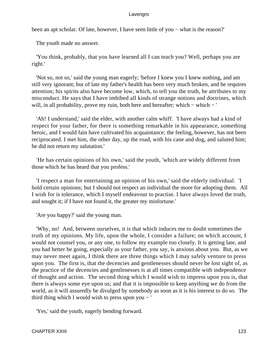been an apt scholar. Of late, however, I have seen little of you – what is the reason?'

The youth made no answer.

 'You think, probably, that you have learned all I can teach you? Well, perhaps you are right.'

 'Not so, not so,' said the young man eagerly; 'before I knew you I knew nothing, and am still very ignorant; but of late my father's health has been very much broken, and he requires attention; his spirits also have become low, which, to tell you the truth, he attributes to my misconduct. He says that I have imbibed all kinds of strange notions and doctrines, which will, in all probability, prove my ruin, both here and hereafter; which – which – '

 'Ah! I understand,' said the elder, with another calm whiff. 'I have always had a kind of respect for your father, for there is something remarkable in his appearance, something heroic, and I would fain have cultivated his acquaintance; the feeling, however, has not been reciprocated. I met him, the other day, up the road, with his cane and dog, and saluted him; he did not return my salutation.'

 'He has certain opinions of his own,' said the youth, 'which are widely different from those which he has heard that you profess.'

 'I respect a man for entertaining an opinion of his own,' said the elderly individual. 'I hold certain opinions; but I should not respect an individual the more for adopting them. All I wish for is tolerance, which I myself endeavour to practise. I have always loved the truth, and sought it; if I have not found it, the greater my misfortune.'

'Are you happy?' said the young man.

 'Why, no! And, between ourselves, it is that which induces me to doubt sometimes the truth of my opinions. My life, upon the whole, I consider a failure; on which account, I would not counsel you, or any one, to follow my example too closely. It is getting late, and you had better be going, especially as your father, you say, is anxious about you. But, as we may never meet again, I think there are three things which I may safely venture to press upon you. The first is, that the decencies and gentlenesses should never be lost sight of, as the practice of the decencies and gentlenesses is at all times compatible with independence of thought and action. The second thing which I would wish to impress upon you is, that there is always some eye upon us; and that it is impossible to keep anything we do from the world, as it will assuredly be divulged by somebody as soon as it is his interest to do so. The third thing which I would wish to press upon you  $-$  '

'Yes,' said the youth, eagerly bending forward.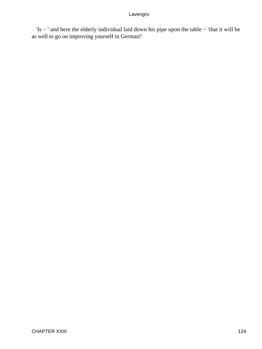'Is − ' and here the elderly individual laid down his pipe upon the table − 'that it will be as well to go on improving yourself in German!'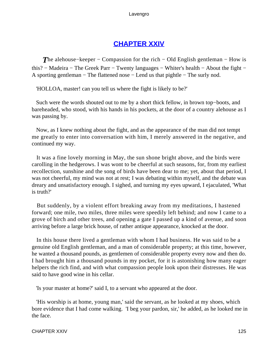# **[CHAPTER XXIV](#page-495-0)**

*T*he alehouse–keeper – Compassion for the rich – Old English gentleman – How is this? − Madeira − The Greek Parr − Twenty languages − Whiter's health − About the fight − A sporting gentleman − The flattened nose − Lend us that pightle − The surly nod.

'HOLLOA, master! can you tell us where the fight is likely to be?'

 Such were the words shouted out to me by a short thick fellow, in brown top−boots, and bareheaded, who stood, with his hands in his pockets, at the door of a country alehouse as I was passing by.

 Now, as I knew nothing about the fight, and as the appearance of the man did not tempt me greatly to enter into conversation with him, I merely answered in the negative, and continued my way.

 It was a fine lovely morning in May, the sun shone bright above, and the birds were carolling in the hedgerows. I was wont to be cheerful at such seasons, for, from my earliest recollection, sunshine and the song of birds have been dear to me; yet, about that period, I was not cheerful, my mind was not at rest; I was debating within myself, and the debate was dreary and unsatisfactory enough. I sighed, and turning my eyes upward, I ejaculated, 'What is truth?'

 But suddenly, by a violent effort breaking away from my meditations, I hastened forward; one mile, two miles, three miles were speedily left behind; and now I came to a grove of birch and other trees, and opening a gate I passed up a kind of avenue, and soon arriving before a large brick house, of rather antique appearance, knocked at the door.

 In this house there lived a gentleman with whom I had business. He was said to be a genuine old English gentleman, and a man of considerable property; at this time, however, he wanted a thousand pounds, as gentlemen of considerable property every now and then do. I had brought him a thousand pounds in my pocket, for it is astonishing how many eager helpers the rich find, and with what compassion people look upon their distresses. He was said to have good wine in his cellar.

'Is your master at home?' said I, to a servant who appeared at the door.

 'His worship is at home, young man,' said the servant, as he looked at my shoes, which bore evidence that I had come walking. 'I beg your pardon, sir,' he added, as he looked me in the face.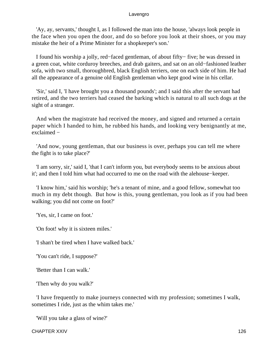'Ay, ay, servants,' thought I, as I followed the man into the house, 'always look people in the face when you open the door, and do so before you look at their shoes, or you may mistake the heir of a Prime Minister for a shopkeeper's son.'

 I found his worship a jolly, red−faced gentleman, of about fifty− five; he was dressed in a green coat, white corduroy breeches, and drab gaiters, and sat on an old−fashioned leather sofa, with two small, thoroughbred, black English terriers, one on each side of him. He had all the appearance of a genuine old English gentleman who kept good wine in his cellar.

 'Sir,' said I, 'I have brought you a thousand pounds'; and I said this after the servant had retired, and the two terriers had ceased the barking which is natural to all such dogs at the sight of a stranger.

 And when the magistrate had received the money, and signed and returned a certain paper which I handed to him, he rubbed his hands, and looking very benignantly at me, exclaimed −

 'And now, young gentleman, that our business is over, perhaps you can tell me where the fight is to take place?'

 'I am sorry, sir,' said I, 'that I can't inform you, but everybody seems to be anxious about it'; and then I told him what had occurred to me on the road with the alehouse−keeper.

 'I know him,' said his worship; 'he's a tenant of mine, and a good fellow, somewhat too much in my debt though. But how is this, young gentleman, you look as if you had been walking; you did not come on foot?'

'Yes, sir, I came on foot.'

'On foot! why it is sixteen miles.'

'I shan't be tired when I have walked back.'

'You can't ride, I suppose?'

'Better than I can walk.'

'Then why do you walk?'

 'I have frequently to make journeys connected with my profession; sometimes I walk, sometimes I ride, just as the whim takes me.'

'Will you take a glass of wine?'

CHAPTER XXIV 126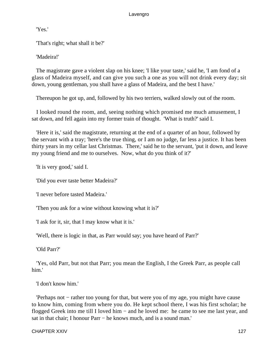'Yes.'

'That's right; what shall it be?'

'Madeira!'

 The magistrate gave a violent slap on his knee; 'I like your taste,' said he, 'I am fond of a glass of Madeira myself, and can give you such a one as you will not drink every day; sit down, young gentleman, you shall have a glass of Madeira, and the best I have.'

Thereupon he got up, and, followed by his two terriers, walked slowly out of the room.

 I looked round the room, and, seeing nothing which promised me much amusement, I sat down, and fell again into my former train of thought. 'What is truth?' said I.

 'Here it is,' said the magistrate, returning at the end of a quarter of an hour, followed by the servant with a tray; 'here's the true thing, or I am no judge, far less a justice. It has been thirty years in my cellar last Christmas. There,' said he to the servant, 'put it down, and leave my young friend and me to ourselves. Now, what do you think of it?'

'It is very good,' said I.

'Did you ever taste better Madeira?'

'I never before tasted Madeira.'

'Then you ask for a wine without knowing what it is?'

'I ask for it, sir, that I may know what it is.'

'Well, there is logic in that, as Parr would say; you have heard of Parr?'

'Old Parr?'

 'Yes, old Parr, but not that Parr; you mean the English, I the Greek Parr, as people call him.'

'I don't know him.'

 'Perhaps not − rather too young for that, but were you of my age, you might have cause to know him, coming from where you do. He kept school there, I was his first scholar; he flogged Greek into me till I loved him − and he loved me: he came to see me last year, and sat in that chair; I honour Parr – he knows much, and is a sound man.'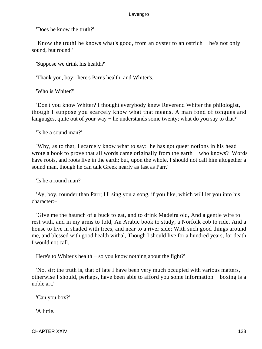'Does he know the truth?'

 'Know the truth! he knows what's good, from an oyster to an ostrich − he's not only sound, but round.'

'Suppose we drink his health?'

'Thank you, boy: here's Parr's health, and Whiter's.'

'Who is Whiter?'

 'Don't you know Whiter? I thought everybody knew Reverend Whiter the philologist, though I suppose you scarcely know what that means. A man fond of tongues and languages, quite out of your way − he understands some twenty; what do you say to that?'

'Is he a sound man?'

 'Why, as to that, I scarcely know what to say: he has got queer notions in his head − wrote a book to prove that all words came originally from the earth – who knows? Words have roots, and roots live in the earth; but, upon the whole, I should not call him altogether a sound man, though he can talk Greek nearly as fast as Parr.'

'Is he a round man?'

 'Ay, boy, rounder than Parr; I'll sing you a song, if you like, which will let you into his character:−

 'Give me the haunch of a buck to eat, and to drink Madeira old, And a gentle wife to rest with, and in my arms to fold, An Arabic book to study, a Norfolk cob to ride, And a house to live in shaded with trees, and near to a river side; With such good things around me, and blessed with good health withal, Though I should live for a hundred years, for death I would not call.

Here's to Whiter's health − so you know nothing about the fight?'

 'No, sir; the truth is, that of late I have been very much occupied with various matters, otherwise I should, perhaps, have been able to afford you some information − boxing is a noble art.'

'Can you box?'

'A little.'

CHAPTER XXIV 128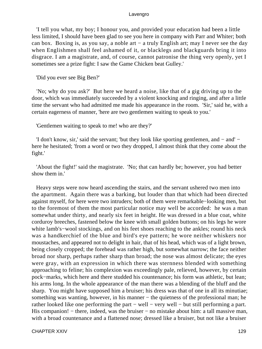'I tell you what, my boy; I honour you, and provided your education had been a little less limited, I should have been glad to see you here in company with Parr and Whiter; both can box. Boxing is, as you say, a noble art − a truly English art; may I never see the day when Englishmen shall feel ashamed of it, or blacklegs and blackguards bring it into disgrace. I am a magistrate, and, of course, cannot patronise the thing very openly, yet I sometimes see a prize fight: I saw the Game Chicken beat Gulley.'

'Did you ever see Big Ben?'

 'No; why do you ask?' But here we heard a noise, like that of a gig driving up to the door, which was immediately succeeded by a violent knocking and ringing, and after a little time the servant who had admitted me made his appearance in the room. 'Sir,' said he, with a certain eagerness of manner, 'here are two gentlemen waiting to speak to you.'

'Gentlemen waiting to speak to me! who are they?'

 'I don't know, sir,' said the servant; 'but they look like sporting gentlemen, and − and' − here he hesitated; 'from a word or two they dropped, I almost think that they come about the fight.'

 'About the fight!' said the magistrate. 'No; that can hardly be; however, you had better show them in.'

 Heavy steps were now heard ascending the stairs, and the servant ushered two men into the apartment. Again there was a barking, but louder than that which had been directed against myself, for here were two intruders; both of them were remarkable−looking men, but to the foremost of them the most particular notice may well be accorded: he was a man somewhat under thirty, and nearly six feet in height. He was dressed in a blue coat, white corduroy breeches, fastened below the knee with small golden buttons; on his legs he wore white lamb's−wool stockings, and on his feet shoes reaching to the ankles; round his neck was a handkerchief of the blue and bird's eye pattern; he wore neither whiskers nor moustaches, and appeared not to delight in hair, that of his head, which was of a light brown, being closely cropped; the forehead was rather high, but somewhat narrow; the face neither broad nor sharp, perhaps rather sharp than broad; the nose was almost delicate; the eyes were gray, with an expression in which there was sternness blended with something approaching to feline; his complexion was exceedingly pale, relieved, however, by certain pock−marks, which here and there studded his countenance; his form was athletic, but lean; his arms long. In the whole appearance of the man there was a blending of the bluff and the sharp. You might have supposed him a bruiser; his dress was that of one in all its minutiae; something was wanting, however, in his manner – the quietness of the professional man; he rather looked like one performing the part − well − very well − but still performing a part. His companion! – there, indeed, was the bruiser – no mistake about him: a tall massive man, with a broad countenance and a flattened nose; dressed like a bruiser, but not like a bruiser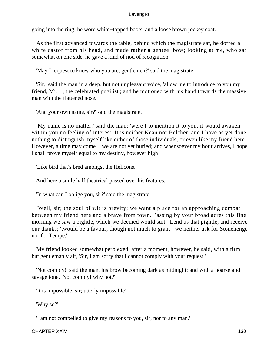going into the ring; he wore white−topped boots, and a loose brown jockey coat.

 As the first advanced towards the table, behind which the magistrate sat, he doffed a white castor from his head, and made rather a genteel bow; looking at me, who sat somewhat on one side, he gave a kind of nod of recognition.

'May I request to know who you are, gentlemen?' said the magistrate.

 'Sir,' said the man in a deep, but not unpleasant voice, 'allow me to introduce to you my friend, Mr. −, the celebrated pugilist'; and he motioned with his hand towards the massive man with the flattened nose.

'And your own name, sir?' said the magistrate.

 'My name is no matter,' said the man; 'were I to mention it to you, it would awaken within you no feeling of interest. It is neither Kean nor Belcher, and I have as yet done nothing to distinguish myself like either of those individuals, or even like my friend here. However, a time may come – we are not yet buried; and whensoever my hour arrives, I hope I shall prove myself equal to my destiny, however high −

'Like bird that's bred amongst the Helicons.'

And here a smile half theatrical passed over his features.

'In what can I oblige you, sir?' said the magistrate.

 'Well, sir; the soul of wit is brevity; we want a place for an approaching combat between my friend here and a brave from town. Passing by your broad acres this fine morning we saw a pightle, which we deemed would suit. Lend us that pightle, and receive our thanks; 'twould be a favour, though not much to grant: we neither ask for Stonehenge nor for Tempe.'

 My friend looked somewhat perplexed; after a moment, however, he said, with a firm but gentlemanly air, 'Sir, I am sorry that I cannot comply with your request.'

 'Not comply!' said the man, his brow becoming dark as midnight; and with a hoarse and savage tone, 'Not comply! why not?'

'It is impossible, sir; utterly impossible!'

'Why so?'

'I am not compelled to give my reasons to you, sir, nor to any man.'

CHAPTER XXIV 130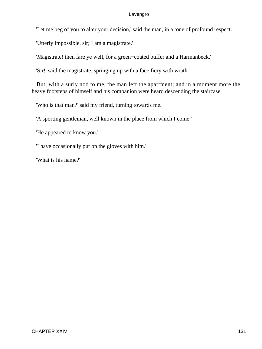'Let me beg of you to alter your decision,' said the man, in a tone of profound respect.

'Utterly impossible, sir; I am a magistrate.'

'Magistrate! then fare ye well, for a green−coated buffer and a Harmanbeck.'

'Sir!' said the magistrate, springing up with a face fiery with wrath.

 But, with a surly nod to me, the man left the apartment; and in a moment more the heavy footsteps of himself and his companion were heard descending the staircase.

'Who is that man?' said my friend, turning towards me.

'A sporting gentleman, well known in the place from which I come.'

'He appeared to know you.'

'I have occasionally put on the gloves with him.'

'What is his name?'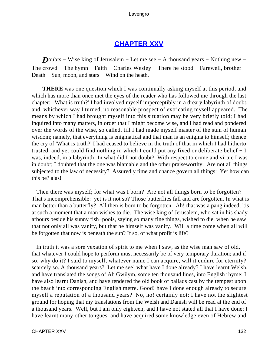# **[CHAPTER XXV](#page-495-0)**

*D*oubts − Wise king of Jerusalem − Let me see − A thousand years − Nothing new − The crowd – The hymn – Faith – Charles Wesley – There he stood – Farewell, brother – Death – Sun, moon, and stars – Wind on the heath.

**THERE** was one question which I was continually asking myself at this period, and which has more than once met the eyes of the reader who has followed me through the last chapter: 'What is truth?' I had involved myself imperceptibly in a dreary labyrinth of doubt, and, whichever way I turned, no reasonable prospect of extricating myself appeared. The means by which I had brought myself into this situation may be very briefly told; I had inquired into many matters, in order that I might become wise, and I had read and pondered over the words of the wise, so called, till I had made myself master of the sum of human wisdom; namely, that everything is enigmatical and that man is an enigma to himself; thence the cry of 'What is truth?' I had ceased to believe in the truth of that in which I had hitherto trusted, and yet could find nothing in which I could put any fixed or deliberate belief − I was, indeed, in a labyrinth! In what did I not doubt? With respect to crime and virtue I was in doubt; I doubted that the one was blamable and the other praiseworthy. Are not all things subjected to the law of necessity? Assuredly time and chance govern all things: Yet how can this be? alas!

 Then there was myself; for what was I born? Are not all things born to be forgotten? That's incomprehensible: yet is it not so? Those butterflies fall and are forgotten. In what is man better than a butterfly? All then is born to be forgotten. Ah! that was a pang indeed; 'tis at such a moment that a man wishes to die. The wise king of Jerusalem, who sat in his shady arbours beside his sunny fish−pools, saying so many fine things, wished to die, when he saw that not only all was vanity, but that he himself was vanity. Will a time come when all will be forgotten that now is beneath the sun? If so, of what profit is life?

 In truth it was a sore vexation of spirit to me when I saw, as the wise man saw of old, that whatever I could hope to perform must necessarily be of very temporary duration; and if so, why do it? I said to myself, whatever name I can acquire, will it endure for eternity? scarcely so. A thousand years? Let me see! what have I done already? I have learnt Welsh, and have translated the songs of Ab Gwilym, some ten thousand lines, into English rhyme; I have also learnt Danish, and have rendered the old book of ballads cast by the tempest upon the beach into corresponding English metre. Good! have I done enough already to secure myself a reputation of a thousand years? No, no! certainly not; I have not the slightest ground for hoping that my translations from the Welsh and Danish will be read at the end of a thousand years. Well, but I am only eighteen, and I have not stated all that I have done; I have learnt many other tongues, and have acquired some knowledge even of Hebrew and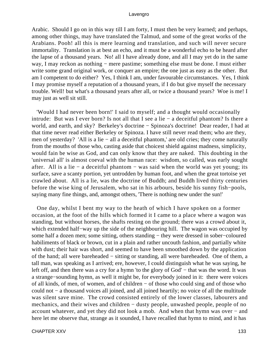Arabic. Should I go on in this way till I am forty, I must then be very learned; and perhaps, among other things, may have translated the Talmud, and some of the great works of the Arabians. Pooh! all this is mere learning and translation, and such will never secure immortality. Translation is at best an echo, and it must be a wonderful echo to be heard after the lapse of a thousand years. No! all I have already done, and all I may yet do in the same way, I may reckon as nothing − mere pastime; something else must be done. I must either write some grand original work, or conquer an empire; the one just as easy as the other. But am I competent to do either? Yes, I think I am, under favourable circumstances. Yes, I think I may promise myself a reputation of a thousand years, if I do but give myself the necessary trouble. Well! but what's a thousand years after all, or twice a thousand years? Woe is me! I may just as well sit still.

 'Would I had never been born!' I said to myself; and a thought would occasionally intrude: But was I ever born? Is not all that I see a lie − a deceitful phantom? Is there a world, and earth, and sky? Berkeley's doctrine − Spinoza's doctrine! Dear reader, I had at that time never read either Berkeley or Spinoza. I have still never read them; who are they, men of yesterday? 'All is a lie − all a deceitful phantom,' are old cries; they come naturally from the mouths of those who, casting aside that choicest shield against madness, simplicity, would fain be wise as God, and can only know that they are naked. This doubting in the 'universal all' is almost coeval with the human race: wisdom, so called, was early sought after. All is a lie − a deceitful phantom − was said when the world was yet young; its surface, save a scanty portion, yet untrodden by human foot, and when the great tortoise yet crawled about. All is a lie, was the doctrine of Buddh; and Buddh lived thirty centuries before the wise king of Jerusalem, who sat in his arbours, beside his sunny fish−pools, saying many fine things, and, amongst others, 'There is nothing new under the sun!'

 One day, whilst I bent my way to the heath of which I have spoken on a former occasion, at the foot of the hills which formed it I came to a place where a wagon was standing, but without horses, the shafts resting on the ground; there was a crowd about it, which extended half−way up the side of the neighbouring hill. The wagon was occupied by some half a dozen men; some sitting, others standing – they were dressed in sober–coloured habiliments of black or brown, cut in a plain and rather uncouth fashion, and partially white with dust; their hair was short, and seemed to have been smoothed down by the application of the hand; all were bareheaded − sitting or standing, all were bareheaded. One of them, a tall man, was speaking as I arrived; ere, however, I could distinguish what he was saying, he left off, and then there was a cry for a hymn 'to the glory of God' − that was the word. It was a strange−sounding hymn, as well it might be, for everybody joined in it: there were voices of all kinds, of men, of women, and of children − of those who could sing and of those who could not − a thousand voices all joined, and all joined heartily; no voice of all the multitude was silent save mine. The crowd consisted entirely of the lower classes, labourers and mechanics, and their wives and children − dusty people, unwashed people, people of no account whatever, and yet they did not look a mob. And when that hymn was over − and here let me observe that, strange as it sounded, I have recalled that hymn to mind, and it has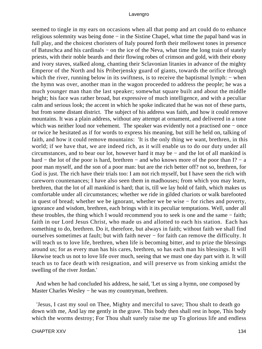seemed to tingle in my ears on occasions when all that pomp and art could do to enhance religious solemnity was being done − in the Sistine Chapel, what time the papal band was in full play, and the choicest choristers of Italy poured forth their mellowest tones in presence of Batuschca and his cardinals − on the ice of the Neva, what time the long train of stately priests, with their noble beards and their flowing robes of crimson and gold, with their ebony and ivory staves, stalked along, chanting their Sclavonian litanies in advance of the mighty Emperor of the North and his Priberjensky guard of giants, towards the orifice through which the river, running below in its swiftness, is to receive the baptismal lymph: − when the hymn was over, another man in the wagon proceeded to address the people; he was a much younger man than the last speaker; somewhat square built and about the middle height; his face was rather broad, but expressive of much intelligence, and with a peculiar calm and serious look; the accent in which he spoke indicated that he was not of these parts, but from some distant district. The subject of his address was faith, and how it could remove mountains. It was a plain address, without any attempt at ornament, and delivered in a tone which was neither loud nor vehement. The speaker was evidently not a practised one − once or twice he hesitated as if for words to express his meaning, but still he held on, talking of faith, and how it could remove mountains: 'It is the only thing we want, brethren, in this world; if we have that, we are indeed rich, as it will enable us to do our duty under all circumstances, and to bear our lot, however hard it may be − and the lot of all mankind is hard – the lot of the poor is hard, brethren – and who knows more of the poor than I? – a poor man myself, and the son of a poor man: but are the rich better off? not so, brethren, for God is just. The rich have their trials too: I am not rich myself, but I have seen the rich with careworn countenances; I have also seen them in madhouses; from which you may learn, brethren, that the lot of all mankind is hard; that is, till we lay hold of faith, which makes us comfortable under all circumstances; whether we ride in gilded chariots or walk barefooted in quest of bread; whether we be ignorant, whether we be wise − for riches and poverty, ignorance and wisdom, brethren, each brings with it its peculiar temptations. Well, under all these troubles, the thing which I would recommend you to seek is one and the same − faith; faith in our Lord Jesus Christ, who made us and allotted to each his station. Each has something to do, brethren. Do it, therefore, but always in faith; without faith we shall find ourselves sometimes at fault; but with faith never − for faith can remove the difficulty. It will teach us to love life, brethren, when life is becoming bitter, and to prize the blessings around us; for as every man has his cares, brethren, so has each man his blessings. It will likewise teach us not to love life over much, seeing that we must one day part with it. It will teach us to face death with resignation, and will preserve us from sinking amidst the swelling of the river Jordan.'

 And when he had concluded his address, he said, 'Let us sing a hymn, one composed by Master Charles Wesley − he was my countryman, brethren.

 'Jesus, I cast my soul on Thee, Mighty and merciful to save; Thou shalt to death go down with me, And lay me gently in the grave. This body then shall rest in hope, This body which the worms destroy; For Thou shalt surely raise me up To glorious life and endless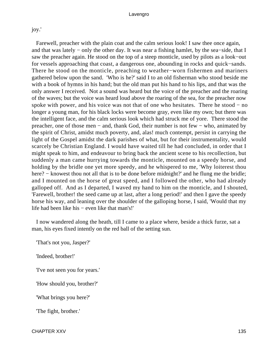joy.'

 Farewell, preacher with the plain coat and the calm serious look! I saw thee once again, and that was lately − only the other day. It was near a fishing hamlet, by the sea−side, that I saw the preacher again. He stood on the top of a steep monticle, used by pilots as a look−out for vessels approaching that coast, a dangerous one, abounding in rocks and quick−sands. There he stood on the monticle, preaching to weather−worn fishermen and mariners gathered below upon the sand. 'Who is he?' said I to an old fisherman who stood beside me with a book of hymns in his hand; but the old man put his hand to his lips, and that was the only answer I received. Not a sound was heard but the voice of the preacher and the roaring of the waves; but the voice was heard loud above the roaring of the sea, for the preacher now spoke with power, and his voice was not that of one who hesitates. There he stood − no longer a young man, for his black locks were become gray, even like my own; but there was the intelligent face, and the calm serious look which had struck me of yore. There stood the preacher, one of those men − and, thank God, their number is not few − who, animated by the spirit of Christ, amidst much poverty, and, alas! much contempt, persist in carrying the light of the Gospel amidst the dark parishes of what, but for their instrumentality, would scarcely be Christian England. I would have waited till he had concluded, in order that I might speak to him, and endeavour to bring back the ancient scene to his recollection, but suddenly a man came hurrying towards the monticle, mounted on a speedy horse, and holding by the bridle one yet more speedy, and he whispered to me, 'Why loiterest thou here? – knowest thou not all that is to be done before midnight?' and he flung me the bridle; and I mounted on the horse of great speed, and I followed the other, who had already galloped off. And as I departed, I waved my hand to him on the monticle, and I shouted, 'Farewell, brother! the seed came up at last, after a long period!' and then I gave the speedy horse his way, and leaning over the shoulder of the galloping horse, I said, 'Would that my life had been like his − even like that man's!'

 I now wandered along the heath, till I came to a place where, beside a thick furze, sat a man, his eyes fixed intently on the red ball of the setting sun.

'That's not you, Jasper?'

'Indeed, brother!'

'I've not seen you for years.'

'How should you, brother?'

'What brings you here?'

'The fight, brother.'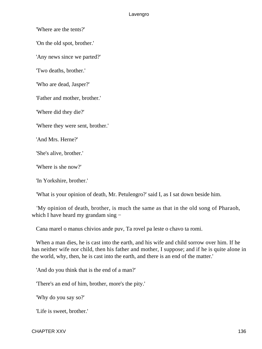'Where are the tents?'

'On the old spot, brother.'

'Any news since we parted?'

'Two deaths, brother.'

'Who are dead, Jasper?'

'Father and mother, brother.'

'Where did they die?'

'Where they were sent, brother.'

'And Mrs. Herne?'

'She's alive, brother.'

'Where is she now?'

'In Yorkshire, brother.'

'What is your opinion of death, Mr. Petulengro?' said I, as I sat down beside him.

 'My opinion of death, brother, is much the same as that in the old song of Pharaoh, which I have heard my grandam sing −

Cana marel o manus chivios ande puv, Ta rovel pa leste o chavo ta romi.

 When a man dies, he is cast into the earth, and his wife and child sorrow over him. If he has neither wife nor child, then his father and mother, I suppose; and if he is quite alone in the world, why, then, he is cast into the earth, and there is an end of the matter.'

'And do you think that is the end of a man?'

'There's an end of him, brother, more's the pity.'

'Why do you say so?'

'Life is sweet, brother.'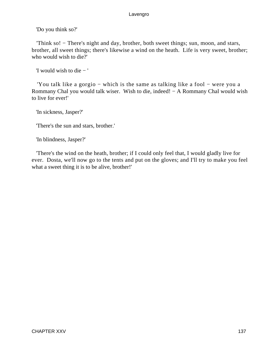'Do you think so?'

 'Think so! − There's night and day, brother, both sweet things; sun, moon, and stars, brother, all sweet things; there's likewise a wind on the heath. Life is very sweet, brother; who would wish to die?'

'I would wish to die − '

 'You talk like a gorgio − which is the same as talking like a fool − were you a Rommany Chal you would talk wiser. Wish to die, indeed! − A Rommany Chal would wish to live for ever!'

'In sickness, Jasper?'

'There's the sun and stars, brother.'

'In blindness, Jasper?'

 'There's the wind on the heath, brother; if I could only feel that, I would gladly live for ever. Dosta, we'll now go to the tents and put on the gloves; and I'll try to make you feel what a sweet thing it is to be alive, brother!'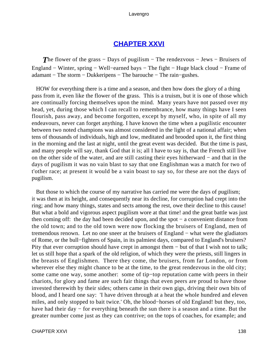# **[CHAPTER XXVI](#page-495-0)**

*The flower of the grass – Days of pugilism – The rendezvous – Jews – Bruisers of* England − Winter, spring − Well−earned bays − The fight − Huge black cloud − Frame of adamant − The storm − Dukkeripens − The barouche − The rain−gushes.

 HOW for everything there is a time and a season, and then how does the glory of a thing pass from it, even like the flower of the grass. This is a truism, but it is one of those which are continually forcing themselves upon the mind. Many years have not passed over my head, yet, during those which I can recall to remembrance, how many things have I seen flourish, pass away, and become forgotten, except by myself, who, in spite of all my endeavours, never can forget anything. I have known the time when a pugilistic encounter between two noted champions was almost considered in the light of a national affair; when tens of thousands of individuals, high and low, meditated and brooded upon it, the first thing in the morning and the last at night, until the great event was decided. But the time is past, and many people will say, thank God that it is; all I have to say is, that the French still live on the other side of the water, and are still casting their eyes hitherward − and that in the days of pugilism it was no vain blast to say that one Englishman was a match for two of t'other race; at present it would be a vain boast to say so, for these are not the days of pugilism.

 But those to which the course of my narrative has carried me were the days of pugilism; it was then at its height, and consequently near its decline, for corruption had crept into the ring; and how many things, states and sects among the rest, owe their decline to this cause! But what a bold and vigorous aspect pugilism wore at that time! and the great battle was just then coming off: the day had been decided upon, and the spot − a convenient distance from the old town; and to the old town were now flocking the bruisers of England, men of tremendous renown. Let no one sneer at the bruisers of England – what were the gladiators of Rome, or the bull−fighters of Spain, in its palmiest days, compared to England's bruisers? Pity that ever corruption should have crept in amongst them – but of that I wish not to talk; let us still hope that a spark of the old religion, of which they were the priests, still lingers in the breasts of Englishmen. There they come, the bruisers, from far London, or from wherever else they might chance to be at the time, to the great rendezvous in the old city; some came one way, some another: some of tip−top reputation came with peers in their chariots, for glory and fame are such fair things that even peers are proud to have those invested therewith by their sides; others came in their own gigs, driving their own bits of blood, and I heard one say: 'I have driven through at a heat the whole hundred and eleven miles, and only stopped to bait twice.' Oh, the blood−horses of old England! but they, too, have had their day – for everything beneath the sun there is a season and a time. But the greater number come just as they can contrive; on the tops of coaches, for example; and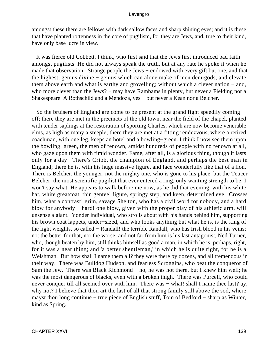amongst these there are fellows with dark sallow faces and sharp shining eyes; and it is these that have planted rottenness in the core of pugilism, for they are Jews, and, true to their kind, have only base lucre in view.

 It was fierce old Cobbett, I think, who first said that the Jews first introduced bad faith amongst pugilists. He did not always speak the truth, but at any rate he spoke it when he made that observation. Strange people the Jews – endowed with every gift but one, and that the highest, genius divine − genius which can alone make of men demigods, and elevate them above earth and what is earthy and grovelling; without which a clever nation − and, who more clever than the Jews? – may have Rambams in plenty, but never a Fielding nor a Shakespeare. A Rothschild and a Mendoza, yes − but never a Kean nor a Belcher.

 So the bruisers of England are come to be present at the grand fight speedily coming off; there they are met in the precincts of the old town, near the field of the chapel, planted with tender saplings at the restoration of sporting Charles, which are now become venerable elms, as high as many a steeple; there they are met at a fitting rendezvous, where a retired coachman, with one leg, keeps an hotel and a bowling−green. I think I now see them upon the bowling−green, the men of renown, amidst hundreds of people with no renown at all, who gaze upon them with timid wonder. Fame, after all, is a glorious thing, though it lasts only for a day. There's Cribb, the champion of England, and perhaps the best man in England; there he is, with his huge massive figure, and face wonderfully like that of a lion. There is Belcher, the younger, not the mighty one, who is gone to his place, but the Teucer Belcher, the most scientific pugilist that ever entered a ring, only wanting strength to be, I won't say what. He appears to walk before me now, as he did that evening, with his white hat, white greatcoat, thin genteel figure, springy step, and keen, determined eye. Crosses him, what a contrast! grim, savage Shelton, who has a civil word for nobody, and a hard blow for anybody − hard! one blow, given with the proper play of his athletic arm, will unsense a giant. Yonder individual, who strolls about with his hands behind him, supporting his brown coat lappets, under−sized, and who looks anything but what he is, is the king of the light weights, so called − Randall! the terrible Randall, who has Irish blood in his veins; not the better for that, nor the worse; and not far from him is his last antagonist, Ned Turner, who, though beaten by him, still thinks himself as good a man, in which he is, perhaps, right, for it was a near thing; and 'a better shentleman,' in which he is quite right, for he is a Welshman. But how shall I name them all? they were there by dozens, and all tremendous in their way. There was Bulldog Hudson, and fearless Scroggins, who beat the conqueror of Sam the Jew. There was Black Richmond − no, he was not there, but I knew him well; he was the most dangerous of blacks, even with a broken thigh. There was Purcell, who could never conquer till all seemed over with him. There was – what! shall I name thee last? ay, why not? I believe that thou art the last of all that strong family still above the sod, where mayst thou long continue − true piece of English stuff, Tom of Bedford − sharp as Winter, kind as Spring.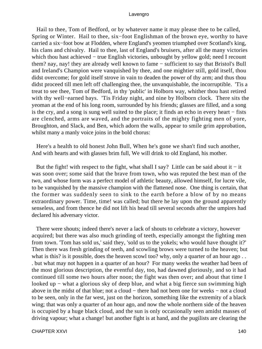Hail to thee, Tom of Bedford, or by whatever name it may please thee to be called, Spring or Winter. Hail to thee, six−foot Englishman of the brown eye, worthy to have carried a six−foot bow at Flodden, where England's yeomen triumphed over Scotland's king, his clans and chivalry. Hail to thee, last of England's bruisers, after all the many victories which thou hast achieved – true English victories, unbought by yellow gold; need I recount them? nay, nay! they are already well known to fame − sufficient to say that Bristol's Bull and Ireland's Champion were vanquished by thee, and one mightier still, gold itself, thou didst overcome; for gold itself strove in vain to deaden the power of thy arm; and thus thou didst proceed till men left off challenging thee, the unvanquishable, the incorruptible. 'Tis a treat to see thee, Tom of Bedford, in thy 'public' in Holborn way, whither thou hast retired with thy well−earned bays. 'Tis Friday night, and nine by Holborn clock. There sits the yeoman at the end of his long room, surrounded by his friends; glasses are filled, and a song is the cry, and a song is sung well suited to the place; it finds an echo in every heart − fists are clenched, arms are waved, and the portraits of the mighty fighting men of yore, Broughton, and Slack, and Ben, which adorn the walls, appear to smile grim approbation, whilst many a manly voice joins in the bold chorus:

 Here's a health to old honest John Bull, When he's gone we shan't find such another, And with hearts and with glasses brim full, We will drink to old England, his mother.

But the fight! with respect to the fight, what shall I say? Little can be said about it  $-$  it was soon over; some said that the brave from town, who was reputed the best man of the two, and whose form was a perfect model of athletic beauty, allowed himself, for lucre vile, to be vanquished by the massive champion with the flattened nose. One thing is certain, that the former was suddenly seen to sink to the earth before a blow of by no means extraordinary power. Time, time! was called; but there he lay upon the ground apparently senseless, and from thence he did not lift his head till several seconds after the umpires had declared his adversary victor.

 There were shouts; indeed there's never a lack of shouts to celebrate a victory, however acquired; but there was also much grinding of teeth, especially amongst the fighting men from town. 'Tom has sold us,' said they, 'sold us to the yokels; who would have thought it?' Then there was fresh grinding of teeth, and scowling brows were turned to the heaven; but what is this? is it possible, does the heaven scowl too? why, only a quarter of an hour ago... . but what may not happen in a quarter of an hour? For many weeks the weather had been of the most glorious description, the eventful day, too, had dawned gloriously, and so it had continued till some two hours after noon; the fight was then over; and about that time I looked up − what a glorious sky of deep blue, and what a big fierce sun swimming high above in the midst of that blue; not a cloud − there had not been one for weeks − not a cloud to be seen, only in the far west, just on the horizon, something like the extremity of a black wing; that was only a quarter of an hour ago, and now the whole northern side of the heaven is occupied by a huge black cloud, and the sun is only occasionally seen amidst masses of driving vapour; what a change! but another fight is at hand, and the pugilists are clearing the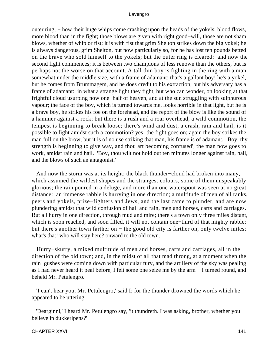outer ring; – how their huge whips come crashing upon the heads of the yokels; blood flows, more blood than in the fight; those blows are given with right good−will, those are not sham blows, whether of whip or fist; it is with fist that grim Shelton strikes down the big yokel; he is always dangerous, grim Shelton, but now particularly so, for he has lost ten pounds betted on the brave who sold himself to the yokels; but the outer ring is cleared: and now the second fight commences; it is between two champions of less renown than the others, but is perhaps not the worse on that account. A tall thin boy is fighting in the ring with a man somewhat under the middle size, with a frame of adamant; that's a gallant boy! he's a yokel, but he comes from Brummagem, and he does credit to his extraction; but his adversary has a frame of adamant: in what a strange light they fight, but who can wonder, on looking at that frightful cloud usurping now one−half of heaven, and at the sun struggling with sulphurous vapour; the face of the boy, which is turned towards me, looks horrible in that light, but he is a brave boy, he strikes his foe on the forehead, and the report of the blow is like the sound of a hammer against a rock; but there is a rush and a roar overhead, a wild commotion, the tempest is beginning to break loose; there's wind and dust, a crash, rain and hail; is it possible to fight amidst such a commotion? yes! the fight goes on; again the boy strikes the man full on the brow, but it is of no use striking that man, his frame is of adamant. 'Boy, thy strength is beginning to give way, and thou art becoming confused'; the man now goes to work, amidst rain and hail. 'Boy, thou wilt not hold out ten minutes longer against rain, hail, and the blows of such an antagonist.'

 And now the storm was at its height; the black thunder−cloud had broken into many, which assumed the wildest shapes and the strangest colours, some of them unspeakably glorious; the rain poured in a deluge, and more than one waterspout was seen at no great distance: an immense rabble is hurrying in one direction; a multitude of men of all ranks, peers and yokels, prize−fighters and Jews, and the last came to plunder, and are now plundering amidst that wild confusion of hail and rain, men and horses, carts and carriages. But all hurry in one direction, through mud and mire; there's a town only three miles distant, which is soon reached, and soon filled, it will not contain one−third of that mighty rabble; but there's another town farther on − the good old city is farther on, only twelve miles; what's that! who will stay here? onward to the old town.

 Hurry−skurry, a mixed multitude of men and horses, carts and carriages, all in the direction of the old town; and, in the midst of all that mad throng, at a moment when the rain−gushes were coming down with particular fury, and the artillery of the sky was pealing as I had never heard it peal before, I felt some one seize me by the arm − I turned round, and beheld Mr. Petulengro.

 'I can't hear you, Mr. Petulengro,' said I; for the thunder drowned the words which he appeared to be uttering.

 'Dearginni,' I heard Mr. Petulengro say, 'it thundreth. I was asking, brother, whether you believe in dukkeripens?'

#### CHAPTER XXVI and the state of the state of the state of the state of the state of the state of the state of the state of the state of the state of the state of the state of the state of the state of the state of the state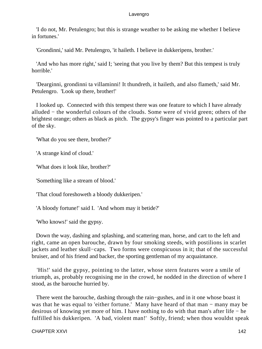'I do not, Mr. Petulengro; but this is strange weather to be asking me whether I believe in fortunes.'

'Grondinni,' said Mr. Petulengro, 'it haileth. I believe in dukkeripens, brother.'

 'And who has more right,' said I; 'seeing that you live by them? But this tempest is truly horrible.'

 'Dearginni, grondinni ta villaminni! It thundreth, it haileth, and also flameth,' said Mr. Petulengro. 'Look up there, brother!'

 I looked up. Connected with this tempest there was one feature to which I have already alluded − the wonderful colours of the clouds. Some were of vivid green; others of the brightest orange; others as black as pitch. The gypsy's finger was pointed to a particular part of the sky.

'What do you see there, brother?'

'A strange kind of cloud.'

'What does it look like, brother?'

'Something like a stream of blood.'

'That cloud foreshoweth a bloody dukkeripen.'

'A bloody fortune!' said I. 'And whom may it betide?'

'Who knows!' said the gypsy.

 Down the way, dashing and splashing, and scattering man, horse, and cart to the left and right, came an open barouche, drawn by four smoking steeds, with postilions in scarlet jackets and leather skull−caps. Two forms were conspicuous in it; that of the successful bruiser, and of his friend and backer, the sporting gentleman of my acquaintance.

 'His!' said the gypsy, pointing to the latter, whose stern features wore a smile of triumph, as, probably recognising me in the crowd, he nodded in the direction of where I stood, as the barouche hurried by.

 There went the barouche, dashing through the rain−gushes, and in it one whose boast it was that he was equal to 'either fortune.' Many have heard of that man − many may be desirous of knowing yet more of him. I have nothing to do with that man's after life − he fulfilled his dukkeripen. 'A bad, violent man!' Softly, friend; when thou wouldst speak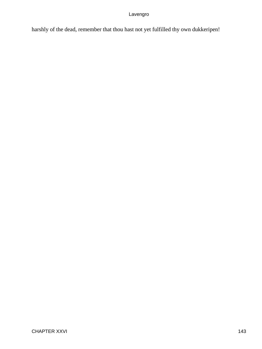harshly of the dead, remember that thou hast not yet fulfilled thy own dukkeripen!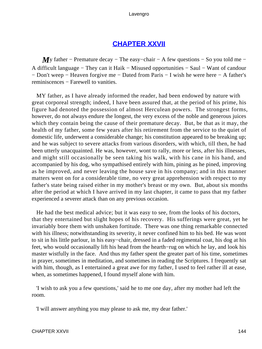# **[CHAPTER XXVII](#page-495-0)**

*My* father – Premature decay – The easy–chair – A few questions – So you told me – A difficult language − They can it Haik − Misused opportunities − Saul − Want of candour − Don't weep − Heaven forgive me − Dated from Paris − I wish he were here − A father's reminiscences − Farewell to vanities.

 MY father, as I have already informed the reader, had been endowed by nature with great corporeal strength; indeed, I have been assured that, at the period of his prime, his figure had denoted the possession of almost Herculean powers. The strongest forms, however, do not always endure the longest, the very excess of the noble and generous juices which they contain being the cause of their premature decay. But, be that as it may, the health of my father, some few years after his retirement from the service to the quiet of domestic life, underwent a considerable change; his constitution appeared to be breaking up; and he was subject to severe attacks from various disorders, with which, till then, he had been utterly unacquainted. He was, however, wont to rally, more or less, after his illnesses, and might still occasionally be seen taking his walk, with his cane in his hand, and accompanied by his dog, who sympathised entirely with him, pining as he pined, improving as he improved, and never leaving the house save in his company; and in this manner matters went on for a considerable time, no very great apprehension with respect to my father's state being raised either in my mother's breast or my own. But, about six months after the period at which I have arrived in my last chapter, it came to pass that my father experienced a severer attack than on any previous occasion.

 He had the best medical advice; but it was easy to see, from the looks of his doctors, that they entertained but slight hopes of his recovery. His sufferings were great, yet he invariably bore them with unshaken fortitude. There was one thing remarkable connected with his illness; notwithstanding its severity, it never confined him to his bed. He was wont to sit in his little parlour, in his easy−chair, dressed in a faded regimental coat, his dog at his feet, who would occasionally lift his head from the hearth−rug on which he lay, and look his master wistfully in the face. And thus my father spent the greater part of his time, sometimes in prayer, sometimes in meditation, and sometimes in reading the Scriptures. I frequently sat with him, though, as I entertained a great awe for my father, I used to feel rather ill at ease, when, as sometimes happened, I found myself alone with him.

 'I wish to ask you a few questions,' said he to me one day, after my mother had left the room.

'I will answer anything you may please to ask me, my dear father.'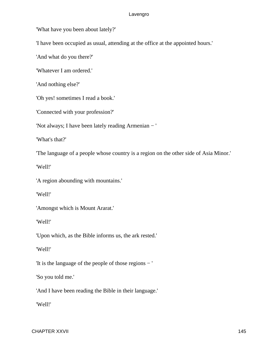'What have you been about lately?'

'I have been occupied as usual, attending at the office at the appointed hours.'

'And what do you there?'

'Whatever I am ordered.'

'And nothing else?'

'Oh yes! sometimes I read a book.'

'Connected with your profession?'

'Not always; I have been lately reading Armenian − '

'What's that?'

'The language of a people whose country is a region on the other side of Asia Minor.'

'Well!'

'A region abounding with mountains.'

'Well!'

'Amongst which is Mount Ararat.'

'Well!'

'Upon which, as the Bible informs us, the ark rested.'

'Well!'

'It is the language of the people of those regions − '

'So you told me.'

'And I have been reading the Bible in their language.'

'Well!'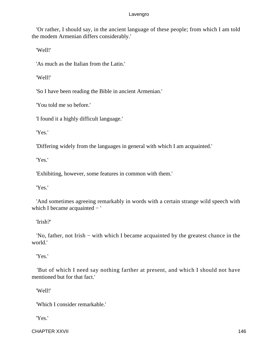'Or rather, I should say, in the ancient language of these people; from which I am told the modem Armenian differs considerably.'

'Well!'

'As much as the Italian from the Latin.'

'Well!'

'So I have been reading the Bible in ancient Armenian.'

'You told me so before.'

'I found it a highly difficult language.'

'Yes.'

'Differing widely from the languages in general with which I am acquainted.'

'Yes.'

'Exhibiting, however, some features in common with them.'

'Yes.'

 'And sometimes agreeing remarkably in words with a certain strange wild speech with which I became acquainted − '

'Irish?'

 'No, father, not Irish − with which I became acquainted by the greatest chance in the world.'

'Yes.'

 'But of which I need say nothing farther at present, and which I should not have mentioned but for that fact.'

'Well!'

'Which I consider remarkable.'

'Yes.'

CHAPTER XXVII 2002 2003 2004 2005 2006 2007 2007 2008 2009 2007 2008 2009 2009 2007 2008 2009 2009 2007 2008 20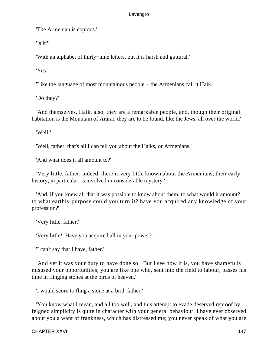'The Armenian is copious.'

'Is it?'

'With an alphabet of thirty−nine letters, but it is harsh and guttural.'

'Yes.'

'Like the language of most mountainous people − the Armenians call it Haik.'

'Do they?'

 'And themselves, Haik, also; they are a remarkable people, and, though their original habitation is the Mountain of Ararat, they are to be found, like the Jews, all over the world.'

'Well!'

'Well, father, that's all I can tell you about the Haiks, or Armenians.'

'And what does it all amount to?'

 'Very little, father; indeed, there is very little known about the Armenians; their early history, in particular, is involved in considerable mystery.'

 'And, if you knew all that it was possible to know about them, to what would it amount? to what earthly purpose could you turn it? have you acquired any knowledge of your profession?'

'Very little, father.'

'Very little! Have you acquired all in your power?'

'I can't say that I have, father.'

 'And yet it was your duty to have done so. But I see how it is, you have shamefully misused your opportunities; you are like one who, sent into the field to labour, passes his time in flinging stones at the birds of heaven.'

'I would scorn to fling a stone at a bird, father.'

 'You know what I mean, and all too well, and this attempt to evade deserved reproof by feigned simplicity is quite in character with your general behaviour. I have ever observed about you a want of frankness, which has distressed me; you never speak of what you are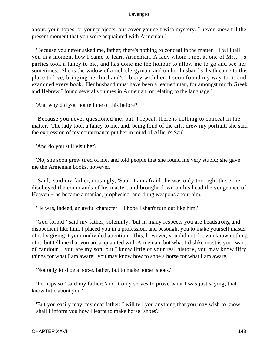about, your hopes, or your projects, but cover yourself with mystery. I never knew till the present moment that you were acquainted with Armenian.'

 'Because you never asked me, father; there's nothing to conceal in the matter − I will tell you in a moment how I came to learn Armenian. A lady whom I met at one of Mrs. −'s parties took a fancy to me, and has done me the honour to allow me to go and see her sometimes. She is the widow of a rich clergyman, and on her husband's death came to this place to live, bringing her husband's library with her: I soon found my way to it, and examined every book. Her husband must have been a learned man, for amongst much Greek and Hebrew I found several volumes in Armenian, or relating to the language.'

'And why did you not tell me of this before?'

 'Because you never questioned me; but, I repeat, there is nothing to conceal in the matter. The lady took a fancy to me, and, being fond of the arts, drew my portrait; she said the expression of my countenance put her in mind of Alfieri's Saul.'

'And do you still visit her?'

 'No, she soon grew tired of me, and told people that she found me very stupid; she gave me the Armenian books, however.'

 'Saul,' said my father, musingly, 'Saul. I am afraid she was only too right there; he disobeyed the commands of his master, and brought down on his head the vengeance of Heaven – he became a maniac, prophesied, and flung weapons about him.'

'He was, indeed, an awful character − I hope I shan't turn out like him.'

 'God forbid!' said my father, solemnly; 'but in many respects you are headstrong and disobedient like him. I placed you in a profession, and besought you to make yourself master of it by giving it your undivided attention. This, however, you did not do, you know nothing of it, but tell me that you are acquainted with Armenian; but what I dislike most is your want of candour − you are my son, but I know little of your real history, you may know fifty things for what I am aware: you may know how to shoe a horse for what I am aware.'

'Not only to shoe a horse, father, but to make horse−shoes.'

 'Perhaps so,' said my father; 'and it only serves to prove what I was just saying, that I know little about you.'

 'But you easily may, my dear father; I will tell you anything that you may wish to know − shall I inform you how I learnt to make horse−shoes?'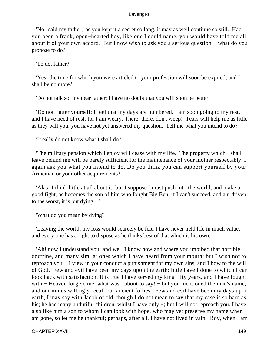'No,' said my father; 'as you kept it a secret so long, it may as well continue so still. Had you been a frank, open−hearted boy, like one I could name, you would have told me all about it of your own accord. But I now wish to ask you a serious question − what do you propose to do?'

'To do, father?'

 'Yes! the time for which you were articled to your profession will soon be expired, and I shall be no more.'

'Do not talk so, my dear father; I have no doubt that you will soon be better.'

 'Do not flatter yourself; I feel that my days are numbered, I am soon going to my rest, and I have need of rest, for I am weary. There, there, don't weep! Tears will help me as little as they will you; you have not yet answered my question. Tell me what you intend to do?'

'I really do not know what I shall do.'

 'The military pension which I enjoy will cease with my life. The property which I shall leave behind me will be barely sufficient for the maintenance of your mother respectably. I again ask you what you intend to do. Do you think you can support yourself by your Armenian or your other acquirements?'

 'Alas! I think little at all about it; but I suppose I must push into the world, and make a good fight, as becomes the son of him who fought Big Ben; if I can't succeed, and am driven to the worst, it is but dying − '

'What do you mean by dying?'

 'Leaving the world; my loss would scarcely be felt. I have never held life in much value, and every one has a right to dispose as he thinks best of that which is his own.'

 'Ah! now I understand you; and well I know how and where you imbibed that horrible doctrine, and many similar ones which I have heard from your mouth; but I wish not to reproach you − I view in your conduct a punishment for my own sins, and I bow to the will of God. Few and evil have been my days upon the earth; little have I done to which I can look back with satisfaction. It is true I have served my king fifty years, and I have fought with – Heaven forgive me, what was I about to say! – but you mentioned the man's name, and our minds willingly recall our ancient follies. Few and evil have been my days upon earth, I may say with Jacob of old, though I do not mean to say that my case is so hard as his; he had many undutiful children, whilst I have only −; but I will not reproach you. I have also like him a son to whom I can look with hope, who may yet preserve my name when I am gone, so let me be thankful; perhaps, after all, I have not lived in vain. Boy, when I am

CHAPTER XXVII 149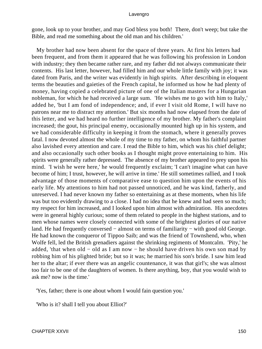gone, look up to your brother, and may God bless you both! There, don't weep; but take the Bible, and read me something about the old man and his children.'

 My brother had now been absent for the space of three years. At first his letters had been frequent, and from them it appeared that he was following his profession in London with industry; they then became rather rare, and my father did not always communicate their contents. His last letter, however, had filled him and our whole little family with joy; it was dated from Paris, and the writer was evidently in high spirits. After describing in eloquent terms the beauties and gaieties of the French capital, he informed us how he had plenty of money, having copied a celebrated picture of one of the Italian masters for a Hungarian nobleman, for which he had received a large sum. 'He wishes me to go with him to Italy,' added he, 'but I am fond of independence; and, if ever I visit old Rome, I will have no patrons near me to distract my attention.' But six months had now elapsed from the date of this letter, and we had heard no further intelligence of my brother. My father's complaint increased; the gout, his principal enemy, occasionally mounted high up in his system, and we had considerable difficulty in keeping it from the stomach, where it generally proves fatal. I now devoted almost the whole of my time to my father, on whom his faithful partner also lavished every attention and care. I read the Bible to him, which was his chief delight; and also occasionally such other books as I thought might prove entertaining to him. His spirits were generally rather depressed. The absence of my brother appeared to prey upon his mind. 'I wish he were here,' he would frequently exclaim; 'I can't imagine what can have become of him; I trust, however, he will arrive in time.' He still sometimes rallied, and I took advantage of those moments of comparative ease to question him upon the events of his early life. My attentions to him had not passed unnoticed, and he was kind, fatherly, and unreserved. I had never known my father so entertaining as at these moments, when his life was but too evidently drawing to a close. I had no idea that he knew and had seen so much; my respect for him increased, and I looked upon him almost with admiration. His anecdotes were in general highly curious; some of them related to people in the highest stations, and to men whose names were closely connected with some of the brightest glories of our native land. He had frequently conversed − almost on terms of familiarity − with good old George. He had known the conqueror of Tippoo Saib; and was the friend of Townshend, who, when Wolfe fell, led the British grenadiers against the shrinking regiments of Montcalm. 'Pity,' he added, 'that when old − old as I am now − he should have driven his own son mad by robbing him of his plighted bride; but so it was; he married his son's bride. I saw him lead her to the altar; if ever there was an angelic countenance, it was that girl's; she was almost too fair to be one of the daughters of women. Is there anything, boy, that you would wish to ask me? now is the time.'

'Yes, father; there is one about whom I would fain question you.'

'Who is it? shall I tell you about Elliot?'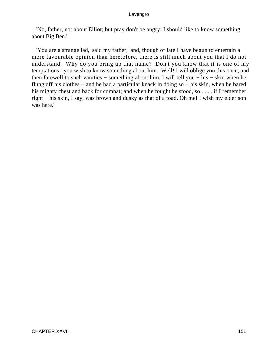'No, father, not about Elliot; but pray don't be angry; I should like to know something about Big Ben.'

 'You are a strange lad,' said my father; 'and, though of late I have begun to entertain a more favourable opinion than heretofore, there is still much about you that I do not understand. Why do you bring up that name? Don't you know that it is one of my temptations: you wish to know something about him. Well! I will oblige you this once, and then farewell to such vanities − something about him. I will tell you − his − skin when he flung off his clothes − and he had a particular knack in doing so − his skin, when he bared his mighty chest and back for combat; and when he fought he stood, so . . . . if I remember right − his skin, I say, was brown and dusky as that of a toad. Oh me! I wish my elder son was here.'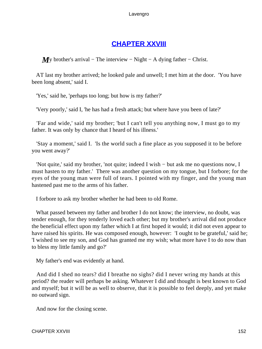# **[CHAPTER XXVIII](#page-495-0)**

*M*y brother's arrival – The interview – Night – A dying father – Christ.

 AT last my brother arrived; he looked pale and unwell; I met him at the door. 'You have been long absent,' said I.

'Yes,' said he, 'perhaps too long; but how is my father?'

'Very poorly,' said I, 'he has had a fresh attack; but where have you been of late?'

 'Far and wide,' said my brother; 'but I can't tell you anything now, I must go to my father. It was only by chance that I heard of his illness.'

 'Stay a moment,' said I. 'Is the world such a fine place as you supposed it to be before you went away?'

 'Not quite,' said my brother, 'not quite; indeed I wish − but ask me no questions now, I must hasten to my father.' There was another question on my tongue, but I forbore; for the eyes of the young man were full of tears. I pointed with my finger, and the young man hastened past me to the arms of his father.

I forbore to ask my brother whether he had been to old Rome.

What passed between my father and brother I do not know; the interview, no doubt, was tender enough, for they tenderly loved each other; but my brother's arrival did not produce the beneficial effect upon my father which I at first hoped it would; it did not even appear to have raised his spirits. He was composed enough, however: 'I ought to be grateful,' said he; 'I wished to see my son, and God has granted me my wish; what more have I to do now than to bless my little family and go?'

My father's end was evidently at hand.

 And did I shed no tears? did I breathe no sighs? did I never wring my hands at this period? the reader will perhaps be asking. Whatever I did and thought is best known to God and myself; but it will be as well to observe, that it is possible to feel deeply, and yet make no outward sign.

And now for the closing scene.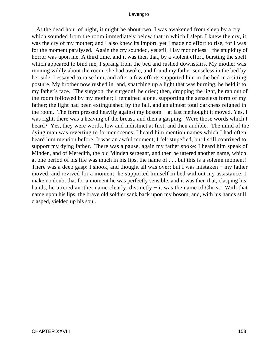At the dead hour of night, it might be about two, I was awakened from sleep by a cry which sounded from the room immediately below that in which I slept. I knew the cry, it was the cry of my mother; and I also knew its import, yet I made no effort to rise, for I was for the moment paralysed. Again the cry sounded, yet still I lay motionless − the stupidity of horror was upon me. A third time, and it was then that, by a violent effort, bursting the spell which appeared to bind me, I sprang from the bed and rushed downstairs. My mother was running wildly about the room; she had awoke, and found my father senseless in the bed by her side. I essayed to raise him, and after a few efforts supported him in the bed in a sitting posture. My brother now rushed in, and, snatching up a light that was burning, he held it to my father's face. 'The surgeon, the surgeon!' he cried; then, dropping the light, he ran out of the room followed by my mother; I remained alone, supporting the senseless form of my father; the light had been extinguished by the fall, and an almost total darkness reigned in the room. The form pressed heavily against my bosom − at last methought it moved. Yes, I was right, there was a heaving of the breast, and then a gasping. Were those words which I heard? Yes, they were words, low and indistinct at first, and then audible. The mind of the dying man was reverting to former scenes. I heard him mention names which I had often heard him mention before. It was an awful moment; I felt stupefied, but I still contrived to support my dying father. There was a pause, again my father spoke: I heard him speak of Minden, and of Meredith, the old Minden sergeant, and then he uttered another name, which at one period of his life was much in his lips, the name of . . . but this is a solemn moment! There was a deep gasp: I shook, and thought all was over; but I was mistaken − my father moved, and revived for a moment; he supported himself in bed without my assistance. I make no doubt that for a moment he was perfectly sensible, and it was then that, clasping his hands, he uttered another name clearly, distinctly – it was the name of Christ. With that name upon his lips, the brave old soldier sank back upon my bosom, and, with his hands still clasped, yielded up his soul.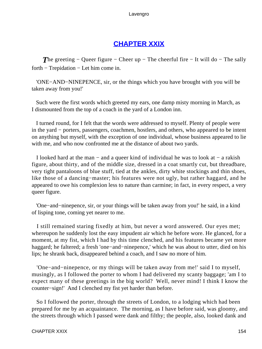# **[CHAPTER XXIX](#page-495-0)**

*T*he greeting – Queer figure – Cheer up – The cheerful fire – It will do – The sally forth − Trepidation − Let him come in.

 'ONE−AND−NINEPENCE, sir, or the things which you have brought with you will be taken away from you!'

 Such were the first words which greeted my ears, one damp misty morning in March, as I dismounted from the top of a coach in the yard of a London inn.

 I turned round, for I felt that the words were addressed to myself. Plenty of people were in the yard − porters, passengers, coachmen, hostlers, and others, who appeared to be intent on anything but myself, with the exception of one individual, whose business appeared to lie with me, and who now confronted me at the distance of about two yards.

 I looked hard at the man − and a queer kind of individual he was to look at − a rakish figure, about thirty, and of the middle size, dressed in a coat smartly cut, but threadbare, very tight pantaloons of blue stuff, tied at the ankles, dirty white stockings and thin shoes, like those of a dancing−master; his features were not ugly, but rather haggard, and he appeared to owe his complexion less to nature than carmine; in fact, in every respect, a very queer figure.

 'One−and−ninepence, sir, or your things will be taken away from you!' he said, in a kind of lisping tone, coming yet nearer to me.

 I still remained staring fixedly at him, but never a word answered. Our eyes met; whereupon he suddenly lost the easy impudent air which he before wore. He glanced, for a moment, at my fist, which I had by this time clenched, and his features became yet more haggard; he faltered; a fresh 'one−and−ninepence,' which he was about to utter, died on his lips; he shrank back, disappeared behind a coach, and I saw no more of him.

 'One−and−ninepence, or my things will be taken away from me!' said I to myself, musingly, as I followed the porter to whom I had delivered my scanty baggage; 'am I to expect many of these greetings in the big world? Well, never mind! I think I know the counter−sign!' And I clenched my fist yet harder than before.

 So I followed the porter, through the streets of London, to a lodging which had been prepared for me by an acquaintance. The morning, as I have before said, was gloomy, and the streets through which I passed were dank and filthy; the people, also, looked dank and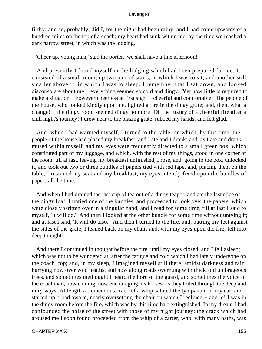filthy; and so, probably, did I, for the night had been rainy, and I had come upwards of a hundred miles on the top of a coach; my heart had sunk within me, by the time we reached a dark narrow street, in which was the lodging.

'Cheer up, young man,' said the porter, 'we shall have a fine afternoon!'

 And presently I found myself in the lodging which had been prepared for me. It consisted of a small room, up two pair of stairs, in which I was to sit, and another still smaller above it, in which I was to sleep. I remember that I sat down, and looked disconsolate about me − everything seemed so cold and dingy. Yet how little is required to make a situation − however cheerless at first sight − cheerful and comfortable. The people of the house, who looked kindly upon me, lighted a fire in the dingy grate; and, then, what a change! − the dingy room seemed dingy no more! Oh the luxury of a cheerful fire after a chill night's journey! I drew near to the blazing grate, rubbed my hands, and felt glad.

 And, when I had warmed myself, I turned to the table, on which, by this time, the people of the house had placed my breakfast; and I ate and I drank; and, as I ate and drank, I mused within myself, and my eyes were frequently directed to a small green box, which constituted part of my luggage, and which, with the rest of my things, stood in one corner of the room, till at last, leaving my breakfast unfinished, I rose, and, going to the box, unlocked it, and took out two or three bundles of papers tied with red tape, and, placing them on the table, I resumed my seat and my breakfast, my eyes intently fixed upon the bundles of papers all the time.

 And when I had drained the last cup of tea out of a dingy teapot, and ate the last slice of the dingy loaf, I untied one of the bundles, and proceeded to look over the papers, which were closely written over in a singular hand, and I read for some time, till at last I said to myself, 'It will do.' And then I looked at the other bundle for some time without untying it; and at last I said, 'It will do also.' And then I turned to the fire, and, putting my feet against the sides of the grate, I leaned back on my chair, and, with my eyes upon the fire, fell into deep thought.

 And there I continued in thought before the fire, until my eyes closed, and I fell asleep; which was not to be wondered at, after the fatigue and cold which I had lately undergone on the coach−top; and, in my sleep, I imagined myself still there, amidst darkness and rain, hurrying now over wild heaths, and now along roads overhung with thick and umbrageous trees, and sometimes methought I heard the horn of the guard, and sometimes the voice of the coachman, now chiding, now encouraging his horses, as they toiled through the deep and miry ways. At length a tremendous crack of a whip saluted the tympanum of my ear, and I started up broad awake, nearly oversetting the chair on which I reclined – and lo! I was in the dingy room before the fire, which was by this time half extinguished. In my dream I had confounded the noise of the street with those of my night journey; the crack which had aroused me I soon found proceeded from the whip of a carter, who, with many oaths, was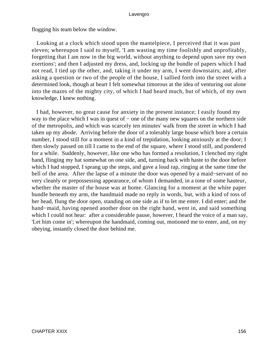flogging his team below the window.

 Looking at a clock which stood upon the mantelpiece, I perceived that it was past eleven; whereupon I said to myself, 'I am wasting my time foolishly and unprofitably, forgetting that I am now in the big world, without anything to depend upon save my own exertions'; and then I adjusted my dress, and, locking up the bundle of papers which I had not read, I tied up the other, and, taking it under my arm, I went downstairs; and, after asking a question or two of the people of the house, I sallied forth into the street with a determined look, though at heart I felt somewhat timorous at the idea of venturing out alone into the mazes of the mighty city, of which I had heard much, but of which, of my own knowledge, I knew nothing.

 I had, however, no great cause for anxiety in the present instance; I easily found my way to the place which I was in quest of – one of the many new squares on the northern side of the metropolis, and which was scarcely ten minutes' walk from the street in which I had taken up my abode. Arriving before the door of a tolerably large house which bore a certain number, I stood still for a moment in a kind of trepidation, looking anxiously at the door; I then slowly passed on till I came to the end of the square, where I stood still, and pondered for a while. Suddenly, however, like one who has formed a resolution, I clenched my right hand, flinging my hat somewhat on one side, and, turning back with haste to the door before which I had stopped, I sprang up the steps, and gave a loud rap, ringing at the same time the bell of the area. After the lapse of a minute the door was opened by a maid−servant of no very cleanly or prepossessing appearance, of whom I demanded, in a tone of some hauteur, whether the master of the house was at home. Glancing for a moment at the white paper bundle beneath my arm, the handmaid made no reply in words, but, with a kind of toss of her head, flung the door open, standing on one side as if to let me enter. I did enter; and the hand−maid, having opened another door on the right hand, went in, and said something which I could not hear: after a considerable pause, however, I heard the voice of a man say, 'Let him come in'; whereupon the handmaid, coming out, motioned me to enter, and, on my obeying, instantly closed the door behind me.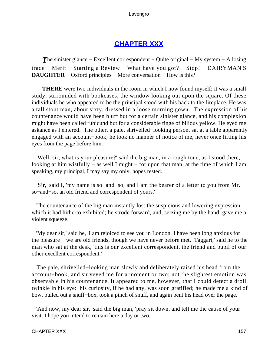# **[CHAPTER XXX](#page-495-0)**

**The sinister glance – Excellent correspondent – Quite original – My system – A losing** trade − Merit − Starting a Review − What have you got? − Stop! − DAIRYMAN'S **DAUGHTER −** Oxford principles − More conversation − How is this?

**THERE** were two individuals in the room in which I now found myself; it was a small study, surrounded with bookcases, the window looking out upon the square. Of these individuals he who appeared to be the principal stood with his back to the fireplace. He was a tall stout man, about sixty, dressed in a loose morning gown. The expression of his countenance would have been bluff but for a certain sinister glance, and his complexion might have been called rubicund but for a considerable tinge of bilious yellow. He eyed me askance as I entered. The other, a pale, shrivelled−looking person, sat at a table apparently engaged with an account−book; he took no manner of notice of me, never once lifting his eyes from the page before him.

 'Well, sir, what is your pleasure?' said the big man, in a rough tone, as I stood there, looking at him wistfully − as well I might − for upon that man, at the time of which I am speaking, my principal, I may say my only, hopes rested.

 'Sir,' said I, 'my name is so−and−so, and I am the bearer of a letter to you from Mr. so−and−so, an old friend and correspondent of yours.'

 The countenance of the big man instantly lost the suspicious and lowering expression which it had hitherto exhibited; he strode forward, and, seizing me by the hand, gave me a violent squeeze.

 'My dear sir,' said he, 'I am rejoiced to see you in London. I have been long anxious for the pleasure − we are old friends, though we have never before met. Taggart,' said he to the man who sat at the desk, 'this is our excellent correspondent, the friend and pupil of our other excellent correspondent.'

 The pale, shrivelled−looking man slowly and deliberately raised his head from the account−book, and surveyed me for a moment or two; not the slightest emotion was observable in his countenance. It appeared to me, however, that I could detect a droll twinkle in his eye: his curiosity, if he had any, was soon gratified; he made me a kind of bow, pulled out a snuff−box, took a pinch of snuff, and again bent his head over the page.

 'And now, my dear sir,' said the big man, 'pray sit down, and tell me the cause of your visit. I hope you intend to remain here a day or two.'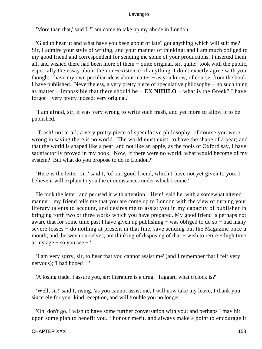'More than that,' said I, 'I am come to take up my abode in London.'

 'Glad to hear it; and what have you been about of late? got anything which will suit me? Sir, I admire your style of writing, and your manner of thinking; and I am much obliged to my good friend and correspondent for sending me some of your productions. I inserted them all, and wished there had been more of them − quite original, sir, quite: took with the public, especially the essay about the non−existence of anything. I don't exactly agree with you though; I have my own peculiar ideas about matter − as you know, of course, from the book I have published. Nevertheless, a very pretty piece of speculative philosophy − no such thing as matter − impossible that there should be − EX **NIHILO −** what is the Greek? I have forgot − very pretty indeed; very original.'

 'I am afraid, sir, it was very wrong to write such trash, and yet more to allow it to be published.'

 'Trash! not at all; a very pretty piece of speculative philosophy; of course you were wrong in saying there is no world. The world must exist, to have the shape of a pear; and that the world is shaped like a pear, and not like an apple, as the fools of Oxford say, I have satisfactorily proved in my book. Now, if there were no world, what would become of my system? But what do you propose to do in London?'

 'Here is the letter, sir,' said I, 'of our good friend, which I have not yet given to you; I believe it will explain to you the circumstances under which I come.'

 He took the letter, and perused it with attention. 'Hem!' said he, with a somewhat altered manner, 'my friend tells me that you are come up to London with the view of turning your literary talents to account, and desires me to assist you in my capacity of publisher in bringing forth two or three works which you have prepared. My good friend is perhaps not aware that for some time past I have given up publishing − was obliged to do so − had many severe losses – do nothing at present in that line, save sending out the Magazine once a month; and, between ourselves, am thinking of disposing of that – wish to retire – high time at my age − so you see − '

 'I am very sorry, sir, to hear that you cannot assist me' (and I remember that I felt very nervous); 'I had hoped − '

'A losing trade, I assure you, sir; literature is a drug. Taggart, what o'clock is?'

 'Well, sir!' said I, rising, 'as you cannot assist me, I will now take my leave; I thank you sincerely for your kind reception, and will trouble you no longer.'

 'Oh, don't go. I wish to have some further conversation with you; and perhaps I may hit upon some plan to benefit you. I honour merit, and always make a point to encourage it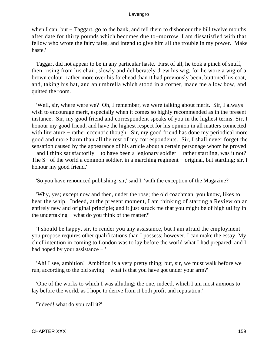when I can; but − Taggart, go to the bank, and tell them to dishonour the bill twelve months after date for thirty pounds which becomes due to−morrow. I am dissatisfied with that fellow who wrote the fairy tales, and intend to give him all the trouble in my power. Make haste.'

 Taggart did not appear to be in any particular haste. First of all, he took a pinch of snuff, then, rising from his chair, slowly and deliberately drew his wig, for he wore a wig of a brown colour, rather more over his forehead than it had previously been, buttoned his coat, and, taking his hat, and an umbrella which stood in a corner, made me a low bow, and quitted the room.

 'Well, sir, where were we? Oh, I remember, we were talking about merit. Sir, I always wish to encourage merit, especially when it comes so highly recommended as in the present instance. Sir, my good friend and correspondent speaks of you in the highest terms. Sir, I honour my good friend, and have the highest respect for his opinion in all matters connected with literature – rather eccentric though. Sir, my good friend has done my periodical more good and more harm than all the rest of my correspondents. Sir, I shall never forget the sensation caused by the appearance of his article about a certain personage whom he proved − and I think satisfactorily − to have been a legionary soldier − rather startling, was it not? The S− of the world a common soldier, in a marching regiment – original, but startling; sir, I honour my good friend.'

'So you have renounced publishing, sir,' said I, 'with the exception of the Magazine?'

 'Why, yes; except now and then, under the rose; the old coachman, you know, likes to hear the whip. Indeed, at the present moment, I am thinking of starting a Review on an entirely new and original principle; and it just struck me that you might be of high utility in the undertaking − what do you think of the matter?'

 'I should be happy, sir, to render you any assistance, but I am afraid the employment you propose requires other qualifications than I possess; however, I can make the essay. My chief intention in coming to London was to lay before the world what I had prepared; and I had hoped by your assistance − '

 'Ah! I see, ambition! Ambition is a very pretty thing; but, sir, we must walk before we run, according to the old saying − what is that you have got under your arm?'

 'One of the works to which I was alluding; the one, indeed, which I am most anxious to lay before the world, as I hope to derive from it both profit and reputation.'

'Indeed! what do you call it?'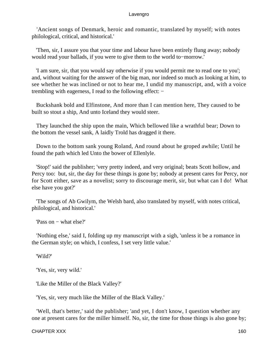'Ancient songs of Denmark, heroic and romantic, translated by myself; with notes philological, critical, and historical.'

 'Then, sir, I assure you that your time and labour have been entirely flung away; nobody would read your ballads, if you were to give them to the world to−morrow.'

 'I am sure, sir, that you would say otherwise if you would permit me to read one to you'; and, without waiting for the answer of the big man, nor indeed so much as looking at him, to see whether he was inclined or not to hear me, I undid my manuscript, and, with a voice trembling with eagerness, I read to the following effect: −

 Buckshank bold and Elfinstone, And more than I can mention here, They caused to be built so stout a ship, And unto Iceland they would steer.

 They launched the ship upon the main, Which bellowed like a wrathful bear; Down to the bottom the vessel sank, A laidly Trold has dragged it there.

 Down to the bottom sank young Roland, And round about he groped awhile; Until he found the path which led Unto the bower of Ellenlyle.

 'Stop!' said the publisher; 'very pretty indeed, and very original; beats Scott hollow, and Percy too: but, sir, the day for these things is gone by; nobody at present cares for Percy, nor for Scott either, save as a novelist; sorry to discourage merit, sir, but what can I do! What else have you got?'

 'The songs of Ab Gwilym, the Welsh bard, also translated by myself, with notes critical, philological, and historical.'

'Pass on − what else?'

 'Nothing else,' said I, folding up my manuscript with a sigh, 'unless it be a romance in the German style; on which, I confess, I set very little value.'

'Wild?'

'Yes, sir, very wild.'

'Like the Miller of the Black Valley?'

'Yes, sir, very much like the Miller of the Black Valley.'

 'Well, that's better,' said the publisher; 'and yet, I don't know, I question whether any one at present cares for the miller himself. No, sir, the time for those things is also gone by;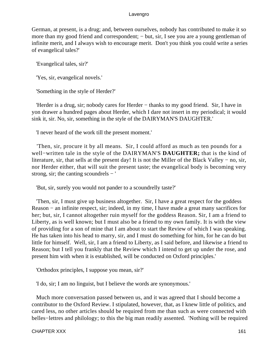German, at present, is a drug; and, between ourselves, nobody has contributed to make it so more than my good friend and correspondent; − but, sir, I see you are a young gentleman of infinite merit, and I always wish to encourage merit. Don't you think you could write a series of evangelical tales?'

'Evangelical tales, sir?'

'Yes, sir, evangelical novels.'

'Something in the style of Herder?'

 'Herder is a drug, sir; nobody cares for Herder − thanks to my good friend. Sir, I have in yon drawer a hundred pages about Herder, which I dare not insert in my periodical; it would sink it, sir. No, sir, something in the style of the DAIRYMAN'S DAUGHTER.'

'I never heard of the work till the present moment.'

 'Then, sir, procure it by all means. Sir, I could afford as much as ten pounds for a well−written tale in the style of the DAIRYMAN'S **DAUGHTER;** that is the kind of literature, sir, that sells at the present day! It is not the Miller of the Black Valley − no, sir, nor Herder either, that will suit the present taste; the evangelical body is becoming very strong, sir; the canting scoundrels − '

'But, sir, surely you would not pander to a scoundrelly taste?'

 'Then, sir, I must give up business altogether. Sir, I have a great respect for the goddess Reason − an infinite respect, sir; indeed, in my time, I have made a great many sacrifices for her; but, sir, I cannot altogether ruin myself for the goddess Reason. Sir, I am a friend to Liberty, as is well known; but I must also be a friend to my own family. It is with the view of providing for a son of mine that I am about to start the Review of which I was speaking. He has taken into his head to marry, sir, and I must do something for him, for he can do but little for himself. Well, sir, I am a friend to Liberty, as I said before, and likewise a friend to Reason; but I tell you frankly that the Review which I intend to get up under the rose, and present him with when it is established, will be conducted on Oxford principles.'

'Orthodox principles, I suppose you mean, sir?'

'I do, sir; I am no linguist, but I believe the words are synonymous.'

 Much more conversation passed between us, and it was agreed that I should become a contributor to the Oxford Review. I stipulated, however, that, as I knew little of politics, and cared less, no other articles should be required from me than such as were connected with belles−lettres and philology; to this the big man readily assented. 'Nothing will be required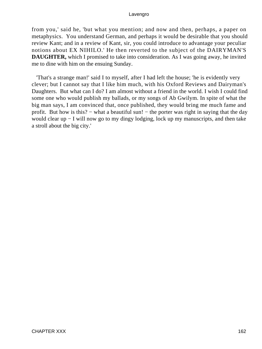from you,' said he, 'but what you mention; and now and then, perhaps, a paper on metaphysics. You understand German, and perhaps it would be desirable that you should review Kant; and in a review of Kant, sir, you could introduce to advantage your peculiar notions about EX NIHILO.' He then reverted to the subject of the DAIRYMAN'S **DAUGHTER,** which I promised to take into consideration. As I was going away, he invited me to dine with him on the ensuing Sunday.

 'That's a strange man!' said I to myself, after I had left the house; 'he is evidently very clever; but I cannot say that I like him much, with his Oxford Reviews and Dairyman's Daughters. But what can I do? I am almost without a friend in the world. I wish I could find some one who would publish my ballads, or my songs of Ab Gwilym. In spite of what the big man says, I am convinced that, once published, they would bring me much fame and profit. But how is this? – what a beautiful sun! – the porter was right in saying that the day would clear up − I will now go to my dingy lodging, lock up my manuscripts, and then take a stroll about the big city.'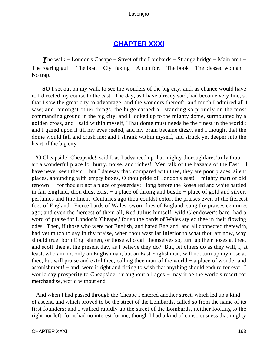# **[CHAPTER XXXI](#page-495-0)**

**The walk – London's Cheape – Street of the Lombards – Strange bridge – Main arch –** The roaring gulf – The boat – Cly–faking – A comfort – The book – The blessed woman – No trap.

**SO I** set out on my walk to see the wonders of the big city, and, as chance would have it, I directed my course to the east. The day, as I have already said, had become very fine, so that I saw the great city to advantage, and the wonders thereof: and much I admired all I saw; and, amongst other things, the huge cathedral, standing so proudly on the most commanding ground in the big city; and I looked up to the mighty dome, surmounted by a golden cross, and I said within myself, 'That dome must needs be the finest in the world'; and I gazed upon it till my eyes reeled, and my brain became dizzy, and I thought that the dome would fall and crush me; and I shrank within myself, and struck yet deeper into the heart of the big city.

 'O Cheapside! Cheapside!' said I, as I advanced up that mighty thoroughfare, 'truly thou art a wonderful place for hurry, noise, and riches! Men talk of the bazaars of the East − I have never seen them – but I daresay that, compared with thee, they are poor places, silent places, abounding with empty boxes, O thou pride of London's east! − mighty mart of old renown! − for thou art not a place of yesterday:− long before the Roses red and white battled in fair England, thou didst exist − a place of throng and bustle − place of gold and silver, perfumes and fine linen. Centuries ago thou couldst extort the praises even of the fiercest foes of England. Fierce bards of Wales, sworn foes of England, sang thy praises centuries ago; and even the fiercest of them all, Red Julius himself, wild Glendower's bard, had a word of praise for London's 'Cheape,' for so the bards of Wales styled thee in their flowing odes. Then, if those who were not English, and hated England, and all connected therewith, had yet much to say in thy praise, when thou wast far inferior to what thou art now, why should true−born Englishmen, or those who call themselves so, turn up their noses at thee, and scoff thee at the present day, as I believe they do? But, let others do as they will, I, at least, who am not only an Englishman, but an East Englishman, will not turn up my nose at thee, but will praise and extol thee, calling thee mart of the world − a place of wonder and astonishment! – and, were it right and fitting to wish that anything should endure for ever, I would say prosperity to Cheapside, throughout all ages – may it be the world's resort for merchandise, world without end.

 And when I had passed through the Cheape I entered another street, which led up a kind of ascent, and which proved to be the street of the Lombards, called so from the name of its first founders; and I walked rapidly up the street of the Lombards, neither looking to the right nor left, for it had no interest for me, though I had a kind of consciousness that mighty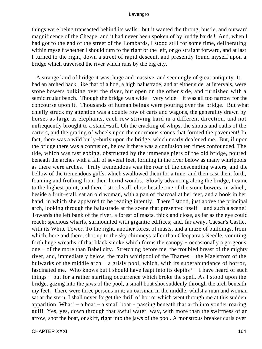things were being transacted behind its walls: but it wanted the throng, bustle, and outward magnificence of the Cheape, and it had never been spoken of by 'ruddy bards'! And, when I had got to the end of the street of the Lombards, I stood still for some time, deliberating within myself whether I should turn to the right or the left, or go straight forward, and at last I turned to the right, down a street of rapid descent, and presently found myself upon a bridge which traversed the river which runs by the big city.

 A strange kind of bridge it was; huge and massive, and seemingly of great antiquity. It had an arched back, like that of a hog, a high balustrade, and at either side, at intervals, were stone bowers bulking over the river, but open on the other side, and furnished with a semicircular bench. Though the bridge was wide – very wide – it was all too narrow for the concourse upon it. Thousands of human beings were pouring over the bridge. But what chiefly struck my attention was a double row of carts and wagons, the generality drawn by horses as large as elephants, each row striving hard in a different direction, and not unfrequently brought to a stand−still. Oh the cracking of whips, the shouts and oaths of the carters, and the grating of wheels upon the enormous stones that formed the pavement! In fact, there was a wild burly−burly upon the bridge, which nearly deafened me. But, if upon the bridge there was a confusion, below it there was a confusion ten times confounded. The tide, which was fast ebbing, obstructed by the immense piers of the old bridge, poured beneath the arches with a fall of several feet, forming in the river below as many whirlpools as there were arches. Truly tremendous was the roar of the descending waters, and the bellow of the tremendous gulfs, which swallowed them for a time, and then cast them forth, foaming and frothing from their horrid wombs. Slowly advancing along the bridge, I came to the highest point, and there I stood still, close beside one of the stone bowers, in which, beside a fruit−stall, sat an old woman, with a pan of charcoal at her feet, and a book in her hand, in which she appeared to be reading intently. There I stood, just above the principal arch, looking through the balustrade at the scene that presented itself − and such a scene! Towards the left bank of the river, a forest of masts, thick and close, as far as the eye could reach; spacious wharfs, surmounted with gigantic edifices; and, far away, Caesar's Castle, with its White Tower. To the right, another forest of masts, and a maze of buildings, from which, here and there, shot up to the sky chimneys taller than Cleopatra's Needle, vomiting forth huge wreaths of that black smoke which forms the canopy − occasionally a gorgeous one − of the more than Babel city. Stretching before me, the troubled breast of the mighty river, and, immediately below, the main whirlpool of the Thames − the Maelstrom of the bulwarks of the middle arch − a grisly pool, which, with its superabundance of horror, fascinated me. Who knows but I should have leapt into its depths? − I have heard of such things − but for a rather startling occurrence which broke the spell. As I stood upon the bridge, gazing into the jaws of the pool, a small boat shot suddenly through the arch beneath my feet. There were three persons in it; an oarsman in the middle, whilst a man and woman sat at the stern. I shall never forget the thrill of horror which went through me at this sudden apparition. What! − a boat − a small boat − passing beneath that arch into yonder roaring gulf! Yes, yes, down through that awful water−way, with more than the swiftness of an arrow, shot the boat, or skiff, right into the jaws of the pool. A monstrous breaker curls over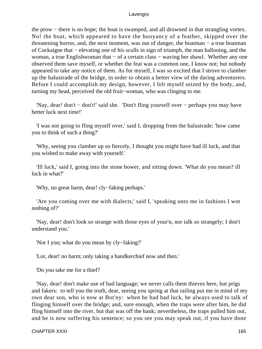the prow − there is no hope; the boat is swamped, and all drowned in that strangling vortex. No! the boat, which appeared to have the buoyancy of a feather, skipped over the threatening horror, and, the next moment, was out of danger, the boatman − a true boatman of Cockaigne that − elevating one of his sculls in sign of triumph, the man hallooing, and the woman, a true Englishwoman that – of a certain class – waving her shawl. Whether any one observed them save myself, or whether the feat was a common one, I know not; but nobody appeared to take any notice of them. As for myself, I was so excited that I strove to clamber up the balustrade of the bridge, in order to obtain a better view of the daring adventurers. Before I could accomplish my design, however, I felt myself seized by the body, and, turning my head, perceived the old fruit−woman, who was clinging to me.

 'Nay, dear! don't − don't!' said she. 'Don't fling yourself over − perhaps you may have better luck next time!'

 'I was not going to fling myself over,' said I, dropping from the balustrade; 'how came you to think of such a thing?'

 'Why, seeing you clamber up so fiercely, I thought you might have had ill luck, and that you wished to make away with yourself.'

 'Ill luck,' said I, going into the stone bower, and sitting down. 'What do you mean? ill luck in what?'

'Why, no great harm, dear! cly−faking perhaps.'

 'Are you coming over me with dialects,' said I, 'speaking unto me in fashions I wot nothing of?'

 'Nay, dear! don't look so strange with those eyes of your'n, nor talk so strangely; I don't understand you.'

'Nor I you; what do you mean by cly−faking?'

'Lor, dear! no harm; only taking a handkerchief now and then.'

'Do you take me for a thief?

 'Nay, dear! don't make use of bad language; we never calls them thieves here, but prigs and fakers: to tell you the truth, dear, seeing you spring at that railing put me in mind of my own dear son, who is now at Bot'ny: when he had bad luck, he always used to talk of flinging himself over the bridge; and, sure enough, when the traps were after him, he did fling himself into the river, but that was off the bank; nevertheless, the traps pulled him out, and he is now suffering his sentence; so you see you may speak out, if you have done

CHAPTER XXXI and the contract of the contract of the contract of the contract of the contract of the contract of the contract of the contract of the contract of the contract of the contract of the contract of the contract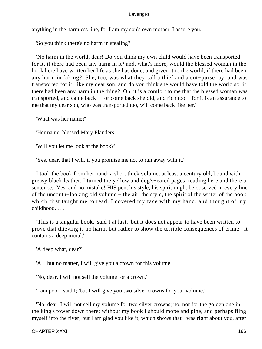anything in the harmless line, for I am my son's own mother, I assure you.'

'So you think there's no harm in stealing?'

 'No harm in the world, dear! Do you think my own child would have been transported for it, if there had been any harm in it? and, what's more, would the blessed woman in the book here have written her life as she has done, and given it to the world, if there had been any harm in faking? She, too, was what they call a thief and a cut−purse; ay, and was transported for it, like my dear son; and do you think she would have told the world so, if there had been any harm in the thing? Oh, it is a comfort to me that the blessed woman was transported, and came back − for come back she did, and rich too − for it is an assurance to me that my dear son, who was transported too, will come back like her.'

'What was her name?'

'Her name, blessed Mary Flanders.'

'Will you let me look at the book?'

'Yes, dear, that I will, if you promise me not to run away with it.'

 I took the book from her hand; a short thick volume, at least a century old, bound with greasy black leather. I turned the yellow and dog's−eared pages, reading here and there a sentence. Yes, and no mistake! HIS pen, his style, his spirit might be observed in every line of the uncouth−looking old volume − the air, the style, the spirit of the writer of the book which first taught me to read. I covered my face with my hand, and thought of my childhood. . . .

 'This is a singular book,' said I at last; 'but it does not appear to have been written to prove that thieving is no harm, but rather to show the terrible consequences of crime: it contains a deep moral.'

'A deep what, dear?'

'A − but no matter, I will give you a crown for this volume.'

'No, dear, I will not sell the volume for a crown.'

'I am poor,' said I; 'but I will give you two silver crowns for your volume.'

 'No, dear, I will not sell my volume for two silver crowns; no, nor for the golden one in the king's tower down there; without my book I should mope and pine, and perhaps fling myself into the river; but I am glad you like it, which shows that I was right about you, after

CHAPTER XXXI and the contract of the contract of the contract of the contract of the contract of the contract of the contract of the contract of the contract of the contract of the contract of the contract of the contract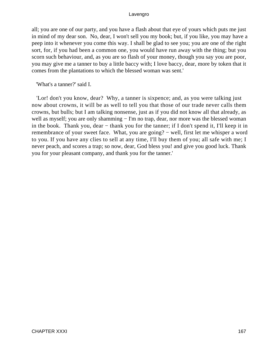all; you are one of our party, and you have a flash about that eye of yours which puts me just in mind of my dear son. No, dear, I won't sell you my book; but, if you like, you may have a peep into it whenever you come this way. I shall be glad to see you; you are one of the right sort, for, if you had been a common one, you would have run away with the thing; but you scorn such behaviour, and, as you are so flash of your money, though you say you are poor, you may give me a tanner to buy a little baccy with; I love baccy, dear, more by token that it comes from the plantations to which the blessed woman was sent.'

'What's a tanner?' said I.

 'Lor! don't you know, dear? Why, a tanner is sixpence; and, as you were talking just now about crowns, it will be as well to tell you that those of our trade never calls them crowns, but bulls; but I am talking nonsense, just as if you did not know all that already, as well as myself; you are only shamming − I'm no trap, dear, nor more was the blessed woman in the book. Thank you, dear – thank you for the tanner; if I don't spend it, I'll keep it in remembrance of your sweet face. What, you are going? − well, first let me whisper a word to you. If you have any clies to sell at any time, I'll buy them of you; all safe with me; I never peach, and scores a trap; so now, dear, God bless you! and give you good luck. Thank you for your pleasant company, and thank you for the tanner.'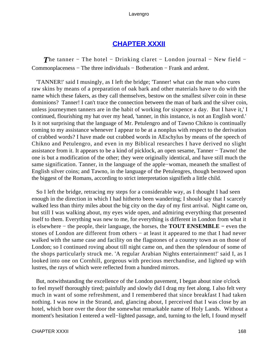# **[CHAPTER XXXII](#page-495-0)**

*The tanner* − The hotel − Drinking claret − London journal − New field − Commonplaceness − The three individuals − Botheration − Frank and ardent.

 'TANNER!' said I musingly, as I left the bridge; 'Tanner! what can the man who cures raw skins by means of a preparation of oak bark and other materials have to do with the name which these fakers, as they call themselves, bestow on the smallest silver coin in these dominions? Tanner! I can't trace the connection between the man of bark and the silver coin, unless journeymen tanners are in the habit of working for sixpence a day. But I have it,' I continued, flourishing my hat over my head, 'tanner, in this instance, is not an English word.' Is it not surprising that the language of Mr. Petulengro and of Tawno Chikno is continually coming to my assistance whenever I appear to be at a nonplus with respect to the derivation of crabbed words? I have made out crabbed words in AEschylus by means of the speech of Chikno and Petulengro, and even in my Biblical researches I have derived no slight assistance from it. It appears to be a kind of picklock, an open sesame, Tanner − Tawno! the one is but a modification of the other; they were originally identical, and have still much the same signification. Tanner, in the language of the apple−woman, meaneth the smallest of English silver coins; and Tawno, in the language of the Petulengres, though bestowed upon the biggest of the Romans, according to strict interpretation signifieth a little child.

 So I left the bridge, retracing my steps for a considerable way, as I thought I had seen enough in the direction in which I had hitherto been wandering; I should say that I scarcely walked less than thirty miles about the big city on the day of my first arrival. Night came on, but still I was walking about, my eyes wide open, and admiring everything that presented itself to them. Everything was new to me, for everything is different in London from what it is elsewhere − the people, their language, the horses, the **TOUT ENSEMBLE −** even the stones of London are different from others − at least it appeared to me that I had never walked with the same case and facility on the flagstones of a country town as on those of London; so I continued roving about till night came on, and then the splendour of some of the shops particularly struck me. 'A regular Arabian Nights entertainment!' said I, as I looked into one on Cornhill, gorgeous with precious merchandise, and lighted up with lustres, the rays of which were reflected from a hundred mirrors.

 But, notwithstanding the excellence of the London pavement, I began about nine o'clock to feel myself thoroughly tired; painfully and slowly did I drag my feet along. I also felt very much in want of some refreshment, and I remembered that since breakfast I had taken nothing. I was now in the Strand, and, glancing about, I perceived that I was close by an hotel, which bore over the door the somewhat remarkable name of Holy Lands. Without a moment's hesitation I entered a well−lighted passage, and, turning to the left, I found myself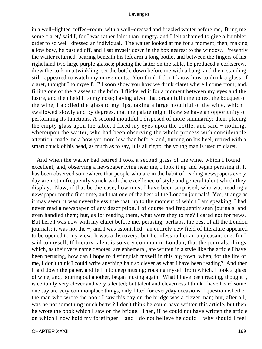in a well−lighted coffee−room, with a well−dressed and frizzled waiter before me, 'Bring me some claret,' said I, for I was rather faint than hungry, and I felt ashamed to give a humbler order to so well−dressed an individual. The waiter looked at me for a moment; then, making a low bow, he bustled off, and I sat myself down in the box nearest to the window. Presently the waiter returned, bearing beneath his left arm a long bottle, and between the fingers of his right hand two large purple glasses; placing the latter on the table, he produced a corkscrew, drew the cork in a twinkling, set the bottle down before me with a bang, and then, standing still, appeared to watch my movements. You think I don't know how to drink a glass of claret, thought I to myself. I'll soon show you how we drink claret where I come from; and, filling one of the glasses to the brim, I flickered it for a moment between my eyes and the lustre, and then held it to my nose; having given that organ full time to test the bouquet of the wine, I applied the glass to my lips, taking a large mouthful of the wine, which I swallowed slowly and by degrees, that the palate might likewise have an opportunity of performing its functions. A second mouthful I disposed of more summarily; then, placing the empty glass upon the table, I fixed my eyes upon the bottle, and said − nothing; whereupon the waiter, who had been observing the whole process with considerable attention, made me a bow yet more low than before, and, turning on his heel, retired with a smart chuck of his head, as much as to say, It is all right: the young man is used to claret.

 And when the waiter had retired I took a second glass of the wine, which I found excellent; and, observing a newspaper lying near me, I took it up and began perusing it. It has been observed somewhere that people who are in the habit of reading newspapers every day are not unfrequently struck with the excellence of style and general talent which they display. Now, if that be the case, how must I have been surprised, who was reading a newspaper for the first time, and that one of the best of the London journals! Yes, strange as it may seem, it was nevertheless true that, up to the moment of which I am speaking, I had never read a newspaper of any description. I of course had frequently seen journals, and even handled them; but, as for reading them, what were they to me? I cared not for news. But here I was now with my claret before me, perusing, perhaps, the best of all the London journals; it was not the −, and I was astonished: an entirely new field of literature appeared to be opened to my view. It was a discovery, but I confess rather an unpleasant one; for I said to myself, If literary talent is so very common in London, that the journals, things which, as their very name denotes, are ephemeral, are written in a style like the article I have been perusing, how can I hope to distinguish myself in this big town, when, for the life of me, I don't think I could write anything half so clever as what I have been reading? And then I laid down the paper, and fell into deep musing; rousing myself from which, I took a glass of wine, and, pouring out another, began musing again. What I have been reading, thought I, is certainly very clever and very talented; but talent and cleverness I think I have heard some one say are very commonplace things, only fitted for everyday occasions. I question whether the man who wrote the book I saw this day on the bridge was a clever man; but, after all, was he not something much better? I don't think he could have written this article, but then he wrote the book which I saw on the bridge. Then, if he could not have written the article on which I now hold my forefinger − and I do not believe he could − why should I feel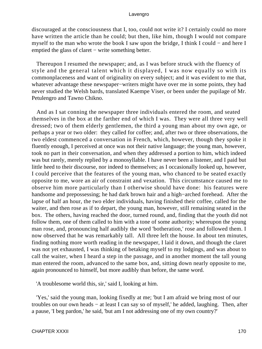discouraged at the consciousness that I, too, could not write it? I certainly could no more have written the article than he could; but then, like him, though I would not compare myself to the man who wrote the book I saw upon the bridge, I think I could − and here I emptied the glass of claret − write something better.

 Thereupon I resumed the newspaper; and, as I was before struck with the fluency of style and the general talent which it displayed, I was now equally so with its commonplaceness and want of originality on every subject; and it was evident to me that, whatever advantage these newspaper−writers might have over me in some points, they had never studied the Welsh bards, translated Kaempe Viser, or been under the pupilage of Mr. Petulengro and Tawno Chikno.

 And as I sat conning the newspaper three individuals entered the room, and seated themselves in the box at the farther end of which I was. They were all three very well dressed; two of them elderly gentlemen, the third a young man about my own age, or perhaps a year or two older: they called for coffee; and, after two or three observations, the two eldest commenced a conversation in French, which, however, though they spoke it fluently enough, I perceived at once was not their native language; the young man, however, took no part in their conversation, and when they addressed a portion to him, which indeed was but rarely, merely replied by a monosyllable. I have never been a listener, and I paid but little heed to their discourse, nor indeed to themselves; as I occasionally looked up, however, I could perceive that the features of the young man, who chanced to be seated exactly opposite to me, wore an air of constraint and vexation. This circumstance caused me to observe him more particularly than I otherwise should have done: his features were handsome and prepossessing; he had dark brown hair and a high−arched forehead. After the lapse of half an hour, the two elder individuals, having finished their coffee, called for the waiter, and then rose as if to depart, the young man, however, still remaining seated in the box. The others, having reached the door, turned round, and, finding that the youth did not follow them, one of them called to him with a tone of some authority; whereupon the young man rose, and, pronouncing half audibly the word 'botheration,' rose and followed them. I now observed that he was remarkably tall. All three left the house. In about ten minutes, finding nothing more worth reading in the newspaper, I laid it down, and though the claret was not yet exhausted, I was thinking of betaking myself to my lodgings, and was about to call the waiter, when I heard a step in the passage, and in another moment the tall young man entered the room, advanced to the same box, and, sitting down nearly opposite to me, again pronounced to himself, but more audibly than before, the same word.

'A troublesome world this, sir,' said I, looking at him.

 'Yes,' said the young man, looking fixedly at me; 'but I am afraid we bring most of our troubles on our own heads − at least I can say so of myself,' he added, laughing. Then, after a pause, 'I beg pardon,' he said, 'but am I not addressing one of my own country?'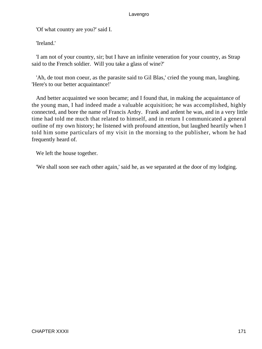'Of what country are you?' said I.

'Ireland.'

 'I am not of your country, sir; but I have an infinite veneration for your country, as Strap said to the French soldier. Will you take a glass of wine?'

 'Ah, de tout mon coeur, as the parasite said to Gil Blas,' cried the young man, laughing. 'Here's to our better acquaintance!'

 And better acquainted we soon became; and I found that, in making the acquaintance of the young man, I had indeed made a valuable acquisition; he was accomplished, highly connected, and bore the name of Francis Ardry. Frank and ardent he was, and in a very little time had told me much that related to himself, and in return I communicated a general outline of my own history; he listened with profound attention, but laughed heartily when I told him some particulars of my visit in the morning to the publisher, whom he had frequently heard of.

We left the house together.

'We shall soon see each other again,' said he, as we separated at the door of my lodging.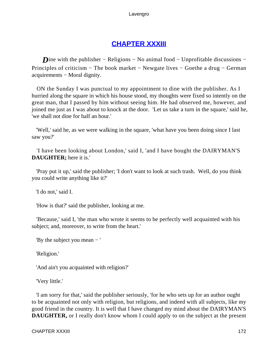# **[CHAPTER XXXIII](#page-495-0)**

*D*ine with the publisher – Religions – No animal food – Unprofitable discussions – Principles of criticism – The book market – Newgate lives – Goethe a drug – German acquirements − Moral dignity.

 ON the Sunday I was punctual to my appointment to dine with the publisher. As I hurried along the square in which his house stood, my thoughts were fixed so intently on the great man, that I passed by him without seeing him. He had observed me, however, and joined me just as I was about to knock at the door. 'Let us take a turn in the square,' said he, 'we shall not dine for half an hour.'

 'Well,' said he, as we were walking in the square, 'what have you been doing since I last saw you?'

 'I have been looking about London,' said I, 'and I have bought the DAIRYMAN'S **DAUGHTER;** here it is.'

 'Pray put it up,' said the publisher; 'I don't want to look at such trash. Well, do you think you could write anything like it?'

'I do not,' said I.

'How is that?' said the publisher, looking at me.

 'Because,' said I, 'the man who wrote it seems to be perfectly well acquainted with his subject; and, moreover, to write from the heart.'

'By the subject you mean − '

'Religion.'

'And ain't you acquainted with religion?'

'Very little.'

 'I am sorry for that,' said the publisher seriously, 'for he who sets up for an author ought to be acquainted not only with religion, but religions, and indeed with all subjects, like my good friend in the country. It is well that I have changed my mind about the DAIRYMAN'S **DAUGHTER,** or I really don't know whom I could apply to on the subject at the present

CHAPTER XXXIII 172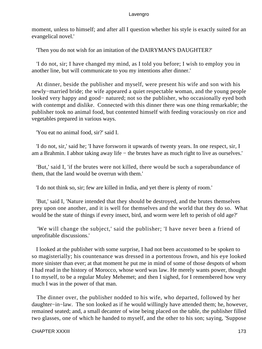moment, unless to himself; and after all I question whether his style is exactly suited for an evangelical novel.'

'Then you do not wish for an imitation of the DAIRYMAN'S DAUGHTER?'

 'I do not, sir; I have changed my mind, as I told you before; I wish to employ you in another line, but will communicate to you my intentions after dinner.'

 At dinner, beside the publisher and myself, were present his wife and son with his newly−married bride; the wife appeared a quiet respectable woman, and the young people looked very happy and good− natured; not so the publisher, who occasionally eyed both with contempt and dislike. Connected with this dinner there was one thing remarkable; the publisher took no animal food, but contented himself with feeding voraciously on rice and vegetables prepared in various ways.

'You eat no animal food, sir?' said I.

 'I do not, sir,' said he; 'I have forsworn it upwards of twenty years. In one respect, sir, I am a Brahmin. I abhor taking away life − the brutes have as much right to live as ourselves.'

 'But,' said I, 'if the brutes were not killed, there would be such a superabundance of them, that the land would be overrun with them.'

'I do not think so, sir; few are killed in India, and yet there is plenty of room.'

 'But,' said I, 'Nature intended that they should be destroyed, and the brutes themselves prey upon one another, and it is well for themselves and the world that they do so. What would be the state of things if every insect, bird, and worm were left to perish of old age?'

 'We will change the subject,' said the publisher; 'I have never been a friend of unprofitable discussions.'

 I looked at the publisher with some surprise, I had not been accustomed to be spoken to so magisterially; his countenance was dressed in a portentous frown, and his eye looked more sinister than ever; at that moment he put me in mind of some of those despots of whom I had read in the history of Morocco, whose word was law. He merely wants power, thought I to myself, to be a regular Muley Mehemet; and then I sighed, for I remembered how very much I was in the power of that man.

 The dinner over, the publisher nodded to his wife, who departed, followed by her daughter−in−law. The son looked as if he would willingly have attended them; he, however, remained seated; and, a small decanter of wine being placed on the table, the publisher filled two glasses, one of which he handed to myself, and the other to his son; saying, 'Suppose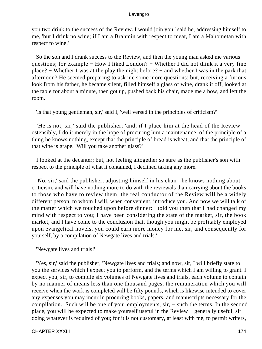you two drink to the success of the Review. I would join you,' said he, addressing himself to me, 'but I drink no wine; if I am a Brahmin with respect to meat, I am a Mahometan with respect to wine.'

 So the son and I drank success to the Review, and then the young man asked me various questions; for example – How I liked London? – Whether I did not think it a very fine place? − Whether I was at the play the night before? − and whether I was in the park that afternoon? He seemed preparing to ask me some more questions; but, receiving a furious look from his father, he became silent, filled himself a glass of wine, drank it off, looked at the table for about a minute, then got up, pushed back his chair, made me a bow, and left the room.

'Is that young gentleman, sir,' said I, 'well versed in the principles of criticism?'

 'He is not, sir,' said the publisher; 'and, if I place him at the head of the Review ostensibly, I do it merely in the hope of procuring him a maintenance; of the principle of a thing he knows nothing, except that the principle of bread is wheat, and that the principle of that wine is grape. Will you take another glass?'

 I looked at the decanter; but, not feeling altogether so sure as the publisher's son with respect to the principle of what it contained, I declined taking any more.

 'No, sir,' said the publisher, adjusting himself in his chair, 'he knows nothing about criticism, and will have nothing more to do with the reviewals than carrying about the books to those who have to review them; the real conductor of the Review will be a widely different person, to whom I will, when convenient, introduce you. And now we will talk of the matter which we touched upon before dinner: I told you then that I had changed my mind with respect to you; I have been considering the state of the market, sir, the book market, and I have come to the conclusion that, though you might be profitably employed upon evangelical novels, you could earn more money for me, sir, and consequently for yourself, by a compilation of Newgate lives and trials.'

'Newgate lives and trials!'

 'Yes, sir,' said the publisher, 'Newgate lives and trials; and now, sir, I will briefly state to you the services which I expect you to perform, and the terms which I am willing to grant. I expect you, sir, to compile six volumes of Newgate lives and trials, each volume to contain by no manner of means less than one thousand pages; the remuneration which you will receive when the work is completed will be fifty pounds, which is likewise intended to cover any expenses you may incur in procuring books, papers, and manuscripts necessary for the compilation. Such will be one of your employments, sir, − such the terms. In the second place, you will be expected to make yourself useful in the Review − generally useful, sir − doing whatever is required of you; for it is not customary, at least with me, to permit writers,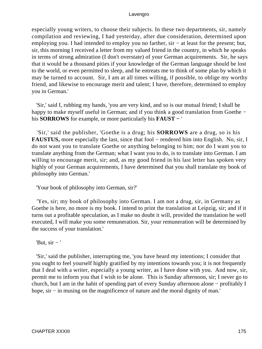especially young writers, to choose their subjects. In these two departments, sir, namely compilation and reviewing, I had yesterday, after due consideration, determined upon employing you. I had intended to employ you no farther, sir – at least for the present; but, sir, this morning I received a letter from my valued friend in the country, in which he speaks in terms of strong admiration (I don't overstate) of your German acquirements. Sir, he says that it would be a thousand pities if your knowledge of the German language should be lost to the world, or even permitted to sleep, and he entreats me to think of some plan by which it may be turned to account. Sir, I am at all times willing, if possible, to oblige my worthy friend, and likewise to encourage merit and talent; I have, therefore, determined to employ you in German.'

 'Sir,' said I, rubbing my hands, 'you are very kind, and so is our mutual friend; I shall be happy to make myself useful in German; and if you think a good translation from Goethe − his **SORROWS** for example, or more particularly his **FAUST −** '

 'Sir,' said the publisher, 'Goethe is a drug; his **SORROWS** are a drug, so is his **FAUSTUS,** more especially the last, since that fool − rendered him into English. No, sir, I do not want you to translate Goethe or anything belonging to him; nor do I want you to translate anything from the German; what I want you to do, is to translate into German. I am willing to encourage merit, sir; and, as my good friend in his last letter has spoken very highly of your German acquirements, I have determined that you shall translate my book of philosophy into German.'

'Your book of philosophy into German, sir?'

 'Yes, sir; my book of philosophy into German. I am not a drug, sir, in Germany as Goethe is here, no more is my book. I intend to print the translation at Leipzig, sir; and if it turns out a profitable speculation, as I make no doubt it will, provided the translation be well executed, I will make you some remuneration. Sir, your remuneration will be determined by the success of your translation.'

'But,  $\sin - '$ 

 'Sir,' said the publisher, interrupting me, 'you have heard my intentions; I consider that you ought to feel yourself highly gratified by my intentions towards you; it is not frequently that I deal with a writer, especially a young writer, as I have done with you. And now, sir, permit me to inform you that I wish to be alone. This is Sunday afternoon, sir; I never go to church, but I am in the habit of spending part of every Sunday afternoon alone − profitably I hope, sir – in musing on the magnificence of nature and the moral dignity of man.'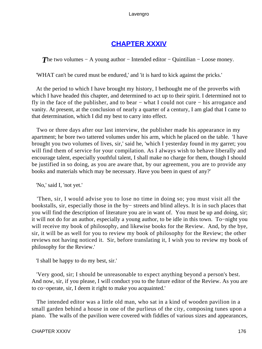# **[CHAPTER XXXIV](#page-495-0)**

**The two volumes – A young author – Intended editor – Quintilian – Loose money.** 

'WHAT can't be cured must be endured,' and 'it is hard to kick against the pricks.'

 At the period to which I have brought my history, I bethought me of the proverbs with which I have headed this chapter, and determined to act up to their spirit. I determined not to fly in the face of the publisher, and to bear − what I could not cure − his arrogance and vanity. At present, at the conclusion of nearly a quarter of a century, I am glad that I came to that determination, which I did my best to carry into effect.

 Two or three days after our last interview, the publisher made his appearance in my apartment; he bore two tattered volumes under his arm, which he placed on the table. 'I have brought you two volumes of lives, sir,' said he, 'which I yesterday found in my garret; you will find them of service for your compilation. As I always wish to behave liberally and encourage talent, especially youthful talent, I shall make no charge for them, though I should be justified in so doing, as you are aware that, by our agreement, you are to provide any books and materials which may be necessary. Have you been in quest of any?'

'No,' said I, 'not yet.'

 'Then, sir, I would advise you to lose no time in doing so; you must visit all the bookstalls, sir, especially those in the by− streets and blind alleys. It is in such places that you will find the description of literature you are in want of. You must be up and doing, sir; it will not do for an author, especially a young author, to be idle in this town. To−night you will receive my book of philosophy, and likewise books for the Review. And, by the bye, sir, it will be as well for you to review my book of philosophy for the Review; the other reviews not having noticed it. Sir, before translating it, I wish you to review my book of philosophy for the Review.'

'I shall be happy to do my best, sir.'

 'Very good, sir; I should be unreasonable to expect anything beyond a person's best. And now, sir, if you please, I will conduct you to the future editor of the Review. As you are to co−operate, sir, I deem it right to make you acquainted.'

 The intended editor was a little old man, who sat in a kind of wooden pavilion in a small garden behind a house in one of the purlieus of the city, composing tunes upon a piano. The walls of the pavilion were covered with fiddles of various sizes and appearances,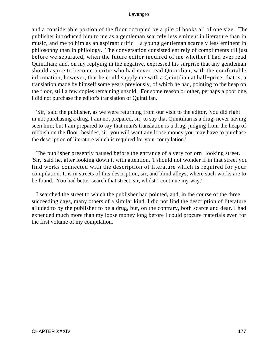and a considerable portion of the floor occupied by a pile of books all of one size. The publisher introduced him to me as a gentleman scarcely less eminent in literature than in music, and me to him as an aspirant critic − a young gentleman scarcely less eminent in philosophy than in philology. The conversation consisted entirely of compliments till just before we separated, when the future editor inquired of me whether I had ever read Quintilian; and, on my replying in the negative, expressed his surprise that any gentleman should aspire to become a critic who had never read Quintilian, with the comfortable information, however, that he could supply me with a Quintilian at half−price, that is, a translation made by himself some years previously, of which he had, pointing to the heap on the floor, still a few copies remaining unsold. For some reason or other, perhaps a poor one, I did not purchase the editor's translation of Quintilian.

 'Sir,' said the publisher, as we were returning from our visit to the editor, 'you did right in not purchasing a drug. I am not prepared, sir, to say that Quintilian is a drug, never having seen him; but I am prepared to say that man's translation is a drug, judging from the heap of rubbish on the floor; besides, sir, you will want any loose money you may have to purchase the description of literature which is required for your compilation.'

 The publisher presently paused before the entrance of a very forlorn−looking street. 'Sir,' said he, after looking down it with attention, 'I should not wonder if in that street you find works connected with the description of literature which is required for your compilation. It is in streets of this description, sir, and blind alleys, where such works are to be found. You had better search that street, sir, whilst I continue my way.'

 I searched the street to which the publisher had pointed, and, in the course of the three succeeding days, many others of a similar kind. I did not find the description of literature alluded to by the publisher to be a drug, but, on the contrary, both scarce and dear. I had expended much more than my loose money long before I could procure materials even for the first volume of my compilation.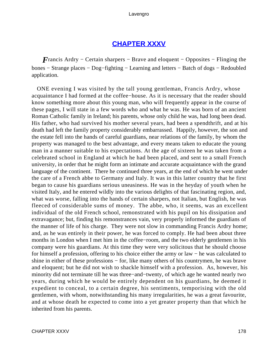## **[CHAPTER XXXV](#page-495-0)**

*F*rancis Ardry – Certain sharpers – Brave and eloquent – Opposites – Flinging the bones − Strange places − Dog−fighting − Learning and letters − Batch of dogs − Redoubled application.

 ONE evening I was visited by the tall young gentleman, Francis Ardry, whose acquaintance I had formed at the coffee−house. As it is necessary that the reader should know something more about this young man, who will frequently appear in the course of these pages, I will state in a few words who and what he was. He was born of an ancient Roman Catholic family in Ireland; his parents, whose only child he was, had long been dead. His father, who had survived his mother several years, had been a spendthrift, and at his death had left the family property considerably embarrassed. Happily, however, the son and the estate fell into the hands of careful guardians, near relations of the family, by whom the property was managed to the best advantage, and every means taken to educate the young man in a manner suitable to his expectations. At the age of sixteen he was taken from a celebrated school in England at which he had been placed, and sent to a small French university, in order that he might form an intimate and accurate acquaintance with the grand language of the continent. There he continued three years, at the end of which he went under the care of a French abbe to Germany and Italy. It was in this latter country that he first began to cause his guardians serious uneasiness. He was in the heyday of youth when he visited Italy, and he entered wildly into the various delights of that fascinating region, and, what was worse, falling into the hands of certain sharpers, not Italian, but English, he was fleeced of considerable sums of money. The abbe, who, it seems, was an excellent individual of the old French school, remonstrated with his pupil on his dissipation and extravagance; but, finding his remonstrances vain, very properly informed the guardians of the manner of life of his charge. They were not slow in commanding Francis Ardry home; and, as he was entirely in their power, he was forced to comply. He had been about three months in London when I met him in the coffee−room, and the two elderly gentlemen in his company were his guardians. At this time they were very solicitous that he should choose for himself a profession, offering to his choice either the army or law − he was calculated to shine in either of these professions − for, like many others of his countrymen, he was brave and eloquent; but he did not wish to shackle himself with a profession. As, however, his minority did not terminate till he was three−and−twenty, of which age he wanted nearly two years, during which he would be entirely dependent on his guardians, he deemed it expedient to conceal, to a certain degree, his sentiments, temporising with the old gentlemen, with whom, notwithstanding his many irregularities, he was a great favourite, and at whose death he expected to come into a yet greater property than that which he inherited from his parents.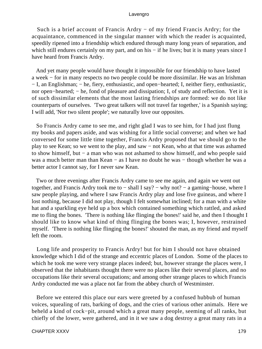Such is a brief account of Francis Ardry − of my friend Francis Ardry; for the acquaintance, commenced in the singular manner with which the reader is acquainted, speedily ripened into a friendship which endured through many long years of separation, and which still endures certainly on my part, and on his – if he lives; but it is many years since I have heard from Francis Ardry.

 And yet many people would have thought it impossible for our friendship to have lasted a week − for in many respects no two people could be more dissimilar. He was an Irishman − I, an Englishman; − he, fiery, enthusiastic, and open−hearted; I, neither fiery, enthusiastic, nor open−hearted; − he, fond of pleasure and dissipation; I, of study and reflection. Yet it is of such dissimilar elements that the most lasting friendships are formed: we do not like counterparts of ourselves. 'Two great talkers will not travel far together,' is a Spanish saying; I will add, 'Nor two silent people'; we naturally love our opposites.

 So Francis Ardry came to see me, and right glad I was to see him, for I had just flung my books and papers aside, and was wishing for a little social converse; and when we had conversed for some little time together, Francis Ardry proposed that we should go to the play to see Kean; so we went to the play, and saw − not Kean, who at that time was ashamed to show himself, but − a man who was not ashamed to show himself, and who people said was a much better man than Kean – as I have no doubt he was – though whether he was a better actor I cannot say, for I never saw Kean.

 Two or three evenings after Francis Ardry came to see me again, and again we went out together, and Francis Ardry took me to − shall I say? − why not? − a gaming−house, where I saw people playing, and where I saw Francis Ardry play and lose five guineas, and where I lost nothing, because I did not play, though I felt somewhat inclined; for a man with a white hat and a sparkling eye held up a box which contained something which rattled, and asked me to fling the bones. 'There is nothing like flinging the bones!' said he, and then I thought I should like to know what kind of thing flinging the bones was; I, however, restrained myself. 'There is nothing like flinging the bones!' shouted the man, as my friend and myself left the room.

 Long life and prosperity to Francis Ardry! but for him I should not have obtained knowledge which I did of the strange and eccentric places of London. Some of the places to which he took me were very strange places indeed; but, however strange the places were, I observed that the inhabitants thought there were no places like their several places, and no occupations like their several occupations; and among other strange places to which Francis Ardry conducted me was a place not far from the abbey church of Westminster.

 Before we entered this place our ears were greeted by a confused hubbub of human voices, squealing of rats, barking of dogs, and the cries of various other animals. Here we beheld a kind of cock−pit, around which a great many people, seeming of all ranks, but chiefly of the lower, were gathered, and in it we saw a dog destroy a great many rats in a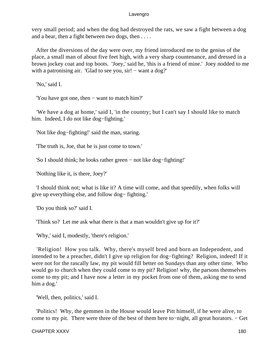very small period; and when the dog had destroyed the rats, we saw a fight between a dog and a bear, then a fight between two dogs, then . . . .

 After the diversions of the day were over, my friend introduced me to the genius of the place, a small man of about five feet high, with a very sharp countenance, and dressed in a brown jockey coat and top boots. 'Joey,' said he, 'this is a friend of mine.' Joey nodded to me with a patronising air. 'Glad to see you,  $\sin$ ! – want a dog?'

'No,' said I.

'You have got one, then − want to match him?'

 'We have a dog at home,' said I, 'in the country; but I can't say I should like to match him. Indeed, I do not like dog−fighting.'

'Not like dog−fighting!' said the man, staring.

'The truth is, Joe, that he is just come to town.'

'So I should think; he looks rather green − not like dog−fighting!'

'Nothing like it, is there, Joey?'

 'I should think not; what is like it? A time will come, and that speedily, when folks will give up everything else, and follow dog− fighting.'

'Do you think so?' said I.

'Think so? Let me ask what there is that a man wouldn't give up for it?'

'Why,' said I, modestly, 'there's religion.'

 'Religion! How you talk. Why, there's myself bred and born an Independent, and intended to be a preacher, didn't I give up religion for dog−fighting? Religion, indeed! If it were not for the rascally law, my pit would fill better on Sundays than any other time. Who would go to church when they could come to my pit? Religion! why, the parsons themselves come to my pit; and I have now a letter in my pocket from one of them, asking me to send him a dog.'

'Well, then, politics,' said I.

 'Politics! Why, the gemmen in the House would leave Pitt himself, if he were alive, to come to my pit. There were three of the best of them here to−night, all great horators. − Get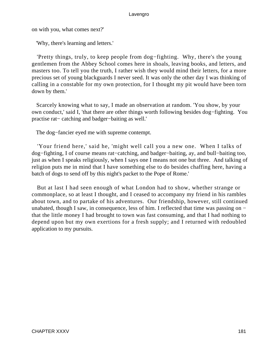on with you, what comes next?'

'Why, there's learning and letters.'

 'Pretty things, truly, to keep people from dog−fighting. Why, there's the young gentlemen from the Abbey School comes here in shoals, leaving books, and letters, and masters too. To tell you the truth, I rather wish they would mind their letters, for a more precious set of young blackguards I never seed. It was only the other day I was thinking of calling in a constable for my own protection, for I thought my pit would have been torn down by them.'

 Scarcely knowing what to say, I made an observation at random. 'You show, by your own conduct,' said I, 'that there are other things worth following besides dog−fighting. You practise rat− catching and badger−baiting as well.'

The dog−fancier eyed me with supreme contempt.

 'Your friend here,' said he, 'might well call you a new one. When I talks of dog−fighting, I of course means rat−catching, and badger−baiting, ay, and bull−baiting too, just as when I speaks religiously, when I says one I means not one but three. And talking of religion puts me in mind that I have something else to do besides chaffing here, having a batch of dogs to send off by this night's packet to the Pope of Rome.'

 But at last I had seen enough of what London had to show, whether strange or commonplace, so at least I thought, and I ceased to accompany my friend in his rambles about town, and to partake of his adventures. Our friendship, however, still continued unabated, though I saw, in consequence, less of him. I reflected that time was passing on − that the little money I had brought to town was fast consuming, and that I had nothing to depend upon but my own exertions for a fresh supply; and I returned with redoubled application to my pursuits.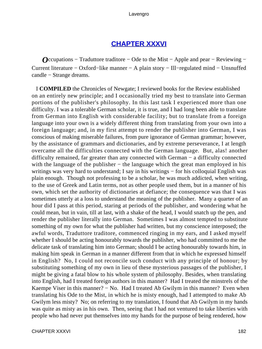## **[CHAPTER XXXVI](#page-495-0)**

*O*ccupations – Traduttore traditore – Ode to the Mist – Apple and pear – Reviewing – Current literature − Oxford−like manner − A plain story − Ill−regulated mind − Unsnuffed candle − Strange dreams.

 I **COMPILED** the Chronicles of Newgate; I reviewed books for the Review established on an entirely new principle; and I occasionally tried my best to translate into German portions of the publisher's philosophy. In this last task I experienced more than one difficulty. I was a tolerable German scholar, it is true, and I had long been able to translate from German into English with considerable facility; but to translate from a foreign language into your own is a widely different thing from translating from your own into a foreign language; and, in my first attempt to render the publisher into German, I was conscious of making miserable failures, from pure ignorance of German grammar; however, by the assistance of grammars and dictionaries, and by extreme perseverance, I at length overcame all the difficulties connected with the German language. But, alas! another difficulty remained, far greater than any connected with German − a difficulty connected with the language of the publisher – the language which the great man employed in his writings was very hard to understand; I say in his writings – for his colloquial English was plain enough. Though not professing to be a scholar, he was much addicted, when writing, to the use of Greek and Latin terms, not as other people used them, but in a manner of his own, which set the authority of dictionaries at defiance; the consequence was that I was sometimes utterly at a loss to understand the meaning of the publisher. Many a quarter of an hour did I pass at this period, staring at periods of the publisher, and wondering what he could mean, but in vain, till at last, with a shake of the head, I would snatch up the pen, and render the publisher literally into German. Sometimes I was almost tempted to substitute something of my own for what the publisher had written, but my conscience interposed; the awful words, Traduttore traditore, commenced ringing in my ears, and I asked myself whether I should be acting honourably towards the publisher, who had committed to me the delicate task of translating him into German; should I be acting honourably towards him, in making him speak in German in a manner different from that in which he expressed himself in English? No, I could not reconcile such conduct with any principle of honour; by substituting something of my own in lieu of these mysterious passages of the publisher, I might be giving a fatal blow to his whole system of philosophy. Besides, when translating into English, had I treated foreign authors in this manner? Had I treated the minstrels of the Kaempe Viser in this manner? − No. Had I treated Ab Gwilym in this manner? Even when translating his Ode to the Mist, in which he is misty enough, had I attempted to make Ab Gwilym less misty? No; on referring to my translation, I found that Ab Gwilym in my hands was quite as misty as in his own. Then, seeing that I had not ventured to take liberties with people who had never put themselves into my hands for the purpose of being rendered, how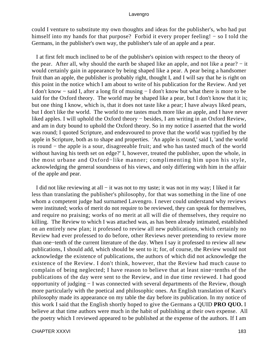could I venture to substitute my own thoughts and ideas for the publisher's, who had put himself into my hands for that purpose? Forbid it every proper feeling! − so I told the Germans, in the publisher's own way, the publisher's tale of an apple and a pear.

 I at first felt much inclined to be of the publisher's opinion with respect to the theory of the pear. After all, why should the earth be shaped like an apple, and not like a pear? − it would certainly gain in appearance by being shaped like a pear. A pear being a handsomer fruit than an apple, the publisher is probably right, thought I, and I will say that he is right on this point in the notice which I am about to write of his publication for the Review. And yet I don't know − said I, after a long fit of musing − I don't know but what there is more to be said for the Oxford theory. The world may be shaped like a pear, but I don't know that it is; but one thing I know, which is, that it does not taste like a pear; I have always liked pears, but I don't like the world. The world to me tastes much more like an apple, and I have never liked apples. I will uphold the Oxford theory − besides, I am writing in an Oxford Review, and am in duty bound to uphold the Oxford theory. So in my notice I asserted that the world was round; I quoted Scripture, and endeavoured to prove that the world was typified by the apple in Scripture, both as to shape and properties. 'An apple is round,' said I, 'and the world is round − the apple is a sour, disagreeable fruit; and who has tasted much of the world without having his teeth set on edge?' I, however, treated the publisher, upon the whole, in the most urbane and Oxford−like manner; complimenting him upon his style, acknowledging the general soundness of his views, and only differing with him in the affair of the apple and pear.

 I did not like reviewing at all − it was not to my taste; it was not in my way; I liked it far less than translating the publisher's philosophy, for that was something in the line of one whom a competent judge had surnamed Lavengro. I never could understand why reviews were instituted; works of merit do not require to be reviewed, they can speak for themselves, and require no praising; works of no merit at all will die of themselves, they require no killing. The Review to which I was attached was, as has been already intimated, established on an entirely new plan; it professed to review all new publications, which certainly no Review had ever professed to do before, other Reviews never pretending to review more than one−tenth of the current literature of the day. When I say it professed to review all new publications, I should add, which should be sent to it; for, of course, the Review would not acknowledge the existence of publications, the authors of which did not acknowledge the existence of the Review. I don't think, however, that the Review had much cause to complain of being neglected; I have reason to believe that at least nine−tenths of the publications of the day were sent to the Review, and in due time reviewed. I had good opportunity of judging − I was connected with several departments of the Review, though more particularly with the poetical and philosophic ones. An English translation of Kant's philosophy made its appearance on my table the day before its publication. In my notice of this work I said that the English shortly hoped to give the Germans a QUID **PRO QUO.** I believe at that time authors were much in the habit of publishing at their own expense. All the poetry which I reviewed appeared to be published at the expense of the authors. If I am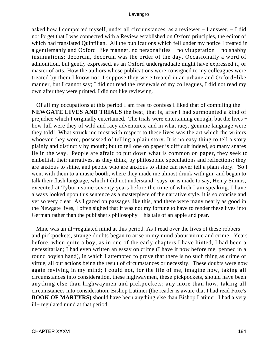asked how I comported myself, under all circumstances, as a reviewer − I answer, − I did not forget that I was connected with a Review established on Oxford principles, the editor of which had translated Quintilian. All the publications which fell under my notice I treated in a gentlemanly and Oxford−like manner, no personalities − no vituperation − no shabby insinuations; decorum, decorum was the order of the day. Occasionally a word of admonition, but gently expressed, as an Oxford undergraduate might have expressed it, or master of arts. How the authors whose publications were consigned to my colleagues were treated by them I know not; I suppose they were treated in an urbane and Oxford−like manner, but I cannot say; I did not read the reviewals of my colleagues, I did not read my own after they were printed. I did not like reviewing.

 Of all my occupations at this period I am free to confess I liked that of compiling the **NEWGATE LIVES AND TRIALS** the best; that is, after I had surmounted a kind of prejudice which I originally entertained. The trials were entertaining enough; but the lives − how full were they of wild and racy adventures, and in what racy, genuine language were they told! What struck me most with respect to these lives was the art which the writers, whoever they were, possessed of telling a plain story. It is no easy thing to tell a story plainly and distinctly by mouth; but to tell one on paper is difficult indeed, so many snares lie in the way. People are afraid to put down what is common on paper, they seek to embellish their narratives, as they think, by philosophic speculations and reflections; they are anxious to shine, and people who are anxious to shine can never tell a plain story. 'So I went with them to a music booth, where they made me almost drunk with gin, and began to talk their flash language, which I did not understand,' says, or is made to say, Henry Simms, executed at Tyburn some seventy years before the time of which I am speaking. I have always looked upon this sentence as a masterpiece of the narrative style, it is so concise and yet so very clear. As I gazed on passages like this, and there were many nearly as good in the Newgate lives, I often sighed that it was not my fortune to have to render these lives into German rather than the publisher's philosophy – his tale of an apple and pear.

 Mine was an ill−regulated mind at this period. As I read over the lives of these robbers and pickpockets, strange doubts began to arise in my mind about virtue and crime. Years before, when quite a boy, as in one of the early chapters I have hinted, I had been a necessitarian; I had even written an essay on crime (I have it now before me, penned in a round boyish hand), in which I attempted to prove that there is no such thing as crime or virtue, all our actions being the result of circumstances or necessity. These doubts were now again reviving in my mind; I could not, for the life of me, imagine how, taking all circumstances into consideration, these highwaymen, these pickpockets, should have been anything else than highwaymen and pickpockets; any more than how, taking all circumstances into consideration, Bishop Latimer (the reader is aware that I had read Foxe's **BOOK OF MARTYRS)** should have been anything else than Bishop Latimer. I had a very ill− regulated mind at that period.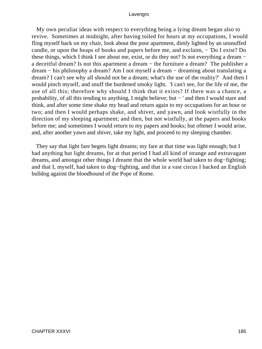My own peculiar ideas with respect to everything being a lying dream began also to revive. Sometimes at midnight, after having toiled for hours at my occupations, I would fling myself back on my chair, look about the poor apartment, dimly lighted by an unsnuffed candle, or upon the heaps of books and papers before me, and exclaim, − 'Do I exist? Do these things, which I think I see about me, exist, or do they not? Is not everything a dream − a deceitful dream? Is not this apartment a dream − the furniture a dream? The publisher a dream − his philosophy a dream? Am I not myself a dream − dreaming about translating a dream? I can't see why all should not be a dream; what's the use of the reality?' And then I would pinch myself, and snuff the burdened smoky light. 'I can't see, for the life of me, the use of all this; therefore why should I think that it exists? If there was a chance, a probability, of all this tending to anything, I might believe; but – ' and then I would stare and think, and after some time shake my head and return again to my occupations for an hour or two; and then I would perhaps shake, and shiver, and yawn, and look wistfully in the direction of my sleeping apartment; and then, but not wistfully, at the papers and books before me; and sometimes I would return to my papers and books; but oftener I would arise, and, after another yawn and shiver, take my light, and proceed to my sleeping chamber.

 They say that light fare begets light dreams; my fare at that time was light enough; but I had anything but light dreams, for at that period I had all kind of strange and extravagant dreams, and amongst other things I dreamt that the whole world had taken to dog−fighting; and that I, myself, had taken to dog−fighting, and that in a vast circus I backed an English bulldog against the bloodhound of the Pope of Rome.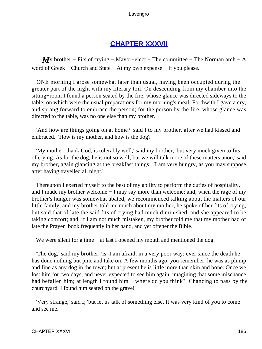## **[CHAPTER XXXVII](#page-495-0)**

*M*y brother – Fits of crying – Mayor–elect – The committee – The Norman arch – A word of Greek − Church and State − At my own expense − If you please.

 ONE morning I arose somewhat later than usual, having been occupied during the greater part of the night with my literary toil. On descending from my chamber into the sitting−room I found a person seated by the fire, whose glance was directed sideways to the table, on which were the usual preparations for my morning's meal. Forthwith I gave a cry, and sprang forward to embrace the person; for the person by the fire, whose glance was directed to the table, was no one else than my brother.

 'And how are things going on at home?' said I to my brother, after we had kissed and embraced. 'How is my mother, and how is the dog?'

 'My mother, thank God, is tolerably well,' said my brother, 'but very much given to fits of crying. As for the dog, he is not so well; but we will talk more of these matters anon,' said my brother, again glancing at the breakfast things: 'I am very hungry, as you may suppose, after having travelled all night.'

 Thereupon I exerted myself to the best of my ability to perform the duties of hospitality, and I made my brother welcome − I may say more than welcome; and, when the rage of my brother's hunger was somewhat abated, we recommenced talking about the matters of our little family, and my brother told me much about my mother; he spoke of her fits of crying, but said that of late the said fits of crying had much diminished, and she appeared to be taking comfort; and, if I am not much mistaken, my brother told me that my mother had of late the Prayer−book frequently in her hand, and yet oftener the Bible.

We were silent for a time – at last I opened my mouth and mentioned the dog.

 'The dog,' said my brother, 'is, I am afraid, in a very poor way; ever since the death he has done nothing but pine and take on. A few months ago, you remember, he was as plump and fine as any dog in the town; but at present he is little more than skin and bone. Once we lost him for two days, and never expected to see him again, imagining that some mischance had befallen him; at length I found him − where do you think? Chancing to pass by the churchyard, I found him seated on the grave!'

 'Very strange,' said I; 'but let us talk of something else. It was very kind of you to come and see me.'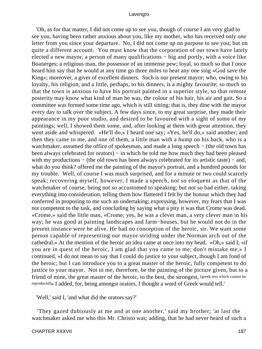'Oh, as for that matter, I did not come up to see you, though of course I am very glad to see you, having been rather anxious about you, like my mother, who has received only one letter from you since your departure. No, I did not come up on purpose to see you; but on quite a different account. You must know that the corporation of our town have lately elected a new mayor, a person of many qualifications – big and portly, with a voice like Boanerges; a religious man, the possessor of an immense pew; loyal, so much so that I once heard him say that he would at any time go three miles to hear any one sing «God save the King»; moreover, a giver of excellent dinners. Such is our present mayor; who, owing to his loyalty, his religion, and a little, perhaps, to his dinners, is a mighty favourite; so much so that the town is anxious to have his portrait painted in a superior style, so that remote posterity may know what kind of man he was, the colour of his hair, his air and gait. So a committee was formed some time ago, which is still sitting; that is, they dine with the mayor every day to talk over the subject. A few days since, to my great surprise, they made their appearance in my poor studio, and desired to be favoured with a sight of some of my paintings; well, I showed them some, and, after looking at them with great attention, they went aside and whispered. «He'll do,» I heard one say; «Yes, he'll do,» said another; and then they came to me, and one of them, a little man with a hump on his back, who is a watchmaker, assumed the office of spokesman, and made a long speech − (the old town has been always celebrated for orators) – in which he told me how much they had been pleased with my productions – (the old town has been always celebrated for its artistic taste) – and, what do you think? offered me the painting of the mayor's portrait, and a hundred pounds for my trouble. Well, of course I was much surprised, and for a minute or two could scarcely speak; recovering myself, however, I made a speech, not so eloquent as that of the watchmaker of course, being not so accustomed to speaking; but not so bad either, taking everything into consideration, telling them how flattered I felt by the honour which they had conferred in proposing to me such an undertaking; expressing, however, my fears that I was not competent to the task, and concluding by saying what a pity it was that Crome was dead. «Crome,» said the little man, «Crome; yes, he was a clever man, a very clever man in his way; he was good at painting landscapes and farm−houses, but he would not do in the present instance were he alive. He had no conception of the heroic, sir. We want some person capable of representing our mayor striding under the Norman arch out of the cathedral.» At the mention of the heroic an idea came at once into my head. «Oh,» said I, «if you are in quest of the heroic, I am glad that you came to me; don't mistake me,» I continued, «I do not mean to say that I could do justice to your subject, though I am fond of the heroic; but I can introduce you to a great master of the heroic, fully competent to do justice to your mayor. Not to me, therefore, be the painting of the picture given, but to a friend of mine, the great master of the heroic, to the best, the strongest, [greek text which cannot be reproduced]» I added, for, being amongst orators, I thought a word of Greek would tell.'

'Well,' said I, 'and what did the orators say?'

 'They gazed dubiously at me and at one another,' said my brother; 'at last the watchmaker asked me who this Mr. Christo was; adding, that he had never heard of such a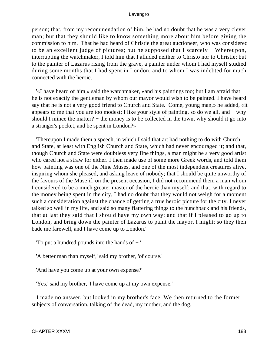person; that, from my recommendation of him, he had no doubt that he was a very clever man; but that they should like to know something more about him before giving the commission to him. That he had heard of Christie the great auctioneer, who was considered to be an excellent judge of pictures; but he supposed that I scarcely − Whereupon, interrupting the watchmaker, I told him that I alluded neither to Christo nor to Christie; but to the painter of Lazarus rising from the grave, a painter under whom I had myself studied during some months that I had spent in London, and to whom I was indebted for much connected with the heroic.

 '«I have heard of him,» said the watchmaker, «and his paintings too; but I am afraid that he is not exactly the gentleman by whom our mayor would wish to be painted. I have heard say that he is not a very good friend to Church and State. Come, young man,» he added, «it appears to me that you are too modest; I like your style of painting, so do we all, and − why should I mince the matter? – the money is to be collected in the town, why should it go into a stranger's pocket, and be spent in London?»

 'Thereupon I made them a speech, in which I said that art had nothing to do with Church and State, at least with English Church and State, which had never encouraged it; and that, though Church and State were doubtless very fine things, a man might be a very good artist who cared not a straw for either. I then made use of some more Greek words, and told them how painting was one of the Nine Muses, and one of the most independent creatures alive, inspiring whom she pleased, and asking leave of nobody; that I should be quite unworthy of the favours of the Muse if, on the present occasion, I did not recommend them a man whom I considered to be a much greater master of the heroic than myself; and that, with regard to the money being spent in the city, I had no doubt that they would not weigh for a moment such a consideration against the chance of getting a true heroic picture for the city. I never talked so well in my life, and said so many flattering things to the hunchback and his friends, that at last they said that I should have my own way; and that if I pleased to go up to London, and bring down the painter of Lazarus to paint the mayor, I might; so they then bade me farewell, and I have come up to London.'

'To put a hundred pounds into the hands of − '

'A better man than myself,' said my brother, 'of course.'

'And have you come up at your own expense?'

'Yes,' said my brother, 'I have come up at my own expense.'

 I made no answer, but looked in my brother's face. We then returned to the former subjects of conversation, talking of the dead, my mother, and the dog.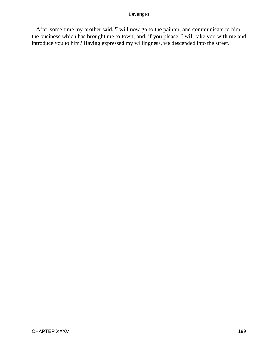After some time my brother said, 'I will now go to the painter, and communicate to him the business which has brought me to town; and, if you please, I will take you with me and introduce you to him.' Having expressed my willingness, we descended into the street.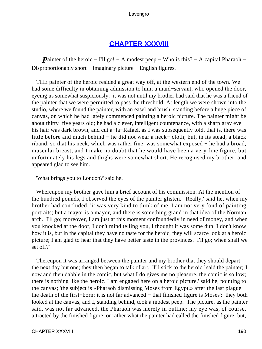## **[CHAPTER XXXVIII](#page-495-0)**

*Painter of the heroic* − I'll go! − A modest peep − Who is this? − A capital Pharaoh − Disproportionably short − Imaginary picture − English figures.

 THE painter of the heroic resided a great way off, at the western end of the town. We had some difficulty in obtaining admission to him; a maid−servant, who opened the door, eyeing us somewhat suspiciously: it was not until my brother had said that he was a friend of the painter that we were permitted to pass the threshold. At length we were shown into the studio, where we found the painter, with an easel and brush, standing before a huge piece of canvas, on which he had lately commenced painting a heroic picture. The painter might be about thirty−five years old; he had a clever, intelligent countenance, with a sharp gray eye − his hair was dark brown, and cut a−la−Rafael, as I was subsequently told, that is, there was little before and much behind − he did not wear a neck− cloth; but, in its stead, a black riband, so that his neck, which was rather fine, was somewhat exposed − he had a broad, muscular breast, and I make no doubt that he would have been a very fine figure, but unfortunately his legs and thighs were somewhat short. He recognised my brother, and appeared glad to see him.

'What brings you to London?' said he.

 Whereupon my brother gave him a brief account of his commission. At the mention of the hundred pounds, I observed the eyes of the painter glisten. 'Really,' said he, when my brother had concluded, 'it was very kind to think of me. I am not very fond of painting portraits; but a mayor is a mayor, and there is something grand in that idea of the Norman arch. I'll go; moreover, I am just at this moment confoundedly in need of money, and when you knocked at the door, I don't mind telling you, I thought it was some dun. I don't know how it is, but in the capital they have no taste for the heroic, they will scarce look at a heroic picture; I am glad to hear that they have better taste in the provinces. I'll go; when shall we set off?'

 Thereupon it was arranged between the painter and my brother that they should depart the next day but one; they then began to talk of art. 'I'll stick to the heroic,' said the painter; 'I now and then dabble in the comic, but what I do gives me no pleasure, the comic is so low; there is nothing like the heroic. I am engaged here on a heroic picture,' said he, pointing to the canvas; 'the subject is «Pharaoh dismissing Moses from Egypt,» after the last plague − the death of the first−born; it is not far advanced − that finished figure is Moses': they both looked at the canvas, and I, standing behind, took a modest peep. The picture, as the painter said, was not far advanced, the Pharaoh was merely in outline; my eye was, of course, attracted by the finished figure, or rather what the painter had called the finished figure; but,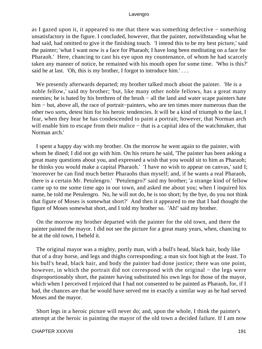as I gazed upon it, it appeared to me that there was something defective − something unsatisfactory in the figure. I concluded, however, that the painter, notwithstanding what he had said, had omitted to give it the finishing touch. 'I intend this to be my best picture,' said the painter; 'what I want now is a face for Pharaoh; I have long been meditating on a face for Pharaoh.' Here, chancing to cast his eye upon my countenance, of whom he had scarcely taken any manner of notice, he remained with his mouth open for some time. 'Who is this?' said he at last. 'Oh, this is my brother, I forgot to introduce him.'...

 We presently afterwards departed; my brother talked much about the painter. 'He is a noble fellow,' said my brother; 'but, like many other noble fellows, has a great many enemies; he is hated by his brethren of the brush − all the land and water scape painters hate him − but, above all, the race of portrait−painters, who are ten times more numerous than the other two sorts, detest him for his heroic tendencies. It will be a kind of triumph to the last, I fear, when they hear he has condescended to paint a portrait; however, that Norman arch will enable him to escape from their malice – that is a capital idea of the watchmaker, that Norman arch.'

 I spent a happy day with my brother. On the morrow he went again to the painter, with whom he dined; I did not go with him. On his return he said, 'The painter has been asking a great many questions about you, and expressed a wish that you would sit to him as Pharaoh; he thinks you would make a capital Pharaoh.' 'I have no wish to appear on canvas,' said I; 'moreover he can find much better Pharaohs than myself; and, if he wants a real Pharaoh, there is a certain Mr. Petulengro.' 'Petulengro?' said my brother; 'a strange kind of fellow came up to me some time ago in our town, and asked me about you; when I inquired his name, he told me Petulengro. No, he will not do, he is too short; by the bye, do you not think that figure of Moses is somewhat short?' And then it appeared to me that I had thought the figure of Moses somewhat short, and I told my brother so. 'Ah!' said my brother.

 On the morrow my brother departed with the painter for the old town, and there the painter painted the mayor. I did not see the picture for a great many years, when, chancing to be at the old town, I beheld it.

 The original mayor was a mighty, portly man, with a bull's head, black hair, body like that of a dray horse, and legs and thighs corresponding; a man six foot high at the least. To his bull's head, black hair, and body the painter had done justice; there was one point, however, in which the portrait did not correspond with the original – the legs were disproportionably short, the painter having substituted his own legs for those of the mayor, which when I perceived I rejoiced that I had not consented to be painted as Pharaoh, for, if I had, the chances are that he would have served me in exactly a similar way as he had served Moses and the mayor.

 Short legs in a heroic picture will never do; and, upon the whole, I think the painter's attempt at the heroic in painting the mayor of the old town a decided failure. If I am now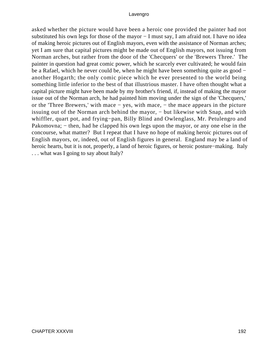asked whether the picture would have been a heroic one provided the painter had not substituted his own legs for those of the mayor – I must say, I am afraid not. I have no idea of making heroic pictures out of English mayors, even with the assistance of Norman arches; yet I am sure that capital pictures might be made out of English mayors, not issuing from Norman arches, but rather from the door of the 'Checquers' or the 'Brewers Three.' The painter in question had great comic power, which he scarcely ever cultivated; he would fain be a Rafael, which he never could be, when he might have been something quite as good − another Hogarth; the only comic piece which he ever presented to the world being something little inferior to the best of that illustrious master. I have often thought what a capital picture might have been made by my brother's friend, if, instead of making the mayor issue out of the Norman arch, he had painted him moving under the sign of the 'Checquers,' or the 'Three Brewers,' with mace − yes, with mace, − the mace appears in the picture issuing out of the Norman arch behind the mayor, − but likewise with Snap, and with whiffler, quart pot, and frying−pan, Billy Blind and Owlenglass, Mr. Petulengro and Pakomovna; – then, had he clapped his own legs upon the mayor, or any one else in the concourse, what matter? But I repeat that I have no hope of making heroic pictures out of English mayors, or, indeed, out of English figures in general. England may be a land of heroic hearts, but it is not, properly, a land of heroic figures, or heroic posture−making. Italy . . . what was I going to say about Italy?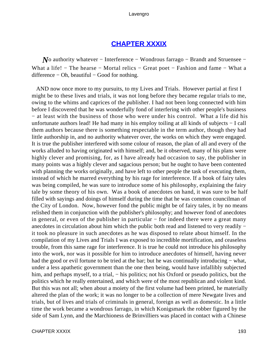## **[CHAPTER XXXIX](#page-495-0)**

*N*o authority whatever – Interference – Wondrous farrago – Brandt and Struensee – What a life! − The hearse − Mortal relics − Great poet − Fashion and fame − What a  $difference - Oh$ , beautiful – Good for nothing.

 AND now once more to my pursuits, to my Lives and Trials. However partial at first I might be to these lives and trials, it was not long before they became regular trials to me, owing to the whims and caprices of the publisher. I had not been long connected with him before I discovered that he was wonderfully fond of interfering with other people's business − at least with the business of those who were under his control. What a life did his unfortunate authors lead! He had many in his employ toiling at all kinds of subjects − I call them authors because there is something respectable in the term author, though they had little authorship in, and no authority whatever over, the works on which they were engaged. It is true the publisher interfered with some colour of reason, the plan of all and every of the works alluded to having originated with himself; and, be it observed, many of his plans were highly clever and promising, for, as I have already had occasion to say, the publisher in many points was a highly clever and sagacious person; but he ought to have been contented with planning the works originally, and have left to other people the task of executing them, instead of which he marred everything by his rage for interference. If a book of fairy tales was being compiled, he was sure to introduce some of his philosophy, explaining the fairy tale by some theory of his own. Was a book of anecdotes on hand, it was sure to be half filled with sayings and doings of himself during the time that he was common councilman of the City of London. Now, however fond the public might be of fairy tales, it by no means relished them in conjunction with the publisher's philosophy; and however fond of anecdotes in general, or even of the publisher in particular − for indeed there were a great many anecdotes in circulation about him which the public both read and listened to very readily − it took no pleasure in such anecdotes as he was disposed to relate about himself. In the compilation of my Lives and Trials I was exposed to incredible mortification, and ceaseless trouble, from this same rage for interference. It is true he could not introduce his philosophy into the work, nor was it possible for him to introduce anecdotes of himself, having never had the good or evil fortune to be tried at the bar; but he was continually introducing – what, under a less apathetic government than the one then being, would have infallibly subjected him, and perhaps myself, to a trial, – his politics; not his Oxford or pseudo politics, but the politics which he really entertained, and which were of the most republican and violent kind. But this was not all; when about a moiety of the first volume had been printed, he materially altered the plan of the work; it was no longer to be a collection of mere Newgate lives and trials, but of lives and trials of criminals in general, foreign as well as domestic. In a little time the work became a wondrous farrago, in which Konigsmark the robber figured by the side of Sam Lynn, and the Marchioness de Brinvilliers was placed in contact with a Chinese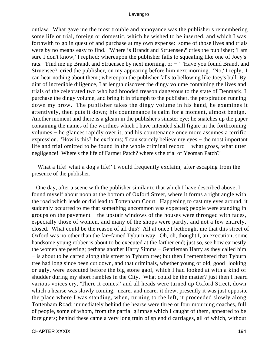outlaw. What gave me the most trouble and annoyance was the publisher's remembering some life or trial, foreign or domestic, which he wished to be inserted, and which I was forthwith to go in quest of and purchase at my own expense: some of those lives and trials were by no means easy to find. 'Where is Brandt and Struensee?' cries the publisher; 'I am sure I don't know,' I replied; whereupon the publisher falls to squealing like one of Joey's rats. 'Find me up Brandt and Struensee by next morning, or − ' 'Have you found Brandt and Struensee?' cried the publisher, on my appearing before him next morning. 'No,' I reply, 'I can hear nothing about them'; whereupon the publisher falls to bellowing like Joey's bull. By dint of incredible diligence, I at length discover the dingy volume containing the lives and trials of the celebrated two who had brooded treason dangerous to the state of Denmark. I purchase the dingy volume, and bring it in triumph to the publisher, the perspiration running down my brow. The publisher takes the dingy volume in his hand, he examines it attentively, then puts it down; his countenance is calm for a moment, almost benign. Another moment and there is a gleam in the publisher's sinister eye; he snatches up the paper containing the names of the worthies which I have intended shall figure in the forthcoming volumes − he glances rapidly over it, and his countenance once more assumes a terrific expression. 'How is this?' he exclaims; 'I can scarcely believe my eyes − the most important life and trial omitted to be found in the whole criminal record − what gross, what utter negligence! Where's the life of Farmer Patch? where's the trial of Yeoman Patch?'

 'What a life! what a dog's life!' I would frequently exclaim, after escaping from the presence of the publisher.

 One day, after a scene with the publisher similar to that which I have described above, I found myself about noon at the bottom of Oxford Street, where it forms a right angle with the road which leads or did lead to Tottenham Court. Happening to cast my eyes around, it suddenly occurred to me that something uncommon was expected; people were standing in groups on the pavement − the upstair windows of the houses were thronged with faces, especially those of women, and many of the shops were partly, and not a few entirely, closed. What could be the reason of all this? All at once I bethought me that this street of Oxford was no other than the far−famed Tyburn way. Oh, oh, thought I, an execution; some handsome young robber is about to be executed at the farther end; just so, see how earnestly the women are peering; perhaps another Harry Simms − Gentleman Harry as they called him − is about to be carted along this street to Tyburn tree; but then I remembered that Tyburn tree had long since been cut down, and that criminals, whether young or old, good−looking or ugly, were executed before the big stone gaol, which I had looked at with a kind of shudder during my short rambles in the City. What could be the matter? just then I heard various voices cry, 'There it comes!' and all heads were turned up Oxford Street, down which a hearse was slowly coming: nearer and nearer it drew; presently it was just opposite the place where I was standing, when, turning to the left, it proceeded slowly along Tottenham Road; immediately behind the hearse were three or four mourning coaches, full of people, some of whom, from the partial glimpse which I caught of them, appeared to be foreigners; behind these came a very long train of splendid carriages, all of which, without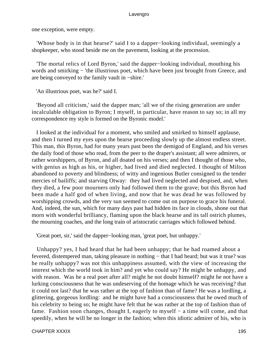one exception, were empty.

 'Whose body is in that hearse?' said I to a dapper−looking individual, seemingly a shopkeeper, who stood beside me on the pavement, looking at the procession.

 'The mortal relics of Lord Byron,' said the dapper−looking individual, mouthing his words and smirking – 'the illustrious poet, which have been just brought from Greece, and are being conveyed to the family vault in −shire.'

'An illustrious poet, was he?' said I.

 'Beyond all criticism,' said the dapper man; 'all we of the rising generation are under incalculable obligation to Byron; I myself, in particular, have reason to say so; in all my correspondence my style is formed on the Byronic model.'

 I looked at the individual for a moment, who smiled and smirked to himself applause, and then I turned my eyes upon the hearse proceeding slowly up the almost endless street. This man, this Byron, had for many years past been the demigod of England, and his verses the daily food of those who read, from the peer to the draper's assistant; all were admirers, or rather worshippers, of Byron, and all doated on his verses; and then I thought of those who, with genius as high as his, or higher, had lived and died neglected. I thought of Milton abandoned to poverty and blindness; of witty and ingenious Butler consigned to the tender mercies of bailiffs; and starving Otway: they had lived neglected and despised, and, when they died, a few poor mourners only had followed them to the grave; but this Byron had been made a half god of when living, and now that he was dead he was followed by worshipping crowds, and the very sun seemed to come out on purpose to grace his funeral. And, indeed, the sun, which for many days past had hidden its face in clouds, shone out that morn with wonderful brilliancy, flaming upon the black hearse and its tall ostrich plumes, the mourning coaches, and the long train of aristocratic carriages which followed behind.

'Great poet, sir,' said the dapper−looking man, 'great poet, but unhappy.'

 Unhappy? yes, I had heard that he had been unhappy; that he had roamed about a fevered, distempered man, taking pleasure in nothing − that I had heard; but was it true? was he really unhappy? was not this unhappiness assumed, with the view of increasing the interest which the world took in him? and yet who could say? He might be unhappy, and with reason. Was he a real poet after all? might he not doubt himself? might he not have a lurking consciousness that he was undeserving of the homage which he was receiving? that it could not last? that he was rather at the top of fashion than of fame? He was a lordling, a glittering, gorgeous lordling: and he might have had a consciousness that he owed much of his celebrity to being so; he might have felt that he was rather at the top of fashion than of fame. Fashion soon changes, thought I, eagerly to myself – a time will come, and that speedily, when he will be no longer in the fashion; when this idiotic admirer of his, who is

CHAPTER XXXIX 195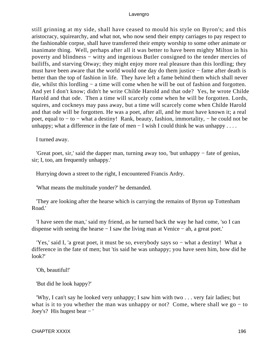still grinning at my side, shall have ceased to mould his style on Byron's; and this aristocracy, squirearchy, and what not, who now send their empty carriages to pay respect to the fashionable corpse, shall have transferred their empty worship to some other animate or inanimate thing. Well, perhaps after all it was better to have been mighty Milton in his poverty and blindness – witty and ingenious Butler consigned to the tender mercies of bailiffs, and starving Otway; they might enjoy more real pleasure than this lordling; they must have been aware that the world would one day do them justice − fame after death is better than the top of fashion in life. They have left a fame behind them which shall never die, whilst this lordling − a time will come when he will be out of fashion and forgotten. And yet I don't know; didn't he write Childe Harold and that ode? Yes, he wrote Childe Harold and that ode. Then a time will scarcely come when he will be forgotten. Lords, squires, and cockneys may pass away, but a time will scarcely come when Childe Harold and that ode will be forgotten. He was a poet, after all, and he must have known it; a real poet, equal to − to − what a destiny! Rank, beauty, fashion, immortality, − he could not be unhappy; what a difference in the fate of men – I wish I could think he was unhappy . . . .

I turned away.

 'Great poet, sir,' said the dapper man, turning away too, 'but unhappy − fate of genius, sir; I, too, am frequently unhappy.'

Hurrying down a street to the right, I encountered Francis Ardry.

'What means the multitude yonder?' he demanded.

 'They are looking after the hearse which is carrying the remains of Byron up Tottenham Road.'

 'I have seen the man,' said my friend, as he turned back the way he had come, 'so I can dispense with seeing the hearse − I saw the living man at Venice − ah, a great poet.'

 'Yes,' said I, 'a great poet, it must be so, everybody says so − what a destiny! What a difference in the fate of men; but 'tis said he was unhappy; you have seen him, how did he look?'

'Oh, beautiful!'

'But did he look happy?'

 'Why, I can't say he looked very unhappy; I saw him with two . . . very fair ladies; but what is it to you whether the man was unhappy or not? Come, where shall we go  $-$  to Joey's? His hugest bear − '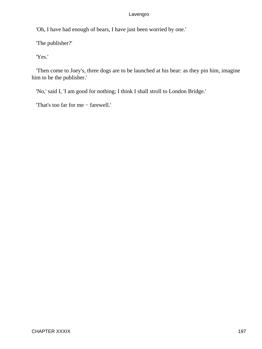'Oh, I have had enough of bears, I have just been worried by one.'

'The publisher?'

'Yes.'

 'Then come to Joey's, three dogs are to be launched at his bear: as they pin him, imagine him to be the publisher.'

'No,' said I, 'I am good for nothing; I think I shall stroll to London Bridge.'

'That's too far for me − farewell.'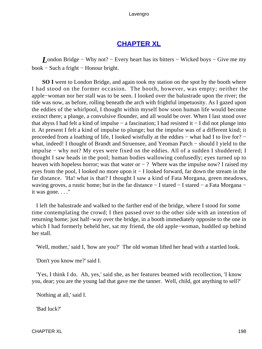# **[CHAPTER XL](#page-495-0)**

*L*ondon Bridge – Why not? – Every heart has its bitters – Wicked boys – Give me my book − Such a fright − Honour bright.

**SO I** went to London Bridge, and again took my station on the spot by the booth where I had stood on the former occasion. The booth, however, was empty; neither the apple−woman nor her stall was to be seen. I looked over the balustrade upon the river; the tide was now, as before, rolling beneath the arch with frightful impetuosity. As I gazed upon the eddies of the whirlpool, I thought within myself how soon human life would become extinct there; a plunge, a convulsive flounder, and all would be over. When I last stood over that abyss I had felt a kind of impulse − a fascination; I had resisted it − I did not plunge into it. At present I felt a kind of impulse to plunge; but the impulse was of a different kind; it proceeded from a loathing of life, I looked wistfully at the eddies – what had I to live for? – what, indeed! I thought of Brandt and Struensee, and Yeoman Patch − should I yield to the impulse − why not? My eyes were fixed on the eddies. All of a sudden I shuddered; I thought I saw heads in the pool; human bodies wallowing confusedly; eyes turned up to heaven with hopeless horror; was that water or  $-$  ? Where was the impulse now? I raised my eyes from the pool, I looked no more upon it − I looked forward, far down the stream in the far distance. 'Ha! what is that? I thought I saw a kind of Fata Morgana, green meadows, waving groves, a rustic home; but in the far distance − I stared − I stared − a Fata Morgana − it was gone. . . ."

 I left the balustrade and walked to the farther end of the bridge, where I stood for some time contemplating the crowd; I then passed over to the other side with an intention of returning home; just half−way over the bridge, in a booth immediately opposite to the one in which I had formerly beheld her, sat my friend, the old apple−woman, huddled up behind her stall.

'Well, mother,' said I, 'how are you?' The old woman lifted her head with a startled look.

'Don't you know me?' said I.

 'Yes, I think I do. Ah, yes,' said she, as her features beamed with recollection, 'I know you, dear; you are the young lad that gave me the tanner. Well, child, got anything to sell?'

'Nothing at all,' said I.

'Bad luck?'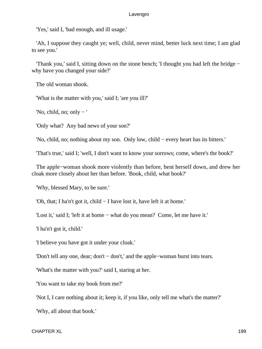'Yes,' said I, 'bad enough, and ill usage.'

 'Ah, I suppose they caught ye; well, child, never mind, better luck next time; I am glad to see you.'

 'Thank you,' said I, sitting down on the stone bench; 'I thought you had left the bridge − why have you changed your side?'

The old woman shook.

'What is the matter with you,' said I; 'are you ill?'

'No, child, no; only  $-$ '

'Only what? Any bad news of your son?'

'No, child, no; nothing about my son. Only low, child − every heart has its bitters.'

'That's true,' said I; 'well, I don't want to know your sorrows; come, where's the book?'

 The apple−woman shook more violently than before, bent herself down, and drew her cloak more closely about her than before. 'Book, child, what book?'

'Why, blessed Mary, to be sure.'

'Oh, that; I ha'n't got it, child − I have lost it, have left it at home.'

'Lost it,' said I; 'left it at home − what do you mean? Come, let me have it.'

'I ha'n't got it, child.'

'I believe you have got it under your cloak.'

'Don't tell any one, dear; don't − don't,' and the apple−woman burst into tears.

'What's the matter with you?' said I, staring at her.

'You want to take my book from me?'

'Not I, I care nothing about it; keep it, if you like, only tell me what's the matter?'

'Why, all about that book.'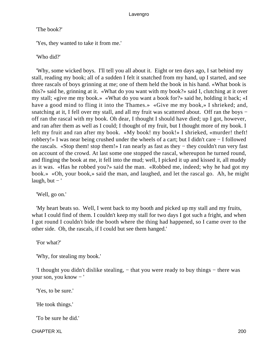'The book?'

'Yes, they wanted to take it from me.'

'Who did?'

 'Why, some wicked boys. I'll tell you all about it. Eight or ten days ago, I sat behind my stall, reading my book; all of a sudden I felt it snatched from my hand, up I started, and see three rascals of boys grinning at me; one of them held the book in his hand. «What book is this?» said he, grinning at it. «What do you want with my book?» said I, clutching at it over my stall; «give me my book.» «What do you want a book for?» said he, holding it back; «I have a good mind to fling it into the Thames.» «Give me my book,» I shrieked; and, snatching at it, I fell over my stall, and all my fruit was scattered about. Off ran the boys − off ran the rascal with my book. Oh dear, I thought I should have died; up I got, however, and ran after them as well as I could; I thought of my fruit, but I thought more of my book. I left my fruit and ran after my book. «My book! my book!» I shrieked, «murder! theft! robbery!» I was near being crushed under the wheels of a cart; but I didn't care − I followed the rascals. «Stop them! stop them!» I ran nearly as fast as they − they couldn't run very fast on account of the crowd. At last some one stopped the rascal, whereupon he turned round, and flinging the book at me, it fell into the mud; well, I picked it up and kissed it, all muddy as it was. «Has he robbed you?» said the man. «Robbed me, indeed; why he had got my book.» «Oh, your book,» said the man, and laughed, and let the rascal go. Ah, he might laugh, but  $-$ '

'Well, go on.'

 'My heart beats so. Well, I went back to my booth and picked up my stall and my fruits, what I could find of them. I couldn't keep my stall for two days I got such a fright, and when I got round I couldn't bide the booth where the thing had happened, so I came over to the other side. Oh, the rascals, if I could but see them hanged.'

'For what?'

'Why, for stealing my book.'

 'I thought you didn't dislike stealing, − that you were ready to buy things − there was your son, you know − '

'Yes, to be sure.'

'He took things.'

'To be sure he did.'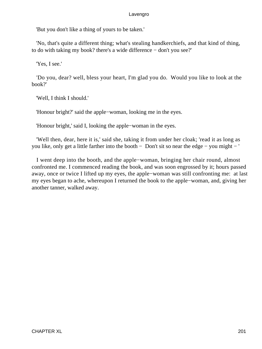'But you don't like a thing of yours to be taken.'

 'No, that's quite a different thing; what's stealing handkerchiefs, and that kind of thing, to do with taking my book? there's a wide difference − don't you see?'

'Yes, I see.'

 'Do you, dear? well, bless your heart, I'm glad you do. Would you like to look at the book?'

'Well, I think I should.'

'Honour bright?' said the apple−woman, looking me in the eyes.

'Honour bright,' said I, looking the apple−woman in the eyes.

 'Well then, dear, here it is,' said she, taking it from under her cloak; 'read it as long as you like, only get a little farther into the booth − Don't sit so near the edge − you might − '

 I went deep into the booth, and the apple−woman, bringing her chair round, almost confronted me. I commenced reading the book, and was soon engrossed by it; hours passed away, once or twice I lifted up my eyes, the apple−woman was still confronting me: at last my eyes began to ache, whereupon I returned the book to the apple−woman, and, giving her another tanner, walked away.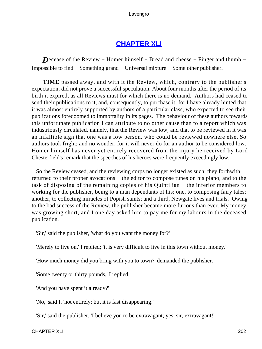# **[CHAPTER XLI](#page-495-0)**

*Decease of the Review – Homer himself – Bread and cheese – Finger and thumb –* Impossible to find − Something grand − Universal mixture − Some other publisher.

**TIME** passed away, and with it the Review, which, contrary to the publisher's expectation, did not prove a successful speculation. About four months after the period of its birth it expired, as all Reviews must for which there is no demand. Authors had ceased to send their publications to it, and, consequently, to purchase it; for I have already hinted that it was almost entirely supported by authors of a particular class, who expected to see their publications foredoomed to immortality in its pages. The behaviour of these authors towards this unfortunate publication I can attribute to no other cause than to a report which was industriously circulated, namely, that the Review was low, and that to be reviewed in it was an infallible sign that one was a low person, who could be reviewed nowhere else. So authors took fright; and no wonder, for it will never do for an author to be considered low. Homer himself has never yet entirely recovered from the injury he received by Lord Chesterfield's remark that the speeches of his heroes were frequently exceedingly low.

 So the Review ceased, and the reviewing corps no longer existed as such; they forthwith returned to their proper avocations – the editor to compose tunes on his piano, and to the task of disposing of the remaining copies of his Quintilian − the inferior members to working for the publisher, being to a man dependants of his; one, to composing fairy tales; another, to collecting miracles of Popish saints; and a third, Newgate lives and trials. Owing to the bad success of the Review, the publisher became more furious than ever. My money was growing short, and I one day asked him to pay me for my labours in the deceased publication.

'Sir,' said the publisher, 'what do you want the money for?'

'Merely to live on,' I replied; 'it is very difficult to live in this town without money.'

'How much money did you bring with you to town?' demanded the publisher.

'Some twenty or thirty pounds,' I replied.

'And you have spent it already?'

'No,' said I, 'not entirely; but it is fast disappearing.'

'Sir,' said the publisher, 'I believe you to be extravagant; yes, sir, extravagant!'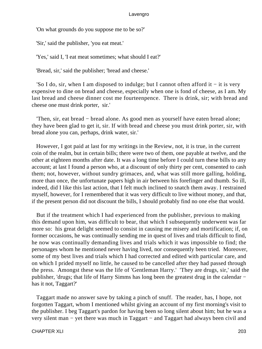'On what grounds do you suppose me to be so?'

'Sir,' said the publisher, 'you eat meat.'

'Yes,' said I, 'I eat meat sometimes; what should I eat?'

'Bread, sir,' said the publisher; 'bread and cheese.'

 'So I do, sir, when I am disposed to indulge; but I cannot often afford it − it is very expensive to dine on bread and cheese, especially when one is fond of cheese, as I am. My last bread and cheese dinner cost me fourteenpence. There is drink, sir; with bread and cheese one must drink porter, sir.'

 'Then, sir, eat bread − bread alone. As good men as yourself have eaten bread alone; they have been glad to get it, sir. If with bread and cheese you must drink porter, sir, with bread alone you can, perhaps, drink water, sir.'

 However, I got paid at last for my writings in the Review, not, it is true, in the current coin of the realm, but in certain bills; there were two of them, one payable at twelve, and the other at eighteen months after date. It was a long time before I could turn these bills to any account; at last I found a person who, at a discount of only thirty per cent, consented to cash them; not, however, without sundry grimaces, and, what was still more galling, holding, more than once, the unfortunate papers high in air between his forefinger and thumb. So ill, indeed, did I like this last action, that I felt much inclined to snatch them away. I restrained myself, however, for I remembered that it was very difficult to live without money, and that, if the present person did not discount the bills, I should probably find no one else that would.

 But if the treatment which I had experienced from the publisher, previous to making this demand upon him, was difficult to bear, that which I subsequently underwent was far more so: his great delight seemed to consist in causing me misery and mortification; if, on former occasions, he was continually sending me in quest of lives and trials difficult to find, he now was continually demanding lives and trials which it was impossible to find; the personages whom he mentioned never having lived, nor consequently been tried. Moreover, some of my best lives and trials which I had corrected and edited with particular care, and on which I prided myself no little, he caused to be cancelled after they had passed through the press. Amongst these was the life of 'Gentleman Harry.' 'They are drugs, sir,' said the publisher, 'drugs; that life of Harry Simms has long been the greatest drug in the calendar − has it not, Taggart?'

 Taggart made no answer save by taking a pinch of snuff. The reader, has, I hope, not forgotten Taggart, whom I mentioned whilst giving an account of my first morning's visit to the publisher. I beg Taggart's pardon for having been so long silent about him; but he was a very silent man − yet there was much in Taggart − and Taggart had always been civil and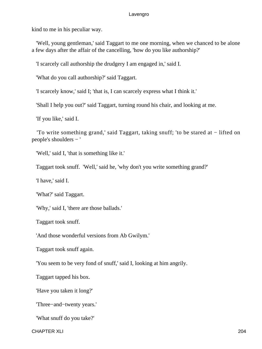kind to me in his peculiar way.

 'Well, young gentleman,' said Taggart to me one morning, when we chanced to be alone a few days after the affair of the cancelling, 'how do you like authorship?'

'I scarcely call authorship the drudgery I am engaged in,' said I.

'What do you call authorship?' said Taggart.

'I scarcely know,' said I; 'that is, I can scarcely express what I think it.'

'Shall I help you out?' said Taggart, turning round his chair, and looking at me.

'If you like,' said I.

 'To write something grand,' said Taggart, taking snuff; 'to be stared at − lifted on people's shoulders − '

'Well,' said I, 'that is something like it.'

Taggart took snuff. 'Well,' said he, 'why don't you write something grand?'

'I have,' said I.

'What?' said Taggart.

'Why,' said I, 'there are those ballads.'

Taggart took snuff.

'And those wonderful versions from Ab Gwilym.'

Taggart took snuff again.

'You seem to be very fond of snuff,' said I, looking at him angrily.

Taggart tapped his box.

'Have you taken it long?'

'Three−and−twenty years.'

'What snuff do you take?'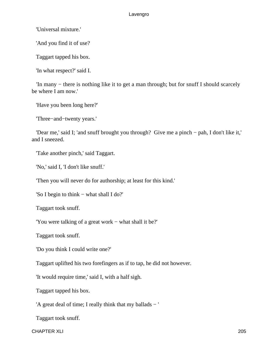'Universal mixture.'

'And you find it of use?

Taggart tapped his box.

'In what respect?' said I.

 'In many − there is nothing like it to get a man through; but for snuff I should scarcely be where I am now.'

'Have you been long here?'

'Three−and−twenty years.'

 'Dear me,' said I; 'and snuff brought you through? Give me a pinch − pah, I don't like it,' and I sneezed.

'Take another pinch,' said Taggart.

'No,' said I, 'I don't like snuff.'

'Then you will never do for authorship; at least for this kind.'

'So I begin to think − what shall I do?'

Taggart took snuff.

'You were talking of a great work − what shall it be?'

Taggart took snuff.

'Do you think I could write one?'

Taggart uplifted his two forefingers as if to tap, he did not however.

'It would require time,' said I, with a half sigh.

Taggart tapped his box.

'A great deal of time; I really think that my ballads − '

Taggart took snuff.

CHAPTER XLI 205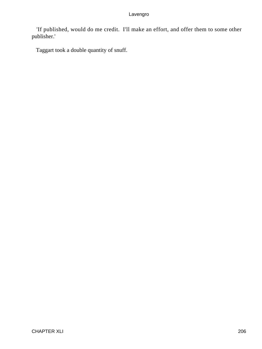'If published, would do me credit. I'll make an effort, and offer them to some other publisher.'

Taggart took a double quantity of snuff.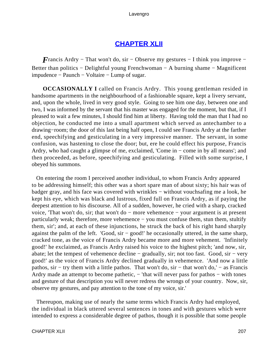## **[CHAPTER XLII](#page-496-0)**

*F*rancis Ardry – That won't do, sir – Observe my gestures – I think you improve – Better than politics − Delightful young Frenchwoman − A burning shame − Magnificent impudence − Paunch − Voltaire − Lump of sugar.

**OCCASIONALLY I** called on Francis Ardry. This young gentleman resided in handsome apartments in the neighbourhood of a fashionable square, kept a livery servant, and, upon the whole, lived in very good style. Going to see him one day, between one and two, I was informed by the servant that his master was engaged for the moment, but that, if I pleased to wait a few minutes, I should find him at liberty. Having told the man that I had no objection, he conducted me into a small apartment which served as antechamber to a drawing−room; the door of this last being half open, I could see Francis Ardry at the farther end, speechifying and gesticulating in a very impressive manner. The servant, in some confusion, was hastening to close the door; but, ere he could effect his purpose, Francis Ardry, who had caught a glimpse of me, exclaimed, 'Come in − come in by all means'; and then proceeded, as before, speechifying and gesticulating. Filled with some surprise, I obeyed his summons.

 On entering the room I perceived another individual, to whom Francis Ardry appeared to be addressing himself; this other was a short spare man of about sixty; his hair was of badger gray, and his face was covered with wrinkles − without vouchsafing me a look, he kept his eye, which was black and lustrous, fixed full on Francis Ardry, as if paying the deepest attention to his discourse. All of a sudden, however, he cried with a sharp, cracked voice, 'That won't do, sir; that won't do − more vehemence − your argument is at present particularly weak; therefore, more vehemence − you must confuse them, stun them, stultify them, sir'; and, at each of these injunctions, he struck the back of his right hand sharply against the palm of the left. 'Good, sir − good!' he occasionally uttered, in the same sharp, cracked tone, as the voice of Francis Ardry became more and more vehement. 'Infinitely good!' he exclaimed, as Francis Ardry raised his voice to the highest pitch; 'and now, sir, abate; let the tempest of vehemence decline − gradually, sir; not too fast. Good, sir − very good!' as the voice of Francis Ardry declined gradually in vehemence. 'And now a little pathos, sir − try them with a little pathos. That won't do, sir − that won't do,' − as Francis Ardry made an attempt to become pathetic, − 'that will never pass for pathos – with tones and gesture of that description you will never redress the wrongs of your country. Now, sir, observe my gestures, and pay attention to the tone of my voice, sir.'

 Thereupon, making use of nearly the same terms which Francis Ardry had employed, the individual in black uttered several sentences in tones and with gestures which were intended to express a considerable degree of pathos, though it is possible that some people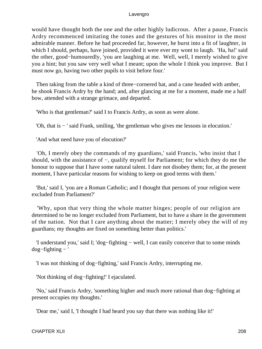would have thought both the one and the other highly ludicrous. After a pause, Francis Ardry recommenced imitating the tones and the gestures of his monitor in the most admirable manner. Before he had proceeded far, however, he burst into a fit of laughter, in which I should, perhaps, have joined, provided it were ever my wont to laugh. 'Ha, ha!' said the other, good−humouredly, 'you are laughing at me. Well, well, I merely wished to give you a hint; but you saw very well what I meant; upon the whole I think you improve. But I must now go, having two other pupils to visit before four.'

 Then taking from the table a kind of three−cornered hat, and a cane headed with amber, he shook Francis Ardry by the hand; and, after glancing at me for a moment, made me a half bow, attended with a strange grimace, and departed.

'Who is that gentleman?' said I to Francis Ardry, as soon as were alone.

'Oh, that is − ' said Frank, smiling, 'the gentleman who gives me lessons in elocution.'

'And what need have you of elocution?'

 'Oh, I merely obey the commands of my guardians,' said Francis, 'who insist that I should, with the assistance of −, qualify myself for Parliament; for which they do me the honour to suppose that I have some natural talent. I dare not disobey them; for, at the present moment, I have particular reasons for wishing to keep on good terms with them.'

 'But,' said I, 'you are a Roman Catholic; and I thought that persons of your religion were excluded from Parliament?'

 'Why, upon that very thing the whole matter hinges; people of our religion are determined to be no longer excluded from Parliament, but to have a share in the government of the nation. Not that I care anything about the matter; I merely obey the will of my guardians; my thoughts are fixed on something better than politics.'

 'I understand you,' said I; 'dog−fighting − well, I can easily conceive that to some minds dog−fighting − '

'I was not thinking of dog−fighting,' said Francis Ardry, interrupting me.

'Not thinking of dog−fighting!' I ejaculated.

 'No,' said Francis Ardry, 'something higher and much more rational than dog−fighting at present occupies my thoughts.'

'Dear me,' said I, 'I thought I had heard you say that there was nothing like it!'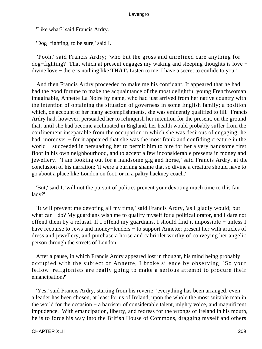'Like what?' said Francis Ardry.

'Dog−fighting, to be sure,' said I.

 'Pooh,' said Francis Ardry; 'who but the gross and unrefined care anything for dog−fighting? That which at present engages my waking and sleeping thoughts is love − divine love − there is nothing like **THAT.** Listen to me, I have a secret to confide to you.'

 And then Francis Ardry proceeded to make me his confidant. It appeared that he had had the good fortune to make the acquaintance of the most delightful young Frenchwoman imaginable, Annette La Noire by name, who had just arrived from her native country with the intention of obtaining the situation of governess in some English family; a position which, on account of her many accomplishments, she was eminently qualified to fill. Francis Ardry had, however, persuaded her to relinquish her intention for the present, on the ground that, until she had become acclimated in England, her health would probably suffer from the confinement inseparable from the occupation in which she was desirous of engaging; he had, moreover – for it appeared that she was the most frank and confiding creature in the world − succeeded in persuading her to permit him to hire for her a very handsome first floor in his own neighbourhood, and to accept a few inconsiderable presents in money and jewellery. 'I am looking out for a handsome gig and horse,' said Francis Ardry, at the conclusion of his narration; 'it were a burning shame that so divine a creature should have to go about a place like London on foot, or in a paltry hackney coach.'

 'But,' said I, 'will not the pursuit of politics prevent your devoting much time to this fair lady?'

 'It will prevent me devoting all my time,' said Francis Ardry, 'as I gladly would; but what can I do? My guardians wish me to qualify myself for a political orator, and I dare not offend them by a refusal. If I offend my guardians, I should find it impossible − unless I have recourse to Jews and money−lenders − to support Annette; present her with articles of dress and jewellery, and purchase a horse and cabriolet worthy of conveying her angelic person through the streets of London.'

 After a pause, in which Francis Ardry appeared lost in thought, his mind being probably occupied with the subject of Annette, I broke silence by observing, 'So your fellow−religionists are really going to make a serious attempt to procure their emancipation?'

 'Yes,' said Francis Ardry, starting from his reverie; 'everything has been arranged; even a leader has been chosen, at least for us of Ireland, upon the whole the most suitable man in the world for the occasion − a barrister of considerable talent, mighty voice, and magnificent impudence. With emancipation, liberty, and redress for the wrongs of Ireland in his mouth, he is to force his way into the British House of Commons, dragging myself and others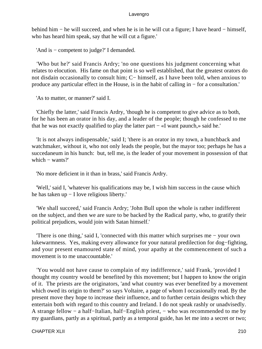behind him − he will succeed, and when he is in he will cut a figure; I have heard − himself, who has heard him speak, say that he will cut a figure.'

'And is − competent to judge?' I demanded.

 'Who but he?' said Francis Ardry; 'no one questions his judgment concerning what relates to elocution. His fame on that point is so well established, that the greatest orators do not disdain occasionally to consult him; C− himself, as I have been told, when anxious to produce any particular effect in the House, is in the habit of calling in − for a consultation.'

'As to matter, or manner?' said I.

 'Chiefly the latter,' said Francis Ardry, 'though he is competent to give advice as to both, for he has been an orator in his day, and a leader of the people; though he confessed to me that he was not exactly qualified to play the latter part − «I want paunch,» said he.'

 'It is not always indispensable,' said I; 'there is an orator in my town, a hunchback and watchmaker, without it, who not only leads the people, but the mayor too; perhaps he has a succedaneum in his hunch: but, tell me, is the leader of your movement in possession of that which – wants?'

'No more deficient in it than in brass,' said Francis Ardry.

 'Well,' said I, 'whatever his qualifications may be, I wish him success in the cause which he has taken up − I love religious liberty.'

 'We shall succeed,' said Francis Ardry; 'John Bull upon the whole is rather indifferent on the subject, and then we are sure to be backed by the Radical party, who, to gratify their political prejudices, would join with Satan himself.'

 'There is one thing,' said I, 'connected with this matter which surprises me − your own lukewarmness. Yes, making every allowance for your natural predilection for dog−fighting, and your present enamoured state of mind, your apathy at the commencement of such a movement is to me unaccountable.'

 'You would not have cause to complain of my indifference,' said Frank, 'provided I thought my country would be benefited by this movement; but I happen to know the origin of it. The priests are the originators, 'and what country was ever benefited by a movement which owed its origin to them?' so says Voltaire, a page of whom I occasionally read. By the present move they hope to increase their influence, and to further certain designs which they entertain both with regard to this country and Ireland. I do not speak rashly or unadvisedly. A strange fellow − a half−Italian, half−English priest, − who was recommended to me by my guardians, partly as a spiritual, partly as a temporal guide, has let me into a secret or two;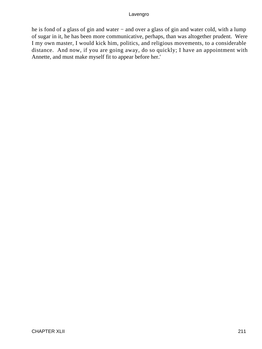he is fond of a glass of gin and water − and over a glass of gin and water cold, with a lump of sugar in it, he has been more communicative, perhaps, than was altogether prudent. Were I my own master, I would kick him, politics, and religious movements, to a considerable distance. And now, if you are going away, do so quickly; I have an appointment with Annette, and must make myself fit to appear before her.'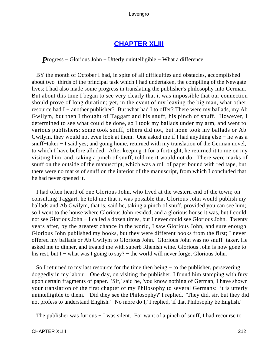## **[CHAPTER XLIII](#page-496-0)**

*P*rogress – Glorious John – Utterly unintelligible – What a difference.

 BY the month of October I had, in spite of all difficulties and obstacles, accomplished about two−thirds of the principal task which I had undertaken, the compiling of the Newgate lives; I had also made some progress in translating the publisher's philosophy into German. But about this time I began to see very clearly that it was impossible that our connection should prove of long duration; yet, in the event of my leaving the big man, what other resource had I − another publisher? But what had I to offer? There were my ballads, my Ab Gwilym, but then I thought of Taggart and his snuff, his pinch of snuff. However, I determined to see what could be done, so I took my ballads under my arm, and went to various publishers; some took snuff, others did not, but none took my ballads or Ab Gwilym, they would not even look at them. One asked me if I had anything else − he was a snuff–taker – I said yes; and going home, returned with my translation of the German novel, to which I have before alluded. After keeping it for a fortnight, he returned it to me on my visiting him, and, taking a pinch of snuff, told me it would not do. There were marks of snuff on the outside of the manuscript, which was a roll of paper bound with red tape, but there were no marks of snuff on the interior of the manuscript, from which I concluded that he had never opened it.

 I had often heard of one Glorious John, who lived at the western end of the town; on consulting Taggart, he told me that it was possible that Glorious John would publish my ballads and Ab Gwilym, that is, said he, taking a pinch of snuff, provided you can see him; so I went to the house where Glorious John resided, and a glorious house it was, but I could not see Glorious John − I called a dozen times, but I never could see Glorious John. Twenty years after, by the greatest chance in the world, I saw Glorious John, and sure enough Glorious John published my books, but they were different books from the first; I never offered my ballads or Ab Gwilym to Glorious John. Glorious John was no snuff−taker. He asked me to dinner, and treated me with superb Rhenish wine. Glorious John is now gone to his rest, but I – what was I going to say? – the world will never forget Glorious John.

 So I returned to my last resource for the time then being − to the publisher, persevering doggedly in my labour. One day, on visiting the publisher, I found him stamping with fury upon certain fragments of paper. 'Sir,' said he, 'you know nothing of German; I have shown your translation of the first chapter of my Philosophy to several Germans: it is utterly unintelligible to them.' 'Did they see the Philosophy?' I replied. 'They did, sir, but they did not profess to understand English.' 'No more do I,' I replied, 'if that Philosophy be English.'

The publisher was furious – I was silent. For want of a pinch of snuff, I had recourse to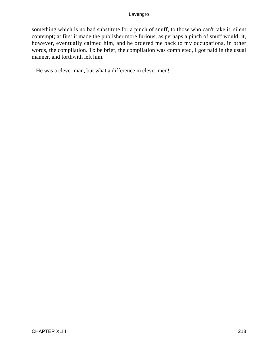something which is no bad substitute for a pinch of snuff, to those who can't take it, silent contempt; at first it made the publisher more furious, as perhaps a pinch of snuff would; it, however, eventually calmed him, and he ordered me back to my occupations, in other words, the compilation. To be brief, the compilation was completed, I got paid in the usual manner, and forthwith left him.

He was a clever man, but what a difference in clever men!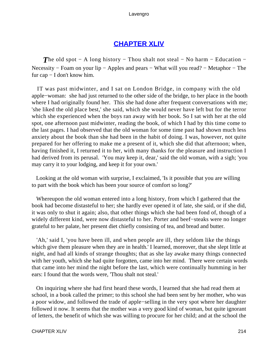## **[CHAPTER XLIV](#page-496-0)**

*The old spot* − A long history − Thou shalt not steal − No harm − Education − Necessity – Foam on your lip – Apples and pears – What will you read? – Metaphor – The fur cap − I don't know him.

 IT was past midwinter, and I sat on London Bridge, in company with the old apple−woman: she had just returned to the other side of the bridge, to her place in the booth where I had originally found her. This she had done after frequent conversations with me; 'she liked the old place best,' she said, which she would never have left but for the terror which she experienced when the boys ran away with her book. So I sat with her at the old spot, one afternoon past midwinter, reading the book, of which I had by this time come to the last pages. I had observed that the old woman for some time past had shown much less anxiety about the book than she had been in the habit of doing. I was, however, not quite prepared for her offering to make me a present of it, which she did that afternoon; when, having finished it, I returned it to her, with many thanks for the pleasure and instruction I had derived from its perusal. 'You may keep it, dear,' said the old woman, with a sigh; 'you may carry it to your lodging, and keep it for your own.'

 Looking at the old woman with surprise, I exclaimed, 'Is it possible that you are willing to part with the book which has been your source of comfort so long?'

 Whereupon the old woman entered into a long history, from which I gathered that the book had become distasteful to her; she hardly ever opened it of late, she said, or if she did, it was only to shut it again; also, that other things which she had been fond of, though of a widely different kind, were now distasteful to her. Porter and beef−steaks were no longer grateful to her palate, her present diet chiefly consisting of tea, and bread and butter.

 'Ah,' said I, 'you have been ill, and when people are ill, they seldom like the things which give them pleasure when they are in health.' I learned, moreover, that she slept little at night, and had all kinds of strange thoughts; that as she lay awake many things connected with her youth, which she had quite forgotten, came into her mind. There were certain words that came into her mind the night before the last, which were continually humming in her ears: I found that the words were, 'Thou shalt not steal.'

 On inquiring where she had first heard these words, I learned that she had read them at school, in a book called the primer; to this school she had been sent by her mother, who was a poor widow, and followed the trade of apple−selling in the very spot where her daughter followed it now. It seems that the mother was a very good kind of woman, but quite ignorant of letters, the benefit of which she was willing to procure for her child; and at the school the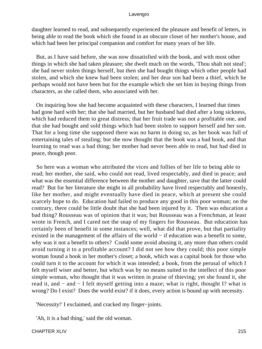daughter learned to read, and subsequently experienced the pleasure and benefit of letters, in being able to read the book which she found in an obscure closet of her mother's house, and which had been her principal companion and comfort for many years of her life.

 But, as I have said before, she was now dissatisfied with the book, and with most other things in which she had taken pleasure; she dwelt much on the words, 'Thou shalt not steal'; she had never stolen things herself, but then she had bought things which other people had stolen, and which she knew had been stolen; and her dear son had been a thief, which he perhaps would not have been but for the example which she set him in buying things from characters, as she called them, who associated with her.

 On inquiring how she had become acquainted with these characters, I learned that times had gone hard with her; that she had married, but her husband had died after a long sickness, which had reduced them to great distress; that her fruit trade was not a profitable one, and that she had bought and sold things which had been stolen to support herself and her son. That for a long time she supposed there was no harm in doing so, as her book was full of entertaining tales of stealing; but she now thought that the book was a bad book, and that learning to read was a bad thing; her mother had never been able to read, but had died in peace, though poor.

 So here was a woman who attributed the vices and follies of her life to being able to read; her mother, she said, who could not read, lived respectably, and died in peace; and what was the essential difference between the mother and daughter, save that the latter could read? But for her literature she might in all probability have lived respectably and honestly, like her mother, and might eventually have died in peace, which at present she could scarcely hope to do. Education had failed to produce any good in this poor woman; on the contrary, there could be little doubt that she had been injured by it. Then was education a bad thing? Rousseau was of opinion that it was; but Rousseau was a Frenchman, at least wrote in French, and I cared not the snap of my fingers for Rousseau. But education has certainly been of benefit in some instances; well, what did that prove, but that partiality existed in the management of the affairs of the world − if education was a benefit to some, why was it not a benefit to others? Could some avoid abusing it, any more than others could avoid turning it to a profitable account? I did not see how they could; this poor simple woman found a book in her mother's closet; a book, which was a capital book for those who could turn it to the account for which it was intended; a book, from the perusal of which I felt myself wiser and better, but which was by no means suited to the intellect of this poor simple woman, who thought that it was written in praise of thieving; yet she found it, she read it, and − and − I felt myself getting into a maze; what is right, thought I? what is wrong? Do I exist? Does the world exist? if it does, every action is bound up with necessity.

'Necessity!' I exclaimed, and cracked my finger−joints.

'Ah, it is a bad thing,' said the old woman.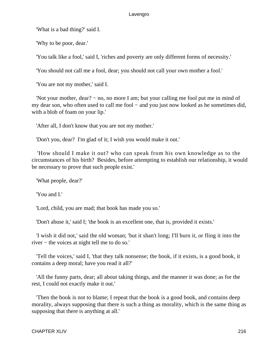'What is a bad thing?' said I.

'Why to be poor, dear.'

'You talk like a fool,' said I, 'riches and poverty are only different forms of necessity.'

'You should not call me a fool, dear; you should not call your own mother a fool.'

'You are not my mother,' said I.

 'Not your mother, dear? − no, no more I am; but your calling me fool put me in mind of my dear son, who often used to call me fool – and you just now looked as he sometimes did, with a blob of foam on your lip.'

'After all, I don't know that you are not my mother.'

'Don't you, dear? I'm glad of it; I wish you would make it out.'

 'How should I make it out? who can speak from his own knowledge as to the circumstances of his birth? Besides, before attempting to establish our relationship, it would be necessary to prove that such people exist.'

'What people, dear?'

'You and I.'

'Lord, child, you are mad; that book has made you so.'

'Don't abuse it,' said I; 'the book is an excellent one, that is, provided it exists.'

 'I wish it did not,' said the old woman; 'but it shan't long; I'll burn it, or fling it into the river − the voices at night tell me to do so.'

 'Tell the voices,' said I, 'that they talk nonsense; the book, if it exists, is a good book, it contains a deep moral; have you read it all?'

 'All the funny parts, dear; all about taking things, and the manner it was done; as for the rest, I could not exactly make it out.'

 'Then the book is not to blame; I repeat that the book is a good book, and contains deep morality, always supposing that there is such a thing as morality, which is the same thing as supposing that there is anything at all.'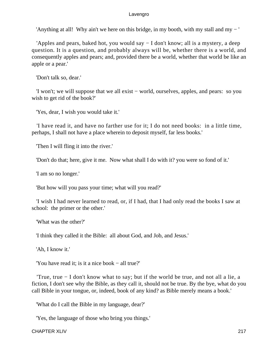'Anything at all! Why ain't we here on this bridge, in my booth, with my stall and my − '

 'Apples and pears, baked hot, you would say − I don't know; all is a mystery, a deep question. It is a question, and probably always will be, whether there is a world, and consequently apples and pears; and, provided there be a world, whether that world be like an apple or a pear.'

'Don't talk so, dear.'

 'I won't; we will suppose that we all exist − world, ourselves, apples, and pears: so you wish to get rid of the book?'

'Yes, dear, I wish you would take it.'

 'I have read it, and have no farther use for it; I do not need books: in a little time, perhaps, I shall not have a place wherein to deposit myself, far less books.'

'Then I will fling it into the river.'

'Don't do that; here, give it me. Now what shall I do with it? you were so fond of it.'

'I am so no longer.'

'But how will you pass your time; what will you read?'

 'I wish I had never learned to read, or, if I had, that I had only read the books I saw at school: the primer or the other.'

'What was the other?'

'I think they called it the Bible: all about God, and Job, and Jesus.'

'Ah, I know it.'

'You have read it; is it a nice book − all true?'

 'True, true − I don't know what to say; but if the world be true, and not all a lie, a fiction, I don't see why the Bible, as they call it, should not be true. By the bye, what do you call Bible in your tongue, or, indeed, book of any kind? as Bible merely means a book.'

'What do I call the Bible in my language, dear?'

'Yes, the language of those who bring you things.'

CHAPTER XLIV 217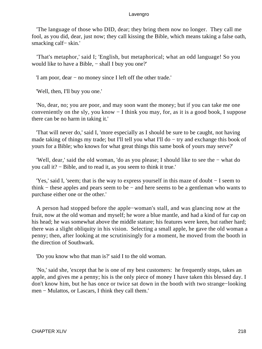'The language of those who DID, dear; they bring them now no longer. They call me fool, as you did, dear, just now; they call kissing the Bible, which means taking a false oath, smacking calf− skin.'

 'That's metaphor,' said I; 'English, but metaphorical; what an odd language! So you would like to have a Bible, – shall I buy you one?'

'I am poor, dear − no money since I left off the other trade.'

'Well, then, I'll buy you one.'

 'No, dear, no; you are poor, and may soon want the money; but if you can take me one conveniently on the sly, you know − I think you may, for, as it is a good book, I suppose there can be no harm in taking it.'

 'That will never do,' said I, 'more especially as I should be sure to be caught, not having made taking of things my trade; but I'll tell you what I'll do − try and exchange this book of yours for a Bible; who knows for what great things this same book of yours may serve?'

 'Well, dear,' said the old woman, 'do as you please; I should like to see the − what do you call it? − Bible, and to read it, as you seem to think it true.'

 'Yes,' said I, 'seem; that is the way to express yourself in this maze of doubt − I seem to think − these apples and pears seem to be − and here seems to be a gentleman who wants to purchase either one or the other.'

 A person had stopped before the apple−woman's stall, and was glancing now at the fruit, now at the old woman and myself; he wore a blue mantle, and had a kind of fur cap on his head; he was somewhat above the middle stature; his features were keen, but rather hard; there was a slight obliquity in his vision. Selecting a small apple, he gave the old woman a penny; then, after looking at me scrutinisingly for a moment, he moved from the booth in the direction of Southwark.

'Do you know who that man is?' said I to the old woman.

 'No,' said she, 'except that he is one of my best customers: he frequently stops, takes an apple, and gives me a penny; his is the only piece of money I have taken this blessed day. I don't know him, but he has once or twice sat down in the booth with two strange−looking men − Mulattos, or Lascars, I think they call them.'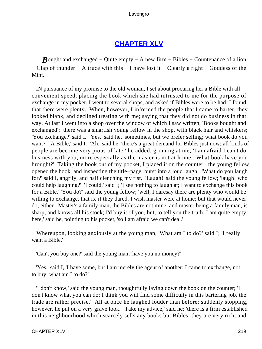## **[CHAPTER XLV](#page-496-0)**

*B*ought and exchanged – Quite empty – A new firm – Bibles – Countenance of a lion − Clap of thunder − A truce with this − I have lost it − Clearly a right − Goddess of the Mint.

 IN pursuance of my promise to the old woman, I set about procuring her a Bible with all convenient speed, placing the book which she had intrusted to me for the purpose of exchange in my pocket. I went to several shops, and asked if Bibles were to be had: I found that there were plenty. When, however, I informed the people that I came to barter, they looked blank, and declined treating with me; saying that they did not do business in that way. At last I went into a shop over the window of which I saw written, 'Books bought and exchanged': there was a smartish young fellow in the shop, with black hair and whiskers; 'You exchange?' said I. 'Yes,' said he, 'sometimes, but we prefer selling; what book do you want?' 'A Bible,' said I. 'Ah,' said he, 'there's a great demand for Bibles just now; all kinds of people are become very pious of late,' he added, grinning at me; 'I am afraid I can't do business with you, more especially as the master is not at home. What book have you brought?' Taking the book out of my pocket, I placed it on the counter: the young fellow opened the book, and inspecting the title−page, burst into a loud laugh. 'What do you laugh for?' said I, angrily, and half clenching my fist. 'Laugh!' said the young fellow; 'laugh! who could help laughing?' 'I could,' said I; 'I see nothing to laugh at; I want to exchange this book for a Bible.' 'You do?' said the young fellow; 'well, I daresay there are plenty who would be willing to exchange, that is, if they dared. I wish master were at home; but that would never do, either. Master's a family man, the Bibles are not mine, and master being a family man, is sharp, and knows all his stock; I'd buy it of you, but, to tell you the truth, I am quite empty here,' said he, pointing to his pocket, 'so I am afraid we can't deal.'

 Whereupon, looking anxiously at the young man, 'What am I to do?' said I; 'I really want a Bible.'

'Can't you buy one?' said the young man; 'have you no money?'

 'Yes,' said I, 'I have some, but I am merely the agent of another; I came to exchange, not to buy; what am I to do?'

 'I don't know,' said the young man, thoughtfully laying down the book on the counter; 'I don't know what you can do; I think you will find some difficulty in this bartering job, the trade are rather precise.' All at once he laughed louder than before; suddenly stopping, however, he put on a very grave look. 'Take my advice,' said he; 'there is a firm established in this neighbourhood which scarcely sells any books but Bibles; they are very rich, and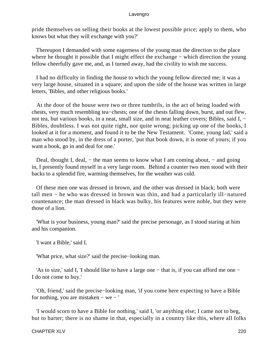pride themselves on selling their books at the lowest possible price; apply to them, who knows but what they will exchange with you?'

 Thereupon I demanded with some eagerness of the young man the direction to the place where he thought it possible that I might effect the exchange – which direction the young fellow cheerfully gave me, and, as I turned away, had the civility to wish me success.

 I had no difficulty in finding the house to which the young fellow directed me; it was a very large house, situated in a square; and upon the side of the house was written in large letters, 'Bibles, and other religious books.'

 At the door of the house were two or three tumbrils, in the act of being loaded with chests, very much resembling tea−chests; one of the chests falling down, burst, and out flew, not tea, but various books, in a neat, small size, and in neat leather covers; Bibles, said I, − Bibles, doubtless. I was not quite right, nor quite wrong; picking up one of the books, I looked at it for a moment, and found it to be the New Testament. 'Come, young lad,' said a man who stood by, in the dress of a porter, 'put that book down, it is none of yours; if you want a book, go in and deal for one.'

Deal, thought I, deal, – the man seems to know what I am coming about, – and going in, I presently found myself in a very large room. Behind a counter two men stood with their backs to a splendid fire, warming themselves, for the weather was cold.

 Of these men one was dressed in brown, and the other was dressed in black; both were tall men − he who was dressed in brown was thin, and had a particularly ill−natured countenance; the man dressed in black was bulky, his features were noble, but they were those of a lion.

 'What is your business, young man?' said the precise personage, as I stood staring at him and his companion.

'I want a Bible,' said I.

'What price, what size?' said the precise−looking man.

 'As to size,' said I, 'I should like to have a large one − that is, if you can afford me one − I do not come to buy.'

 'Oh, friend,' said the precise−looking man, 'if you come here expecting to have a Bible for nothing, you are mistaken − we − '

 'I would scorn to have a Bible for nothing,' said I, 'or anything else; I came not to beg, but to barter; there is no shame in that, especially in a country like this, where all folks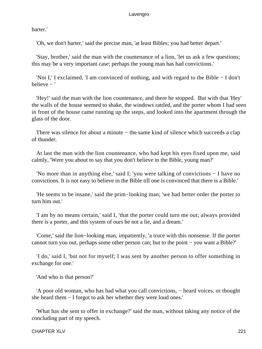barter.'

'Oh, we don't barter,' said the precise man, 'at least Bibles; you had better depart.'

 'Stay, brother,' said the man with the countenance of a lion, 'let us ask a few questions; this may be a very important case; perhaps the young man has had convictions.'

 'Not I,' I exclaimed, 'I am convinced of nothing, and with regard to the Bible − I don't believe − '

 'Hey!' said the man with the lion countenance, and there he stopped. But with that 'Hey' the walls of the house seemed to shake, the windows rattled, and the porter whom I had seen in front of the house came running up the steps, and looked into the apartment through the glass of the door.

There was silence for about a minute – the same kind of silence which succeeds a clap of thunder.

 At last the man with the lion countenance, who had kept his eyes fixed upon me, said calmly, 'Were you about to say that you don't believe in the Bible, young man?'

 'No more than in anything else,' said I; 'you were talking of convictions − I have no convictions. It is not easy to believe in the Bible till one is convinced that there is a Bible.'

 'He seems to be insane,' said the prim−looking man; 'we had better order the porter to turn him out.'

 'I am by no means certain,' said I, 'that the porter could turn me out; always provided there is a porter, and this system of ours be not a lie, and a dream.'

 'Come,' said the lion−looking man, impatiently, 'a truce with this nonsense. If the porter cannot turn you out, perhaps some other person can; but to the point − you want a Bible?'

 'I do,' said I, 'but not for myself; I was sent by another person to offer something in exchange for one.'

'And who is that person?'

 'A poor old woman, who has had what you call convictions, − heard voices, or thought she heard them − I forgot to ask her whether they were loud ones.'

 'What has she sent to offer in exchange?' said the man, without taking any notice of the concluding part of my speech.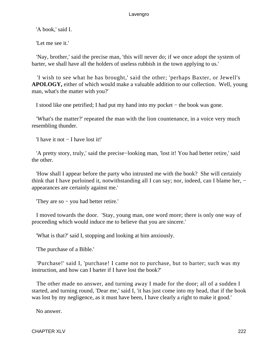'A book,' said I.

'Let me see it.'

 'Nay, brother,' said the precise man, 'this will never do; if we once adopt the system of barter, we shall have all the holders of useless rubbish in the town applying to us.'

 'I wish to see what he has brought,' said the other; 'perhaps Baxter, or Jewell's **APOLOGY,** either of which would make a valuable addition to our collection. Well, young man, what's the matter with you?'

I stood like one petrified; I had put my hand into my pocket − the book was gone.

 'What's the matter?' repeated the man with the lion countenance, in a voice very much resembling thunder.

'I have it not − I have lost it!'

 'A pretty story, truly,' said the precise−looking man, 'lost it! You had better retire,' said the other.

 'How shall I appear before the party who intrusted me with the book? She will certainly think that I have purloined it, notwithstanding all I can say; nor, indeed, can I blame her, − appearances are certainly against me.'

'They are so − you had better retire.'

 I moved towards the door. 'Stay, young man, one word more; there is only one way of proceeding which would induce me to believe that you are sincere.'

'What is that?' said I, stopping and looking at him anxiously.

'The purchase of a Bible.'

 'Purchase!' said I, 'purchase! I came not to purchase, but to barter; such was my instruction, and how can I barter if I have lost the book?'

 The other made no answer, and turning away I made for the door; all of a sudden I started, and turning round, 'Dear me,' said I, 'it has just come into my head, that if the book was lost by my negligence, as it must have been, I have clearly a right to make it good.'

No answer.

CHAPTER XLV 222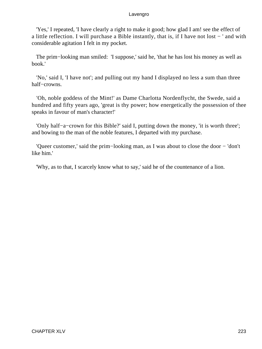'Yes,' I repeated, 'I have clearly a right to make it good; how glad I am! see the effect of a little reflection. I will purchase a Bible instantly, that is, if I have not lost − ' and with considerable agitation I felt in my pocket.

 The prim−looking man smiled: 'I suppose,' said he, 'that he has lost his money as well as book.'

 'No,' said I, 'I have not'; and pulling out my hand I displayed no less a sum than three half−crowns.

 'Oh, noble goddess of the Mint!' as Dame Charlotta Nordenflycht, the Swede, said a hundred and fifty years ago, 'great is thy power; how energetically the possession of thee speaks in favour of man's character!'

 'Only half−a−crown for this Bible?' said I, putting down the money, 'it is worth three'; and bowing to the man of the noble features, I departed with my purchase.

 'Queer customer,' said the prim−looking man, as I was about to close the door − 'don't like him.'

'Why, as to that, I scarcely know what to say,' said he of the countenance of a lion.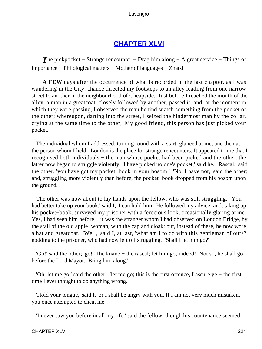# **[CHAPTER XLVI](#page-496-0)**

*The pickpocket* – Strange rencounter – Drag him along – A great service – Things of importance − Philological matters − Mother of languages − Zhats!

**A FEW** days after the occurrence of what is recorded in the last chapter, as I was wandering in the City, chance directed my footsteps to an alley leading from one narrow street to another in the neighbourhood of Cheapside. Just before I reached the mouth of the alley, a man in a greatcoat, closely followed by another, passed it; and, at the moment in which they were passing, I observed the man behind snatch something from the pocket of the other; whereupon, darting into the street, I seized the hindermost man by the collar, crying at the same time to the other, 'My good friend, this person has just picked your pocket.'

 The individual whom I addressed, turning round with a start, glanced at me, and then at the person whom I held. London is the place for strange rencounters. It appeared to me that I recognised both individuals − the man whose pocket had been picked and the other; the latter now began to struggle violently; 'I have picked no one's pocket,' said he. 'Rascal,' said the other, 'you have got my pocket−book in your bosom.' 'No, I have not,' said the other; and, struggling more violently than before, the pocket−book dropped from his bosom upon the ground.

 The other was now about to lay hands upon the fellow, who was still struggling. 'You had better take up your book,' said I; 'I can hold him.' He followed my advice; and, taking up his pocket−book, surveyed my prisoner with a ferocious look, occasionally glaring at me. Yes, I had seen him before − it was the stranger whom I had observed on London Bridge, by the stall of the old apple−woman, with the cap and cloak; but, instead of these, he now wore a hat and greatcoat. 'Well,' said I, at last, 'what am I to do with this gentleman of ours?' nodding to the prisoner, who had now left off struggling. 'Shall I let him go?'

 'Go!' said the other; 'go! The knave − the rascal; let him go, indeed! Not so, he shall go before the Lord Mayor. Bring him along.'

 'Oh, let me go,' said the other: 'let me go; this is the first offence, I assure ye − the first time I ever thought to do anything wrong.'

 'Hold your tongue,' said I, 'or I shall be angry with you. If I am not very much mistaken, you once attempted to cheat me.'

'I never saw you before in all my life,' said the fellow, though his countenance seemed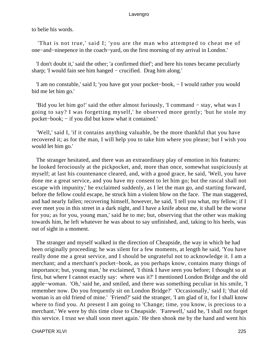to belie his words.

 'That is not true,' said I; 'you are the man who attempted to cheat me of one−and−ninepence in the coach−yard, on the first morning of my arrival in London.'

 'I don't doubt it,' said the other; 'a confirmed thief'; and here his tones became peculiarly sharp; 'I would fain see him hanged − crucified. Drag him along.'

 'I am no constable,' said I; 'you have got your pocket−book, − I would rather you would bid me let him go.'

 'Bid you let him go!' said the other almost furiously, 'I command − stay, what was I going to say? I was forgetting myself,' he observed more gently; 'but he stole my pocket−book; − if you did but know what it contained.'

 'Well,' said I, 'if it contains anything valuable, be the more thankful that you have recovered it; as for the man, I will help you to take him where you please; but I wish you would let him go.'

 The stranger hesitated, and there was an extraordinary play of emotion in his features: he looked ferociously at the pickpocket, and, more than once, somewhat suspiciously at myself; at last his countenance cleared, and, with a good grace, he said, 'Well, you have done me a great service, and you have my consent to let him go; but the rascal shall not escape with impunity,' he exclaimed suddenly, as I let the man go, and starting forward, before the fellow could escape, he struck him a violent blow on the face. The man staggered, and had nearly fallen; recovering himself, however, he said, 'I tell you what, my fellow; if I ever meet you in this street in a dark night, and I have a knife about me, it shall be the worse for you; as for you, young man,' said he to me; but, observing that the other was making towards him, he left whatever he was about to say unfinished, and, taking to his heels, was out of sight in a moment.

 The stranger and myself walked in the direction of Cheapside, the way in which he had been originally proceeding; he was silent for a few moments, at length he said, 'You have really done me a great service, and I should be ungrateful not to acknowledge it. I am a merchant; and a merchant's pocket−book, as you perhaps know, contains many things of importance; but, young man,' he exclaimed, 'I think I have seen you before; I thought so at first, but where I cannot exactly say: where was it?' I mentioned London Bridge and the old apple−woman. 'Oh,' said he, and smiled, and there was something peculiar in his smile, 'I remember now. Do you frequently sit on London Bridge?' 'Occasionally,' said I; 'that old woman is an old friend of mine.' 'Friend?' said the stranger, 'I am glad of it, for I shall know where to find you. At present I am going to 'Change; time, you know, is precious to a merchant.' We were by this time close to Cheapside. 'Farewell,' said he, 'I shall not forget this service. I trust we shall soon meet again.' He then shook me by the hand and went his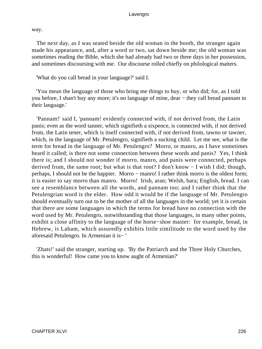way.

 The next day, as I was seated beside the old woman in the booth, the stranger again made his appearance, and, after a word or two, sat down beside me; the old woman was sometimes reading the Bible, which she had already had two or three days in her possession, and sometimes discoursing with me. Our discourse rolled chiefly on philological matters.

'What do you call bread in your language?' said I.

 'You mean the language of those who bring me things to buy, or who did; for, as I told you before, I shan't buy any more; it's no language of mine, dear − they call bread pannam in their language.'

 'Pannam!' said I, 'pannam! evidently connected with, if not derived from, the Latin panis; even as the word tanner, which signifieth a sixpence, is connected with, if not derived from, the Latin tener, which is itself connected with, if not derived from, tawno or tawner, which, in the language of Mr. Petulengro, signifieth a sucking child. Let me see, what is the term for bread in the language of Mr. Petulengro? Morro, or manro, as I have sometimes heard it called; is there not some connection between these words and panis? Yes, I think there is; and I should not wonder if morro, manro, and panis were connected, perhaps derived from, the same root; but what is that root? I don't know − I wish I did; though, perhaps, I should not be the happier. Morro − manro! I rather think morro is the oldest form; it is easier to say morro than manro. Morro! Irish, aran; Welsh, bara; English, bread. I can see a resemblance between all the words, and pannam too; and I rather think that the Petulengrian word is the elder. How odd it would be if the language of Mr. Petulengro should eventually turn out to be the mother of all the languages in the world; yet it is certain that there are some languages in which the terms for bread have no connection with the word used by Mr. Petulengro, notwithstanding that those languages, in many other points, exhibit a close affinity to the language of the horse−shoe master: for example, bread, in Hebrew, is Laham, which assuredly exhibits little similitude to the word used by the aforesaid Petulengro. In Armenian it is− '

 'Zhats!' said the stranger, starting up. 'By the Patriarch and the Three Holy Churches, this is wonderful! How came you to know aught of Armenian?'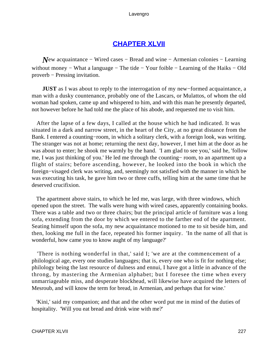## **[CHAPTER XLVII](#page-496-0)**

*New* acquaintance – Wired cases – Bread and wine – Armenian colonies – Learning without money − What a language − The tide − Your foible − Learning of the Haiks − Old proverb − Pressing invitation.

**JUST** as I was about to reply to the interrogation of my new−formed acquaintance, a man with a dusky countenance, probably one of the Lascars, or Mulattos, of whom the old woman had spoken, came up and whispered to him, and with this man he presently departed, not however before he had told me the place of his abode, and requested me to visit him.

 After the lapse of a few days, I called at the house which he had indicated. It was situated in a dark and narrow street, in the heart of the City, at no great distance from the Bank. I entered a counting−room, in which a solitary clerk, with a foreign look, was writing. The stranger was not at home; returning the next day, however, I met him at the door as he was about to enter; he shook me warmly by the hand. 'I am glad to see you,' said he, 'follow me, I was just thinking of you.' He led me through the counting− room, to an apartment up a flight of stairs; before ascending, however, he looked into the book in which the foreign−visaged clerk was writing, and, seemingly not satisfied with the manner in which he was executing his task, he gave him two or three cuffs, telling him at the same time that he deserved crucifixion.

 The apartment above stairs, to which he led me, was large, with three windows, which opened upon the street. The walls were hung with wired cases, apparently containing books. There was a table and two or three chairs; but the principal article of furniture was a long sofa, extending from the door by which we entered to the farther end of the apartment. Seating himself upon the sofa, my new acquaintance motioned to me to sit beside him, and then, looking me full in the face, repeated his former inquiry. 'In the name of all that is wonderful, how came you to know aught of my language?'

 'There is nothing wonderful in that,' said I; 'we are at the commencement of a philological age, every one studies languages; that is, every one who is fit for nothing else; philology being the last resource of dulness and ennui, I have got a little in advance of the throng, by mastering the Armenian alphabet; but I foresee the time when every unmarriageable miss, and desperate blockhead, will likewise have acquired the letters of Mesroub, and will know the term for bread, in Armenian, and perhaps that for wine.'

 'Kini,' said my companion; and that and the other word put me in mind of the duties of hospitality. 'Will you eat bread and drink wine with me?'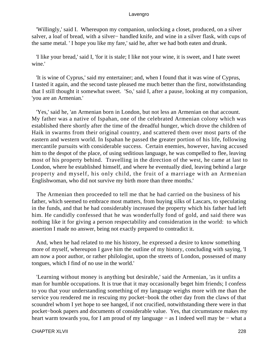'Willingly,' said I. Whereupon my companion, unlocking a closet, produced, on a silver salver, a loaf of bread, with a silver− handled knife, and wine in a silver flask, with cups of the same metal. ' I hope you like my fare,' said he, after we had both eaten and drunk.

 'I like your bread,' said I, 'for it is stale; I like not your wine, it is sweet, and I hate sweet wine.'

 'It is wine of Cyprus,' said my entertainer; and, when I found that it was wine of Cyprus, I tasted it again, and the second taste pleased me much better than the first, notwithstanding that I still thought it somewhat sweet. 'So,' said I, after a pause, looking at my companion, 'you are an Armenian.'

 'Yes,' said he, 'an Armenian born in London, but not less an Armenian on that account. My father was a native of Ispahan, one of the celebrated Armenian colony which was established there shortly after the time of the dreadful hunger, which drove the children of Haik in swarms from their original country, and scattered them over most parts of the eastern and western world. In Ispahan he passed the greater portion of his life, following mercantile pursuits with considerable success. Certain enemies, however, having accused him to the despot of the place, of using seditious language, he was compelled to flee, leaving most of his property behind. Travelling in the direction of the west, he came at last to London, where he established himself, and where he eventually died, leaving behind a large property and myself, his only child, the fruit of a marriage with an Armenian Englishwoman, who did not survive my birth more than three months.'

 The Armenian then proceeded to tell me that he had carried on the business of his father, which seemed to embrace most matters, from buying silks of Lascars, to speculating in the funds, and that he had considerably increased the property which his father had left him. He candidly confessed that he was wonderfully fond of gold, and said there was nothing like it for giving a person respectability and consideration in the world: to which assertion I made no answer, being not exactly prepared to contradict it.

 And, when he had related to me his history, he expressed a desire to know something more of myself, whereupon I gave him the outline of my history, concluding with saying, 'I am now a poor author, or rather philologist, upon the streets of London, possessed of many tongues, which I find of no use in the world.'

 'Learning without money is anything but desirable,' said the Armenian, 'as it unfits a man for humble occupations. It is true that it may occasionally beget him friends; I confess to you that your understanding something of my language weighs more with me than the service you rendered me in rescuing my pocket−book the other day from the claws of that scoundrel whom I yet hope to see hanged, if not crucified, notwithstanding there were in that pocket−book papers and documents of considerable value. Yes, that circumstance makes my heart warm towards you, for I am proud of my language – as I indeed well may be – what a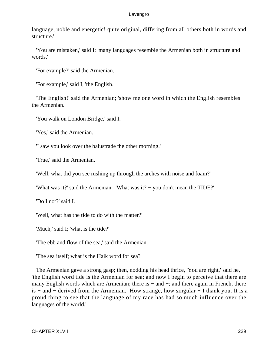language, noble and energetic! quite original, differing from all others both in words and structure.'

 'You are mistaken,' said I; 'many languages resemble the Armenian both in structure and words.'

'For example?' said the Armenian.

'For example,' said I, 'the English.'

 'The English!' said the Armenian; 'show me one word in which the English resembles the Armenian.'

'You walk on London Bridge,' said I.

'Yes,' said the Armenian.

'I saw you look over the balustrade the other morning.'

'True,' said the Armenian.

'Well, what did you see rushing up through the arches with noise and foam?'

'What was it?' said the Armenian. 'What was it? − you don't mean the TIDE?'

'Do I not?' said I.

'Well, what has the tide to do with the matter?'

'Much,' said I; 'what is the tide?'

'The ebb and flow of the sea,' said the Armenian.

'The sea itself; what is the Haik word for sea?'

 The Armenian gave a strong gasp; then, nodding his head thrice, 'You are right,' said he, 'the English word tide is the Armenian for sea; and now I begin to perceive that there are many English words which are Armenian; there is − and −; and there again in French, there is − and − derived from the Armenian. How strange, how singular − I thank you. It is a proud thing to see that the language of my race has had so much influence over the languages of the world.'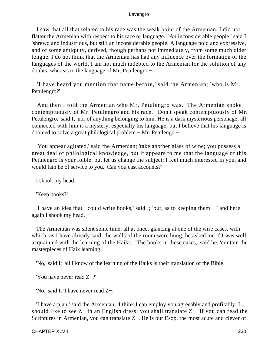I saw that all that related to his race was the weak point of the Armenian. I did not flatter the Armenian with respect to his race or language. 'An inconsiderable people,' said I, 'shrewd and industrious, but still an inconsiderable people. A language bold and expressive, and of some antiquity, derived, though perhaps not immediately, from some much older tongue. I do not think that the Armenian has had any influence over the formation of the languages of the world, I am not much indebted to the Armenian for the solution of any doubts; whereas to the language of Mr. Petulengro − '

 'I have heard you mention that name before,' said the Armenian; 'who is Mr. Petulengro?'

 And then I told the Armenian who Mr. Petulengro was. The Armenian spoke contemptuously of Mr. Petulengro and his race. 'Don't speak contemptuously of Mr. Petulengro,' said I, 'nor of anything belonging to him. He is a dark mysterious personage; all connected with him is a mystery, especially his language; but I believe that his language is doomed to solve a great philological problem − Mr. Petulengo − '

 'You appear agitated,' said the Armenian; 'take another glass of wine; you possess a great deal of philological knowledge, but it appears to me that the language of this Petulengro is your foible: but let us change the subject; I feel much interested in you, and would fain be of service to you. Can you cast accounts?'

I shook my head.

'Keep books?'

 'I have an idea that I could write books,' said I; 'but, as to keeping them − ' and here again I shook my head.

 The Armenian was silent some time; all at once, glancing at one of the wire cases, with which, as I have already said, the walls of the room were hung, he asked me if I was well acquainted with the learning of the Haiks. 'The books in these cases,' said he, 'contain the masterpieces of Haik learning.'

'No,' said I; 'all I know of the learning of the Haiks is their translation of the Bible.'

'You have never read Z−?'

'No,' said I, 'I have never read Z−.'

 'I have a plan,' said the Armenian; 'I think I can employ you agreeably and profitably; I should like to see Z− in an English dress; you shall translate Z− If you can read the Scriptures in Armenian, you can translate Z−. He is our Esop, the most acute and clever of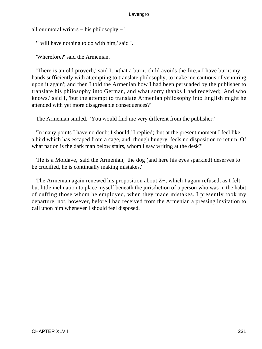all our moral writers − his philosophy − '

'I will have nothing to do with him,' said I.

'Wherefore?' said the Armenian.

 'There is an old proverb,' said I, '«that a burnt child avoids the fire.» I have burnt my hands sufficiently with attempting to translate philosophy, to make me cautious of venturing upon it again'; and then I told the Armenian how I had been persuaded by the publisher to translate his philosophy into German, and what sorry thanks I had received; 'And who knows,' said I, 'but the attempt to translate Armenian philosophy into English might he attended with yet more disagreeable consequences?'

The Armenian smiled. 'You would find me very different from the publisher.'

 'In many points I have no doubt I should,' I replied; 'but at the present moment I feel like a bird which has escaped from a cage, and, though hungry, feels no disposition to return. Of what nation is the dark man below stairs, whom I saw writing at the desk?'

 'He is a Moldave,' said the Armenian; 'the dog (and here his eyes sparkled) deserves to be crucified, he is continually making mistakes.'

 The Armenian again renewed his proposition about Z−, which I again refused, as I felt but little inclination to place myself beneath the jurisdiction of a person who was in the habit of cuffing those whom he employed, when they made mistakes. I presently took my departure; not, however, before I had received from the Armenian a pressing invitation to call upon him whenever I should feel disposed.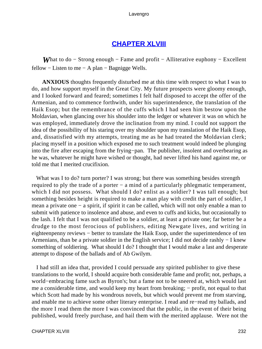## **[CHAPTER XLVIII](#page-496-0)**

*What to do – Strong enough – Fame and profit – Alliterative euphony – Excellent* fellow – Listen to me – A plan – Bagnigge Wells.

**ANXIOUS** thoughts frequently disturbed me at this time with respect to what I was to do, and how support myself in the Great City. My future prospects were gloomy enough, and I looked forward and feared; sometimes I felt half disposed to accept the offer of the Armenian, and to commence forthwith, under his superintendence, the translation of the Haik Esop; but the remembrance of the cuffs which I had seen him bestow upon the Moldavian, when glancing over his shoulder into the ledger or whatever it was on which he was employed, immediately drove the inclination from my mind. I could not support the idea of the possibility of his staring over my shoulder upon my translation of the Haik Esop, and, dissatisfied with my attempts, treating me as he had treated the Moldavian clerk; placing myself in a position which exposed me to such treatment would indeed be plunging into the fire after escaping from the frying−pan. The publisher, insolent and overbearing as he was, whatever he might have wished or thought, had never lifted his hand against me, or told me that I merited crucifixion.

What was I to do? turn porter? I was strong; but there was something besides strength required to ply the trade of a porter − a mind of a particularly phlegmatic temperament, which I did not possess. What should I do? enlist as a soldier? I was tall enough; but something besides height is required to make a man play with credit the part of soldier, I mean a private one − a spirit, if spirit it can be called, which will not only enable a man to submit with patience to insolence and abuse, and even to cuffs and kicks, but occasionally to the lash. I felt that I was not qualified to be a soldier, at least a private one; far better be a drudge to the most ferocious of publishers, editing Newgate lives, and writing in eighteenpenny reviews − better to translate the Haik Esop, under the superintendence of ten Armenians, than be a private soldier in the English service; I did not decide rashly − I knew something of soldiering. What should I do? I thought that I would make a last and desperate attempt to dispose of the ballads and of Ab Gwilym.

 I had still an idea that, provided I could persuade any spirited publisher to give these translations to the world, I should acquire both considerable fame and profit; not, perhaps, a world−embracing fame such as Byron's; but a fame not to be sneered at, which would last me a considerable time, and would keep my heart from breaking; – profit, not equal to that which Scott had made by his wondrous novels, but which would prevent me from starving, and enable me to achieve some other literary enterprise. I read and re−read my ballads, and the more I read them the more I was convinced that the public, in the event of their being published, would freely purchase, and hail them with the merited applause. Were not the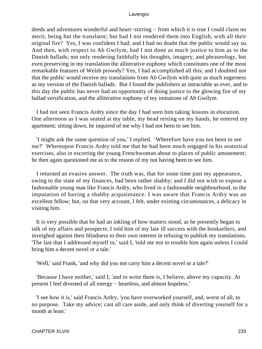deeds and adventures wonderful and heart−stirring − from which it is true I could claim no merit, being but the translator; but had I not rendered them into English, with all their original fire? Yes, I was confident I had; and I had no doubt that the public would say so. And then, with respect to Ab Gwilym, had I not done as much justice to him as to the Danish ballads; not only rendering faithfully his thoughts, imagery, and phraseology, but even preserving in my translation the alliterative euphony which constitutes one of the most remarkable features of Welsh prosody? Yes, I had accomplished all this; and I doubted not that the public would receive my translations from Ab Gwilym with quite as much eagerness as my version of the Danish ballads. But I found the publishers as intractable as ever, and to this day the public has never had an opportunity of doing justice to the glowing fire of my ballad versification, and the alliterative euphony of my imitations of Ab Gwilym.

 I had not seen Francis Ardry since the day I had seen him taking lessons in elocution. One afternoon as I was seated at my table, my head resting on my hands, he entered my apartment; sitting down, he inquired of me why I had not been to see him.

 'I might ask the same question of you,' I replied. 'Wherefore have you not been to see me?' Whereupon Francis Ardry told me that he had been much engaged in his oratorical exercises, also in escorting the young Frenchwoman about to places of public amusement; he then again questioned me as to the reason of my not having been to see him.

 I returned an evasive answer. The truth was, that for some time past my appearance, owing to the state of my finances, had been rather shabby; and I did not wish to expose a fashionable young man like Francis Ardry, who lived in a fashionable neighbourhood, to the imputation of having a shabby acquaintance. I was aware that Francis Ardry was an excellent fellow; but, on that very account, I felt, under existing circumstances, a delicacy in visiting him.

 It is very possible that he had an inkling of how matters stood, as he presently began to talk of my affairs and prospects. I told him of my late ill success with the booksellers, and inveighed against their blindness to their own interest in refusing to publish my translations. 'The last that I addressed myself to,' said I, 'told me not to trouble him again unless I could bring him a decent novel or a tale.'

'Well,' said Frank, 'and why did you not carry him a decent novel or a tale?'

 'Because I have neither,' said I; 'and to write them is, I believe, above my capacity. At present I feel divested of all energy − heartless, and almost hopeless.'

 'I see how it is,' said Francis Ardry, 'you have overworked yourself, and, worst of all, to no purpose. Take my advice; cast all care aside, and only think of diverting yourself for a month at least.'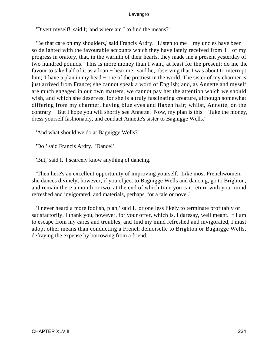'Divert myself!' said I; 'and where am I to find the means?'

 'Be that care on my shoulders,' said Francis Ardry. 'Listen to me − my uncles have been so delighted with the favourable accounts which they have lately received from T− of my progress in oratory, that, in the warmth of their hearts, they made me a present yesterday of two hundred pounds. This is more money than I want, at least for the present; do me the favour to take half of it as a loan − hear me,' said he, observing that I was about to interrupt him; 'I have a plan in my head – one of the prettiest in the world. The sister of my charmer is just arrived from France; she cannot speak a word of English; and, as Annette and myself are much engaged in our own matters, we cannot pay her the attention which we should wish, and which she deserves, for she is a truly fascinating creature, although somewhat differing from my charmer, having blue eyes and flaxen hair; whilst, Annette, on the contrary − But I hope you will shortly see Annette. Now, my plan is this − Take the money, dress yourself fashionably, and conduct Annette's sister to Bagnigge Wells.'

'And what should we do at Bagnigge Wells?'

'Do!' said Francis Ardry. 'Dance!'

'But,' said I, 'I scarcely know anything of dancing.'

 'Then here's an excellent opportunity of improving yourself. Like most Frenchwomen, she dances divinely; however, if you object to Bagnigge Wells and dancing, go to Brighton, and remain there a month or two, at the end of which time you can return with your mind refreshed and invigorated, and materials, perhaps, for a tale or novel.'

 'I never heard a more foolish, plan,' said I, 'or one less likely to terminate profitably or satisfactorily. I thank you, however, for your offer, which is, I daresay, well meant. If I am to escape from my cares and troubles, and find my mind refreshed and invigorated, I must adopt other means than conducting a French demoiselle to Brighton or Bagnigge Wells, defraying the expense by borrowing from a friend.'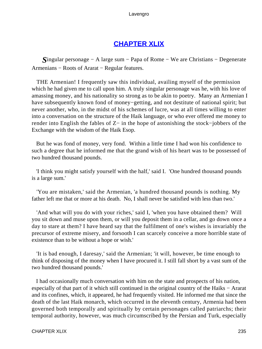## **[CHAPTER XLIX](#page-496-0)**

*S*ingular personage − A large sum − Papa of Rome − We are Christians − Degenerate Armenians − Roots of Ararat − Regular features.

 THE Armenian! I frequently saw this individual, availing myself of the permission which he had given me to call upon him. A truly singular personage was he, with his love of amassing money, and his nationality so strong as to be akin to poetry. Many an Armenian I have subsequently known fond of money−getting, and not destitute of national spirit; but never another, who, in the midst of his schemes of lucre, was at all times willing to enter into a conversation on the structure of the Haik language, or who ever offered me money to render into English the fables of Z− in the hope of astonishing the stock−jobbers of the Exchange with the wisdom of the Haik Esop.

 But he was fond of money, very fond. Within a little time I had won his confidence to such a degree that he informed me that the grand wish of his heart was to be possessed of two hundred thousand pounds.

 'I think you might satisfy yourself with the half,' said I. 'One hundred thousand pounds is a large sum.'

 'You are mistaken,' said the Armenian, 'a hundred thousand pounds is nothing. My father left me that or more at his death. No, I shall never be satisfied with less than two.'

 'And what will you do with your riches,' said I, 'when you have obtained them? Will you sit down and muse upon them, or will you deposit them in a cellar, and go down once a day to stare at them? I have heard say that the fulfilment of one's wishes is invariably the precursor of extreme misery, and forsooth I can scarcely conceive a more horrible state of existence than to be without a hope or wish.'

 'It is bad enough, I daresay,' said the Armenian; 'it will, however, be time enough to think of disposing of the money when I have procured it. I still fall short by a vast sum of the two hundred thousand pounds.'

 I had occasionally much conversation with him on the state and prospects of his nation, especially of that part of it which still continued in the original country of the Haiks − Ararat and its confines, which, it appeared, he had frequently visited. He informed me that since the death of the last Haik monarch, which occurred in the eleventh century, Armenia had been governed both temporally and spiritually by certain personages called patriarchs; their temporal authority, however, was much circumscribed by the Persian and Turk, especially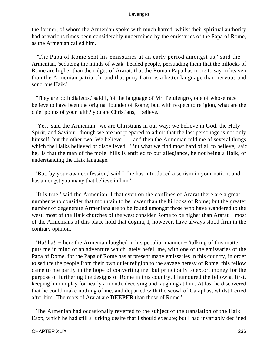the former, of whom the Armenian spoke with much hatred, whilst their spiritual authority had at various times been considerably undermined by the emissaries of the Papa of Rome, as the Armenian called him.

 'The Papa of Rome sent his emissaries at an early period amongst us,' said the Armenian, 'seducing the minds of weak−headed people, persuading them that the hillocks of Rome are higher than the ridges of Ararat; that the Roman Papa has more to say in heaven than the Armenian patriarch, and that puny Latin is a better language than nervous and sonorous Haik.'

 'They are both dialects,' said I, 'of the language of Mr. Petulengro, one of whose race I believe to have been the original founder of Rome; but, with respect to religion, what are the chief points of your faith? you are Christians, I believe.'

 'Yes,' said the Armenian, 'we are Christians in our way; we believe in God, the Holy Spirit, and Saviour, though we are not prepared to admit that the last personage is not only himself, but the other two. We believe . . .' and then the Armenian told me of several things which the Haiks believed or disbelieved. 'But what we find most hard of all to believe,' said he, 'is that the man of the mole−hills is entitled to our allegiance, he not being a Haik, or understanding the Haik language.'

 'But, by your own confession,' said I, 'he has introduced a schism in your nation, and has amongst you many that believe in him.'

 'It is true,' said the Armenian, I that even on the confines of Ararat there are a great number who consider that mountain to be lower than the hillocks of Rome; but the greater number of degenerate Armenians are to be found amongst those who have wandered to the west; most of the Haik churches of the west consider Rome to be higher than Ararat – most of the Armenians of this place hold that dogma; I, however, have always stood firm in the contrary opinion.

 'Ha! ha!' − here the Armenian laughed in his peculiar manner − 'talking of this matter puts me in mind of an adventure which lately befell me, with one of the emissaries of the Papa of Rome, for the Papa of Rome has at present many emissaries in this country, in order to seduce the people from their own quiet religion to the savage heresy of Rome; this fellow came to me partly in the hope of converting me, but principally to extort money for the purpose of furthering the designs of Rome in this country. I humoured the fellow at first, keeping him in play for nearly a month, deceiving and laughing at him. At last he discovered that he could make nothing of me, and departed with the scowl of Caiaphas, whilst I cried after him, 'The roots of Ararat are **DEEPER** than those of Rome.'

 The Armenian had occasionally reverted to the subject of the translation of the Haik Esop, which he had still a lurking desire that I should execute; but I had invariably declined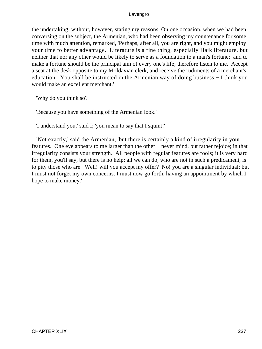the undertaking, without, however, stating my reasons. On one occasion, when we had been conversing on the subject, the Armenian, who had been observing my countenance for some time with much attention, remarked, 'Perhaps, after all, you are right, and you might employ your time to better advantage. Literature is a fine thing, especially Haik literature, but neither that nor any other would be likely to serve as a foundation to a man's fortune: and to make a fortune should be the principal aim of every one's life; therefore listen to me. Accept a seat at the desk opposite to my Moldavian clerk, and receive the rudiments of a merchant's education. You shall be instructed in the Armenian way of doing business − I think you would make an excellent merchant.'

'Why do you think so?'

'Because you have something of the Armenian look.'

'I understand you,' said I; 'you mean to say that I squint!'

 'Not exactly,' said the Armenian, 'but there is certainly a kind of irregularity in your features. One eye appears to me larger than the other − never mind, but rather rejoice; in that irregularity consists your strength. All people with regular features are fools; it is very hard for them, you'll say, but there is no help: all we can do, who are not in such a predicament, is to pity those who are. Well! will you accept my offer? No! you are a singular individual; but I must not forget my own concerns. I must now go forth, having an appointment by which I hope to make money.'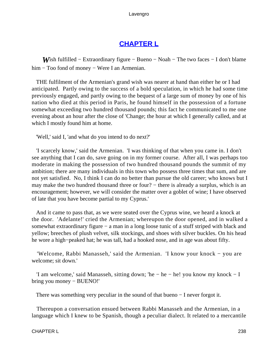# **[CHAPTER L](#page-496-0)**

*W*ish fulfilled – Extraordinary figure – Bueno – Noah – The two faces – I don't blame him − Too fond of money − Were I an Armenian.

 THE fulfilment of the Armenian's grand wish was nearer at hand than either he or I had anticipated. Partly owing to the success of a bold speculation, in which he had some time previously engaged, and partly owing to the bequest of a large sum of money by one of his nation who died at this period in Paris, he found himself in the possession of a fortune somewhat exceeding two hundred thousand pounds; this fact he communicated to me one evening about an hour after the close of 'Change; the hour at which I generally called, and at which I mostly found him at home.

'Well,' said I, 'and what do you intend to do next?'

 'I scarcely know,' said the Armenian. 'I was thinking of that when you came in. I don't see anything that I can do, save going on in my former course. After all, I was perhaps too moderate in making the possession of two hundred thousand pounds the summit of my ambition; there are many individuals in this town who possess three times that sum, and are not yet satisfied. No, I think I can do no better than pursue the old career; who knows but I may make the two hundred thousand three or four? – there is already a surplus, which is an encouragement; however, we will consider the matter over a goblet of wine; I have observed of late that you have become partial to my Cyprus.'

 And it came to pass that, as we were seated over the Cyprus wine, we heard a knock at the door. 'Adelante!' cried the Armenian; whereupon the door opened, and in walked a somewhat extraordinary figure – a man in a long loose tunic of a stuff striped with black and yellow; breeches of plush velvet, silk stockings, and shoes with silver buckles. On his head he wore a high−peaked hat; he was tall, had a hooked nose, and in age was about fifty.

 'Welcome, Rabbi Manasseh,' said the Armenian. 'I know your knock − you are welcome; sit down.'

 'I am welcome,' said Manasseh, sitting down; 'he − he − he! you know my knock − I bring you money − BUENO!'

There was something very peculiar in the sound of that bueno − I never forgot it.

 Thereupon a conversation ensued between Rabbi Manasseh and the Armenian, in a language which I knew to be Spanish, though a peculiar dialect. It related to a mercantile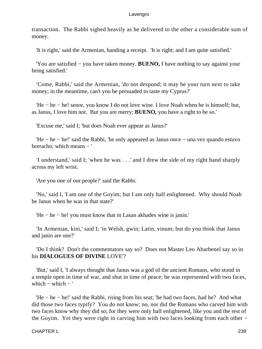transaction. The Rabbi sighed heavily as he delivered to the other a considerable sum of money.

'It is right,' said the Armenian, handing a receipt. 'It is right; and I am quite satisfied.'

 'You are satisfied − you have taken money. **BUENO,** I have nothing to say against your being satisfied.'

 'Come, Rabbi,' said the Armenian, 'do not despond; it may be your turn next to take money; in the meantime, can't you be persuaded to taste my Cyprus?'

 'He − he − he! senor, you know I do not love wine. I love Noah when he is himself; but, as Janus, I love him not. But you are merry; **BUENO,** you have a right to be so.'

'Excuse me,' said I; 'but does Noah ever appear as Janus?'

 'He − he − he!' said the Rabbi, 'he only appeared as Janus once − una vez quando estuvo borracho; which means − '

 'I understand,' said I; 'when he was . . .' and I drew the side of my right hand sharply across my left wrist.

'Are you one of our people?' said the Rabbi.

 'No,' said I, 'I am one of the Goyim; but I am only half enlightened. Why should Noah be Janus when he was in that state?'

'He − he − he! you must know that in Lasan akhades wine is janin.'

 'In Armenian, kini,' said I; 'in Welsh, gwin; Latin, vinum; but do you think that Janus and janin are one?'

 'Do I think? Don't the commentators say so? Does not Master Leo Abarbenel say so in his **DIALOGUES OF DIVINE** LOVE'?

 'But,' said I, 'I always thought that Janus was a god of the ancient Romans, who stood in a temple open in time of war, and shut in time of peace; he was represented with two faces, which  $-$  which  $-$  '

 'He − he − he!' said the Rabbi, rising from his seat; 'he had two faces, had he? And what did those two faces typify? You do not know; no, nor did the Romans who carved him with two faces know why they did so; for they were only half enlightened, like you and the rest of the Goyim. Yet they were right in carving him with two faces looking from each other −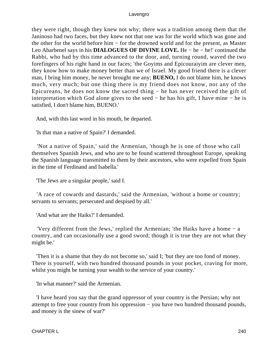they were right, though they knew not why; there was a tradition among them that the Janinoso had two faces, but they knew not that one was for the world which was gone and the other for the world before him − for the drowned world and for the present, as Master Leo Abarbenel says in his **DIALOGUES OF DIVINE LOVE.** He − he − he!' continued the Rabbi, who had by this time advanced to the door, and, turning round, waved the two forefingers of his right hand in our faces; 'the Goyims and Epicouraiyim are clever men, they know how to make money better than we of Israel. My good friend there is a clever man, I bring him money, he never brought me any; **BUENO,** I do not blame him, he knows much, very much; but one thing there is my friend does not know, nor any of the Epicureans, he does not know the sacred thing − he has never received the gift of interpretation which God alone gives to the seed − he has his gift, I have mine − he is satisfied, I don't blame him, BUENO.'

And, with this last word in his mouth, he departed.

'Is that man a native of Spain?' I demanded.

 'Not a native of Spain,' said the Armenian, 'though he is one of those who call themselves Spanish Jews, and who are to be found scattered throughout Europe, speaking the Spanish language transmitted to them by their ancestors, who were expelled from Spain in the time of Ferdinand and Isabella.'

'The Jews are a singular people,' said I.

 'A race of cowards and dastards,' said the Armenian, 'without a home or country; servants to servants; persecuted and despised by all.'

'And what are the Haiks?' I demanded.

 'Very different from the Jews,' replied the Armenian; 'the Haiks have a home − a country, and can occasionally use a good sword; though it is true they are not what they might be.'

 'Then it is a shame that they do not become so,' said I; 'but they are too fond of money. There is yourself, with two hundred thousand pounds in your pocket, craving for more, whilst you might be turning your wealth to the service of your country.'

'In what manner?' said the Armenian.

 'I have heard you say that the grand oppressor of your country is the Persian; why not attempt to free your country from his oppression − you have two hundred thousand pounds, and money is the sinew of war?'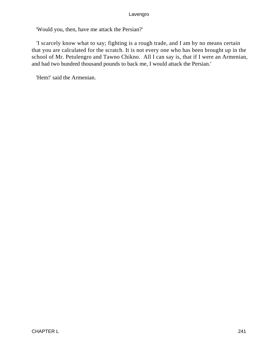'Would you, then, have me attack the Persian?'

 'I scarcely know what to say; fighting is a rough trade, and I am by no means certain that you are calculated for the scratch. It is not every one who has been brought up in the school of Mr. Petulengro and Tawno Chikno. All I can say is, that if I were an Armenian, and had two hundred thousand pounds to back me, I would attack the Persian.'

'Hem!' said the Armenian.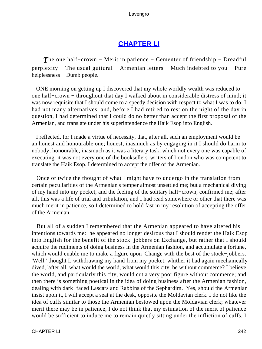# **[CHAPTER LI](#page-496-0)**

*The one half–crown – Merit in patience – Cementer of friendship – Dreadful* perplexity − The usual guttural − Armenian letters − Much indebted to you − Pure helplessness − Dumb people.

 ONE morning on getting up I discovered that my whole worldly wealth was reduced to one half−crown − throughout that day I walked about in considerable distress of mind; it was now requisite that I should come to a speedy decision with respect to what I was to do; I had not many alternatives, and, before I had retired to rest on the night of the day in question, I had determined that I could do no better than accept the first proposal of the Armenian, and translate under his superintendence the Haik Esop into English.

 I reflected, for I made a virtue of necessity, that, after all, such an employment would be an honest and honourable one; honest, inasmuch as by engaging in it I should do harm to nobody; honourable, inasmuch as it was a literary task, which not every one was capable of executing. it was not every one of the booksellers' writers of London who was competent to translate the Haik Esop. I determined to accept the offer of the Armenian.

 Once or twice the thought of what I might have to undergo in the translation from certain peculiarities of the Armenian's temper almost unsettled me; but a mechanical diving of my hand into my pocket, and the feeling of the solitary half−crown, confirmed me; after all, this was a life of trial and tribulation, and I had read somewhere or other that there was much merit in patience, so I determined to hold fast in my resolution of accepting the offer of the Armenian.

 But all of a sudden I remembered that the Armenian appeared to have altered his intentions towards me: he appeared no longer desirous that I should render the Haik Esop into English for the benefit of the stock−jobbers on Exchange, but rather that I should acquire the rudiments of doing business in the Armenian fashion, and accumulate a fortune, which would enable me to make a figure upon 'Change with the best of the stock−jobbers. 'Well,' thought I, withdrawing my hand from my pocket, whither it had again mechanically dived, 'after all, what would the world, what would this city, be without commerce? I believe the world, and particularly this city, would cut a very poor figure without commerce; and then there is something poetical in the idea of doing business after the Armenian fashion, dealing with dark−faced Lascars and Rabbins of the Sephardim. Yes, should the Armenian insist upon it, I will accept a seat at the desk, opposite the Moldavian clerk. I do not like the idea of cuffs similar to those the Armenian bestowed upon the Moldavian clerk; whatever merit there may be in patience, I do not think that my estimation of the merit of patience would be sufficient to induce me to remain quietly sitting under the infliction of cuffs. I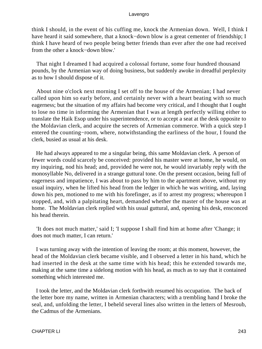think I should, in the event of his cuffing me, knock the Armenian down. Well, I think I have heard it said somewhere, that a knock−down blow is a great cementer of friendship; I think I have heard of two people being better friends than ever after the one had received from the other a knock−down blow.'

 That night I dreamed I had acquired a colossal fortune, some four hundred thousand pounds, by the Armenian way of doing business, but suddenly awoke in dreadful perplexity as to how I should dispose of it.

 About nine o'clock next morning I set off to the house of the Armenian; I had never called upon him so early before, and certainly never with a heart beating with so much eagerness; but the situation of my affairs had become very critical, and I thought that I ought to lose no time in informing the Armenian that I was at length perfectly willing either to translate the Haik Esop under his superintendence, or to accept a seat at the desk opposite to the Moldavian clerk, and acquire the secrets of Armenian commerce. With a quick step I entered the counting−room, where, notwithstanding the earliness of the hour, I found the clerk, busied as usual at his desk.

 He had always appeared to me a singular being, this same Moldavian clerk. A person of fewer words could scarcely be conceived: provided his master were at home, he would, on my inquiring, nod his head; and, provided he were not, he would invariably reply with the monosyllable No, delivered in a strange guttural tone. On the present occasion, being full of eagerness and impatience, I was about to pass by him to the apartment above, without my usual inquiry, when he lifted his head from the ledger in which he was writing, and, laying down his pen, motioned to me with his forefinger, as if to arrest my progress; whereupon I stopped, and, with a palpitating heart, demanded whether the master of the house was at home. The Moldavian clerk replied with his usual guttural, and, opening his desk, ensconced his head therein.

 'It does not much matter,' said I; 'I suppose I shall find him at home after 'Change; it does not much matter, I can return.'

 I was turning away with the intention of leaving the room; at this moment, however, the head of the Moldavian clerk became visible, and I observed a letter in his hand, which he had inserted in the desk at the same time with his head; this he extended towards me, making at the same time a sidelong motion with his head, as much as to say that it contained something which interested me.

 I took the letter, and the Moldavian clerk forthwith resumed his occupation. The back of the letter bore my name, written in Armenian characters; with a trembling hand I broke the seal, and, unfolding the letter, I beheld several lines also written in the letters of Mesroub, the Cadmus of the Armenians.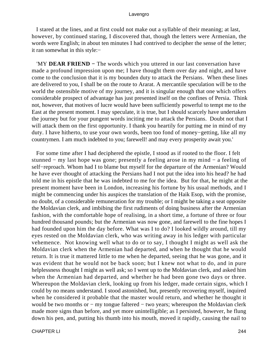I stared at the lines, and at first could not make out a syllable of their meaning; at last, however, by continued staring, I discovered that, though the letters were Armenian, the words were English; in about ten minutes I had contrived to decipher the sense of the letter; it ran somewhat in this style:−

 'MY **DEAR FRIEND −** The words which you uttered in our last conversation have made a profound impression upon me; I have thought them over day and night, and have come to the conclusion that it is my bounden duty to attack the Persians. When these lines are delivered to you, I shall be on the route to Ararat. A mercantile speculation will be to the world the ostensible motive of my journey, and it is singular enough that one which offers considerable prospect of advantage has just presented itself on the confines of Persia. Think not, however, that motives of lucre would have been sufficiently powerful to tempt me to the East at the present moment. I may speculate, it is true, but I should scarcely have undertaken the journey but for your pungent words inciting me to attack the Persians. Doubt not that I will attack them on the first opportunity. I thank you heartily for putting me in mind of my duty. I have hitherto, to use your own words, been too fond of money−getting, like all my countrymen. I am much indebted to you; farewell! and may every prosperity await you.'

 For some time after I had deciphered the epistle, I stood as if rooted to the floor. I felt stunned − my last hope was gone; presently a feeling arose in my mind − a feeling of self−reproach. Whom had I to blame but myself for the departure of the Armenian? Would he have ever thought of attacking the Persians had I not put the idea into his head? he had told me in his epistle that he was indebted to me for the idea. But for that, he might at the present moment have been in London, increasing his fortune by his usual methods, and I might be commencing under his auspices the translation of the Haik Esop, with the promise, no doubt, of a considerable remuneration for my trouble; or I might be taking a seat opposite the Moldavian clerk, and imbibing the first rudiments of doing business after the Armenian fashion, with the comfortable hope of realising, in a short time, a fortune of three or four hundred thousand pounds; but the Armenian was now gone, and farewell to the fine hopes I had founded upon him the day before. What was I to do? I looked wildly around, till my eyes rested on the Moldavian clerk, who was writing away in his ledger with particular vehemence. Not knowing well what to do or to say, I thought I might as well ask the Moldavian clerk when the Armenian had departed, and when he thought that he would return. It is true it mattered little to me when he departed, seeing that he was gone, and it was evident that he would not be back soon; but I knew not what to do, and in pure helplessness thought I might as well ask; so I went up to the Moldavian clerk, and asked him when the Armenian had departed, and whether he had been gone two days or three. Whereupon the Moldavian clerk, looking up from his ledger, made certain signs, which I could by no means understand. I stood astonished, but, presently recovering myself, inquired when he considered it probable that the master would return, and whether he thought it would be two months or − my tongue faltered − two years; whereupon the Moldavian clerk made more signs than before, and yet more unintelligible; as I persisted, however, he flung down his pen, and, putting his thumb into his mouth, moved it rapidly, causing the nail to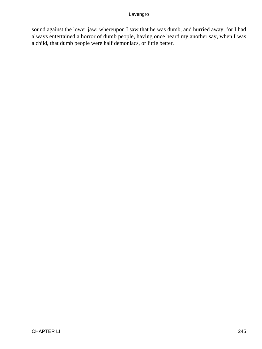sound against the lower jaw; whereupon I saw that he was dumb, and hurried away, for I had always entertained a horror of dumb people, having once heard my another say, when I was a child, that dumb people were half demoniacs, or little better.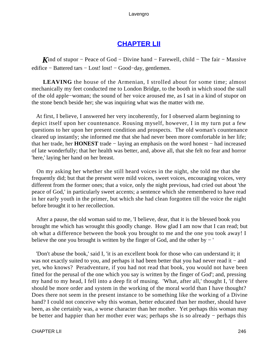## **[CHAPTER LII](#page-496-0)**

*K*ind of stupor – Peace of God – Divine hand – Farewell, child – The fair – Massive edifice − Battered tars − Lost! lost! − Good−day, gentlemen.

**LEAVING** the house of the Armenian, I strolled about for some time; almost mechanically my feet conducted me to London Bridge, to the booth in which stood the stall of the old apple−woman; the sound of her voice aroused me, as I sat in a kind of stupor on the stone bench beside her; she was inquiring what was the matter with me.

 At first, I believe, I answered her very incoherently, for I observed alarm beginning to depict itself upon her countenance. Rousing myself, however, I in my turn put a few questions to her upon her present condition and prospects. The old woman's countenance cleared up instantly; she informed me that she had never been more comfortable in her life; that her trade, her **HONEST** trade − laying an emphasis on the word honest − had increased of late wonderfully; that her health was better, and, above all, that she felt no fear and horror 'here,' laying her hand on her breast.

 On my asking her whether she still heard voices in the night, she told me that she frequently did; but that the present were mild voices, sweet voices, encouraging voices, very different from the former ones; that a voice, only the night previous, had cried out about 'the peace of God,' in particularly sweet accents; a sentence which she remembered to have read in her early youth in the primer, but which she had clean forgotten till the voice the night before brought it to her recollection.

 After a pause, the old woman said to me, 'I believe, dear, that it is the blessed book you brought me which has wrought this goodly change. How glad I am now that I can read; but oh what a difference between the book you brought to me and the one you took away! I believe the one you brought is written by the finger of God, and the other by − '

 'Don't abuse the book,' said I, 'it is an excellent book for those who can understand it; it was not exactly suited to you, and perhaps it had been better that you had never read it – and yet, who knows? Peradventure, if you had not read that book, you would not have been fitted for the perusal of the one which you say is written by the finger of God'; and, pressing my hand to my head, I fell into a deep fit of musing. 'What, after all,' thought I, 'if there should be more order and system in the working of the moral world than I have thought? Does there not seem in the present instance to be something like the working of a Divine hand? I could not conceive why this woman, better educated than her mother, should have been, as she certainly was, a worse character than her mother. Yet perhaps this woman may be better and happier than her mother ever was; perhaps she is so already − perhaps this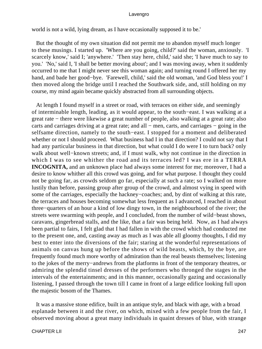world is not a wild, lying dream, as I have occasionally supposed it to be.'

 But the thought of my own situation did not permit me to abandon myself much longer to these musings. I started up. 'Where are you going, child?' said the woman, anxiously. 'I scarcely know,' said I; 'anywhere.' 'Then stay here, child,' said she; 'I have much to say to you.' 'No,' said I, 'I shall be better moving about'; and I was moving away, when it suddenly occurred to me that I might never see this woman again; and turning round I offered her my hand, and bade her good−bye. 'Farewell, child,' said the old woman, 'and God bless you!' I then moved along the bridge until I reached the Southwark side, and, still holding on my course, my mind again became quickly abstracted from all surrounding objects.

 At length I found myself in a street or road, with terraces on either side, and seemingly of interminable length, leading, as it would appear, to the south−east. I was walking at a great rate − there were likewise a great number of people, also walking at a great rate; also carts and carriages driving at a great rate; and all − men, carts, and carriages − going in the selfsame direction, namely to the south−east. I stopped for a moment and deliberated whether or not I should proceed. What business had I in that direction? I could not say that I had any particular business in that direction, but what could I do were I to turn back? only walk about well−known streets; and, if I must walk, why not continue in the direction in which I was to see whither the road and its terraces led? I was ere in a TERRA **INCOGNITA,** and an unknown place had always some interest for me; moreover, I had a desire to know whither all this crowd was going, and for what purpose. I thought they could not be going far, as crowds seldom go far, especially at such a rate; so I walked on more lustily than before, passing group after group of the crowd, and almost vying in speed with some of the carriages, especially the hackney−coaches; and, by dint of walking at this rate, the terraces and houses becoming somewhat less frequent as I advanced, I reached in about three−quarters of an hour a kind of low dingy town, in the neighbourhood of the river; the streets were swarming with people, and I concluded, from the number of wild−beast shows, caravans, gingerbread stalls, and the like, that a fair was being held. Now, as I had always been partial to fairs, I felt glad that I had fallen in with the crowd which had conducted me to the present one, and, casting away as much as I was able all gloomy thoughts, I did my best to enter into the diversions of the fair; staring at the wonderful representations of animals on canvas hung up before the shows of wild beasts, which, by the bye, are frequently found much more worthy of admiration than the real beasts themselves; listening to the jokes of the merry−andrews from the platforms in front of the temporary theatres, or admiring the splendid tinsel dresses of the performers who thronged the stages in the intervals of the entertainments; and in this manner, occasionally gazing and occasionally listening, I passed through the town till I came in front of a large edifice looking full upon the majestic bosom of the Thames.

 It was a massive stone edifice, built in an antique style, and black with age, with a broad esplanade between it and the river, on which, mixed with a few people from the fair, I observed moving about a great many individuals in quaint dresses of blue, with strange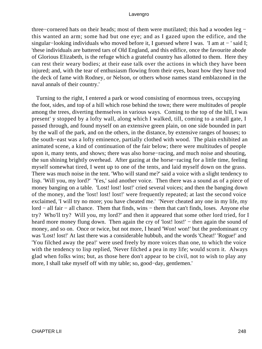three−cornered hats on their heads; most of them were mutilated; this had a wooden leg − this wanted an arm; some had but one eye; and as I gazed upon the edifice, and the singular–looking individuals who moved before it, I guessed where I was. 'I am at – ' said I; 'these individuals are battered tars of Old England, and this edifice, once the favourite abode of Glorious Elizabeth, is the refuge which a grateful country has allotted to them. Here they can rest their weary bodies; at their ease talk over the actions in which they have been injured; and, with the tear of enthusiasm flowing from their eyes, boast how they have trod the deck of fame with Rodney, or Nelson, or others whose names stand emblazoned in the naval annals of their country.'

 Turning to the right, I entered a park or wood consisting of enormous trees, occupying the foot, sides, and top of a hill which rose behind the town; there were multitudes of people among the trees, diverting themselves in various ways. Coming to the top of the hill, I was present' y stopped by a lofty wall, along which I walked, till, coming to a small gate, I passed through, and found myself on an extensive green plain, on one side bounded in part by the wall of the park, and on the others, in the distance, by extensive ranges of houses; to the south−east was a lofty eminence, partially clothed with wood. The plain exhibited an animated scene, a kind of continuation of the fair below; there were multitudes of people upon it, many tents, and shows; there was also horse−racing, and much noise and shouting, the sun shining brightly overhead. After gazing at the horse−racing for a little time, feeling myself somewhat tired, I went up to one of the tents, and laid myself down on the grass. There was much noise in the tent. 'Who will stand me?' said a voice with a slight tendency to lisp. 'Will you, my lord?' 'Yes,' said another voice. Then there was a sound as of a piece of money banging on a table. 'Lost! lost! lost!' cried several voices; and then the banging down of the money, and the 'lost! lost! lost!' were frequently repeated; at last the second voice exclaimed, 'I will try no more; you have cheated me.' 'Never cheated any one in my life, my lord − all fair − all chance. Them that finds, wins − them that can't finds, loses. Anyone else try? Who'll try? Will you, my lord?' and then it appeared that some other lord tried, for I heard more money flung down. Then again the cry of 'lost! lost!' – then again the sound of money, and so on. Once or twice, but not more, I heard 'Won! won!' but the predominant cry was 'Lost! lost!' At last there was a considerable hubbub, and the words 'Cheat!' 'Rogue!' and 'You filched away the pea!' were used freely by more voices than one, to which the voice with the tendency to lisp replied, 'Never filched a pea in my life; would scorn it. Always glad when folks wins; but, as those here don't appear to be civil, not to wish to play any more, I shall take myself off with my table; so, good−day, gentlemen.'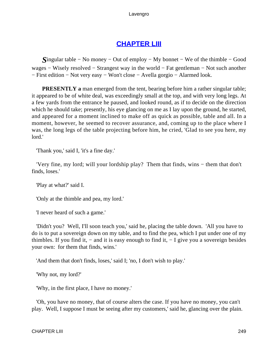# **[CHAPTER LIII](#page-496-0)**

*S*ingular table − No money − Out of employ − My bonnet − We of the thimble − Good wages − Wisely resolved − Strangest way in the world − Fat gentleman − Not such another − First edition − Not very easy − Won't close − Avella gorgio − Alarmed look.

**PRESENTLY** a man emerged from the tent, bearing before him a rather singular table; it appeared to be of white deal, was exceedingly small at the top, and with very long legs. At a few yards from the entrance he paused, and looked round, as if to decide on the direction which he should take; presently, his eye glancing on me as I lay upon the ground, he started, and appeared for a moment inclined to make off as quick as possible, table and all. In a moment, however, he seemed to recover assurance, and, coming up to the place where I was, the long legs of the table projecting before him, he cried, 'Glad to see you here, my lord.'

'Thank you,' said I, 'it's a fine day.'

 'Very fine, my lord; will your lordship play? Them that finds, wins − them that don't finds, loses.'

'Play at what?' said I.

'Only at the thimble and pea, my lord.'

'I never heard of such a game.'

 'Didn't you? Well, I'll soon teach you,' said he, placing the table down. 'All you have to do is to put a sovereign down on my table, and to find the pea, which I put under one of my thimbles. If you find it,  $-$  and it is easy enough to find it,  $-$  I give you a sovereign besides your own: for them that finds, wins.'

'And them that don't finds, loses,' said I; 'no, I don't wish to play.'

'Why not, my lord?'

'Why, in the first place, I have no money.'

 'Oh, you have no money, that of course alters the case. If you have no money, you can't play. Well, I suppose I must be seeing after my customers,' said he, glancing over the plain.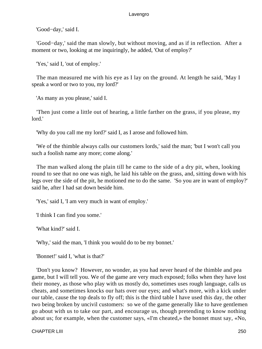'Good−day,' said I.

 'Good−day,' said the man slowly, but without moving, and as if in reflection. After a moment or two, looking at me inquiringly, he added, 'Out of employ?'

'Yes,' said I, 'out of employ.'

 The man measured me with his eye as I lay on the ground. At length he said, 'May I speak a word or two to you, my lord?'

'As many as you please,' said I.

 'Then just come a little out of hearing, a little farther on the grass, if you please, my lord.'

'Why do you call me my lord?' said I, as I arose and followed him.

 'We of the thimble always calls our customers lords,' said the man; 'but I won't call you such a foolish name any more; come along.'

 The man walked along the plain till he came to the side of a dry pit, when, looking round to see that no one was nigh, he laid his table on the grass, and, sitting down with his legs over the side of the pit, he motioned me to do the same. 'So you are in want of employ?' said he, after I had sat down beside him.

'Yes,' said I, 'I am very much in want of employ.'

'I think I can find you some.'

'What kind?' said I.

'Why,' said the man, 'I think you would do to be my bonnet.'

'Bonnet!' said I, 'what is that?'

 'Don't you know? However, no wonder, as you had never heard of the thimble and pea game, but I will tell you. We of the game are very much exposed; folks when they have lost their money, as those who play with us mostly do, sometimes uses rough language, calls us cheats, and sometimes knocks our hats over our eyes; and what's more, with a kick under our table, cause the top deals to fly off; this is the third table I have used this day, the other two being broken by uncivil customers: so we of the game generally like to have gentlemen go about with us to take our part, and encourage us, though pretending to know nothing about us; for example, when the customer says, «I'm cheated,» the bonnet must say, «No,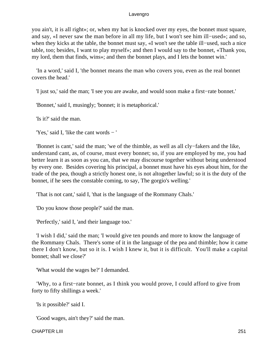you ain't, it is all right»; or, when my hat is knocked over my eyes, the bonnet must square, and say, «I never saw the man before in all my life, but I won't see him ill−used»; and so, when they kicks at the table, the bonnet must say, «I won't see the table ill−used, such a nice table, too; besides, I want to play myself»; and then I would say to the bonnet, «Thank you, my lord, them that finds, wins»; and then the bonnet plays, and I lets the bonnet win.'

 'In a word,' said I, 'the bonnet means the man who covers you, even as the real bonnet covers the head.'

'I just so,' said the man; 'I see you are awake, and would soon make a first−rate bonnet.'

'Bonnet,' said I, musingly; 'bonnet; it is metaphorical.'

'Is it?' said the man.

'Yes,' said I, 'like the cant words − '

 'Bonnet is cant,' said the man; 'we of the thimble, as well as all cly−fakers and the like, understand cant, as, of course, must every bonnet; so, if you are employed by me, you had better learn it as soon as you can, that we may discourse together without being understood by every one. Besides covering his principal, a bonnet must have his eyes about him, for the trade of the pea, though a strictly honest one, is not altogether lawful; so it is the duty of the bonnet, if he sees the constable coming, to say, The gorgio's welling.'

'That is not cant,' said I, 'that is the language of the Rommany Chals.'

'Do you know those people?' said the man.

'Perfectly,' said I, 'and their language too.'

 'I wish I did,' said the man; 'I would give ten pounds and more to know the language of the Rommany Chals. There's some of it in the language of the pea and thimble; how it came there I don't know, but so it is. I wish I knew it, but it is difficult. You'll make a capital bonnet; shall we close?'

'What would the wages be?' I demanded.

 'Why, to a first−rate bonnet, as I think you would prove, I could afford to give from forty to fifty shillings a week.'

'Is it possible?' said I.

'Good wages, ain't they?' said the man.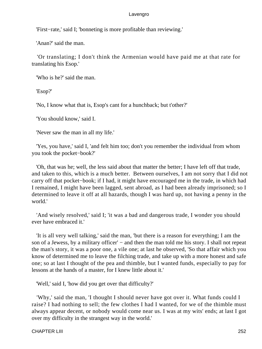'First−rate,' said I; 'bonneting is more profitable than reviewing.'

'Anan?' said the man.

 'Or translating; I don't think the Armenian would have paid me at that rate for translating his Esop.'

'Who is he?' said the man.

'Esop?'

'No, I know what that is, Esop's cant for a hunchback; but t'other?'

'You should know,' said I.

'Never saw the man in all my life.'

 'Yes, you have,' said I, 'and felt him too; don't you remember the individual from whom you took the pocket−book?'

 'Oh, that was he; well, the less said about that matter the better; I have left off that trade, and taken to this, which is a much better. Between ourselves, I am not sorry that I did not carry off that pocket−book; if I had, it might have encouraged me in the trade, in which had I remained, I might have been lagged, sent abroad, as I had been already imprisoned; so I determined to leave it off at all hazards, though I was hard up, not having a penny in the world.'

 'And wisely resolved,' said I; 'it was a bad and dangerous trade, I wonder you should ever have embraced it.'

 'It is all very well talking,' said the man, 'but there is a reason for everything; I am the son of a Jewess, by a military officer' – and then the man told me his story. I shall not repeat the man's story, it was a poor one, a vile one; at last he observed, 'So that affair which you know of determined me to leave the filching trade, and take up with a more honest and safe one; so at last I thought of the pea and thimble, but I wanted funds, especially to pay for lessons at the hands of a master, for I knew little about it.'

'Well,' said I, 'how did you get over that difficulty?'

 'Why,' said the man, 'I thought I should never have got over it. What funds could I raise? I had nothing to sell; the few clothes I had I wanted, for we of the thimble must always appear decent, or nobody would come near us. I was at my wits' ends; at last I got over my difficulty in the strangest way in the world.'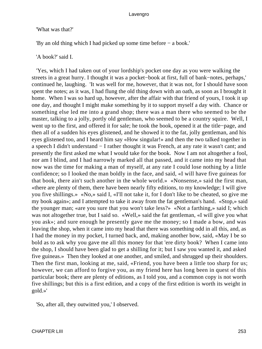# 'What was that?'

'By an old thing which I had picked up some time before − a book.'

# 'A book?' said I.

 'Yes, which I had taken out of your lordship's pocket one day as you were walking the streets in a great hurry. I thought it was a pocket−book at first, full of bank−notes, perhaps,' continued he, laughing. 'It was well for me, however, that it was not, for I should have soon spent the notes; as it was, I had flung the old thing down with an oath, as soon as I brought it home. When I was so hard up, however, after the affair with that friend of yours, I took it up one day, and thought I might make something by it to support myself a day with. Chance or something else led me into a grand shop; there was a man there who seemed to be the master, talking to a jolly, portly old gentleman, who seemed to be a country squire. Well, I went up to the first, and offered it for sale; he took the book, opened it at the title−page, and then all of a sudden his eyes glistened, and he showed it to the fat, jolly gentleman, and his eyes glistened too, and I heard him say «How singular!» and then the two talked together in a speech I didn't understand − I rather thought it was French, at any rate it wasn't cant; and presently the first asked me what I would take for the book. Now I am not altogether a fool, nor am I blind, and I had narrowly marked all that passed, and it came into my head that now was the time for making a man of myself, at any rate I could lose nothing by a little confidence; so I looked the man boldly in the face, and said, «I will have five guineas for that book, there ain't such another in the whole world.» «Nonsense,» said the first man, «there are plenty of them, there have been nearly fifty editions, to my knowledge; I will give you five shillings.» «No,» said I, «I'll not take it, for I don't like to be cheated, so give me my book again»; and I attempted to take it away from the fat gentleman's hand. «Stop,» said the younger man; «are you sure that you won't take less?» «Not a farthing,» said I; which was not altogether true, but I said so. «Well,» said the fat gentleman, «I will give you what you ask»; and sure enough he presently gave me the money; so I made a bow, and was leaving the shop, when it came into my head that there was something odd in all this, and, as I had the money in my pocket, I turned back, and, making another bow, said, «May I be so bold as to ask why you gave me all this money for that 'ere dirty book? When I came into the shop, I should have been glad to get a shilling for it; but I saw you wanted it, and asked five guineas.» Then they looked at one another, and smiled, and shrugged up their shoulders. Then the first man, looking at me, said, «Friend, you have been a little too sharp for us; however, we can afford to forgive you, as my friend here has long been in quest of this particular book; there are plenty of editions, as I told you, and a common copy is not worth five shillings; but this is a first edition, and a copy of the first edition is worth its weight in gold.»'

'So, after all, they outwitted you,' I observed.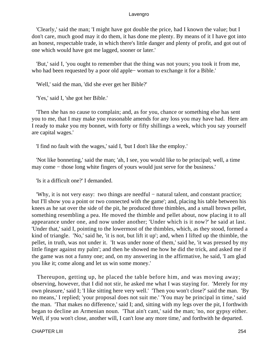'Clearly,' said the man; 'I might have got double the price, had I known the value; but I don't care, much good may it do them, it has done me plenty. By means of it I have got into an honest, respectable trade, in which there's little danger and plenty of profit, and got out of one which would have got me lagged, sooner or later.'

 'But,' said I, 'you ought to remember that the thing was not yours; you took it from me, who had been requested by a poor old apple− woman to exchange it for a Bible.'

'Well,' said the man, 'did she ever get her Bible?'

'Yes,' said I, 'she got her Bible.'

 'Then she has no cause to complain; and, as for you, chance or something else has sent you to me, that I may make you reasonable amends for any loss you may have had. Here am I ready to make you my bonnet, with forty or fifty shillings a week, which you say yourself are capital wages.'

'I find no fault with the wages,' said I, 'but I don't like the employ.'

 'Not like bonneting,' said the man; 'ah, I see, you would like to be principal; well, a time may come – those long white fingers of yours would just serve for the business.'

'Is it a difficult one?' I demanded.

 'Why, it is not very easy: two things are needful − natural talent, and constant practice; but I'll show you a point or two connected with the game'; and, placing his table between his knees as he sat over the side of the pit, he produced three thimbles, and a small brown pellet, something resembling a pea. He moved the thimble and pellet about, now placing it to all appearance under one, and now under another; 'Under which is it now?' he said at last. 'Under that,' said I, pointing to the lowermost of the thimbles, which, as they stood, formed a kind of triangle. 'No,' said he, 'it is not, but lift it up'; and, when I lifted up the thimble, the pellet, in truth, was not under it. 'It was under none of them,' said he, 'it was pressed by my little finger against my palm'; and then he showed me how he did the trick, and asked me if the game was not a funny one; and, on my answering in the affirmative, he said, 'I am glad you like it; come along and let us win some money.'

 Thereupon, getting up, he placed the table before him, and was moving away; observing, however, that I did not stir, he asked me what I was staying for. 'Merely for my own pleasure,' said I; 'I like sitting here very well.' 'Then you won't close?' said the man. 'By no means,' I replied; 'your proposal does not suit me.' 'You may be principal in time,' said the man. 'That makes no difference,' said I; and, sitting with my legs over the pit, I forthwith began to decline an Armenian noun. 'That ain't cant,' said the man; 'no, nor gypsy either. Well, if you won't close, another will, I can't lose any more time,' and forthwith he departed.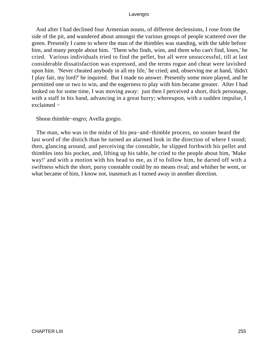And after I had declined four Armenian nouns, of different declensions, I rose from the side of the pit, and wandered about amongst the various groups of people scattered over the green. Presently I came to where the man of the thimbles was standing, with the table before him, and many people about him. 'Them who finds, wins, and them who can't find, loses,' he cried. Various individuals tried to find the pellet, but all were unsuccessful, till at last considerable dissatisfaction was expressed, and the terms rogue and cheat were lavished upon him. 'Never cheated anybody in all my life,' he cried; and, observing me at hand, 'didn't I play fair, my lord?' he inquired. But I made no answer. Presently some more played, and he permitted one or two to win, and the eagerness to play with him became greater. After I had looked on for some time, I was moving away: just then I perceived a short, thick personage, with a staff in his hand, advancing in a great hurry; whereupon, with a sudden impulse, I exclaimed −

Shoon thimble−engro; Avella gorgio.

 The man, who was in the midst of his pea−and−thimble process, no sooner heard the last word of the distich than he turned an alarmed look in the direction of where I stood; then, glancing around, and perceiving the constable, he slipped forthwith his pellet and thimbles into his pocket, and, lifting up his table, he cried to the people about him, 'Make way!' and with a motion with his head to me, as if to follow him, he darted off with a swiftness which the short, pursy constable could by no means rival; and whither he went, or what became of him, I know not, inasmuch as I turned away in another direction.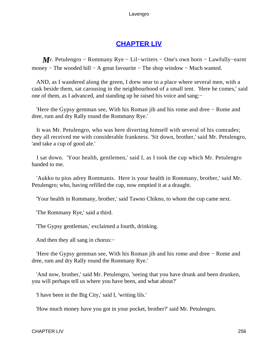# **[CHAPTER LIV](#page-496-0)**

*M* r. Petulengro – Rommany Rye – Lil–writers – One's own horn – Lawfully–earnt money − The wooded hill − A great favourite − The shop window − Much wanted.

 AND, as I wandered along the green, I drew near to a place where several men, with a cask beside them, sat carousing in the neighbourhood of a small tent. 'Here he comes,' said one of them, as I advanced, and standing up he raised his voice and sang:−

 'Here the Gypsy gemman see, With his Roman jib and his rome and dree − Rome and dree, rum and dry Rally round the Rommany Rye.'

 It was Mr. Petulengro, who was here diverting himself with several of his comrades; they all received me with considerable frankness. 'Sit down, brother,' said Mr. Petulengro, 'and take a cup of good ale.'

 I sat down. 'Your health, gentlemen,' said I, as I took the cup which Mr. Petulengro handed to me.

 'Aukko tu pios adrey Rommanis. Here is your health in Rommany, brother,' said Mr. Petulengro; who, having refilled the cup, now emptied it at a draught.

'Your health in Rommany, brother,' said Tawno Chikno, to whom the cup came next.

'The Rommany Rye,' said a third.

'The Gypsy gentleman,' exclaimed a fourth, drinking.

And then they all sang in chorus:−

 'Here the Gypsy gemman see, With his Roman jib and his rome and dree − Rome and dree, rum and dry Rally round the Rommany Rye.'

 'And now, brother,' said Mr. Petulengro, 'seeing that you have drunk and been drunken, you will perhaps tell us where you have been, and what about?'

'I have been in the Big City,' said I, 'writing lils.'

'How much money have you got in your pocket, brother?' said Mr. Petulengro.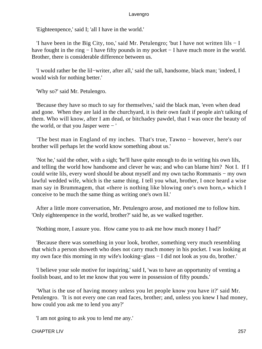'Eighteenpence,' said I; 'all I have in the world.'

 'I have been in the Big City, too,' said Mr. Petulengro; 'but I have not written lils − I have fought in the ring − I have fifty pounds in my pocket − I have much more in the world. Brother, there is considerable difference between us.

 'I would rather be the lil−writer, after all,' said the tall, handsome, black man; 'indeed, I would wish for nothing better.'

'Why so?' said Mr. Petulengro.

 'Because they have so much to say for themselves,' said the black man, 'even when dead and gone. When they are laid in the churchyard, it is their own fault if people ain't talking of them. Who will know, after I am dead, or bitchadey pawdel, that I was once the beauty of the world, or that you Jasper were − '

 'The best man in England of my inches. That's true, Tawno − however, here's our brother will perhaps let the world know something about us.'

 'Not he,' said the other, with a sigh; 'he'll have quite enough to do in writing his own lils, and telling the world how handsome and clever he was; and who can blame him? Not I. If I could write lils, every word should be about myself and my own tacho Rommanis − my own lawful wedded wife, which is the same thing. I tell you what, brother, I once heard a wise man say in Brummagem, that «there is nothing like blowing one's own horn,» which I conceive to be much the same thing as writing one's own lil.'

 After a little more conversation, Mr. Petulengro arose, and motioned me to follow him. 'Only eighteenpence in the world, brother?' said he, as we walked together.

'Nothing more, I assure you. How came you to ask me how much money I had?'

 'Because there was something in your look, brother, something very much resembling that which a person showeth who does not carry much money in his pocket. I was looking at my own face this morning in my wife's looking−glass − I did not look as you do, brother.'

 'I believe your sole motive for inquiring,' said I, 'was to have an opportunity of venting a foolish boast, and to let me know that you were in possession of fifty pounds.'

 'What is the use of having money unless you let people know you have it?' said Mr. Petulengro. 'It is not every one can read faces, brother; and, unless you knew I had money, how could you ask me to lend you any?'

'I am not going to ask you to lend me any.'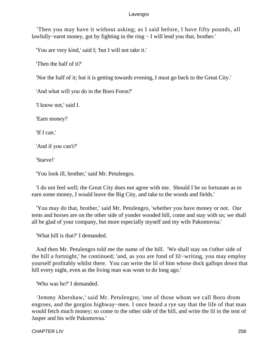'Then you may have it without asking; as I said before, I have fifty pounds, all lawfully−earnt money, got by fighting in the ring − I will lend you that, brother.'

'You are very kind,' said I; 'but I will not take it.'

'Then the half of it?'

'Nor the half of it; but it is getting towards evening, I must go back to the Great City.'

'And what will you do in the Boro Foros?'

'I know not,' said I.

'Earn money?

'If I can.'

'And if you can't?'

'Starve!'

'You look ill, brother,' said Mr. Petulengro.

 'I do not feel well; the Great City does not agree with me. Should I be so fortunate as to earn some money, I would leave the Big City, and take to the woods and fields.'

 'You may do that, brother,' said Mr. Petulengro, 'whether you have money or not. Our tents and horses are on the other side of yonder wooded hill, come and stay with us; we shall all be glad of your company, but more especially myself and my wife Pakomovna.'

'What hill is that?' I demanded.

 And then Mr. Petulengro told me the name of the hill. 'We shall stay on t'other side of the hill a fortnight,' he continued; 'and, as you are fond of lil−writing, you may employ yourself profitably whilst there. You can write the lil of him whose dock gallops down that hill every night, even as the living man was wont to do long ago.'

'Who was he?' I demanded.

 'Jemmy Abershaw,' said Mr. Petulengro; 'one of those whom we call Boro drom engroes, and the gorgios highway−men. I once heard a rye say that the life of that man would fetch much money; so come to the other side of the hill, and write the lil in the tent of Jasper and his wife Pakomovna.'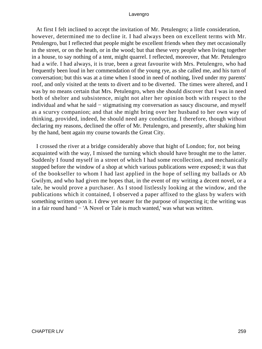At first I felt inclined to accept the invitation of Mr. Petulengro; a little consideration, however, determined me to decline it. I had always been on excellent terms with Mr. Petulengro, but I reflected that people might be excellent friends when they met occasionally in the street, or on the heath, or in the wood; but that these very people when living together in a house, to say nothing of a tent, might quarrel. I reflected, moreover, that Mr. Petulengro had a wife. I had always, it is true, been a great favourite with Mrs. Petulengro, who had frequently been loud in her commendation of the young rye, as she called me, and his turn of conversation; but this was at a time when I stood in need of nothing, lived under my parents' roof, and only visited at the tents to divert and to be diverted. The times were altered, and I was by no means certain that Mrs. Petulengro, when she should discover that I was in need both of shelter and subsistence, might not alter her opinion both with respect to the individual and what he said − stigmatising my conversation as saucy discourse, and myself as a scurvy companion; and that she might bring over her husband to her own way of thinking, provided, indeed, he should need any conducting. I therefore, though without declaring my reasons, declined the offer of Mr. Petulengro, and presently, after shaking him by the hand, bent again my course towards the Great City.

 I crossed the river at a bridge considerably above that hight of London; for, not being acquainted with the way, I missed the turning which should have brought me to the latter. Suddenly I found myself in a street of which I had some recollection, and mechanically stopped before the window of a shop at which various publications were exposed; it was that of the bookseller to whom I had last applied in the hope of selling my ballads or Ab Gwilym, and who had given me hopes that, in the event of my writing a decent novel, or a tale, he would prove a purchaser. As I stood listlessly looking at the window, and the publications which it contained, I observed a paper affixed to the glass by wafers with something written upon it. I drew yet nearer for the purpose of inspecting it; the writing was in a fair round hand − 'A Novel or Tale is much wanted,' was what was written.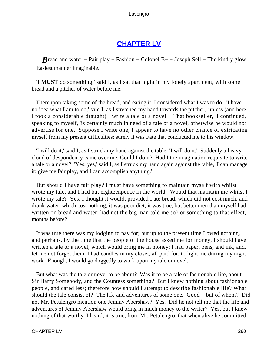# **[CHAPTER LV](#page-496-0)**

*B*read and water – Pair play – Fashion – Colonel B– – Joseph Sell – The kindly glow − Easiest manner imaginable.

 'I **MUST** do something,' said I, as I sat that night in my lonely apartment, with some bread and a pitcher of water before me.

 Thereupon taking some of the bread, and eating it, I considered what I was to do. 'I have no idea what I am to do,' said I, as I stretched my hand towards the pitcher, 'unless (and here I took a considerable draught) I write a tale or a novel − That bookseller,' I continued, speaking to myself, 'is certainly much in need of a tale or a novel, otherwise he would not advertise for one. Suppose I write one, I appear to have no other chance of extricating myself from my present difficulties; surely it was Fate that conducted me to his window.

 'I will do it,' said I, as I struck my hand against the table; 'I will do it.' Suddenly a heavy cloud of despondency came over me. Could I do it? Had I the imagination requisite to write a tale or a novel? 'Yes, yes,' said I, as I struck my hand again against the table, 'I can manage it; give me fair play, and I can accomplish anything.'

 But should I have fair play? I must have something to maintain myself with whilst I wrote my tale, and I had but eighteenpence in the world. Would that maintain me whilst I wrote my tale? Yes, I thought it would, provided I ate bread, which did not cost much, and drank water, which cost nothing; it was poor diet, it was true, but better men than myself had written on bread and water; had not the big man told me so? or something to that effect, months before?

 It was true there was my lodging to pay for; but up to the present time I owed nothing, and perhaps, by the time that the people of the house asked me for money, I should have written a tale or a novel, which would bring me in money; I had paper, pens, and ink, and, let me not forget them, I had candles in my closet, all paid for, to light me during my night work. Enough, I would go doggedly to work upon my tale or novel.

 But what was the tale or novel to be about? Was it to be a tale of fashionable life, about Sir Harry Somebody, and the Countess something? But I knew nothing about fashionable people, and cared less; therefore how should I attempt to describe fashionable life? What should the tale consist of? The life and adventures of some one. Good − but of whom? Did not Mr. Petulengro mention one Jemmy Abershaw? Yes. Did he not tell me that the life and adventures of Jemmy Abershaw would bring in much money to the writer? Yes, but I knew nothing of that worthy. I heard, it is true, from Mr. Petulengro, that when alive he committed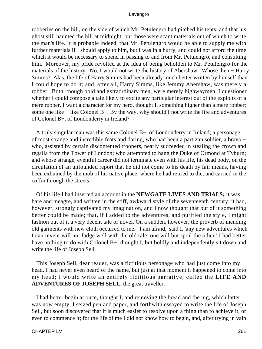robberies on the hill, on the side of which Mr. Petulengro had pitched his tents, and that his ghost still haunted the hill at midnight; but those were scant materials out of which to write the man's life. It is probable indeed, that Mr. Petulengro would be able to supply me with further materials if I should apply to him, but I was in a hurry, and could not afford the time which it would be necessary to spend in passing to and from Mr. Petulengro, and consulting him. Moreover, my pride revolted at the idea of being beholden to Mr. Petulengro for the materials of the history. No, I would not write the history of Abershaw. Whose then − Harry Simms? Alas, the life of Harry Simms had been already much better written by himself than I could hope to do it; and, after all, Harry Simms, like Jemmy Abershaw, was merely a robber. Both, though bold and extraordinary men, were merely highwaymen. I questioned whether I could compose a tale likely to excite any particular interest out of the exploits of a mere robber. I want a character for my hero, thought I, something higher than a mere robber; some one like − like Colonel B−. By the way, why should I not write the life and adventures of Colonel B−, of Londonderry in Ireland?

 A truly singular man was this same Colonel B−, of Londonderry in Ireland; a personage of most strange and incredible feats and daring, who had been a partizan soldier, a bravo − who, assisted by certain discontented troopers, nearly succeeded in stealing the crown and regalia from the Tower of London; who attempted to hang the Duke of Ormond at Tyburn; and whose strange, eventful career did not terminate even with his life, his dead body, on the circulation of an unfounded report that he did not come to his death by fair means, having been exhumed by the mob of his native place, where he had retired to die, and carried in the coffin through the streets.

 Of his life I had inserted an account in the **NEWGATE LIVES AND TRIALS;** it was bare and meagre, and written in the stiff, awkward style of the seventeenth century; it had, however, strongly captivated my imagination, and I now thought that out of it something better could be made; that, if I added to the adventures, and purified the style, I might fashion out of it a very decent tale or novel. On a sudden, however, the proverb of mending old garments with new cloth occurred to me. 'I am afraid,' said I, 'any new adventures which I can invent will not fadge well with the old tale; one will but spoil the other.' I had better have nothing to do with Colonel B−, thought I, but boldly and independently sit down and write the life of Joseph Sell.

 This Joseph Sell, dear reader, was a fictitious personage who had just come into my head. I had never even heard of the name, but just at that moment it happened to come into my head; I would write an entirely fictitious narrative, called the **LIFE AND ADVENTURES OF JOSEPH SELL,** the great traveller.

 I had better begin at once, thought I; and removing the bread and the jug, which latter was now empty, I seized pen and paper, and forthwith essayed to write the life of Joseph Sell, but soon discovered that it is much easier to resolve upon a thing than to achieve it, or even to commence it; for the life of me I did not know how to begin, and, after trying in vain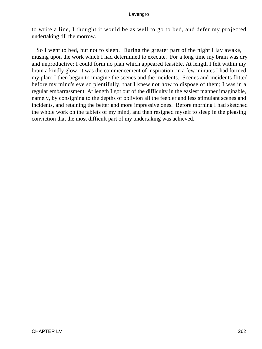to write a line, I thought it would be as well to go to bed, and defer my projected undertaking till the morrow.

 So I went to bed, but not to sleep. During the greater part of the night I lay awake, musing upon the work which I had determined to execute. For a long time my brain was dry and unproductive; I could form no plan which appeared feasible. At length I felt within my brain a kindly glow; it was the commencement of inspiration; in a few minutes I had formed my plan; I then began to imagine the scenes and the incidents. Scenes and incidents flitted before my mind's eye so plentifully, that I knew not how to dispose of them; I was in a regular embarrassment. At length I got out of the difficulty in the easiest manner imaginable, namely, by consigning to the depths of oblivion all the feebler and less stimulant scenes and incidents, and retaining the better and more impressive ones. Before morning I had sketched the whole work on the tablets of my mind, and then resigned myself to sleep in the pleasing conviction that the most difficult part of my undertaking was achieved.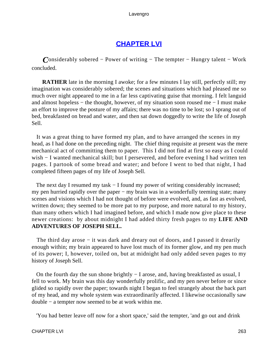# **[CHAPTER LVI](#page-496-0)**

*C*onsiderably sobered − Power of writing − The tempter − Hungry talent − Work concluded.

**RATHER** late in the morning I awoke; for a few minutes I lay still, perfectly still; my imagination was considerably sobered; the scenes and situations which had pleased me so much over night appeared to me in a far less captivating guise that morning. I felt languid and almost hopeless − the thought, however, of my situation soon roused me − I must make an effort to improve the posture of my affairs; there was no time to be lost; so I sprang out of bed, breakfasted on bread and water, and then sat down doggedly to write the life of Joseph Sell.

 It was a great thing to have formed my plan, and to have arranged the scenes in my head, as I had done on the preceding night. The chief thing requisite at present was the mere mechanical act of committing them to paper. This I did not find at first so easy as I could wish − I wanted mechanical skill; but I persevered, and before evening I had written ten pages. I partook of some bread and water; and before I went to bed that night, I had completed fifteen pages of my life of Joseph Sell.

The next day I resumed my task – I found my power of writing considerably increased; my pen hurried rapidly over the paper – my brain was in a wonderfully teeming state; many scenes and visions which I had not thought of before were evolved, and, as fast as evolved, written down; they seemed to be more pat to my purpose, and more natural to my history, than many others which I had imagined before, and which I made now give place to these newer creations: by about midnight I had added thirty fresh pages to my **LIFE AND ADVENTURES OF JOSEPH SELL.**

The third day arose – it was dark and dreary out of doors, and I passed it drearily enough within; my brain appeared to have lost much of its former glow, and my pen much of its power; I, however, toiled on, but at midnight had only added seven pages to my history of Joseph Sell.

 On the fourth day the sun shone brightly − I arose, and, having breakfasted as usual, I fell to work. My brain was this day wonderfully prolific, and my pen never before or since glided so rapidly over the paper; towards night I began to feel strangely about the back part of my head, and my whole system was extraordinarily affected. I likewise occasionally saw double − a tempter now seemed to be at work within me.

'You had better leave off now for a short space,' said the tempter, 'and go out and drink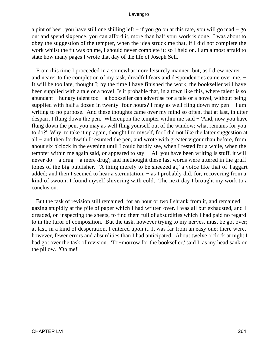a pint of beer; you have still one shilling left − if you go on at this rate, you will go mad − go out and spend sixpence, you can afford it, more than half your work is done.' I was about to obey the suggestion of the tempter, when the idea struck me that, if I did not complete the work whilst the fit was on me, I should never complete it; so I held on. I am almost afraid to state how many pages I wrote that day of the life of Joseph Sell.

 From this time I proceeded in a somewhat more leisurely manner; but, as I drew nearer and nearer to the completion of my task, dreadful fears and despondencies came over me. − It will be too late, thought I; by the time I have finished the work, the bookseller will have been supplied with a tale or a novel. Is it probable that, in a town like this, where talent is so abundant − hungry talent too − a bookseller can advertise for a tale or a novel, without being supplied with half a dozen in twenty−four hours? I may as well fling down my pen − I am writing to no purpose. And these thoughts came over my mind so often, that at last, in utter despair, I flung down the pen. Whereupon the tempter within me said − 'And, now you have flung down the pen, you may as well fling yourself out of the window; what remains for you to do?' Why, to take it up again, thought I to myself, for I did not like the latter suggestion at all − and then forthwith I resumed the pen, and wrote with greater vigour than before, from about six o'clock in the evening until I could hardly see, when I rested for a while, when the tempter within me again said, or appeared to say − 'All you have been writing is stuff, it will never do − a drug − a mere drug'; and methought these last words were uttered in the gruff tones of the big publisher. 'A thing merely to be sneezed at,' a voice like that of Taggart added; and then I seemed to hear a sternutation, − as I probably did, for, recovering from a kind of swoon, I found myself shivering with cold. The next day I brought my work to a conclusion.

 But the task of revision still remained; for an hour or two I shrank from it, and remained gazing stupidly at the pile of paper which I had written over. I was all but exhausted, and I dreaded, on inspecting the sheets, to find them full of absurdities which I had paid no regard to in the furor of composition. But the task, however trying to my nerves, must be got over; at last, in a kind of desperation, I entered upon it. It was far from an easy one; there were, however, fewer errors and absurdities than I had anticipated. About twelve o'clock at night I had got over the task of revision. 'To−morrow for the bookseller,' said I, as my head sank on the pillow. 'Oh me!'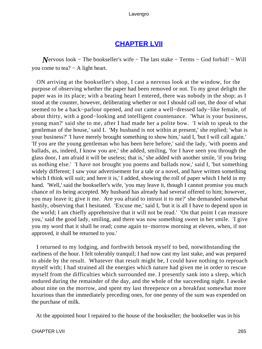# **[CHAPTER LVII](#page-496-0)**

*N*ervous look – The bookseller's wife – The last stake – Terms – God forbid! – Will you come to tea?  $-$  A light heart.

 ON arriving at the bookseller's shop, I cast a nervous look at the window, for the purpose of observing whether the paper had been removed or not. To my great delight the paper was in its place; with a beating heart I entered, there was nobody in the shop; as I stood at the counter, however, deliberating whether or not I should call out, the door of what seemed to be a back−parlour opened, and out came a well−dressed lady−like female, of about thirty, with a good−looking and intelligent countenance. 'What is your business, young man?' said she to me, after I had made her a polite bow. 'I wish to speak to the gentleman of the house,' said I. 'My husband is not within at present,' she replied; 'what is your business?' 'I have merely brought something to show him,' said I, 'but I will call again.' 'If you are the young gentleman who has been here before,' said the lady, 'with poems and ballads, as, indeed, I know you are,' she added, smiling, 'for I have seen you through the glass door, I am afraid it will be useless; that is,' she added with another smile, 'if you bring us nothing else.' 'I have not brought you poems and ballads now,' said I, 'but something widely different; I saw your advertisement for a tale or a novel, and have written something which I think will suit; and here it is,' I added, showing the roll of paper which I held in my hand. 'Well,' said the bookseller's wife, 'you may leave it, though I cannot promise you much chance of its being accepted. My husband has already had several offered to him; however, you may leave it; give it me. Are you afraid to intrust it to me?' she demanded somewhat hastily, observing that I hesitated. 'Excuse me,' said I, 'but it is all I have to depend upon in the world; I am chiefly apprehensive that it will not be read.' 'On that point I can reassure you,' said the good lady, smiling, and there was now something sweet in her smile. 'I give you my word that it shall be read; come again to−morrow morning at eleven, when, if not approved, it shall be returned to you.'

 I returned to my lodging, and forthwith betook myself to bed, notwithstanding the earliness of the hour. I felt tolerably tranquil; I had now cast my last stake, and was prepared to abide by the result. Whatever that result might be, I could have nothing to reproach myself with; I had strained all the energies which nature had given me in order to rescue myself from the difficulties which surrounded me. I presently sank into a sleep, which endured during the remainder of the day, and the whole of the succeeding night. I awoke about nine on the morrow, and spent my last threepence on a breakfast somewhat more luxurious than the immediately preceding ones, for one penny of the sum was expended on the purchase of milk.

At the appointed hour I repaired to the house of the bookseller; the bookseller was in his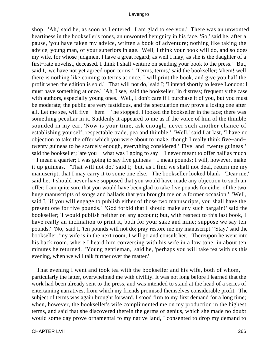shop. 'Ah,' said he, as soon as I entered, 'I am glad to see you.' There was an unwonted heartiness in the bookseller's tones, an unwonted benignity in his face. 'So,' said he, after a pause, 'you have taken my advice, written a book of adventure; nothing like taking the advice, young man, of your superiors in age. Well, I think your book will do, and so does my wife, for whose judgment I have a great regard; as well I may, as she is the daughter of a first−rate novelist, deceased. I think I shall venture on sending your book to the press.' 'But,' said I, 'we have not yet agreed upon terms.' 'Terms, terms,' said the bookseller; 'ahem! well, there is nothing like coming to terms at once. I will print the book, and give you half the profit when the edition is sold.' 'That will not do,' said I; 'I intend shortly to leave London: I must have something at once.' 'Ah, I see,' said the bookseller, 'in distress; frequently the case with authors, especially young ones. Well, I don't care if I purchase it of you, but you must be moderate; the public are very fastidious, and the speculation may prove a losing one after all. Let me see, will five − hem − ' he stopped. I looked the bookseller in the face; there was something peculiar in it. Suddenly it appeared to me as if the voice of him of the thimble sounded in my ear, 'Now is your time, ask enough, never such another chance of establishing yourself; respectable trade, pea and thimble.' 'Well,' said I at last, 'I have no objection to take the offer which you were about to make, though I really think five−and− twenty guineas to be scarcely enough, everything considered.' 'Five−and−twenty guineas!' said the bookseller; 'are you – what was I going to say – I never meant to offer half as much − I mean a quarter; I was going to say five guineas − I mean pounds; I will, however, make it up guineas.' 'That will not do,' said I; 'but, as I find we shall not deal, return me my manuscript, that I may carry it to some one else.' The bookseller looked blank. 'Dear me,' said he, 'I should never have supposed that you would have made any objection to such an offer; I am quite sure that you would have been glad to take five pounds for either of the two huge manuscripts of songs and ballads that you brought me on a former occasion.' 'Well,' said I, 'if you will engage to publish either of those two manuscripts, you shall have the present one for five pounds.' 'God forbid that I should make any such bargain!' said the bookseller; 'I would publish neither on any account; but, with respect to this last book, I have really an inclination to print it, both for your sake and mine; suppose we say ten pounds.' 'No,' said I, 'ten pounds will not do; pray restore me my manuscript.' 'Stay,' said the bookseller, 'my wife is in the next room, I will go and consult her.' Thereupon he went into his back room, where I heard him conversing with his wife in a low tone; in about ten minutes he returned. 'Young gentleman,' said he, 'perhaps you will take tea with us this evening, when we will talk further over the matter.'

 That evening I went and took tea with the bookseller and his wife, both of whom, particularly the latter, overwhelmed me with civility. It was not long before I learned that the work had been already sent to the press, and was intended to stand at the head of a series of entertaining narratives, from which my friends promised themselves considerable profit. The subject of terms was again brought forward. I stood firm to my first demand for a long time; when, however, the bookseller's wife complimented me on my production in the highest terms, and said that she discovered therein the germs of genius, which she made no doubt would some day prove ornamental to my native land, I consented to drop my demand to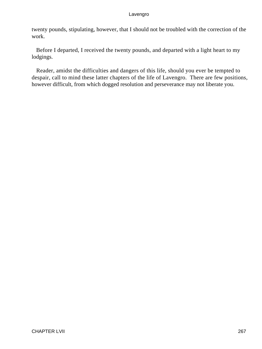twenty pounds, stipulating, however, that I should not be troubled with the correction of the work.

 Before I departed, I received the twenty pounds, and departed with a light heart to my lodgings.

 Reader, amidst the difficulties and dangers of this life, should you ever be tempted to despair, call to mind these latter chapters of the life of Lavengro. There are few positions, however difficult, from which dogged resolution and perseverance may not liberate you.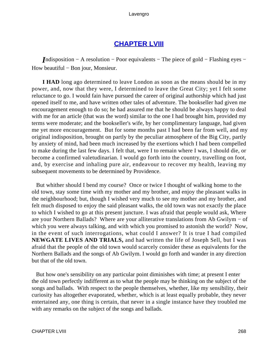# **[CHAPTER LVIII](#page-496-0)**

*I*ndisposition − A resolution − Poor equivalents − The piece of gold − Flashing eyes − How beautiful – Bon jour, Monsieur.

**I HAD** long ago determined to leave London as soon as the means should be in my power, and, now that they were, I determined to leave the Great City; yet I felt some reluctance to go. I would fain have pursued the career of original authorship which had just opened itself to me, and have written other tales of adventure. The bookseller had given me encouragement enough to do so; he had assured me that he should be always happy to deal with me for an article (that was the word) similar to the one I had brought him, provided my terms were moderate; and the bookseller's wife, by her complimentary language, had given me yet more encouragement. But for some months past I had been far from well, and my original indisposition, brought on partly by the peculiar atmosphere of the Big City, partly by anxiety of mind, had been much increased by the exertions which I had been compelled to make during the last few days. I felt that, were I to remain where I was, I should die, or become a confirmed valetudinarian. I would go forth into the country, travelling on foot, and, by exercise and inhaling pure air, endeavour to recover my health, leaving my subsequent movements to be determined by Providence.

 But whither should I bend my course? Once or twice I thought of walking home to the old town, stay some time with my mother and my brother, and enjoy the pleasant walks in the neighbourhood; but, though I wished very much to see my mother and my brother, and felt much disposed to enjoy the said pleasant walks, the old town was not exactly the place to which I wished to go at this present juncture. I was afraid that people would ask, Where are your Northern Ballads? Where are your alliterative translations from Ab Gwilym − of which you were always talking, and with which you promised to astonish the world? Now, in the event of such interrogations, what could I answer? It is true I had compiled **NEWGATE LIVES AND TRIALS,** and had written the life of Joseph Sell, but I was afraid that the people of the old town would scarcely consider these as equivalents for the Northern Ballads and the songs of Ab Gwilym. I would go forth and wander in any direction but that of the old town.

 But how one's sensibility on any particular point diminishes with time; at present I enter the old town perfectly indifferent as to what the people may be thinking on the subject of the songs and ballads. With respect to the people themselves, whether, like my sensibility, their curiosity has altogether evaporated, whether, which is at least equally probable, they never entertained any, one thing is certain, that never in a single instance have they troubled me with any remarks on the subject of the songs and ballads.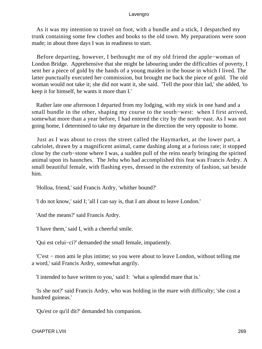As it was my intention to travel on foot, with a bundle and a stick, I despatched my trunk containing some few clothes and books to the old town. My preparations were soon made; in about three days I was in readiness to start.

 Before departing, however, I bethought me of my old friend the apple−woman of London Bridge. Apprehensive that she might be labouring under the difficulties of poverty, I sent her a piece of gold by the hands of a young maiden in the house in which I lived. The latter punctually executed her commission, but brought me back the piece of gold. The old woman would not take it; she did not want it, she said. 'Tell the poor thin lad,' she added, 'to keep it for himself, he wants it more than I.'

 Rather late one afternoon I departed from my lodging, with my stick in one hand and a small bundle in the other, shaping my course to the south−west: when I first arrived, somewhat more than a year before, I had entered the city by the north−east. As I was not going home, I determined to take my departure in the direction the very opposite to home.

 Just as I was about to cross the street called the Haymarket, at the lower part, a cabriolet, drawn by a magnificent animal, came dashing along at a furious rate; it stopped close by the curb−stone where I was, a sudden pull of the reins nearly bringing the spirited animal upon its haunches. The Jehu who had accomplished this feat was Francis Ardry. A small beautiful female, with flashing eyes, dressed in the extremity of fashion, sat beside him.

'Holloa, friend,' said Francis Ardry, 'whither bound?'

'I do not know,' said I; 'all I can say is, that I am about to leave London.'

'And the means?' said Francis Ardry.

'I have them,' said I, with a cheerful smile.

'Qui est celui−ci?' demanded the small female, impatiently.

 'C'est − mon ami le plus intime; so you were about to leave London, without telling me a word,' said Francis Ardry, somewhat angrily.

'I intended to have written to you,' said I: 'what a splendid mare that is.'

 'Is she not?' said Francis Ardry, who was holding in the mare with difficulty; 'she cost a hundred guineas.'

'Qu'est ce qu'il dit?' demanded his companion.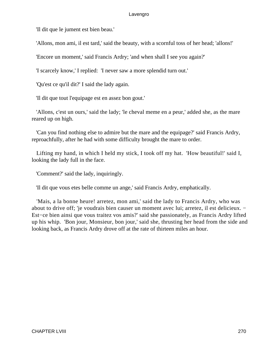'Il dit que le jument est bien beau.'

'Allons, mon ami, il est tard,' said the beauty, with a scornful toss of her head; 'allons!'

'Encore un moment,' said Francis Ardry; 'and when shall I see you again?'

'I scarcely know,' I replied: 'I never saw a more splendid turn out.'

'Qu'est ce qu'il dit?' I said the lady again.

'Il dit que tout l'equipage est en assez bon gout.'

 'Allons, c'est un ours,' said the lady; 'le cheval meme en a peur,' added she, as the mare reared up on high.

 'Can you find nothing else to admire but the mare and the equipage?' said Francis Ardry, reproachfully, after he had with some difficulty brought the mare to order.

 Lifting my hand, in which I held my stick, I took off my hat. 'How beautiful!' said I, looking the lady full in the face.

'Comment?' said the lady, inquiringly.

'Il dit que vous etes belle comme un ange,' said Francis Ardry, emphatically.

 'Mais, a la bonne heure! arretez, mon ami,' said the lady to Francis Ardry, who was about to drive off; 'je voudrais bien causer un moment avec lui; arretez, il est delicieux. − Est−ce bien ainsi que vous traitez vos amis?' said she passionately, as Francis Ardry lifted up his whip. 'Bon jour, Monsieur, bon jour,' said she, thrusting her head from the side and looking back, as Francis Ardry drove off at the rate of thirteen miles an hour.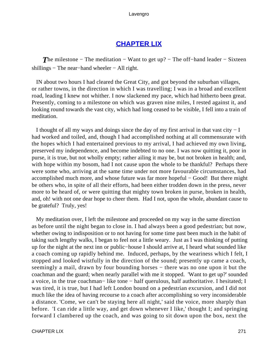# **[CHAPTER LIX](#page-496-0)**

**The milestone – The meditation – Want to get up? – The off–hand leader – Sixteen** shillings – The near–hand wheeler – All right.

 IN about two hours I had cleared the Great City, and got beyond the suburban villages, or rather towns, in the direction in which I was travelling; I was in a broad and excellent road, leading I knew not whither. I now slackened my pace, which had hitherto been great. Presently, coming to a milestone on which was graven nine miles, I rested against it, and looking round towards the vast city, which had long ceased to be visible, I fell into a train of meditation.

 I thought of all my ways and doings since the day of my first arrival in that vast city − I had worked and toiled, and, though I had accomplished nothing at all commensurate with the hopes which I had entertained previous to my arrival, I had achieved my own living, preserved my independence, and become indebted to no one. I was now quitting it, poor in purse, it is true, but not wholly empty; rather ailing it may be, but not broken in health; and, with hope within my bosom, had I not cause upon the whole to be thankful? Perhaps there were some who, arriving at the same time under not more favourable circumstances, had accomplished much more, and whose future was far more hopeful − Good! But there might be others who, in spite of all their efforts, had been either trodden down in the press, never more to be heard of, or were quitting that mighty town broken in purse, broken in health, and, oh! with not one dear hope to cheer them. Had I not, upon the whole, abundant cause to be grateful? Truly, yes!

 My meditation over, I left the milestone and proceeded on my way in the same direction as before until the night began to close in. I had always been a good pedestrian; but now, whether owing to indisposition or to not having for some time past been much in the habit of taking such lengthy walks, I began to feel not a little weary. Just as I was thinking of putting up for the night at the next inn or public−house I should arrive at, I heard what sounded like a coach coming up rapidly behind me. Induced, perhaps, by the weariness which I felt, I stopped and looked wistfully in the direction of the sound; presently up came a coach, seemingly a mail, drawn by four bounding horses – there was no one upon it but the coachman and the guard; when nearly parallel with me it stopped. 'Want to get up?' sounded a voice, in the true coachman− like tone − half querulous, half authoritative. I hesitated; I was tired, it is true, but I had left London bound on a pedestrian excursion, and I did not much like the idea of having recourse to a coach after accomplishing so very inconsiderable a distance. 'Come, we can't be staying here all night,' said the voice, more sharply than before. 'I can ride a little way, and get down whenever I like,' thought I; and springing forward I clambered up the coach, and was going to sit down upon the box, next the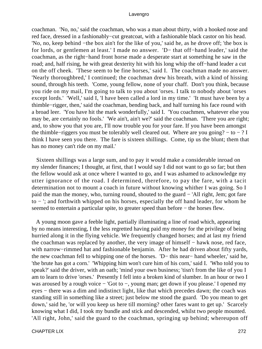coachman. 'No, no,' said the coachman, who was a man about thirty, with a hooked nose and red face, dressed in a fashionably−cut greatcoat, with a fashionable black castor on his head. 'No, no, keep behind −the box ain't for the like of you,' said he, as he drove off; 'the box is for lords, or gentlemen at least.' I made no answer. 'D− that off−hand leader,' said the coachman, as the right−hand front horse made a desperate start at something he saw in the road; and, half rising, he with great dexterity hit with his long whip the off−hand leader a cut on the off cheek. 'These seem to be fine horses,' said I. The coachman made no answer. 'Nearly thoroughbred,' I continued; the coachman drew his breath, with a kind of hissing sound, through his teeth. 'Come, young fellow, none of your chaff. Don't you think, because you ride on my mail, I'm going to talk to you about 'orses. I talk to nobody about 'orses except lords.' 'Well,' said I, 'I have been called a lord in my time.' 'It must have been by a thimble−rigger, then,' said the coachman, bending back, and half turning his face round with a broad leer. 'You have hit the mark wonderfully,' said I. 'You coachmen, whatever else you may be, are certainly no fools.' 'We ain't, ain't we?' said the coachman. 'There you are right; and, to show you that you are, I'll now trouble you for your fare. If you have been amongst the thimble–riggers you must be tolerably well cleared out. Where are you going?  $-$  to  $-$  ? I think I have seen you there. The fare is sixteen shillings. Come, tip us the blunt; them that has no money can't ride on my mail.'

 Sixteen shillings was a large sum, and to pay it would make a considerable inroad on my slender finances; I thought, at first, that I would say I did not want to go so far; but then the fellow would ask at once where I wanted to go, and I was ashamed to acknowledge my utter ignorance of the road. I determined, therefore, to pay the fare, with a tacit determination not to mount a coach in future without knowing whither I was going. So I paid the man the money, who, turning round, shouted to the guard − 'All right, Jem; got fare to − '; and forthwith whipped on his horses, especially the off hand leader, for whom he seemed to entertain a particular spite, to greater speed than before − the horses flew.

 A young moon gave a feeble light, partially illuminating a line of road which, appearing by no means interesting, I the less regretted having paid my money for the privilege of being hurried along it in the flying vehicle. We frequently changed horses; and at last my friend the coachman was replaced by another, the very image of himself − hawk nose, red face, with narrow−rimmed hat and fashionable benjamin. After he had driven about fifty yards, the new coachman fell to whipping one of the horses. 'D− this near− hand wheeler,' said he, 'the brute has got a corn.' 'Whipping him won't cure him of his corn,' said I. 'Who told you to speak?' said the driver, with an oath; 'mind your own business; 'tisn't from the like of you I am to learn to drive 'orses.' Presently I fell into a broken kind of slumber. In an hour or two I was aroused by a rough voice − 'Got to −, young man; get down if you please.' I opened my eyes – there was a dim and indistinct light, like that which precedes dawn; the coach was standing still in something like a street; just below me stood the guard. 'Do you mean to get down,' said he, 'or will you keep us here till morning? other fares want to get up.' Scarcely knowing what I did, I took my bundle and stick and descended, whilst two people mounted. 'All right, John,' said the guard to the coachman, springing up behind; whereupon off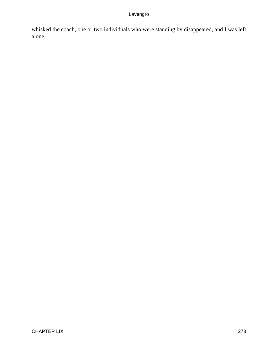whisked the coach, one or two individuals who were standing by disappeared, and I was left alone.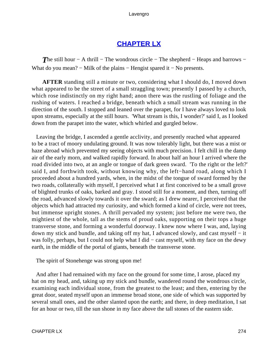# **[CHAPTER LX](#page-496-0)**

**The still hour − A thrill − The wondrous circle − The shepherd − Heaps and barrows −** What do you mean? – Milk of the plains – Hengist spared it – No presents.

**AFTER** standing still a minute or two, considering what I should do, I moved down what appeared to be the street of a small straggling town; presently I passed by a church, which rose indistinctly on my right hand; anon there was the rustling of foliage and the rushing of waters. I reached a bridge, beneath which a small stream was running in the direction of the south. I stopped and leaned over the parapet, for I have always loved to look upon streams, especially at the still hours. 'What stream is this, I wonder?' said I, as I looked down from the parapet into the water, which whirled and gurgled below.

 Leaving the bridge, I ascended a gentle acclivity, and presently reached what appeared to be a tract of moory undulating ground. It was now tolerably light, but there was a mist or haze abroad which prevented my seeing objects with much precision. I felt chill in the damp air of the early morn, and walked rapidly forward. In about half an hour I arrived where the road divided into two, at an angle or tongue of dark green sward. 'To the right or the left?' said I, and forthwith took, without knowing why, the left−hand road, along which I proceeded about a hundred yards, when, in the midst of the tongue of sward formed by the two roads, collaterally with myself, I perceived what I at first conceived to be a small grove of blighted trunks of oaks, barked and gray. I stood still for a moment, and then, turning off the road, advanced slowly towards it over the sward; as I drew nearer, I perceived that the objects which had attracted my curiosity, and which formed a kind of circle, were not trees, but immense upright stones. A thrill pervaded my system; just before me were two, the mightiest of the whole, tall as the stems of proud oaks, supporting on their tops a huge transverse stone, and forming a wonderful doorway. I knew now where I was, and, laying down my stick and bundle, and taking off my hat, I advanced slowly, and cast myself − it was folly, perhaps, but I could not help what I did – cast myself, with my face on the dewy earth, in the middle of the portal of giants, beneath the transverse stone.

The spirit of Stonehenge was strong upon me!

 And after I had remained with my face on the ground for some time, I arose, placed my hat on my head, and, taking up my stick and bundle, wandered round the wondrous circle, examining each individual stone, from the greatest to the least; and then, entering by the great door, seated myself upon an immense broad stone, one side of which was supported by several small ones, and the other slanted upon the earth; and there, in deep meditation, I sat for an hour or two, till the sun shone in my face above the tall stones of the eastern side.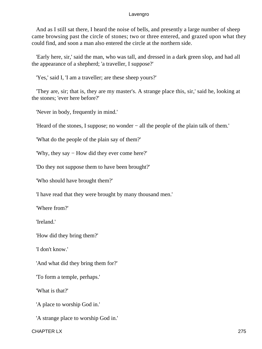And as I still sat there, I heard the noise of bells, and presently a large number of sheep came browsing past the circle of stones; two or three entered, and grazed upon what they could find, and soon a man also entered the circle at the northern side.

 'Early here, sir,' said the man, who was tall, and dressed in a dark green slop, and had all the appearance of a shepherd; 'a traveller, I suppose?'

'Yes,' said I, 'I am a traveller; are these sheep yours?'

 'They are, sir; that is, they are my master's. A strange place this, sir,' said he, looking at the stones; 'ever here before?'

'Never in body, frequently in mind.'

'Heard of the stones, I suppose; no wonder − all the people of the plain talk of them.'

'What do the people of the plain say of them?'

'Why, they say − How did they ever come here?'

'Do they not suppose them to have been brought?'

'Who should have brought them?'

'I have read that they were brought by many thousand men.'

'Where from?'

'Ireland.'

'How did they bring them?'

'I don't know.'

'And what did they bring them for?'

'To form a temple, perhaps.'

'What is that?'

'A place to worship God in.'

'A strange place to worship God in.'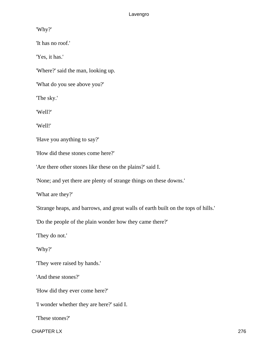'Why?'

'It has no roof.'

'Yes, it has.'

'Where?' said the man, looking up.

'What do you see above you?'

'The sky.'

'Well?'

'Well!'

'Have you anything to say?'

'How did these stones come here?'

'Are there other stones like these on the plains?' said I.

'None; and yet there are plenty of strange things on these downs.'

'What are they?'

'Strange heaps, and barrows, and great walls of earth built on the tops of hills.'

'Do the people of the plain wonder how they came there?'

'They do not.'

'Why?'

'They were raised by hands.'

'And these stones?'

'How did they ever come here?'

'I wonder whether they are here?' said I.

'These stones?'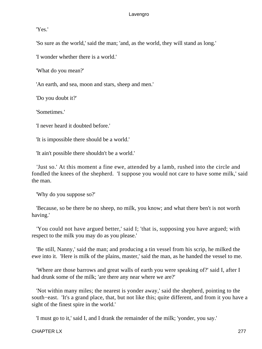'Yes.'

'So sure as the world,' said the man; 'and, as the world, they will stand as long.'

'I wonder whether there is a world.'

'What do you mean?'

'An earth, and sea, moon and stars, sheep and men.'

'Do you doubt it?'

'Sometimes.'

'I never heard it doubted before.'

'It is impossible there should be a world.'

'It ain't possible there shouldn't be a world.'

 'Just so.' At this moment a fine ewe, attended by a lamb, rushed into the circle and fondled the knees of the shepherd. 'I suppose you would not care to have some milk,' said the man.

'Why do you suppose so?'

 'Because, so be there be no sheep, no milk, you know; and what there ben't is not worth having.'

 'You could not have argued better,' said I; 'that is, supposing you have argued; with respect to the milk you may do as you please.'

 'Be still, Nanny,' said the man; and producing a tin vessel from his scrip, he milked the ewe into it. 'Here is milk of the plains, master,' said the man, as he handed the vessel to me.

 'Where are those barrows and great walls of earth you were speaking of?' said I, after I had drunk some of the milk; 'are there any near where we are?'

 'Not within many miles; the nearest is yonder away,' said the shepherd, pointing to the south−east. 'It's a grand place, that, but not like this; quite different, and from it you have a sight of the finest spire in the world.'

'I must go to it,' said I, and I drank the remainder of the milk; 'yonder, you say.'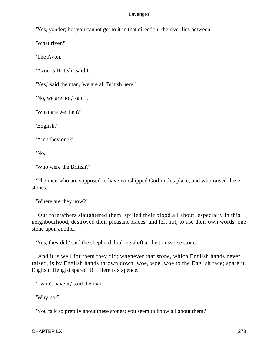'Yes, yonder; but you cannot get to it in that direction, the river lies between.'

'What river?'

'The Avon.'

'Avon is British,' said I.

'Yes,' said the man, 'we are all British here.'

'No, we are not,' said I.

'What are we then?'

'English.'

'Ain't they one?'

'No.'

'Who were the British?'

 'The men who are supposed to have worshipped God in this place, and who raised these stones.'

'Where are they now?'

 'Our forefathers slaughtered them, spilled their blood all about, especially in this neighbourhood, destroyed their pleasant places, and left not, to use their own words, one stone upon another.'

'Yes, they did,' said the shepherd, looking aloft at the transverse stone.

 'And it is well for them they did; whenever that stone, which English hands never raised, is by English hands thrown down, woe, woe, woe to the English race; spare it, English! Hengist spared it! − Here is sixpence.'

'I won't have it,' said the man.

'Why not?'

'You talk so prettily about these stones; you seem to know all about them.'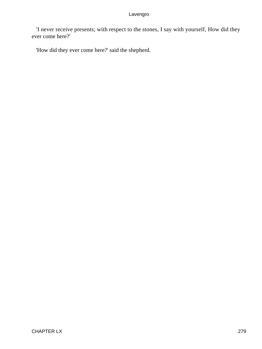'I never receive presents; with respect to the stones, I say with yourself, How did they ever come here?'

'How did they ever come here?' said the shepherd.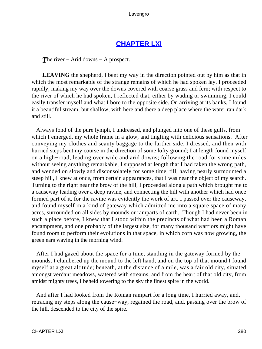# **[CHAPTER LXI](#page-496-0)**

*The river* − Arid downs − A prospect.

**LEAVING** the shepherd, I bent my way in the direction pointed out by him as that in which the most remarkable of the strange remains of which he had spoken lay. I proceeded rapidly, making my way over the downs covered with coarse grass and fern; with respect to the river of which he had spoken, I reflected that, either by wading or swimming, I could easily transfer myself and what I bore to the opposite side. On arriving at its banks, I found it a beautiful stream, but shallow, with here and there a deep place where the water ran dark and still.

 Always fond of the pure lymph, I undressed, and plunged into one of these gulfs, from which I emerged, my whole frame in a glow, and tingling with delicious sensations. After conveying my clothes and scanty baggage to the farther side, I dressed, and then with hurried steps bent my course in the direction of some lofty ground; I at length found myself on a high−road, leading over wide and arid downs; following the road for some miles without seeing anything remarkable, I supposed at length that I had taken the wrong path, and wended on slowly and disconsolately for some time, till, having nearly surmounted a steep hill, I knew at once, from certain appearances, that I was near the object of my search. Turning to the right near the brow of the hill, I proceeded along a path which brought me to a causeway leading over a deep ravine, and connecting the hill with another which had once formed part of it, for the ravine was evidently the work of art. I passed over the causeway, and found myself in a kind of gateway which admitted me into a square space of many acres, surrounded on all sides by mounds or ramparts of earth. Though I had never been in such a place before, I knew that I stood within the precincts of what had been a Roman encampment, and one probably of the largest size, for many thousand warriors might have found room to perform their evolutions in that space, in which corn was now growing, the green ears waving in the morning wind.

 After I had gazed about the space for a time, standing in the gateway formed by the mounds, I clambered up the mound to the left hand, and on the top of that mound I found myself at a great altitude; beneath, at the distance of a mile, was a fair old city, situated amongst verdant meadows, watered with streams, and from the heart of that old city, from amidst mighty trees, I beheld towering to the sky the finest spire in the world.

 And after I had looked from the Roman rampart for a long time, I hurried away, and, retracing my steps along the cause−way, regained the road, and, passing over the brow of the hill, descended to the city of the spire.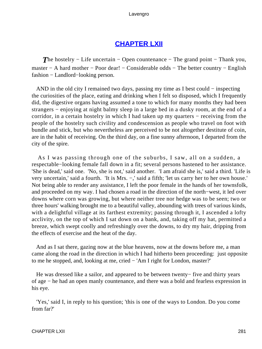# **[CHAPTER LXII](#page-496-0)**

*The hostelry – Life uncertain – Open countenance – The grand point – Thank you,* master − A hard mother − Poor dear! − Considerable odds − The better country − English fashion − Landlord−looking person.

AND in the old city I remained two days, passing my time as I best could – inspecting the curiosities of the place, eating and drinking when I felt so disposed, which I frequently did, the digestive organs having assumed a tone to which for many months they had been strangers − enjoying at night balmy sleep in a large bed in a dusky room, at the end of a corridor, in a certain hostelry in which I had taken up my quarters − receiving from the people of the hostelry such civility and condescension as people who travel on foot with bundle and stick, but who nevertheless are perceived to be not altogether destitute of coin, are in the habit of receiving. On the third day, on a fine sunny afternoon, I departed from the city of the spire.

 As I was passing through one of the suburbs, I saw, all on a sudden, a respectable−looking female fall down in a fit; several persons hastened to her assistance. 'She is dead,' said one. 'No, she is not,' said another. 'I am afraid she is,' said a third. 'Life is very uncertain,' said a fourth. 'It is Mrs. −,' said a fifth; 'let us carry her to her own house.' Not being able to render any assistance, I left the poor female in the hands of her townsfolk, and proceeded on my way. I had chosen a road in the direction of the north−west, it led over downs where corn was growing, but where neither tree nor hedge was to be seen; two or three hours' walking brought me to a beautiful valley, abounding with trees of various kinds, with a delightful village at its farthest extremity; passing through it, I ascended a lofty acclivity, on the top of which I sat down on a bank, and, taking off my hat, permitted a breeze, which swept coolly and refreshingly over the downs, to dry my hair, dripping from the effects of exercise and the heat of the day.

 And as I sat there, gazing now at the blue heavens, now at the downs before me, a man came along the road in the direction in which I had hitherto been proceeding: just opposite to me he stopped, and, looking at me, cried − 'Am I right for London, master?'

 He was dressed like a sailor, and appeared to be between twenty− five and thirty years of age − he had an open manly countenance, and there was a bold and fearless expression in his eye.

 'Yes,' said I, in reply to his question; 'this is one of the ways to London. Do you come from far?'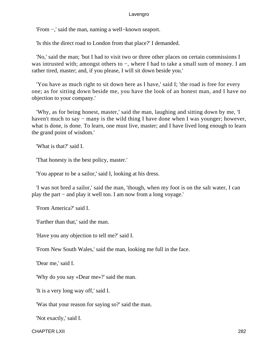'From −,' said the man, naming a well−known seaport.

'Is this the direct road to London from that place?' I demanded.

 'No,' said the man; 'but I had to visit two or three other places on certain commissions I was intrusted with; amongst others to −, where I had to take a small sum of money. I am rather tired, master; and, if you please, I will sit down beside you.'

 'You have as much right to sit down here as I have,' said I; 'the road is free for every one; as for sitting down beside me, you have the look of an honest man, and I have no objection to your company.'

 'Why, as for being honest, master,' said the man, laughing and sitting down by me, 'I haven't much to say – many is the wild thing I have done when I was younger; however, what is done, is done. To learn, one must live, master; and I have lived long enough to learn the grand point of wisdom.'

'What is that?' said I.

'That honesty is the best policy, master.'

'You appear to be a sailor,' said I, looking at his dress.

 'I was not bred a sailor,' said the man, 'though, when my foot is on the salt water, I can play the part − and play it well too. I am now from a long voyage.'

'From America?' said I.

'Farther than that,' said the man.

'Have you any objection to tell me?' said I.

'From New South Wales,' said the man, looking me full in the face.

'Dear me,' said I.

'Why do you say «Dear me»?' said the man.

'It is a very long way off,' said I.

'Was that your reason for saying so?' said the man.

'Not exactly,' said I.

CHAPTER LXII 282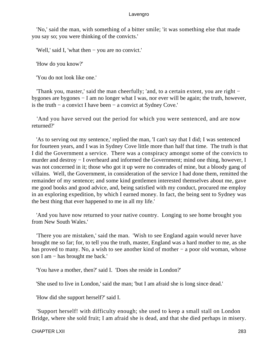'No,' said the man, with something of a bitter smile; 'it was something else that made you say so; you were thinking of the convicts.'

'Well,' said I, 'what then − you are no convict.'

'How do you know?'

'You do not look like one.'

 'Thank you, master,' said the man cheerfully; 'and, to a certain extent, you are right − bygones are bygones − I am no longer what I was, nor ever will be again; the truth, however, is the truth − a convict I have been − a convict at Sydney Cove.'

 'And you have served out the period for which you were sentenced, and are now returned?'

 'As to serving out my sentence,' replied the man, 'I can't say that I did; I was sentenced for fourteen years, and I was in Sydney Cove little more than half that time. The truth is that I did the Government a service. There was a conspiracy amongst some of the convicts to murder and destroy − I overheard and informed the Government; mind one thing, however, I was not concerned in it; those who got it up were no comrades of mine, but a bloody gang of villains. Well, the Government, in consideration of the service I had done them, remitted the remainder of my sentence; and some kind gentlemen interested themselves about me, gave me good books and good advice, and, being satisfied with my conduct, procured me employ in an exploring expedition, by which I earned money. In fact, the being sent to Sydney was the best thing that ever happened to me in all my life.'

 'And you have now returned to your native country. Longing to see home brought you from New South Wales.'

 'There you are mistaken,' said the man. 'Wish to see England again would never have brought me so far; for, to tell you the truth, master, England was a hard mother to me, as she has proved to many. No, a wish to see another kind of mother – a poor old woman, whose son I am − has brought me back.'

'You have a mother, then?' said I. 'Does she reside in London?'

'She used to live in London,' said the man; 'but I am afraid she is long since dead.'

'How did she support herself?' said I.

 'Support herself! with difficulty enough; she used to keep a small stall on London Bridge, where she sold fruit; I am afraid she is dead, and that she died perhaps in misery.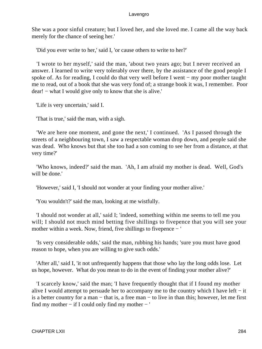She was a poor sinful creature; but I loved her, and she loved me. I came all the way back merely for the chance of seeing her.'

'Did you ever write to her,' said I, 'or cause others to write to her?'

 'I wrote to her myself,' said the man, 'about two years ago; but I never received an answer. I learned to write very tolerably over there, by the assistance of the good people I spoke of. As for reading, I could do that very well before I went – my poor mother taught me to read, out of a book that she was very fond of; a strange book it was, I remember. Poor dear! − what I would give only to know that she is alive.'

'Life is very uncertain,' said I.

'That is true,' said the man, with a sigh.

 'We are here one moment, and gone the next,' I continued. 'As I passed through the streets of a neighbouring town, I saw a respectable woman drop down, and people said she was dead. Who knows but that she too had a son coming to see her from a distance, at that very time?'

 'Who knows, indeed?' said the man. 'Ah, I am afraid my mother is dead. Well, God's will be done.'

'However,' said I, 'I should not wonder at your finding your mother alive.'

'You wouldn't?' said the man, looking at me wistfully.

 'I should not wonder at all,' said I; 'indeed, something within me seems to tell me you will; I should not much mind betting five shillings to five pence that you will see your mother within a week. Now, friend, five shillings to fivepence − '

 'Is very considerable odds,' said the man, rubbing his hands; 'sure you must have good reason to hope, when you are willing to give such odds.'

 'After all,' said I, 'it not unfrequently happens that those who lay the long odds lose. Let us hope, however. What do you mean to do in the event of finding your mother alive?'

 'I scarcely know,' said the man; 'I have frequently thought that if I found my mother alive I would attempt to persuade her to accompany me to the country which I have left − it is a better country for a man − that is, a free man − to live in than this; however, let me first find my mother − if I could only find my mother − '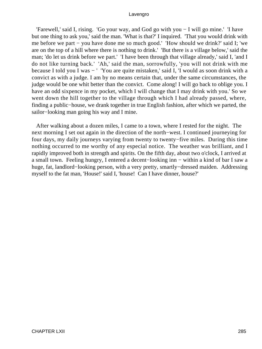'Farewell,' said I, rising. 'Go your way, and God go with you − I will go mine.' 'I have but one thing to ask you,' said the man. 'What is that?' I inquired. 'That you would drink with me before we part − you have done me so much good.' 'How should we drink?' said I; 'we are on the top of a hill where there is nothing to drink.' 'But there is a village below,' said the man; 'do let us drink before we part.' 'I have been through that village already,' said I, 'and I do not like turning back.' 'Ah,' said the man, sorrowfully, 'you will not drink with me because I told you I was − ' 'You are quite mistaken,' said I, 'I would as soon drink with a convict as with a judge. I am by no means certain that, under the same circumstances, the judge would be one whit better than the convict. Come along! I will go back to oblige you. I have an odd sixpence in my pocket, which I will change that I may drink with you.' So we went down the hill together to the village through which I had already passed, where, finding a public−house, we drank together in true English fashion, after which we parted, the sailor−looking man going his way and I mine.

 After walking about a dozen miles, I came to a town, where I rested for the night. The next morning I set out again in the direction of the north−west. I continued journeying for four days, my daily journeys varying from twenty to twenty−five miles. During this time nothing occurred to me worthy of any especial notice. The weather was brilliant, and I rapidly improved both in strength and spirits. On the fifth day, about two o'clock, I arrived at a small town. Feeling hungry, I entered a decent−looking inn − within a kind of bar I saw a huge, fat, landlord−looking person, with a very pretty, smartly−dressed maiden. Addressing myself to the fat man, 'House!' said I, 'house! Can I have dinner, house?'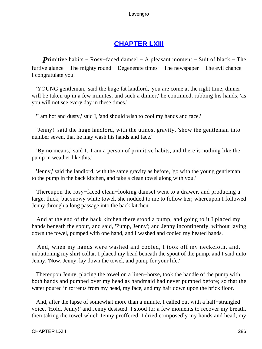# **[CHAPTER LXIII](#page-496-0)**

*P*rimitive habits – Rosy–faced damsel – A pleasant moment – Suit of black – The furtive glance − The mighty round − Degenerate times − The newspaper − The evil chance − I congratulate you.

 'YOUNG gentleman,' said the huge fat landlord, 'you are come at the right time; dinner will be taken up in a few minutes, and such a dinner, he continued, rubbing his hands, 'as you will not see every day in these times.'

'I am hot and dusty,' said I, 'and should wish to cool my hands and face.'

 'Jenny!' said the huge landlord, with the utmost gravity, 'show the gentleman into number seven, that he may wash his hands and face.'

 'By no means,' said I, 'I am a person of primitive habits, and there is nothing like the pump in weather like this.'

 'Jenny,' said the landlord, with the same gravity as before, 'go with the young gentleman to the pump in the back kitchen, and take a clean towel along with you.'

 Thereupon the rosy−faced clean−looking damsel went to a drawer, and producing a large, thick, but snowy white towel, she nodded to me to follow her; whereupon I followed Jenny through a long passage into the back kitchen.

 And at the end of the back kitchen there stood a pump; and going to it I placed my hands beneath the spout, and said, 'Pump, Jenny'; and Jenny incontinently, without laying down the towel, pumped with one hand, and I washed and cooled my heated hands.

 And, when my hands were washed and cooled, I took off my neckcloth, and, unbuttoning my shirt collar, I placed my head beneath the spout of the pump, and I said unto Jenny, 'Now, Jenny, lay down the towel, and pump for your life.'

 Thereupon Jenny, placing the towel on a linen−horse, took the handle of the pump with both hands and pumped over my head as handmaid had never pumped before; so that the water poured in torrents from my head, my face, and my hair down upon the brick floor.

 And, after the lapse of somewhat more than a minute, I called out with a half−strangled voice, 'Hold, Jenny!' and Jenny desisted. I stood for a few moments to recover my breath, then taking the towel which Jenny proffered, I dried composedly my hands and head, my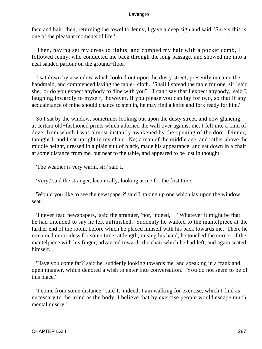face and hair; then, returning the towel to Jenny, I gave a deep sigh and said, 'Surely this is one of the pleasant moments of life.'

 Then, having set my dress to rights, and combed my hair with a pocket comb, I followed Jenny, who conducted me back through the long passage, and showed me into a neat sanded parlour on the ground−floor.

 I sat down by a window which looked out upon the dusty street; presently in came the handmaid, and commenced laying the table− cloth. 'Shall I spread the table for one, sir,' said she, 'or do you expect anybody to dine with you?' 'I can't say that I expect anybody,' said I, laughing inwardly to myself; 'however, if you please you can lay for two, so that if any acquaintance of mine should chance to step in, he may find a knife and fork ready for him.'

 So I sat by the window, sometimes looking out upon the dusty street, and now glancing at certain old−fashioned prints which adorned the wall over against me. I fell into a kind of doze, from which I was almost instantly awakened by the opening of the door. Dinner, thought I; and I sat upright in my chair. No; a man of the middle age, and rather above the middle height, dressed in a plain suit of black, made his appearance, and sat down in a chair at some distance from me, but near to the table, and appeared to be lost in thought.

'The weather is very warm, sir,' said I.

'Very,' said the stranger, laconically, looking at me for the first time.

 'Would you like to see the newspaper?' said I, taking up one which lay upon the window seat.

 'I never read newspapers,' said the stranger, 'nor, indeed, − ' Whatever it might be that he had intended to say he left unfinished. Suddenly he walked to the mantelpiece at the farther end of the room, before which he placed himself with his back towards me. There he remained motionless for some time; at length, raising his hand, he touched the corner of the mantelpiece with his finger, advanced towards the chair which he had left, and again seated himself.

 'Have you come far?' said he, suddenly looking towards me, and speaking in a frank and open manner, which denoted a wish to enter into conversation. 'You do not seem to be of this place.'

 'I come from some distance,' said I; 'indeed, I am walking for exercise, which I find as necessary to the mind as the body. I believe that by exercise people would escape much mental misery.'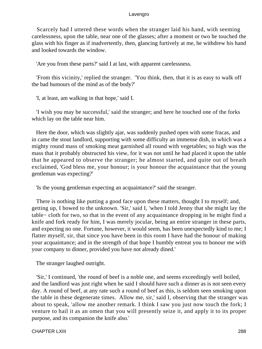Scarcely had I uttered these words when the stranger laid his hand, with seeming carelessness, upon the table, near one of the glasses; after a moment or two he touched the glass with his finger as if inadvertently, then, glancing furtively at me, he withdrew his hand and looked towards the window.

'Are you from these parts?' said I at last, with apparent carelessness.

 'From this vicinity,' replied the stranger. 'You think, then, that it is as easy to walk off the bad humours of the mind as of the body?'

'I, at least, am walking in that hope,' said I.

 'I wish you may be successful,' said the stranger; and here he touched one of the forks which lay on the table near him.

 Here the door, which was slightly ajar, was suddenly pushed open with some fracas, and in came the stout landlord, supporting with some difficulty an immense dish, in which was a mighty round mass of smoking meat garnished all round with vegetables; so high was the mass that it probably obstructed his view, for it was not until he had placed it upon the table that he appeared to observe the stranger; he almost started, and quite out of breath exclaimed, 'God bless me, your honour; is your honour the acquaintance that the young gentleman was expecting?'

'Is the young gentleman expecting an acquaintance?' said the stranger.

 There is nothing like putting a good face upon these matters, thought I to myself; and, getting up, I bowed to the unknown. 'Sir,' said I, 'when I told Jenny that she might lay the table− cloth for two, so that in the event of any acquaintance dropping in he might find a knife and fork ready for him, I was merely jocular, being an entire stranger in these parts, and expecting no one. Fortune, however, it would seem, has been unexpectedly kind to me; I flatter myself, sir, that since you have been in this room I have had the honour of making your acquaintance; and in the strength of that hope I humbly entreat you to honour me with your company to dinner, provided you have not already dined.'

The stranger laughed outright.

 'Sir,' I continued, 'the round of beef is a noble one, and seems exceedingly well boiled, and the landlord was just right when he said I should have such a dinner as is not seen every day. A round of beef, at any rate such a round of beef as this, is seldom seen smoking upon the table in these degenerate times. Allow me, sir,' said I, observing that the stranger was about to speak, 'allow me another remark. I think I saw you just now touch the fork; I venture to hail it as an omen that you will presently seize it, and apply it to its proper purpose, and its companion the knife also.'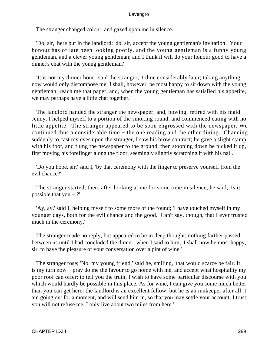The stranger changed colour, and gazed upon me in silence.

 'Do, sir,' here put in the landlord; 'do, sir, accept the young gentleman's invitation. Your honour has of late been looking poorly, and the young gentleman is a funny young gentleman, and a clever young gentleman; and I think it will do your honour good to have a dinner's chat with the young gentleman.'

 'It is not my dinner hour,' said the stranger; 'I dine considerably later; taking anything now would only discompose me; I shall, however, be most happy to sit down with the young gentleman; reach me that paper, and, when the young gentleman has satisfied his appetite, we may perhaps have a little chat together.'

 The landlord handed the stranger the newspaper, and, bowing, retired with his maid Jenny. I helped myself to a portion of the smoking round, and commenced eating with no little appetite. The stranger appeared to be soon engrossed with the newspaper. We continued thus a considerable time − the one reading and the other dining. Chancing suddenly to cast my eyes upon the stranger, I saw his brow contract; he gave a slight stamp with his foot, and flung the newspaper to the ground, then stooping down he picked it up, first moving his forefinger along the floor, seemingly slightly scratching it with his nail.

 'Do you hope, sir,' said I, 'by that ceremony with the finger to preserve yourself from the evil chance?'

 The stranger started; then, after looking at me for some time in silence, he said, 'Is it possible that you  $-$  ?'

 'Ay, ay,' said I, helping myself to some more of the round; 'I have touched myself in my younger days, both for the evil chance and the good. Can't say, though, that I ever trusted much in the ceremony.'

 The stranger made no reply, but appeared to be in deep thought; nothing farther passed between us until I had concluded the dinner, when I said to him, 'I shall now be most happy, sir, to have the pleasure of your conversation over a pint of wine.'

 The stranger rose; 'No, my young friend,' said he, smiling, 'that would scarce be fair. It is my turn now − pray do me the favour to go home with me, and accept what hospitality my poor roof can offer; to tell you the truth, I wish to have some particular discourse with you which would hardly be possible in this place. As for wine, I can give you some much better than you can get here: the landlord is an excellent fellow, but he is an innkeeper after all. I am going out for a moment, and will send him in, so that you may settle your account; I trust you will not refuse me, I only live about two miles from here.'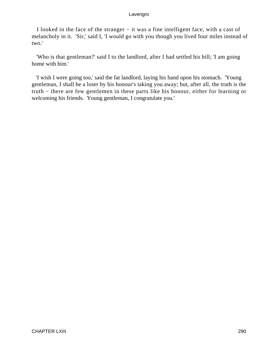I looked in the face of the stranger − it was a fine intelligent face, with a cast of melancholy in it. 'Sir,' said I, 'I would go with you though you lived four miles instead of two.'

 'Who is that gentleman?' said I to the landlord, after I had settled his bill; 'I am going home with him.'

 'I wish I were going too,' said the fat landlord, laying his hand upon his stomach. 'Young gentleman, I shall be a loser by his honour's taking you away; but, after all, the truth is the truth − there are few gentlemen in these parts like his honour, either for learning or welcoming his friends. Young gentleman, I congratulate you.'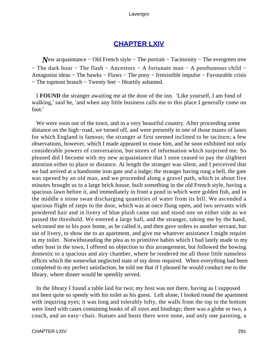# **[CHAPTER LXIV](#page-497-0)**

*N*ew acquaintance – Old French style – The portrait – Taciturnity – The evergreen tree − The dark hour − The flash − Ancestors − A fortunate man − A posthumous child − Antagonist ideas − The hawks − Flaws − The pony − Irresistible impulse − Favourable crisis − The topmost branch − Twenty feet − Heartily ashamed.

 I **FOUND** the stranger awaiting me at the door of the inn. 'Like yourself, I am fond of walking,' said he, 'and when any little business calls me to this place I generally come on foot.'

 We were soon out of the town, and in a very beautiful country. After proceeding some distance on the high−road, we turned off, and were presently in one of those mazes of lanes for which England is famous; the stranger at first seemed inclined to be taciturn; a few observations, however, which I made appeared to rouse him, and he soon exhibited not only considerable powers of conversation, but stores of information which surprised me. So pleased did I become with my new acquaintance that I soon ceased to pay the slightest attention either to place or distance. At length the stranger was silent, and I perceived that we had arrived at a handsome iron gate and a lodge; the stranger having rung a bell, the gate was opened by an old man, and we proceeded along a gravel path, which in about five minutes brought us to a large brick house, built something in the old French style, having a spacious lawn before it, and immediately in front a pond in which were golden fish, and in the middle a stone swan discharging quantities of water from its bill. We ascended a spacious flight of steps to the door, which was at once flung open, and two servants with powdered hair and in livery of blue plush came out and stood one on either side as we passed the threshold. We entered a large hall, and the stranger, taking me by the hand, welcomed me to his poor home, as he called it, and then gave orders to another servant, but out of livery, to show me to an apartment, and give me whatever assistance I might require in my toilet. Notwithstanding the plea as to primitive habits which I had lately made to my other host in the town, I offered no objection to this arrangement, but followed the bowing domestic to a spacious and airy chamber, where he rendered me all those little nameless offices which the somewhat neglected state of my dress required. When everything had been completed to my perfect satisfaction, he told me that if I pleased he would conduct me to the library, where dinner would be speedily served.

 In the library I found a table laid for two; my host was not there, having as I supposed not been quite so speedy with his toilet as his guest. Left alone, I looked round the apartment with inquiring eyes; it was long and tolerably lofty, the walls from the top to the bottom were lined with cases containing books of all sizes and bindings; there was a globe or two, a couch, and an easy−chair. Statues and busts there were none, and only one painting, a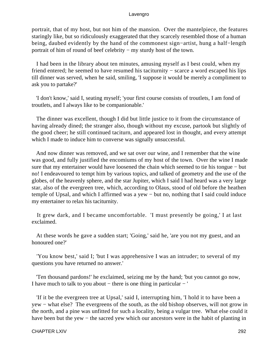portrait, that of my host, but not him of the mansion. Over the mantelpiece, the features staringly like, but so ridiculously exaggerated that they scarcely resembled those of a human being, daubed evidently by the hand of the commonest sign−artist, hung a half−length portrait of him of round of beef celebrity − my sturdy host of the town.

 I had been in the library about ten minutes, amusing myself as I best could, when my friend entered; he seemed to have resumed his taciturnity − scarce a word escaped his lips till dinner was served, when he said, smiling, 'I suppose it would be merely a compliment to ask you to partake?'

 'I don't know,' said I, seating myself; 'your first course consists of troutlets, I am fond of troutlets, and I always like to be companionable.'

 The dinner was excellent, though I did but little justice to it from the circumstance of having already dined; the stranger also, though without my excuse, partook but slightly of the good cheer; he still continued taciturn, and appeared lost in thought, and every attempt which I made to induce him to converse was signally unsuccessful.

 And now dinner was removed, and we sat over our wine, and I remember that the wine was good, and fully justified the encomiums of my host of the town. Over the wine I made sure that my entertainer would have loosened the chain which seemed to tie his tongue − but no! I endeavoured to tempt him by various topics, and talked of geometry and the use of the globes, of the heavenly sphere, and the star Jupiter, which I said I had heard was a very large star, also of the evergreen tree, which, according to Olaus, stood of old before the heathen temple of Upsal, and which I affirmed was a yew − but no, nothing that I said could induce my entertainer to relax his taciturnity.

 It grew dark, and I became uncomfortable. 'I must presently be going,' I at last exclaimed.

 At these words he gave a sudden start; 'Going,' said he, 'are you not my guest, and an honoured one?'

 'You know best,' said I; 'but I was apprehensive I was an intruder; to several of my questions you have returned no answer.'

 'Ten thousand pardons!' he exclaimed, seizing me by the hand; 'but you cannot go now, I have much to talk to you about − there is one thing in particular − '

 'If it be the evergreen tree at Upsal,' said I, interrupting him, 'I hold it to have been a yew − what else? The evergreens of the south, as the old bishop observes, will not grow in the north, and a pine was unfitted for such a locality, being a vulgar tree. What else could it have been but the yew – the sacred yew which our ancestors were in the habit of planting in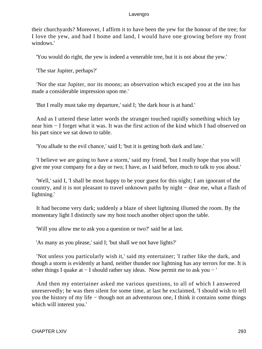their churchyards? Moreover, I affirm it to have been the yew for the honour of the tree; for I love the yew, and had I home and land, I would have one growing before my front windows.'

'You would do right, the yew is indeed a venerable tree, but it is not about the yew.'

'The star Jupiter, perhaps?'

 'Nor the star Jupiter, nor its moons; an observation which escaped you at the inn has made a considerable impression upon me.'

'But I really must take my departure,' said I; 'the dark hour is at hand.'

 And as I uttered these latter words the stranger touched rapidly something which lay near him − I forget what it was. It was the first action of the kind which I had observed on his part since we sat down to table.

'You allude to the evil chance,' said I; 'but it is getting both dark and late.'

 'I believe we are going to have a storm,' said my friend, 'but I really hope that you will give me your company for a day or two; I have, as I said before, much to talk to you about.'

 'Well,' said I, 'I shall be most happy to be your guest for this night; I am ignorant of the country, and it is not pleasant to travel unknown paths by night − dear me, what a flash of lightning.'

 It had become very dark; suddenly a blaze of sheet lightning illumed the room. By the momentary light I distinctly saw my host touch another object upon the table.

'Will you allow me to ask you a question or two?' said he at last.

'As many as you please,' said I; 'but shall we not have lights?'

 'Not unless you particularly wish it,' said my entertainer; 'I rather like the dark, and though a storm is evidently at hand, neither thunder nor lightning has any terrors for me. It is other things I quake at − I should rather say ideas. Now permit me to ask you − '

 And then my entertainer asked me various questions, to all of which I answered unreservedly; he was then silent for some time, at last he exclaimed, 'I should wish to tell you the history of my life − though not an adventurous one, I think it contains some things which will interest you.'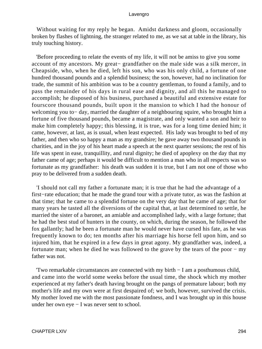Without waiting for my reply he began. Amidst darkness and gloom, occasionally broken by flashes of lightning, the stranger related to me, as we sat at table in the library, his truly touching history.

 'Before proceeding to relate the events of my life, it will not be amiss to give you some account of my ancestors. My great− grandfather on the male side was a silk mercer, in Cheapside, who, when he died, left his son, who was his only child, a fortune of one hundred thousand pounds and a splendid business; the son, however, had no inclination for trade, the summit of his ambition was to be a country gentleman, to found a family, and to pass the remainder of his days in rural ease and dignity, and all this he managed to accomplish; he disposed of his business, purchased a beautiful and extensive estate for fourscore thousand pounds, built upon it the mansion to which I had the honour of welcoming you to− day, married the daughter of a neighbouring squire, who brought him a fortune of five thousand pounds, became a magistrate, and only wanted a son and heir to make him completely happy; this blessing, it is true, was for a long time denied him; it came, however, at last, as is usual, when least expected. His lady was brought to bed of my father, and then who so happy a man as my grandsire; he gave away two thousand pounds in charities, and in the joy of his heart made a speech at the next quarter sessions; the rest of his life was spent in ease, tranquillity, and rural dignity; he died of apoplexy on the day that my father came of age; perhaps it would be difficult to mention a man who in all respects was so fortunate as my grandfather: his death was sudden it is true, but I am not one of those who pray to be delivered from a sudden death.

 'I should not call my father a fortunate man; it is true that he had the advantage of a first−rate education; that he made the grand tour with a private tutor, as was the fashion at that time; that he came to a splendid fortune on the very day that he came of age; that for many years he tasted all the diversions of the capital that, at last determined to settle, he married the sister of a baronet, an amiable and accomplished lady, with a large fortune; that he had the best stud of hunters in the county, on which, during the season, he followed the fox gallantly; had he been a fortunate man he would never have cursed his fate, as he was frequently known to do; ten months after his marriage his horse fell upon him, and so injured him, that he expired in a few days in great agony. My grandfather was, indeed, a fortunate man; when he died he was followed to the grave by the tears of the poor − my father was not.

 'Two remarkable circumstances are connected with my birth − I am a posthumous child, and came into the world some weeks before the usual time, the shock which my mother experienced at my father's death having brought on the pangs of premature labour; both my mother's life and my own were at first despaired of; we both, however, survived the crisis. My mother loved me with the most passionate fondness, and I was brought up in this house under her own eye − I was never sent to school.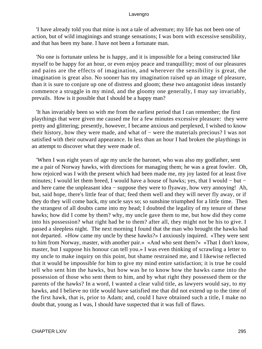'I have already told you that mine is not a tale of adventure; my life has not been one of action, but of wild imaginings and strange sensations; I was born with excessive sensibility, and that has been my bane. I have not been a fortunate man.

 'No one is fortunate unless he is happy, and it is impossible for a being constructed like myself to be happy for an hour, or even enjoy peace and tranquillity; most of our pleasures and pains are the effects of imagination, and wherever the sensibility is great, the imagination is great also. No sooner has my imagination raised up an image of pleasure, than it is sure to conjure up one of distress and gloom; these two antagonist ideas instantly commence a struggle in my mind, and the gloomy one generally, I may say invariably, prevails. How is it possible that I should be a happy man?

 'It has invariably been so with me from the earliest period that I can remember; the first playthings that were given me caused me for a few minutes excessive pleasure: they were pretty and glittering; presently, however, I became anxious and perplexed, I wished to know their history, how they were made, and what of − were the materials precious? I was not satisfied with their outward appearance. In less than an hour I had broken the playthings in an attempt to discover what they were made of.

 'When I was eight years of age my uncle the baronet, who was also my godfather, sent me a pair of Norway hawks, with directions for managing them; he was a great fowler. Oh, how rejoiced was I with the present which had been made me, my joy lasted for at least five minutes; I would let them breed, I would have a house of hawks; yes, that I would − but − and here came the unpleasant idea − suppose they were to flyaway, how very annoying! Ah, but, said hope, there's little fear of that; feed them well and they will never fly away, or if they do they will come back, my uncle says so; so sunshine triumphed for a little time. Then the strangest of all doubts came into my head; I doubted the legality of my tenure of these hawks; how did I come by them? why, my uncle gave them to me, but how did they come into his possession? what right had he to them? after all, they might not be his to give. I passed a sleepless night. The next morning I found that the man who brought the hawks had not departed. «How came my uncle by these hawks?» I anxiously inquired. «They were sent to him from Norway, master, with another pair.» «And who sent them?» «That I don't know, master, but I suppose his honour can tell you.» I was even thinking of scrawling a letter to my uncle to make inquiry on this point, but shame restrained me, and I likewise reflected that it would be impossible for him to give my mind entire satisfaction; it is true he could tell who sent him the hawks, but how was he to know how the hawks came into the possession of those who sent them to him, and by what right they possessed them or the parents of the hawks? In a word, I wanted a clear valid title, as lawyers would say, to my hawks, and I believe no title would have satisfied me that did not extend up to the time of the first hawk, that is, prior to Adam; and, could I have obtained such a title, I make no doubt that, young as I was, I should have suspected that it was full of flaws.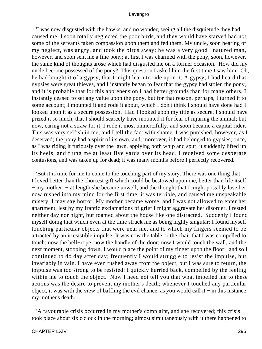'I was now disgusted with the hawks, and no wonder, seeing all the disquietude they had caused me; I soon totally neglected the poor birds, and they would have starved had not some of the servants taken compassion upon them and fed them. My uncle, soon hearing of my neglect, was angry, and took the birds away; he was a very good− natured man, however, and soon sent me a fine pony; at first I was charmed with the pony, soon, however, the same kind of thoughts arose which had disgusted me on a former occasion. How did my uncle become possessed of the pony? This question I asked him the first time I saw him. Oh, he had bought it of a gypsy, that I might learn to ride upon it. A gypsy; I had heard that gypsies were great thieves, and I instantly began to fear that the gypsy had stolen the pony, and it is probable that for this apprehension I had better grounds than for many others. I instantly ceased to set any value upon the pony, but for that reason, perhaps, I turned it to some account; I mounted it and rode it about, which I don't think I should have done had I looked upon it as a secure possession. Had I looked upon my title as secure, I should have prized it so much, that I should scarcely have mounted it for fear of injuring the animal; but now, caring not a straw for it, I rode it most unmercifully, and soon became a capital rider. This was very selfish in me, and I tell the fact with shame. I was punished, however, as I deserved; the pony had a spirit of its own, and, moreover, it had belonged to gypsies; once, as I was riding it furiously over the lawn, applying both whip and spur, it suddenly lifted up its heels, and flung me at least five yards over its head. I received some desperate contusions, and was taken up for dead; it was many months before I perfectly recovered.

 'But it is time for me to come to the touching part of my story. There was one thing that I loved better than the choicest gift which could be bestowed upon me, better than life itself − my mother; − at length she became unwell, and the thought that I might possibly lose her now rushed into my mind for the first time; it was terrible, and caused me unspeakable misery, I may say horror. My mother became worse, and I was not allowed to enter her apartment, lest by my frantic exclamations of grief I might aggravate her disorder. I rested neither day nor night, but roamed about the house like one distracted. Suddenly I found myself doing that which even at the time struck me as being highly singular; I found myself touching particular objects that were near me, and to which my fingers seemed to be attracted by an irresistible impulse. It was now the table or the chair that I was compelled to touch; now the bell−rope; now the handle of the door; now I would touch the wall, and the next moment, stooping down, I would place the point of my finger upon the floor: and so I continued to do day after day; frequently I would struggle to resist the impulse, but invariably in vain. I have even rushed away from the object, but I was sure to return, the impulse was too strong to be resisted: I quickly hurried back, compelled by the feeling within me to touch the object. Now I need not tell you that what impelled me to these actions was the desire to prevent my mother's death; whenever I touched any particular object, it was with the view of baffling the evil chance, as you would call it − in this instance my mother's death.

 'A favourable crisis occurred in my mother's complaint, and she recovered; this crisis took place about six o'clock in the morning; almost simultaneously with it there happened to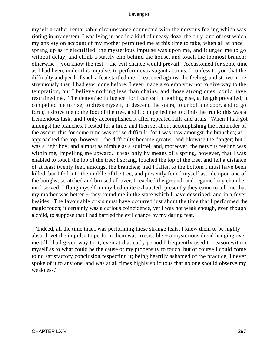myself a rather remarkable circumstance connected with the nervous feeling which was rioting in my system. I was lying in bed in a kind of uneasy doze, the only kind of rest which my anxiety on account of my mother permitted me at this time to take, when all at once I sprang up as if electrified; the mysterious impulse was upon me, and it urged me to go without delay, and climb a stately elm behind the house, and touch the topmost branch; otherwise − you know the rest − the evil chance would prevail. Accustomed for some time as I had been, under this impulse, to perform extravagant actions, I confess to you that the difficulty and peril of such a feat startled me; I reasoned against the feeling, and strove more strenuously than I had ever done before; I even made a solemn vow not to give way to the temptation, but I believe nothing less than chains, and those strong ones, could have restrained me. The demoniac influence, for I can call it nothing else, at length prevailed; it compelled me to rise, to dress myself, to descend the stairs, to unbolt the door, and to go forth; it drove me to the foot of the tree, and it compelled me to climb the trunk; this was a tremendous task, and I only accomplished it after repeated falls and trials. When I had got amongst the branches, I rested for a time, and then set about accomplishing the remainder of the ascent; this for some time was not so difficult, for I was now amongst the branches; as I approached the top, however, the difficulty became greater, and likewise the danger; but I was a light boy, and almost as nimble as a squirrel, and, moreover, the nervous feeling was within me, impelling me upward. It was only by means of a spring, however, that I was enabled to touch the top of the tree; I sprang, touched the top of the tree, and fell a distance of at least twenty feet, amongst the branches; had I fallen to the bottom I must have been killed, but I fell into the middle of the tree, and presently found myself astride upon one of the boughs; scratched and bruised all over, I reached the ground, and regained my chamber unobserved; I flung myself on my bed quite exhausted; presently they came to tell me that my mother was better – they found me in the state which I have described, and in a fever besides. The favourable crisis must have occurred just about the time that I performed the magic touch; it certainly was a curious coincidence, yet I was not weak enough, even though a child, to suppose that I had baffled the evil chance by my daring feat.

 'Indeed, all the time that I was performing these strange feats, I knew them to be highly absurd, yet the impulse to perform them was irresistible − a mysterious dread hanging over me till I had given way to it; even at that early period I frequently used to reason within myself as to what could be the cause of my propensity to touch, but of course I could come to no satisfactory conclusion respecting it; being heartily ashamed of the practice, I never spoke of it to any one, and was at all times highly solicitous that no one should observe my weakness.'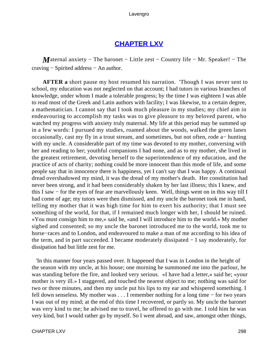## **[CHAPTER LXV](#page-497-0)**

*M*aternal anxiety – The baronet – Little zest – Country life – Mr. Speaker! – The craving − Spirited address − An author.

**AFTER a** short pause my host resumed his narration. 'Though I was never sent to school, my education was not neglected on that account; I had tutors in various branches of knowledge, under whom I made a tolerable progress; by the time I was eighteen I was able to read most of the Greek and Latin authors with facility; I was likewise, to a certain degree, a mathematician. I cannot say that I took much pleasure in my studies; my chief aim in endeavouring to accomplish my tasks was to give pleasure to my beloved parent, who watched my progress with anxiety truly maternal. My life at this period may be summed up in a few words: I pursued my studies, roamed about the woods, walked the green lanes occasionally, cast my fly in a trout stream, and sometimes, but not often, rode a− hunting with my uncle. A considerable part of my time was devoted to my mother, conversing with her and reading to her; youthful companions I had none, and as to my mother, she lived in the greatest retirement, devoting herself to the superintendence of my education, and the practice of acts of charity; nothing could be more innocent than this mode of life, and some people say that in innocence there is happiness, yet I can't say that I was happy. A continual dread overshadowed my mind, it was the dread of my mother's death. Her constitution had never been strong, and it had been considerably shaken by her last illness; this I knew, and this I saw − for the eyes of fear are marvellously keen. Well, things went on in this way till I had come of age; my tutors were then dismissed, and my uncle the baronet took me in hand, telling my mother that it was high time for him to exert his authority; that I must see something of the world, for that, if I remained much longer with her, I should be ruined. «You must consign him to me,» said he, «and I will introduce him to the world.» My mother sighed and consented; so my uncle the baronet introduced me to the world, took me to horse−races and to London, and endeavoured to make a man of me according to his idea of the term, and in part succeeded. I became moderately dissipated − I say moderately, for dissipation had but little zest for me.

 'In this manner four years passed over. It happened that I was in London in the height of the season with my uncle, at his house; one morning he summoned me into the parlour, he was standing before the fire, and looked very serious. «I have had a letter,» said he; «your mother is very ill.» I staggered, and touched the nearest object to me; nothing was said for two or three minutes, and then my uncle put his lips to my ear and whispered something. I fell down senseless. My mother was . . . I remember nothing for a long time − for two years I was out of my mind; at the end of this time I recovered, or partly so. My uncle the baronet was very kind to me; he advised me to travel, he offered to go with me. I told him he was very kind, but I would rather go by myself. So I went abroad, and saw, amongst other things,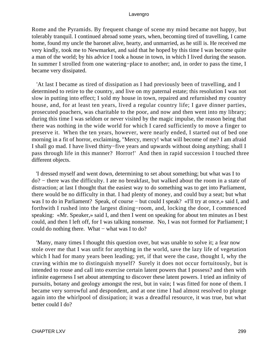Rome and the Pyramids. By frequent change of scene my mind became not happy, but tolerably tranquil. I continued abroad some years, when, becoming tired of travelling, I came home, found my uncle the baronet alive, hearty, and unmarried, as he still is. He received me very kindly, took me to Newmarket, and said that he hoped by this time I was become quite a man of the world; by his advice I took a house in town, in which I lived during the season. In summer I strolled from one watering−place to another; and, in order to pass the time, I became very dissipated.

 'At last I became as tired of dissipation as I had previously been of travelling, and I determined to retire to the country, and live on my paternal estate; this resolution I was not slow in putting into effect; I sold my house in town, repaired and refurnished my country house, and, for at least ten years, lived a regular country life; I gave dinner parties, prosecuted poachers, was charitable to the poor, and now and then went into my library; during this time I was seldom or never visited by the magic impulse, the reason being that there was nothing in the wide world for which I cared sufficiently to move a finger to preserve it. When the ten years, however, were nearly ended, I started out of bed one morning in a fit of horror, exclaiming, "Mercy, mercy! what will become of me? I am afraid I shall go mad. I have lived thirty−five years and upwards without doing anything; shall I pass through life in this manner? Horror!' And then in rapid succession I touched three different objects.

 'I dressed myself and went down, determining to set about something; but what was I to do? − there was the difficulty. I ate no breakfast, but walked about the room in a state of distraction; at last I thought that the easiest way to do something was to get into Parliament, there would be no difficulty in that. I had plenty of money, and could buy a seat; but what was I to do in Parliament? Speak, of course – but could I speak? «I'll try at once,» said I, and forthwith I rushed into the largest dining−room, and, locking the door, I commenced speaking: «Mr. Speaker,» said I, and then I went on speaking for about ten minutes as I best could, and then I left off, for I was talking nonsense. No, I was not formed for Parliament; I could do nothing there. What – what was I to do?

 'Many, many times I thought this question over, but was unable to solve it; a fear now stole over me that I was unfit for anything in the world, save the lazy life of vegetation which I had for many years been leading; yet, if that were the case, thought I, why the craving within me to distinguish myself? Surely it does not occur fortuitously, but is intended to rouse and call into exercise certain latent powers that I possess? and then with infinite eagerness I set about attempting to discover these latent powers. I tried an infinity of pursuits, botany and geology amongst the rest, but in vain; I was fitted for none of them. I became very sorrowful and despondent, and at one time I had almost resolved to plunge again into the whirlpool of dissipation; it was a dreadful resource, it was true, but what better could I do?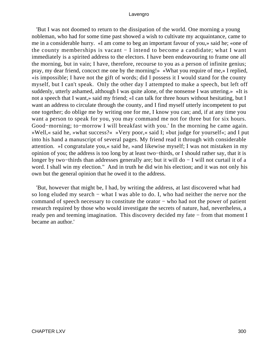'But I was not doomed to return to the dissipation of the world. One morning a young nobleman, who had for some time past showed a wish to cultivate my acquaintance, came to me in a considerable hurry. «I am come to beg an important favour of you,» said he; «one of the county memberships is vacant − I intend to become a candidate; what I want immediately is a spirited address to the electors. I have been endeavouring to frame one all the morning, but in vain; I have, therefore, recourse to you as a person of infinite genius; pray, my dear friend, concoct me one by the morning!» «What you require of me,» I replied, «is impossible; I have not the gift of words; did I possess it I would stand for the county myself, but I can't speak. Only the other day I attempted to make a speech, but left off suddenly, utterly ashamed, although I was quite alone, of the nonsense I was uttering.» «It is not a speech that I want,» said my friend; «I can talk for three hours without hesitating, but I want an address to circulate through the county, and I find myself utterly incompetent to put one together; do oblige me by writing one for me, I know you can; and, if at any time you want a person to speak for you, you may command me not for three but for six hours. Good−morning; to−morrow I will breakfast with you.' In the morning he came again. »Well,« said he, »what success?« »Very poor,« said I; »but judge for yourself«; and I put into his hand a manuscript of several pages. My friend read it through with considerable attention. »I congratulate you,« said he, »and likewise myself; I was not mistaken in my opinion of you; the address is too long by at least two−thirds, or I should rather say, that it is longer by two−thirds than addresses generally are; but it will do − I will not curtail it of a word. I shall win my election." And in truth he did win his election; and it was not only his own but the general opinion that he owed it to the address.

 'But, however that might be, I had, by writing the address, at last discovered what had so long eluded my search − what I was able to do. I, who had neither the nerve nor the command of speech necessary to constitute the orator − who had not the power of patient research required by those who would investigate the secrets of nature, had, nevertheless, a ready pen and teeming imagination. This discovery decided my fate − from that moment I became an author.'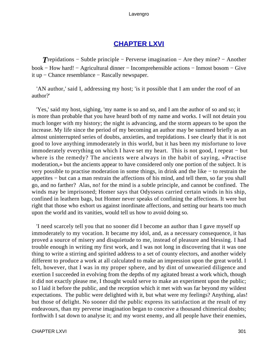# **[CHAPTER LXVI](#page-497-0)**

*T*repidations – Subtle principle – Perverse imagination – Are they mine? – Another book − How hard! − Agricultural dinner − Incomprehensible actions − Inmost bosom − Give it up − Chance resemblance − Rascally newspaper.

 'AN author,' said I, addressing my host; 'is it possible that I am under the roof of an author?'

 'Yes,' said my host, sighing, 'my name is so and so, and I am the author of so and so; it is more than probable that you have heard both of my name and works. I will not detain you much longer with my history; the night is advancing, and the storm appears to be upon the increase. My life since the period of my becoming an author may be summed briefly as an almost uninterrupted series of doubts, anxieties, and trepidations. I see clearly that it is not good to love anything immoderately in this world, but it has been my misfortune to love immoderately everything on which I have set my heart. This is not good, I repeat − but where is the remedy? The ancients were always in the habit of saying, «Practise moderation,» but the ancients appear to have considered only one portion of the subject. It is very possible to practise moderation in some things, in drink and the like − to restrain the appetites − but can a man restrain the affections of his mind, and tell them, so far you shall go, and no farther? Alas, no! for the mind is a subtle principle, and cannot be confined. The winds may be imprisoned; Homer says that Odysseus carried certain winds in his ship, confined in leathern bags, but Homer never speaks of confining the affections. It were but right that those who exhort us against inordinate affections, and setting our hearts too much upon the world and its vanities, would tell us how to avoid doing so.

 'I need scarcely tell you that no sooner did I become an author than I gave myself up immoderately to my vocation. It became my idol, and, as a necessary consequence, it has proved a source of misery and disquietude to me, instead of pleasure and blessing. I had trouble enough in writing my first work, and I was not long in discovering that it was one thing to write a stirring and spirited address to a set of county electors, and another widely different to produce a work at all calculated to make an impression upon the great world. I felt, however, that I was in my proper sphere, and by dint of unwearied diligence and exertion I succeeded in evolving from the depths of my agitated breast a work which, though it did not exactly please me, I thought would serve to make an experiment upon the public; so I laid it before the public, and the reception which it met with was far beyond my wildest expectations. The public were delighted with it, but what were my feelings? Anything, alas! but those of delight. No sooner did the public express its satisfaction at the result of my endeavours, than my perverse imagination began to conceive a thousand chimerical doubts; forthwith I sat down to analyse it; and my worst enemy, and all people have their enemies,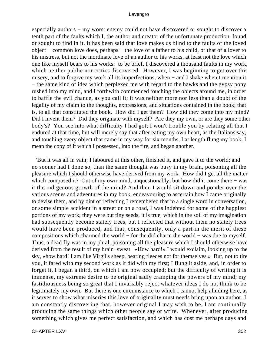especially authors – my worst enemy could not have discovered or sought to discover a tenth part of the faults which I, the author and creator of the unfortunate production, found or sought to find in it. It has been said that love makes us blind to the faults of the loved object − common love does, perhaps − the love of a father to his child, or that of a lover to his mistress, but not the inordinate love of an author to his works, at least not the love which one like myself bears to his works: to be brief, I discovered a thousand faults in my work, which neither public nor critics discovered. However, I was beginning to get over this misery, and to forgive my work all its imperfections, when − and I shake when I mention it − the same kind of idea which perplexed me with regard to the hawks and the gypsy pony rushed into my mind, and I forthwith commenced touching the objects around me, in order to baffle the evil chance, as you call it; it was neither more nor less than a doubt of the legality of my claim to the thoughts, expressions, and situations contained in the book; that is, to all that constituted the book. How did I get them? How did they come into my mind? Did I invent them? Did they originate with myself? Are they my own, or are they some other body's? You see into what difficulty I had got; I won't trouble you by relating all that I endured at that time, but will merely say that after eating my own heart, as the Italians say, and touching every object that came in my way for six months, I at length flung my book, I mean the copy of it which I possessed, into the fire, and began another.

 'But it was all in vain; I laboured at this other, finished it, and gave it to the world; and no sooner had I done so, than the same thought was busy in my brain, poisoning all the pleasure which I should otherwise have derived from my work. How did I get all the matter which composed it? Out of my own mind, unquestionably; but how did it come there − was it the indigenous growth of the mind? And then I would sit down and ponder over the various scenes and adventures in my book, endeavouring to ascertain how I came originally to devise them, and by dint of reflecting I remembered that to a single word in conversation, or some simple accident in a street or on a road, I was indebted for some of the happiest portions of my work; they were but tiny seeds, it is true, which in the soil of my imagination had subsequently become stately trees, but I reflected that without them no stately trees would have been produced, and that, consequently, only a part in the merit of these compositions which charmed the world − for the did charm the world − was due to myself. Thus, a dead fly was in my phial, poisoning all the pleasure which I should otherwise have derived from the result of my brain−sweat. «How hard!» I would exclaim, looking up to the sky, «how hard! I am like Virgil's sheep, bearing fleeces not for themselves.» But, not to tire you, it fared with my second work as it did with my first; I flung it aside, and, in order to forget it, I began a third, on which I am now occupied; but the difficulty of writing it is immense, my extreme desire to be original sadly cramping the powers of my mind; my fastidiousness being so great that I invariably reject whatever ideas I do not think to be legitimately my own. But there is one circumstance to which I cannot help alluding here, as it serves to show what miseries this love of originality must needs bring upon an author. I am constantly discovering that, however original I may wish to be, I am continually producing the same things which other people say or write. Whenever, after producing something which gives me perfect satisfaction, and which has cost me perhaps days and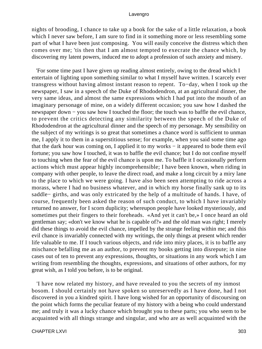nights of brooding, I chance to take up a book for the sake of a little relaxation, a book which I never saw before, I am sure to find in it something more or less resembling some part of what I have been just composing. You will easily conceive the distress which then comes over me; 'tis then that I am almost tempted to execrate the chance which, by discovering my latent powers, induced me to adopt a profession of such anxiety and misery.

 'For some time past I have given up reading almost entirely, owing to the dread which I entertain of lighting upon something similar to what I myself have written. I scarcely ever transgress without having almost instant reason to repent. To−day, when I took up the newspaper, I saw in a speech of the Duke of Rhododendron, at an agricultural dinner, the very same ideas, and almost the same expressions which I had put into the mouth of an imaginary personage of mine, on a widely different occasion; you saw how I dashed the newspaper down – you saw how I touched the floor; the touch was to baffle the evil chance, to prevent the critics detecting any similarity between the speech of the Duke of Rhododendron at the agricultural dinner and the speech of my personage. My sensibility on the subject of my writings is so great that sometimes a chance word is sufficient to unman me, I apply it to them in a superstitious sense; for example, when you said some time ago that the dark hour was coming on, I applied it to my works − it appeared to bode them evil fortune; you saw how I touched, it was to baffle the evil chance; but I do not confine myself to touching when the fear of the evil chance is upon me. To baffle it I occasionally perform actions which must appear highly incomprehensible; I have been known, when riding in company with other people, to leave the direct road, and make a long circuit by a miry lane to the place to which we were going. I have also been seen attempting to ride across a morass, where I had no business whatever, and in which my horse finally sank up to its saddle− girths, and was only extricated by the help of a multitude of hands. I have, of course, frequently been asked the reason of such conduct, to which I have invariably returned no answer, for I scorn duplicity; whereupon people have looked mysteriously, and sometimes put their fingers to their foreheads. «And yet it can't be,» I once heard an old gentleman say; «don't we know what he is capable of?» and the old man was right; I merely did these things to avoid the evil chance, impelled by the strange feeling within me; and this evil chance is invariably connected with my writings, the only things at present which render life valuable to me. If I touch various objects, and ride into miry places, it is to baffle any mischance befalling me as an author, to prevent my books getting into disrepute; in nine cases out of ten to prevent any expressions, thoughts, or situations in any work which I am writing from resembling the thoughts, expressions, and situations of other authors, for my great wish, as I told you before, is to be original.

 'I have now related my history, and have revealed to you the secrets of my inmost bosom. I should certainly not have spoken so unreservedly as I have done, had I not discovered in you a kindred spirit. I have long wished for an opportunity of discoursing on the point which forms the peculiar feature of my history with a being who could understand me; and truly it was a lucky chance which brought you to these parts; you who seem to be acquainted with all things strange and singular, and who are as well acquainted with the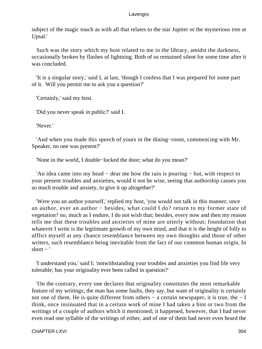subject of the magic touch as with all that relates to the star Jupiter or the mysterious tree at Upsal.'

 Such was the story which my host related to me in the library, amidst the darkness, occasionally broken by flashes of lightning. Both of us remained silent for some time after it was concluded.

 'It is a singular story,' said I, at last, 'though I confess that I was prepared for some part of it. Will you permit me to ask you a question?'

'Certainly,' said my host.

'Did you never speak in public?' said I.

'Never.'

 'And when you made this speech of yours in the dining−room, commencing with Mr. Speaker, no one was present?'

'None in the world, I double−locked the door; what do you mean?'

 'An idea came into my head − dear me how the rain is pouring − but, with respect to your present troubles and anxieties, would it not be wise, seeing that authorship causes you so much trouble and anxiety, to give it up altogether?'

 'Were you an author yourself,' replied my host, 'you would not talk in this manner; once an author, ever an author − besides, what could I do? return to my former state of vegetation? no, much as I endure, I do not wish that; besides, every now and then my reason tells me that these troubles and anxieties of mine are utterly without; foundation that whatever I write is the legitimate growth of my own mind, and that it is the height of folly to afflict myself at any chance resemblance between my own thoughts and those of other writers, such resemblance being inevitable from the fact of our common human origin. In short  $-$ '

 'I understand you,' said I; 'notwithstanding your troubles and anxieties you find life very tolerable; has your originality ever been called in question?'

 'On the contrary, every one declares that originality constitutes the most remarkable feature of my writings; the man has some faults, they say, but want of originality is certainly not one of them. He is quite different from others − a certain newspaper, it is true, the − I think, once insinuated that in a certain work of mine I had taken a hint or two from the writings of a couple of authors which it mentioned; it happened, however, that I had never even read one syllable of the writings of either, and of one of them had never even heard the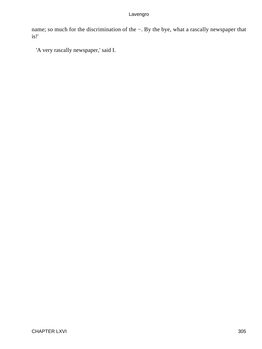name; so much for the discrimination of the −. By the bye, what a rascally newspaper that is!'

'A very rascally newspaper,' said I.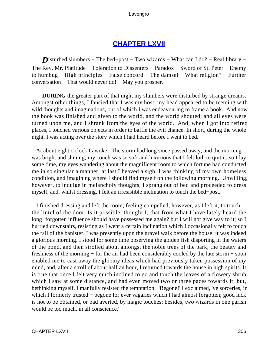# **[CHAPTER LXVII](#page-497-0)**

**D**isturbed slumbers – The bed–post – Two wizards – What can I do? – Real library – The Rev. Mr. Platitude − Toleration to Dissenters − Paradox − Sword of St. Peter − Enemy to humbug − High principles − False concord − The damsel − What religion? − Further conversation − That would never do! − May you prosper.

**DURING** the greater part of that night my slumbers were disturbed by strange dreams. Amongst other things, I fancied that I was my host; my head appeared to be teeming with wild thoughts and imaginations, out of which I was endeavouring to frame a book. And now the book was finished and given to the world, and the world shouted; and all eyes were turned upon me, and I shrank from the eyes of the world. And, when I got into retired places, I touched various objects in order to baffle the evil chance. In short, during the whole night, I was acting over the story which I had heard before I went to bed.

 At about eight o'clock I awoke. The storm had long since passed away, and the morning was bright and shining; my couch was so soft and luxurious that I felt loth to quit it, so I lay some time, my eyes wandering about the magnificent room to which fortune had conducted me in so singular a manner; at last I heaved a sigh; I was thinking of my own homeless condition, and imagining where I should find myself on the following morning. Unwilling, however, to indulge in melancholy thoughts, I sprang out of bed and proceeded to dress myself, and, whilst dressing, I felt an irresistible inclination to touch the bed−post.

 I finished dressing and left the room, feeling compelled, however, as I left it, to touch the lintel of the door. Is it possible, thought I, that from what I have lately heard the long−forgotten influence should have possessed me again? but I will not give way to it; so I hurried downstairs, resisting as I went a certain inclination which I occasionally felt to touch the rail of the banister. I was presently upon the gravel walk before the house: it was indeed a glorious morning. I stood for some time observing the golden fish disporting in the waters of the pond, and then strolled about amongst the noble trees of the park; the beauty and freshness of the morning − for the air had been considerably cooled by the late storm − soon enabled me to cast away the gloomy ideas which had previously taken possession of my mind, and, after a stroll of about half an hour, I returned towards the house in high spirits. It is true that once I felt very much inclined to go and touch the leaves of a flowery shrub which I saw at some distance, and had even moved two or three paces towards it; but, bethinking myself, I manfully resisted the temptation. 'Begone!' I exclaimed, 'ye sorceries, in which I formerly trusted – begone for ever vagaries which I had almost forgotten; good luck is not to be obtained, or bad averted, by magic touches; besides, two wizards in one parish would be too much, in all conscience.'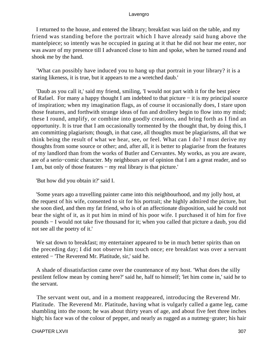I returned to the house, and entered the library; breakfast was laid on the table, and my friend was standing before the portrait which I have already said hung above the mantelpiece; so intently was he occupied in gazing at it that he did not hear me enter, nor was aware of my presence till I advanced close to him and spoke, when he turned round and shook me by the hand.

 'What can possibly have induced you to hang up that portrait in your library? it is a staring likeness, it is true, but it appears to me a wretched daub.'

 'Daub as you call it,' said my friend, smiling, 'I would not part with it for the best piece of Rafael. For many a happy thought I am indebted to that picture − it is my principal source of inspiration; when my imagination flags, as of course it occasionally does, I stare upon those features, and forthwith strange ideas of fun and drollery begin to flow into my mind; these I round, amplify, or combine into goodly creations, and bring forth as I find an opportunity. It is true that I am occasionally tormented by the thought that, by doing this, I am committing plagiarism; though, in that case, all thoughts must be plagiarisms, all that we think being the result of what we hear, see, or feel. What can I do? I must derive my thoughts from some source or other; and, after all, it is better to plagiarise from the features of my landlord than from the works of Butler and Cervantes. My works, as you are aware, are of a serio−comic character. My neighbours are of opinion that I am a great reader, and so I am, but only of those features − my real library is that picture.'

'But how did you obtain it?' said I.

 'Some years ago a travelling painter came into this neighbourhood, and my jolly host, at the request of his wife, consented to sit for his portrait; she highly admired the picture, but she soon died, and then my fat friend, who is of an affectionate disposition, said he could not bear the sight of it, as it put him in mind of his poor wife. I purchased it of him for five pounds − I would not take five thousand for it; when you called that picture a daub, you did not see all the poetry of it.'

We sat down to breakfast; my entertainer appeared to be in much better spirits than on the preceding day; I did not observe him touch once; ere breakfast was over a servant entered − 'The Reverend Mr. Platitude, sir,' said he.

 A shade of dissatisfaction came over the countenance of my host. 'What does the silly pestilent fellow mean by coming here?' said he, half to himself; 'let him come in,' said he to the servant.

 The servant went out, and in a moment reappeared, introducing the Reverend Mr. Platitude. The Reverend Mr. Platitude, having what is vulgarly called a game leg, came shambling into the room; he was about thirty years of age, and about five feet three inches high; his face was of the colour of pepper, and nearly as rugged as a nutmeg−grater; his hair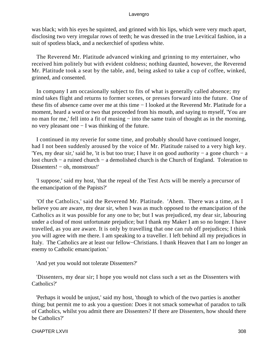was black; with his eyes he squinted, and grinned with his lips, which were very much apart, disclosing two very irregular rows of teeth; he was dressed in the true Levitical fashion, in a suit of spotless black, and a neckerchief of spotless white.

 The Reverend Mr. Platitude advanced winking and grinning to my entertainer, who received him politely but with evident coldness; nothing daunted, however, the Reverend Mr. Platitude took a seat by the table, and, being asked to take a cup of coffee, winked, grinned, and consented.

 In company I am occasionally subject to fits of what is generally called absence; my mind takes flight and returns to former scenes, or presses forward into the future. One of these fits of absence came over me at this time − I looked at the Reverend Mr. Platitude for a moment, heard a word or two that proceeded from his mouth, and saying to myself, 'You are no man for me,' fell into a fit of musing – into the same train of thought as in the morning, no very pleasant one − I was thinking of the future.

 I continued in my reverie for some time, and probably should have continued longer, had I not been suddenly aroused by the voice of Mr. Platitude raised to a very high key. 'Yes, my dear sir,' said he, 'it is but too true; I have it on good authority − a gone church − a lost church − a ruined church − a demolished church is the Church of England. Toleration to Dissenters! – oh, monstrous!'

 'I suppose,' said my host, 'that the repeal of the Test Acts will be merely a precursor of the emancipation of the Papists?'

 'Of the Catholics,' said the Reverend Mr. Platitude. 'Ahem. There was a time, as I believe you are aware, my dear sir, when I was as much opposed to the emancipation of the Catholics as it was possible for any one to be; but I was prejudiced, my dear sir, labouring under a cloud of most unfortunate prejudice; but I thank my Maker I am so no longer. I have travelled, as you are aware. It is only by travelling that one can rub off prejudices; I think you will agree with me there. I am speaking to a traveller. I left behind all my prejudices in Italy. The Catholics are at least our fellow−Christians. I thank Heaven that I am no longer an enemy to Catholic emancipation.'

'And yet you would not tolerate Dissenters?'

 'Dissenters, my dear sir; I hope you would not class such a set as the Dissenters with Catholics?'

 'Perhaps it would be unjust,' said my host, 'though to which of the two parties is another thing; but permit me to ask you a question: Does it not smack somewhat of paradox to talk of Catholics, whilst you admit there are Dissenters? If there are Dissenters, how should there be Catholics?'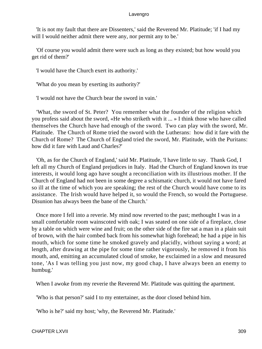'It is not my fault that there are Dissenters,' said the Reverend Mr. Platitude; 'if I had my will I would neither admit there were any, nor permit any to be.'

 'Of course you would admit there were such as long as they existed; but how would you get rid of them?'

'I would have the Church exert its authority.'

'What do you mean by exerting its authority?'

'I would not have the Church bear the sword in vain.'

 'What, the sword of St. Peter? You remember what the founder of the religion which you profess said about the sword, «He who striketh with it ... » I think those who have called themselves the Church have had enough of the sword. Two can play with the sword, Mr. Platitude. The Church of Rome tried the sword with the Lutherans: how did it fare with the Church of Rome? The Church of England tried the sword, Mr. Platitude, with the Puritans: how did it fare with Laud and Charles?'

 'Oh, as for the Church of England,' said Mr. Platitude, 'I have little to say. Thank God, I left all my Church of England prejudices in Italy. Had the Church of England known its true interests, it would long ago have sought a reconciliation with its illustrious mother. If the Church of England had not been in some degree a schismatic church, it would not have fared so ill at the time of which you are speaking; the rest of the Church would have come to its assistance. The Irish would have helped it, so would the French, so would the Portuguese. Disunion has always been the bane of the Church.'

 Once more I fell into a reverie. My mind now reverted to the past; methought I was in a small comfortable room wainscoted with oak; I was seated on one side of a fireplace, close by a table on which were wine and fruit; on the other side of the fire sat a man in a plain suit of brown, with the hair combed back from his somewhat high forehead; he had a pipe in his mouth, which for some time he smoked gravely and placidly, without saying a word; at length, after drawing at the pipe for some time rather vigorously, he removed it from his mouth, and, emitting an accumulated cloud of smoke, he exclaimed in a slow and measured tone, 'As I was telling you just now, my good chap, I have always been an enemy to humbug.'

When I awoke from my reverie the Reverend Mr. Platitude was quitting the apartment.

'Who is that person?' said I to my entertainer, as the door closed behind him.

'Who is he?' said my host; 'why, the Reverend Mr. Platitude.'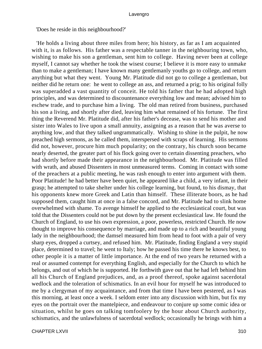'Does he reside in this neighbourhood?'

 'He holds a living about three miles from here; his history, as far as I am acquainted with it, is as follows. His father was a respectable tanner in the neighbouring town, who, wishing to make his son a gentleman, sent him to college. Having never been at college myself, I cannot say whether he took the wisest course; I believe it is more easy to unmake than to make a gentleman; I have known many gentlemanly youths go to college, and return anything but what they went. Young Mr. Platitude did not go to college a gentleman, but neither did he return one: he went to college an ass, and returned a prig; to his original folly was superadded a vast quantity of conceit. He told his father that he had adopted high principles, and was determined to discountenance everything low and mean; advised him to eschew trade, and to purchase him a living. The old man retired from business, purchased his son a living, and shortly after died, leaving him what remained of his fortune. The first thing the Reverend Mr. Platitude did, after his father's decease, was to send his mother and sister into Wales to live upon a small annuity, assigning as a reason that he was averse to anything low, and that they talked ungrammatically. Wishing to shine in the pulpit, he now preached high sermons, as he called them, interspersed with scraps of learning. His sermons did not, however, procure him much popularity; on the contrary, his church soon became nearly deserted, the greater part of his flock going over to certain dissenting preachers, who had shortly before made their appearance in the neighbourhood. Mr. Platitude was filled with wrath, and abused Dissenters in most unmeasured terms. Coming in contact with some of the preachers at a public meeting, he was rash enough to enter into argument with them. Poor Platitude! he had better have been quiet, he appeared like a child, a very infant, in their grasp; he attempted to take shelter under his college learning, but found, to his dismay, that his opponents knew more Greek and Latin than himself. These illiterate boors, as he had supposed them, caught him at once in a false concord, and Mr. Platitude had to slink home overwhelmed with shame. To avenge himself he applied to the ecclesiastical court, but was told that the Dissenters could not be put down by the present ecclesiastical law. He found the Church of England, to use his own expression, a poor, powerless, restricted Church. He now thought to improve his consequence by marriage, and made up to a rich and beautiful young lady in the neighbourhood; the damsel measured him from head to foot with a pair of very sharp eyes, dropped a curtsey, and refused him. Mr. Platitude, finding England a very stupid place, determined to travel; he went to Italy; how he passed his time there he knows best, to other people it is a matter of little importance. At the end of two years he returned with a real or assumed contempt for everything English, and especially for the Church to which he belongs, and out of which he is supported. He forthwith gave out that he had left behind him all his Church of England prejudices, and, as a proof thereof, spoke against sacerdotal wedlock and the toleration of schismatics. In an evil hour for myself he was introduced to me by a clergyman of my acquaintance, and from that time I have been pestered, as I was this morning, at least once a week. I seldom enter into any discussion with him, but fix my eyes on the portrait over the mantelpiece, and endeavour to conjure up some comic idea or situation, whilst he goes on talking tomfoolery by the hour about Church authority, schismatics, and the unlawfulness of sacerdotal wedlock; occasionally he brings with him a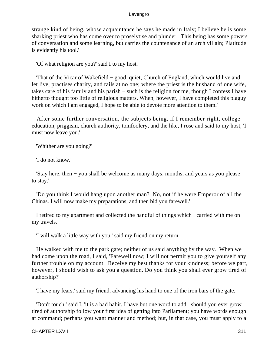strange kind of being, whose acquaintance he says he made in Italy; I believe he is some sharking priest who has come over to proselytise and plunder. This being has some powers of conversation and some learning, but carries the countenance of an arch villain; Platitude is evidently his tool.'

'Of what religion are you?' said I to my host.

 'That of the Vicar of Wakefield − good, quiet, Church of England, which would live and let live, practises charity, and rails at no one; where the priest is the husband of one wife, takes care of his family and his parish − such is the religion for me, though I confess I have hitherto thought too little of religious matters. When, however, I have completed this plaguy work on which I am engaged, I hope to be able to devote more attention to them.'

 After some further conversation, the subjects being, if I remember right, college education, priggism, church authority, tomfoolery, and the like, I rose and said to my host, 'I must now leave you.'

'Whither are you going?'

'I do not know.'

 'Stay here, then − you shall be welcome as many days, months, and years as you please to stay.'

 'Do you think I would hang upon another man? No, not if he were Emperor of all the Chinas. I will now make my preparations, and then bid you farewell.'

 I retired to my apartment and collected the handful of things which I carried with me on my travels.

'I will walk a little way with you,' said my friend on my return.

 He walked with me to the park gate; neither of us said anything by the way. When we had come upon the road, I said, 'Farewell now; I will not permit you to give yourself any further trouble on my account. Receive my best thanks for your kindness; before we part, however, I should wish to ask you a question. Do you think you shall ever grow tired of authorship?'

'I have my fears,' said my friend, advancing his hand to one of the iron bars of the gate.

 'Don't touch,' said I, 'it is a bad habit. I have but one word to add: should you ever grow tired of authorship follow your first idea of getting into Parliament; you have words enough at command; perhaps you want manner and method; but, in that case, you must apply to a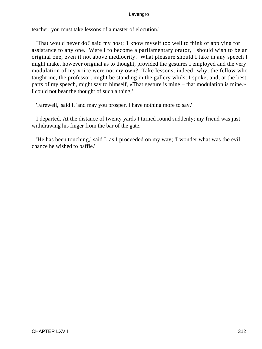teacher, you must take lessons of a master of elocution.'

 'That would never do!' said my host; 'I know myself too well to think of applying for assistance to any one. Were I to become a parliamentary orator, I should wish to be an original one, even if not above mediocrity. What pleasure should I take in any speech I might make, however original as to thought, provided the gestures I employed and the very modulation of my voice were not my own? Take lessons, indeed! why, the fellow who taught me, the professor, might be standing in the gallery whilst I spoke; and, at the best parts of my speech, might say to himself, «That gesture is mine − that modulation is mine.» I could not bear the thought of such a thing.'

'Farewell,' said I, 'and may you prosper. I have nothing more to say.'

 I departed. At the distance of twenty yards I turned round suddenly; my friend was just withdrawing his finger from the bar of the gate.

 'He has been touching,' said I, as I proceeded on my way; 'I wonder what was the evil chance he wished to baffle.'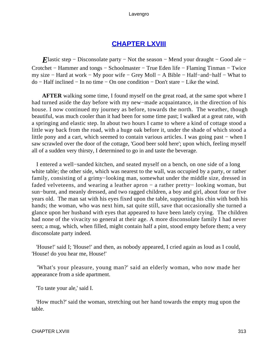# **[CHAPTER LXVIII](#page-497-0)**

*E*lastic step – Disconsolate party – Not the season – Mend your draught – Good ale – Crotchet − Hammer and tongs − Schoolmaster − True Eden life − Flaming Tinman − Twice my size − Hard at work − My poor wife − Grey Moll − A Bible − Half−and−half − What to do − Half inclined − In no time − On one condition − Don't stare − Like the wind.

**AFTER** walking some time, I found myself on the great road, at the same spot where I had turned aside the day before with my new−made acquaintance, in the direction of his house. I now continued my journey as before, towards the north. The weather, though beautiful, was much cooler than it had been for some time past; I walked at a great rate, with a springing and elastic step. In about two hours I came to where a kind of cottage stood a little way back from the road, with a huge oak before it, under the shade of which stood a little pony and a cart, which seemed to contain various articles. I was going past − when I saw scrawled over the door of the cottage, 'Good beer sold here'; upon which, feeling myself all of a sudden very thirsty, I determined to go in and taste the beverage.

 I entered a well−sanded kitchen, and seated myself on a bench, on one side of a long white table; the other side, which was nearest to the wall, was occupied by a party, or rather family, consisting of a grimy−looking man, somewhat under the middle size, dressed in faded velveteens, and wearing a leather apron − a rather pretty− looking woman, but sun−burnt, and meanly dressed, and two ragged children, a boy and girl, about four or five years old. The man sat with his eyes fixed upon the table, supporting his chin with both his hands; the woman, who was next him, sat quite still, save that occasionally she turned a glance upon her husband with eyes that appeared to have been lately crying. The children had none of the vivacity so general at their age. A more disconsolate family I had never seen; a mug, which, when filled, might contain half a pint, stood empty before them; a very disconsolate party indeed.

 'House!' said I; 'House!' and then, as nobody appeared, I cried again as loud as I could, 'House! do you hear me, House!'

 'What's your pleasure, young man?' said an elderly woman, who now made her appearance from a side apartment.

'To taste your ale,' said I.

 'How much?' said the woman, stretching out her hand towards the empty mug upon the table.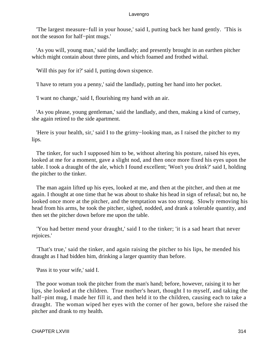'The largest measure−full in your house,' said I, putting back her hand gently. 'This is not the season for half−pint mugs.'

 'As you will, young man,' said the landlady; and presently brought in an earthen pitcher which might contain about three pints, and which foamed and frothed withal.

'Will this pay for it?' said I, putting down sixpence.

'I have to return you a penny,' said the landlady, putting her hand into her pocket.

'I want no change,' said I, flourishing my hand with an air.

 'As you please, young gentleman,' said the landlady, and then, making a kind of curtsey, she again retired to the side apartment.

 'Here is your health, sir,' said I to the grimy−looking man, as I raised the pitcher to my lips.

 The tinker, for such I supposed him to be, without altering his posture, raised his eyes, looked at me for a moment, gave a slight nod, and then once more fixed his eyes upon the table. I took a draught of the ale, which I found excellent; 'Won't you drink?' said I, holding the pitcher to the tinker.

 The man again lifted up his eyes, looked at me, and then at the pitcher, and then at me again. I thought at one time that he was about to shake his head in sign of refusal; but no, he looked once more at the pitcher, and the temptation was too strong. Slowly removing his head from his arms, he took the pitcher, sighed, nodded, and drank a tolerable quantity, and then set the pitcher down before me upon the table.

 'You had better mend your draught,' said I to the tinker; 'it is a sad heart that never rejoices.'

 'That's true,' said the tinker, and again raising the pitcher to his lips, he mended his draught as I had bidden him, drinking a larger quantity than before.

'Pass it to your wife,' said I.

 The poor woman took the pitcher from the man's hand; before, however, raising it to her lips, she looked at the children. True mother's heart, thought I to myself, and taking the half−pint mug, I made her fill it, and then held it to the children, causing each to take a draught. The woman wiped her eyes with the corner of her gown, before she raised the pitcher and drank to my health.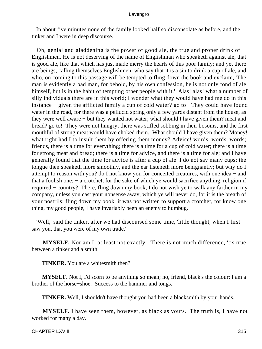In about five minutes none of the family looked half so disconsolate as before, and the tinker and I were in deep discourse.

 Oh, genial and gladdening is the power of good ale, the true and proper drink of Englishmen. He is not deserving of the name of Englishman who speaketh against ale, that is good ale, like that which has just made merry the hearts of this poor family; and yet there are beings, calling themselves Englishmen, who say that it is a sin to drink a cup of ale, and who, on coming to this passage will be tempted to fling down the book and exclaim, 'The man is evidently a bad man, for behold, by his own confession, he is not only fond of ale himself, but is in the habit of tempting other people with it.' Alas! alas! what a number of silly individuals there are in this world; I wonder what they would have had me do in this instance − given the afflicted family a cup of cold water? go to! They could have found water in the road, for there was a pellucid spring only a few yards distant from the house, as they were well aware − but they wanted not water; what should I have given them? meat and bread? go to! They were not hungry; there was stifled sobbing in their bosoms, and the first mouthful of strong meat would have choked them. What should I have given them? Money! what right had I to insult them by offering them money? Advice! words, words, words; friends, there is a time for everything; there is a time for a cup of cold water; there is a time for strong meat and bread; there is a time for advice, and there is a time for ale; and I have generally found that the time for advice is after a cup of ale. I do not say many cups; the tongue then speaketh more smoothly, and the ear listeneth more benignantly; but why do I attempt to reason with you? do I not know you for conceited creatures, with one idea − and that a foolish one; − a crotchet, for the sake of which ye would sacrifice anything, religion if required − country? There, fling down my book, I do not wish ye to walk any farther in my company, unless you cast your nonsense away, which ye will never do, for it is the breath of your nostrils; fling down my book, it was not written to support a crotchet, for know one thing, my good people, I have invariably been an enemy to humbug.

 'Well,' said the tinker, after we had discoursed some time, 'little thought, when I first saw you, that you were of my own trade.'

**MYSELF.** Nor am I, at least not exactly. There is not much difference, 'tis true, between a tinker and a smith.

**TINKER.** You are a whitesmith then?

**MYSELF.** Not I, I'd scorn to be anything so mean; no, friend, black's the colour; I am a brother of the horse−shoe. Success to the hammer and tongs.

**TINKER.** Well, I shouldn't have thought you had been a blacksmith by your hands.

**MYSELF.** I have seen them, however, as black as yours. The truth is, I have not worked for many a day.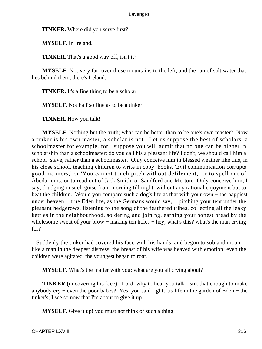**TINKER.** Where did you serve first?

**MYSELF.** In Ireland.

**TINKER.** That's a good way off, isn't it?

**MYSELF.** Not very far; over those mountains to the left, and the run of salt water that lies behind them, there's Ireland.

**TINKER.** It's a fine thing to be a scholar.

**MYSELF.** Not half so fine as to be a tinker.

**TINKER.** How you talk!

**MYSELF.** Nothing but the truth; what can be better than to be one's own master? Now a tinker is his own master, a scholar is not. Let us suppose the best of scholars, a schoolmaster for example, for I suppose you will admit that no one can be higher in scholarship than a schoolmaster; do you call his a pleasant life? I don't; we should call him a school−slave, rather than a schoolmaster. Only conceive him in blessed weather like this, in his close school, teaching children to write in copy−books, 'Evil communication corrupts good manners,' or 'You cannot touch pitch without defilement,' or to spell out of Abedariums, or to read out of Jack Smith, or Sandford and Merton. Only conceive him, I say, drudging in such guise from morning till night, without any rational enjoyment but to beat the children. Would you compare such a dog's life as that with your own − the happiest under heaven – true Eden life, as the Germans would say, – pitching your tent under the pleasant hedgerows, listening to the song of the feathered tribes, collecting all the leaky kettles in the neighbourhood, soldering and joining, earning your honest bread by the wholesome sweat of your brow – making ten holes – hey, what's this? what's the man crying for?

 Suddenly the tinker had covered his face with his hands, and begun to sob and moan like a man in the deepest distress; the breast of his wife was heaved with emotion; even the children were agitated, the youngest began to roar.

**MYSELF.** What's the matter with you; what are you all crying about?

**TINKER** (uncovering his face). Lord, why to hear you talk; isn't that enough to make anybody cry − even the poor babes? Yes, you said right, 'tis life in the garden of Eden − the tinker's; I see so now that I'm about to give it up.

**MYSELF.** Give it up! you must not think of such a thing.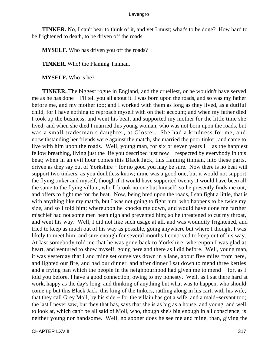**TINKER.** No, I can't bear to think of it, and yet I must; what's to be done? How hard to be frightened to death, to be driven off the roads.

**MYSELF.** Who has driven you off the roads?

**TINKER.** Who! the Flaming Tinman.

**MYSELF.** Who is he?

**TINKER.** The biggest rogue in England, and the cruellest, or he wouldn't have served me as he has done − I'll tell you all about it. I was born upon the roads, and so was my father before me, and my mother too; and I worked with them as long as they lived, as a dutiful child, for I have nothing to reproach myself with on their account; and when my father died I took up the business, and went his beat, and supported my mother for the little time she lived; and when she died I married this young woman, who was not born upon the roads, but was a small tradesman s daughter, at Gloster. She had a kindness for me, and, notwithstanding her friends were against the match, she married the poor tinker, and came to live with him upon the roads. Well, young man, for six or seven years I − as the happiest fellow breathing, living just the life you described just now − respected by everybody in this beat; when in an evil hour comes this Black Jack, this flaming tinman, into these parts, driven as they say out of Yorkshire − for no good you may be sure. Now there is no beat will support two tinkers, as you doubtless know; mine was a good one, but it would not support the flying tinker and myself, though if it would have supported twenty it would have been all the same to the flying villain, who'll brook no one but himself; so he presently finds me out, and offers to fight me for the beat. Now, being bred upon the roads, I can fight a little, that is with anything like my match, but I was not going to fight him, who happens to be twice my size, and so I told him; whereupon he knocks me down, and would have done me farther mischief had not some men been nigh and prevented him; so he threatened to cut my throat, and went his way. Well, I did not like such usage at all, and was woundily frightened, and tried to keep as much out of his way as possible, going anywhere but where I thought I was likely to meet him; and sure enough for several months I contrived to keep out of his way. At last somebody told me that he was gone back to Yorkshire, whereupon I was glad at heart, and ventured to show myself, going here and there as I did before. Well, young man, it was yesterday that I and mine set ourselves down in a lane, about five miles from here, and lighted our fire, and had our dinner, and after dinner I sat down to mend three kettles and a frying pan which the people in the neighbourhood had given me to mend − for, as I told you before, I have a good connection, owing to my honesty. Well, as I sat there hard at work, happy as the day's long, and thinking of anything but what was to happen, who should come up but this Black Jack, this king of the tinkers, rattling along in his cart, with his wife, that they call Grey Moll, by his side − for the villain has got a wife, and a maid−servant too; the last I never saw, but they that has, says that she is as big as a house, and young, and well to look at, which can't be all said of Moll, who, though she's big enough in all conscience, is neither young nor handsome. Well, no sooner does he see me and mine, than, giving the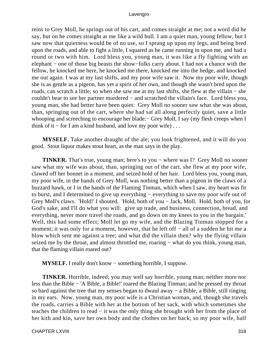reins to Grey Moll, he springs out of his cart, and comes straight at me; not a word did he say, but on he comes straight at me like a wild bull. I am a quiet man, young fellow, but I saw now that quietness would be of no use, so I sprang up upon my legs, and being bred upon the roads, and able to fight a little, I squared as he came running in upon me, and had a round or two with him. Lord bless you, young man, it was like a fly fighting with an elephant − one of those big beasts the show−folks carry about. I had not a chance with the fellow, he knocked me here, he knocked me there, knocked me into the hedge, and knocked me out again. I was at my last shifts, and my poor wife saw it. Now my poor wife, though she is as gentle as a pigeon, has yet a spirit of her own, and though she wasn't bred upon the roads, can scratch a little; so when she saw me at my last shifts, she flew at the villain − she couldn't bear to see her partner murdered − and scratched the villain's face. Lord bless you, young man, she had better have been quiet: Grey Moll no sooner saw what she was about, than, springing out of the cart, where she had sat all along perfectly quiet, save a little whooping and screeching to encourage her blade:− Grey Moll, I say (my flesh creeps when I think of it – for I am a kind husband, and love my poor wife)  $\dots$ 

**MYSELF.** Take another draught of the ale; you look frightened, and it will do you good. Stout liquor makes stout heart, as the man says in the play.

**TINKER.** That's true, young man; here's to you − where was I? Grey Moll no sooner saw what my wife was about, than, springing out of the cart, she flew at my poor wife, clawed off her bonnet in a moment, and seized hold of her hair. Lord bless you, young man, my poor wife, in the hands of Grey Moll, was nothing better than a pigeon in the claws of a buzzard hawk, or I in the hands of the Flaming Tinman, which when I saw, my heart was fit to burst, and I determined to give up everything − everything to save my poor wife out of Grey Moll's claws. 'Hold!' I shouted. 'Hold, both of you − Jack, Moll. Hold, both of you, for God's sake, and I'll do what you will: give up trade, and business, connection, bread, and everything, never more travel the roads, and go down on my knees to you in the bargain.' Well, this had some effect; Moll let go my wife, and the Blazing Tinman stopped for a moment; it was only for a moment, however, that he left off − all of a sudden he hit me a blow which sent me against a tree; and what did the villain then? why the flying villain seized me by the throat, and almost throttled me, roaring – what do you think, young man, that the flaming villain roared out?

**MYSELF.** I really don't know − something horrible, I suppose.

**TINKER.** Horrible, indeed; you may well say horrible, young man; neither more nor less than the Bible − 'A Bible, a Bible!' roared the Blazing Tinman; and he pressed my throat so hard against the tree that my senses began to dwaul away − a Bible, a Bible, still ringing in my ears. Now, young man, my poor wife is a Christian woman, and, though she travels the roads, carries a Bible with her at the bottom of her sack, with which sometimes she teaches the children to read − it was the only thing she brought with her from the place of her kith and kin, save her own body and the clothes on her back; so my poor wife, half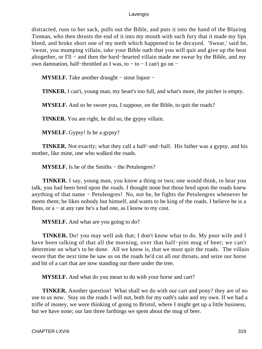distracted, runs to her sack, pulls out the Bible, and puts it into the hand of the Blazing Tinman, who then thrusts the end of it into my mouth with such fury that it made my lips bleed, and broke short one of my teeth which happened to be decayed. 'Swear,' said he, 'swear, you mumping villain, take your Bible oath that you will quit and give up the beat altogether, or I'll − and then the hard−hearted villain made me swear by the Bible, and my own damnation, half−throttled as I was, to − to − I can't go on −

**MYSELF.** Take another draught − stout liquor −

**TINKER.** I can't, young man, my heart's too full, and what's more, the pitcher is empty.

**MYSELF.** And so he swore you, I suppose, on the Bible, to quit the roads?

**TINKER.** You are right, he did so, the gypsy villain.

**MYSELF.** Gypsy! Is he a gypsy?

**TINKER.** Not exactly; what they call a half−and−half. His father was a gypsy, and his mother, like mine, one who walked the roads.

**MYSELF.** Is he of the Smiths − the Petulengres?

**TINKER.** I say, young man, you know a thing or two; one would think, to hear you talk, you had been bred upon the roads. I thought none but those bred upon the roads knew anything of that name − Petulengres! No, not he, he fights the Petulengres whenever he meets them; he likes nobody but himself, and wants to be king of the roads. I believe he is a Boss, or a − at any rate he's a bad one, as I know to my cost.

**MYSELF.** And what are you going to do?

**TINKER.** Do! you may well ask that; I don't know what to do. My poor wife and I have been talking of that all the morning, over that half−pint mug of beer; we can't determine on what's to be done. All we know is, that we must quit the roads. The villain swore that the next time he saw us on the roads he'd cut all our throats, and seize our horse and bit of a cart that are now standing out there under the tree.

**MYSELF.** And what do you mean to do with your horse and cart?

**TINKER.** Another question! What shall we do with our cart and pony? they are of no use to us now. Stay on the roads I will not, both for my oath's sake and my own. If we had a trifle of money, we were thinking of going to Bristol, where I might get up a little business, but we have none; our last three farthings we spent about the mug of beer.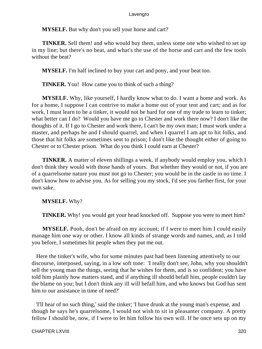**MYSELF.** But why don't you sell your horse and cart?

**TINKER.** Sell them! and who would buy them, unless some one who wished to set up in my line; but there's no beat, and what's the use of the horse and cart and the few tools without the beat?

**MYSELF.** I'm half inclined to buy your cart and pony, and your beat too.

**TINKER.** You! How came you to think of such a thing?

**MYSELF.** Why, like yourself, I hardly know what to do. I want a home and work. As for a home, I suppose I can contrive to make a home out of your tent and cart; and as for work, I must learn to be a tinker, it would not be hard for one of my trade to learn to tinker; what better can I do? Would you have me go to Chester and work there now? I don't like the thoughts of it. If I go to Chester and work there, I can't be my own man; I must work under a master, and perhaps he and I should quarrel, and when I quarrel I am apt to hit folks, and those that hit folks are sometimes sent to prison; I don't like the thought either of going to Chester or to Chester prison. What do you think I could earn at Chester?

**TINKER.** A matter of eleven shillings a week, if anybody would employ you, which I don't think they would with those hands of yours. But whether they would or not, if you are of a quarrelsome nature you must not go to Chester; you would be in the castle in no time. I don't know how to advise you. As for selling you my stock, I'd see you farther first, for your own sake.

**MYSELF.** Why?

**TINKER.** Why! you would get your head knocked off. Suppose you were to meet him?

**MYSELF.** Pooh, don't be afraid on my account; if I were to meet him I could easily manage him one way or other. I know all kinds of strange words and names, and, as I told you before, I sometimes hit people when they put me out.

 Here the tinker's wife, who for some minutes past had been listening attentively to our discourse, interposed, saying, in a low soft tone: 'I really don't see, John, why you shouldn't sell the young man the things, seeing that he wishes for them, and is so confident; you have told him plainly how matters stand, and if anything ill should befall him, people couldn't lay the blame on you; but I don't think any ill will befall him, and who knows but God has sent him to our assistance in time of need?'

 'I'll hear of no such thing,' said the tinker; 'I have drunk at the young man's expense, and though he says he's quarrelsome, I would not wish to sit in pleasanter company. A pretty fellow I should be, now, if I were to let him follow his own will. If he once sets up on my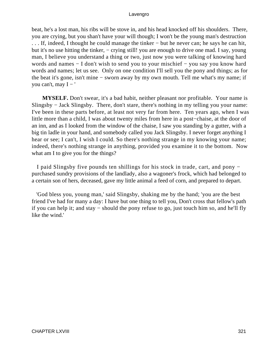beat, he's a lost man, his ribs will be stove in, and his head knocked off his shoulders. There, you are crying, but you shan't have your will though; I won't be the young man's destruction . . . If, indeed, I thought he could manage the tinker − but he never can; he says he can hit, but it's no use hitting the tinker, – crying still! you are enough to drive one mad. I say, young man, I believe you understand a thing or two, just now you were talking of knowing hard words and names − I don't wish to send you to your mischief − you say you know hard words and names; let us see. Only on one condition I'll sell you the pony and things; as for the beat it's gone, isn't mine − sworn away by my own mouth. Tell me what's my name; if you can't, may  $I - '$ 

**MYSELF.** Don't swear, it's a bad habit, neither pleasant nor profitable. Your name is Slingsby − Jack Slingsby. There, don't stare, there's nothing in my telling you your name: I've been in these parts before, at least not very far from here. Ten years ago, when I was little more than a child, I was about twenty miles from here in a post−chaise, at the door of an inn, and as I looked from the window of the chaise, I saw you standing by a gutter, with a big tin ladle in your hand, and somebody called you Jack Slingsby. I never forget anything I hear or see; I can't, I wish I could. So there's nothing strange in my knowing your name; indeed, there's nothing strange in anything, provided you examine it to the bottom. Now what am I to give you for the things?

 I paid Slingsby five pounds ten shillings for his stock in trade, cart, and pony − purchased sundry provisions of the landlady, also a wagoner's frock, which had belonged to a certain son of hers, deceased, gave my little animal a feed of corn, and prepared to depart.

 'God bless you, young man,' said Slingsby, shaking me by the hand; 'you are the best friend I've had for many a day: I have but one thing to tell you, Don't cross that fellow's path if you can help it; and stay − should the pony refuse to go, just touch him so, and he'll fly like the wind.'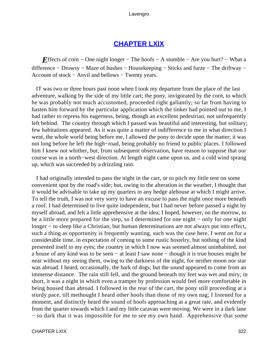# **[CHAPTER LXIX](#page-497-0)**

*E*ffects of corn – One night longer – The hoofs – A stumble – Are you hurt? – What a difference − Drowsy − Maze of bushes − Housekeeping − Sticks and furze − The driftway − Account of stock − Anvil and bellows − Twenty years.

 IT was two or three hours past noon when I took my departure from the place of the last adventure, walking by the side of my little cart; the pony, invigorated by the corn, to which he was probably not much accustomed, proceeded right gallantly; so far from having to hasten him forward by the particular application which the tinker had pointed out to me, I had rather to repress his eagerness, being, though an excellent pedestrian, not unfrequently left behind. The country through which I passed was beautiful and interesting, but solitary; few habitations appeared. As it was quite a matter of indifference to me in what direction I went, the whole world being before me, I allowed the pony to decide upon the matter; it was not long before he left the high−road, being probably no friend to public places. I followed him I knew not whither, but, from subsequent observation, have reason to suppose that our course was in a north−west direction. At length night came upon us, and a cold wind sprang up, which was succeeded by a drizzling rain.

 I had originally intended to pass the night in the cart, or to pitch my little tent on some convenient spot by the road's side; but, owing to the alteration in the weather, I thought that it would be advisable to take up my quarters in any hedge alehouse at which I might arrive. To tell the truth, I was not very sorry to have an excuse to pass the night once more beneath a roof. I had determined to live quite independent, but I had never before passed a night by myself abroad, and felt a little apprehensive at the idea; I hoped, however, on the morrow, to be a little more prepared for the step, so I determined for one night − only for one night longer − to sleep like a Christian; but human determinations are not always put into effect, such a thing as opportunity is frequently wanting, such was the case here. I went on for a considerable time, in expectation of coming to some rustic hostelry, but nothing of the kind presented itself to my eyes; the country in which I now was seemed almost uninhabited, not a house of any kind was to be seen − at least I saw none − though it is true houses might be near without my seeing them, owing to the darkness of the night, for neither moon nor star was abroad. I heard, occasionally, the bark of dogs; but the sound appeared to come from an immense distance. The rain still fell, and the ground beneath my feet was wet and miry; in short, it was a night in which even a tramper by profession would feel more comfortable in being housed than abroad. I followed in the rear of the cart, the pony still proceeding at a sturdy pace, till methought I heard other hoofs than those of my own nag; I listened for a moment, and distinctly heard the sound of hoofs approaching at a great rate, and evidently from the quarter towards which I and my little caravan were moving. We were in a dark lane − so dark that it was impossible for me to see my own hand. Apprehensive that some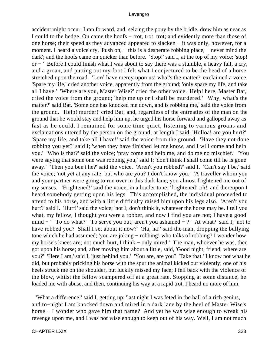accident might occur, I ran forward, and, seizing the pony by the bridle, drew him as near as I could to the hedge. On came the hoofs − trot, trot, trot; and evidently more than those of one horse; their speed as they advanced appeared to slacken − it was only, however, for a moment. I heard a voice cry, 'Push on, – this is a desperate robbing place, – never mind the dark'; and the hoofs came on quicker than before. 'Stop!' said I, at the top of my voice; 'stop! or − ' Before I could finish what I was about to say there was a stumble, a heavy fall, a cry, and a groan, and putting out my foot I felt what I conjectured to be the head of a horse stretched upon the road. 'Lord have mercy upon us! what's the matter?' exclaimed a voice. 'Spare my life,' cried another voice, apparently from the ground; 'only spare my life, and take all I have.' 'Where are you, Master Wise?' cried the other voice. 'Help! here, Master Bat,' cried the voice from the ground; 'help me up or I shall be murdered.' 'Why, what's the matter?' said Bat. 'Some one has knocked me down, and is robbing me,' said the voice from the ground. 'Help! murder!' cried Bat; and, regardless of the entreaties of the man on the ground that he would stay and help him up, he urged his horse forward and galloped away as fast as he could. I remained for some time quiet, listening to various groans and exclamations uttered by the person on the ground; at length I said, 'Holloa! are you hurt?' 'Spare my life, and take all I have!' said the voice from the ground. 'Have they not done robbing you yet?' said I; 'when they have finished let me know, and I will come and help you.' 'Who is that?' said the voice; 'pray come and help me, and do me no mischief.' 'You were saying that some one was robbing you,' said I; 'don't think I shall come till he is gone away.' 'Then you ben't he?' said the voice. 'Aren't you robbed?' said I. 'Can't say I be,' said the voice; 'not yet at any rate; but who are you? I don't know you.' 'A traveller whom you and your partner were going to run over in this dark lane; you almost frightened me out of my senses.' 'Frightened!' said the voice, in a louder tone; 'frightened! oh!' and thereupon I heard somebody getting upon his legs. This accomplished, the individual proceeded to attend to his horse, and with a little difficulty raised him upon his legs also. 'Aren't you hurt?' said I. 'Hurt!' said the voice; 'not I; don't think it, whatever the horse may be. I tell you what, my fellow, I thought you were a robber, and now I find you are not; I have a good mind − ' 'To do what?' 'To serve you out; aren't you ashamed − ?' 'At what?' said I; 'not to have robbed you? Shall I set about it now?' 'Ha, ha!' said the man, dropping the bullying tone which he had assumed; 'you are joking − robbing! who talks of robbing? I wonder how my horse's knees are; not much hurt, I think – only mired.' The man, whoever he was, then got upon his horse; and, after moving him about a little, said, 'Good night, friend; where are you?' 'Here I am,' said I, 'just behind you.' 'You are, are you? Take that.' I know not what he did, but probably pricking his horse with the spur the animal kicked out violently; one of his heels struck me on the shoulder, but luckily missed my face; I fell back with the violence of the blow, whilst the fellow scampered off at a great rate. Stopping at some distance, he loaded me with abuse, and then, continuing his way at a rapid trot, I heard no more of him.

 'What a difference!' said I, getting up; 'last night I was feted in the hall of a rich genius, and to−night I am knocked down and mired in a dark lane by the heel of Master Wise's horse − I wonder who gave him that name? And yet he was wise enough to wreak his revenge upon me, and I was not wise enough to keep out of his way. Well, I am not much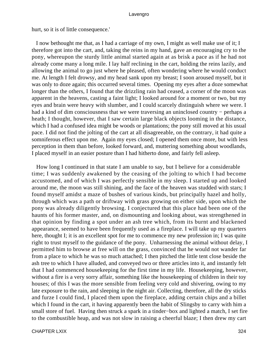hurt, so it is of little consequence.'

 I now bethought me that, as I had a carriage of my own, I might as well make use of it; I therefore got into the cart, and, taking the reins in my hand, gave an encouraging cry to the pony, whereupon the sturdy little animal started again at as brisk a pace as if he had not already come many a long mile. I lay half reclining in the cart, holding the reins lazily, and allowing the animal to go just where he pleased, often wondering where he would conduct me. At length I felt drowsy, and my head sank upon my breast; I soon aroused myself, but it was only to doze again; this occurred several times. Opening my eyes after a doze somewhat longer than the others, I found that the drizzling rain had ceased, a corner of the moon was apparent in the heavens, casting a faint light; I looked around for a moment or two, but my eyes and brain were heavy with slumber, and I could scarcely distinguish where we were. I had a kind of dim consciousness that we were traversing an uninclosed country – perhaps a heath; I thought, however, that I saw certain large black objects looming in the distance, which I had a confused idea might be woods or plantations; the pony still moved at his usual pace. I did not find the jolting of the cart at all disagreeable, on the contrary, it had quite a somniferous effect upon me. Again my eyes closed; I opened them once more, but with less perception in them than before, looked forward, and, muttering something about woodlands, I placed myself in an easier posture than I had hitherto done, and fairly fell asleep.

 How long I continued in that state I am unable to say, but I believe for a considerable time; I was suddenly awakened by the ceasing of the jolting to which I had become accustomed, and of which I was perfectly sensible in my sleep. I started up and looked around me, the moon was still shining, and the face of the heaven was studded with stars; I found myself amidst a maze of bushes of various kinds, but principally hazel and holly, through which was a path or driftway with grass growing on either side, upon which the pony was already diligently browsing. I conjectured that this place had been one of the haunts of his former master, and, on dismounting and looking about, was strengthened in that opinion by finding a spot under an ash tree which, from its burnt and blackened appearance, seemed to have been frequently used as a fireplace. I will take up my quarters here, thought I; it is an excellent spot for me to commence my new profession in; I was quite right to trust myself to the guidance of the pony. Unharnessing the animal without delay, I permitted him to browse at free will on the grass, convinced that he would not wander far from a place to which he was so much attached; I then pitched the little tent close beside the ash tree to which I have alluded, and conveyed two or three articles into it, and instantly felt that I had commenced housekeeping for the first time in my life. Housekeeping, however, without a fire is a very sorry affair, something like the housekeeping of children in their toy houses; of this I was the more sensible from feeling very cold and shivering, owing to my late exposure to the rain, and sleeping in the night air. Collecting, therefore, all the dry sticks and furze I could find, I placed them upon the fireplace, adding certain chips and a billet which I found in the cart, it having apparently been the habit of Slingsby to carry with him a small store of fuel. Having then struck a spark in a tinder−box and lighted a match, I set fire to the combustible heap, and was not slow in raising a cheerful blaze; I then drew my cart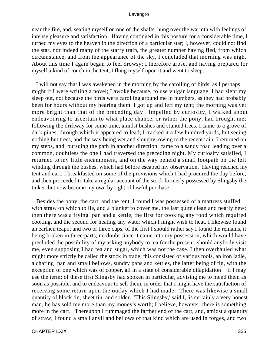near the fire, and, seating myself on one of the shafts, hung over the warmth with feelings of intense pleasure and satisfaction. Having continued in this posture for a considerable time, I turned my eyes to the heaven in the direction of a particular star; I, however, could not find the star, nor indeed many of the starry train, the greater number having fled, from which circumstance, and from the appearance of the sky, I concluded that morning was nigh. About this time I again began to feel drowsy; I therefore arose, and having prepared for myself a kind of couch in the tent, I flung myself upon it and went to sleep.

 I will not say that I was awakened in the morning by the carolling of birds, as I perhaps might if I were writing a novel; I awoke because, to use vulgar language, I had slept my sleep out, not because the birds were carolling around me in numbers, as they had probably been for hours without my hearing them. I got up and left my tent; the morning was yet more bright than that of the preceding day. Impelled by curiosity, I walked about endeavouring to ascertain to what place chance, or rather the pony, had brought me; following the driftway for some time, amidst bushes and stunted trees, I came to a grove of dark pines, through which it appeared to lead; I tracked it a few hundred yards, but seeing nothing but trees, and the way being wet and sloughy, owing to the recent rain, I returned on my steps, and, pursuing the path in another direction, came to a sandy road leading over a common, doubtless the one I had traversed the preceding night. My curiosity satisfied, I returned to my little encampment, and on the way beheld a small footpath on the left winding through the bushes, which had before escaped my observation. Having reached my tent and cart, I breakfasted on some of the provisions which I had procured the day before, and then proceeded to take a regular account of the stock formerly possessed by Slingsby the tinker, but now become my own by right of lawful purchase.

 Besides the pony, the cart, and the tent, I found I was possessed of a mattress stuffed with straw on which to lie, and a blanket to cover me, the last quite clean and nearly new; then there was a frying−pan and a kettle, the first for cooking any food which required cooking, and the second for heating any water which I might wish to heat. I likewise found an earthen teapot and two or three cups; of the first I should rather say I found the remains, it being broken in three parts, no doubt since it came into my possession, which would have precluded the possibility of my asking anybody to tea for the present, should anybody visit me, even supposing I had tea and sugar, which was not the case. I then overhauled what might more strictly be called the stock in trade; this consisted of various tools, an iron ladle, a chafing−pan and small bellows, sundry pans and kettles, the latter being of tin, with the exception of one which was of copper, all in a state of considerable dilapidation − if I may use the term; of these first Slingsby had spoken in particular, advising me to mend them as soon as possible, and to endeavour to sell them, in order that I might have the satisfaction of receiving some return upon the outlay which I had made. There was likewise a small quantity of block tin, sheet tin, and solder. 'This Slingsby,' said I, 'is certainly a very honest man, he has sold me more than my money's worth; I believe, however, there is something more in the cart.' Thereupon I rummaged the farther end of the cart, and, amidst a quantity of straw, I found a small anvil and bellows of that kind which are used in forges, and two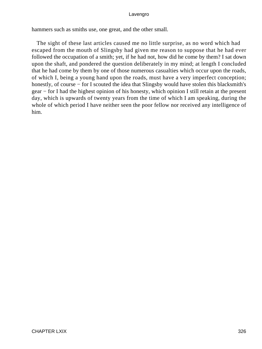hammers such as smiths use, one great, and the other small.

 The sight of these last articles caused me no little surprise, as no word which had escaped from the mouth of Slingsby had given me reason to suppose that he had ever followed the occupation of a smith; yet, if he had not, how did he come by them? I sat down upon the shaft, and pondered the question deliberately in my mind; at length I concluded that he had come by them by one of those numerous casualties which occur upon the roads, of which I, being a young hand upon the roads, must have a very imperfect conception; honestly, of course − for I scouted the idea that Slingsby would have stolen this blacksmith's gear − for I had the highest opinion of his honesty, which opinion I still retain at the present day, which is upwards of twenty years from the time of which I am speaking, during the whole of which period I have neither seen the poor fellow nor received any intelligence of him.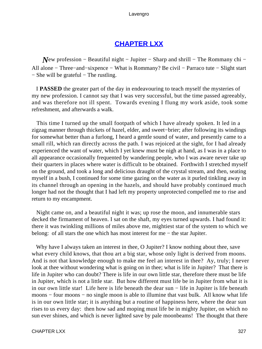# **[CHAPTER LXX](#page-497-0)**

*New profession* − Beautiful night − Jupiter − Sharp and shrill − The Rommany chi − All alone − Three−and−sixpence − What is Rommany? Be civil − Parraco tute − Slight start − She will be grateful − The rustling.

 I **PASSED** the greater part of the day in endeavouring to teach myself the mysteries of my new profession. I cannot say that I was very successful, but the time passed agreeably, and was therefore not ill spent. Towards evening I flung my work aside, took some refreshment, and afterwards a walk.

 This time I turned up the small footpath of which I have already spoken. It led in a zigzag manner through thickets of hazel, elder, and sweet−brier; after following its windings for somewhat better than a furlong, I heard a gentle sound of water, and presently came to a small rill, which ran directly across the path. I was rejoiced at the sight, for I had already experienced the want of water, which I yet knew must be nigh at hand, as I was in a place to all appearance occasionally frequented by wandering people, who I was aware never take up their quarters in places where water is difficult to be obtained. Forthwith I stretched myself on the ground, and took a long and delicious draught of the crystal stream, and then, seating myself in a bush, I continued for some time gazing on the water as it purled tinkling away in its channel through an opening in the hazels, and should have probably continued much longer had not the thought that I had left my property unprotected compelled me to rise and return to my encampment.

 Night came on, and a beautiful night it was; up rose the moon, and innumerable stars decked the firmament of heaven. I sat on the shaft, my eyes turned upwards. I had found it: there it was twinkling millions of miles above me, mightiest star of the system to which we belong: of all stars the one which has most interest for me − the star Jupiter.

Why have I always taken an interest in thee, O Jupiter? I know nothing about thee, save what every child knows, that thou art a big star, whose only light is derived from moons. And is not that knowledge enough to make me feel an interest in thee? Ay, truly; I never look at thee without wondering what is going on in thee; what is life in Jupiter? That there is life in Jupiter who can doubt? There is life in our own little star, therefore there must be life in Jupiter, which is not a little star. But how different must life be in Jupiter from what it is in our own little star! Life here is life beneath the dear sun − life in Jupiter is life beneath moons – four moons – no single moon is able to illumine that vast bulk. All know what life is in our own little star; it is anything but a routine of happiness here, where the dear sun rises to us every day: then how sad and moping must life be in mighty Jupiter, on which no sun ever shines, and which is never lighted save by pale moonbeams! The thought that there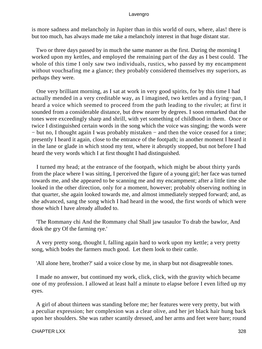is more sadness and melancholy in Jupiter than in this world of ours, where, alas! there is but too much, has always made me take a melancholy interest in that huge distant star.

 Two or three days passed by in much the same manner as the first. During the morning I worked upon my kettles, and employed the remaining part of the day as I best could. The whole of this time I only saw two individuals, rustics, who passed by my encampment without vouchsafing me a glance; they probably considered themselves my superiors, as perhaps they were.

 One very brilliant morning, as I sat at work in very good spirits, for by this time I had actually mended in a very creditable way, as I imagined, two kettles and a frying−pan, I heard a voice which seemed to proceed from the path leading to the rivulet; at first it sounded from a considerable distance, but drew nearer by degrees. I soon remarked that the tones were exceedingly sharp and shrill, with yet something of childhood in them. Once or twice I distinguished certain words in the song which the voice was singing; the words were − but no, I thought again I was probably mistaken − and then the voice ceased for a time; presently I heard it again, close to the entrance of the footpath; in another moment I heard it in the lane or glade in which stood my tent, where it abruptly stopped, but not before I had heard the very words which I at first thought I had distinguished.

 I turned my head; at the entrance of the footpath, which might be about thirty yards from the place where I was sitting, I perceived the figure of a young girl; her face was turned towards me, and she appeared to be scanning me and my encampment; after a little time she looked in the other direction, only for a moment, however; probably observing nothing in that quarter, she again looked towards me, and almost immediately stepped forward; and, as she advanced, sang the song which I had heard in the wood, the first words of which were those which I have already alluded to.

 'The Rommany chi And the Rommany chal Shall jaw tasaulor To drab the bawlor, And dook the gry Of the farming rye.'

 A very pretty song, thought I, falling again hard to work upon my kettle; a very pretty song, which bodes the farmers much good. Let them look to their cattle.

'All alone here, brother?' said a voice close by me, in sharp but not disagreeable tones.

 I made no answer, but continued my work, click, click, with the gravity which became one of my profession. I allowed at least half a minute to elapse before I even lifted up my eyes.

 A girl of about thirteen was standing before me; her features were very pretty, but with a peculiar expression; her complexion was a clear olive, and her jet black hair hung back upon her shoulders. She was rather scantily dressed, and her arms and feet were bare; round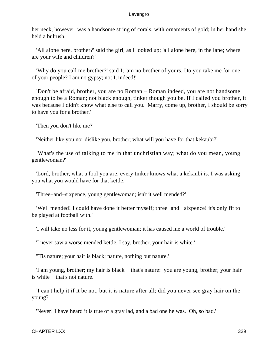her neck, however, was a handsome string of corals, with ornaments of gold; in her hand she held a bulrush.

 'All alone here, brother?' said the girl, as I looked up; 'all alone here, in the lane; where are your wife and children?'

 'Why do you call me brother?' said I; 'am no brother of yours. Do you take me for one of your people? I am no gypsy; not I, indeed!'

 'Don't be afraid, brother, you are no Roman − Roman indeed, you are not handsome enough to be a Roman; not black enough, tinker though you be. If I called you brother, it was because I didn't know what else to call you. Marry, come up, brother, I should be sorry to have you for a brother.'

'Then you don't like me?'

'Neither like you nor dislike you, brother; what will you have for that kekaubi?'

 'What's the use of talking to me in that unchristian way; what do you mean, young gentlewoman?'

 'Lord, brother, what a fool you are; every tinker knows what a kekaubi is. I was asking you what you would have for that kettle.'

'Three−and−sixpence, young gentlewoman; isn't it well mended?'

 'Well mended! I could have done it better myself; three−and− sixpence! it's only fit to be played at football with.'

'I will take no less for it, young gentlewoman; it has caused me a world of trouble.'

'I never saw a worse mended kettle. I say, brother, your hair is white.'

"Tis nature; your hair is black; nature, nothing but nature.'

 'I am young, brother; my hair is black − that's nature: you are young, brother; your hair is white − that's not nature.'

 'I can't help it if it be not, but it is nature after all; did you never see gray hair on the young?'

'Never! I have heard it is true of a gray lad, and a bad one he was. Oh, so bad.'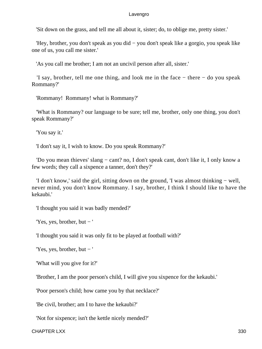'Sit down on the grass, and tell me all about it, sister; do, to oblige me, pretty sister.'

 'Hey, brother, you don't speak as you did − you don't speak like a gorgio, you speak like one of us, you call me sister.'

'As you call me brother; I am not an uncivil person after all, sister.'

 'I say, brother, tell me one thing, and look me in the face − there − do you speak Rommany?'

'Rommany! Rommany! what is Rommany?'

 'What is Rommany? our language to be sure; tell me, brother, only one thing, you don't speak Rommany?'

'You say it.'

'I don't say it, I wish to know. Do you speak Rommany?'

 'Do you mean thieves' slang − cant? no, I don't speak cant, don't like it, I only know a few words; they call a sixpence a tanner, don't they?'

 'I don't know,' said the girl, sitting down on the ground, 'I was almost thinking − well, never mind, you don't know Rommany. I say, brother, I think I should like to have the kekaubi.'

'I thought you said it was badly mended?'

'Yes, yes, brother, but − '

'I thought you said it was only fit to be played at football with?'

'Yes, yes, brother, but − '

'What will you give for it?'

'Brother, I am the poor person's child, I will give you sixpence for the kekaubi.'

'Poor person's child; how came you by that necklace?'

'Be civil, brother; am I to have the kekaubi?'

'Not for sixpence; isn't the kettle nicely mended?'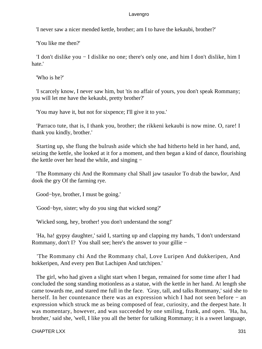'I never saw a nicer mended kettle, brother; am I to have the kekaubi, brother?'

'You like me then?'

 'I don't dislike you − I dislike no one; there's only one, and him I don't dislike, him I hate.'

'Who is he?'

 'I scarcely know, I never saw him, but 'tis no affair of yours, you don't speak Rommany; you will let me have the kekaubi, pretty brother?'

'You may have it, but not for sixpence; I'll give it to you.'

 'Parraco tute, that is, I thank you, brother; the rikkeni kekaubi is now mine. O, rare! I thank you kindly, brother.'

 Starting up, she flung the bulrush aside which she had hitherto held in her hand, and, seizing the kettle, she looked at it for a moment, and then began a kind of dance, flourishing the kettle over her head the while, and singing −

 'The Rommany chi And the Rommany chal Shall jaw tasaulor To drab the bawlor, And dook the gry Of the farming rye.

Good−bye, brother, I must be going.'

'Good−bye, sister; why do you sing that wicked song?'

'Wicked song, hey, brother! you don't understand the song!'

 'Ha, ha! gypsy daughter,' said I, starting up and clapping my hands, 'I don't understand Rommany, don't I? You shall see; here's the answer to your gillie −

 'The Rommany chi And the Rommany chal, Love Luripen And dukkeripen, And hokkeripen, And every pen But Lachipen And tatchipen.'

 The girl, who had given a slight start when I began, remained for some time after I had concluded the song standing motionless as a statue, with the kettle in her hand. At length she came towards me, and stared me full in the face. 'Gray, tall, and talks Rommany,' said she to herself. In her countenance there was an expression which I had not seen before − an expression which struck me as being composed of fear, curiosity, and the deepest hate. It was momentary, however, and was succeeded by one smiling, frank, and open. 'Ha, ha, brother,' said she, 'well, I like you all the better for talking Rommany; it is a sweet language,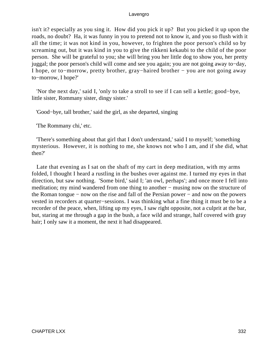isn't it? especially as you sing it. How did you pick it up? But you picked it up upon the roads, no doubt? Ha, it was funny in you to pretend not to know it, and you so flush with it all the time; it was not kind in you, however, to frighten the poor person's child so by screaming out, but it was kind in you to give the rikkeni kekaubi to the child of the poor person. She will be grateful to you; she will bring you her little dog to show you, her pretty juggal; the poor person's child will come and see you again; you are not going away to−day, I hope, or to−morrow, pretty brother, gray−haired brother − you are not going away to−morrow, I hope?'

 'Nor the next day,' said I, 'only to take a stroll to see if I can sell a kettle; good−bye, little sister, Rommany sister, dingy sister.'

'Good−bye, tall brother,' said the girl, as she departed, singing

'The Rommany chi,' etc.

 'There's something about that girl that I don't understand,' said I to myself; 'something mysterious. However, it is nothing to me, she knows not who I am, and if she did, what then?'

 Late that evening as I sat on the shaft of my cart in deep meditation, with my arms folded, I thought I heard a rustling in the bushes over against me. I turned my eyes in that direction, but saw nothing. 'Some bird,' said I; 'an owl, perhaps'; and once more I fell into meditation; my mind wandered from one thing to another – musing now on the structure of the Roman tongue − now on the rise and fall of the Persian power − and now on the powers vested in recorders at quarter−sessions. I was thinking what a fine thing it must be to be a recorder of the peace, when, lifting up my eyes, I saw right opposite, not a culprit at the bar, but, staring at me through a gap in the bush, a face wild and strange, half covered with gray hair; I only saw it a moment, the next it had disappeared.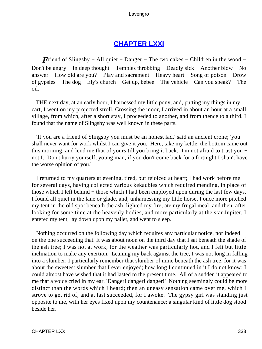# **[CHAPTER LXXI](#page-497-0)**

*F*riend of Slingsby − All quiet − Danger − The two cakes − Children in the wood − Don't be angry − In deep thought − Temples throbbing − Deadly sick − Another blow − No answer − How old are you? − Play and sacrament − Heavy heart − Song of poison − Drow of gypsies − The dog − Ely's church − Get up, bebee − The vehicle − Can you speak? − The oil.

 THE next day, at an early hour, I harnessed my little pony, and, putting my things in my cart, I went on my projected stroll. Crossing the moor, I arrived in about an hour at a small village, from which, after a short stay, I proceeded to another, and from thence to a third. I found that the name of Slingsby was well known in these parts.

 'If you are a friend of Slingsby you must be an honest lad,' said an ancient crone; 'you shall never want for work whilst I can give it you. Here, take my kettle, the bottom came out this morning, and lend me that of yours till you bring it back. I'm not afraid to trust you − not I. Don't hurry yourself, young man, if you don't come back for a fortnight I shan't have the worse opinion of you.'

 I returned to my quarters at evening, tired, but rejoiced at heart; I had work before me for several days, having collected various kekaubies which required mending, in place of those which I left behind − those which I had been employed upon during the last few days. I found all quiet in the lane or glade, and, unharnessing my little horse, I once more pitched my tent in the old spot beneath the ash, lighted my fire, ate my frugal meal, and then, after looking for some time at the heavenly bodies, and more particularly at the star Jupiter, I entered my tent, lay down upon my pallet, and went to sleep.

 Nothing occurred on the following day which requires any particular notice, nor indeed on the one succeeding that. It was about noon on the third day that I sat beneath the shade of the ash tree; I was not at work, for the weather was particularly hot, and I felt but little inclination to make any exertion. Leaning my back against the tree, I was not long in falling into a slumber; I particularly remember that slumber of mine beneath the ash tree, for it was about the sweetest slumber that I ever enjoyed; how long I continued in it I do not know; I could almost have wished that it had lasted to the present time. All of a sudden it appeared to me that a voice cried in my ear, 'Danger! danger! danger!' Nothing seemingly could be more distinct than the words which I heard; then an uneasy sensation came over me, which I strove to get rid of, and at last succeeded, for I awoke. The gypsy girl was standing just opposite to me, with her eyes fixed upon my countenance; a singular kind of little dog stood beside her.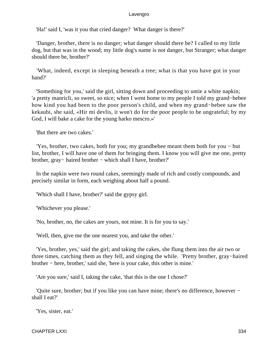'Ha!' said I, 'was it you that cried danger? What danger is there?'

 'Danger, brother, there is no danger; what danger should there be? I called to my little dog, but that was in the wood; my little dog's name is not danger, but Stranger; what danger should there be, brother?'

 'What, indeed, except in sleeping beneath a tree; what is that you have got in your hand?'

 'Something for you,' said the girl, sitting down and proceeding to untie a white napkin; 'a pretty manricli, so sweet, so nice; when I went home to my people I told my grand−bebee how kind you had been to the poor person's child, and when my grand−bebee saw the kekaubi, she said, «Hir mi devlis, it won't do for the poor people to be ungrateful; by my God, I will bake a cake for the young harko mescro.»'

'But there are two cakes.'

 'Yes, brother, two cakes, both for you; my grandbebee meant them both for you − but list, brother, I will have one of them for bringing them. I know you will give me one, pretty brother, gray− haired brother − which shall I have, brother?'

 In the napkin were two round cakes, seemingly made of rich and costly compounds, and precisely similar in form, each weighing about half a pound.

'Which shall I have, brother?' said the gypsy girl.

'Whichever you please.'

'No, brother, no, the cakes are yours, not mine. It is for you to say.'

'Well, then, give me the one nearest you, and take the other.'

 'Yes, brother, yes,' said the girl; and taking the cakes, she flung them into the air two or three times, catching them as they fell, and singing the while. 'Pretty brother, gray−haired brother − here, brother,' said she, 'here is your cake, this other is mine.'

'Are you sure,' said I, taking the cake, 'that this is the one I chose?'

 'Quite sure, brother; but if you like you can have mine; there's no difference, however − shall I eat?'

'Yes, sister, eat.'

CHAPTER LXXI 334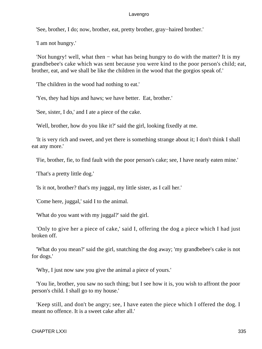'See, brother, I do; now, brother, eat, pretty brother, gray−haired brother.'

'I am not hungry.'

 'Not hungry! well, what then − what has being hungry to do with the matter? It is my grandbebee's cake which was sent because you were kind to the poor person's child; eat, brother, eat, and we shall be like the children in the wood that the gorgios speak of.'

'The children in the wood had nothing to eat.'

'Yes, they had hips and haws; we have better. Eat, brother.'

'See, sister, I do,' and I ate a piece of the cake.

'Well, brother, how do you like it?' said the girl, looking fixedly at me.

 'It is very rich and sweet, and yet there is something strange about it; I don't think I shall eat any more.'

'Fie, brother, fie, to find fault with the poor person's cake; see, I have nearly eaten mine.'

'That's a pretty little dog.'

'Is it not, brother? that's my juggal, my little sister, as I call her.'

'Come here, juggal,' said I to the animal.

'What do you want with my juggal?' said the girl.

 'Only to give her a piece of cake,' said I, offering the dog a piece which I had just broken off.

 'What do you mean?' said the girl, snatching the dog away; 'my grandbebee's cake is not for dogs.'

'Why, I just now saw you give the animal a piece of yours.'

 'You lie, brother, you saw no such thing; but I see how it is, you wish to affront the poor person's child. I shall go to my house.'

 'Keep still, and don't be angry; see, I have eaten the piece which I offered the dog. I meant no offence. It is a sweet cake after all.'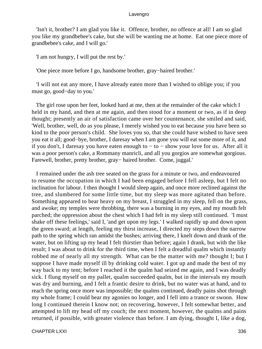'Isn't it, brother? I am glad you like it. Offence, brother, no offence at all! I am so glad you like my grandbebee's cake, but she will be wanting me at home. Eat one piece more of grandbebee's cake, and I will go.'

'I am not hungry, I will put the rest by.'

'One piece more before I go, handsome brother, gray−haired brother.'

 'I will not eat any more, I have already eaten more than I wished to oblige you; if you must go, good−day to you.'

 The girl rose upon her feet, looked hard at me, then at the remainder of the cake which I held in my hand, and then at me again, and then stood for a moment or two, as if in deep thought; presently an air of satisfaction came over her countenance, she smiled and said, 'Well, brother, well, do as you please, I merely wished you to eat because you have been so kind to the poor person's child. She loves you so, that she could have wished to have seen you eat it all; good−bye, brother, I daresay when I am gone you will eat some more of it, and if you don't, I daresay you have eaten enough to − to − show your love for us. After all it was a poor person's cake, a Rommany manricli, and all you gorgios are somewhat gorgious. Farewell, brother, pretty brother, gray− haired brother. Come, juggal.'

 I remained under the ash tree seated on the grass for a minute or two, and endeavoured to resume the occupation in which I had been engaged before I fell asleep, but I felt no inclination for labour. I then thought I would sleep again, and once more reclined against the tree, and slumbered for some little time, but my sleep was more agitated than before. Something appeared to bear heavy on my breast, I struggled in my sleep, fell on the grass, and awoke; my temples were throbbing, there was a burning in my eyes, and my mouth felt parched; the oppression about the chest which I had felt in my sleep still continued. 'I must shake off these feelings,' said I, 'and get upon my legs.' I walked rapidly up and down upon the green sward; at length, feeling my thirst increase, I directed my steps down the narrow path to the spring which ran amidst the bushes; arriving there, I knelt down and drank of the water, but on lifting up my head I felt thirstier than before; again I drank, but with the like result; I was about to drink for the third time, when I felt a dreadful qualm which instantly robbed me of nearly all my strength. What can be the matter with me? thought I; but I suppose I have made myself ill by drinking cold water. I got up and made the best of my way back to my tent; before I reached it the qualm had seized me again, and I was deadly sick. I flung myself on my pallet, qualm succeeded qualm, but in the intervals my mouth was dry and burning, and I felt a frantic desire to drink, but no water was at hand, and to reach the spring once more was impossible; the qualms continued, deadly pains shot through my whole frame; I could bear my agonies no longer, and I fell into a trance or swoon. How long I continued therein I know not; on recovering, however, I felt somewhat better, and attempted to lift my head off my couch; the next moment, however, the qualms and pains returned, if possible, with greater violence than before. I am dying, thought I, like a dog,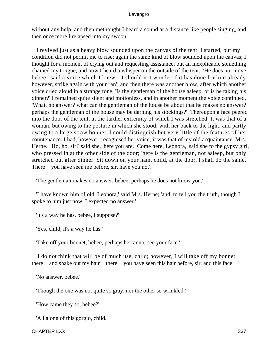without any help; and then methought I heard a sound at a distance like people singing, and then once more I relapsed into my swoon.

 I revived just as a heavy blow sounded upon the canvas of the tent. I started, but my condition did not permit me to rise; again the same kind of blow sounded upon the canvas; I thought for a moment of crying out and requesting assistance, but an inexplicable something chained my tongue, and now I heard a whisper on the outside of the tent. 'He does not move, bebee,' said a voice which I knew. 'I should not wonder if it has done for him already; however, strike again with your ran'; and then there was another blow, after which another voice cried aloud in a strange tone, 'Is the gentleman of the house asleep, or is he taking his dinner?' I remained quite silent and motionless, and in another moment the voice continued, 'What, no answer? what can the gentleman of the house be about that he makes no answer? perhaps the gentleman of the house may be darning his stockings?' Thereupon a face peered into the door of the tent, at the farther extremity of which I was stretched. It was that of a woman, but owing to the posture in which she stood, with her back to the light, and partly owing to a large straw bonnet, I could distinguish but very little of the features of her countenance. I had, however, recognised her voice; it was that of my old acquaintance, Mrs. Herne. 'Ho, ho, sir!' said she, 'here you are. Come here, Leonora,' said she to the gypsy girl, who pressed in at the other side of the door; 'here is the gentleman, not asleep, but only stretched out after dinner. Sit down on your ham, child, at the door, I shall do the same. There − you have seen me before, sir, have you not?'

'The gentleman makes no answer, bebee; perhaps he does not know you.'

 'I have known him of old, Leonora,' said Mrs. Herne; 'and, to tell you the truth, though I spoke to him just now, I expected no answer.'

'It's a way he has, bebee, I suppose?'

'Yes, child, it's a way he has.'

'Take off your bonnet, bebee, perhaps he cannot see your face.'

 'I do not think that will be of much use, child; however, I will take off my bonnet − there − and shake out my hair − there − you have seen this hair before, sir, and this face − '

'No answer, bebee.'

'Though the one was not quite so gray, nor the other so wrinkled.'

'How came they so, bebee?'

'All along of this gorgio, child.'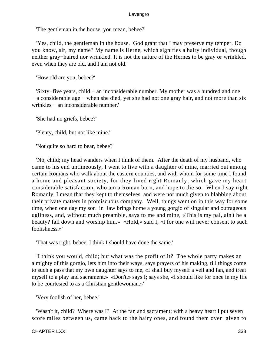'The gentleman in the house, you mean, bebee?'

 'Yes, child, the gentleman in the house. God grant that I may preserve my temper. Do you know, sir, my name? My name is Herne, which signifies a hairy individual, though neither gray−haired nor wrinkled. It is not the nature of the Hernes to be gray or wrinkled, even when they are old, and I am not old.'

'How old are you, bebee?'

 'Sixty−five years, child − an inconsiderable number. My mother was a hundred and one − a considerable age − when she died, yet she had not one gray hair, and not more than six wrinkles − an inconsiderable number.'

'She had no griefs, bebee?'

'Plenty, child, but not like mine.'

'Not quite so hard to bear, bebee?'

 'No, child; my head wanders when I think of them. After the death of my husband, who came to his end untimeously, I went to live with a daughter of mine, married out among certain Romans who walk about the eastern counties, and with whom for some time I found a home and pleasant society, for they lived right Romanly, which gave my heart considerable satisfaction, who am a Roman born, and hope to die so. When I say right Romanly, I mean that they kept to themselves, and were not much given to blabbing about their private matters in promiscuous company. Well, things went on in this way for some time, when one day my son−in−law brings home a young gorgio of singular and outrageous ugliness, and, without much preamble, says to me and mine, «This is my pal, ain't he a beauty? fall down and worship him.» «Hold,» said I, «I for one will never consent to such foolishness.»'

'That was right, bebee, I think I should have done the same.'

 'I think you would, child; but what was the profit of it? The whole party makes an almighty of this gorgio, lets him into their ways, says prayers of his making, till things come to such a pass that my own daughter says to me, «I shall buy myself a veil and fan, and treat myself to a play and sacrament.» «Don't,» says I; says she, «I should like for once in my life to be courtesied to as a Christian gentlewoman.»'

'Very foolish of her, bebee.'

 'Wasn't it, child? Where was I? At the fan and sacrament; with a heavy heart I put seven score miles between us, came back to the hairy ones, and found them over−given to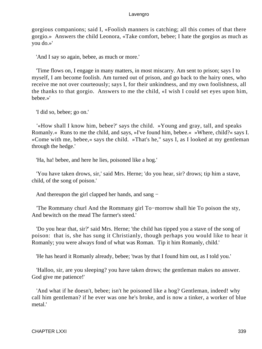gorgious companions; said I, «Foolish manners is catching; all this comes of that there gorgio.» Answers the child Leonora, «Take comfort, bebee; I hate the gorgios as much as you do.»'

'And I say so again, bebee, as much or more.'

 'Time flows on, I engage in many matters, in most miscarry. Am sent to prison; says I to myself, I am become foolish. Am turned out of prison, and go back to the hairy ones, who receive me not over courteously; says I, for their unkindness, and my own foolishness, all the thanks to that gorgio. Answers to me the child, «I wish I could set eyes upon him, bebee.»'

'I did so, bebee; go on.'

 '«How shall I know him, bebee?' says the child. »Young and gray, tall, and speaks Romanly.« Runs to me the child, and says, »I've found him, bebee.« »Where, child?« says I. »Come with me, bebee,« says the child. »That's he," says I, as I looked at my gentleman through the hedge.'

'Ha, ha! bebee, and here he lies, poisoned like a hog.'

 'You have taken drows, sir,' said Mrs. Herne; 'do you hear, sir? drows; tip him a stave, child, of the song of poison.'

And thereupon the girl clapped her hands, and sang −

 'The Rommany churl And the Rommany girl To−morrow shall hie To poison the sty, And bewitch on the mead The farmer's steed.'

 'Do you hear that, sir?' said Mrs. Herne; 'the child has tipped you a stave of the song of poison: that is, she has sung it Christianly, though perhaps you would like to hear it Romanly; you were always fond of what was Roman. Tip it him Romanly, child.'

'He has heard it Romanly already, bebee; 'twas by that I found him out, as I told you.'

 'Halloo, sir, are you sleeping? you have taken drows; the gentleman makes no answer. God give me patience!'

 'And what if he doesn't, bebee; isn't he poisoned like a hog? Gentleman, indeed! why call him gentleman? if he ever was one he's broke, and is now a tinker, a worker of blue metal.'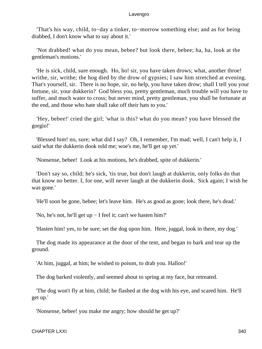'That's his way, child, to−day a tinker, to−morrow something else; and as for being drabbed, I don't know what to say about it.'

 'Not drabbed! what do you mean, bebee? but look there, bebee; ha, ha, look at the gentleman's motions.'

 'He is sick, child, sure enough. Ho, ho! sir, you have taken drows; what, another throe! writhe, sir, writhe; the hog died by the drow of gypsies; I saw him stretched at evening. That's yourself, sir. There is no hope, sir, no help, you have taken drow; shall I tell you your fortune, sir, your dukkerin? God bless you, pretty gentleman, much trouble will you have to suffer, and much water to cross; but never mind, pretty gentleman, you shall be fortunate at the end, and those who hate shall take off their hats to you.'

 'Hey, bebee!' cried the girl; 'what is this? what do you mean? you have blessed the gorgio!'

 'Blessed him! no, sure; what did I say? Oh, I remember, I'm mad; well, I can't help it, I said what the dukkerin dook told me; woe's me, he'll get up yet.'

'Nonsense, bebee! Look at his motions, he's drabbed, spite of dukkerin.'

 'Don't say so, child; he's sick, 'tis true, but don't laugh at dukkerin, only folks do that that know no better. I, for one, will never laugh at the dukkerin dook. Sick again; I wish he was gone.'

'He'll soon be gone, bebee; let's leave him. He's as good as gone; look there, he's dead.'

'No, he's not, he'll get up − I feel it; can't we hasten him?'

'Hasten him! yes, to be sure; set the dog upon him. Here, juggal, look in there, my dog.'

 The dog made its appearance at the door of the tent, and began to bark and tear up the ground.

'At him, juggal, at him; he wished to poison, to drab you. Halloo!'

The dog barked violently, and seemed about to spring at my face, but retreated.

 'The dog won't fly at him, child; he flashed at the dog with his eye, and scared him. He'll get up.'

'Nonsense, bebee! you make me angry; how should he get up?'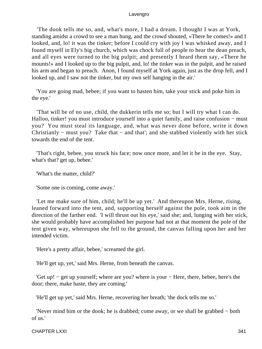'The dook tells me so, and, what's more, I had a dream. I thought I was at York, standing amidst a crowd to see a man hung, and the crowd shouted, «There he comes!» and I looked, and, lo! it was the tinker; before I could cry with joy I was whisked away, and I found myself in Ely's big church, which was chock full of people to hear the dean preach, and all eyes were turned to the big pulpit; and presently I heard them say, «There he mounts!» and I looked up to the big pulpit, and, lo! the tinker was in the pulpit, and he raised his arm and began to preach. Anon, I found myself at York again, just as the drop fell, and I looked up, and I saw not the tinker, but my own self hanging in the air.'

 'You are going mad, bebee; if you want to hasten him, take your stick and poke him in the eye.'

 'That will be of no use, child, the dukkerin tells me so; but I will try what I can do. Halloo, tinker! you must introduce yourself into a quiet family, and raise confusion – must you? You must steal its language, and, what was never done before, write it down Christianly − must you? Take that − and that'; and she stabbed violently with her stick towards the end of the tent.

 'That's right, bebee, you struck his face; now once more, and let it be in the eye. Stay, what's that? get up, bebee.'

'What's the matter, child?'

'Some one is coming, come away.'

 'Let me make sure of him, child; he'll be up yet.' And thereupon Mrs. Herne, rising, leaned forward into the tent, and, supporting herself against the pole, took aim in the direction of the farther end. 'I will thrust out his eye,' said she; and, lunging with her stick, she would probably have accomplished her purpose had not at that moment the pole of the tent given way, whereupon she fell to the ground, the canvas falling upon her and her intended victim.

'Here's a pretty affair, bebee,' screamed the girl.

'He'll get up, yet,' said Mrs. Herne, from beneath the canvas.

 'Get up! − get up yourself; where are you? where is your − Here, there, bebee, here's the door; there, make haste, they are coming.'

'He'll get up yet,' said Mrs. Herne, recovering her breath; 'the dock tells me so.'

 'Never mind him or the dook; he is drabbed; come away, or we shall be grabbed − both of us.'

CHAPTER LXXI 341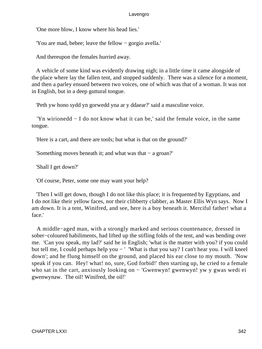'One more blow, I know where his head lies.'

'You are mad, bebee; leave the fellow − gorgio avella.'

And thereupon the females hurried away.

 A vehicle of some kind was evidently drawing nigh; in a little time it came alongside of the place where lay the fallen tent, and stopped suddenly. There was a silence for a moment, and then a parley ensued between two voices, one of which was that of a woman. It was not in English, but in a deep guttural tongue.

'Peth yw hono sydd yn gorwedd yna ar y ddaear?' said a masculine voice.

 'Yn wirionedd − I do not know what it can be,' said the female voice, in the same tongue.

'Here is a cart, and there are tools; but what is that on the ground?'

'Something moves beneath it; and what was that − a groan?'

'Shall I get down?'

'Of course, Peter, some one may want your help?

 'Then I will get down, though I do not like this place; it is frequented by Egyptians, and I do not like their yellow faces, nor their clibberty clabber, as Master Ellis Wyn says. Now I am down. It is a tent, Winifred, and see, here is a boy beneath it. Merciful father! what a face.'

 A middle−aged man, with a strongly marked and serious countenance, dressed in sober−coloured habiliments, had lifted up the stifling folds of the tent, and was bending over me. 'Can you speak, my lad?' said he in English; 'what is the matter with you? if you could but tell me, I could perhaps help you − ' 'What is that you say? I can't hear you. I will kneel down'; and he flung himself on the ground, and placed his ear close to my mouth. 'Now speak if you can. Hey! what! no, sure, God forbid!' then starting up, he cried to a female who sat in the cart, anxiously looking on − 'Gwenwyn! gwenwyn! yw y gwas wedi ei gwenwynaw. The oil! Winifred, the oil!'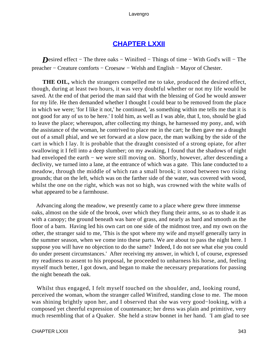# **[CHAPTER LXXII](#page-497-0)**

*Desired effect* – The three oaks – Winifred – Things of time – With God's will – The preacher − Creature comforts − Croesaw − Welsh and English − Mayor of Chester.

**THE OIL,** which the strangers compelled me to take, produced the desired effect, though, during at least two hours, it was very doubtful whether or not my life would be saved. At the end of that period the man said that with the blessing of God he would answer for my life. He then demanded whether I thought I could bear to be removed from the place in which we were; 'for I like it not,' he continued, 'as something within me tells me that it is not good for any of us to be here.' I told him, as well as I was able, that I, too, should be glad to leave the place; whereupon, after collecting my things, he harnessed my pony, and, with the assistance of the woman, he contrived to place me in the cart; he then gave me a draught out of a small phial, and we set forward at a slow pace, the man walking by the side of the cart in which I lay. It is probable that the draught consisted of a strong opiate, for after swallowing it I fell into a deep slumber; on my awaking, I found that the shadows of night had enveloped the earth – we were still moving on. Shortly, however, after descending a declivity, we turned into a lane, at the entrance of which was a gate. This lane conducted to a meadow, through the middle of which ran a small brook; it stood between two rising grounds; that on the left, which was on the farther side of the water, was covered with wood, whilst the one on the right, which was not so high, was crowned with the white walls of what appeared to be a farmhouse.

 Advancing along the meadow, we presently came to a place where grew three immense oaks, almost on the side of the brook, over which they flung their arms, so as to shade it as with a canopy; the ground beneath was bare of grass, and nearly as hard and smooth as the floor of a barn. Having led his own cart on one side of the midmost tree, and my own on the other, the stranger said to me, 'This is the spot where my wife and myself generally tarry in the summer season, when we come into these parts. We are about to pass the night here. I suppose you will have no objection to do the same? Indeed, I do not see what else you could do under present circumstances.' After receiving my answer, in which I, of course, expressed my readiness to assent to his proposal, he proceeded to unharness his horse, and, feeling myself much better, I got down, and began to make the necessary preparations for passing the night beneath the oak.

 Whilst thus engaged, I felt myself touched on the shoulder, and, looking round, perceived the woman, whom the stranger called Winifred, standing close to me. The moon was shining brightly upon her, and I observed that she was very good−looking, with a composed yet cheerful expression of countenance; her dress was plain and primitive, very much resembling that of a Quaker. She held a straw bonnet in her hand. 'I am glad to see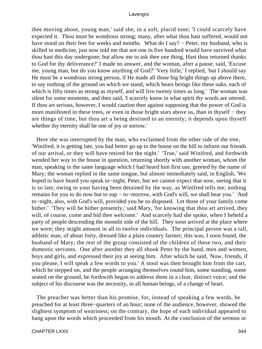thee moving about, young man,' said she, in a soft, placid tone; 'I could scarcely have expected it. Thou must be wondrous strong; many, after what thou hast suffered, would not have stood on their feet for weeks and months. What do I say? – Peter, my husband, who is skilled in medicine, just now told me that not one in five hundred would have survived what thou hast this day undergone; but allow me to ask thee one thing, Hast thou returned thanks to God for thy deliverance?' I made no answer, and the woman, after a pause, said, 'Excuse me, young man, but do you know anything of God?' 'Very little,' I replied, 'but I should say He must be a wondrous strong person, if He made all those big bright things up above there, to say nothing of the ground on which we stand, which bears beings like these oaks, each of which is fifty times as strong as myself, and will live twenty times as long.' The woman was silent for some moments, and then said, 'I scarcely know in what spirit thy words are uttered. If thou art serious, however, I would caution thee against supposing that the power of God is more manifested in these trees, or even in those bright stars above us, than in thyself – they are things of time, but thou art a being destined to an eternity; it depends upon thyself whether thy eternity shall be one of joy or sorrow.'

 Here she was interrupted by the man, who exclaimed from the other side of the tree, 'Winifred, it is getting late, you had better go up to the house on the hill to inform our friends of our arrival, or they will have retired for the night.' 'True,' said Winifred, and forthwith wended her way to the house in question, returning shortly with another woman, whom the man, speaking in the same language which I had heard him first use, greeted by the name of Mary; the woman replied in the same tongue, but almost immediately said, in English, 'We hoped to have heard you speak to−night, Peter, but we cannot expect that now, seeing that it is so late, owing to your having been detained by the way, as Winifred tells me; nothing remains for you to do now but to sup − to−morrow, with God's will, we shall hear you.' 'And to−night, also, with God's will, provided you be so disposed. Let those of your family come hither.' 'They will be hither presently,' said Mary, 'for knowing that thou art arrived, they will, of course, come and bid thee welcome.' And scarcely had she spoke, when I beheld a party of people descending the moonlit side of the hill. They soon arrived at the place where we were; they might amount in all to twelve individuals. The principal person was a tall, athletic man, of about forty, dressed like a plain country farmer; this was, I soon found, the husband of Mary; the rest of the group consisted of the children of these two, and their domestic servants. One after another they all shook Peter by the hand, men and women, boys and girls, and expressed their joy at seeing him. After which he said, 'Now, friends, if you please, I will speak a few words to you.' A stool was then brought him from the cart, which he stepped on, and the people arranging themselves round him, some standing, some seated on the ground, he forthwith began to address them in a clear, distinct voice; and the subject of his discourse was the necessity, in all human beings, of a change of heart.

 The preacher was better than his promise, for, instead of speaking a few words, he preached for at least three−quarters of an hour; none of the audience, however, showed the slightest symptom of weariness; on the contrary, the hope of each individual appeared to hang upon the words which proceeded from his mouth. At the conclusion of the sermon or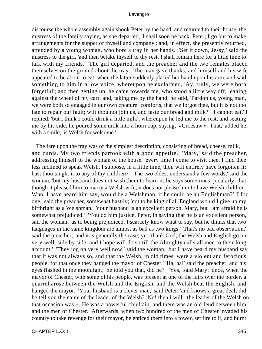discourse the whole assembly again shook Peter by the hand, and returned to their house, the mistress of the family saying, as she departed, 'I shall soon be back, Peter; I go but to make arrangements for the supper of thyself and company'; and, in effect, she presently returned, attended by a young woman, who bore a tray in her hands. 'Set it down, Jessy,' said the mistress to the girl, 'and then betake thyself to thy rest, I shall remain here for a little time to talk with my friends.' The girl departed, and the preacher and the two females placed themselves on the ground about the tray. The man gave thanks, and himself and his wife appeared to be about to eat, when the latter suddenly placed her hand upon his arm, and said something to him in a low voice, whereupon he exclaimed, 'Ay, truly, we were both forgetful'; and then getting up, he came towards me, who stood a little way off, leaning against the wheel of my cart; and, taking me by the hand, he said, 'Pardon us, young man, we were both so engaged in our own creature−comforts, that we forgot thee, but it is not too late to repair our fault; wilt thou not join us, and taste our bread and milk?' 'I cannot eat,' I replied, 'but I think I could drink a little milk'; whereupon he led me to the rest, and seating me by his side, he poured some milk into a horn cup, saying, '«Croesaw.» That,' added he, with a smile, 'is Welsh for welcome.'

 The fare upon the tray was of the simplest description, consisting of bread, cheese, milk, and curds. My two friends partook with a good appetite. 'Mary,' said the preacher, addressing himself to the woman of the house, 'every time I come to visit thee, I find thee less inclined to speak Welsh. I suppose, in a little time, thou wilt entirely have forgotten it; hast thou taught it to any of thy children?' 'The two eldest understand a few words,' said the woman, 'but my husband does not wish them to learn it; he says sometimes, jocularly, that though it pleased him to marry a Welsh wife, it does not please him to have Welsh children. Who, I have heard him say, would be a Welshman, if he could be an Englishman?' 'I for one,' said the preacher, somewhat hastily; 'not to be king of all England would I give up my birthright as a Welshman. Your husband is an excellent person, Mary, but I am afraid he is somewhat prejudiced.' 'You do him justice, Peter, in saying that he is an excellent person,' sail the woman; 'as to being prejudiced, I scarcely know what to say, but he thinks that two languages in the same kingdom are almost as bad as two kings.' 'That's no bad observation,' said the preacher, 'and it is generally the case; yet, thank God, the Welsh and English go on very well, side by side, and I hope will do so till the Almighty calls all men to their long account.' 'They jog on very well now,' said the woman; 'but I have heard my husband say that it was not always so, and that the Welsh, in old times, were a violent and ferocious people, for that once they hanged the mayor of Chester.' 'Ha, ha!' said the preacher, and his eyes flashed in the moonlight; 'he told you that, did he?' 'Yes,' said Mary; 'once, when the mayor of Chester, with some of his people, was present at one of the fairs over the border, a quarrel arose between the Welsh and the English, and the Welsh beat the English, and hanged the mayor.' 'Your husband is a clever man,' said Peter, 'and knows a great deal; did he tell you the name of the leader of the Welsh? No! then I will: the leader of the Welsh on that occasion was −. He was a powerful chieftain, and there was an old feud between him and the men of Chester. Afterwards, when two hundred of the men of Chester invaded his country to take revenge for their mayor, he enticed them into a tower, set fire to it, and burnt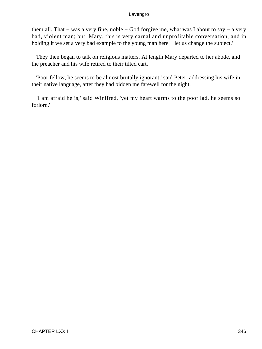them all. That − was a very fine, noble − God forgive me, what was I about to say − a very bad, violent man; but, Mary, this is very carnal and unprofitable conversation, and in holding it we set a very bad example to the young man here − let us change the subject.'

 They then began to talk on religious matters. At length Mary departed to her abode, and the preacher and his wife retired to their tilted cart.

 'Poor fellow, he seems to be almost brutally ignorant,' said Peter, addressing his wife in their native language, after they had bidden me farewell for the night.

 'I am afraid he is,' said Winifred, 'yet my heart warms to the poor lad, he seems so forlorn.'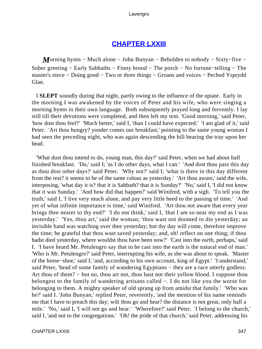# **[CHAPTER LXXIII](#page-497-0)**

*M*orning hymn – Much alone – John Bunyan – Beholden to nobody – Sixty–five – Sober greeting − Early Sabbaths − Finny brood − The porch − No fortune−telling − The master's niece − Doing good − Two or three things − Groans and voices − Pechod Ysprydd Glan.

 I **SLEPT** soundly during that night, partly owing to the influence of the opiate. Early in the morning I was awakened by the voices of Peter and his wife, who were singing a morning hymn in their own language. Both subsequently prayed long and fervently. I lay still till their devotions were completed, and then left my tent. 'Good morning,' said Peter, 'how dost thou feel?' 'Much better,' said I, 'than I could have expected.' 'I am glad of it,' said Peter. 'Art thou hungry? yonder comes our breakfast,' pointing to the same young woman I had seen the preceding night, who was again descending the hill bearing the tray upon her head.

 'What dust thou intend to do, young man, this day?' said Peter, when we had about half finished breakfast. 'Do,' said I; 'as I do other days, what I can.' 'And dost thou pass this day as thou dost other days?' said Peter. 'Why not?' said I; 'what is there in this day different from the rest? it seems to be of the same colour as yesterday.' 'Art thou aware,' said the wife, interposing, 'what day it is? that it is Sabbath? that it is Sunday?' 'No,' said I, 'I did not know that it was Sunday.' 'And how did that happen?' said Winifred, with a sigh. 'To tell you the truth,' said I, 'I live very much alone, and pay very little heed to the passing of time.' 'And yet of what infinite importance is time,' said Winifred. 'Art thou not aware that every year brings thee nearer to thy end?' 'I do not think,' said I, 'that I am so near my end as I was yesterday.' 'Yes, thou art,' said the woman; 'thou wast not doomed to die yesterday; an invisible hand was watching over thee yesterday; but thy day will come, therefore improve the time; be grateful that thou wast saved yesterday; and, oh! reflect on one thing; if thou hadst died yesterday, where wouldst thou have been now?' 'Cast into the earth, perhaps,' said I. 'I have heard Mr. Petulengro say that to be cast into the earth is the natural end of man.' 'Who is Mr. Petulengro?' said Peter, interrupting his wife, as she was about to speak. 'Master of the horse−shoe,' said I; 'and, according to his own account, king of Egypt.' 'I understand,' said Peter, 'head of some family of wandering Egyptians – they are a race utterly godless. Art thou of them? − but no, thou art not, thou hast not their yellow blood. I suppose thou belongest to the family of wandering artisans called −. I do not like you the worse for belonging to them. A mighty speaker of old sprang up from amidst that family.' 'Who was he?' said I. 'John Bunyan,' replied Peter, reverently, 'and the mention of his name reminds me that I have to preach this day; wilt thou go and hear? the distance is not great, only half a mile.' 'No,' said I, 'I will not go and hear.' 'Wherefore?' said Peter. 'I belong to the church,' said I, 'and not to the congregations.' 'Oh! the pride of that church,' said Peter, addressing his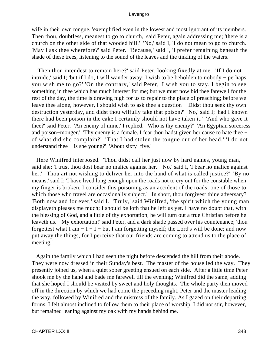wife in their own tongue, 'exemplified even in the lowest and most ignorant of its members. Then thou, doubtless, meanest to go to church,' said Peter, again addressing me; 'there is a church on the other side of that wooded hill.' 'No,' said I, 'I do not mean to go to church.' 'May I ask thee wherefore?' said Peter. 'Because,' said I, 'I prefer remaining beneath the shade of these trees, listening to the sound of the leaves and the tinkling of the waters.'

 'Then thou intendest to remain here?' said Peter, looking fixedly at me. 'If I do not intrude,' said I; 'but if I do, I will wander away; I wish to be beholden to nobody − perhaps you wish me to go?' 'On the contrary,' said Peter, 'I wish you to stay. I begin to see something in thee which has much interest for me; but we must now bid thee farewell for the rest of the day, the time is drawing nigh for us to repair to the place of preaching; before we leave thee alone, however, I should wish to ask thee a question − Didst thou seek thy own destruction yesterday, and didst thou wilfully take that poison?' 'No,' said I; 'had I known there had been poison in the cake I certainly should not have taken it.' 'And who gave it thee?' said Peter. 'An enemy of mine,' I replied. 'Who is thy enemy?' 'An Egyptian sorceress and poison−monger.' 'Thy enemy is a female. I fear thou hadst given her cause to hate thee − of what did she complain?' 'That I had stolen the tongue out of her head.' 'I do not understand thee − is she young?' 'About sixty−five.'

 Here Winifred interposed. 'Thou didst call her just now by hard names, young man,' said she; 'I trust thou dost bear no malice against her.' 'No,' said I, 'I bear no malice against her.' 'Thou art not wishing to deliver her into the hand of what is called justice?' 'By no means,' said I; 'I have lived long enough upon the roads not to cry out for the constable when my finger is broken. I consider this poisoning as an accident of the roads; one of those to which those who travel are occasionally subject.' The short, thou for givest thine adversary?' 'Both now and for ever,' said I. 'Truly,' said Winifred, 'the spirit which the young man displayeth pleases me much; I should be loth that he left us yet. I have no doubt that, with the blessing of God, and a little of thy exhortation, he will turn out a true Christian before he leaveth us.' 'My exhortation!' said Peter, and a dark shade passed over his countenance; 'thou forgettest what I am  $-I - I - but I$  am forgetting myself; the Lord's will be done; and now put away the things, for I perceive that our friends are coming to attend us to the place of meeting.'

 Again the family which I had seen the night before descended the hill from their abode. They were now dressed in their Sunday's best. The master of the house led the way. They presently joined us, when a quiet sober greeting ensued on each side. After a little time Peter shook me by the hand and bade me farewell till the evening; Winifred did the same, adding that she hoped I should be visited by sweet and holy thoughts. The whole party then moved off in the direction by which we had come the preceding night, Peter and the master leading the way, followed by Winifred and the mistress of the family. As I gazed on their departing forms, I felt almost inclined to follow them to their place of worship. I did not stir, however, but remained leaning against my oak with my hands behind me.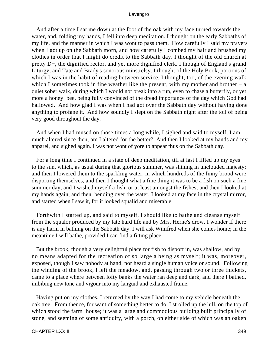And after a time I sat me down at the foot of the oak with my face turned towards the water, and, folding my hands, I fell into deep meditation. I thought on the early Sabbaths of my life, and the manner in which I was wont to pass them. How carefully I said my prayers when I got up on the Sabbath morn, and how carefully I combed my hair and brushed my clothes in order that I might do credit to the Sabbath day. I thought of the old church at pretty D−, the dignified rector, and yet more dignified clerk. I though of England's grand Liturgy, and Tate and Brady's sonorous minstrelsy. I thought of the Holy Book, portions of which I was in the habit of reading between service. I thought, too, of the evening walk which I sometimes took in fine weather like the present, with my mother and brother  $- a$ quiet sober walk, during which I would not break into a run, even to chase a butterfly, or yet more a honey−bee, being fully convinced of the dread importance of the day which God had hallowed. And how glad I was when I had got over the Sabbath day without having done anything to profane it. And how soundly I slept on the Sabbath night after the toil of being very good throughout the day.

 And when I had mused on those times a long while, I sighed and said to myself, I am much altered since then; am I altered for the better? And then I looked at my hands and my apparel, and sighed again. I was not wont of yore to appear thus on the Sabbath day.

 For a long time I continued in a state of deep meditation, till at last I lifted up my eyes to the sun, which, as usual during that glorious summer, was shining in unclouded majesty; and then I lowered them to the sparkling water, in which hundreds of the finny brood were disporting themselves, and then I thought what a fine thing it was to be a fish on such a fine summer day, and I wished myself a fish, or at least amongst the fishes; and then I looked at my hands again, and then, bending over the water, I looked at my face in the crystal mirror, and started when I saw it, for it looked squalid and miserable.

 Forthwith I started up, and said to myself, I should like to bathe and cleanse myself from the squalor produced by my late hard life and by Mrs. Herne's drow. I wonder if there is any harm in bathing on the Sabbath day. I will ask Winifred when she comes home; in the meantime I will bathe, provided I can find a fitting place.

 But the brook, though a very delightful place for fish to disport in, was shallow, and by no means adapted for the recreation of so large a being as myself; it was, moreover, exposed, though I saw nobody at hand, nor heard a single human voice or sound. Following the winding of the brook, I left the meadow, and, passing through two or three thickets, came to a place where between lofty banks the water ran deep and dark, and there I bathed, imbibing new tone and vigour into my languid and exhausted frame.

 Having put on my clothes, I returned by the way I had come to my vehicle beneath the oak tree. From thence, for want of something better to do, I strolled up the hill, on the top of which stood the farm−house; it was a large and commodious building built principally of stone, and seeming of some antiquity, with a porch, on either side of which was an oaken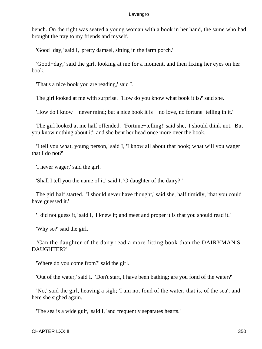bench. On the right was seated a young woman with a book in her hand, the same who had brought the tray to my friends and myself.

'Good−day,' said I, 'pretty damsel, sitting in the farm porch.'

 'Good−day,' said the girl, looking at me for a moment, and then fixing her eyes on her book.

'That's a nice book you are reading,' said I.

The girl looked at me with surprise. 'How do you know what book it is?' said she.

'How do I know − never mind; but a nice book it is − no love, no fortune−telling in it.'

 The girl looked at me half offended. 'Fortune−telling!' said she, 'I should think not. But you know nothing about it'; and she bent her head once more over the book.

 'I tell you what, young person,' said I, 'I know all about that book; what will you wager that I do not?'

'I never wager,' said the girl.

'Shall I tell you the name of it,' said I, 'O daughter of the dairy? '

 The girl half started. 'I should never have thought,' said she, half timidly, 'that you could have guessed it.'

'I did not guess it,' said I, 'I knew it; and meet and proper it is that you should read it.'

'Why so?' said the girl.

 'Can the daughter of the dairy read a more fitting book than the DAIRYMAN'S DAUGHTER?'

'Where do you come from?' said the girl.

'Out of the water,' said I. 'Don't start, I have been bathing; are you fond of the water?'

 'No,' said the girl, heaving a sigh; 'I am not fond of the water, that is, of the sea'; and here she sighed again.

'The sea is a wide gulf,' said I, 'and frequently separates hearts.'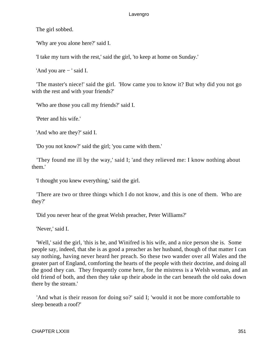The girl sobbed.

'Why are you alone here?' said I.

'I take my turn with the rest,' said the girl, 'to keep at home on Sunday.'

'And you are − ' said I.

 'The master's niece!' said the girl. 'How came you to know it? But why did you not go with the rest and with your friends?'

'Who are those you call my friends?' said I.

'Peter and his wife.'

'And who are they?' said I.

'Do you not know?' said the girl; 'you came with them.'

 'They found me ill by the way,' said I; 'and they relieved me: I know nothing about them.'

'I thought you knew everything,' said the girl.

 'There are two or three things which I do not know, and this is one of them. Who are they?'

'Did you never hear of the great Welsh preacher, Peter Williams?'

'Never,' said I.

 'Well,' said the girl, 'this is he, and Winifred is his wife, and a nice person she is. Some people say, indeed, that she is as good a preacher as her husband, though of that matter I can say nothing, having never heard her preach. So these two wander over all Wales and the greater part of England, comforting the hearts of the people with their doctrine, and doing all the good they can. They frequently come here, for the mistress is a Welsh woman, and an old friend of both, and then they take up their abode in the cart beneath the old oaks down there by the stream.'

 'And what is their reason for doing so?' said I; 'would it not be more comfortable to sleep beneath a roof?'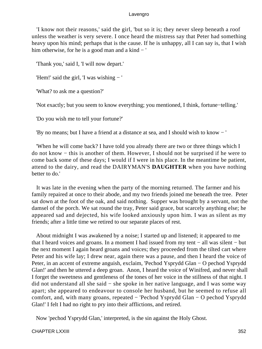'I know not their reasons,' said the girl, 'but so it is; they never sleep beneath a roof unless the weather is very severe. I once heard the mistress say that Peter had something heavy upon his mind; perhaps that is the cause. If he is unhappy, all I can say is, that I wish him otherwise, for he is a good man and a kind − '

'Thank you,' said I, 'I will now depart.'

'Hem!' said the girl, 'I was wishing − '

'What? to ask me a question?'

'Not exactly; but you seem to know everything; you mentioned, I think, fortune−telling.'

'Do you wish me to tell your fortune?'

'By no means; but I have a friend at a distance at sea, and I should wish to know − '

 'When he will come back? I have told you already there are two or three things which I do not know − this is another of them. However, I should not be surprised if he were to come back some of these days; I would if I were in his place. In the meantime be patient, attend to the dairy, and read the DAIRYMAN'S **DAUGHTER** when you have nothing better to do.'

 It was late in the evening when the party of the morning returned. The farmer and his family repaired at once to their abode, and my two friends joined me beneath the tree. Peter sat down at the foot of the oak, and said nothing. Supper was brought by a servant, not the damsel of the porch. We sat round the tray, Peter said grace, but scarcely anything else; he appeared sad and dejected, his wife looked anxiously upon him. I was as silent as my friends; after a little time we retired to our separate places of rest.

 About midnight I was awakened by a noise; I started up and listened; it appeared to me that I heard voices and groans. In a moment I had issued from my tent − all was silent − but the next moment I again heard groans and voices; they proceeded from the tilted cart where Peter and his wife lay; I drew near, again there was a pause, and then I heard the voice of Peter, in an accent of extreme anguish, exclaim, 'Pechod Ysprydd Glan − O pechod Ysprydd Glan!' and then he uttered a deep groan. Anon, I heard the voice of Winifred, and never shall I forget the sweetness and gentleness of the tones of her voice in the stillness of that night. I did not understand all she said − she spoke in her native language, and I was some way apart; she appeared to endeavour to console her husband, but he seemed to refuse all comfort, and, with many groans, repeated − 'Pechod Ysprydd Glan − O pechod Ysprydd Glan!' I felt I had no right to pry into their afflictions, and retired.

Now 'pechod Ysprydd Glan,' interpreted, is the sin against the Holy Ghost.

CHAPTER LXXIII 352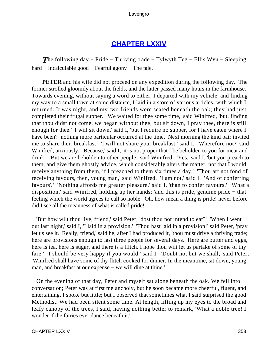# **[CHAPTER LXXIV](#page-497-0)**

*T*he following day − Pride − Thriving trade − Tylwyth Teg − Ellis Wyn − Sleeping hard − Incalculable good − Fearful agony − The tale.

**PETER** and his wife did not proceed on any expedition during the following day. The former strolled gloomily about the fields, and the latter passed many hours in the farmhouse. Towards evening, without saying a word to either, I departed with my vehicle, and finding my way to a small town at some distance, I laid in a store of various articles, with which I returned. It was night, and my two friends were seated beneath the oak; they had just completed their frugal supper. 'We waited for thee some time,' said Winifred, 'but, finding that thou didst not come, we began without thee; but sit down, I pray thee, there is still enough for thee.' 'I will sit down,' said I, 'but I require no supper, for I have eaten where I have been': nothing more particular occurred at the time. Next morning the kind pair invited me to share their breakfast. 'I will not share your breakfast,' said I. 'Wherefore not?' said Winifred, anxiously. 'Because,' said I, 'it is not proper that I be beholden to you for meat and drink.' 'But we are beholden to other people,' said Winifred. 'Yes,' said I, 'but you preach to them, and give them ghostly advice, which considerably alters the matter; not that I would receive anything from them, if I preached to them six times a day.' 'Thou art not fond of receiving favours, then, young man,' said Winifred. 'I am not,' said I. 'And of conferring favours?' 'Nothing affords me greater pleasure,' said I, 'than to confer favours.' 'What a disposition,' said Winifred, holding up her hands; 'and this is pride, genuine pride − that feeling which the world agrees to call so noble. Oh, how mean a thing is pride! never before did I see all the meanness of what is called pride!'

 'But how wilt thou live, friend,' said Peter; 'dost thou not intend to eat?' 'When I went out last night,' said I, 'I laid in a provision.' 'Thou hast laid in a provision!' said Peter, 'pray let us see it. Really, friend,' said he, after I had produced it, 'thou must drive a thriving trade; here are provisions enough to last three people for several days. Here are butter and eggs, here is tea, here is sugar, and there is a flitch. I hope thou wilt let us partake of some of thy fare.' 'I should be very happy if you would,' said I. 'Doubt not but we shall,' said Peter; 'Winifred shall have some of thy flitch cooked for dinner. In the meantime, sit down, young man, and breakfast at our expense – we will dine at thine.'

 On the evening of that day, Peter and myself sat alone beneath the oak. We fell into conversation; Peter was at first melancholy, but he soon became more cheerful, fluent, and entertaining. I spoke but little; but I observed that sometimes what I said surprised the good Methodist. We had been silent some time. At length, lifting up my eyes to the broad and leafy canopy of the trees, I said, having nothing better to remark, 'What a noble tree! I wonder if the fairies ever dance beneath it.'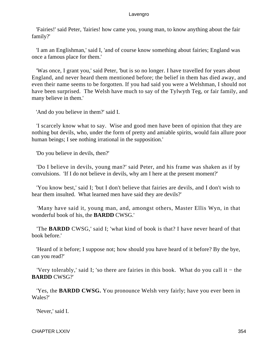'Fairies!' said Peter, 'fairies! how came you, young man, to know anything about the fair family?'

 'I am an Englishman,' said I, 'and of course know something about fairies; England was once a famous place for them.'

 'Was once, I grant you,' said Peter, 'but is so no longer. I have travelled for years about England, and never heard them mentioned before; the belief in them has died away, and even their name seems to be forgotten. If you had said you were a Welshman, I should not have been surprised. The Welsh have much to say of the Tylwyth Teg, or fair family, and many believe in them.'

'And do you believe in them?' said I.

 'I scarcely know what to say. Wise and good men have been of opinion that they are nothing but devils, who, under the form of pretty and amiable spirits, would fain allure poor human beings; I see nothing irrational in the supposition.'

'Do you believe in devils, then?'

 'Do I believe in devils, young man?' said Peter, and his frame was shaken as if by convulsions. 'If I do not believe in devils, why am I here at the present moment?'

 'You know best,' said I; 'but I don't believe that fairies are devils, and I don't wish to hear them insulted. What learned men have said they are devils?'

 'Many have said it, young man, and, amongst others, Master Ellis Wyn, in that wonderful book of his, the **BARDD** CWSG.'

 'The **BARDD** CWSG,' said I; 'what kind of book is that? I have never heard of that book before.'

 'Heard of it before; I suppose not; how should you have heard of it before? By the bye, can you read?'

 'Very tolerably,' said I; 'so there are fairies in this book. What do you call it − the **BARDD** CWSG?'

 'Yes, the **BARDD CWSG.** You pronounce Welsh very fairly; have you ever been in Wales?'

'Never,' said I.

CHAPTER LXXIV 354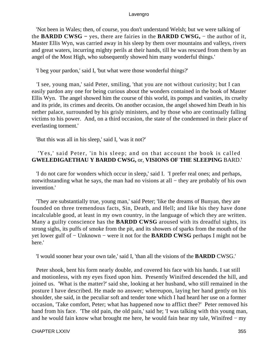'Not been in Wales; then, of course, you don't understand Welsh; but we were talking of the **BARDD CWSG −** yes, there are fairies in the **BARDD CWSG,** − the author of it, Master Ellis Wyn, was carried away in his sleep by them over mountains and valleys, rivers and great waters, incurring mighty perils at their hands, till he was rescued from them by an angel of the Most High, who subsequently showed him many wonderful things.'

'I beg your pardon,' said I, 'but what were those wonderful things?'

 'I see, young man,' said Peter, smiling, 'that you are not without curiosity; but I can easily pardon any one for being curious about the wonders contained in the book of Master Ellis Wyn. The angel showed him the course of this world, its pomps and vanities, its cruelty and its pride, its crimes and deceits. On another occasion, the angel showed him Death in his nether palace, surrounded by his grisly ministers, and by those who are continually falling victims to his power. And, on a third occasion, the state of the condemned in their place of everlasting torment.'

'But this was all in his sleep,' said I, 'was it not?'

# 'Yes,' said Peter, 'in his sleep; and on that account the book is called **GWELEDIGAETHAU Y BARDD CWSG,** or, **VISIONS OF THE SLEEPING** BARD.'

 'I do not care for wonders which occur in sleep,' said I. 'I prefer real ones; and perhaps, notwithstanding what he says, the man had no visions at all – they are probably of his own invention<sup>'</sup>

 'They are substantially true, young man,' said Peter; 'like the dreams of Bunyan, they are founded on three tremendous facts, Sin, Death, and Hell; and like his they have done incalculable good, at least in my own country, in the language of which they are written. Many a guilty conscience has the **BARDD CWSG** aroused with its dreadful sights, its strong sighs, its puffs of smoke from the pit, and its showers of sparks from the mouth of the yet lower gulf of − Unknown − were it not for the **BARDD CWSG** perhaps I might not be here.'

'I would sooner hear your own tale,' said I, 'than all the visions of the **BARDD** CWSG.'

 Peter shook, bent his form nearly double, and covered his face with his hands. I sat still and motionless, with my eyes fixed upon him. Presently Winifred descended the hill, and joined us. 'What is the matter?' said she, looking at her husband, who still remained in the posture I have described. He made no answer; whereupon, laying her hand gently on his shoulder, she said, in the peculiar soft and tender tone which I had heard her use on a former occasion, 'Take comfort, Peter; what has happened now to afflict thee?' Peter removed his hand from his face. 'The old pain, the old pain,' said he; 'I was talking with this young man, and he would fain know what brought me here, he would fain hear my tale, Winifred − my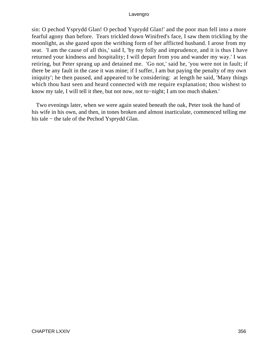sin: O pechod Ysprydd Glan! O pechod Ysprydd Glan!' and the poor man fell into a more fearful agony than before. Tears trickled down Winifred's face, I saw them trickling by the moonlight, as she gazed upon the writhing form of her afflicted husband. I arose from my seat. 'I am the cause of all this,' said I, 'by my folly and imprudence, and it is thus I have returned your kindness and hospitality; I will depart from you and wander my way.' I was retiring, but Peter sprang up and detained me. 'Go not,' said he, 'you were not in fault; if there be any fault in the case it was mine; if I suffer, I am but paying the penalty of my own iniquity'; he then paused, and appeared to be considering: at length he said, 'Many things which thou hast seen and heard connected with me require explanation; thou wishest to know my tale, I will tell it thee, but not now, not to−night; I am too much shaken.'

 Two evenings later, when we were again seated beneath the oak, Peter took the hand of his wife in his own, and then, in tones broken and almost inarticulate, commenced telling me his tale − the tale of the Pechod Ysprydd Glan.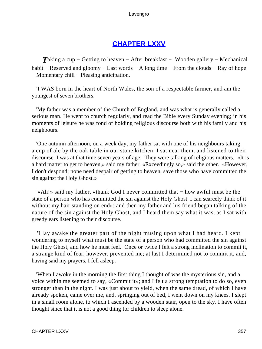# **[CHAPTER LXXV](#page-497-0)**

*Taking a cup – Getting to heaven – After breakfast – Wooden gallery – Mechanical* habit – Reserved and gloomy – Last words – A long time – From the clouds – Ray of hope − Momentary chill − Pleasing anticipation.

 'I WAS born in the heart of North Wales, the son of a respectable farmer, and am the youngest of seven brothers.

 'My father was a member of the Church of England, and was what is generally called a serious man. He went to church regularly, and read the Bible every Sunday evening; in his moments of leisure he was fond of holding religious discourse both with his family and his neighbours.

 'One autumn afternoon, on a week day, my father sat with one of his neighbours taking a cup of ale by the oak table in our stone kitchen. I sat near them, and listened to their discourse. I was at that time seven years of age. They were talking of religious matters. «It is a hard matter to get to heaven,» said my father. «Exceedingly so,» said the other. «However, I don't despond; none need despair of getting to heaven, save those who have committed the sin against the Holy Ghost.»

 '«Ah!» said my father, «thank God I never committed that − how awful must be the state of a person who has committed the sin against the Holy Ghost. I can scarcely think of it without my hair standing on end»; and then my father and his friend began talking of the nature of the sin against the Holy Ghost, and I heard them say what it was, as I sat with greedy ears listening to their discourse.

 'I lay awake the greater part of the night musing upon what I had heard. I kept wondering to myself what must be the state of a person who had committed the sin against the Holy Ghost, and how he must feel. Once or twice I felt a strong inclination to commit it, a strange kind of fear, however, prevented me; at last I determined not to commit it, and, having said my prayers, I fell asleep.

 'When I awoke in the morning the first thing I thought of was the mysterious sin, and a voice within me seemed to say, «Commit it»; and I felt a strong temptation to do so, even stronger than in the night. I was just about to yield, when the same dread, of which I have already spoken, came over me, and, springing out of bed, I went down on my knees. I slept in a small room alone, to which I ascended by a wooden stair, open to the sky. I have often thought since that it is not a good thing for children to sleep alone.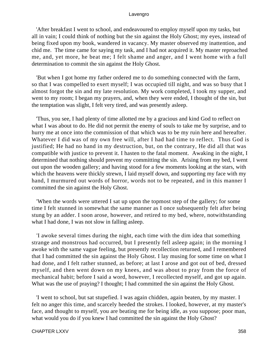'After breakfast I went to school, and endeavoured to employ myself upon my tasks, but all in vain; I could think of nothing but the sin against the Holy Ghost; my eyes, instead of being fixed upon my book, wandered in vacancy. My master observed my inattention, and chid me. The time came for saying my task, and I had not acquired it. My master reproached me, and, yet more, he beat me; I felt shame and anger, and I went home with a full determination to commit the sin against the Holy Ghost.

 'But when I got home my father ordered me to do something connected with the farm, so that I was compelled to exert myself; I was occupied till night, and was so busy that I almost forgot the sin and my late resolution. My work completed, I took my supper, and went to my room; I began my prayers, and, when they were ended, I thought of the sin, but the temptation was slight, I felt very tired, and was presently asleep.

 'Thus, you see, I had plenty of time allotted me by a gracious and kind God to reflect on what I was about to do. He did not permit the enemy of souls to take me by surprise, and to hurry me at once into the commission of that which was to be my ruin here and hereafter. Whatever I did was of my own free will, after I had had time to reflect. Thus God is justified; He had no hand in my destruction, but, on the contrary, He did all that was compatible with justice to prevent it. I hasten to the fatal moment. Awaking in the night, I determined that nothing should prevent my committing the sin. Arising from my bed, I went out upon the wooden gallery; and having stood for a few moments looking at the stars, with which the heavens were thickly strewn, I laid myself down, and supporting my face with my hand, I murmured out words of horror, words not to be repeated, and in this manner I committed the sin against the Holy Ghost.

 'When the words were uttered I sat up upon the topmost step of the gallery; for some time I felt stunned in somewhat the same manner as I once subsequently felt after being stung by an adder. I soon arose, however, and retired to my bed, where, notwithstanding what I had done, I was not slow in falling asleep.

 'I awoke several times during the night, each time with the dim idea that something strange and monstrous had occurred, but I presently fell asleep again; in the morning I awoke with the same vague feeling, but presently recollection returned, and I remembered that I had committed the sin against the Holy Ghost. I lay musing for some time on what I had done, and I felt rather stunned, as before; at last I arose and got out of bed, dressed myself, and then went down on my knees, and was about to pray from the force of mechanical habit; before I said a word, however, I recollected myself, and got up again. What was the use of praying? I thought; I had committed the sin against the Holy Ghost.

 'I went to school, but sat stupefied. I was again chidden, again beaten, by my master. I felt no anger this time, and scarcely heeded the strokes. I looked, however, at my master's face, and thought to myself, you are beating me for being idle, as you suppose; poor man, what would you do if you knew I had committed the sin against the Holy Ghost?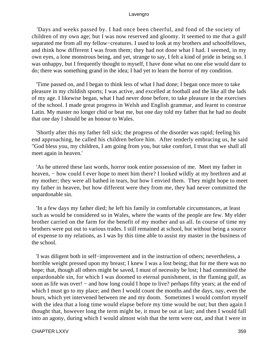'Days and weeks passed by. I had once been cheerful, and fond of the society of children of my own age; but I was now reserved and gloomy. It seemed to me that a gulf separated me from all my fellow−creatures. I used to look at my brothers and schoolfellows, and think how different I was from them; they had not done what I had. I seemed, in my own eyes, a lone monstrous being, and yet, strange to say, I felt a kind of pride in being so. I was unhappy, but I frequently thought to myself, I have done what no one else would dare to do; there was something grand in the idea; I had yet to learn the horror of my condition.

 'Time passed on, and I began to think less of what I had done; I began once more to take pleasure in my childish sports; I was active, and excelled at football and the like all the lads of my age. I likewise began, what I had never done before, to take pleasure in the exercises of the school. I made great progress in Welsh and English grammar, and learnt to construe Latin. My master no longer chid or beat me, but one day told my father that he had no doubt that one day I should be an honour to Wales.

 'Shortly after this my father fell sick; the progress of the disorder was rapid; feeling his end approaching, he called his children before him. After tenderly embracing us, he said "God bless you, my children, I am going from you, but take comfort, I trust that we shall all meet again in heaven.'

 'As he uttered these last words, horror took entire possession of me. Meet my father in heaven, – how could I ever hope to meet him there? I looked wildly at my brethren and at my mother; they were all bathed in tears, but how I envied them. They might hope to meet my father in heaven, but how different were they from me, they had never committed the unpardonable sin.

 'In a few days my father died; he left his family in comfortable circumstances, at least such as would be considered so in Wales, where the wants of the people are few. My elder brother carried on the farm for the benefit of my mother and us all. In course of time my brothers were put out to various trades. I still remained at school, but without being a source of expense to my relations, as I was by this time able to assist my master in the business of the school.

 'I was diligent both in self−improvement and in the instruction of others; nevertheless, a horrible weight pressed upon my breast; I knew I was a lost being; that for me there was no hope; that, though all others might be saved, I must of necessity be lost; I had committed the unpardonable sin, for which I was doomed to eternal punishment, in the flaming gulf, as soon as life was over! – and how long could I hope to live? perhaps fifty years; at the end of which I must go to my place; and then I would count the months and the days, nay, even the hours, which yet intervened between me and my doom. Sometimes I would comfort myself with the idea that a long time would elapse before my time would be out; but then again I thought that, however long the term might be, it must be out at last; and then I would fall into an agony, during which I would almost wish that the term were out, and that I were in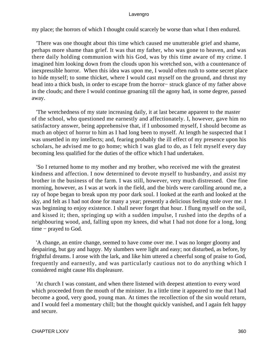my place; the horrors of which I thought could scarcely be worse than what I then endured.

 'There was one thought about this time which caused me unutterable grief and shame, perhaps more shame than grief. It was that my father, who was gone to heaven, and was there daily holding communion with his God, was by this time aware of my crime. I imagined him looking down from the clouds upon his wretched son, with a countenance of inexpressible horror. When this idea was upon me, I would often rush to some secret place to hide myself; to some thicket, where I would cast myself on the ground, and thrust my head into a thick bush, in order to escape from the horror− struck glance of my father above in the clouds; and there I would continue groaning till the agony had, in some degree, passed away.

 'The wretchedness of my state increasing daily, it at last became apparent to the master of the school, who questioned me earnestly and affectionately. I, however, gave him no satisfactory answer, being apprehensive that, if I unbosomed myself, I should become as much an object of horror to him as I had long been to myself. At length he suspected that I was unsettled in my intellects; and, fearing probably the ill effect of my presence upon his scholars, he advised me to go home; which I was glad to do, as I felt myself every day becoming less qualified for the duties of the office which I had undertaken.

 'So I returned home to my mother and my brother, who received me with the greatest kindness and affection. I now determined to devote myself to husbandry, and assist my brother in the business of the farm. I was still, however, very much distressed. One fine morning, however, as I was at work in the field, and the birds were carolling around me, a ray of hope began to break upon my poor dark soul. I looked at the earth and looked at the sky, and felt as I had not done for many a year; presently a delicious feeling stole over me. I was beginning to enjoy existence. I shall never forget that hour. I flung myself on the soil, and kissed it; then, springing up with a sudden impulse, I rushed into the depths of a neighbouring wood, and, falling upon my knees, did what I had not done for a long, long time − prayed to God.

 'A change, an entire change, seemed to have come over me. I was no longer gloomy and despairing, but gay and happy. My slumbers were light and easy; not disturbed, as before, by frightful dreams. I arose with the lark, and like him uttered a cheerful song of praise to God, frequently and earnestly, and was particularly cautious not to do anything which I considered might cause His displeasure.

 'At church I was constant, and when there listened with deepest attention to every word which proceeded from the mouth of the minister. In a little time it appeared to me that I had become a good, very good, young man. At times the recollection of the sin would return, and I would feel a momentary chill; but the thought quickly vanished, and I again felt happy and secure.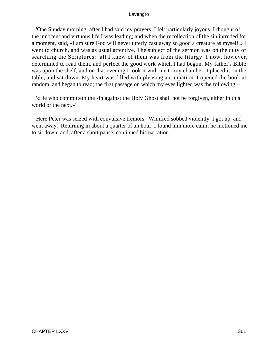'One Sunday morning, after I had said my prayers, I felt particularly joyous. I thought of the innocent and virtuous life I was leading; and when the recollection of the sin intruded for a moment, said, «I am sure God will never utterly cast away so good a creature as myself.» I went to church, and was as usual attentive. The subject of the sermon was on the duty of searching the Scriptures: all I knew of them was from the liturgy. I now, however, determined to read them, and perfect the good work which I had begun. My father's Bible was upon the shelf, and on that evening I took it with me to my chamber. I placed it on the table, and sat down. My heart was filled with pleasing anticipation. I opened the book at random, and began to read; the first passage on which my eyes lighted was the following:−

 '«He who committeth the sin against the Holy Ghost shall not be forgiven, either in this world or the next.»'

 Here Peter was seized with convulsive tremors. Winifred sobbed violently. I got up, and went away. Returning in about a quarter of an hour, I found him more calm; he motioned me to sit down; and, after a short pause, continued his narration.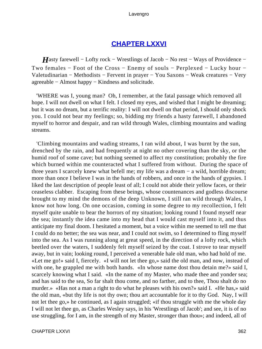## **[CHAPTER LXXVI](#page-497-0)**

*H*asty farewell – Lofty rock – Wrestlings of Jacob – No rest – Ways of Providence – Two females − Foot of the Cross − Enemy of souls − Perplexed − Lucky hour − Valetudinarian − Methodists − Fervent in prayer − You Saxons − Weak creatures − Very agreeable − Almost happy − Kindness and solicitude.

 'WHERE was I, young man? Oh, I remember, at the fatal passage which removed all hope. I will not dwell on what I felt. I closed my eyes, and wished that I might be dreaming; but it was no dream, but a terrific reality: I will not dwell on that period, I should only shock you. I could not bear my feelings; so, bidding my friends a hasty farewell, I abandoned myself to horror and despair, and ran wild through Wales, climbing mountains and wading streams.

 'Climbing mountains and wading streams, I ran wild about, I was burnt by the sun, drenched by the rain, and had frequently at night no other covering than the sky, or the humid roof of some cave; but nothing seemed to affect my constitution; probably the fire which burned within me counteracted what I suffered from without. During the space of three years I scarcely knew what befell me; my life was a dream − a wild, horrible dream; more than once I believe I was in the hands of robbers, and once in the hands of gypsies. I liked the last description of people least of all; I could not abide their yellow faces, or their ceaseless clabber. Escaping from these beings, whose countenances and godless discourse brought to my mind the demons of the deep Unknown, I still ran wild through Wales, I know not how long. On one occasion, coming in some degree to my recollection, I felt myself quite unable to bear the horrors of my situation; looking round I found myself near the sea; instantly the idea came into my head that I would cast myself into it, and thus anticipate my final doom. I hesitated a moment, but a voice within me seemed to tell me that I could do no better; the sea was near, and I could not swim, so I determined to fling myself into the sea. As I was running along at great speed, in the direction of a lofty rock, which beetled over the waters, I suddenly felt myself seized by the coat. I strove to tear myself away, but in vain; looking round, I perceived a venerable hale old man, who had hold of me. «Let me go!» said I, fiercely. «I will not let thee go,» said the old man, and now, instead of with one, he grappled me with both hands. «In whose name dost thou detain me?» said I, scarcely knowing what I said. «In the name of my Master, who made thee and yonder sea; and has said to the sea, So far shalt thou come, and no farther, and to thee, Thou shalt do no murder.» «Has not a man a right to do what he pleases with his own?» said I. «He has,» said the old man, «but thy life is not thy own; thou art accountable for it to thy God. Nay, I will not let thee go,» he continued, as I again struggled; «if thou struggle with me the whole day I will not let thee go, as Charles Wesley says, in his 'Wrestlings of Jacob'; and see, it is of no use struggling, for I am, in the strength of my Master, stronger than thou»; and indeed, all of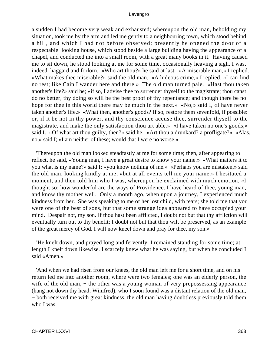a sudden I had become very weak and exhausted; whereupon the old man, beholding my situation, took me by the arm and led me gently to a neighbouring town, which stood behind a hill, and which I had not before observed; presently he opened the door of a respectable−looking house, which stood beside a large building having the appearance of a chapel, and conducted me into a small room, with a great many books in it. Having caused me to sit down, he stood looking at me for some time, occasionally heaving a sigh. I was, indeed, haggard and forlorn. «Who art thou?» he said at last. «A miserable man,» I replied. «What makes thee miserable?» said the old man. «A hideous crime,» I replied. «I can find no rest; like Cain I wander here and there.» The old man turned pale. «Hast thou taken another's life?» said he; «if so, I advise thee to surrender thyself to the magistrate; thou canst do no better; thy doing so will be the best proof of thy repentance; and though there be no hope for thee in this world there may be much in the next.» «No,» said I, «I have never taken another's life.» «What then, another's goods? If so, restore them sevenfold, if possible: or, if it be not in thy power, and thy conscience accuse thee, surrender thyself to the magistrate, and make the only satisfaction thou art able.» «I have taken no one's goods,» said I. «Of what art thou guilty, then?» said he. «Art thou a drunkard? a profligate?» «Alas, no,» said I; «I am neither of these; would that I were no worse.»

 'Thereupon the old man looked steadfastly at me for some time; then, after appearing to reflect, he said, «Young man, I have a great desire to know your name.» «What matters it to you what is my name?» said I; «you know nothing of me.» «Perhaps you are mistaken,» said the old man, looking kindly at me; «but at all events tell me your name.» I hesitated a moment, and then told him who I was, whereupon he exclaimed with much emotion, «I thought so; how wonderful are the ways of Providence. I have heard of thee, young man, and know thy mother well. Only a month ago, when upon a journey, I experienced much kindness from her. She was speaking to me of her lost child, with tears; she told me that you were one of the best of sons, but that some strange idea appeared to have occupied your mind. Despair not, my son. If thou hast been afflicted, I doubt not but that thy affliction will eventually turn out to thy benefit; I doubt not but that thou wilt be preserved, as an example of the great mercy of God. I will now kneel down and pray for thee, my son.»

 'He knelt down, and prayed long and fervently. I remained standing for some time; at length I knelt down likewise. I scarcely knew what he was saying, but when he concluded I said «Amen.»

 'And when we had risen from our knees, the old man left me for a short time, and on his return led me into another room, where were two females; one was an elderly person, the wife of the old man, – the other was a young woman of very prepossessing appearance (hang not down thy head, Winifred), who I soon found was a distant relation of the old man, − both received me with great kindness, the old man having doubtless previously told them who I was.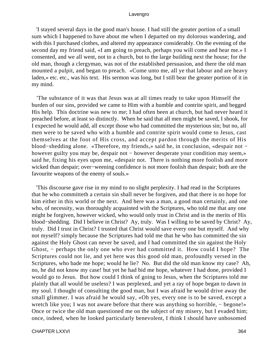'I stayed several days in the good man's house. I had still the greater portion of a small sum which I happened to have about me when I departed on my dolorous wandering, and with this I purchased clothes, and altered my appearance considerably. On the evening of the second day my friend said, «I am going to preach, perhaps you will come and hear me.» I consented, and we all went, not to a church, but to the large building next the house; for the old man, though a clergyman, was not of the established persuasion, and there the old man mounted a pulpit, and began to preach. «Come unto me, all ye that labour and are heavy laden,» etc. etc., was his text. His sermon was long, but I still bear the greater portion of it in my mind.

 'The substance of it was that Jesus was at all times ready to take upon Himself the burden of our sins, provided we came to Him with a humble and contrite spirit, and begged His help. This doctrine was new to me; I had often been at church, but had never heard it preached before, at least so distinctly. When he said that all men might be saved, I shook, for I expected he would add, all except those who had committed the mysterious sin; but no, all men were to be saved who with a humble and contrite spirit would come to Jesus, cast themselves at the foot of His cross, and accept pardon through the merits of His blood−shedding alone. «Therefore, my friends,» said he, in conclusion, «despair not − however guilty you may be, despair not – however desperate your condition may seem,» said he, fixing his eyes upon me, «despair not. There is nothing more foolish and more wicked than despair; over−weening confidence is not more foolish than despair; both are the favourite weapons of the enemy of souls.»

 'This discourse gave rise in my mind to no slight perplexity. I had read in the Scriptures that he who committeth a certain sin shall never be forgiven, and that there is no hope for him either in this world or the next. And here was a man, a good man certainly, and one who, of necessity, was thoroughly acquainted with the Scriptures, who told me that any one might be forgiven, however wicked, who would only trust in Christ and in the merits of His blood−shedding. Did I believe in Christ? Ay, truly. Was I willing to be saved by Christ? Ay, truly. Did I trust in Christ? I trusted that Christ would save every one but myself. And why not myself? simply because the Scriptures had told me that he who has committed the sin against the Holy Ghost can never be saved, and I had committed the sin against the Holy Ghost, − perhaps the only one who ever had committed it. How could I hope? The Scriptures could not lie, and yet here was this good old man, profoundly versed in the Scriptures, who bade me hope; would he lie? No. But did the old man know my case? Ah, no, he did not know my case! but yet he had bid me hope, whatever I had done, provided I would go to Jesus. But how could I think of going to Jesus, when the Scriptures told me plainly that all would be useless? I was perplexed, and yet a ray of hope began to dawn in my soul. I thought of consulting the good man, but I was afraid he would drive away the small glimmer. I was afraid he would say, «Oh yes, every one is to be saved, except a wretch like you; I was not aware before that there was anything so horrible, – begone!» Once or twice the old man questioned me on the subject of my misery, but I evaded him; once, indeed, when he looked particularly benevolent, I think I should have unbosomed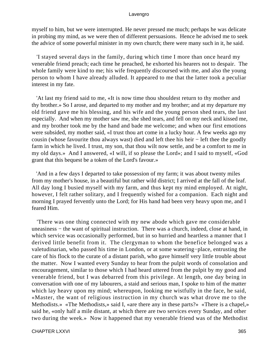myself to him, but we were interrupted. He never pressed me much; perhaps he was delicate in probing my mind, as we were then of different persuasions. Hence he advised me to seek the advice of some powerful minister in my own church; there were many such in it, he said.

 'I stayed several days in the family, during which time I more than once heard my venerable friend preach; each time he preached, he exhorted his hearers not to despair. The whole family were kind to me; his wife frequently discoursed with me, and also the young person to whom I have already alluded. It appeared to me that the latter took a peculiar interest in my fate.

 'At last my friend said to me, «It is now time thou shouldest return to thy mother and thy brother.» So I arose, and departed to my mother and my brother; and at my departure my old friend gave me his blessing, and his wife and the young person shed tears, the last especially. And when my mother saw me, she shed tears, and fell on my neck and kissed me, and my brother took me by the hand and bade me welcome; and when our first emotions were subsided, my mother said, «I trust thou art come in a lucky hour. A few weeks ago my cousin (whose favourite thou always wast) died and left thee his heir − left thee the goodly farm in which he lived. I trust, my son, that thou wilt now settle, and be a comfort to me in my old days.» And I answered, «I will, if so please the Lord»; and I said to myself, «God grant that this bequest be a token of the Lord's favour.»

 'And in a few days I departed to take possession of my farm; it was about twenty miles from my mother's house, in a beautiful but rather wild district; I arrived at the fall of the leaf. All day long I busied myself with my farm, and thus kept my mind employed. At night, however, I felt rather solitary, and I frequently wished for a companion. Each night and morning I prayed fervently unto the Lord; for His hand had been very heavy upon me, and I feared Him.

 'There was one thing connected with my new abode which gave me considerable uneasiness – the want of spiritual instruction. There was a church, indeed, close at hand, in which service was occasionally performed, but in so hurried and heartless a manner that I derived little benefit from it. The clergyman to whom the benefice belonged was a valetudinarian, who passed his time in London, or at some watering−place, entrusting the care of his flock to the curate of a distant parish, who gave himself very little trouble about the matter. Now I wanted every Sunday to hear from the pulpit words of consolation and encouragement, similar to those which I had heard uttered from the pulpit by my good and venerable friend, but I was debarred from this privilege. At length, one day being in conversation with one of my labourers, a staid and serious man, I spoke to him of the matter which lay heavy upon my mind; whereupon, looking me wistfully in the face, he said, «Master, the want of religious instruction in my church was what drove me to the Methodists.» «The Methodists,» said I, «are there any in these parts?» «There is a chapel,» said he, «only half a mile distant, at which there are two services every Sunday, and other two during the week.» Now it happened that my venerable friend was of the Methodist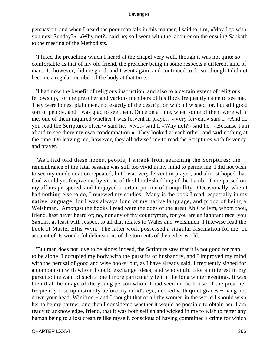persuasion, and when I heard the poor man talk in this manner, I said to him, «May I go with you next Sunday?» «Why not?» said he; so I went with the labourer on the ensuing Sabbath to the meeting of the Methodists.

 'I liked the preaching which I heard at the chapel very well, though it was not quite so comfortable as that of my old friend, the preacher being in some respects a different kind of man. It, however, did me good, and I went again, and continued to do so, though I did not become a regular member of the body at that time.

 'I had now the benefit of religious instruction, and also to a certain extent of religious fellowship, for the preacher and various members of his flock frequently came to see me. They were honest plain men, not exactly of the description which I wished for, but still good sort of people, and I was glad to see them. Once on a time, when some of them were with me, one of them inquired whether I was fervent in prayer. «Very fervent,» said I. «And do you read the Scriptures often?» said he. «No,» said I. «Why not?» said he. «Because I am afraid to see there my own condemnation.» They looked at each other, and said nothing at the time. On leaving me, however, they all advised me to read the Scriptures with fervency and prayer.

 'As I had told these honest people, I shrank from searching the Scriptures; the remembrance of the fatal passage was still too vivid in my mind to permit me. I did not wish to see my condemnation repeated, but I was very fervent in prayer, and almost hoped that God would yet forgive me by virtue of the blood−shedding of the Lamb. Time passed on, my affairs prospered, and I enjoyed a certain portion of tranquillity. Occasionally, when I had nothing else to do, I renewed my studies. Many is the book I read, especially in my native language, for I was always fond of my native language, and proud of being a Welshman. Amongst the books I read were the odes of the great Ab Gwilym, whom thou, friend, hast never heard of; no, nor any of thy countrymen, for you are an ignorant race, you Saxons, at least with respect to all that relates to Wales and Welshmen. I likewise read the book of Master Ellis Wyn. The latter work possessed a singular fascination for me, on account of its wonderful delineations of the torments of the nether world.

 'But man does not love to be alone; indeed, the Scripture says that it is not good for man to be alone. I occupied my body with the pursuits of husbandry, and I improved my mind with the perusal of good and wise books; but, as I have already said, I frequently sighed for a companion with whom I could exchange ideas, and who could take an interest in my pursuits; the want of such a one I more particularly felt in the long winter evenings. It was then that the image of the young person whom I had seen in the house of the preacher frequently rose up distinctly before my mind's eye, decked with quiet graces − hang not down your head, Winifred − and I thought that of all the women in the world I should wish her to be my partner, and then I considered whether it would be possible to obtain her. I am ready to acknowledge, friend, that it was both selfish and wicked in me to wish to fetter any human being to a lost creature like myself, conscious of having committed a crime for which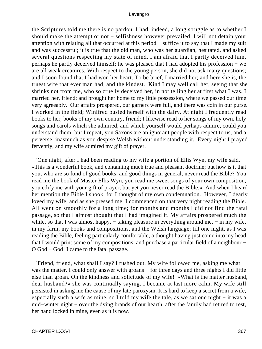the Scriptures told me there is no pardon. I had, indeed, a long struggle as to whether I should make the attempt or not − selfishness however prevailed. I will not detain your attention with relating all that occurred at this period − suffice it to say that I made my suit and was successful; it is true that the old man, who was her guardian, hesitated, and asked several questions respecting my state of mind. I am afraid that I partly deceived him, perhaps he partly deceived himself; he was pleased that I had adopted his profession − we are all weak creatures. With respect to the young person, she did not ask many questions; and I soon found that I had won her heart. To be brief, I married her; and here she is, the truest wife that ever man had, and the kindest. Kind I may well call her, seeing that she shrinks not from me, who so cruelly deceived her, in not telling her at first what I was. I married her, friend; and brought her home to my little possession, where we passed our time very agreeably. Our affairs prospered, our garners were full, and there was coin in our purse. I worked in the field; Winifred busied herself with the dairy. At night I frequently read books to her, books of my own country, friend; I likewise read to her songs of my own, holy songs and carols which she admired, and which yourself would perhaps admire, could you understand them; but I repeat, you Saxons are an ignorant people with respect to us, and a perverse, inasmuch as you despise Welsh without understanding it. Every night I prayed fervently, and my wife admired my gift of prayer.

 'One night, after I had been reading to my wife a portion of Ellis Wyn, my wife said, «This is a wonderful book, and containing much true and pleasant doctrine; but how is it that you, who are so fond of good books, and good things in general, never read the Bible? You read me the book of Master Ellis Wyn, you read me sweet songs of your own composition, you edify me with your gift of prayer, but yet you never read the Bible.» And when I heard her mention the Bible I shook, for I thought of my own condemnation. However, I dearly loved my wife, and as she pressed me, I commenced on that very night reading the Bible. All went on smoothly for a long time; for months and months I did not find the fatal passage, so that I almost thought that I had imagined it. My affairs prospered much the while, so that I was almost happy,  $-$  taking pleasure in everything around me,  $-$  in my wife, in my farm, my books and compositions, and the Welsh language; till one night, as I was reading the Bible, feeling particularly comfortable, a thought having just come into my head that I would print some of my compositions, and purchase a particular field of a neighbour − O God − God! I came to the fatal passage.

 'Friend, friend, what shall I say? I rushed out. My wife followed me, asking me what was the matter. I could only answer with groans – for three days and three nights I did little else than groan. Oh the kindness and solicitude of my wife! «What is the matter husband, dear husband?» she was continually saying. I became at last more calm. My wife still persisted in asking me the cause of my late paroxysm. It is hard to keep a secret from a wife, especially such a wife as mine, so I told my wife the tale, as we sat one night − it was a mid−winter night − over the dying brands of our hearth, after the family had retired to rest, her hand locked in mine, even as it is now.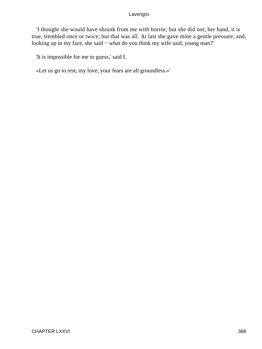'I thought she would have shrunk from me with horror; but she did not; her hand, it is true, trembled once or twice; but that was all. At last she gave mine a gentle pressure; and, looking up in my face, she said − what do you think my wife said, young man?'

'It is impossible for me to guess,' said I.

«Let us go to rest, my love; your fears are all groundless.»'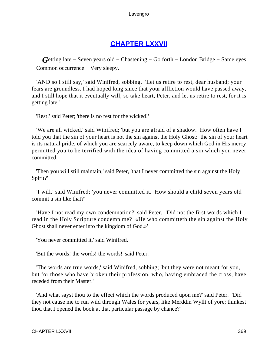## **[CHAPTER LXXVII](#page-497-0)**

*G*etting late – Seven years old – Chastening – Go forth – London Bridge – Same eyes − Common occurrence − Very sleepy.

 'AND so I still say,' said Winifred, sobbing. 'Let us retire to rest, dear husband; your fears are groundless. I had hoped long since that your affliction would have passed away, and I still hope that it eventually will; so take heart, Peter, and let us retire to rest, for it is getting late.'

'Rest!' said Peter; 'there is no rest for the wicked!'

 'We are all wicked,' said Winifred; 'but you are afraid of a shadow. How often have I told you that the sin of your heart is not the sin against the Holy Ghost: the sin of your heart is its natural pride, of which you are scarcely aware, to keep down which God in His mercy permitted you to be terrified with the idea of having committed a sin which you never committed.'

 'Then you will still maintain,' said Peter, 'that I never committed the sin against the Holy Spirit?'

 'I will,' said Winifred; 'you never committed it. How should a child seven years old commit a sin like that?'

 'Have I not read my own condemnation?' said Peter. 'Did not the first words which I read in the Holy Scripture condemn me? «He who committeth the sin against the Holy Ghost shall never enter into the kingdom of God.»'

'You never committed it,' said Winifred.

'But the words! the words! the words!' said Peter.

 'The words are true words,' said Winifred, sobbing; 'but they were not meant for you, but for those who have broken their profession, who, having embraced the cross, have receded from their Master.'

 'And what sayst thou to the effect which the words produced upon me?' said Peter. 'Did they not cause me to run wild through Wales for years, like Merddin Wyllt of yore; thinkest thou that I opened the book at that particular passage by chance?'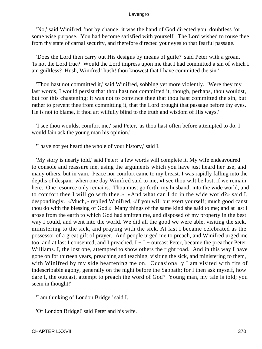'No,' said Winifred, 'not by chance; it was the hand of God directed you, doubtless for some wise purpose. You had become satisfied with yourself. The Lord wished to rouse thee from thy state of carnal security, and therefore directed your eyes to that fearful passage.'

 'Does the Lord then carry out His designs by means of guile?' said Peter with a groan. 'Is not the Lord true? Would the Lord impress upon me that I had committed a sin of which I am guiltless? Hush, Winifred! hush! thou knowest that I have committed the sin.'

 'Thou hast not committed it,' said Winifred, sobbing yet more violently. 'Were they my last words, I would persist that thou hast not committed it, though, perhaps, thou wouldst, but for this chastening; it was not to convince thee that thou hast committed the sin, but rather to prevent thee from committing it, that the Lord brought that passage before thy eyes. He is not to blame, if thou art wilfully blind to the truth and wisdom of His ways.'

 'I see thou wouldst comfort me,' said Peter, 'as thou hast often before attempted to do. I would fain ask the young man his opinion.'

'I have not yet heard the whole of your history,' said I.

 'My story is nearly told,' said Peter; 'a few words will complete it. My wife endeavoured to console and reassure me, using the arguments which you have just heard her use, and many others, but in vain. Peace nor comfort came to my breast. I was rapidly falling into the depths of despair; when one day Winifred said to me, «I see thou wilt be lost, if we remain here. One resource only remains. Thou must go forth, my husband, into the wide world, and to comfort thee I will go with thee.» «And what can I do in the wide world?» said I, despondingly. «Much,» replied Winifred, «if you will but exert yourself; much good canst thou do with the blessing of God.» Many things of the same kind she said to me; and at last I arose from the earth to which God had smitten me, and disposed of my property in the best way I could, and went into the world. We did all the good we were able, visiting the sick, ministering to the sick, and praying with the sick. At last I became celebrated as the possessor of a great gift of prayer. And people urged me to preach, and Winifred urged me too, and at last I consented, and I preached. I − I − outcast Peter, became the preacher Peter Williams. I, the lost one, attempted to show others the right road. And in this way I have gone on for thirteen years, preaching and teaching, visiting the sick, and ministering to them, with Winifred by my side heartening me on. Occasionally I am visited with fits of indescribable agony, generally on the night before the Sabbath; for I then ask myself, how dare I, the outcast, attempt to preach the word of God? Young man, my tale is told; you seem in thought!'

'I am thinking of London Bridge,' said I.

'Of London Bridge!' said Peter and his wife.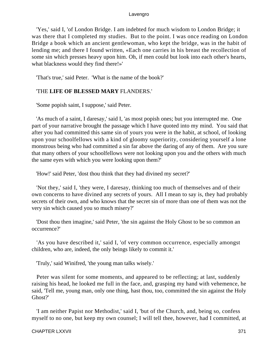'Yes,' said I, 'of London Bridge. I am indebted for much wisdom to London Bridge; it was there that I completed my studies. But to the point. I was once reading on London Bridge a book which an ancient gentlewoman, who kept the bridge, was in the habit of lending me; and there I found written, «Each one carries in his breast the recollection of some sin which presses heavy upon him. Oh, if men could but look into each other's hearts, what blackness would they find there!»'

'That's true,' said Peter. 'What is the name of the book?'

## 'THE **LIFE OF BLESSED MARY** FLANDERS.'

'Some popish saint, I suppose,' said Peter.

 'As much of a saint, I daresay,' said I, 'as most popish ones; but you interrupted me. One part of your narrative brought the passage which I have quoted into my mind. You said that after you had committed this same sin of yours you were in the habit, at school, of looking upon your schoolfellows with a kind of gloomy superiority, considering yourself a lone monstrous being who had committed a sin far above the daring of any of them. Are you sure that many others of your schoolfellows were not looking upon you and the others with much the same eyes with which you were looking upon them?'

'How!' said Peter, 'dost thou think that they had divined my secret?'

 'Not they,' said I, 'they were, I daresay, thinking too much of themselves and of their own concerns to have divined any secrets of yours. All I mean to say is, they had probably secrets of their own, and who knows that the secret sin of more than one of them was not the very sin which caused you so much misery?'

 'Dost thou then imagine,' said Peter, 'the sin against the Holy Ghost to be so common an occurrence?'

 'As you have described it,' said I, 'of very common occurrence, especially amongst children, who are, indeed, the only beings likely to commit it.'

'Truly,' said Winifred, 'the young man talks wisely.'

 Peter was silent for some moments, and appeared to be reflecting; at last, suddenly raising his head, he looked me full in the face, and, grasping my hand with vehemence, he said, 'Tell me, young man, only one thing, hast thou, too, committed the sin against the Holy Ghost?'

 'I am neither Papist nor Methodist,' said I, 'but of the Church, and, being so, confess myself to no one, but keep my own counsel; I will tell thee, however, had I committed, at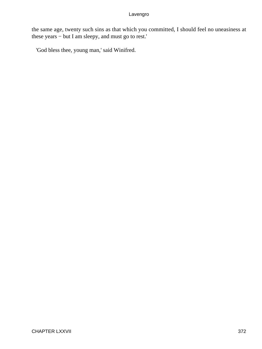the same age, twenty such sins as that which you committed, I should feel no uneasiness at these years − but I am sleepy, and must go to rest.'

'God bless thee, young man,' said Winifred.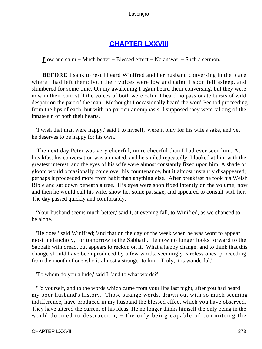## **[CHAPTER LXXVIII](#page-497-0)**

*L*ow and calm – Much better – Blessed effect – No answer – Such a sermon.

**BEFORE I** sank to rest I heard Winifred and her husband conversing in the place where I had left them; both their voices were low and calm. I soon fell asleep, and slumbered for some time. On my awakening I again heard them conversing, but they were now in their cart; still the voices of both were calm. I heard no passionate bursts of wild despair on the part of the man. Methought I occasionally heard the word Pechod proceeding from the lips of each, but with no particular emphasis. I supposed they were talking of the innate sin of both their hearts.

 'I wish that man were happy,' said I to myself, 'were it only for his wife's sake, and yet he deserves to be happy for his own.'

 The next day Peter was very cheerful, more cheerful than I had ever seen him. At breakfast his conversation was animated, and he smiled repeatedly. I looked at him with the greatest interest, and the eyes of his wife were almost constantly fixed upon him. A shade of gloom would occasionally come over his countenance, but it almost instantly disappeared; perhaps it proceeded more from habit than anything else. After breakfast he took his Welsh Bible and sat down beneath a tree. His eyes were soon fixed intently on the volume; now and then he would call his wife, show her some passage, and appeared to consult with her. The day passed quickly and comfortably.

 'Your husband seems much better,' said I, at evening fall, to Winifred, as we chanced to be alone.

 'He does,' said Winifred; 'and that on the day of the week when he was wont to appear most melancholy, for tomorrow is the Sabbath. He now no longer looks forward to the Sabbath with dread, but appears to reckon on it. What a happy change! and to think that this change should have been produced by a few words, seemingly careless ones, proceeding from the mouth of one who is almost a stranger to him. Truly, it is wonderful.'

'To whom do you allude,' said I; 'and to what words?'

 'To yourself, and to the words which came from your lips last night, after you had heard my poor husband's history. Those strange words, drawn out with so much seeming indifference, have produced in my husband the blessed effect which you have observed. They have altered the current of his ideas. He no longer thinks himself the only being in the world doomed to destruction, – the only being capable of committing the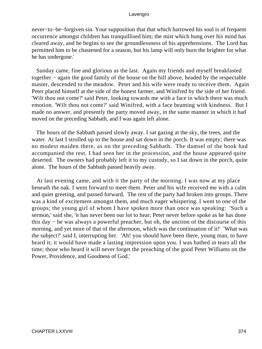never−to−be−forgiven sin. Your supposition that that which harrowed his soul is of frequent occurrence amongst children has tranquillised him; the mist which hung over his mind has cleared away, and he begins to see the groundlessness of his apprehensions. The Lord has permitted him to be chastened for a season, but his lamp will only burn the brighter for what he has undergone.'

 Sunday came, fine and glorious as the last. Again my friends and myself breakfasted together − again the good family of the house on the hill above, headed by the respectable master, descended to the meadow. Peter and his wife were ready to receive them. Again Peter placed himself at the side of the honest farmer, and Winifred by the side of her friend. 'Wilt thou not come?' said Peter, looking towards me with a face in which there was much emotion. 'Wilt thou not come?' said Winifred, with a face beaming with kindness. But I made no answer, and presently the party moved away, in the same manner in which it had moved on the preceding Sabbath, and I was again left alone.

 The hours of the Sabbath passed slowly away. I sat gazing at the sky, the trees, and the water. At last I strolled up to the house and sat down in the porch. It was empty; there was no modest maiden there, as on the preceding Sabbath. The damsel of the book had accompanied the rest. I had seen her in the procession, and the house appeared quite deserted. The owners had probably left it to my custody, so I sat down in the porch, quite alone. The hours of the Sabbath passed heavily away.

 At last evening came, and with it the party of the morning. I was now at my place beneath the oak. I went forward to meet them. Peter and his wife received me with a calm and quiet greeting, and passed forward. The rest of the party had broken into groups. There was a kind of excitement amongst them, and much eager whispering. I went to one of the groups; the young girl of whom I have spoken more than once was speaking: 'Such a sermon,' said she, 'it has never been our lot to hear; Peter never before spoke as he has done this day − he was always a powerful preacher, but oh, the unction of the discourse of this morning, and yet more of that of the afternoon, which was the continuation of it!' 'What was the subject?' said I, interrupting her. 'Ah! you should have been there, young man, to have heard it; it would have made a lasting impression upon you. I was bathed in tears all the time; those who heard it will never forget the preaching of the good Peter Williams on the Power, Providence, and Goodness of God.'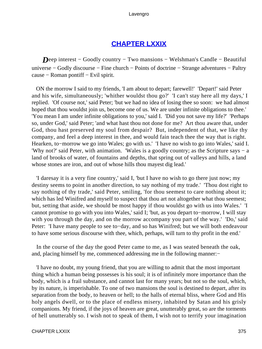## **[CHAPTER LXXIX](#page-497-0)**

*Deep* interest – Goodly country – Two mansions – Welshman's Candle – Beautiful universe − Godly discourse − Fine church − Points of doctrine − Strange adventures − Paltry cause − Roman pontiff − Evil spirit.

 ON the morrow I said to my friends, 'I am about to depart; farewell!' 'Depart!' said Peter and his wife, simultaneously; 'whither wouldst thou go?' 'I can't stay here all my days,' I replied. 'Of course not,' said Peter; 'but we had no idea of losing thee so soon: we had almost hoped that thou wouldst join us, become one of us. We are under infinite obligations to thee.' 'You mean I am under infinite obligations to you,' said I. 'Did you not save my life?' 'Perhaps so, under God,' said Peter; 'and what hast thou not done for me? Art thou aware that, under God, thou hast preserved my soul from despair? But, independent of that, we like thy company, and feel a deep interest in thee, and would fain teach thee the way that is right. Hearken, to−morrow we go into Wales; go with us.' 'I have no wish to go into Wales,' said I. 'Why not?' said Peter, with animation. 'Wales is a goodly country; as the Scripture says − a land of brooks of water, of fountains and depths, that spring out of valleys and hills, a land whose stones are iron, and out of whose hills thou mayest dig lead.'

 'I daresay it is a very fine country,' said I, 'but I have no wish to go there just now; my destiny seems to point in another direction, to say nothing of my trade.' 'Thou dost right to say nothing of thy trade,' said Peter, smiling, 'for thou seemest to care nothing about it; which has led Winifred and myself to suspect that thou art not altogether what thou seemest; but, setting that aside, we should be most happy if thou wouldst go with us into Wales.' 'I cannot promise to go with you into Wales,' said I; 'but, as you depart to−morrow, I will stay with you through the day, and on the morrow accompany you part of the way.' 'Do,' said Peter: 'I have many people to see to−day, and so has Winifred; but we will both endeavour to have some serious discourse with thee, which, perhaps, will turn to thy profit in the end.'

 In the course of the day the good Peter came to me, as I was seated beneath the oak, and, placing himself by me, commenced addressing me in the following manner:−

 'I have no doubt, my young friend, that you are willing to admit that the most important thing which a human being possesses is his soul; it is of infinitely more importance than the body, which is a frail substance, and cannot last for many years; but not so the soul, which, by its nature, is imperishable. To one of two mansions the soul is destined to depart, after its separation from the body, to heaven or hell; to the halls of eternal bliss, where God and His holy angels dwell, or to the place of endless misery, inhabited by Satan and his grisly companions. My friend, if the joys of heaven are great, unutterably great, so are the torments of hell unutterably so. I wish not to speak of them, I wish not to terrify your imagination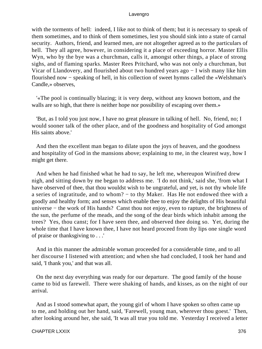with the torments of hell: indeed, I like not to think of them; but it is necessary to speak of them sometimes, and to think of them sometimes, lest you should sink into a state of carnal security. Authors, friend, and learned men, are not altogether agreed as to the particulars of hell. They all agree, however, in considering it a place of exceeding horror. Master Ellis Wyn, who by the bye was a churchman, calls it, amongst other things, a place of strong sighs, and of flaming sparks. Master Rees Pritchard, who was not only a churchman, but Vicar of Llandovery, and flourished about two hundred years ago − I wish many like him flourished now − speaking of hell, in his collection of sweet hymns called the «Welshman's Candle,» observes,

 '«The pool is continually blazing; it is very deep, without any known bottom, and the walls are so high, that there is neither hope nor possibility of escaping over them.»

 'But, as I told you just now, I have no great pleasure in talking of hell. No, friend, no; I would sooner talk of the other place, and of the goodness and hospitality of God amongst His saints above.'

 And then the excellent man began to dilate upon the joys of heaven, and the goodness and hospitality of God in the mansions above; explaining to me, in the clearest way, how I might get there.

 And when he had finished what he had to say, he left me, whereupon Winifred drew nigh, and sitting down by me began to address me. 'I do not think,' said she, 'from what I have observed of thee, that thou wouldst wish to be ungrateful, and yet, is not thy whole life a series of ingratitude, and to whom? − to thy Maker. Has He not endowed thee with a goodly and healthy form; and senses which enable thee to enjoy the delights of His beautiful universe − the work of His hands? Canst thou not enjoy, even to rapture, the brightness of the sun, the perfume of the meads, and the song of the dear birds which inhabit among the trees? Yes, thou canst; for I have seen thee, and observed thee doing so. Yet, during the whole time that I have known thee, I have not heard proceed from thy lips one single word of praise or thanksgiving to . . .'

 And in this manner the admirable woman proceeded for a considerable time, and to all her discourse I listened with attention; and when she had concluded, I took her hand and said, 'I thank you,' and that was all.

 On the next day everything was ready for our departure. The good family of the house came to bid us farewell. There were shaking of hands, and kisses, as on the night of our arrival.

 And as I stood somewhat apart, the young girl of whom I have spoken so often came up to me, and holding out her hand, said, 'Farewell, young man, wherever thou goest.' Then, after looking around her, she said, 'It was all true you told me. Yesterday I received a letter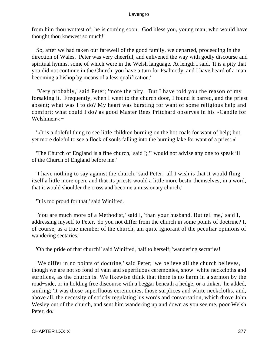from him thou wottest of; he is coming soon. God bless you, young man; who would have thought thou knewest so much!'

 So, after we had taken our farewell of the good family, we departed, proceeding in the direction of Wales. Peter was very cheerful, and enlivened the way with godly discourse and spiritual hymns, some of which were in the Welsh language. At length I said, 'It is a pity that you did not continue in the Church; you have a turn for Psalmody, and I have heard of a man becoming a bishop by means of a less qualification.'

 'Very probably,' said Peter; 'more the pity. But I have told you the reason of my forsaking it. Frequently, when I went to the church door, I found it barred, and the priest absent; what was I to do? My heart was bursting for want of some religious help and comfort; what could I do? as good Master Rees Pritchard observes in his «Candle for Welshmen»:−

 '«It is a doleful thing to see little children burning on the hot coals for want of help; but yet more doleful to see a flock of souls falling into the burning lake for want of a priest.»'

 'The Church of England is a fine church,' said I; 'I would not advise any one to speak ill of the Church of England before me.'

 'I have nothing to say against the church,' said Peter; 'all I wish is that it would fling itself a little more open, and that its priests would a little more bestir themselves; in a word, that it would shoulder the cross and become a missionary church.'

'It is too proud for that,' said Winifred.

 'You are much more of a Methodist,' said I, 'than your husband. But tell me,' said I, addressing myself to Peter, 'do you not differ from the church in some points of doctrine? I, of course, as a true member of the church, am quite ignorant of the peculiar opinions of wandering sectaries.'

'Oh the pride of that church!' said Winifred, half to herself; 'wandering sectaries!'

 'We differ in no points of doctrine,' said Peter; 'we believe all the church believes, though we are not so fond of vain and superfluous ceremonies, snow−white neckcloths and surplices, as the church is. We likewise think that there is no harm in a sermon by the road−side, or in holding free discourse with a beggar beneath a hedge, or a tinker,' he added, smiling; 'it was those superfluous ceremonies, those surplices and white neckcloths, and, above all, the necessity of strictly regulating his words and conversation, which drove John Wesley out of the church, and sent him wandering up and down as you see me, poor Welsh Peter, do.'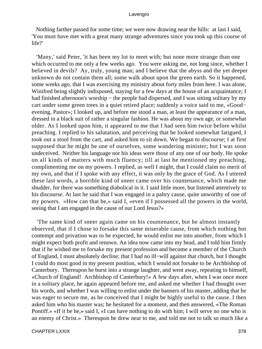Nothing farther passed for some time; we were now drawing near the hills: at last I said, 'You must have met with a great many strange adventures since you took up this course of life?'

 'Many,' said Peter, 'it has been my lot to meet with; but none more strange than one which occurred to me only a few weeks ago. You were asking me, not long since, whether I believed in devils? Ay, truly, young man; and I believe that the abyss and the yet deeper unknown do not contain them all; some walk about upon the green earth. So it happened, some weeks ago, that I was exercising my ministry about forty miles from here. I was alone, Winifred being slightly indisposed, staying for a few days at the house of an acquaintance; I had finished afternoon's worship – the people had dispersed, and I was sitting solitary by my cart under some green trees in a quiet retired place; suddenly a voice said to me, «Good− evening, Pastor»; I looked up, and before me stood a man, at least the appearance of a man, dressed in a black suit of rather a singular fashion. He was about my own age, or somewhat older. As I looked upon him, it appeared to me that I had seen him twice before whilst preaching. I replied to his salutation, and perceiving that he looked somewhat fatigued, I took out a stool from the cart, and asked him to sit down. We began to discourse; I at first supposed that he might be one of ourselves, some wandering minister; but I was soon undeceived. Neither his language nor his ideas were those of any one of our body. He spoke on all kinds of matters with much fluency; till at last he mentioned my preaching, complimenting me on my powers. I replied, as well I might, that I could claim no merit of my own, and that if I spoke with any effect, it was only by the grace of God. As I uttered these last words, a horrible kind of sneer came over his countenance, which made me shudder, for there was something diabolical in it. I said little more, but listened attentively to his discourse. At last he said that I was engaged in a paltry cause, quite unworthy of one of my powers. «How can that be,» said I, «even if I possessed all the powers in the world, seeing that I am engaged in the cause of our Lord Jesus?»

 'The same kind of sneer again came on his countenance, but he almost instantly observed, that if I chose to forsake this same miserable cause, from which nothing but contempt and privation was to be expected, he would enlist me into another, from which I might expect both profit and renown. An idea now came into my head, and I told him firmly that if he wished me to forsake my present profession and become a member of the Church of England, I must absolutely decline; that I had no ill−will against that church, but I thought I could do most good in my present position, which I would not forsake to be Archbishop of Canterbury. Thereupon he burst into a strange laughter, and went away, repeating to himself, «Church of England! Archbishop of Canterbury!» A few days after, when I was once more in a solitary place, he again appeared before me, and asked me whether I had thought over his words, and whether I was willing to enlist under the banners of his master, adding that he was eager to secure me, as he conceived that I might be highly useful to the cause. I then asked him who his master was; he hesitated for a moment, and then answered, «The Roman Pontiff.» «If it be he,» said I, «I can have nothing to do with him; I will serve no one who is an enemy of Christ.» Thereupon he drew near to me, and told me not to talk so much like a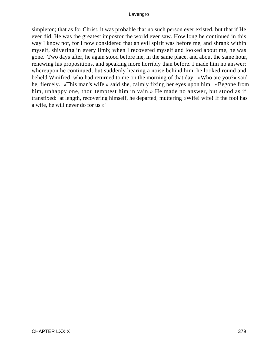simpleton; that as for Christ, it was probable that no such person ever existed, but that if He ever did, He was the greatest impostor the world ever saw. How long he continued in this way I know not, for I now considered that an evil spirit was before me, and shrank within myself, shivering in every limb; when I recovered myself and looked about me, he was gone. Two days after, he again stood before me, in the same place, and about the same hour, renewing his propositions, and speaking more horribly than before. I made him no answer; whereupon he continued; but suddenly hearing a noise behind him, he looked round and beheld Winifred, who had returned to me on the morning of that day. «Who are you?» said he, fiercely. «This man's wife,» said she, calmly fixing her eyes upon him. «Begone from him, unhappy one, thou temptest him in vain.» He made no answer, but stood as if transfixed: at length, recovering himself, he departed, muttering «Wife! wife! If the fool has a wife, he will never do for us.»'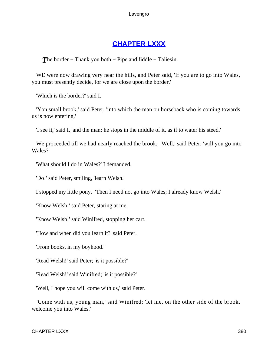## **[CHAPTER LXXX](#page-497-0)**

*T*he border – Thank you both – Pipe and fiddle – Taliesin.

WE were now drawing very near the hills, and Peter said, If you are to go into Wales, you must presently decide, for we are close upon the border.'

'Which is the border?' said I.

 'Yon small brook,' said Peter, 'into which the man on horseback who is coming towards us is now entering.'

'I see it,' said I, 'and the man; he stops in the middle of it, as if to water his steed.'

 We proceeded till we had nearly reached the brook. 'Well,' said Peter, 'will you go into Wales?'

'What should I do in Wales?' I demanded.

'Do!' said Peter, smiling, 'learn Welsh.'

I stopped my little pony. 'Then I need not go into Wales; I already know Welsh.'

'Know Welsh!' said Peter, staring at me.

'Know Welsh!' said Winifred, stopping her cart.

'How and when did you learn it?' said Peter.

'From books, in my boyhood.'

'Read Welsh!' said Peter; 'is it possible?'

'Read Welsh!' said Winifred; 'is it possible?'

'Well, I hope you will come with us,' said Peter.

 'Come with us, young man,' said Winifred; 'let me, on the other side of the brook, welcome you into Wales.'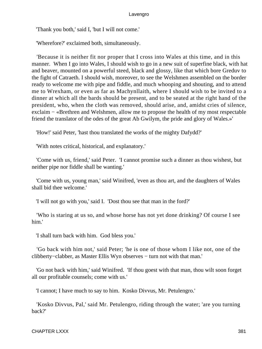'Thank you both,' said I, 'but I will not come.'

'Wherefore?' exclaimed both, simultaneously.

 'Because it is neither fit nor proper that I cross into Wales at this time, and in this manner. When I go into Wales, I should wish to go in a new suit of superfine black, with hat and beaver, mounted on a powerful steed, black and glossy, like that which bore Greduv to the fight of Catraeth. I should wish, moreover, to see the Welshmen assembled on the border ready to welcome me with pipe and fiddle, and much whooping and shouting, and to attend me to Wrexham, or even as far as Machynllaith, where I should wish to be invited to a dinner at which all the bards should be present, and to be seated at the right hand of the president, who, when the cloth was removed, should arise, and, amidst cries of silence, exclaim − «Brethren and Welshmen, allow me to propose the health of my most respectable friend the translator of the odes of the great Ab Gwilym, the pride and glory of Wales.»'

'How!' said Peter, 'hast thou translated the works of the mighty Dafydd?'

'With notes critical, historical, and explanatory.'

 'Come with us, friend,' said Peter. 'I cannot promise such a dinner as thou wishest, but neither pipe nor fiddle shall be wanting.'

 'Come with us, young man,' said Winifred, 'even as thou art, and the daughters of Wales shall bid thee welcome.'

'I will not go with you,' said I. 'Dost thou see that man in the ford?'

 'Who is staring at us so, and whose horse has not yet done drinking? Of course I see him.'

'I shall turn back with him. God bless you.'

 'Go back with him not,' said Peter; 'he is one of those whom I like not, one of the clibberty−clabber, as Master Ellis Wyn observes − turn not with that man.'

 'Go not back with him,' said Winifred. 'If thou goest with that man, thou wilt soon forget all our profitable counsels; come with us.'

'I cannot; I have much to say to him. Kosko Divvus, Mr. Petulengro.'

 'Kosko Divvus, Pal,' said Mr. Petulengro, riding through the water; 'are you turning back?'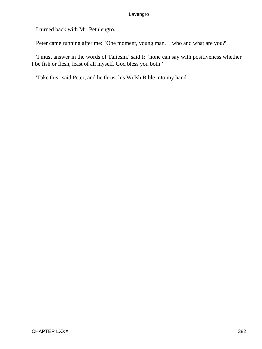I turned back with Mr. Petulengro.

Peter came running after me: 'One moment, young man, – who and what are you?'

 'I must answer in the words of Taliesin,' said I: 'none can say with positiveness whether I be fish or flesh, least of all myself. God bless you both!'

'Take this,' said Peter, and he thrust his Welsh Bible into my hand.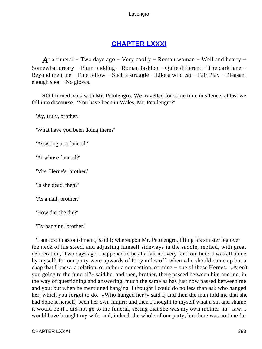# **[CHAPTER LXXXI](#page-497-0)**

*A*t a funeral – Two days ago – Very coolly – Roman woman – Well and hearty – Somewhat dreary − Plum pudding − Roman fashion − Quite different − The dark lane − Beyond the time − Fine fellow − Such a struggle − Like a wild cat − Fair Play − Pleasant enough spot − No gloves.

**SO I** turned back with Mr. Petulengro. We travelled for some time in silence; at last we fell into discourse. 'You have been in Wales, Mr. Petulengro?'

'Ay, truly, brother.'

'What have you been doing there?'

'Assisting at a funeral.'

'At whose funeral?'

'Mrs. Herne's, brother.'

'Is she dead, then?'

'As a nail, brother.'

'How did she die?'

'By hanging, brother.'

 'I am lost in astonishment,' said I; whereupon Mr. Petulengro, lifting his sinister leg over the neck of his steed, and adjusting himself sideways in the saddle, replied, with great deliberation, 'Two days ago I happened to be at a fair not very far from here; I was all alone by myself, for our party were upwards of forty miles off, when who should come up but a chap that I knew, a relation, or rather a connection, of mine − one of those Hernes. «Aren't you going to the funeral?» said he; and then, brother, there passed between him and me, in the way of questioning and answering, much the same as has just now passed between me and you; but when he mentioned hanging, I thought I could do no less than ask who hanged her, which you forgot to do. «Who hanged her?» said I; and then the man told me that she had done it herself; been her own hinjiri; and then I thought to myself what a sin and shame it would be if I did not go to the funeral, seeing that she was my own mother−in− law. I would have brought my wife, and, indeed, the whole of our party, but there was no time for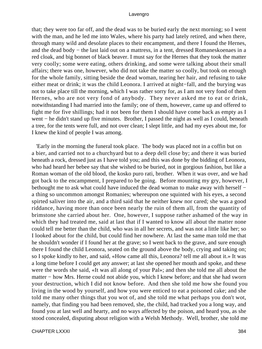that; they were too far off, and the dead was to be buried early the next morning; so I went with the man, and he led me into Wales, where his party had lately retired, and when there, through many wild and desolate places to their encampment, and there I found the Hernes, and the dead body − the last laid out on a mattress, in a tent, dressed Romaneskoenaes in a red cloak, and big bonnet of black beaver. I must say for the Hernes that they took the matter very coolly; some were eating, others drinking, and some were talking about their small affairs; there was one, however, who did not take the matter so coolly, but took on enough for the whole family, sitting beside the dead woman, tearing her hair, and refusing to take either meat or drink; it was the child Leonora. I arrived at night−fall, and the burying was not to take place till the morning, which I was rather sorry for, as I am not very fond of them Hernes, who are not very fond of anybody. They never asked me to eat or drink, notwithstanding I had married into the family; one of them, however, came up and offered to fight me for five shillings; had it not been for them I should have come back as empty as I went − he didn't stand up five minutes. Brother, I passed the night as well as I could, beneath a tree, for the tents were full, and not over clean; I slept little, and had my eyes about me, for I knew the kind of people I was among.

 'Early in the morning the funeral took place. The body was placed not in a coffin but on a bier, and carried not to a churchyard but to a deep dell close by; and there it was buried beneath a rock, dressed just as I have told you; and this was done by the bidding of Leonora, who had heard her bebee say that she wished to be buried, not in gorgious fashion, but like a Roman woman of the old blood, the kosko puro rati, brother. When it was over, and we had got back to the encampment, I prepared to be going. Before mounting my gry, however, I bethought me to ask what could have induced the dead woman to make away with herself − a thing so uncommon amongst Romanies; whereupon one squinted with his eyes, a second spirted saliver into the air, and a third said that he neither knew nor cared; she was a good riddance, having more than once been nearly the ruin of them all, from the quantity of brimstone she carried about her. One, however, I suppose rather ashamed of the way in which they had treated me, said at last that if I wanted to know all about the matter none could tell me better than the child, who was in all her secrets, and was not a little like her; so I looked about for the child, but could find her nowhere. At last the same man told me that he shouldn't wonder if I found her at the grave; so I went back to the grave, and sure enough there I found the child Leonora, seated on the ground above the body, crying and taking on; so I spoke kindly to her, and said, «How came all this, Leonora? tell me all about it.» It was a long time before I could get any answer; at last she opened her mouth and spoke, and these were the words she said, «It was all along of your Pal»; and then she told me all about the matter − how Mrs. Herne could not abide you, which I knew before; and that she had sworn your destruction, which I did not know before. And then she told me how she found you living in the wood by yourself, and how you were enticed to eat a poisoned cake; and she told me many other things that you wot of, and she told me what perhaps you don't wot, namely, that finding you had been removed, she, the child, had tracked you a long way, and found you at last well and hearty, and no ways affected by the poison, and heard you, as she stood concealed, disputing about religion with a Welsh Methody. Well, brother, she told me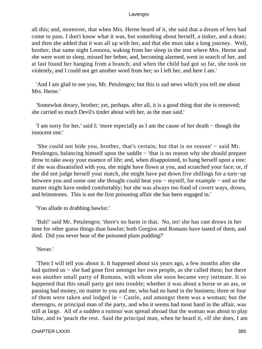all this; and, moreover, that when Mrs. Herne heard of it, she said that a dream of hers had come to pass. I don't know what it was, but something about herself, a tinker, and a dean; and then she added that it was all up with her, and that she must take a long journey. Well, brother, that same night Leonora, waking from her sleep in the tent where Mrs. Herne and she were wont to sleep, missed her bebee, and, becoming alarmed, went in search of her, and at last found her hanging from a branch; and when the child had got so far, she took on violently, and I could not get another word from her; so I left her, and here I am.'

 'And I am glad to see you, Mr. Petulengro; but this is sad news which you tell me about Mrs. Herne.'

 'Somewhat dreary, brother; yet, perhaps, after all, it is a good thing that she is removed; she carried so much Devil's tinder about with her, as the man said.'

 'I am sorry for her,' said I; 'more especially as I am the cause of her death − though the innocent one.'

 'She could not bide you, brother, that's certain; but that is no reason' − said Mr. Petulengro, balancing himself upon the saddle − 'that is no reason why she should prepare drow to take away your essence of life; and, when disappointed, to hang herself upon a tree: if she was dissatisfied with you, she might have flown at you, and scratched your face; or, if she did not judge herself your match, she might have put down five shillings for a turn−up between you and some one she thought could beat you − myself, for example − and so the matter might have ended comfortably; but she was always too fond of covert ways, drows, and brimstones. This is not the first poisoning affair she has been engaged in.'

'You allude to drabbing bawlor.'

 'Bah!' said Mr. Petulengro; 'there's no harm in that. No, no! she has cast drows in her time for other guess things than bawlor; both Gorgios and Romans have tasted of them, and died. Did you never hear of the poisoned plum pudding?'

'Never.'

 'Then I will tell you about it. It happened about six years ago, a few months after she had quitted us – she had gone first amongst her own people, as she called them; but there was another small party of Romans, with whom she soon became very intimate. It so happened that this small party got into trouble; whether it was about a horse or an ass, or passing bad money, no matter to you and me, who had no hand in the business; three or four of them were taken and lodged in − Castle, and amongst them was a woman; but the sherengro, or principal man of the party, and who it seems had most hand in the affair, was still at large. All of a sudden a rumour was spread abroad that the woman was about to play false, and to 'peach the rest. Said the principal man, when he heard it, «If she does, I am

CHAPTER LXXXI 385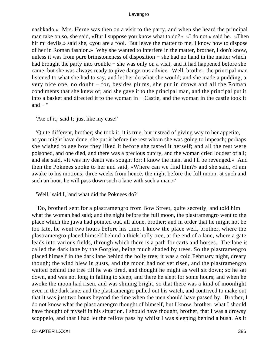nashkado.» Mrs. Herne was then on a visit to the party, and when she heard the principal man take on so, she said, «But I suppose you know what to do?» «I do not,» said he. «Then hir mi devlis,» said she, «you are a fool. But leave the matter to me, I know how to dispose of her in Roman fashion.» Why she wanted to interfere in the matter, brother, I don't know, unless it was from pure brimstoneness of disposition – she had no hand in the matter which had brought the party into trouble – she was only on a visit, and it had happened before she came; but she was always ready to give dangerous advice. Well, brother, the principal man listened to what she had to say, and let her do what she would; and she made a pudding, a very nice one, no doubt − for, besides plums, she put in drows and all the Roman condiments that she knew of; and she gave it to the principal man, and the principal put it into a basket and directed it to the woman in − Castle, and the woman in the castle took it and  $-$  "

'Ate of it,' said I; 'just like my case!'

 'Quite different, brother; she took it, it is true, but instead of giving way to her appetite, as you might have done, she put it before the rest whom she was going to impeach; perhaps she wished to see how they liked it before she tasted it herself; and all the rest were poisoned, and one died, and there was a precious outcry, and the woman cried loudest of all; and she said, «It was my death was sought for; I know the man, and I'll be revenged.» And then the Poknees spoke to her and said, «Where can we find him?» and she said, «I am awake to his motions; three weeks from hence, the night before the full moon, at such and such an hour, he will pass down such a lane with such a man.»'

'Well,' said I, 'and what did the Poknees do?'

 'Do, brother! sent for a plastramengro from Bow Street, quite secretly, and told him what the woman had said; and the night before the full moon, the plastramengro went to the place which the juwa had pointed out, all alone, brother; and in order that he might not be too late, he went two hours before his time. I know the place well, brother, where the plastramengro placed himself behind a thick holly tree, at the end of a lane, where a gate leads into various fields, through which there is a path for carts and horses. The lane is called the dark lane by the Gorgios, being much shaded by trees. So the plastramengro placed himself in the dark lane behind the holly tree; it was a cold February night, dreary though; the wind blew in gusts, and the moon had not yet risen, and the plastramengro waited behind the tree till he was tired, and thought he might as well sit down; so he sat down, and was not long in falling to sleep, and there he slept for some hours; and when he awoke the moon had risen, and was shining bright, so that there was a kind of moonlight even in the dark lane; and the plastramengro pulled out his watch, and contrived to make out that it was just two hours beyond the time when the men should have passed by. Brother, I do not know what the plastramengro thought of himself, but I know, brother, what I should have thought of myself in his situation. I should have thought, brother, that I was a drowsy scoppelo, and that I had let the fellow pass by whilst I was sleeping behind a bush. As it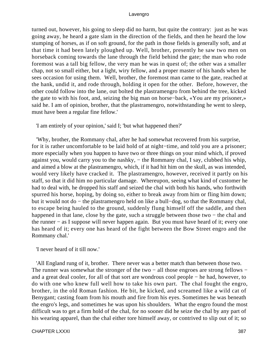turned out, however, his going to sleep did no harm, but quite the contrary: just as he was going away, he heard a gate slam in the direction of the fields, and then he heard the low stumping of horses, as if on soft ground, for the path in those fields is generally soft, and at that time it had been lately ploughed up. Well, brother, presently he saw two men on horseback coming towards the lane through the field behind the gate; the man who rode foremost was a tall big fellow, the very man he was in quest of; the other was a smaller chap, not so small either, but a light, wiry fellow, and a proper master of his hands when he sees occasion for using them. Well, brother, the foremost man came to the gate, reached at the hank, undid it, and rode through, holding it open for the other. Before, however, the other could follow into the lane, out bolted the plastramengro from behind the tree, kicked the gate to with his foot, and, seizing the big man on horse−back, «You are my prisoner,» said he. I am of opinion, brother, that the plastramengro, notwithstanding he went to sleep, must have been a regular fine fellow.'

'I am entirely of your opinion,' said I; 'but what happened then?'

 'Why, brother, the Rommany chal, after he had somewhat recovered from his surprise, for it is rather uncomfortable to be laid hold of at night−time, and told you are a prisoner; more especially when you happen to have two or three things on your mind which, if proved against you, would carry you to the nashky, − the Rommany chal, I say, clubbed his whip, and aimed a blow at the plastramengro, which, if it had hit him on the skull, as was intended, would very likely have cracked it. The plastramengro, however, received it partly on his staff, so that it did him no particular damage. Whereupon, seeing what kind of customer he had to deal with, he dropped his staff and seized the chal with both his hands, who forthwith spurred his horse, hoping, by doing so, either to break away from him or fling him down; but it would not do − the plastramengro held on like a bull−dog, so that the Rommany chal, to escape being hauled to the ground, suddenly flung himself off the saddle, and then happened in that lane, close by the gate, such a struggle between those two − the chal and the runner − as I suppose will never happen again. But you must have heard of it; every one has heard of it; every one has heard of the fight between the Bow Street engro and the Rommany chal.'

'I never heard of it till now.'

 'All England rung of it, brother. There never was a better match than between those two. The runner was somewhat the stronger of the two – all those engroes are strong fellows – and a great deal cooler, for all of that sort are wondrous cool people − he had, however, to do with one who knew full well how to take his own part. The chal fought the engro, brother, in the old Roman fashion. He bit, he kicked, and screamed like a wild cat of Benygant; casting foam from his mouth and fire from his eyes. Sometimes he was beneath the engro's legs, and sometimes he was upon his shoulders. What the engro found the most difficult was to get a firm hold of the chal, for no sooner did he seize the chal by any part of his wearing apparel, than the chal either tore himself away, or contrived to slip out of it; so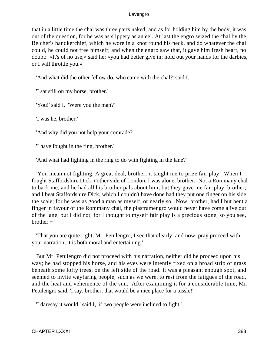that in a little time the chal was three parts naked; and as for holding him by the body, it was out of the question, for he was as slippery as an eel. At last the engro seized the chal by the Belcher's handkerchief, which he wore in a knot round his neck, and do whatever the chal could, he could not free himself; and when the engro saw that, it gave him fresh heart, no doubt: «It's of no use,» said he; «you had better give in; hold out your hands for the darbies, or I will throttle you.»

'And what did the other fellow do, who came with the chal?' said I.

'I sat still on my horse, brother.'

'You!' said I. 'Were you the man?'

'I was he, brother.'

'And why did you not help your comrade?'

'I have fought in the ring, brother.'

'And what had fighting in the ring to do with fighting in the lane?'

 'You mean not fighting. A great deal, brother; it taught me to prize fair play. When I fought Staffordshire Dick, t'other side of London, I was alone, brother. Not a Rommany chal to back me, and he had all his brother pals about him; but they gave me fair play, brother; and I beat Staffordshire Dick, which I couldn't have done had they put one finger on his side the scale; for he was as good a man as myself, or nearly so. Now, brother, had I but bent a finger in favour of the Rommany chal, the plastramengro would never have come alive out of the lane; but I did not, for I thought to myself fair play is a precious stone; so you see,  $brother - '$ 

 'That you are quite right, Mr. Petulengro, I see that clearly; and now, pray proceed with your narration; it is both moral and entertaining.'

 But Mr. Petulengro did not proceed with his narration, neither did he proceed upon his way; he had stopped his horse, and his eyes were intently fixed on a broad strip of grass beneath some lofty trees, on the left side of the road. It was a pleasant enough spot, and seemed to invite wayfaring people, such as we were, to rest from the fatigues of the road, and the heat and vehemence of the sun. After examining it for a considerable time, Mr. Petulengro said, 'I say, brother, that would be a nice place for a tussle!'

'I daresay it would,' said I, 'if two people were inclined to fight.'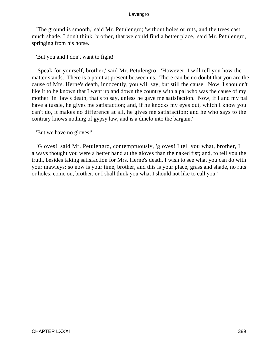'The ground is smooth,' said Mr. Petulengro; 'without holes or ruts, and the trees cast much shade. I don't think, brother, that we could find a better place,' said Mr. Petulengro, springing from his horse.

'But you and I don't want to fight!'

 'Speak for yourself, brother,' said Mr. Petulengro. 'However, I will tell you how the matter stands. There is a point at present between us. There can be no doubt that you are the cause of Mrs. Herne's death, innocently, you will say, but still the cause. Now, I shouldn't like it to be known that I went up and down the country with a pal who was the cause of my mother−in−law's death, that's to say, unless he gave me satisfaction. Now, if I and my pal have a tussle, he gives me satisfaction; and, if he knocks my eyes out, which I know you can't do, it makes no difference at all, he gives me satisfaction; and he who says to the contrary knows nothing of gypsy law, and is a dinelo into the bargain.'

'But we have no gloves!'

 'Gloves!' said Mr. Petulengro, contemptuously, 'gloves! I tell you what, brother, I always thought you were a better hand at the gloves than the naked fist; and, to tell you the truth, besides taking satisfaction for Mrs. Herne's death, I wish to see what you can do with your mawleys; so now is your time, brother, and this is your place, grass and shade, no ruts or holes; come on, brother, or I shall think you what I should not like to call you.'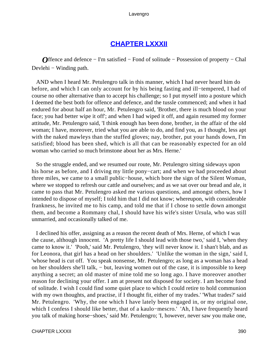## **[CHAPTER LXXXII](#page-497-0)**

*O*ffence and defence − I'm satisfied − Fond of solitude − Possession of property − Chal Devlehi – Winding path.

 AND when I heard Mr. Petulengro talk in this manner, which I had never heard him do before, and which I can only account for by his being fasting and ill−tempered, I had of course no other alternative than to accept his challenge; so I put myself into a posture which I deemed the best both for offence and defence, and the tussle commenced; and when it had endured for about half an hour, Mr. Petulengro said, 'Brother, there is much blood on your face; you had better wipe it off'; and when I had wiped it off, and again resumed my former attitude, Mr. Petulengro said, 'I think enough has been done, brother, in the affair of the old woman; I have, moreover, tried what you are able to do, and find you, as I thought, less apt with the naked mawleys than the stuffed gloves; nay, brother, put your hands down, I'm satisfied; blood has been shed, which is all that can be reasonably expected for an old woman who carried so much brimstone about her as Mrs. Herne.'

 So the struggle ended, and we resumed our route, Mr. Petulengro sitting sideways upon his horse as before, and I driving my little pony−cart; and when we had proceeded about three miles, we came to a small public−house, which bore the sign of the Silent Woman, where we stopped to refresh our cattle and ourselves; and as we sat over our bread and ale, it came to pass that Mr. Petulengro asked me various questions, and amongst others, how I intended to dispose of myself; I told him that I did not know; whereupon, with considerable frankness, he invited me to his camp, and told me that if I chose to settle down amongst them, and become a Rommany chal, I should have his wife's sister Ursula, who was still unmarried, and occasionally talked of me.

 I declined his offer, assigning as a reason the recent death of Mrs. Herne, of which I was the cause, although innocent. 'A pretty life I should lead with those two,' said I, 'when they came to know it.' 'Pooh,' said Mr. Petulengro, 'they will never know it. I shan't blab, and as for Leonora, that girl has a head on her shoulders.' 'Unlike the woman in the sign,' said I, 'whose head is cut off. You speak nonsense, Mr. Petulengro; as long as a woman has a head on her shoulders she'll talk, − but, leaving women out of the case, it is impossible to keep anything a secret; an old master of mine told me so long ago. I have moreover another reason for declining your offer. I am at present not disposed for society. I am become fond of solitude. I wish I could find some quiet place to which I could retire to hold communion with my own thoughts, and practise, if I thought fit, either of my trades.' 'What trades?' said Mr. Petulengro. 'Why, the one which I have lately been engaged in, or my original one, which I confess I should like better, that of a kaulo−mescro.' 'Ah, I have frequently heard you talk of making horse−shoes,' said Mr. Petulengro; 'I, however, never saw you make one,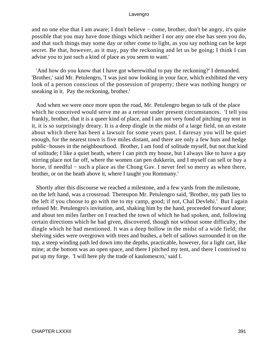and no one else that I am aware; I don't believe − come, brother, don't be angry, it's quite possible that you may have done things which neither I nor any one else has seen you do, and that such things may some day or other come to light, as you say nothing can be kept secret. Be that, however, as it may, pay the reckoning and let us be going; I think I can advise you to just such a kind of place as you seem to want.'

 'And how do you know that I have got wherewithal to pay the reckoning?' I demanded. 'Brother,' said Mr. Petulengro, 'I was just now looking in your face, which exhibited the very look of a person conscious of the possession of property; there was nothing hungry or sneaking in it. Pay the reckoning, brother.'

 And when we were once more upon the road, Mr. Petulengro began to talk of the place which he conceived would serve me as a retreat under present circumstances. 'I tell you frankly, brother, that it is a queer kind of place, and I am not very fond of pitching my tent in it, it is so surprisingly dreary. It is a deep dingle in the midst of a large field, on an estate about which there has been a lawsuit for some years past. I daresay you will be quiet enough, for the nearest town is five miles distant, and there are only a few huts and hedge public−houses in the neighbourhood. Brother, I am fond of solitude myself, but not that kind of solitude; I like a quiet heath, where I can pitch my house, but I always like to have a gay stirring place not far off, where the women can pen dukkerin, and I myself can sell or buy a horse, if needful − such a place as the Chong Gav. I never feel so merry as when there, brother, or on the heath above it, where I taught you Rommany.'

 Shortly after this discourse we reached a milestone, and a few yards from the milestone, on the left hand, was a crossroad. Thereupon Mr. Petulengro said, 'Brother, my path lies to the left if you choose to go with me to my camp, good; if not, Chal Devlehi.' But I again refused Mr. Petulengro's invitation, and, shaking him by the hand, proceeded forward alone; and about ten miles farther on I reached the town of which he had spoken, and, following certain directions which he had given, discovered, though not without some difficulty, the dingle which he had mentioned. It was a deep hollow in the midst of a wide field; the shelving sides were overgrown with trees and bushes, a belt of sallows surrounded it on the top, a steep winding path led down into the depths, practicable, however, for a light cart, like mine; at the bottom was an open space, and there I pitched my tent, and there I contrived to put up my forge. 'I will here ply the trade of kaulomescro,' said I.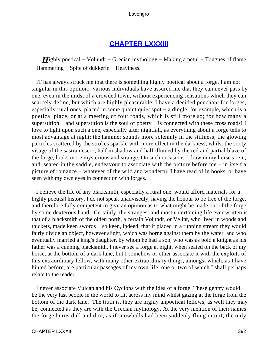## **[CHAPTER LXXXIII](#page-497-0)**

*H*ighly poetical – Volundr – Grecian mythology – Making a petul – Tongues of flame − Hammering − Spite of dukkerin − Heaviness.

 IT has always struck me that there is something highly poetical about a forge. I am not singular in this opinion: various individuals have assured me that they can never pass by one, even in the midst of a crowded town, without experiencing sensations which they can scarcely define, but which are highly pleasurable. I have a decided penchant for forges, especially rural ones, placed in some quaint quiet spot − a dingle, for example, which is a poetical place, or at a meeting of four roads, which is still more so; for how many a superstition – and superstition is the soul of poetry – is connected with these cross roads! I love to light upon such a one, especially after nightfall, as everything about a forge tells to most advantage at night; the hammer sounds more solemnly in the stillness; the glowing particles scattered by the strokes sparkle with more effect in the darkness, whilst the sooty visage of the sastramescro, half in shadow and half illumed by the red and partial blaze of the forge, looks more mysterious and strange. On such occasions I draw in my horse's rein, and, seated in the saddle, endeavour to associate with the picture before me − in itself a picture of romance − whatever of the wild and wonderful I have read of in books, or have seen with my own eyes in connection with forges.

 I believe the life of any blacksmith, especially a rural one, would afford materials for a highly poetical history. I do not speak unadvisedly, having the honour to be free of the forge, and therefore fully competent to give an opinion as to what might be made out of the forge by some dexterous hand. Certainly, the strangest and most entertaining life ever written is that of a blacksmith of the olden north, a certain Volundr, or Velint, who lived in woods and thickets, made keen swords − so keen, indeed, that if placed in a running stream they would fairly divide an object, however slight, which was borne against them by the water, and who eventually married a king's daughter, by whom he had a son, who was as bold a knight as his father was a cunning blacksmith. I never see a forge at night, when seated on the back of my horse, at the bottom of a dark lane, but I somehow or other associate it with the exploits of this extraordinary fellow, with many other extraordinary things, amongst which, as I have hinted before, are particular passages of my own life, one or two of which I shall perhaps relate to the reader.

 I never associate Vulcan and his Cyclops with the idea of a forge. These gentry would be the very last people in the world to flit across my mind whilst gazing at the forge from the bottom of the dark lane. The truth is, they are highly unpoetical fellows, as well they may be, connected as they are with the Grecian mythology. At the very mention of their names the forge burns dull and dim, as if snowballs had been suddenly flung into it; the only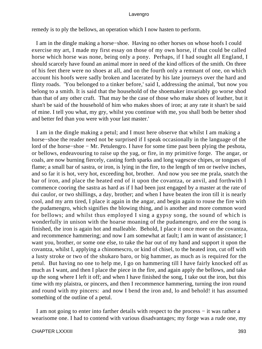remedy is to ply the bellows, an operation which I now hasten to perform.

 I am in the dingle making a horse−shoe. Having no other horses on whose hoofs I could exercise my art, I made my first essay on those of my own horse, if that could be called horse which horse was none, being only a pony. Perhaps, if I had sought all England, I should scarcely have found an animal more in need of the kind offices of the smith. On three of his feet there were no shoes at all, and on the fourth only a remnant of one, on which account his hoofs were sadly broken and lacerated by his late journeys over the hard and flinty roads. 'You belonged to a tinker before,' said I, addressing the animal, 'but now you belong to a smith. It is said that the household of the shoemaker invariably go worse shod than that of any other craft. That may be the case of those who make shoes of leather, but it shan't be said of the household of him who makes shoes of iron; at any rate it shan't be said of mine. I tell you what, my gry, whilst you continue with me, you shall both be better shod and better fed than you were with your last master.'

 I am in the dingle making a petul; and I must here observe that whilst I am making a horse−shoe the reader need not be surprised if I speak occasionally in the language of the lord of the horse−shoe − Mr. Petulengro. I have for some time past been plying the peshota, or bellows, endeavouring to raise up the yag, or fire, in my primitive forge. The angar, or coals, are now burning fiercely, casting forth sparks and long vagescoe chipes, or tongues of flame; a small bar of sastra, or iron, is lying in the fire, to the length of ten or twelve inches, and so far it is hot, very hot, exceeding hot, brother. And now you see me prala, snatch the bar of iron, and place the heated end of it upon the covantza, or anvil, and forthwith I commence cooring the sastra as hard as if I had been just engaged by a master at the rate of dui caulor, or two shillings, a day, brother; and when I have beaten the iron till it is nearly cool, and my arm tired, I place it again in the angar, and begin again to rouse the fire with the pudamengro, which signifies the blowing thing, and is another and more common word for bellows; and whilst thus employed I sing a gypsy song, the sound of which is wonderfully in unison with the hoarse moaning of the pudamengro, and ere the song is finished, the iron is again hot and malleable. Behold, I place it once more on the covantza, and recommence hammering; and now I am somewhat at fault; I am in want of assistance; I want you, brother, or some one else, to take the bar out of my hand and support it upon the covantza, whilst I, applying a chinomescro, or kind of chisel, to the heated iron, cut off with a lusty stroke or two of the shukaro baro, or big hammer, as much as is required for the petul. But having no one to help me, I go on hammering till I have fairly knocked off as much as I want, and then I place the piece in the fire, and again apply the bellows, and take up the song where I left it off; and when I have finished the song, I take out the iron, but this time with my plaistra, or pincers, and then I recommence hammering, turning the iron round and round with my pincers: and now I bend the iron and, lo and behold! it has assumed something of the outline of a petul.

 I am not going to enter into farther details with respect to the process − it was rather a wearisome one. I had to contend with various disadvantages; my forge was a rude one, my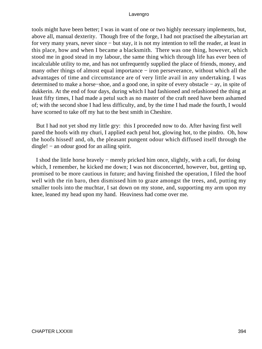tools might have been better; I was in want of one or two highly necessary implements, but, above all, manual dexterity. Though free of the forge, I had not practised the albeytarian art for very many years, never since − but stay, it is not my intention to tell the reader, at least in this place, how and when I became a blacksmith. There was one thing, however, which stood me in good stead in my labour, the same thing which through life has ever been of incalculable utility to me, and has not unfrequently supplied the place of friends, money, and many other things of almost equal importance − iron perseverance, without which all the advantages of time and circumstance are of very little avail in any undertaking. I was determined to make a horse−shoe, and a good one, in spite of every obstacle − ay, in spite of dukkerin. At the end of four days, during which I had fashioned and refashioned the thing at least fifty times, I had made a petul such as no master of the craft need have been ashamed of; with the second shoe I had less difficulty, and, by the time I had made the fourth, I would have scorned to take off my hat to the best smith in Cheshire.

 But I had not yet shod my little gry: this I proceeded now to do. After having first well pared the hoofs with my churi, I applied each petul hot, glowing hot, to the pindro. Oh, how the hoofs hissed! and, oh, the pleasant pungent odour which diffused itself through the dingle! − an odour good for an ailing spirit.

 I shod the little horse bravely − merely pricked him once, slightly, with a cafi, for doing which, I remember, he kicked me down; I was not disconcerted, however, but, getting up, promised to be more cautious in future; and having finished the operation, I filed the hoof well with the rin baro, then dismissed him to graze amongst the trees, and, putting my smaller tools into the muchtar, I sat down on my stone, and, supporting my arm upon my knee, leaned my head upon my hand. Heaviness had come over me.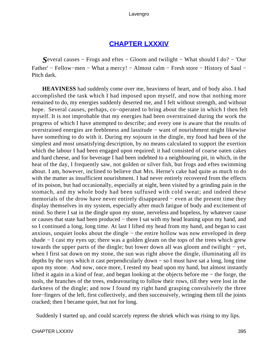## **[CHAPTER LXXXIV](#page-497-0)**

*S*everal causes − Frogs and eftes − Gloom and twilight − What should I do? − 'Our Father' − Fellow−men − What a mercy! − Almost calm − Fresh store − History of Saul − Pitch dark.

**HEAVINESS** had suddenly come over me, heaviness of heart, and of body also. I had accomplished the task which I had imposed upon myself, and now that nothing more remained to do, my energies suddenly deserted me, and I felt without strength, and without hope. Several causes, perhaps, co−operated to bring about the state in which I then felt myself. It is not improbable that my energies had been overstrained during the work the progress of which I have attempted to describe; and every one is aware that the results of overstrained energies are feebleness and lassitude − want of nourishment might likewise have something to do with it. During my sojourn in the dingle, my food had been of the simplest and most unsatisfying description, by no means calculated to support the exertion which the labour I had been engaged upon required; it had consisted of coarse oaten cakes and hard cheese, and for beverage I had been indebted to a neighbouring pit, in which, in the heat of the day, I frequently saw, not golden or silver fish, but frogs and eftes swimming about. I am, however, inclined to believe that Mrs. Herne's cake had quite as much to do with the matter as insufficient nourishment. I had never entirely recovered from the effects of its poison, but had occasionally, especially at night, been visited by a grinding pain in the stomach, and my whole body had been suffused with cold sweat; and indeed these memorials of the drow have never entirely disappeared – even at the present time they display themselves in my system, especially after much fatigue of body and excitement of mind. So there I sat in the dingle upon my stone, nerveless and hopeless, by whatever cause or causes that state had been produced – there I sat with my head leaning upon my hand, and so I continued a long, long time. At last I lifted my head from my hand, and began to cast anxious, unquiet looks about the dingle − the entire hollow was now enveloped in deep shade − I cast my eyes up; there was a golden gleam on the tops of the trees which grew towards the upper parts of the dingle; but lower down all was gloom and twilight − yet, when I first sat down on my stone, the sun was right above the dingle, illuminating all its depths by the rays which it cast perpendicularly down − so I must have sat a long, long time upon my stone. And now, once more, I rested my head upon my hand, but almost instantly lifted it again in a kind of fear, and began looking at the objects before me − the forge, the tools, the branches of the trees, endeavouring to follow their rows, till they were lost in the darkness of the dingle; and now I found my right hand grasping convulsively the three fore−fingers of the left, first collectively, and then successively, wringing them till the joints cracked; then I became quiet, but not for long.

Suddenly I started up, and could scarcely repress the shriek which was rising to my lips.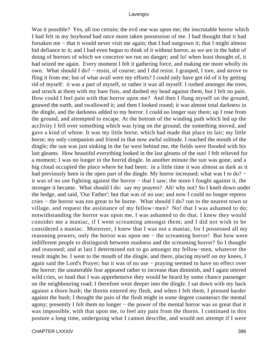Was it possible? Yes, all too certain; the evil one was upon me; the inscrutable horror which I had felt in my boyhood had once more taken possession of me. I had thought that it had forsaken me − that it would never visit me again; that I had outgrown it; that I might almost bid defiance to it; and I had even begun to think of it without horror, as we are in the habit of doing of horrors of which we conceive we run no danger; and lo! when least thought of, it had seized me again. Every moment I felt it gathering force, and making me more wholly its own. What should I do? − resist, of course; and I did resist. I grasped, I tore, and strove to fling it from me; but of what avail were my efforts? I could only have got rid of it by getting rid of myself: it was a part of myself, or rather it was all myself. I rushed amongst the trees, and struck at them with my bare fists, and dashed my head against them, but I felt no pain. How could I feel pain with that horror upon me? And then I flung myself on the ground, gnawed the earth, and swallowed it; and then I looked round; it was almost total darkness in the dingle, and the darkness added to my horror. I could no longer stay there; up I rose from the ground, and attempted to escape. At the bottom of the winding path which led up the acclivity I fell over something which was lying on the ground; the something moved, and gave a kind of whine. It was my little horse, which had made that place its lair; my little horse; my only companion and friend in that now awful solitude. I reached the mouth of the dingle; the sun was just sinking in the far west behind me, the fields were flooded with his last gleams. How beautiful everything looked in the last gleams of the sun! I felt relieved for a moment; I was no longer in the horrid dingle. In another minute the sun was gone, and a big cloud occupied the place where he had been: in a little time it was almost as dark as it had previously been in the open part of the dingle. My horror increased; what was I to do? − it was of no use fighting against the horror − that I saw; the more I fought against it, the stronger it became. What should I do: say my prayers? Ah! why not? So I knelt down under the hedge, and said, 'Our Father'; but that was of no use; and now I could no longer repress cries − the horror was too great to be borne. What should I do? run to the nearest town or village, and request the assistance of my fellow−men? No! that I was ashamed to do; notwithstanding the horror was upon me, I was ashamed to do that. I knew they would consider me a maniac, if I went screaming amongst them; and I did not wish to be considered a maniac. Moreover, I knew that I was not a maniac, for I possessed all my reasoning powers, only the horror was upon me − the screaming horror! But how were indifferent people to distinguish between madness and the screaming horror? So I thought and reasoned; and at last I determined not to go amongst my fellow−men, whatever the result might be. I went to the mouth of the dingle, and there, placing myself on my knees, I again said the Lord's Prayer; but it was of no use − praying seemed to have no effect over the horror; the unutterable fear appeared rather to increase than diminish, and I again uttered wild cries, so loud that I was apprehensive they would be heard by some chance passenger on the neighbouring road; I therefore went deeper into the dingle. I sat down with my back against a thorn bush; the thorns entered my flesh, and when I felt them, I pressed harder against the bush; I thought the pain of the flesh might in some degree counteract the mental agony; presently I felt them no longer − the power of the mental horror was so great that it was impossible, with that upon me, to feel any pain from the thorns. I continued in this posture a long time, undergoing what I cannot describe, and would not attempt if I were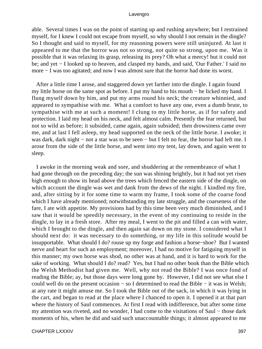able. Several times I was on the point of starting up and rushing anywhere; but I restrained myself, for I knew I could not escape from myself, so why should I not remain in the dingle? So I thought and said to myself, for my reasoning powers were still uninjured. At last it appeared to me that the horror was not so strong, not quite so strong, upon me. Was it possible that it was relaxing its grasp, releasing its prey? Oh what a mercy! but it could not be; and yet − I looked up to heaven, and clasped my hands, and said, 'Our Father.' I said no more − I was too agitated; and now I was almost sure that the horror had done its worst.

 After a little time I arose, and staggered down yet farther into the dingle. I again found my little horse on the same spot as before. I put my hand to his mouth − he licked my hand. I flung myself down by him, and put my arms round his neck; the creature whinnied, and appeared to sympathise with me. What a comfort to have any one, even a dumb brute, to sympathise with me at such a moment! I clung to my little horse, as if for safety and protection. I laid my head on his neck, and felt almost calm. Presently the fear returned, but not so wild as before; it subsided, came again, again subsided; then drowsiness came over me, and at last I fell asleep, my head supported on the neck of the little horse. I awoke; it was dark, dark night – not a star was to be seen – but I felt no fear, the horror had left me. I arose from the side of the little horse, and went into my tent, lay down, and again went to sleep.

 I awoke in the morning weak and sore, and shuddering at the remembrance of what I had gone through on the preceding day; the sun was shining brightly, but it had not yet risen high enough to show its head above the trees which fenced the eastern side of the dingle, on which account the dingle was wet and dank from the dews of the night. I kindled my fire, and, after sitting by it for some time to warm my frame, I took some of the coarse food which I have already mentioned; notwithstanding my late struggle, and the coarseness of the fare, I ate with appetite. My provisions had by this time been very much diminished, and I saw that it would be speedily necessary, in the event of my continuing to reside in the dingle, to lay in a fresh store. After my meal, I went to the pit and filled a can with water, which I brought to the dingle, and then again sat down on my stone. I considered what I should next do: it was necessary to do something, or my life in this solitude would be insupportable. What should I do? rouse up my forge and fashion a horse−shoe? But I wanted nerve and heart for such an employment; moreover, I had no motive for fatiguing myself in this manner; my own horse was shod, no other was at hand, and it is hard to work for the sake of working. What should I do? read? Yes, but I had no other book than the Bible which the Welsh Methodist had given me. Well, why not read the Bible? I was once fond of reading the Bible; ay, but those days were long gone by. However, I did not see what else I could well do on the present occasion − so I determined to read the Bible − it was in Welsh; at any rate it might amuse me. So I took the Bible out of the sack, in which it was lying in the cart, and began to read at the place where I chanced to open it. I opened it at that part where the history of Saul commences. At first I read with indifference, but after some time my attention was riveted, and no wonder, I had come to the visitations of Saul − those dark moments of his, when he did and said such unaccountable things; it almost appeared to me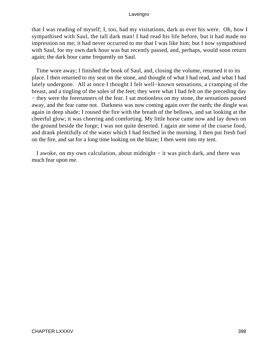that I was reading of myself; I, too, had my visitations, dark as ever his were. Oh, how I sympathised with Saul, the tall dark man! I had read his life before, but it had made no impression on me; it had never occurred to me that I was like him; but I now sympathised with Saul, for my own dark hour was but recently passed, and, perhaps, would soon return again; the dark hour came frequently on Saul.

 Time wore away; I finished the book of Saul, and, closing the volume, returned it to its place. I then returned to my seat on the stone, and thought of what I had read, and what I had lately undergone. All at once I thought I felt well−known sensations, a cramping of the breast, and a tingling of the soles of the feet; they were what I had felt on the preceding day − they were the forerunners of the fear. I sat motionless on my stone, the sensations passed away, and the fear came not. Darkness was now coming again over the earth; the dingle was again in deep shade; I roused the fire with the breath of the bellows, and sat looking at the cheerful glow; it was cheering and comforting. My little horse came now and lay down on the ground beside the forge; I was not quite deserted. I again ate some of the coarse food, and drank plentifully of the water which I had fetched in the morning. I then put fresh fuel on the fire, and sat for a long time looking on the blaze; I then went into my tent.

 I awoke, on my own calculation, about midnight − it was pitch dark, and there was much fear upon me.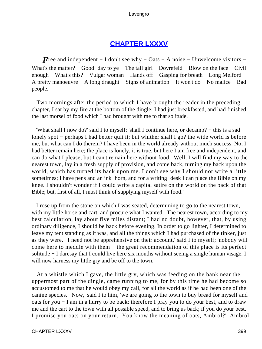# **[CHAPTER LXXXV](#page-497-0)**

*F*ree and independent – I don't see why – Oats – A noise – Unwelcome visitors – What's the matter? − Good−day to ye − The tall girl − Dovrefeld − Blow on the face − Civil enough – What's this? – Vulgar woman – Hands off – Gasping for breath – Long Melford – A pretty manoeuvre − A long draught − Signs of animation − It won't do − No malice − Bad people.

 Two mornings after the period to which I have brought the reader in the preceding chapter, I sat by my fire at the bottom of the dingle; I had just breakfasted, and had finished the last morsel of food which I had brought with me to that solitude.

 'What shall I now do?' said I to myself; 'shall I continue here, or decamp? − this is a sad lonely spot − perhaps I had better quit it; but whither shall I go? the wide world is before me, but what can I do therein? I have been in the world already without much success. No, I had better remain here; the place is lonely, it is true, but here I am free and independent, and can do what I please; but I can't remain here without food. Well, I will find my way to the nearest town, lay in a fresh supply of provision, and come back, turning my back upon the world, which has turned its back upon me. I don't see why I should not write a little sometimes; I have pens and an ink−horn, and for a writing−desk I can place the Bible on my knee. I shouldn't wonder if I could write a capital satire on the world on the back of that Bible; but, first of all, I must think of supplying myself with food.'

 I rose up from the stone on which I was seated, determining to go to the nearest town, with my little horse and cart, and procure what I wanted. The nearest town, according to my best calculation, lay about five miles distant; I had no doubt, however, that, by using ordinary diligence, I should be back before evening. In order to go lighter, I determined to leave my tent standing as it was, and all the things which I had purchased of the tinker, just as they were. 'I need not be apprehensive on their account,' said I to myself; 'nobody will come here to meddle with them − the great recommendation of this place is its perfect solitude − I daresay that I could live here six months without seeing a single human visage. I will now harness my little gry and be off to the town.'

 At a whistle which I gave, the little gry, which was feeding on the bank near the uppermost part of the dingle, came running to me, for by this time he had become so accustomed to me that he would obey my call, for all the world as if he had been one of the canine species. 'Now,' said I to him, 'we are going to the town to buy bread for myself and oats for you − I am in a hurry to be back; therefore I pray you to do your best, and to draw me and the cart to the town with all possible speed, and to bring us back; if you do your best, I promise you oats on your return. You know the meaning of oats, Ambrol?' Ambrol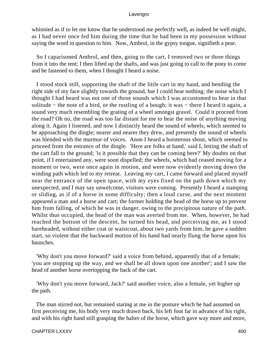whinnied as if to let me know that he understood me perfectly well, as indeed he well might, as I had never once fed him during the time that he had been in my possession without saying the word in question to him. Now, Ambrol, in the gypsy tongue, signifieth a pear.

 So I caparisoned Ambrol, and then, going to the cart, I removed two or three things from it into the tent; I then lifted up the shafts, and was just going to call to the pony to come and be fastened to them, when I thought I heard a noise.

 I stood stock still, supporting the shaft of the little cart in my hand, and bending the right side of my face slightly towards the ground, but I could hear nothing; the noise which I thought I had heard was not one of those sounds which I was accustomed to hear in that solitude – the note of a bird, or the rustling of a bough; it was – there I heard it again, a sound very much resembling the grating of a wheel amongst gravel. Could it proceed from the road? Oh no, the road was too far distant for me to hear the noise of anything moving along it. Again I listened, and now I distinctly heard the sound of wheels, which seemed to be approaching the dingle; nearer and nearer they drew, and presently the sound of wheels was blended with the murmur of voices. Anon I heard a boisterous shout, which seemed to proceed from the entrance of the dingle. 'Here are folks at hand,' said I, letting the shaft of the cart fall to the ground; 'is it possible that they can be coming here?' My doubts on that point, if I entertained any, were soon dispelled; the wheels, which had ceased moving for a moment or two, were once again in motion, and were now evidently moving down the winding path which led to my retreat. Leaving my cart, I came forward and placed myself near the entrance of the open space, with my eyes fixed on the path down which my unexpected, and I may say unwelcome, visitors were coming. Presently I heard a stamping or sliding, as if of a horse in some difficulty; then a loud curse, and the next moment appeared a man and a horse and cart; the former holding the head of the horse up to prevent him from falling, of which he was in danger, owing to the precipitous nature of the path. Whilst thus occupied, the head of the man was averted from me. When, however, he had reached the bottom of the descent, he turned his head, and perceiving me, as I stood bareheaded, without either coat or waistcoat, about two yards from him, he gave a sudden start, so violent that the backward motion of his hand had nearly flung the horse upon his haunches.

 'Why don't you move forward?' said a voice from behind, apparently that of a female; 'you are stopping up the way, and we shall be all down upon one another'; and I saw the head of another horse overtopping the back of the cart.

 'Why don't you move forward, Jack?' said another voice, also a female, yet higher up the path.

 The man stirred not, but remained staring at me in the posture which he had assumed on first perceiving me, his body very much drawn back, his left foot far in advance of his right, and with his right hand still grasping the halter of the horse, which gave way more and more,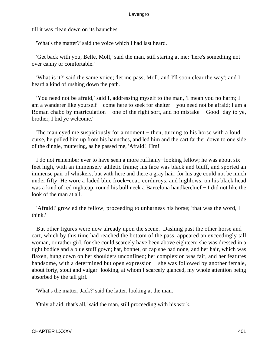till it was clean down on its haunches.

'What's the matter?' said the voice which I had last heard.

 'Get back with you, Belle, Moll,' said the man, still staring at me; 'here's something not over canny or comfortable.'

 'What is it?' said the same voice; 'let me pass, Moll, and I'll soon clear the way'; and I heard a kind of rushing down the path.

 'You need not be afraid,' said I, addressing myself to the man, 'I mean you no harm; I am a wanderer like yourself − come here to seek for shelter − you need not be afraid; I am a Roman chabo by matriculation − one of the right sort, and no mistake − Good−day to ye, brother; I bid ye welcome.'

The man eyed me suspiciously for a moment – then, turning to his horse with a loud curse, he pulled him up from his haunches, and led him and the cart farther down to one side of the dingle, muttering, as he passed me, 'Afraid! Hm!'

 I do not remember ever to have seen a more ruffianly−looking fellow; he was about six feet high, with an immensely athletic frame; his face was black and bluff, and sported an immense pair of whiskers, but with here and there a gray hair, for his age could not be much under fifty. He wore a faded blue frock−coat, corduroys, and highlows; on his black head was a kind of red nightcap, round his bull neck a Barcelona handkerchief − I did not like the look of the man at all.

 'Afraid!' growled the fellow, proceeding to unharness his horse; 'that was the word, I think.'

 But other figures were now already upon the scene. Dashing past the other horse and cart, which by this time had reached the bottom of the pass, appeared an exceedingly tall woman, or rather girl, for she could scarcely have been above eighteen; she was dressed in a tight bodice and a blue stuff gown; hat, bonnet, or cap she had none, and her hair, which was flaxen, hung down on her shoulders unconfined; her complexion was fair, and her features handsome, with a determined but open expression – she was followed by another female, about forty, stout and vulgar−looking, at whom I scarcely glanced, my whole attention being absorbed by the tall girl.

'What's the matter, Jack?' said the latter, looking at the man.

'Only afraid, that's all,' said the man, still proceeding with his work.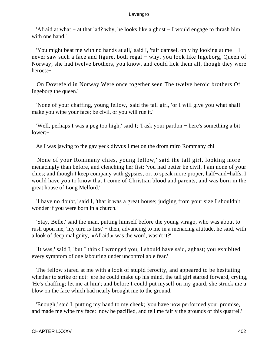'Afraid at what − at that lad? why, he looks like a ghost − I would engage to thrash him with one hand.'

 'You might beat me with no hands at all,' said I, 'fair damsel, only by looking at me − I never saw such a face and figure, both regal – why, you look like Ingeborg, Queen of Norway; she had twelve brothers, you know, and could lick them all, though they were heroes:−

 On Dovrefeld in Norway Were once together seen The twelve heroic brothers Of Ingeborg the queen.'

 'None of your chaffing, young fellow,' said the tall girl, 'or I will give you what shall make you wipe your face; be civil, or you will rue it.'

 'Well, perhaps I was a peg too high,' said I; 'I ask your pardon − here's something a bit lower:−

As I was jawing to the gav yeck divvus I met on the drom miro Rommany chi − '

 None of your Rommany chies, young fellow,' said the tall girl, looking more menacingly than before, and clenching her fist; 'you had better be civil, I am none of your chies; and though I keep company with gypsies, or, to speak more proper, half−and−halfs, I would have you to know that I come of Christian blood and parents, and was born in the great house of Long Melford.'

 'I have no doubt,' said I, 'that it was a great house; judging from your size I shouldn't wonder if you were born in a church.'

 'Stay, Belle,' said the man, putting himself before the young virago, who was about to rush upon me, 'my turn is first' – then, advancing to me in a menacing attitude, he said, with a look of deep malignity, '«Afraid,» was the word, wasn't it?'

 'It was,' said I, 'but I think I wronged you; I should have said, aghast; you exhibited every symptom of one labouring under uncontrollable fear.'

 The fellow stared at me with a look of stupid ferocity, and appeared to be hesitating whether to strike or not: ere he could make up his mind, the tall girl started forward, crying, 'He's chaffing; let me at him'; and before I could put myself on my guard, she struck me a blow on the face which had nearly brought me to the ground.

 'Enough,' said I, putting my hand to my cheek; 'you have now performed your promise, and made me wipe my face: now be pacified, and tell me fairly the grounds of this quarrel.'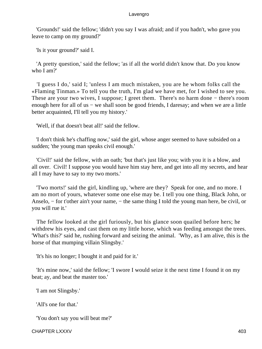'Grounds!' said the fellow; 'didn't you say I was afraid; and if you hadn't, who gave you leave to camp on my ground?'

'Is it your ground?' said I.

 'A pretty question,' said the fellow; 'as if all the world didn't know that. Do you know who I am?'

 'I guess I do,' said I; 'unless I am much mistaken, you are he whom folks call the «Flaming Tinman.» To tell you the truth, I'm glad we have met, for I wished to see you. These are your two wives, I suppose; I greet them. There's no harm done − there's room enough here for all of us − we shall soon be good friends, I daresay; and when we are a little better acquainted, I'll tell you my history.'

'Well, if that doesn't beat all!' said the fellow.

 'I don't think he's chaffing now,' said the girl, whose anger seemed to have subsided on a sudden; 'the young man speaks civil enough.'

 'Civil!' said the fellow, with an oath; 'but that's just like you; with you it is a blow, and all over. Civil! I suppose you would have him stay here, and get into all my secrets, and hear all I may have to say to my two morts.'

 'Two morts!' said the girl, kindling up, 'where are they? Speak for one, and no more. I am no mort of yours, whatever some one else may be. I tell you one thing, Black John, or Anselo, − for t'other ain't your name, − the same thing I told the young man here, be civil, or you will rue it.'

 The fellow looked at the girl furiously, but his glance soon quailed before hers; he withdrew his eyes, and cast them on my little horse, which was feeding amongst the trees. 'What's this?' said he, rushing forward and seizing the animal. 'Why, as I am alive, this is the horse of that mumping villain Slingsby.'

'It's his no longer; I bought it and paid for it.'

 'It's mine now,' said the fellow; 'I swore I would seize it the next time I found it on my beat; ay, and beat the master too.'

'I am not Slingsby.'

'All's one for that.'

'You don't say you will beat me?'

CHAPTER LXXXV 403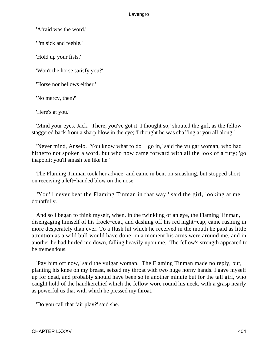'Afraid was the word.'

'I'm sick and feeble.'

'Hold up your fists.'

'Won't the horse satisfy you?'

'Horse nor bellows either.'

'No mercy, then?'

'Here's at you.'

 'Mind your eyes, Jack. There, you've got it. I thought so,' shouted the girl, as the fellow staggered back from a sharp blow in the eye; 'I thought he was chaffing at you all along.'

 'Never mind, Anselo. You know what to do − go in,' said the vulgar woman, who had hitherto not spoken a word, but who now came forward with all the look of a fury; 'go inapopli; you'll smash ten like he.'

 The Flaming Tinman took her advice, and came in bent on smashing, but stopped short on receiving a left−handed blow on the nose.

 'You'll never beat the Flaming Tinman in that way,' said the girl, looking at me doubtfully.

 And so I began to think myself, when, in the twinkling of an eye, the Flaming Tinman, disengaging himself of his frock−coat, and dashing off his red night−cap, came rushing in more desperately than ever. To a flush hit which he received in the mouth he paid as little attention as a wild bull would have done; in a moment his arms were around me, and in another he had hurled me down, falling heavily upon me. The fellow's strength appeared to be tremendous.

 'Pay him off now,' said the vulgar woman. The Flaming Tinman made no reply, but, planting his knee on my breast, seized my throat with two huge horny hands. I gave myself up for dead, and probably should have been so in another minute but for the tall girl, who caught hold of the handkerchief which the fellow wore round his neck, with a grasp nearly as powerful us that with which he pressed my throat.

'Do you call that fair play?' said she.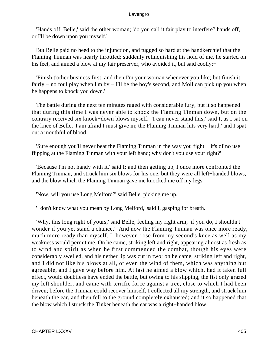'Hands off, Belle,' said the other woman; 'do you call it fair play to interfere? hands off, or I'll be down upon you myself.'

 But Belle paid no heed to the injunction, and tugged so hard at the handkerchief that the Flaming Tinman was nearly throttled; suddenly relinquishing his hold of me, he started on his feet, and aimed a blow at my fair preserver, who avoided it, but said coolly:−

 'Finish t'other business first, and then I'm your woman whenever you like; but finish it fairly − no foul play when I'm by − I'll be the boy's second, and Moll can pick up you when he happens to knock you down.'

 The battle during the next ten minutes raged with considerable fury, but it so happened that during this time I was never able to knock the Flaming Tinman down, but on the contrary received six knock−down blows myself. 'I can never stand this,' said I, as I sat on the knee of Belle, 'I am afraid I must give in; the Flaming Tinman hits very hard,' and I spat out a mouthful of blood.

 'Sure enough you'll never beat the Flaming Tinman in the way you fight − it's of no use flipping at the Flaming Tinman with your left hand; why don't you use your right?'

 'Because I'm not handy with it,' said I; and then getting up, I once more confronted the Flaming Tinman, and struck him six blows for his one, but they were all left−handed blows, and the blow which the Flaming Tinman gave me knocked me off my legs.

'Now, will you use Long Melford?' said Belle, picking me up.

'I don't know what you mean by Long Melford,' said I, gasping for breath.

 'Why, this long right of yours,' said Belle, feeling my right arm; 'if you do, I shouldn't wonder if you yet stand a chance.' And now the Flaming Tinman was once more ready, much more ready than myself. I, however, rose from my second's knee as well as my weakness would permit me. On he came, striking left and right, appearing almost as fresh as to wind and spirit as when he first commenced the combat, though his eyes were considerably swelled, and his nether lip was cut in two; on he came, striking left and right, and I did not like his blows at all, or even the wind of them, which was anything but agreeable, and I gave way before him. At last he aimed a blow which, had it taken full effect, would doubtless have ended the battle, but owing to his slipping, the fist only grazed my left shoulder, and came with terrific force against a tree, close to which I had been driven; before the Tinman could recover himself, I collected all my strength, and struck him beneath the ear, and then fell to the ground completely exhausted; and it so happened that the blow which I struck the Tinker beneath the ear was a right−handed blow.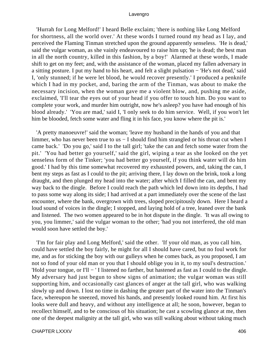'Hurrah for Long Melford!' I heard Belle exclaim; 'there is nothing like Long Melford for shortness, all the world over.' At these words I turned round my head as I lay, and perceived the Flaming Tinman stretched upon the ground apparently senseless. 'He is dead,' said the vulgar woman, as she vainly endeavoured to raise him up; 'he is dead; the best man in all the north country, killed in this fashion, by a boy!' Alarmed at these words, I made shift to get on my feet; and, with the assistance of the woman, placed my fallen adversary in a sitting posture. I put my hand to his heart, and felt a slight pulsation − 'He's not dead,' said I, 'only stunned; if he were let blood, he would recover presently.' I produced a penknife which I had in my pocket, and, baring the arm of the Tinman, was about to make the necessary incision, when the woman gave me a violent blow, and, pushing me aside, exclaimed, 'I'll tear the eyes out of your head if you offer to touch him. Do you want to complete your work, and murder him outright, now he's asleep? you have had enough of his blood already.' 'You are mad,' said I, 'I only seek to do him service. Well, if you won't let him be blooded, fetch some water and fling it in his face, you know where the pit is.'

 'A pretty manoeuvre!' said the woman; 'leave my husband in the hands of you and that limmer, who has never been true to us − I should find him strangled or his throat cut when I came back.' 'Do you go,' said I to the tall girl; 'take the can and fetch some water from the pit.' 'You had better go yourself,' said the girl, wiping a tear as she looked on the yet senseless form of the Tinker; 'you had better go yourself, if you think water will do him good.' I had by this time somewhat recovered my exhausted powers, and, taking the can, I bent my steps as fast as I could to the pit; arriving there, I lay down on the brink, took a long draught, and then plunged my head into the water; after which I filled the can, and bent my way back to the dingle. Before I could reach the path which led down into its depths, I had to pass some way along its side; I had arrived at a part immediately over the scene of the last encounter, where the bank, overgrown with trees, sloped precipitously down. Here I heard a loud sound of voices in the dingle; I stopped, and laying hold of a tree, leaned over the bank and listened. The two women appeared to be in hot dispute in the dingle. 'It was all owing to you, you limmer,' said the vulgar woman to the other; 'had you not interfered, the old man would soon have settled the boy.'

 'I'm for fair play and Long Melford,' said the other. 'If your old man, as you call him, could have settled the boy fairly, he might for all I should have cared, but no foul work for me, and as for sticking the boy with our gulleys when he comes back, as you proposed, I am not so fond of your old man or you that I should oblige you in it, to my soul's destruction.' 'Hold your tongue, or I'll − ' I listened no farther, but hastened as fast as I could to the dingle. My adversary had just begun to show signs of animation; the vulgar woman was still supporting him, and occasionally cast glances of anger at the tall girl, who was walking slowly up and down. I lost no time in dashing the greater part of the water into the Tinman's face, whereupon he sneezed, moved his hands, and presently looked round him. At first his looks were dull and heavy, and without any intelligence at all; he soon, however, began to recollect himself, and to be conscious of his situation; he cast a scowling glance at me, then one of the deepest malignity at the tall girl, who was still walking about without taking much

CHAPTER LXXXV 406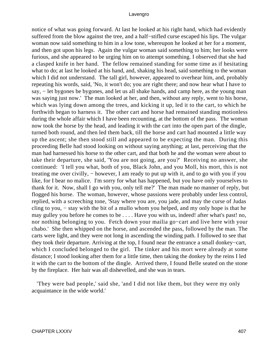notice of what was going forward. At last he looked at his right hand, which had evidently suffered from the blow against the tree, and a half−stifled curse escaped his lips. The vulgar woman now said something to him in a low tone, whereupon he looked at her for a moment, and then got upon his legs. Again the vulgar woman said something to him; her looks were furious, and she appeared to be urging him on to attempt something. I observed that she had a clasped knife in her hand. The fellow remained standing for some time as if hesitating what to do; at last he looked at his hand, and, shaking his head, said something to the woman which I did not understand. The tall girl, however, appeared to overhear him, and, probably repeating his words, said, 'No, it won't do; you are right there; and now hear what I have to say, − let bygones be bygones, and let us all shake hands, and camp here, as the young man was saying just now.' The man looked at her, and then, without any reply, went to his horse, which was lying down among the trees, and kicking it up, led it to the cart, to which he forthwith began to harness it. The other cart and horse had remained standing motionless during the whole affair which I have been recounting, at the bottom of the pass. The woman now took the horse by the head, and leading it with the cart into the open part of the dingle, turned both round, and then led them back, till the horse and cart had mounted a little way up the ascent; she then stood still and appeared to be expecting the man. During this proceeding Belle had stood looking on without saying anything; at last, perceiving that the man had harnessed his horse to the other cart, and that both he and the woman were about to take their departure, she said, 'You are not going, are you?' Receiving no answer, she continued: 'I tell you what, both of you, Black John, and you Moll, his mort, this is not treating me over civilly, – however, I am ready to put up with it, and to go with you if you like, for I bear no malice. I'm sorry for what has happened, but you have only yourselves to thank for it. Now, shall I go with you, only tell me?' The man made no manner of reply, but flogged his horse. The woman, however, whose passions were probably under less control, replied, with a screeching tone, 'Stay where you are, you jade, and may the curse of Judas cling to you, − stay with the bit of a mullo whom you helped, and my only hope is that he may gulley you before he comes to be . . . . Have you with us, indeed! after what's past! no, nor nothing belonging to you. Fetch down your mailia go−cart and live here with your chabo.' She then whipped on the horse, and ascended the pass, followed by the man. The carts were light, and they were not long in ascending the winding path. I followed to see that they took their departure. Arriving at the top, I found near the entrance a small donkey−cart, which I concluded belonged to the girl. The tinker and his mort were already at some distance; I stood looking after them for a little time, then taking the donkey by the reins I led it with the cart to the bottom of the dingle. Arrived there, I found Belle seated on the stone by the fireplace. Her hair was all dishevelled, and she was in tears.

 'They were bad people,' said she, 'and I did not like them, but they were my only acquaintance in the wide world.'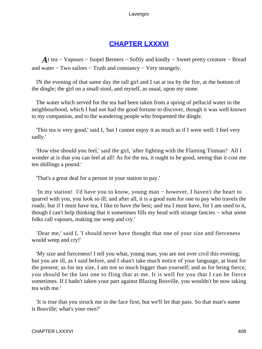# **[CHAPTER LXXXVI](#page-498-0)**

*A*t tea – Vapours – Isopel Berners – Softly and kindly – Sweet pretty creature – Bread and water − Two sailors − Truth and constancy − Very strangely.

 IN the evening of that same day the tall girl and I sat at tea by the fire, at the bottom of the dingle; the girl on a small stool, and myself, as usual, upon my stone.

 The water which served for the tea had been taken from a spring of pellucid water in the neighbourhood, which I had not had the good fortune to discover, though it was well known to my companion, and to the wandering people who frequented the dingle.

 'This tea is very good,' said I, 'but I cannot enjoy it as much as if I were well: I feel very sadly.'

 'How else should you feel,' said the girl, 'after fighting with the Flaming Tinman? All I wonder at is that you can feel at all! As for the tea, it ought to be good, seeing that it cost me ten shillings a pound.'

'That's a great deal for a person in your station to pay.'

 'In my station! I'd have you to know, young man − however, I haven't the heart to quarrel with you, you look so ill; and after all, it is a good sum for one to pay who travels the roads; but if I must have tea, I like to have the best; and tea I must have, for I am used to it, though I can't help thinking that it sometimes fills my head with strange fancies − what some folks call vapours, making me weep and cry.'

 'Dear me,' said I, 'I should never have thought that one of your size and fierceness would weep and cry!'

 'My size and fierceness! I tell you what, young man, you are not over civil this evening; but you are ill, as I said before, and I shan't take much notice of your language, at least for the present; as for my size, I am not so much bigger than yourself; and as for being fierce, you should be the last one to fling that at me. It is well for you that I can be fierce sometimes. If I hadn't taken your part against Blazing Bosville, you wouldn't be now taking tea with me.'

 'It is true that you struck me in the face first; but we'll let that pass. So that man's name is Bosville; what's your own?'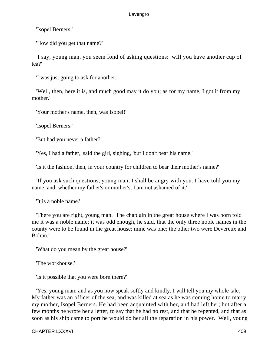'Isopel Berners.'

'How did you get that name?'

 'I say, young man, you seem fond of asking questions: will you have another cup of tea?'

'I was just going to ask for another.'

 'Well, then, here it is, and much good may it do you; as for my name, I got it from my mother.'

'Your mother's name, then, was Isopel!'

'Isopel Berners.'

'But had you never a father?'

'Yes, I had a father,' said the girl, sighing, 'but I don't bear his name.'

'Is it the fashion, then, in your country for children to bear their mother's name?'

 'If you ask such questions, young man, I shall be angry with you. I have told you my name, and, whether my father's or mother's, I am not ashamed of it.'

'It is a noble name.'

 'There you are right, young man. The chaplain in the great house where I was born told me it was a noble name; it was odd enough, he said, that the only three noble names in the county were to be found in the great house; mine was one; the other two were Devereux and Bohun.'

'What do you mean by the great house?'

'The workhouse.'

'Is it possible that you were born there?'

 'Yes, young man; and as you now speak softly and kindly, I will tell you my whole tale. My father was an officer of the sea, and was killed at sea as he was coming home to marry my mother, Isopel Berners. He had been acquainted with her, and had left her; but after a few months he wrote her a letter, to say that he had no rest, and that he repented, and that as soon as his ship came to port he would do her all the reparation in his power. Well, young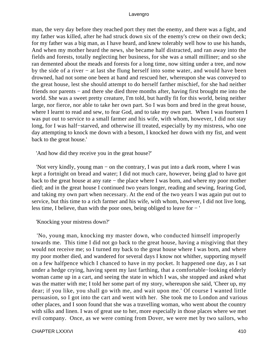man, the very day before they reached port they met the enemy, and there was a fight, and my father was killed, after he had struck down six of the enemy's crew on their own deck; for my father was a big man, as I have heard, and knew tolerably well how to use his hands, And when my mother heard the news, she became half distracted, and ran away into the fields and forests, totally neglecting her business, for she was a small milliner; and so she ran demented about the meads and forests for a long time, now sitting under a tree, and now by the side of a river − at last she flung herself into some water, and would have been drowned, had not some one been at hand and rescued her, whereupon she was conveyed to the great house, lest she should attempt to do herself farther mischief, for she had neither friends nor parents – and there she died three months after, having first brought me into the world. She was a sweet pretty creature, I'm told, but hardly fit for this world, being neither large, nor fierce, nor able to take her own part. So I was born and bred in the great house, where I learnt to read and sew, to fear God, and to take my own part. When I was fourteen I was put out to service to a small farmer and his wife, with whom, however, I did not stay long, for I was half−starved, and otherwise ill treated, especially by my mistress, who one day attempting to knock me down with a besom, I knocked her down with my fist, and went back to the great house.'

'And how did they receive you in the great house?'

 'Not very kindly, young man − on the contrary, I was put into a dark room, where I was kept a fortnight on bread and water; I did not much care, however, being glad to have got back to the great house at any rate − the place where I was born, and where my poor mother died; and in the great house I continued two years longer, reading and sewing, fearing God, and taking my own part when necessary. At the end of the two years I was again put out to service, but this time to a rich farmer and his wife, with whom, however, I did not live long, less time, I believe, than with the poor ones, being obliged to leave for − '

'Knocking your mistress down?'

 'No, young man, knocking my master down, who conducted himself improperly towards me. This time I did not go back to the great house, having a misgiving that they would not receive me; so I turned my back to the great house where I was born, and where my poor mother died, and wandered for several days I know not whither, supporting myself on a few halfpence which I chanced to have in my pocket. It happened one day, as I sat under a hedge crying, having spent my last farthing, that a comfortable−looking elderly woman came up in a cart, and seeing the state in which I was, she stopped and asked what was the matter with me; I told her some part of my story, whereupon she said, 'Cheer up, my dear; if you like, you shall go with me, and wait upon me.' Of course I wanted little persuasion, so I got into the cart and went with her. She took me to London and various other places, and I soon found that she was a travelling woman, who went about the country with silks and linen. I was of great use to her, more especially in those places where we met evil company. Once, as we were coming from Dover, we were met by two sailors, who

CHAPTER LXXXVI 410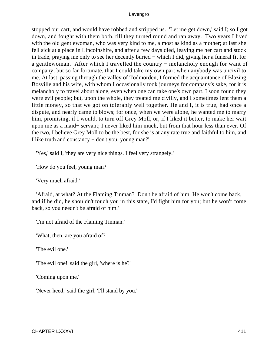stopped our cart, and would have robbed and stripped us. 'Let me get down,' said I; so I got down, and fought with them both, till they turned round and ran away. Two years I lived with the old gentlewoman, who was very kind to me, almost as kind as a mother; at last she fell sick at a place in Lincolnshire, and after a few days died, leaving me her cart and stock in trade, praying me only to see her decently buried − which I did, giving her a funeral fit for a gentlewoman. After which I travelled the country − melancholy enough for want of company, but so far fortunate, that I could take my own part when anybody was uncivil to me. At last, passing through the valley of Todmorden, I formed the acquaintance of Blazing Bosville and his wife, with whom I occasionally took journeys for company's sake, for it is melancholy to travel about alone, even when one can take one's own part. I soon found they were evil people; but, upon the whole, they treated me civilly, and I sometimes lent them a little money, so that we got on tolerably well together. He and I, it is true, had once a dispute, and nearly came to blows; for once, when we were alone, he wanted me to marry him, promising, if I would, to turn off Grey Moll, or, if I liked it better, to make her wait upon me as a maid− servant; I never liked him much, but from that hour less than ever. Of the two, I believe Grey Moll to be the best, for she is at any rate true and faithful to him, and I like truth and constancy − don't you, young man?'

'Yes,' said I, 'they are very nice things. I feel very strangely.'

'How do you feel, young man?

'Very much afraid.'

 'Afraid, at what? At the Flaming Tinman? Don't be afraid of him. He won't come back, and if he did, he shouldn't touch you in this state, I'd fight him for you; but he won't come back, so you needn't be afraid of him.'

'I'm not afraid of the Flaming Tinman.'

'What, then, are you afraid of?'

'The evil one.'

'The evil one!' said the girl, 'where is he?'

'Coming upon me.'

'Never heed,' said the girl, 'I'll stand by you.'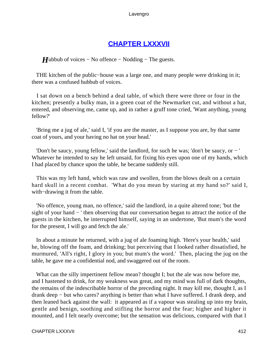# **[CHAPTER LXXXVII](#page-498-0)**

*H*ubbub of voices – No offence – Nodding – The guests.

 THE kitchen of the public−house was a large one, and many people were drinking in it; there was a confused hubbub of voices.

 I sat down on a bench behind a deal table, of which there were three or four in the kitchen; presently a bulky man, in a green coat of the Newmarket cut, and without a hat, entered, and observing me, came up, and in rather a gruff tone cried, 'Want anything, young fellow?'

 'Bring me a jug of ale,' said I, 'if you are the master, as I suppose you are, by that same coat of yours, and your having no hat on your head.'

 'Don't be saucy, young fellow,' said the landlord, for such he was; 'don't be saucy, or − ' Whatever he intended to say he left unsaid, for fixing his eyes upon one of my hands, which I had placed by chance upon the table, he became suddenly still.

 This was my left hand, which was raw and swollen, from the blows dealt on a certain hard skull in a recent combat. 'What do you mean by staring at my hand so?' said I, with−drawing it from the table.

 'No offence, young man, no offence,' said the landlord, in a quite altered tone; 'but the sight of your hand − ' then observing that our conversation began to attract the notice of the guests in the kitchen, he interrupted himself, saying in an undertone, 'But mum's the word for the present, I will go and fetch the ale.'

 In about a minute he returned, with a jug of ale foaming high. 'Here's your health,' said he, blowing off the foam, and drinking; but perceiving that I looked rather dissatisfied, he murmured, 'All's right, I glory in you; but mum's the word.' Then, placing the jug on the table, he gave me a confidential nod, and swaggered out of the room.

 What can the silly impertinent fellow mean? thought I; but the ale was now before me, and I hastened to drink, for my weakness was great, and my mind was full of dark thoughts, the remains of the indescribable horror of the preceding night. It may kill me, thought I, as I drank deep − but who cares? anything is better than what I have suffered. I drank deep, and then leaned back against the wall: it appeared as if a vapour was stealing up into my brain, gentle and benign, soothing and stifling the horror and the fear; higher and higher it mounted, and I felt nearly overcome; but the sensation was delicious, compared with that I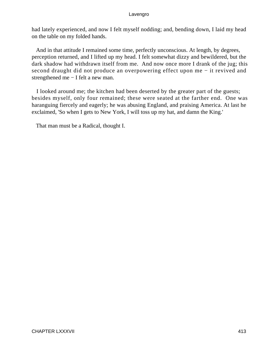had lately experienced, and now I felt myself nodding; and, bending down, I laid my head on the table on my folded hands.

 And in that attitude I remained some time, perfectly unconscious. At length, by degrees, perception returned, and I lifted up my head. I felt somewhat dizzy and bewildered, but the dark shadow had withdrawn itself from me. And now once more I drank of the jug; this second draught did not produce an overpowering effect upon me − it revived and strengthened me − I felt a new man.

 I looked around me; the kitchen had been deserted by the greater part of the guests; besides myself, only four remained; these were seated at the farther end. One was haranguing fiercely and eagerly; he was abusing England, and praising America. At last he exclaimed, 'So when I gets to New York, I will toss up my hat, and damn the King.'

That man must be a Radical, thought I.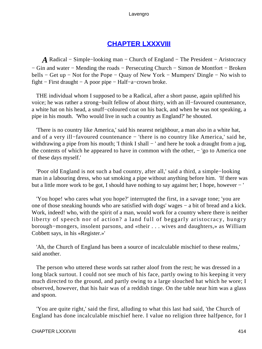# **[CHAPTER LXXXVIII](#page-498-0)**

*A* Radical − Simple−looking man − Church of England − The President − Aristocracy − Gin and water − Mending the roads − Persecuting Church − Simon de Montfort − Broken bells − Get up − Not for the Pope − Quay of New York − Mumpers' Dingle − No wish to fight − First draught − A poor pipe − Half−a−crown broke.

 THE individual whom I supposed to be a Radical, after a short pause, again uplifted his voice; he was rather a strong−built fellow of about thirty, with an ill−favoured countenance, a white hat on his head, a snuff−coloured coat on his back, and when he was not speaking, a pipe in his mouth. 'Who would live in such a country as England?' he shouted.

 'There is no country like America,' said his nearest neighbour, a man also in a white hat, and of a very ill−favoured countenance − 'there is no country like America,' said he, withdrawing a pipe from his mouth; 'I think I shall − ' and here he took a draught from a jug, the contents of which he appeared to have in common with the other, − 'go to America one of these days myself.'

 'Poor old England is not such a bad country, after all,' said a third, a simple−looking man in a labouring dress, who sat smoking a pipe without anything before him. 'If there was but a little more work to be got, I should have nothing to say against her; I hope, however − '

 'You hope! who cares what you hope?' interrupted the first, in a savage tone; 'you are one of those sneaking hounds who are satisfied with dogs' wages − a bit of bread and a kick. Work, indeed! who, with the spirit of a man, would work for a country where there is neither liberty of speech nor of action? a land full of beggarly aristocracy, hungry borough−mongers, insolent parsons, and «their . . . wives and daughters,» as William Cobbett says, in his «Register.»'

 'Ah, the Church of England has been a source of incalculable mischief to these realms,' said another.

 The person who uttered these words sat rather aloof from the rest; he was dressed in a long black surtout. I could not see much of his face, partly owing to his keeping it very much directed to the ground, and partly owing to a large slouched hat which he wore; I observed, however, that his hair was of a reddish tinge. On the table near him was a glass and spoon.

 'You are quite right,' said the first, alluding to what this last had said, 'the Church of England has done incalculable mischief here. I value no religion three halfpence, for I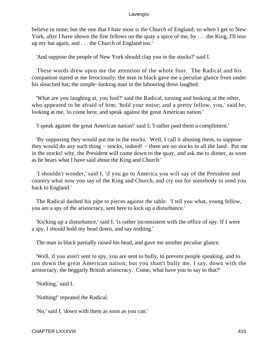believe in none; but the one that I hate most is the Church of England; so when I get to New York, after I have shown the fine fellows on the quay a spice of me, by . . . the King, I'll toss up my hat again, and . . . the Church of England too.'

'And suppose the people of New York should clap you in the stocks?' said I.

 These words drew upon me the attention of the whole four. The Radical and his companion stared at me ferociously; the man in black gave me a peculiar glance from under his slouched hat; the simple−looking man in the labouring dress laughed.

 'What are you laughing at, you fool?' said the Radical, turning and looking at the other, who appeared to be afraid of him; 'hold your noise; and a pretty fellow, you,' said he, looking at me, 'to come here, and speak against the great American nation.'

'I speak against the great American nation!' said I; 'I rather paid them a compliment.'

 'By supposing they would put me in the stocks. Well, I call it abusing them, to suppose they would do any such thing − stocks, indeed! − there are no stocks in all the land. Put me in the stocks! why, the President will come down to the quay, and ask me to dinner, as soon as he hears what I have said about the King and Church.'

 'I shouldn't wonder,' said I, 'if you go to America you will say of the President and country what now you say of the King and Church, and cry out for somebody to send you back to England.'

 The Radical dashed his pipe to pieces against the table. 'I tell you what, young fellow, you are a spy of the aristocracy, sent here to kick up a disturbance.'

 'Kicking up a disturbance,' said I, 'is rather inconsistent with the office of spy. If I were a spy, I should hold my head down, and say nothing.'

The man in black partially raised his head, and gave me another peculiar glance.

 'Well, if you aren't sent to spy, you are sent to bully, to prevent people speaking, and to run down the great American nation; but you shan't bully me. I say, down with the aristocracy, the beggarly British aristocracy. Come, what have you to say to that?'

'Nothing,' said I.

'Nothing!' repeated the Radical.

'No,' said I, 'down with them as soon as you can.'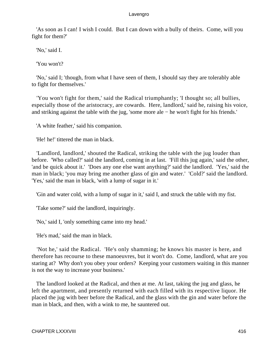'As soon as I can! I wish I could. But I can down with a bully of theirs. Come, will you fight for them?'

'No,' said I.

'You won't?

 'No,' said I; 'though, from what I have seen of them, I should say they are tolerably able to fight for themselves.'

 'You won't fight for them,' said the Radical triumphantly; 'I thought so; all bullies, especially those of the aristocracy, are cowards. Here, landlord,' said he, raising his voice, and striking against the table with the jug, 'some more ale − he won't fight for his friends.'

'A white feather,' said his companion.

'He! he!' tittered the man in black.

 'Landlord, landlord,' shouted the Radical, striking the table with the jug louder than before. 'Who called?' said the landlord, coming in at last. 'Fill this jug again,' said the other, 'and be quick about it.' 'Does any one else want anything?' said the landlord. 'Yes,' said the man in black; 'you may bring me another glass of gin and water.' 'Cold?' said the landlord. 'Yes,' said the man in black, 'with a lump of sugar in it.'

'Gin and water cold, with a lump of sugar in it,' said I, and struck the table with my fist.

'Take some?' said the landlord, inquiringly.

'No,' said I, 'only something came into my head.'

'He's mad,' said the man in black.

 'Not he,' said the Radical. 'He's only shamming; he knows his master is here, and therefore has recourse to these manoeuvres, but it won't do. Come, landlord, what are you staring at? Why don't you obey your orders? Keeping your customers waiting in this manner is not the way to increase your business.'

 The landlord looked at the Radical, and then at me. At last, taking the jug and glass, he left the apartment, and presently returned with each filled with its respective liquor. He placed the jug with beer before the Radical, and the glass with the gin and water before the man in black, and then, with a wink to me, he sauntered out.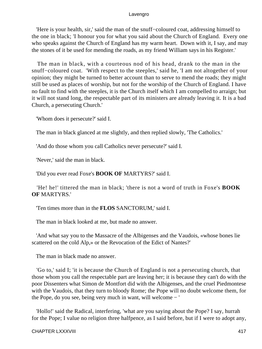'Here is your health, sir,' said the man of the snuff−coloured coat, addressing himself to the one in black; 'I honour you for what you said about the Church of England. Every one who speaks against the Church of England has my warm heart. Down with it, I say, and may the stones of it be used for mending the roads, as my friend William says in his Register.'

 The man in black, with a courteous nod of his head, drank to the man in the snuff−coloured coat. 'With respect to the steeples,' said he, 'I am not altogether of your opinion; they might be turned to better account than to serve to mend the roads; they might still be used as places of worship, but not for the worship of the Church of England. I have no fault to find with the steeples, it is the Church itself which I am compelled to arraign; but it will not stand long, the respectable part of its ministers are already leaving it. It is a bad Church, a persecuting Church.'

'Whom does it persecute?' said I.

The man in black glanced at me slightly, and then replied slowly, 'The Catholics.'

'And do those whom you call Catholics never persecute?' said I.

'Never,' said the man in black.

'Did you ever read Foxe's **BOOK OF** MARTYRS?' said I.

 'He! he!' tittered the man in black; 'there is not a word of truth in Foxe's **BOOK OF** MARTYRS.'

'Ten times more than in the **FLOS** SANCTORUM,' said I.

The man in black looked at me, but made no answer.

 'And what say you to the Massacre of the Albigenses and the Vaudois, «whose bones lie scattered on the cold Alp,» or the Revocation of the Edict of Nantes?'

The man in black made no answer.

 'Go to,' said I; 'it is because the Church of England is not a persecuting church, that those whom you call the respectable part are leaving her; it is because they can't do with the poor Dissenters what Simon de Montfort did with the Albigenses, and the cruel Piedmontese with the Vaudois, that they turn to bloody Rome; the Pope will no doubt welcome them, for the Pope, do you see, being very much in want, will welcome − '

 'Hollo!' said the Radical, interfering, 'what are you saying about the Pope? I say, hurrah for the Pope; I value no religion three halfpence, as I said before, but if I were to adopt any,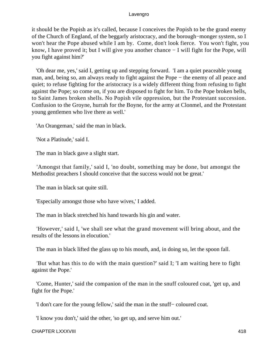it should be the Popish as it's called, because I conceives the Popish to be the grand enemy of the Church of England, of the beggarly aristocracy, and the borough−monger system, so I won't hear the Pope abused while I am by. Come, don't look fierce. You won't fight, you know, I have proved it; but I will give you another chance − I will fight for the Pope, will you fight against him?'

 'Oh dear me, yes,' said I, getting up and stepping forward. 'I am a quiet peaceable young man, and, being so, am always ready to fight against the Pope – the enemy of all peace and quiet; to refuse fighting for the aristocracy is a widely different thing from refusing to fight against the Pope; so come on, if you are disposed to fight for him. To the Pope broken bells, to Saint James broken shells. No Popish vile oppression, but the Protestant succession. Confusion to the Groyne, hurrah for the Boyne, for the army at Clonmel, and the Protestant young gentlemen who live there as well.'

'An Orangeman,' said the man in black.

'Not a Platitude,' said I.

The man in black gave a slight start.

 'Amongst that family,' said I, 'no doubt, something may be done, but amongst the Methodist preachers I should conceive that the success would not be great.'

The man in black sat quite still.

'Especially amongst those who have wives,' I added.

The man in black stretched his hand towards his gin and water.

 'However,' said I, 'we shall see what the grand movement will bring about, and the results of the lessons in elocution.'

The man in black lifted the glass up to his mouth, and, in doing so, let the spoon fall.

 'But what has this to do with the main question?' said I; 'I am waiting here to fight against the Pope.'

 'Come, Hunter,' said the companion of the man in the snuff coloured coat, 'get up, and fight for the Pope.'

'I don't care for the young fellow,' said the man in the snuff− coloured coat.

'I know you don't,' said the other, 'so get up, and serve him out.'

CHAPTER LXXXVIII 418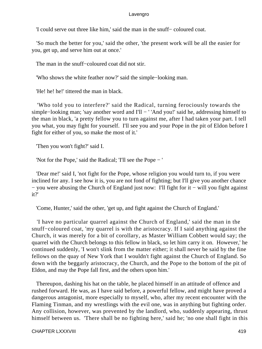'I could serve out three like him,' said the man in the snuff− coloured coat.

 'So much the better for you,' said the other, 'the present work will be all the easier for you, get up, and serve him out at once.'

The man in the snuff−coloured coat did not stir.

'Who shows the white feather now?' said the simple−looking man.

'He! he! he!' tittered the man in black.

 'Who told you to interfere?' said the Radical, turning ferociously towards the simple–looking man; 'say another word and I'll − ' 'And you!' said he, addressing himself to the man in black, 'a pretty fellow you to turn against me, after I had taken your part. I tell you what, you may fight for yourself. I'll see you and your Pope in the pit of Eldon before I fight for either of you, so make the most of it.'

'Then you won't fight?' said I.

'Not for the Pope,' said the Radical; 'I'll see the Pope − '

 'Dear me!' said I, 'not fight for the Pope, whose religion you would turn to, if you were inclined for any. I see how it is, you are not fond of fighting; but I'll give you another chance − you were abusing the Church of England just now: I'll fight for it − will you fight against it?'

'Come, Hunter,' said the other, 'get up, and fight against the Church of England.'

 'I have no particular quarrel against the Church of England,' said the man in the snuff−coloured coat, 'my quarrel is with the aristocracy. If I said anything against the Church, it was merely for a bit of corollary, as Master William Cobbett would say; the quarrel with the Church belongs to this fellow in black, so let him carry it on. However,' he continued suddenly, 'I won't slink from the matter either; it shall never be said by the fine fellows on the quay of New York that I wouldn't fight against the Church of England. So down with the beggarly aristocracy, the Church, and the Pope to the bottom of the pit of Eldon, and may the Pope fall first, and the others upon him.'

 Thereupon, dashing his hat on the table, he placed himself in an attitude of offence and rushed forward. He was, as I have said before, a powerful fellow, and might have proved a dangerous antagonist, more especially to myself, who, after my recent encounter with the Flaming Tinman, and my wrestlings with the evil one, was in anything but fighting order. Any collision, however, was prevented by the landlord, who, suddenly appearing, thrust himself between us. 'There shall be no fighting here,' said he; 'no one shall fight in this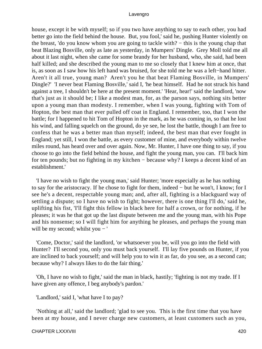house, except it be with myself; so if you two have anything to say to each other, you had better go into the field behind the house. But, you fool,' said he, pushing Hunter violently on the breast, 'do you know whom you are going to tackle with? − this is the young chap that beat Blazing Bosville, only as late as yesterday, in Mumpers' Dingle. Grey Moll told me all about it last night, when she came for some brandy for her husband, who, she said, had been half killed; and she described the young man to me so closely that I knew him at once, that is, as soon as I saw how his left hand was bruised, for she told me he was a left−hand hitter. Aren't it all true, young man? Aren't you he that beat Flaming Bosville, in Mumpers' Dingle?' 'I never beat Flaming Bosville,' said I, 'he beat himself. Had he not struck his hand against a tree, I shouldn't be here at the present moment.' 'Hear, hear!' said the landlord, 'now that's just as it should be; I like a modest man, for, as the parson says, nothing sits better upon a young man than modesty. I remember, when I was young, fighting with Tom of Hopton, the best man that ever pulled off coat in England. I remember, too, that I won the battle; for I happened to hit Tom of Hopton in the mark, as he was coming in, so that he lost his wind, and falling squelch on the ground, do ye see, he lost the battle, though I am free to confess that he was a better man than myself; indeed, the best man that ever fought in England; yet still, I won the battle, as every customer of mine, and everybody within twelve miles round, has heard over and over again. Now, Mr. Hunter, I have one thing to say, if you choose to go into the field behind the house, and fight the young man, you can. I'll back him for ten pounds; but no fighting in my kitchen − because why? I keeps a decent kind of an establishment.'

 'I have no wish to fight the young man,' said Hunter; 'more especially as he has nothing to say for the aristocracy. If he chose to fight for them, indeed − but he won't, I know; for I see he's a decent, respectable young man; and, after all, fighting is a blackguard way of settling a dispute; so I have no wish to fight; however, there is one thing I'll do,' said he, uplifting his fist, 'I'll fight this fellow in black here for half a crown, or for nothing, if he pleases; it was he that got up the last dispute between me and the young man, with his Pope and his nonsense; so I will fight him for anything he pleases, and perhaps the young man will be my second; whilst you − '

 'Come, Doctor,' said the landlord, 'or whatsoever you be, will you go into the field with Hunter? I'll second you, only you must back yourself. I'll lay five pounds on Hunter, if you are inclined to back yourself; and will help you to win it as far, do you see, as a second can; because why? I always likes to do the fair thing.'

 'Oh, I have no wish to fight,' said the man in black, hastily; 'fighting is not my trade. If I have given any offence, I beg anybody's pardon.'

'Landlord,' said I, 'what have I to pay?

 'Nothing at all,' said the landlord; 'glad to see you. This is the first time that you have been at my house, and I never charge new customers, at least customers such as you,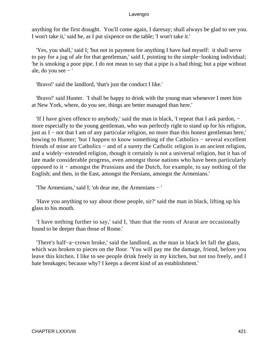anything for the first draught. You'll come again, I daresay; shall always be glad to see you. I won't take it,' said he, as I put sixpence on the table; 'I won't take it.'

 'Yes, you shall,' said I; 'but not in payment for anything I have had myself: it shall serve to pay for a jug of ale for that gentleman,' said I, pointing to the simple−looking individual; 'he is smoking a poor pipe. I do not mean to say that a pipe is a bad thing; but a pipe without ale, do you see − '

'Bravo!' said the landlord, 'that's just the conduct I like.'

 'Bravo!' said Hunter. 'I shall be happy to drink with the young man whenever I meet him at New York, where, do you see, things are better managed than here.'

 'If I have given offence to anybody,' said the man in black, 'I repeat that I ask pardon, − more especially to the young gentleman, who was perfectly right to stand up for his religion, just as I − not that I am of any particular religion, no more than this honest gentleman here,' bowing to Hunter; 'but I happen to know something of the Catholics − several excellent friends of mine are Catholics – and of a surety the Catholic religion is an ancient religion, and a widely−extended religion, though it certainly is not a universal religion, but it has of late made considerable progress, even amongst those nations who have been particularly opposed to it − amongst the Prussians and the Dutch, for example, to say nothing of the English; and then, in the East, amongst the Persians, amongst the Armenians.'

'The Armenians,' said I; 'oh dear me, the Armenians − '

 'Have you anything to say about those people, sir?' said the man in black, lifting up his glass to his mouth.

 'I have nothing further to say,' said I, 'than that the roots of Ararat are occasionally found to be deeper than those of Rome.'

 'There's half−a−crown broke,' said the landlord, as the man in black let fall the glass, which was broken to pieces on the floor. 'You will pay me the damage, friend, before you leave this kitchen. I like to see people drink freely in my kitchen, but not too freely, and I hate breakages; because why? I keeps a decent kind of an establishment.'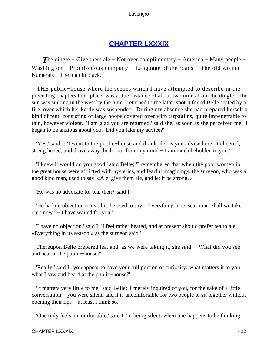# **[CHAPTER LXXXIX](#page-498-0)**

**The dingle – Give them ale – Not over complimentary – America – Many people –** Washington − Promiscuous company − Language of the roads − The old women − Numerals − The man in black.

 THE public−house where the scenes which I have attempted to describe in the preceding chapters took place, was at the distance of about two miles from the dingle. The sun was sinking in the west by the time I returned to the latter spot. I found Belle seated by a fire, over which her kettle was suspended. During my absence she had prepared herself a kind of tent, consisting of large hoops covered over with tarpaulins, quite impenetrable to rain, however violent. 'I am glad you are returned,' said she, as soon as she perceived me; 'I began to be anxious about you. Did you take my advice?'

 'Yes,' said I; 'I went to the public−house and drank ale, as you advised me; it cheered, strengthened, and drove away the horror from my mind − I am much beholden to you.'

 'I knew it would do you good,' said Belle; 'I remembered that when the poor women in the great house were afflicted with hysterics, and fearful imaginings, the surgeon, who was a good kind man, used to say, «Ale, give them ale, and let it be strong.»'

'He was no advocate for tea, then?' said I.

 'He had no objection to tea; but he used to say, «Everything in its season.» Shall we take ours now? − I have waited for you.'

 'I have no objection,' said I; 'I feel rather heated, and at present should prefer tea to ale − «Everything in its season,» as the surgeon said.'

Thereupon Belle prepared tea, and, as we were taking it, she said − 'What did you see and hear at the public−house?'

 'Really,' said I, 'you appear to have your full portion of curiosity; what matters it to you what I saw and heard at the public−house?'

 'It matters very little to me,' said Belle; 'I merely inquired of you, for the sake of a little conversation − you were silent, and it is uncomfortable for two people to sit together without opening their lips − at least I think so.'

'One only feels uncomfortable,' said I, 'in being silent, when one happens to be thinking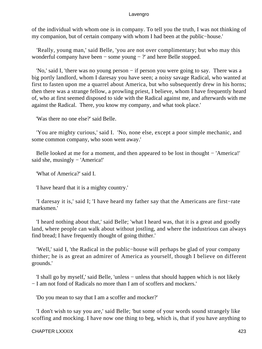of the individual with whom one is in company. To tell you the truth, I was not thinking of my companion, but of certain company with whom I had been at the public−house.'

 'Really, young man,' said Belle, 'you are not over complimentary; but who may this wonderful company have been − some young − ?' and here Belle stopped.

 'No,' said I, 'there was no young person − if person you were going to say. There was a big portly landlord, whom I daresay you have seen; a noisy savage Radical, who wanted at first to fasten upon me a quarrel about America, but who subsequently drew in his horns; then there was a strange fellow, a prowling priest, I believe, whom I have frequently heard of, who at first seemed disposed to side with the Radical against me, and afterwards with me against the Radical. There, you know my company, and what took place.'

'Was there no one else?' said Belle.

 'You are mighty curious,' said I. 'No, none else, except a poor simple mechanic, and some common company, who soon went away.'

 Belle looked at me for a moment, and then appeared to be lost in thought − 'America!' said she, musingly − 'America!'

'What of America?' said I.

'I have heard that it is a mighty country.'

 'I daresay it is,' said I; 'I have heard my father say that the Americans are first−rate marksmen.'

 'I heard nothing about that,' said Belle; 'what I heard was, that it is a great and goodly land, where people can walk about without jostling, and where the industrious can always find bread; I have frequently thought of going thither.'

 'Well,' said I, 'the Radical in the public−house will perhaps be glad of your company thither; he is as great an admirer of America as yourself, though I believe on different grounds.'

 'I shall go by myself,' said Belle, 'unless − unless that should happen which is not likely − I am not fond of Radicals no more than I am of scoffers and mockers.'

'Do you mean to say that I am a scoffer and mocker?'

 'I don't wish to say you are,' said Belle; 'but some of your words sound strangely like scoffing and mocking. I have now one thing to beg, which is, that if you have anything to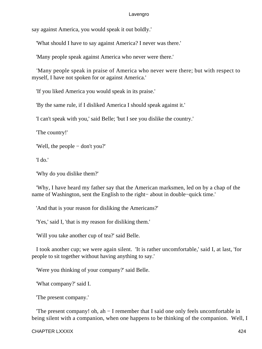say against America, you would speak it out boldly.'

'What should I have to say against America? I never was there.'

'Many people speak against America who never were there.'

 'Many people speak in praise of America who never were there; but with respect to myself, I have not spoken for or against America.'

'If you liked America you would speak in its praise.'

'By the same rule, if I disliked America I should speak against it.'

'I can't speak with you,' said Belle; 'but I see you dislike the country.'

'The country!'

'Well, the people − don't you?'

'I do.'

'Why do you dislike them?'

 'Why, I have heard my father say that the American marksmen, led on by a chap of the name of Washington, sent the English to the right− about in double−quick time.'

'And that is your reason for disliking the Americans?'

'Yes,' said I, 'that is my reason for disliking them.'

'Will you take another cup of tea?' said Belle.

 I took another cup; we were again silent. 'It is rather uncomfortable,' said I, at last, 'for people to sit together without having anything to say.'

'Were you thinking of your company?' said Belle.

'What company?' said I.

'The present company.'

 'The present company! oh, ah − I remember that I said one only feels uncomfortable in being silent with a companion, when one happens to be thinking of the companion. Well, I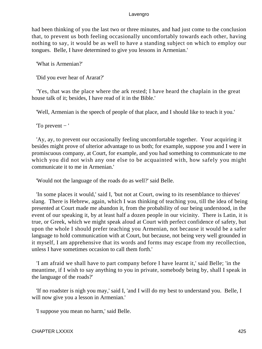had been thinking of you the last two or three minutes, and had just come to the conclusion that, to prevent us both feeling occasionally uncomfortably towards each other, having nothing to say, it would be as well to have a standing subject on which to employ our tongues. Belle, I have determined to give you lessons in Armenian.'

'What is Armenian?'

'Did you ever hear of Ararat?'

 'Yes, that was the place where the ark rested; I have heard the chaplain in the great house talk of it; besides, I have read of it in the Bible.'

'Well, Armenian is the speech of people of that place, and I should like to teach it you.'

'To prevent − '

 'Ay, ay, to prevent our occasionally feeling uncomfortable together. Your acquiring it besides might prove of ulterior advantage to us both; for example, suppose you and I were in promiscuous company, at Court, for example, and you had something to communicate to me which you did not wish any one else to be acquainted with, how safely you might communicate it to me in Armenian.'

'Would not the language of the roads do as well?' said Belle.

 'In some places it would,' said I, 'but not at Court, owing to its resemblance to thieves' slang. There is Hebrew, again, which I was thinking of teaching you, till the idea of being presented at Court made me abandon it, from the probability of our being understood, in the event of our speaking it, by at least half a dozen people in our vicinity. There is Latin, it is true, or Greek, which we might speak aloud at Court with perfect confidence of safety, but upon the whole I should prefer teaching you Armenian, not because it would be a safer language to hold communication with at Court, but because, not being very well grounded in it myself, I am apprehensive that its words and forms may escape from my recollection, unless I have sometimes occasion to call them forth.'

 'I am afraid we shall have to part company before I have learnt it,' said Belle; 'in the meantime, if I wish to say anything to you in private, somebody being by, shall I speak in the language of the roads?'

 'If no roadster is nigh you may,' said I, 'and I will do my best to understand you. Belle, I will now give you a lesson in Armenian.'

'I suppose you mean no harm,' said Belle.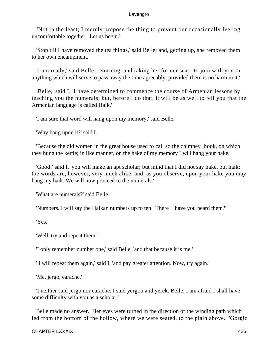'Not in the least; I merely propose the thing to prevent our occasionally feeling uncomfortable together. Let us begin.'

 'Stop till I have removed the tea things,' said Belle; and, getting up, she removed them to her own encampment.

 'I am ready,' said Belle, returning, and taking her former seat, 'to join with you in anything which will serve to pass away the time agreeably, provided there is no harm in it.'

 'Belle,' said I, 'I have determined to commence the course of Armenian lessons by teaching you the numerals; but, before I do that, it will be as well to tell you that the Armenian language is called Haik.'

'I am sure that word will hang upon my memory,' said Belle.

'Why hang upon it?' said I.

 'Because the old women in the great house used to call so the chimney−hook, on which they hung the kettle; in like manner, on the hake of my memory I will hang your hake.'

 'Good!' said I, 'you will make an apt scholar; but mind that I did not say hake, but haik; the words are, however, very much alike; and, as you observe, upon your hake you may hang my haik. We will now proceed to the numerals.'

'What are numerals?' said Belle.

'Numbers. I will say the Haikan numbers up to ten. There − have you heard them?'

'Yes.'

'Well, try and repeat them.'

'I only remember number one,' said Belle, 'and that because it is me.'

' I will repeat them again,' said I, 'and pay greater attention. Now, try again.'

'Me, jergo, earache.'

 'I neither said jergo nor earache. I said yergou and yerek. Belle, I am afraid I shall have some difficulty with you as a scholar.'

 Belle made no answer. Her eyes were turned in the direction of the winding path which led from the bottom of the hollow, where we were seated, to the plain above. 'Gorgio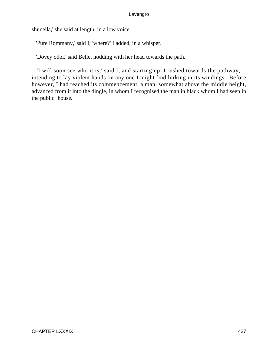shunella,' she said at length, in a low voice.

'Pure Rommany,' said I; 'where?' I added, in a whisper.

'Dovey odoi,' said Belle, nodding with her head towards the path.

 'I will soon see who it is,' said I; and starting up, I rushed towards the pathway, intending to lay violent hands on any one I might find lurking in its windings. Before, however, I had reached its commencement, a man, somewhat above the middle height, advanced from it into the dingle, in whom I recognised the man in black whom I had seen in the public−house.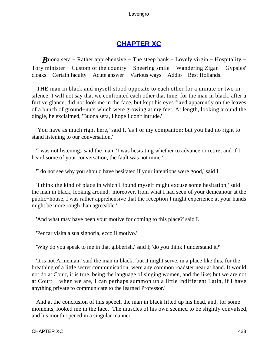# **[CHAPTER XC](#page-498-0)**

*B*uona sera – Rather apprehensive – The steep bank – Lovely virgin – Hospitality – Tory minister − Custom of the country − Sneering smile − Wandering Zigan − Gypsies' cloaks − Certain faculty − Acute answer − Various ways − Addio − Best Hollands.

 THE man in black and myself stood opposite to each other for a minute or two in silence; I will not say that we confronted each other that time, for the man in black, after a furtive glance, did not look me in the face, but kept his eyes fixed apparently on the leaves of a bunch of ground−nuts which were growing at my feet. At length, looking around the dingle, he exclaimed, 'Buona sera, I hope I don't intrude.'

 'You have as much right here,' said I, 'as I or my companion; but you had no right to stand listening to our conversation.'

 'I was not listening,' said the man, 'I was hesitating whether to advance or retire; and if I heard some of your conversation, the fault was not mine.'

'I do not see why you should have hesitated if your intentions were good,' said I.

 'I think the kind of place in which I found myself might excuse some hesitation,' said the man in black, looking around; 'moreover, from what I had seen of your demeanour at the public−house, I was rather apprehensive that the reception I might experience at your hands might be more rough than agreeable.'

'And what may have been your motive for coming to this place?' said I.

'Per far visita a sua signoria, ecco il motivo.'

'Why do you speak to me in that gibberish,' said I; 'do you think I understand it?'

 'It is not Armenian,' said the man in black; 'but it might serve, in a place like this, for the breathing of a little secret communication, were any common roadster near at hand. It would not do at Court, it is true, being the language of singing women, and the like; but we are not at Court − when we are, I can perhaps summon up a little indifferent Latin, if I have anything private to communicate to the learned Professor.'

 And at the conclusion of this speech the man in black lifted up his head, and, for some moments, looked me in the face. The muscles of his own seemed to be slightly convulsed, and his mouth opened in a singular manner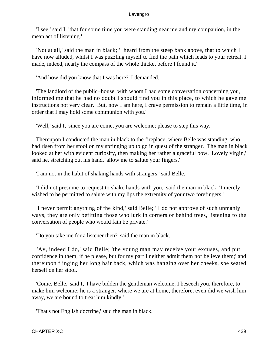'I see,' said I, 'that for some time you were standing near me and my companion, in the mean act of listening.'

 'Not at all,' said the man in black; 'I heard from the steep bank above, that to which I have now alluded, whilst I was puzzling myself to find the path which leads to your retreat. I made, indeed, nearly the compass of the whole thicket before I found it.'

'And how did you know that I was here?' I demanded.

 'The landlord of the public−house, with whom I had some conversation concerning you, informed me that he had no doubt I should find you in this place, to which he gave me instructions not very clear. But, now I am here, I crave permission to remain a little time, in order that I may hold some communion with you.'

'Well,' said I, 'since you are come, you are welcome; please to step this way.'

 Thereupon I conducted the man in black to the fireplace, where Belle was standing, who had risen from her stool on my springing up to go in quest of the stranger. The man in black looked at her with evident curiosity, then making her rather a graceful bow, 'Lovely virgin,' said he, stretching out his hand, 'allow me to salute your fingers.'

'I am not in the habit of shaking hands with strangers,' said Belle.

 'I did not presume to request to shake hands with you,' said the man in black, 'I merely wished to be permitted to salute with my lips the extremity of your two forefingers.'

 'I never permit anything of the kind,' said Belle; ' I do not approve of such unmanly ways, they are only befitting those who lurk in corners or behind trees, listening to the conversation of people who would fain be private.'

'Do you take me for a listener then?' said the man in black.

 'Ay, indeed I do,' said Belle; 'the young man may receive your excuses, and put confidence in them, if he please, but for my part I neither admit them nor believe them;' and thereupon flinging her long hair back, which was hanging over her cheeks, she seated herself on her stool.

 'Come, Belle,' said I, 'I have bidden the gentleman welcome, I beseech you, therefore, to make him welcome; he is a stranger, where we are at home, therefore, even did we wish him away, we are bound to treat him kindly.'

'That's not English doctrine,' said the man in black.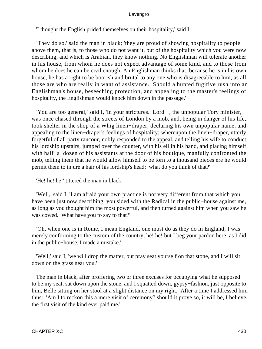'I thought the English prided themselves on their hospitality,' said I.

 'They do so,' said the man in black; 'they are proud of showing hospitality to people above them, that is, to those who do not want it, but of the hospitality which you were now describing, and which is Arabian, they know nothing. No Englishman will tolerate another in his house, from whom he does not expect advantage of some kind, and to those from whom he does he can be civil enough. An Englishman thinks that, because he is in his own house, he has a right to be boorish and brutal to any one who is disagreeable to him, as all those are who are really in want of assistance. Should a hunted fugitive rush into an Englishman's house, beseeching protection, and appealing to the master's feelings of hospitality, the Englishman would knock him down in the passage.'

 'You are too general,' said I, 'in your strictures. Lord −, the unpopular Tory minister, was once chased through the streets of London by a mob, and, being in danger of his life, took shelter in the shop of a Whig linen−draper, declaring his own unpopular name, and appealing to the linen−draper's feelings of hospitality; whereupon the linen−draper, utterly forgetful of all party rancour, nobly responded to the appeal, and telling his wife to conduct his lordship upstairs, jumped over the counter, with his ell in his hand, and placing himself with half−a−dozen of his assistants at the door of his boutique, manfully confronted the mob, telling them that he would allow himself to be torn to a thousand pieces ere he would permit them to injure a hair of his lordship's head: what do you think of that?'

'He! he! he!' tittered the man in black.

 'Well,' said I, 'I am afraid your own practice is not very different from that which you have been just now describing; you sided with the Radical in the public−house against me, as long as you thought him the most powerful, and then turned against him when you saw he was cowed. What have you to say to that?'

 'Oh, when one is in Rome, I mean England, one must do as they do in England; I was merely conforming to the custom of the country, he! he! but I beg your pardon here, as I did in the public−house. I made a mistake.'

 'Well,' said I, 'we will drop the matter, but pray seat yourself on that stone, and I will sit down on the grass near you.'

 The man in black, after proffering two or three excuses for occupying what he supposed to be my seat, sat down upon the stone, and I squatted down, gypsy−fashion, just opposite to him, Belle sitting on her stool at a slight distance on my right. After a time I addressed him thus: 'Am I to reckon this a mere visit of ceremony? should it prove so, it will be, I believe, the first visit of the kind ever paid me.'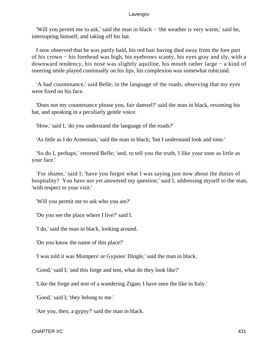'Will you permit me to ask,' said the man in black − 'the weather is very warm,' said he, interrupting himself, and taking off his hat.

 I now observed that he was partly bald, his red hair having died away from the fore part of his crown − his forehead was high, his eyebrows scanty, his eyes gray and sly, with a downward tendency, his nose was slightly aquiline, his mouth rather large − a kind of sneering smile played continually on his lips, his complexion was somewhat rubicund.

 'A bad countenance,' said Belle, in the language of the roads, observing that my eyes were fixed on his face.

 'Does not my countenance please you, fair damsel?' said the man in black, resuming his hat, and speaking in a peculiarly gentle voice.

'How,' said I, 'do you understand the language of the roads?'

'As little as I do Armenian,' said the man in black; 'but I understand look and tone.'

 'So do I, perhaps,' retorted Belle; 'and, to tell you the truth, I like your tone as little as your face.'

 'For shame,' said I; 'have you forgot what I was saying just now about the duties of hospitality? You have not yet answered my question,' said I, addressing myself to the man, 'with respect to your visit.'

'Will you permit me to ask who you are?'

'Do you see the place where I live?' said I.

'I do,' said the man in black, looking around.

'Do you know the name of this place?'

'I was told it was Mumpers' or Gypsies' Dingle,' said the man in black.

'Good,' said I; 'and this forge and tent, what do they look like?'

'Like the forge and tent of a wandering Zigan; I have seen the like in Italy.'

'Good,' said I; 'they belong to me.'

'Are you, then, a gypsy?' said the man in black.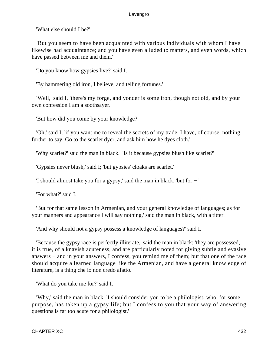'What else should I be?'

 'But you seem to have been acquainted with various individuals with whom I have likewise had acquaintance; and you have even alluded to matters, and even words, which have passed between me and them.'

'Do you know how gypsies live?' said I.

'By hammering old iron, I believe, and telling fortunes.'

 'Well,' said I, 'there's my forge, and yonder is some iron, though not old, and by your own confession I am a soothsayer.'

'But how did you come by your knowledge?'

 'Oh,' said I, 'if you want me to reveal the secrets of my trade, I have, of course, nothing further to say. Go to the scarlet dyer, and ask him how he dyes cloth.'

'Why scarlet?' said the man in black. 'Is it because gypsies blush like scarlet?'

'Gypsies never blush,' said I; 'but gypsies' cloaks are scarlet.'

'I should almost take you for a gypsy,' said the man in black, 'but for − '

'For what?' said I.

 'But for that same lesson in Armenian, and your general knowledge of languages; as for your manners and appearance I will say nothing,' said the man in black, with a titter.

'And why should not a gypsy possess a knowledge of languages?' said I.

 'Because the gypsy race is perfectly illiterate,' said the man in black; 'they are possessed, it is true, of a knavish acuteness, and are particularly noted for giving subtle and evasive answers − and in your answers, I confess, you remind me of them; but that one of the race should acquire a learned language like the Armenian, and have a general knowledge of literature, is a thing che io non credo afatto.'

'What do you take me for?' said I.

 'Why,' said the man in black, 'I should consider you to be a philologist, who, for some purpose, has taken up a gypsy life; but I confess to you that your way of answering questions is far too acute for a philologist.'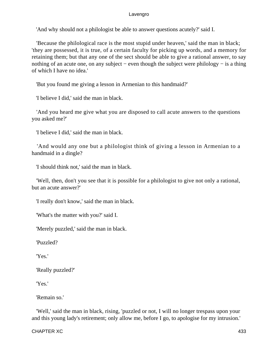'And why should not a philologist be able to answer questions acutely?' said I.

 'Because the philological race is the most stupid under heaven,' said the man in black; 'they are possessed, it is true, of a certain faculty for picking up words, and a memory for retaining them; but that any one of the sect should be able to give a rational answer, to say nothing of an acute one, on any subject – even though the subject were philology – is a thing of which I have no idea.'

'But you found me giving a lesson in Armenian to this handmaid?'

'I believe I did,' said the man in black.

 'And you heard me give what you are disposed to call acute answers to the questions you asked me?'

'I believe I did,' said the man in black.

 'And would any one but a philologist think of giving a lesson in Armenian to a handmaid in a dingle?

'I should think not,' said the man in black.

 'Well, then, don't you see that it is possible for a philologist to give not only a rational, but an acute answer?'

'I really don't know,' said the man in black.

'What's the matter with you?' said I.

'Merely puzzled,' said the man in black.

'Puzzled?

'Yes.'

'Really puzzled?'

'Yes.'

'Remain so.'

 'Well,' said the man in black, rising, 'puzzled or not, I will no longer trespass upon your and this young lady's retirement; only allow me, before I go, to apologise for my intrusion.'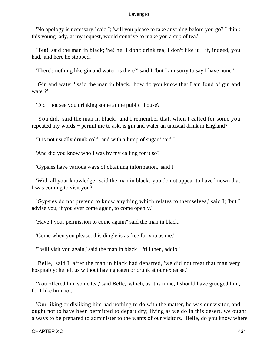'No apology is necessary,' said I; 'will you please to take anything before you go? I think this young lady, at my request, would contrive to make you a cup of tea.'

 'Tea!' said the man in black; 'he! he! I don't drink tea; I don't like it − if, indeed, you had,' and here he stopped.

'There's nothing like gin and water, is there?' said I, 'but I am sorry to say I have none.'

 'Gin and water,' said the man in black, 'how do you know that I am fond of gin and water?'

'Did I not see you drinking some at the public−house?'

 'You did,' said the man in black, 'and I remember that, when I called for some you repeated my words − permit me to ask, is gin and water an unusual drink in England?'

'It is not usually drunk cold, and with a lump of sugar,' said I.

'And did you know who I was by my calling for it so?'

'Gypsies have various ways of obtaining information,' said I.

 'With all your knowledge,' said the man in black, 'you do not appear to have known that I was coming to visit you?'

 'Gypsies do not pretend to know anything which relates to themselves,' said I; 'but I advise you, if you ever come again, to come openly.'

'Have I your permission to come again?' said the man in black.

'Come when you please; this dingle is as free for you as me.'

'I will visit you again,' said the man in black − 'till then, addio.'

 'Belle,' said I, after the man in black had departed, 'we did not treat that man very hospitably; he left us without having eaten or drunk at our expense.'

 'You offered him some tea,' said Belle, 'which, as it is mine, I should have grudged him, for I like him not.'

 'Our liking or disliking him had nothing to do with the matter, he was our visitor, and ought not to have been permitted to depart dry; living as we do in this desert, we ought always to be prepared to administer to the wants of our visitors. Belle, do you know where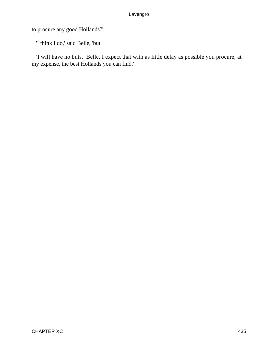to procure any good Hollands?'

'I think I do,' said Belle, 'but − '

 'I will have no buts. Belle, I expect that with as little delay as possible you procure, at my expense, the best Hollands you can find.'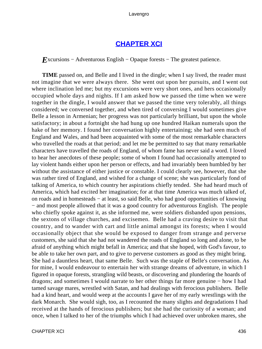# **[CHAPTER XCI](#page-498-0)**

*E*xcursions – Adventurous English – Opaque forests – The greatest patience.

**TIME** passed on, and Belle and I lived in the dingle; when I say lived, the reader must not imagine that we were always there. She went out upon her pursuits, and I went out where inclination led me; but my excursions were very short ones, and hers occasionally occupied whole days and nights. If I am asked how we passed the time when we were together in the dingle, I would answer that we passed the time very tolerably, all things considered; we conversed together, and when tired of conversing I would sometimes give Belle a lesson in Armenian; her progress was not particularly brilliant, but upon the whole satisfactory; in about a fortnight she had hung up one hundred Haikan numerals upon the hake of her memory. I found her conversation highly entertaining; she had seen much of England and Wales, and had been acquainted with some of the most remarkable characters who travelled the roads at that period; and let me be permitted to say that many remarkable characters have travelled the roads of England, of whom fame has never said a word. I loved to hear her anecdotes of these people; some of whom I found had occasionally attempted to lay violent hands either upon her person or effects, and had invariably been humbled by her without the assistance of either justice or constable. I could clearly see, however, that she was rather tired of England, and wished for a change of scene; she was particularly fond of talking of America, to which country her aspirations chiefly tended. She had heard much of America, which had excited her imagination; for at that time America was much talked of, on roads and in homesteads − at least, so said Belle, who had good opportunities of knowing − and most people allowed that it was a good country for adventurous English. The people who chiefly spoke against it, as she informed me, were soldiers disbanded upon pensions, the sextons of village churches, and excisemen. Belle had a craving desire to visit that country, and to wander with cart and little animal amongst its forests; when I would occasionally object that she would be exposed to danger from strange and perverse customers, she said that she had not wandered the roads of England so long and alone, to be afraid of anything which might befall in America; and that she hoped, with God's favour, to be able to take her own part, and to give to perverse customers as good as they might bring. She had a dauntless heart, that same Belle. Such was the staple of Belle's conversation. As for mine, I would endeavour to entertain her with strange dreams of adventure, in which I figured in opaque forests, strangling wild beasts, or discovering and plundering the hoards of dragons; and sometimes I would narrate to her other things far more genuine − how I had tamed savage mares, wrestled with Satan, and had dealings with ferocious publishers. Belle had a kind heart, and would weep at the accounts I gave her of my early wrestlings with the dark Monarch. She would sigh, too, as I recounted the many slights and degradations I had received at the hands of ferocious publishers; but she had the curiosity of a woman; and once, when I talked to her of the triumphs which I had achieved over unbroken mares, she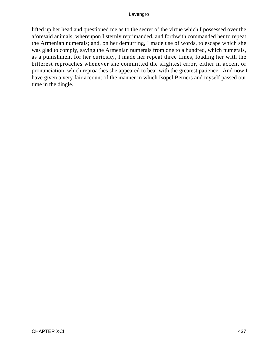lifted up her head and questioned me as to the secret of the virtue which I possessed over the aforesaid animals; whereupon I sternly reprimanded, and forthwith commanded her to repeat the Armenian numerals; and, on her demurring, I made use of words, to escape which she was glad to comply, saying the Armenian numerals from one to a hundred, which numerals, as a punishment for her curiosity, I made her repeat three times, loading her with the bitterest reproaches whenever she committed the slightest error, either in accent or pronunciation, which reproaches she appeared to bear with the greatest patience. And now I have given a very fair account of the manner in which Isopel Berners and myself passed our time in the dingle.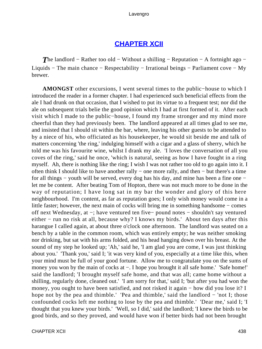# **[CHAPTER XCII](#page-498-0)**

**The landlord − Rather too old − Without a shilling − Reputation − A fortnight ago −** Liquids − The main chance − Respectability − Irrational beings − Parliament cove − My brewer.

**AMONGST** other excursions, I went several times to the public−house to which I introduced the reader in a former chapter. I had experienced such beneficial effects from the ale I had drunk on that occasion, that I wished to put its virtue to a frequent test; nor did the ale on subsequent trials belie the good opinion which I had at first formed of it. After each visit which I made to the public−house, I found my frame stronger and my mind more cheerful than they had previously been. The landlord appeared at all times glad to see me, and insisted that I should sit within the bar, where, leaving his other guests to be attended to by a niece of his, who officiated as his housekeeper, he would sit beside me and talk of matters concerning 'the ring,' indulging himself with a cigar and a glass of sherry, which he told me was his favourite wine, whilst I drank my ale. 'I loves the conversation of all you coves of the ring,' said he once, 'which is natural, seeing as how I have fought in a ring myself. Ah, there is nothing like the ring; I wish I was not rather too old to go again into it. I often think I should like to have another rally − one more rally, and then − but there's a time for all things − youth will be served, every dog has his day, and mine has been a fine one − let me be content. After beating Tom of Hopton, there was not much more to be done in the way of reputation; I have long sat in my bar the wonder and glory of this here neighbourhood. I'm content, as far as reputation goes; I only wish money would come in a little faster; however, the next main of cocks will bring me in something handsome − comes off next Wednesday, at −; have ventured ten five− pound notes − shouldn't say ventured either – run no risk at all, because why? I knows my birds.' About ten days after this harangue I called again, at about three o'clock one afternoon. The landlord was seated on a bench by a table in the common room, which was entirely empty; he was neither smoking nor drinking, but sat with his arms folded, and his head hanging down over his breast. At the sound of my step he looked up; 'Ah,' said he, 'I am glad you are come, I was just thinking about you.' 'Thank you,' said I; 'it was very kind of you, especially at a time like this, when your mind must be full of your good fortune. Allow me to congratulate you on the sums of money you won by the main of cocks at –. I hope you brought it all safe home.' 'Safe home!' said the landlord; 'I brought myself safe home, and that was all; came home without a shilling, regularly done, cleaned out.' 'I am sorry for that,' said I; 'but after you had won the money, you ought to have been satisfied, and not risked it again − how did you lose it? I hope not by the pea and thimble.' 'Pea and thimble,' said the landlord − 'not I; those confounded cocks left me nothing to lose by the pea and thimble.' 'Dear me,' said I; 'I thought that you knew your birds.' 'Well, so I did,' said the landlord; 'I knew the birds to be good birds, and so they proved, and would have won if better birds had not been brought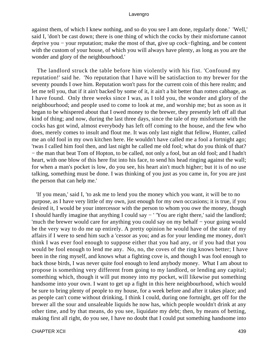against them, of which I knew nothing, and so do you see I am done, regularly done.' 'Well,' said I, 'don't be cast down; there is one thing of which the cocks by their misfortune cannot deprive you − your reputation; make the most of that, give up cock−fighting, and be content with the custom of your house, of which you will always have plenty, as long as you are the wonder and glory of the neighbourhood.'

 The landlord struck the table before him violently with his fist. 'Confound my reputation!' said he. 'No reputation that I have will be satisfaction to my brewer for the seventy pounds I owe him. Reputation won't pass for the current coin of this here realm; and let me tell you, that if it ain't backed by some of it, it ain't a bit better than rotten cabbage, as I have found. Only three weeks since I was, as I told you, the wonder and glory of the neighbourhood; and people used to come to look at me, and worship me; but as soon as it began to be whispered about that I owed money to the brewer, they presently left off all that kind of thing; and now, during the last three days, since the tale of my misfortune with the cocks has got wind, almost everybody has left off coming to the house, and the few who does, merely comes to insult and flout me. It was only last night that fellow, Hunter, called me an old fool in my own kitchen here. He wouldn't have called me a fool a fortnight ago; 'twas I called him fool then, and last night he called me old fool; what do you think of that? − the man that beat Tom of Hopton, to be called, not only a fool, but an old fool; and I hadn't heart, with one blow of this here fist into his face, to send his head ringing against the wall; for when a man's pocket is low, do you see, his heart ain't much higher; but it is of no use talking, something must be done. I was thinking of you just as you came in, for you are just the person that can help me.'

 'If you mean,' said I, 'to ask me to lend you the money which you want, it will be to no purpose, as I have very little of my own, just enough for my own occasions; it is true, if you desired it, I would be your intercessor with the person to whom you owe the money, though I should hardly imagine that anything I could say − ' 'You are right there,' said the landlord; 'much the brewer would care for anything you could say on my behalf − your going would be the very way to do me up entirely. A pretty opinion he would have of the state of my affairs if I were to send him such a 'cessor as you; and as for your lending me money, don't think I was ever fool enough to suppose either that you had any, or if you had that you would be fool enough to lend me any. No, no, the coves of the ring knows better; I have been in the ring myself, and knows what a fighting cove is, and though I was fool enough to back those birds, I was never quite fool enough to lend anybody money. What I am about to propose is something very different from going to my landlord, or lending any capital; something which, though it will put money into my pocket, will likewise put something handsome into your own. I want to get up a fight in this here neighbourhood, which would be sure to bring plenty of people to my house, for a week before and after it takes place; and as people can't come without drinking, I think I could, during one fortnight, get off for the brewer all the sour and unsaleable liquids he now has, which people wouldn't drink at any other time, and by that means, do you see, liquidate my debt; then, by means of betting, making first all right, do you see, I have no doubt that I could put something handsome into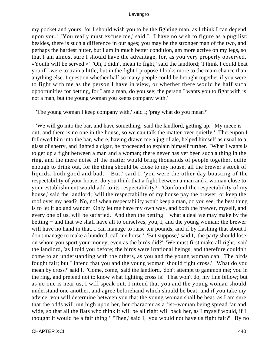my pocket and yours, for I should wish you to be the fighting man, as I think I can depend upon you.' 'You really must excuse me,' said I; 'I have no wish to figure as a pugilist; besides, there is such a difference in our ages; you may be the stronger man of the two, and perhaps the hardest hitter, but I am in much better condition, am more active on my legs, so that I am almost sure I should have the advantage, for, as you very properly observed, «Youth will be served.»' 'Oh, I didn't mean to fight,' said the landlord; 'I think I could beat you if I were to train a little; but in the fight I propose I looks more to the main chance than anything else. I question whether half so many people could be brought together if you were to fight with me as the person I have in view, or whether there would be half such opportunities for betting, for I am a man, do you see; the person I wants you to fight with is not a man, but the young woman you keeps company with.'

'The young woman I keep company with,' said I; 'pray what do you mean?'

 'We will go into the bar, and have something,' said the landlord, getting up. 'My niece is out, and there is no one in the house, so we can talk the matter over quietly.' Thereupon I followed him into the bar, where, having drawn me a jug of ale, helped himself as usual to a glass of sherry, and lighted a cigar, he proceeded to explain himself further. 'What I wants is to get up a fight between a man and a woman; there never has yet been such a thing in the ring, and the mere noise of the matter would bring thousands of people together, quite enough to drink out, for the thing should be close to my house, all the brewer's stock of liquids, both good and bad.' 'But,' said I, 'you were the other day boasting of the respectability of your house; do you think that a fight between a man and a woman close to your establishment would add to its respectability?' 'Confound the respectability of my house,' said the landlord; 'will the respectability of my house pay the brewer, or keep the roof over my head? No, no! when respectability won't keep a man, do you see, the best thing is to let it go and wander. Only let me have my own way, and both the brewer, myself, and every one of us, will be satisfied. And then the betting – what a deal we may make by the betting − and that we shall have all to ourselves, you, I, and the young woman; the brewer will have no hand in that. I can manage to raise ten pounds, and if by flashing that about I don't manage to make a hundred, call me horse.' 'But suppose,' said I, 'the party should lose, on whom you sport your money, even as the birds did?' 'We must first make all right,' said the landlord, 'as I told you before; the birds were irrational beings, and therefore couldn't come to an understanding with the others, as you and the young woman can. The birds fought fair; but I intend that you and the young woman should fight cross.' 'What do you mean by cross?' said I. 'Come, come,' said the landlord, 'don't attempt to gammon me; you in the ring, and pretend not to know what fighting cross is! That won't do, my fine fellow; but as no one is near us, I will speak out. I intend that you and the young woman should understand one another, and agree beforehand which should be beat; and if you take my advice, you will determine between you that the young woman shall be beat, as I am sure that the odds will run high upon her, her character as a fist−woman being spread far and wide, so that all the flats who think it will be all right will back her, as I myself would, if I thought it would be a fair thing.' 'Then,' said I, 'you would not have us fight fair?' 'By no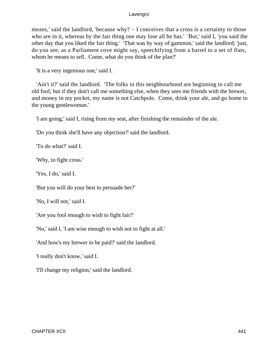means,' said the landlord, 'because why? – I conceives that a cross is a certainty to those who are in it, whereas by the fair thing one may lose all he has.' 'But,' said I, 'you said the other day that you liked the fair thing.' 'That was by way of gammon,' said the landlord; 'just, do you see, as a Parliament cove might say, speechifying from a barrel to a set of flats, whom he means to sell. Come, what do you think of the plan?'

'It is a very ingenious one,' said I.

 'Ain't it?' said the landlord. 'The folks in this neighbourhood are beginning to call me old fool; but if they don't call me something else, when they sees me friends with the brewer, and money in my pocket, my name is not Catchpole. Come, drink your ale, and go home to the young gentlewoman.'

'I am going,' said I, rising from my seat, after finishing the remainder of the ale.

'Do you think she'll have any objection?' said the landlord.

'To do what?' said I.

'Why, to fight cross.'

'Yes, I do,' said I.

'But you will do your best to persuade her?'

'No, I will not,' said I.

'Are you fool enough to wish to fight fair?'

'No,' said I, 'I am wise enough to wish not to fight at all.'

'And how's my brewer to be paid?' said the landlord.

'I really don't know,' said I.

'I'll change my religion,' said the landlord.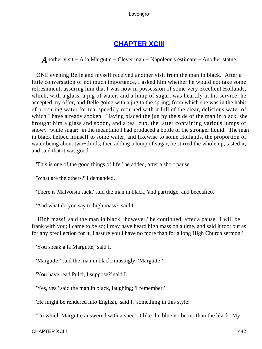# **[CHAPTER XCIII](#page-498-0)**

*A*nother visit − A la Margutte − Clever man − Napoleon's estimate − Another statue.

 ONE evening Belle and myself received another visit from the man in black. After a little conversation of not much importance, I asked him whether he would not take some refreshment, assuring him that I was now in possession of some very excellent Hollands, which, with a glass, a jug of water, and a lump of sugar, was heartily at his service; he accepted my offer, and Belle going with a jug to the spring, from which she was in the habit of procuring water for tea, speedily returned with it full of the clear, delicious water of which I have already spoken. Having placed the jug by the side of the man in black, she brought him a glass and spoon, and a tea−cup, the latter containing various lumps of snowy−white sugar: in the meantime I had produced a bottle of the stronger liquid. The man in black helped himself to some water, and likewise to some Hollands, the proportion of water being about two−thirds; then adding a lump of sugar, he stirred the whole up, tasted it, and said that it was good.

'This is one of the good things of life,' he added, after a short pause.

'What are the others?' I demanded.

'There is Malvoisia sack,' said the man in black, 'and partridge, and beccafico.'

'And what do you say to high mass?' said I.

 'High mass!' said the man in black; 'however,' he continued, after a pause, 'I will be frank with you; I came to be so; I may have heard high mass on a time, and said it too; but as for any predilection for it, I assure you I have no more than for a long High Church sermon.'

'You speak a la Margutte,' said I.

'Margutte!' said the man in black, musingly, 'Margutte!'

'You have read Pulci, I suppose?' said I.

'Yes, yes,' said the man in black, laughing; 'I remember.'

'He might be rendered into English,' said I, 'something in this style:

'To which Margutte answered with a sneer, I like the blue no better than the black, My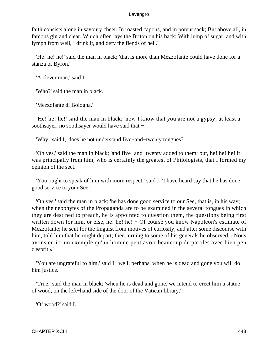faith consists alone in savoury cheer, In roasted capons, and in potent sack; But above all, in famous gin and clear, Which often lays the Briton on his back; With lump of sugar, and with lymph from well, I drink it, and defy the fiends of hell.'

 'He! he! he!' said the man in black; 'that is more than Mezzofante could have done for a stanza of Byron.'

'A clever man,' said I.

'Who?' said the man in black.

'Mezzofante di Bologna.'

 'He! he! he!' said the man in black; 'now I know that you are not a gypsy, at least a soothsayer; no soothsayer would have said that − '

'Why,' said I, 'does he not understand five−and−twenty tongues?'

 'Oh yes,' said the man in black; 'and five−and−twenty added to them; but, he! he! he! it was principally from him, who is certainly the greatest of Philologists, that I formed my opinion of the sect.'

 'You ought to speak of him with more respect,' said I; 'I have heard say that he has done good service to your See.'

 'Oh yes,' said the man in black; 'he has done good service to our See, that is, in his way; when the neophytes of the Propaganda are to be examined in the several tongues in which they are destined to preach, he is appointed to question them, the questions being first written down for him, or else, he! he! he! – Of course you know Napoleon's estimate of Mezzofante; he sent for the linguist from motives of curiosity, and after some discourse with him, told him that he might depart; then turning to some of his generals he observed, «Nous avons eu ici un exemple qu'un homme peut avoir beaucoup de paroles avec bien pen d'esprit.»'

 'You are ungrateful to him,' said I; 'well, perhaps, when he is dead and gone you will do him justice.'

 'True,' said the man in black; 'when he is dead and gone, we intend to erect him a statue of wood, on the left−hand side of the door of the Vatican library.'

'Of wood?' said I.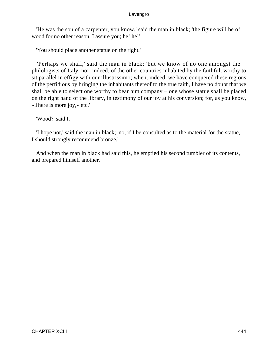'He was the son of a carpenter, you know,' said the man in black; 'the figure will be of wood for no other reason, I assure you; he! he!'

'You should place another statue on the right.'

 'Perhaps we shall,' said the man in black; 'but we know of no one amongst the philologists of Italy, nor, indeed, of the other countries inhabited by the faithful, worthy to sit parallel in effigy with our illustrissimo; when, indeed, we have conquered these regions of the perfidious by bringing the inhabitants thereof to the true faith, I have no doubt that we shall be able to select one worthy to bear him company – one whose statue shall be placed on the right hand of the library, in testimony of our joy at his conversion; for, as you know, «There is more joy,» etc.'

'Wood?' said I.

 'I hope not,' said the man in black; 'no, if I be consulted as to the material for the statue, I should strongly recommend bronze.'

 And when the man in black had said this, he emptied his second tumbler of its contents, and prepared himself another.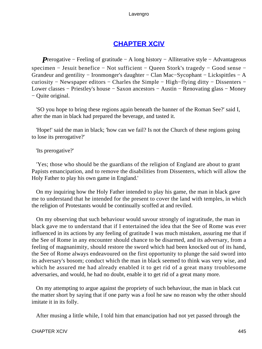# **[CHAPTER XCIV](#page-498-0)**

*P*rerogative – Feeling of gratitude – A long history – Alliterative style – Advantageous specimen − Jesuit benefice − Not sufficient − Queen Stork's tragedy − Good sense − Grandeur and gentility − Ironmonger's daughter − Clan Mac−Sycophant − Lickspittles − A curiosity − Newspaper editors − Charles the Simple − High−flying ditty − Dissenters − Lower classes − Priestley's house − Saxon ancestors − Austin − Renovating glass − Money − Quite original.

 'SO you hope to bring these regions again beneath the banner of the Roman See?' said I, after the man in black had prepared the beverage, and tasted it.

 'Hope!' said the man in black; 'how can we fail? Is not the Church of these regions going to lose its prerogative?'

'Its prerogative?'

 'Yes; those who should be the guardians of the religion of England are about to grant Papists emancipation, and to remove the disabilities from Dissenters, which will allow the Holy Father to play his own game in England.'

 On my inquiring how the Holy Father intended to play his game, the man in black gave me to understand that he intended for the present to cover the land with temples, in which the religion of Protestants would be continually scoffed at and reviled.

 On my observing that such behaviour would savour strongly of ingratitude, the man in black gave me to understand that if I entertained the idea that the See of Rome was ever influenced in its actions by any feeling of gratitude I was much mistaken, assuring me that if the See of Rome in any encounter should chance to be disarmed, and its adversary, from a feeling of magnanimity, should restore the sword which had been knocked out of its hand, the See of Rome always endeavoured on the first opportunity to plunge the said sword into its adversary's bosom; conduct which the man in black seemed to think was very wise, and which he assured me had already enabled it to get rid of a great many troublesome adversaries, and would, he had no doubt, enable it to get rid of a great many more.

 On my attempting to argue against the propriety of such behaviour, the man in black cut the matter short by saying that if one party was a fool he saw no reason why the other should imitate it in its folly.

After musing a little while, I told him that emancipation had not yet passed through the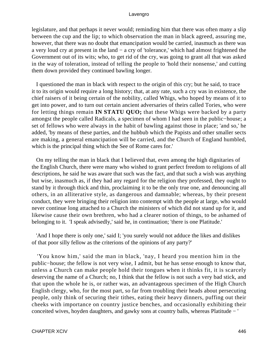legislature, and that perhaps it never would; reminding him that there was often many a slip between the cup and the lip; to which observation the man in black agreed, assuring me, however, that there was no doubt that emancipation would be carried, inasmuch as there was a very loud cry at present in the land − a cry of 'tolerance,' which had almost frightened the Government out of its wits; who, to get rid of the cry, was going to grant all that was asked in the way of toleration, instead of telling the people to 'hold their nonsense,' and cutting them down provided they continued bawling longer.

 I questioned the man in black with respect to the origin of this cry; but he said, to trace it to its origin would require a long history; that, at any rate, such a cry was in existence, the chief raisers of it being certain of the nobility, called Whigs, who hoped by means of it to get into power, and to turn out certain ancient adversaries of theirs called Tories, who were for letting things remain **IN STATU QUO;** that these Whigs were backed by a party amongst the people called Radicals, a specimen of whom I had seen in the public−house; a set of fellows who were always in the habit of bawling against those in place; 'and so,' he added, 'by means of these parties, and the hubbub which the Papists and other smaller sects are making, a general emancipation will be carried, and the Church of England humbled, which is the principal thing which the See of Rome cares for.'

 On my telling the man in black that I believed that, even among the high dignitaries of the English Church, there were many who wished to grant perfect freedom to religions of all descriptions, he said he was aware that such was the fact, and that such a wish was anything but wise, inasmuch as, if they had any regard for the religion they professed, they ought to stand by it through thick and thin, proclaiming it to be the only true one, and denouncing all others, in an alliterative style, as dangerous and damnable; whereas, by their present conduct, they were bringing their religion into contempt with the people at large, who would never continue long attached to a Church the ministers of which did not stand up for it, and likewise cause their own brethren, who had a clearer notion of things, to be ashamed of belonging to it. 'I speak advisedly,' said he, in continuation; 'there is one Platitude.'

 'And I hope there is only one,' said I; 'you surely would not adduce the likes and dislikes of that poor silly fellow as the criterions of the opinions of any party?'

 'You know him,' said the man in black, 'nay, I heard you mention him in the public−house; the fellow is not very wise, I admit, but he has sense enough to know that, unless a Church can make people hold their tongues when it thinks fit, it is scarcely deserving the name of a Church; no, I think that the fellow is not such a very bad stick, and that upon the whole he is, or rather was, an advantageous specimen of the High Church English clergy, who, for the most part, so far from troubling their heads about persecuting people, only think of securing their tithes, eating their heavy dinners, puffing out their cheeks with importance on country justice benches, and occasionally exhibiting their conceited wives, hoyden daughters, and gawky sons at country balls, whereas Platitude − '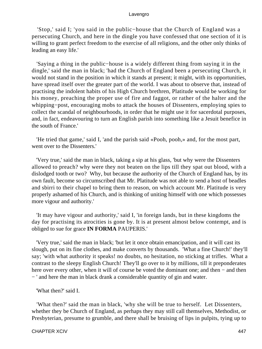'Stop,' said I; 'you said in the public−house that the Church of England was a persecuting Church, and here in the dingle you have confessed that one section of it is willing to grant perfect freedom to the exercise of all religions, and the other only thinks of leading an easy life.'

 'Saying a thing in the public−house is a widely different thing from saying it in the dingle,' said the man in black; 'had the Church of England been a persecuting Church, it would not stand in the position in which it stands at present; it might, with its opportunities, have spread itself over the greater part of the world. I was about to observe that, instead of practising the indolent habits of his High Church brethren, Platitude would be working for his money, preaching the proper use of fire and faggot, or rather of the halter and the whipping−post, encouraging mobs to attack the houses of Dissenters, employing spies to collect the scandal of neighbourhoods, in order that he might use it for sacerdotal purposes, and, in fact, endeavouring to turn an English parish into something like a Jesuit benefice in the south of France.'

 'He tried that game,' said I, 'and the parish said «Pooh, pooh,» and, for the most part, went over to the Dissenters.'

 'Very true,' said the man in black, taking a sip at his glass, 'but why were the Dissenters allowed to preach? why were they not beaten on the lips till they spat out blood, with a dislodged tooth or two? Why, but because the authority of the Church of England has, by its own fault, become so circumscribed that Mr. Platitude was not able to send a host of beadles and sbirri to their chapel to bring them to reason, on which account Mr. Platitude is very properly ashamed of his Church, and is thinking of uniting himself with one which possesses more vigour and authority.'

 'It may have vigour and authority,' said I, 'in foreign lands, but in these kingdoms the day for practising its atrocities is gone by. It is at present almost below contempt, and is obliged to sue for grace **IN FORMA** PAUPERIS.'

 'Very true,' said the man in black; 'but let it once obtain emancipation, and it will cast its slough, put on its fine clothes, and make converts by thousands. 'What a fine Church!' they'll say; 'with what authority it speaks! no doubts, no hesitation, no sticking at trifles. What a contrast to the sleepy English Church! They'll go over to it by millions, till it preponderates here over every other, when it will of course be voted the dominant one; and then − and then − ' and here the man in black drank a considerable quantity of gin and water.

'What then?' said I.

 'What then?' said the man in black, 'why she will be true to herself. Let Dissenters, whether they be Church of England, as perhaps they may still call themselves, Methodist, or Presbyterian, presume to grumble, and there shall be bruising of lips in pulpits, tying up to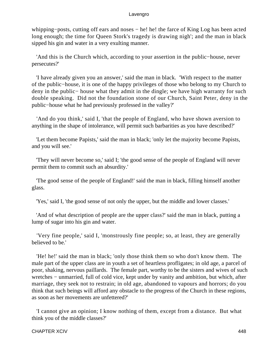whipping−posts, cutting off ears and noses − he! he! the farce of King Log has been acted long enough; the time for Queen Stork's tragedy is drawing nigh'; and the man in black sipped his gin and water in a very exulting manner.

 'And this is the Church which, according to your assertion in the public−house, never persecutes?'

 'I have already given you an answer,' said the man in black. 'With respect to the matter of the public−house, it is one of the happy privileges of those who belong to my Church to deny in the public− house what they admit in the dingle; we have high warranty for such double speaking. Did not the foundation stone of our Church, Saint Peter, deny in the public−house what he had previously professed in the valley?'

 'And do you think,' said I, 'that the people of England, who have shown aversion to anything in the shape of intolerance, will permit such barbarities as you have described?'

 'Let them become Papists,' said the man in black; 'only let the majority become Papists, and you will see.'

 'They will never become so,' said I; 'the good sense of the people of England will never permit them to commit such an absurdity.'

 'The good sense of the people of England!' said the man in black, filling himself another glass.

'Yes,' said I, 'the good sense of not only the upper, but the middle and lower classes.'

 'And of what description of people are the upper class?' said the man in black, putting a lump of sugar into his gin and water.

 'Very fine people,' said I, 'monstrously fine people; so, at least, they are generally believed to be.'

 'He! he!' said the man in black; 'only those think them so who don't know them. The male part of the upper class are in youth a set of heartless profligates; in old age, a parcel of poor, shaking, nervous paillards. The female part, worthy to be the sisters and wives of such wretches − unmarried, full of cold vice, kept under by vanity and ambition, but which, after marriage, they seek not to restrain; in old age, abandoned to vapours and horrors; do you think that such beings will afford any obstacle to the progress of the Church in these regions, as soon as her movements are unfettered?'

 'I cannot give an opinion; I know nothing of them, except from a distance. But what think you of the middle classes?'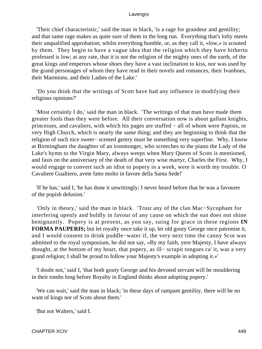'Their chief characteristic,' said the man in black, 'is a rage for grandeur and gentility; and that same rage makes us quite sure of them in the long run. Everything that's lofty meets their unqualified approbation; whilst everything humble, or, as they call it, «low,» is scouted by them. They begin to have a vague idea that the religion which they have hitherto professed is low; at any rate, that it is not the religion of the mighty ones of the earth, of the great kings and emperors whose shoes they have a vast inclination to kiss, nor was used by the grand personages of whom they have read in their novels and romances, their Ivanhoes, their Marmions, and their Ladies of the Lake.'

 'Do you think that the writings of Scott have had any influence in modifying their religious opinions?'

 'Most certainly I do,' said the man in black. 'The writings of that man have made them greater fools than they were before. All their conversation now is about gallant knights, princesses, and cavaliers, with which his pages are stuffed − all of whom were Papists, or very High Church, which is nearly the same thing; and they are beginning to think that the religion of such nice sweet− scented gentry must be something very superfine. Why, I know at Birmingham the daughter of an ironmonger, who screeches to the piano the Lady of the Lake's hymn to the Virgin Mary, always weeps when Mary Queen of Scots is mentioned, and fasts on the anniversary of the death of that very wise martyr, Charles the First. Why, I would engage to convert such an idiot to popery in a week, were it worth my trouble. O Cavaliere Gualtiero, avete fatto molto in favore della Santa Sede!'

 'If he has,' said I, 'he has done it unwittingly; I never heard before that he was a favourer of the popish delusion.'

 'Only in theory,' said the man in black. 'Trust any of the clan Mac−Sycophant for interfering openly and boldly in favour of any cause on which the sun does not shine benignantly. Popery is at present, as you say, suing for grace in these regions **IN FORMA PAUPERIS;** but let royalty once take it up, let old gouty George once patronise it, and I would consent to drink puddle−water if, the very next time the canny Scot was admitted to the royal symposium, he did not say, «By my faith, yere Majesty, I have always thought, at the bottom of my heart, that popery, as ill− scrapit tongues ca' it, was a very grand religion; I shall be proud to follow your Majesty's example in adopting it.»'

 'I doubt not,' said I, 'that both gouty George and his devoted servant will be mouldering in their tombs long before Royalty in England thinks about adopting popery.'

 'We can wait,' said the man in black; 'in these days of rampant gentility, there will be no want of kings nor of Scots about them.'

'But not Walters,' said I.

CHAPTER XCIV 449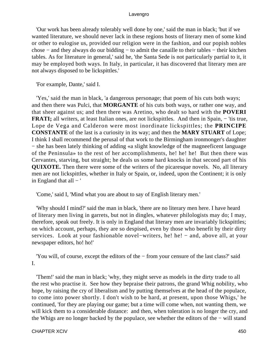'Our work has been already tolerably well done by one,' said the man in black; 'but if we wanted literature, we should never lack in these regions hosts of literary men of some kind or other to eulogise us, provided our religion were in the fashion, and our popish nobles chose − and they always do our bidding − to admit the canaille to their tables − their kitchen tables. As for literature in general,' said he, 'the Santa Sede is not particularly partial to it, it may be employed both ways. In Italy, in particular, it has discovered that literary men are not always disposed to be lickspittles.'

'For example, Dante,' said I.

 'Yes,' said the man in black, 'a dangerous personage; that poem of his cuts both ways; and then there was Pulci, that **MORGANTE** of his cuts both ways, or rather one way, and that sheer against us; and then there was Aretino, who dealt so hard with the **POVERI FRATI;** all writers, at least Italian ones, are not lickspittles. And then in Spain, – 'tis true, Lope de Vega and Calderon were most inordinate lickspittles; the **PRINCIPE CONSTANTE** of the last is a curiosity in its way; and then the **MARY STUART** of Lope; I think I shall recommend the perusal of that work to the Birmingham ironmonger's daughter − she has been lately thinking of adding «a slight knowledge of the magneeficent language of the Peninsula» to the rest of her accomplishments, he! he! he! But then there was Cervantes, starving, but straight; he deals us some hard knocks in that second part of his **QUIXOTE.** Then there were some of the writers of the picaresque novels. No, all literary men are not lickspittles, whether in Italy or Spain, or, indeed, upon the Continent; it is only in England that  $all - '$ 

'Come,' said I, 'Mind what you are about to say of English literary men.'

 'Why should I mind?' said the man in black, 'there are no literary men here. I have heard of literary men living in garrets, but not in dingles, whatever philologists may do; I may, therefore, speak out freely. It is only in England that literary men are invariably lickspittles; on which account, perhaps, they are so despised, even by those who benefit by their dirty services. Look at your fashionable novel–writers, he! he! – and, above all, at your newspaper editors, ho! ho!'

 'You will, of course, except the editors of the − from your censure of the last class?' said I.

 'Them!' said the man in black; 'why, they might serve as models in the dirty trade to all the rest who practise it. See how they bepraise their patrons, the grand Whig nobility, who hope, by raising the cry of liberalism and by putting themselves at the head of the populace, to come into power shortly. I don't wish to be hard, at present, upon those Whigs,' he continued, 'for they are playing our game; but a time will come when, not wanting them, we will kick them to a considerable distance: and then, when toleration is no longer the cry, and the Whigs are no longer backed by the populace, see whether the editors of the − will stand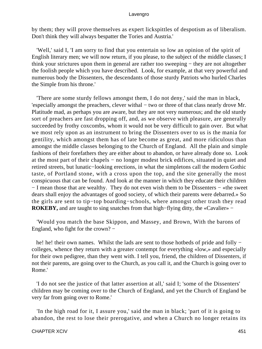by them; they will prove themselves as expert lickspittles of despotism as of liberalism. Don't think they will always bespatter the Tories and Austria.'

 'Well,' said I, 'I am sorry to find that you entertain so low an opinion of the spirit of English literary men; we will now return, if you please, to the subject of the middle classes; I think your strictures upon them in general are rather too sweeping − they are not altogether the foolish people which you have described. Look, for example, at that very powerful and numerous body the Dissenters, the descendants of those sturdy Patriots who hurled Charles the Simple from his throne.'

 'There are some sturdy fellows amongst them, I do not deny,' said the man in black, 'especially amongst the preachers, clever withal − two or three of that class nearly drove Mr. Platitude mad, as perhaps you are aware, but they are not very numerous; and the old sturdy sort of preachers are fast dropping off, and, as we observe with pleasure, are generally succeeded by frothy coxcombs, whom it would not be very difficult to gain over. But what we most rely upon as an instrument to bring the Dissenters over to us is the mania for gentility, which amongst them has of late become as great, and more ridiculous than amongst the middle classes belonging to the Church of England. All the plain and simple fashions of their forefathers they are either about to abandon, or have already done so. Look at the most part of their chapels − no longer modest brick edifices, situated in quiet and retired streets, but lunatic−looking erections, in what the simpletons call the modern Gothic taste, of Portland stone, with a cross upon the top, and the site generally the most conspicuous that can be found. And look at the manner in which they educate their children − I mean those that are wealthy. They do not even wish them to be Dissenters − «the sweet dears shall enjoy the advantages of good society, of which their parents were debarred.» So the girls are sent to tip−top boarding−schools, where amongst other trash they read **ROKEBY,** and are taught to sing snatches from that high−flying ditty, the «Cavalier» −

 'Would you match the base Skippon, and Massey, and Brown, With the barons of England, who fight for the crown? −

he! he! their own names. Whilst the lads are sent to those hotbeds of pride and folly − colleges, whence they return with a greater contempt for everything «low,» and especially for their own pedigree, than they went with. I tell you, friend, the children of Dissenters, if not their parents, are going over to the Church, as you call it, and the Church is going over to Rome.'

 'I do not see the justice of that latter assertion at all,' said I; 'some of the Dissenters' children may be coming over to the Church of England, and yet the Church of England be very far from going over to Rome.'

 'In the high road for it, I assure you,' said the man in black; 'part of it is going to abandon, the rest to lose their prerogative, and when a Church no longer retains its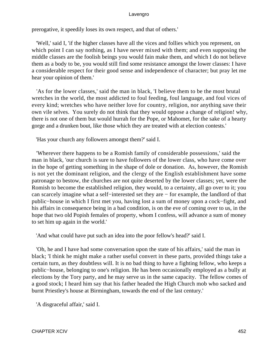prerogative, it speedily loses its own respect, and that of others.'

 'Well,' said I, 'if the higher classes have all the vices and follies which you represent, on which point I can say nothing, as I have never mixed with them; and even supposing the middle classes are the foolish beings you would fain make them, and which I do not believe them as a body to be, you would still find some resistance amongst the lower classes: I have a considerable respect for their good sense and independence of character; but pray let me hear your opinion of them.'

 'As for the lower classes,' said the man in black, 'I believe them to be the most brutal wretches in the world, the most addicted to foul feeding, foul language, and foul vices of every kind; wretches who have neither love for country, religion, nor anything save their own vile selves. You surely do not think that they would oppose a change of religion! why, there is not one of them but would hurrah for the Pope, or Mahomet, for the sake of a hearty gorge and a drunken bout, like those which they are treated with at election contests.'

'Has your church any followers amongst them?' said I.

 'Wherever there happens to be a Romish family of considerable possessions,' said the man in black, 'our church is sure to have followers of the lower class, who have come over in the hope of getting something in the shape of dole or donation. As, however, the Romish is not yet the dominant religion, and the clergy of the English establishment have some patronage to bestow, the churches are not quite deserted by the lower classes; yet, were the Romish to become the established religion, they would, to a certainty, all go over to it; you can scarcely imagine what a self−interested set they are − for example, the landlord of that public−house in which I first met you, having lost a sum of money upon a cock−fight, and his affairs in consequence being in a bad condition, is on the eve of coming over to us, in the hope that two old Popish females of property, whom I confess, will advance a sum of money to set him up again in the world.'

'And what could have put such an idea into the poor fellow's head?' said I.

 'Oh, he and I have had some conversation upon the state of his affairs,' said the man in black; 'I think he might make a rather useful convert in these parts, provided things take a certain turn, as they doubtless will. It is no bad thing to have a fighting fellow, who keeps a public−house, belonging to one's religion. He has been occasionally employed as a bully at elections by the Tory party, and he may serve us in the same capacity. The fellow comes of a good stock; I heard him say that his father headed the High Church mob who sacked and burnt Priestley's house at Birmingham, towards the end of the last century.'

'A disgraceful affair,' said I.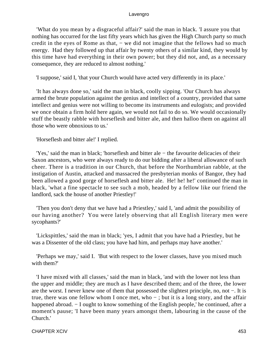'What do you mean by a disgraceful affair?' said the man in black. 'I assure you that nothing has occurred for the last fifty years which has given the High Church party so much credit in the eyes of Rome as that, – we did not imagine that the fellows had so much energy. Had they followed up that affair by twenty others of a similar kind, they would by this time have had everything in their own power; but they did not, and, as a necessary consequence, they are reduced to almost nothing.'

'I suppose,' said I, 'that your Church would have acted very differently in its place.'

 'It has always done so,' said the man in black, coolly sipping. 'Our Church has always armed the brute population against the genius and intellect of a country, provided that same intellect and genius were not willing to become its instruments and eulogists; and provided we once obtain a firm hold here again, we would not fail to do so. We would occasionally stuff the beastly rabble with horseflesh and bitter ale, and then halloo them on against all those who were obnoxious to us.'

'Horseflesh and bitter ale!' I replied.

 'Yes,' said the man in black; 'horseflesh and bitter ale − the favourite delicacies of their Saxon ancestors, who were always ready to do our bidding after a liberal allowance of such cheer. There is a tradition in our Church, that before the Northumbrian rabble, at the instigation of Austin, attacked and massacred the presbyterian monks of Bangor, they had been allowed a good gorge of horseflesh and bitter ale. He! he! he!' continued the man in black, 'what a fine spectacle to see such a mob, headed by a fellow like our friend the landlord, sack the house of another Priestley!'

 'Then you don't deny that we have had a Priestley,' said I, 'and admit the possibility of our having another? You were lately observing that all English literary men were sycophants?'

 'Lickspittles,' said the man in black; 'yes, I admit that you have had a Priestley, but he was a Dissenter of the old class; you have had him, and perhaps may have another.'

 'Perhaps we may,' said I. 'But with respect to the lower classes, have you mixed much with them?'

 'I have mixed with all classes,' said the man in black, 'and with the lower not less than the upper and middle; they are much as I have described them; and of the three, the lower are the worst. I never knew one of them that possessed the slightest principle, no, not −. It is true, there was one fellow whom I once met, who − ; but it is a long story, and the affair happened abroad. – I ought to know something of the English people,' he continued, after a moment's pause; 'I have been many years amongst them, labouring in the cause of the Church.'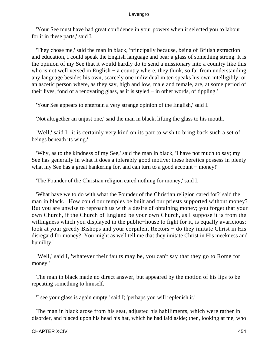'Your See must have had great confidence in your powers when it selected you to labour for it in these parts,' said I.

 'They chose me,' said the man in black, 'principally because, being of British extraction and education, I could speak the English language and bear a glass of something strong. It is the opinion of my See that it would hardly do to send a missionary into a country like this who is not well versed in English – a country where, they think, so far from understanding any language besides his own, scarcely one individual in ten speaks his own intelligibly; or an ascetic person where, as they say, high and low, male and female, are, at some period of their lives, fond of a renovating glass, as it is styled − in other words, of tippling.'

'Your See appears to entertain a very strange opinion of the English,' said I.

'Not altogether an unjust one,' said the man in black, lifting the glass to his mouth.

 'Well,' said I, 'it is certainly very kind on its part to wish to bring back such a set of beings beneath its wing.'

 'Why, as to the kindness of my See,' said the man in black, 'I have not much to say; my See has generally in what it does a tolerably good motive; these heretics possess in plenty what my See has a great hankering for, and can turn to a good account – money!'

'The Founder of the Christian religion cared nothing for money,' said I.

 'What have we to do with what the Founder of the Christian religion cared for?' said the man in black. 'How could our temples be built and our priests supported without money? But you are unwise to reproach us with a desire of obtaining money; you forget that your own Church, if the Church of England be your own Church, as I suppose it is from the willingness which you displayed in the public−house to fight for it, is equally avaricious; look at your greedy Bishops and your corpulent Rectors − do they imitate Christ in His disregard for money? You might as well tell me that they imitate Christ in His meekness and humility.'

 'Well,' said I, 'whatever their faults may be, you can't say that they go to Rome for money.'

 The man in black made no direct answer, but appeared by the motion of his lips to be repeating something to himself.

'I see your glass is again empty,' said I; 'perhaps you will replenish it.'

 The man in black arose from his seat, adjusted his habiliments, which were rather in disorder, and placed upon his head his hat, which he had laid aside; then, looking at me, who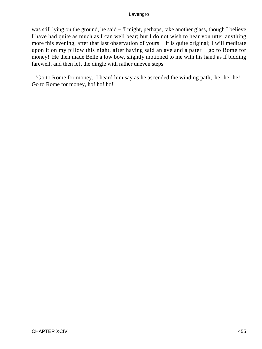was still lying on the ground, he said − 'I might, perhaps, take another glass, though I believe I have had quite as much as I can well bear; but I do not wish to hear you utter anything more this evening, after that last observation of yours − it is quite original; I will meditate upon it on my pillow this night, after having said an ave and a pater − go to Rome for money!' He then made Belle a low bow, slightly motioned to me with his hand as if bidding farewell, and then left the dingle with rather uneven steps.

 'Go to Rome for money,' I heard him say as he ascended the winding path, 'he! he! he! Go to Rome for money, ho! ho! ho!'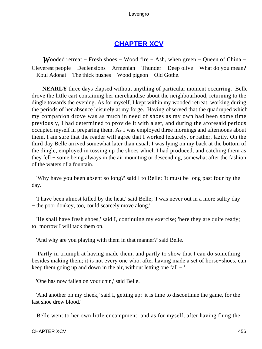# **[CHAPTER XCV](#page-498-0)**

*W*ooded retreat – Fresh shoes – Wood fire – Ash, when green – Queen of China – Cleverest people − Declensions − Armenian − Thunder − Deep olive − What do you mean? − Koul Adonai − The thick bushes − Wood pigeon − Old Gothe.

**NEARLY** three days elapsed without anything of particular moment occurring. Belle drove the little cart containing her merchandise about the neighbourhood, returning to the dingle towards the evening. As for myself, I kept within my wooded retreat, working during the periods of her absence leisurely at my forge. Having observed that the quadruped which my companion drove was as much in need of shoes as my own had been some time previously, I had determined to provide it with a set, and during the aforesaid periods occupied myself in preparing them. As I was employed three mornings and afternoons about them, I am sure that the reader will agree that I worked leisurely, or rather, lazily. On the third day Belle arrived somewhat later than usual; I was lying on my back at the bottom of the dingle, employed in tossing up the shoes which I had produced, and catching them as they fell − some being always in the air mounting or descending, somewhat after the fashion of the waters of a fountain.

 'Why have you been absent so long?' said I to Belle; 'it must be long past four by the day.'

 'I have been almost killed by the heat,' said Belle; 'I was never out in a more sultry day − the poor donkey, too, could scarcely move along.'

 'He shall have fresh shoes,' said I, continuing my exercise; 'here they are quite ready; to−morrow I will tack them on.'

'And why are you playing with them in that manner?' said Belle.

 'Partly in triumph at having made them, and partly to show that I can do something besides making them; it is not every one who, after having made a set of horse−shoes, can keep them going up and down in the air, without letting one fall − '

'One has now fallen on your chin,' said Belle.

 'And another on my cheek,' said I, getting up; 'it is time to discontinue the game, for the last shoe drew blood.'

Belle went to her own little encampment; and as for myself, after having flung the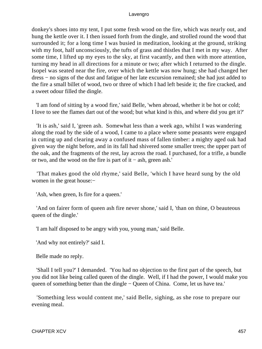donkey's shoes into my tent, I put some fresh wood on the fire, which was nearly out, and hung the kettle over it. I then issued forth from the dingle, and strolled round the wood that surrounded it; for a long time I was busied in meditation, looking at the ground, striking with my foot, half unconsciously, the tufts of grass and thistles that I met in my way. After some time, I lifted up my eyes to the sky, at first vacantly, and then with more attention, turning my head in all directions for a minute or two; after which I returned to the dingle. Isopel was seated near the fire, over which the kettle was now hung; she had changed her dress − no signs of the dust and fatigue of her late excursion remained; she had just added to the fire a small billet of wood, two or three of which I had left beside it; the fire cracked, and a sweet odour filled the dingle.

 'I am fond of sitting by a wood fire,' said Belle, 'when abroad, whether it be hot or cold; I love to see the flames dart out of the wood; but what kind is this, and where did you get it?'

 'It is ash,' said I, 'green ash. Somewhat less than a week ago, whilst I was wandering along the road by the side of a wood, I came to a place where some peasants were engaged in cutting up and clearing away a confused mass of fallen timber: a mighty aged oak had given way the night before, and in its fall had shivered some smaller trees; the upper part of the oak, and the fragments of the rest, lay across the road. I purchased, for a trifle, a bundle or two, and the wood on the fire is part of it − ash, green ash.'

 'That makes good the old rhyme,' said Belle, 'which I have heard sung by the old women in the great house:−

'Ash, when green, Is fire for a queen.'

 'And on fairer form of queen ash fire never shone,' said I, 'than on thine, O beauteous queen of the dingle.'

'I am half disposed to be angry with you, young man,' said Belle.

'And why not entirely?' said I.

Belle made no reply.

 'Shall I tell you?' I demanded. 'You had no objection to the first part of the speech, but you did not like being called queen of the dingle. Well, if I had the power, I would make you queen of something better than the dingle – Queen of China. Come, let us have tea.'

 'Something less would content me,' said Belle, sighing, as she rose to prepare our evening meal.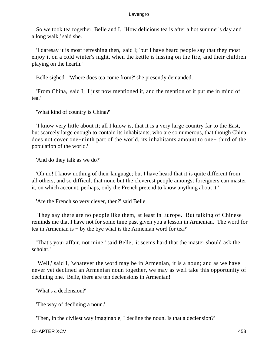So we took tea together, Belle and I. 'How delicious tea is after a hot summer's day and a long walk,' said she.

 'I daresay it is most refreshing then,' said I; 'but I have heard people say that they most enjoy it on a cold winter's night, when the kettle is hissing on the fire, and their children playing on the hearth.'

Belle sighed. 'Where does tea come from?' she presently demanded.

 'From China,' said I; 'I just now mentioned it, and the mention of it put me in mind of tea.'

'What kind of country is China?'

 'I know very little about it; all I know is, that it is a very large country far to the East, but scarcely large enough to contain its inhabitants, who are so numerous, that though China does not cover one−ninth part of the world, its inhabitants amount to one− third of the population of the world.'

'And do they talk as we do?'

 'Oh no! I know nothing of their language; but I have heard that it is quite different from all others, and so difficult that none but the cleverest people amongst foreigners can master it, on which account, perhaps, only the French pretend to know anything about it.'

'Are the French so very clever, then?' said Belle.

 'They say there are no people like them, at least in Europe. But talking of Chinese reminds me that I have not for some time past given you a lesson in Armenian. The word for tea in Armenian is − by the bye what is the Armenian word for tea?'

 'That's your affair, not mine,' said Belle; 'it seems hard that the master should ask the scholar.'

 'Well,' said I, 'whatever the word may be in Armenian, it is a noun; and as we have never yet declined an Armenian noun together, we may as well take this opportunity of declining one. Belle, there are ten declensions in Armenian!

'What's a declension?'

'The way of declining a noun.'

'Then, in the civilest way imaginable, I decline the noun. Is that a declension?'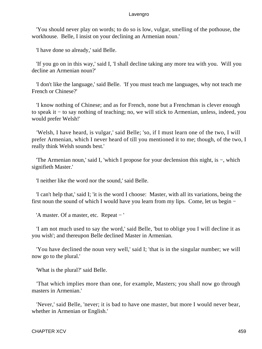'You should never play on words; to do so is low, vulgar, smelling of the pothouse, the workhouse. Belle, I insist on your declining an Armenian noun.'

'I have done so already,' said Belle.

 'If you go on in this way,' said I, 'I shall decline taking any more tea with you. Will you decline an Armenian noun?'

 'I don't like the language,' said Belle. 'If you must teach me languages, why not teach me French or Chinese?'

 'I know nothing of Chinese; and as for French, none but a Frenchman is clever enough to speak it − to say nothing of teaching; no, we will stick to Armenian, unless, indeed, you would prefer Welsh!'

 'Welsh, I have heard, is vulgar,' said Belle; 'so, if I must learn one of the two, I will prefer Armenian, which I never heard of till you mentioned it to me; though, of the two, I really think Welsh sounds best.'

 'The Armenian noun,' said I, 'which I propose for your declension this night, is −, which signifieth Master.'

'I neither like the word nor the sound,' said Belle.

 'I can't help that,' said I; 'it is the word I choose: Master, with all its variations, being the first noun the sound of which I would have you learn from my lips. Come, let us begin −

'A master. Of a master, etc. Repeat − '

 'I am not much used to say the word,' said Belle, 'but to oblige you I will decline it as you wish'; and thereupon Belle declined Master in Armenian.

 'You have declined the noun very well,' said I; 'that is in the singular number; we will now go to the plural.'

'What is the plural?' said Belle.

 'That which implies more than one, for example, Masters; you shall now go through masters in Armenian.'

 'Never,' said Belle, 'never; it is bad to have one master, but more I would never bear, whether in Armenian or English.'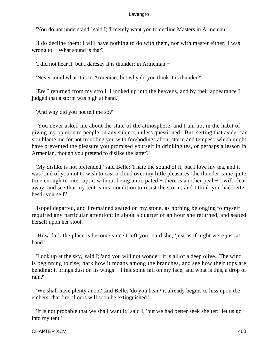'You do not understand,' said I; 'I merely want you to decline Masters in Armenian.'

 'I do decline them; I will have nothing to do with them, nor with master either; I was wrong to − What sound is that?'

'I did not hear it, but I daresay it is thunder; in Armenian − '

'Never mind what it is in Armenian; but why do you think it is thunder?'

 'Ere I returned from my stroll, I looked up into the heavens, and by their appearance I judged that a storm was nigh at hand.'

'And why did you not tell me so?'

 'You never asked me about the state of the atmosphere, and I am not in the habit of giving my opinion to people on any subject, unless questioned. But, setting that aside, can you blame me for not troubling you with forebodings about storm and tempest, which might have prevented the pleasure you promised yourself in drinking tea, or perhaps a lesson in Armenian, though you pretend to dislike the latter?'

 'My dislike is not pretended,' said Belle; 'I hate the sound of it, but I love my tea, and it was kind of you not to wish to cast a cloud over my little pleasures; the thunder came quite time enough to interrupt it without being anticipated − there is another peal − I will clear away, and see that my tent is in a condition to resist the storm; and I think you had better bestir yourself.'

 Isopel departed, and I remained seated on my stone, as nothing belonging to myself required any particular attention; in about a quarter of an hour she returned, and seated herself upon her stool.

 'How dark the place is become since I left you,' said she; 'just as if night were just at hand.'

 'Look up at the sky,' said I; 'and you will not wonder; it is all of a deep olive. The wind is beginning to rise; hark how it moans among the branches, and see how their tops are bending; it brings dust on its wings − I felt some fall on my face; and what is this, a drop of rain?'

 'We shall have plenty anon,' said Belle; 'do you hear? it already begins to hiss upon the embers; that fire of ours will soon be extinguished.'

 'It is not probable that we shall want it,' said I, 'but we had better seek shelter: let us go into my tent.'

CHAPTER XCV 460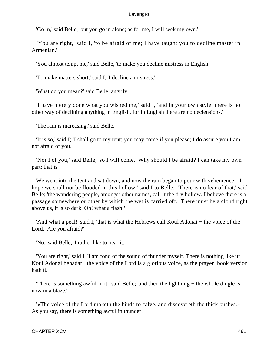'Go in,' said Belle, 'but you go in alone; as for me, I will seek my own.'

 'You are right,' said I, 'to be afraid of me; I have taught you to decline master in Armenian.'

'You almost tempt me,' said Belle, 'to make you decline mistress in English.'

'To make matters short,' said I, 'I decline a mistress.'

'What do you mean?' said Belle, angrily.

 'I have merely done what you wished me,' said I, 'and in your own style; there is no other way of declining anything in English, for in English there are no declensions.'

'The rain is increasing,' said Belle.

 'It is so,' said I; 'I shall go to my tent; you may come if you please; I do assure you I am not afraid of you.'

 'Nor I of you,' said Belle; 'so I will come. Why should I be afraid? I can take my own part; that is  $-$ '

 We went into the tent and sat down, and now the rain began to pour with vehemence. 'I hope we shall not be flooded in this hollow,' said I to Belle. 'There is no fear of that,' said Belle; 'the wandering people, amongst other names, call it the dry hollow. I believe there is a passage somewhere or other by which the wet is carried off. There must be a cloud right above us, it is so dark. Oh! what a flash!'

 'And what a peal!' said I; 'that is what the Hebrews call Koul Adonai − the voice of the Lord. Are you afraid?'

'No,' said Belle, 'I rather like to hear it.'

 'You are right,' said I, 'I am fond of the sound of thunder myself. There is nothing like it; Koul Adonai behadar: the voice of the Lord is a glorious voice, as the prayer−book version hath it.'

 'There is something awful in it,' said Belle; 'and then the lightning − the whole dingle is now in a blaze.'

 '«The voice of the Lord maketh the hinds to calve, and discovereth the thick bushes.» As you say, there is something awful in thunder.'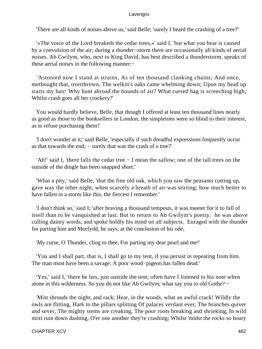'There are all kinds of noises above us,' said Belle; 'surely I heard the crashing of a tree?'

 '«The voice of the Lord breaketh the cedar trees,»' said I, 'but what you hear is caused by a convulsion of the air; during a thunder−storm there are occasionally all kinds of aerial noises. Ab Gwilym, who, next to King David, has best described a thunderstorm, speaks of these aerial noises in the following manner:−

 'Astonied now I stand at strains, As of ten thousand clanking chains; And once, methought that, overthrown, The welkin's oaks came whelming down; Upon my head up starts my hair: Why hunt abroad the hounds of air? What cursed hag is screeching high, Whilst crash goes all her crockery?'

 You would hardly believe, Belle, that though I offered at least ten thousand lines nearly as good as those to the booksellers in London, the simpletons were so blind to their interest, as to refuse purchasing them!'

 'I don't wonder at it,' said Belle, 'especially if such dreadful expressions frequently occur as that towards the end; − surely that was the crash of a tree?'

 'Ah!' said I, 'there falls the cedar tree − I mean the sallow; one of the tall trees on the outside of the dingle has been snapped short.'

 'What a pity,' said Belle, 'that the fine old oak, which you saw the peasants cutting up, gave way the other night, when scarcely a breath of air was stirring; how much better to have fallen in a storm like this, the fiercest I remember.'

 'I don't think so,' said I; 'after braving a thousand tempests, it was meeter for it to fall of itself than to be vanquished at last. But to return to Ab Gwilym's poetry: he was above culling dainty words, and spoke boldly his mind on all subjects. Enraged with the thunder for parting him and Morfydd, he says, at the conclusion of his ode,

'My curse, O Thunder, cling to thee, For parting my dear pearl and me!'

 'You and I shall part, that is, I shall go to my tent, if you persist in repeating from him. The man must have been a savage. A poor wood−pigeon has fallen dead.'

 'Yes,' said I, 'there he lies, just outside the tent; often have I listened to his note when alone in this wilderness. So you do not like Ab Gwilym; what say you to old Gothe? −

 'Mist shrouds the night, and rack; Hear, in the woods, what an awful crack! Wildly the owls are flitting, Hark to the pillars splitting Of palaces verdant ever, The branches quiver and sever, The mighty stems are creaking, The poor roots breaking and shrieking, In wild mixt ruin down dashing, O'er one another they're crashing; Whilst 'midst the rocks so hoary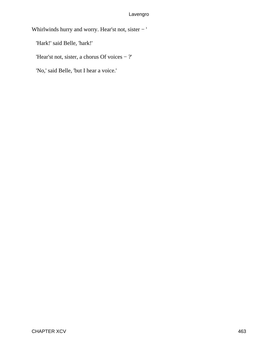Whirlwinds hurry and worry. Hear'st not, sister − '

'Hark!' said Belle, 'hark!'

'Hear'st not, sister, a chorus Of voices − ?'

'No,' said Belle, 'but I hear a voice.'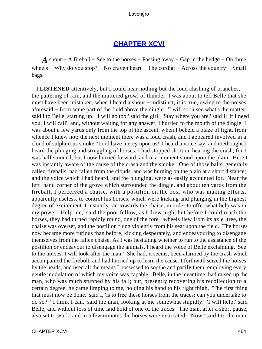# **[CHAPTER XCVI](#page-498-0)**

*A* shout − A fireball − See to the horses − Passing away − Gap in the hedge − On three wheels – Why do you stop? – No craven heart – The cordial – Across the country – Small bags.

 I **LISTENED** attentively, but I could hear nothing but the loud clashing of branches, the pattering of rain, and the muttered growl of thunder. I was about to tell Belle that she must have been mistaken, when I heard a shout – indistinct, it is true, owing to the noises aforesaid − from some part of the field above the dingle. 'I will soon see what's the matter,' said I to Belle, starting up. 'I will go too;' said the girl. 'Stay where you are,' said I; 'if I need you, I will call'; and, without waiting for any answer, I hurried to the mouth of the dingle. I was about a few yards only from the top of the ascent, when I beheld a blaze of light, from whence I knew not; the next moment there was a loud crash, and I appeared involved in a cloud of sulphurous smoke. 'Lord have mercy upon us!' I heard a voice say, and methought I heard the plunging and struggling of horses. I had stopped short on hearing the crash, for I was half stunned; but I now hurried forward, and in a moment stood upon the plain. Here I was instantly aware of the cause of the crash and the smoke. One of those balls, generally called fireballs, had fallen from the clouds, and was burning on the plain at a short distance; and the voice which I had heard, and the plunging, were as easily accounted for. Near the left−hand corner of the grove which surrounded the dingle, and about ten yards from the fireball, I perceived a chaise, with a postilion on the box, who was making efforts, apparently useless, to control his horses, which were kicking and plunging in the highest degree of excitement. I instantly ran towards the chaise, in order to offer what help was in my power. 'Help me,' said the poor fellow, as I drew nigh; but before I could reach the horses, they had turned rapidly round, one of the fore− wheels flew from its axle−tree, the chaise was overset, and the postilion flung violently from his seat upon the field. The horses now became more furious than before, kicking desperately, and endeavouring to disengage themselves from the fallen chaise. As I was hesitating whether to run to the assistance of the postilion or endeavour to disengage the animals, I heard the voice of Belle exclaiming, 'See to the horses, I will look after the man.' She had, it seems, been alarmed by the crash which accompanied the firebolt, and had hurried up to learn the cause. I forthwith seized the horses by the heads, and used all the means I possessed to soothe and pacify them, employing every gentle modulation of which my voice was capable. Belle, in the meantime, had raised up the man, who was much stunned by his fall; but, presently recovering his recollection to a certain degree, he came limping to me, holding his hand to his right thigh. 'The first thing that must now be done,' said I, 'is to free these horses from the traces; can you undertake to do so?' ' I think I can,' said the man, looking at me somewhat stupidly. 'I will help,' said Belle, and without loss of time laid hold of one of the traces. The man, after a short pause, also set to work, and in a few minutes the horses were extricated. 'Now,' said I to the man,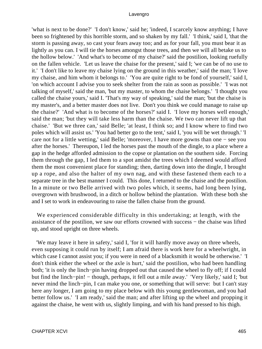'what is next to be done?' 'I don't know,' said he; 'indeed, I scarcely know anything; I have been so frightened by this horrible storm, and so shaken by my fall.' 'I think,' said I, 'that the storm is passing away, so cast your fears away too; and as for your fall, you must bear it as lightly as you can. I will tie the horses amongst those trees, and then we will all betake us to the hollow below.' 'And what's to become of my chaise?' said the postilion, looking ruefully on the fallen vehicle. 'Let us leave the chaise for the present,' said I; 'we can be of no use to it.' 'I don't like to leave my chaise lying on the ground in this weather,' said the man; 'I love my chaise, and him whom it belongs to.' 'You are quite right to be fond of yourself,' said I, 'on which account I advise you to seek shelter from the rain as soon as possible.' 'I was not talking of myself,' said the man, 'but my master, to whom the chaise belongs.' 'I thought you called the chaise yours,' said I. 'That's my way of speaking,' said the man; 'but the chaise is my master's, and a better master does not live. Don't you think we could manage to raise up the chaise?' 'And what is to become of the horses?' said I. 'I love my horses well enough,' said the man; 'but they will take less harm than the chaise. We two can never lift up that chaise.' 'But we three can,' said Belle; 'at least, I think so; and I know where to find two poles which will assist us.' 'You had better go to the tent,' said I, 'you will be wet through.' 'I care not for a little wetting,' said Belle; 'moreover, I have more gowns than one − see you after the horses.' Thereupon, I led the horses past the mouth of the dingle, to a place where a gap in the hedge afforded admission to the copse or plantation on the southern side. Forcing them through the gap, I led them to a spot amidst the trees which I deemed would afford them the most convenient place for standing; then, darting down into the dingle, I brought up a rope, and also the halter of my own nag, and with these fastened them each to a separate tree in the best manner I could. This done, I returned to the chaise and the postilion. In a minute or two Belle arrived with two poles which, it seems, had long been lying, overgrown with brushwood, in a ditch or hollow behind the plantation. With these both she and I set to work in endeavouring to raise the fallen chaise from the ground.

 We experienced considerable difficulty in this undertaking; at length, with the assistance of the postilion, we saw our efforts crowned with success − the chaise was lifted up, and stood upright on three wheels.

 'We may leave it here in safety,' said I, 'for it will hardly move away on three wheels, even supposing it could run by itself; I am afraid there is work here for a wheelwright, in which case I cannot assist you; if you were in need of a blacksmith it would be otherwise.' 'I don't think either the wheel or the axle is hurt,' said the postilion, who had been handling both; 'it is only the linch−pin having dropped out that caused the wheel to fly off; if I could but find the linch−pin! − though, perhaps, it fell out a mile away.' 'Very likely,' said I; 'but never mind the linch−pin, I can make you one, or something that will serve: but I can't stay here any longer, I am going to my place below with this young gentlewoman, and you had better follow us.' 'I am ready,' said the man; and after lifting up the wheel and propping it against the chaise, he went with us, slightly limping, and with his hand pressed to his thigh.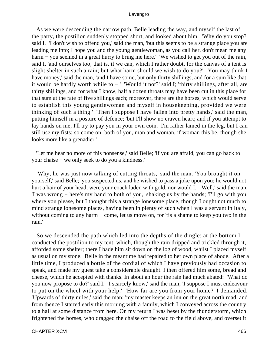As we were descending the narrow path, Belle leading the way, and myself the last of the party, the postilion suddenly stopped short, and looked about him. 'Why do you stop?' said I. 'I don't wish to offend you,' said the man, 'but this seems to be a strange place you are leading me into; I hope you and the young gentlewoman, as you call her, don't mean me any harm − you seemed in a great hurry to bring me here.' 'We wished to get you out of the rain,' said I, 'and ourselves too; that is, if we can, which I rather doubt, for the canvas of a tent is slight shelter in such a rain; but what harm should we wish to do you?' 'You may think I have money,' said the man, 'and I have some, but only thirty shillings, and for a sum like that it would be hardly worth while to − ' 'Would it not?' said I; 'thirty shillings, after all, are thirty shillings, and for what I know, half a dozen throats may have been cut in this place for that sum at the rate of five shillings each; moreover, there are the horses, which would serve to establish this young gentlewoman and myself in housekeeping, provided we were thinking of such a thing.' 'Then I suppose I have fallen into pretty hands,' said the man, putting himself in a posture of defence; 'but I'll show no craven heart; and if you attempt to lay hands on me, I'll try to pay you in your own coin. I'm rather lamed in the leg, but I can still use my fists; so come on, both of you, man and woman, if woman this be, though she looks more like a grenadier.'

 'Let me hear no more of this nonsense,' said Belle; 'if you are afraid, you can go back to your chaise − we only seek to do you a kindness.'

 'Why, he was just now talking of cutting throats,' said the man. 'You brought it on yourself,' said Belle; 'you suspected us, and he wished to pass a joke upon you; he would not hurt a hair of your head, were your coach laden with gold, nor would I.' 'Well,' said the man, 'I was wrong − here's my hand to both of you,' shaking us by the hands; 'I'll go with you where you please, but I thought this a strange lonesome place, though I ought not much to mind strange lonesome places, having been in plenty of such when I was a servant in Italy, without coming to any harm – come, let us move on, for 'tis a shame to keep you two in the rain.'

 So we descended the path which led into the depths of the dingle; at the bottom I conducted the postilion to my tent, which, though the rain dripped and trickled through it, afforded some shelter; there I bade him sit down on the log of wood, whilst I placed myself as usual on my stone. Belle in the meantime had repaired to her own place of abode. After a little time, I produced a bottle of the cordial of which I have previously had occasion to speak, and made my guest take a considerable draught. I then offered him some, bread and cheese, which he accepted with thanks. In about an hour the rain had much abated: 'What do you now propose to do?' said I. 'I scarcely know,' said the man; 'I suppose I must endeavour to put on the wheel with your help.' 'How far are you from your home?' I demanded. 'Upwards of thirty miles,' said the man; 'my master keeps an inn on the great north road, and from thence I started early this morning with a family, which I conveyed across the country to a hall at some distance from here. On my return I was beset by the thunderstorm, which frightened the horses, who dragged the chaise off the road to the field above, and overset it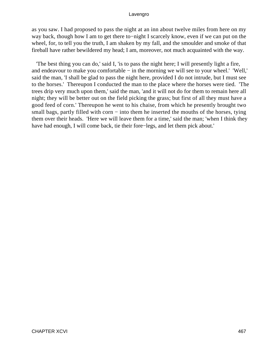as you saw. I had proposed to pass the night at an inn about twelve miles from here on my way back, though how I am to get there to−night I scarcely know, even if we can put on the wheel, for, to tell you the truth, I am shaken by my fall, and the smoulder and smoke of that fireball have rather bewildered my head; I am, moreover, not much acquainted with the way.

 'The best thing you can do,' said I, 'is to pass the night here; I will presently light a fire, and endeavour to make you comfortable − in the morning we will see to your wheel.' 'Well,' said the man, 'I shall be glad to pass the night here, provided I do not intrude, but I must see to the horses.' Thereupon I conducted the man to the place where the horses were tied. 'The trees drip very much upon them,' said the man, 'and it will not do for them to remain here all night; they will be better out on the field picking the grass; but first of all they must have a good feed of corn.' Thereupon he went to his chaise, from which he presently brought two small bags, partly filled with corn – into them he inserted the mouths of the horses, tying them over their heads. 'Here we will leave them for a time,' said the man; 'when I think they have had enough, I will come back, tie their fore−legs, and let them pick about.'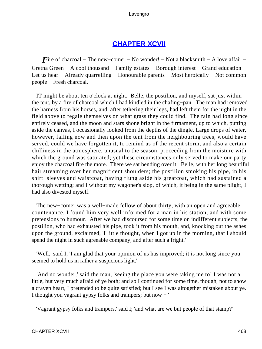## **[CHAPTER XCVII](#page-498-0)**

<span id="page-468-0"></span>*F*ire of charcoal – The new–comer – No wonder! – Not a blacksmith – A love affair – Gretna Green − A cool thousand − Family estates − Borough interest − Grand education − Let us hear − Already quarrelling − Honourable parents − Most heroically − Not common people − Fresh charcoal.

 IT might be about ten o'clock at night. Belle, the postilion, and myself, sat just within the tent, by a fire of charcoal which I had kindled in the chafing−pan. The man had removed the harness from his horses, and, after tethering their legs, had left them for the night in the field above to regale themselves on what grass they could find. The rain had long since entirely ceased, and the moon and stars shone bright in the firmament, up to which, putting aside the canvas, I occasionally looked from the depths of the dingle. Large drops of water, however, falling now and then upon the tent from the neighbouring trees, would have served, could we have forgotten it, to remind us of the recent storm, and also a certain chilliness in the atmosphere, unusual to the season, proceeding from the moisture with which the ground was saturated; yet these circumstances only served to make our party enjoy the charcoal fire the more. There we sat bending over it: Belle, with her long beautiful hair streaming over her magnificent shoulders; the postilion smoking his pipe, in his shirt−sleeves and waistcoat, having flung aside his greatcoat, which had sustained a thorough wetting; and I without my wagoner's slop, of which, it being in the same plight, I had also divested myself.

 The new−comer was a well−made fellow of about thirty, with an open and agreeable countenance. I found him very well informed for a man in his station, and with some pretensions to humour. After we had discoursed for some time on indifferent subjects, the postilion, who had exhausted his pipe, took it from his mouth, and, knocking out the ashes upon the ground, exclaimed, 'I little thought, when I got up in the morning, that I should spend the night in such agreeable company, and after such a fright.'

 'Well,' said I, 'I am glad that your opinion of us has improved; it is not long since you seemed to hold us in rather a suspicious light.'

 'And no wonder,' said the man, 'seeing the place you were taking me to! I was not a little, but very much afraid of ye both; and so I continued for some time, though, not to show a craven heart, I pretended to be quite satisfied; but I see I was altogether mistaken about ye. I thought you vagrant gypsy folks and trampers; but now − '

'Vagrant gypsy folks and trampers,' said I; 'and what are we but people of that stamp?'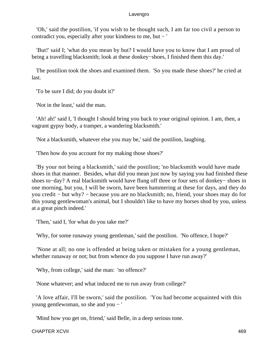'Oh,' said the postilion, 'if you wish to be thought such, I am far too civil a person to contradict you, especially after your kindness to me, but − '

 'But!' said I; 'what do you mean by but? I would have you to know that I am proud of being a travelling blacksmith; look at these donkey−shoes, I finished them this day.'

 The postilion took the shoes and examined them. 'So you made these shoes?' he cried at last.

'To be sure I did; do you doubt it?'

'Not in the least,' said the man.

 'Ah! ah!' said I, 'I thought I should bring you back to your original opinion. I am, then, a vagrant gypsy body, a tramper, a wandering blacksmith.'

'Not a blacksmith, whatever else you may be,' said the postilion, laughing.

'Then how do you account for my making those shoes?'

 'By your not being a blacksmith,' said the postilion; 'no blacksmith would have made shoes in that manner. Besides, what did you mean just now by saying you had finished these shoes to−day? A real blacksmith would have flung off three or four sets of donkey− shoes in one morning, but you, I will be sworn, have been hammering at these for days, and they do you credit − but why? − because you are no blacksmith; no, friend, your shoes may do for this young gentlewoman's animal, but I shouldn't like to have my horses shod by you, unless at a great pinch indeed.'

'Then,' said I, 'for what do you take me?'

'Why, for some runaway young gentleman,' said the postilion. 'No offence, I hope?'

 'None at all; no one is offended at being taken or mistaken for a young gentleman, whether runaway or not; but from whence do you suppose I have run away?'

'Why, from college,' said the man: 'no offence?'

'None whatever; and what induced me to run away from college?'

 'A love affair, I'll be sworn,' said the postilion. 'You had become acquainted with this young gentlewoman, so she and you − '

'Mind how you get on, friend,' said Belle, in a deep serious tone.

CHAPTER XCVII 469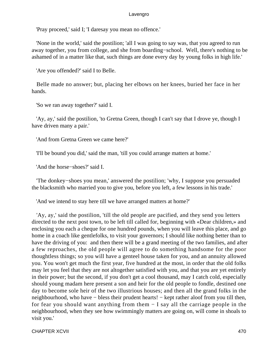'Pray proceed,' said I; 'I daresay you mean no offence.'

 'None in the world,' said the postilion; 'all I was going to say was, that you agreed to run away together, you from college, and she from boarding−school. Well, there's nothing to be ashamed of in a matter like that, such things are done every day by young folks in high life.'

'Are you offended?' said I to Belle.

 Belle made no answer; but, placing her elbows on her knees, buried her face in her hands.

'So we ran away together?' said I.

 'Ay, ay,' said the postilion, 'to Gretna Green, though I can't say that I drove ye, though I have driven many a pair.'

'And from Gretna Green we came here?'

'I'll be bound you did,' said the man, 'till you could arrange matters at home.'

'And the horse−shoes?' said I.

 'The donkey−shoes you mean,' answered the postilion; 'why, I suppose you persuaded the blacksmith who married you to give you, before you left, a few lessons in his trade.'

'And we intend to stay here till we have arranged matters at home?'

 'Ay, ay,' said the postilion, 'till the old people are pacified, and they send you letters directed to the next post town, to be left till called for, beginning with «Dear children,» and enclosing you each a cheque for one hundred pounds, when you will leave this place, and go home in a coach like gentlefolks, to visit your governors; I should like nothing better than to have the driving of you: and then there will be a grand meeting of the two families, and after a few reproaches, the old people will agree to do something handsome for the poor thoughtless things; so you will have a genteel house taken for you, and an annuity allowed you. You won't get much the first year, five hundred at the most, in order that the old folks may let you feel that they are not altogether satisfied with you, and that you are yet entirely in their power; but the second, if you don't get a cool thousand, may I catch cold, especially should young madam here present a son and heir for the old people to fondle, destined one day to become sole heir of the two illustrious houses; and then all the grand folks in the neighbourhood, who have – bless their prudent hearts! – kept rather aloof from you till then, for fear you should want anything from them − I say all the carriage people in the neighbourhood, when they see how swimmingly matters are going on, will come in shoals to visit you.'

CHAPTER XCVII 470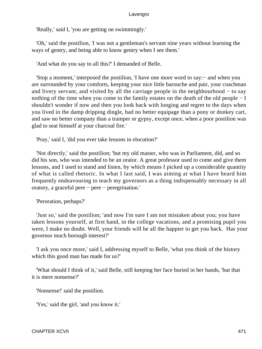'Really,' said I, 'you are getting on swimmingly.'

 'Oh,' said the postilion, 'I was not a gentleman's servant nine years without learning the ways of gentry, and being able to know gentry when I see them.'

'And what do you say to all this?' I demanded of Belle.

 'Stop a moment,' interposed the postilion, 'I have one more word to say:− and when you are surrounded by your comforts, keeping your nice little barouche and pair, your coachman and livery servant, and visited by all the carriage people in the neighbourhood − to say nothing of the time when you come to the family estates on the death of the old people − I shouldn't wonder if now and then you look back with longing and regret to the days when you lived in the damp dripping dingle, had no better equipage than a pony or donkey cart, and saw no better company than a tramper or gypsy, except once, when a poor postilion was glad to seat himself at your charcoal fire.'

'Pray,' said I, 'did you ever take lessons in elocution?'

 'Not directly,' said the postilion; 'but my old master, who was in Parliament, did, and so did his son, who was intended to be an orator. A great professor used to come and give them lessons, and I used to stand and listen, by which means I picked up a considerable quantity of what is called rhetoric. In what I last said, I was aiming at what I have heard him frequently endeavouring to teach my governors as a thing indispensably necessary in all oratory, a graceful pere − pere − peregrination.'

'Peroration, perhaps?'

 'Just so,' said the postilion; 'and now I'm sure I am not mistaken about you; you have taken lessons yourself, at first hand, in the college vacations, and a promising pupil you were, I make no doubt. Well, your friends will be all the happier to get you back. Has your governor much borough interest?'

 'I ask you once more,' said I, addressing myself to Belle, 'what you think of the history which this good man has made for us?'

 'What should I think of it,' said Belle, still keeping her face buried in her hands, 'but that it is mere nonsense?'

'Nonsense!' said the postilion.

'Yes,' said the girl, 'and you know it.'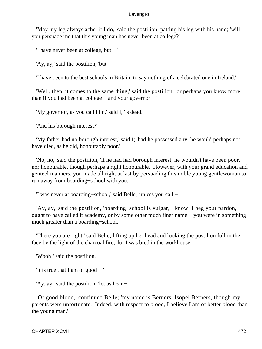'May my leg always ache, if I do,' said the postilion, patting his leg with his hand; 'will you persuade me that this young man has never been at college?'

'I have never been at college, but − '

'Ay, ay,' said the postilion, 'but − '

'I have been to the best schools in Britain, to say nothing of a celebrated one in Ireland.'

 'Well, then, it comes to the same thing,' said the postilion, 'or perhaps you know more than if you had been at college − and your governor − '

'My governor, as you call him,' said I, 'is dead.'

'And his borough interest?'

 'My father had no borough interest,' said I; 'had he possessed any, he would perhaps not have died, as he did, honourably poor.'

 'No, no,' said the postilion, 'if he had had borough interest, he wouldn't have been poor, nor honourable, though perhaps a right honourable. However, with your grand education and genteel manners, you made all right at last by persuading this noble young gentlewoman to run away from boarding−school with you.'

'I was never at boarding−school,' said Belle, 'unless you call − '

 'Ay, ay,' said the postilion, 'boarding−school is vulgar, I know: I beg your pardon, I ought to have called it academy, or by some other much finer name – you were in something much greater than a boarding−school.'

 'There you are right,' said Belle, lifting up her head and looking the postilion full in the face by the light of the charcoal fire, 'for I was bred in the workhouse.'

'Wooh!' said the postilion.

'It is true that I am of good  $-$  '

'Ay, ay,' said the postilion, 'let us hear − '

 'Of good blood,' continued Belle; 'my name is Berners, Isopel Berners, though my parents were unfortunate. Indeed, with respect to blood, I believe I am of better blood than the young man.'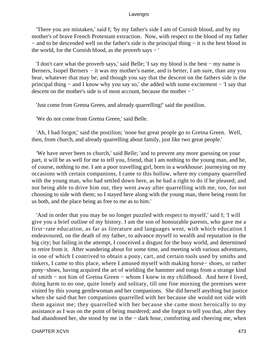'There you are mistaken,' said I; 'by my father's side I am of Cornish blood, and by my mother's of brave French Protestant extraction. Now, with respect to the blood of my father − and to be descended well on the father's side is the principal thing − it is the best blood in the world, for the Cornish blood, as the proverb says − '

 'I don't care what the proverb says,' said Belle; 'I say my blood is the best − my name is Berners, Isopel Berners − it was my mother's name, and is better, I am sure, than any you bear, whatever that may be; and though you say that the descent on the fathers side is the principal thing − and I know why you say so,' she added with some excitement − 'I say that descent on the mother's side is of most account, because the mother − '

'Just come from Gretna Green, and already quarrelling!' said the postilion.

'We do not come from Gretna Green,' said Belle.

 'Ah, I had forgot,' said the postilion; 'none but great people go to Gretna Green. Well, then, from church, and already quarrelling about family, just like two great people.'

 'We have never been to church,' said Belle; 'and to prevent any more guessing on your part, it will be as well for me to tell you, friend, that I am nothing to the young man, and he, of course, nothing to me. I am a poor travelling girl, born in a workhouse: journeying on my occasions with certain companions, I came to this hollow, where my company quarrelled with the young man, who had settled down here, as he had a right to do if he pleased; and not being able to drive him out, they went away after quarrelling with me, too, for not choosing to side with them; so I stayed here along with the young man, there being room for us both, and the place being as free to me as to him.'

 'And in order that you may be no longer puzzled with respect to myself,' said I; 'I will give you a brief outline of my history. I am the son of honourable parents, who gave me a first−rate education, as far as literature and languages went, with which education I endeavoured, on the death of my father, to advance myself to wealth and reputation in the big city; but failing in the attempt, I conceived a disgust for the busy world, and determined to retire from it. After wandering about for some time, and meeting with various adventures, in one of which I contrived to obtain a pony, cart, and certain tools used by smiths and tinkers, I came to this place, where I amused myself with making horse− shoes, or rather pony−shoes, having acquired the art of wielding the hammer and tongs from a strange kind of smith − not him of Gretna Green − whom I knew in my childhood. And here I lived, doing harm to no one, quite lonely and solitary, till one fine morning the premises were visited by this young gentlewoman and her companions. She did herself anything but justice when she said that her companions quarrelled with her because she would not side with them against me; they quarrelled with her because she came most heroically to my assistance as I was on the point of being murdered; and she forgot to tell you that, after they had abandoned her, she stood by me in the − dark hour, comforting and cheering me, when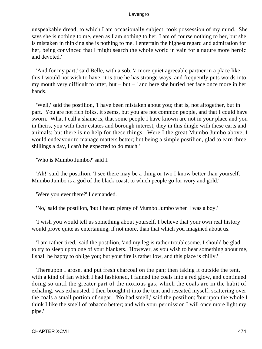unspeakable dread, to which I am occasionally subject, took possession of my mind. She says she is nothing to me, even as I am nothing to her. I am of course nothing to her, but she is mistaken in thinking she is nothing to me. I entertain the highest regard and admiration for her, being convinced that I might search the whole world in vain for a nature more heroic and devoted.'

 'And for my part,' said Belle, with a sob, 'a more quiet agreeable partner in a place like this I would not wish to have; it is true he has strange ways, and frequently puts words into my mouth very difficult to utter, but − but − ' and here she buried her face once more in her hands.

 'Well,' said the postilion, 'I have been mistaken about you; that is, not altogether, but in part. You are not rich folks, it seems, but you are not common people, and that I could have sworn. What I call a shame is, that some people I have known are not in your place and you in theirs, you with their estates and borough interest, they in this dingle with these carts and animals; but there is no help for these things. Were I the great Mumbo Jumbo above, I would endeavour to manage matters better; but being a simple postilion, glad to earn three shillings a day, I can't be expected to do much.'

'Who is Mumbo Jumbo?' said I.

 'Ah!' said the postilion, 'I see there may be a thing or two I know better than yourself. Mumbo Jumbo is a god of the black coast, to which people go for ivory and gold.'

'Were you ever there?' I demanded.

'No,' said the postilion, 'but I heard plenty of Mumbo Jumbo when I was a boy.'

 'I wish you would tell us something about yourself. I believe that your own real history would prove quite as entertaining, if not more, than that which you imagined about us.'

 'I am rather tired,' said the postilion, 'and my leg is rather troublesome. I should be glad to try to sleep upon one of your blankets. However, as you wish to hear something about me, I shall be happy to oblige you; but your fire is rather low, and this place is chilly.'

 Thereupon I arose, and put fresh charcoal on the pan; then taking it outside the tent, with a kind of fan which I had fashioned, I fanned the coals into a red glow, and continued doing so until the greater part of the noxious gas, which the coals are in the habit of exhaling, was exhausted. I then brought it into the tent and reseated myself, scattering over the coals a small portion of sugar. 'No bad smell,' said the postilion; 'but upon the whole I think I like the smell of tobacco better; and with your permission I will once more light my pipe.'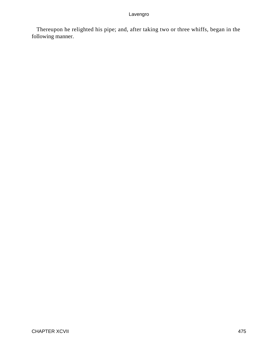Thereupon he relighted his pipe; and, after taking two or three whiffs, began in the following manner.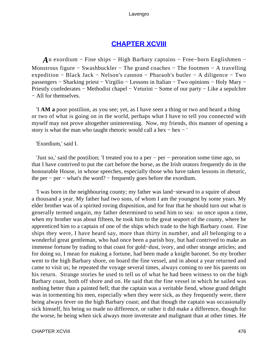# **[CHAPTER XCVIII](#page-498-0)**

<span id="page-476-0"></span>*A*n exordium – Fine ships – High Barbary captains – Free–born Englishmen – Monstrous figure − Swashbuckler − The grand coaches − The footmen − A travelling expedition − Black Jack − Nelson's cannon − Pharaoh's butler − A diligence − Two passengers − Sharking priest − Virgilio − Lessons in Italian − Two opinions − Holy Mary − Priestly confederates − Methodist chapel − Veturini − Some of our party − Like a sepulchre − All for themselves.

 'I **AM a** poor postilion, as you see; yet, as I have seen a thing or two and heard a thing or two of what is going on in the world, perhaps what I have to tell you connected with myself may not prove altogether uninteresting. Now, my friends, this manner of opening a story is what the man who taught rhetoric would call a hex − hex − '

'Exordium,' said I.

 'Just so,' said the postilion; 'I treated you to a per − per − peroration some time ago, so that I have contrived to put the cart before the horse, as the Irish orators frequently do in the honourable House, in whose speeches, especially those who have taken lessons in rhetoric, the per − per − what's the word? − frequently goes before the exordium.

 'I was born in the neighbouring county; my father was land−steward to a squire of about a thousand a year. My father had two sons, of whom I am the youngest by some years. My elder brother was of a spirited roving disposition, and for fear that he should turn out what is generally termed ungain, my father determined to send him to sea: so once upon a time, when my brother was about fifteen, he took him to the great seaport of the county, where he apprenticed him to a captain of one of the ships which trade to the high Barbary coast. Fine ships they were, I have heard say, more than thirty in number, and all belonging to a wonderful great gentleman, who had once been a parish boy, but had contrived to make an immense fortune by trading to that coast for gold−dust, ivory, and other strange articles; and for doing so, I mean for making a fortune, had been made a knight baronet. So my brother went to the high Barbary shore, on board the fine vessel, and in about a year returned and came to visit us; he repeated the voyage several times, always coming to see his parents on his return. Strange stories he used to tell us of what he had been witness to on the high Barbary coast, both off shore and on. He said that the fine vessel in which he sailed was nothing better than a painted hell; that the captain was a veritable fiend, whose grand delight was in tormenting his men, especially when they were sick, as they frequently were, there being always fever on the high Barbary coast; and that though the captain was occasionally sick himself, his being so made no difference, or rather it did make a difference, though for the worse, he being when sick always more inveterate and malignant than at other times. He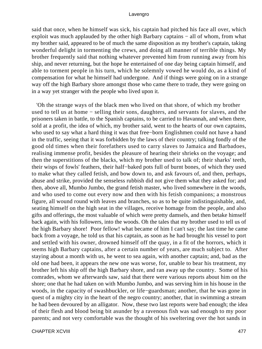said that once, when he himself was sick, his captain had pitched his face all over, which exploit was much applauded by the other high Barbary captains − all of whom, from what my brother said, appeared to be of much the same disposition as my brother's captain, taking wonderful delight in tormenting the crews, and doing all manner of terrible things. My brother frequently said that nothing whatever prevented him from running away from his ship, and never returning, but the hope he entertained of one day being captain himself, and able to torment people in his turn, which he solemnly vowed he would do, as a kind of compensation for what he himself had undergone. And if things were going on in a strange way off the high Barbary shore amongst those who came there to trade, they were going on in a way yet stranger with the people who lived upon it.

 'Oh the strange ways of the black men who lived on that shore, of which my brother used to tell us at home − selling their sons, daughters, and servants for slaves, and the prisoners taken in battle, to the Spanish captains, to be carried to Havannah, and when there, sold at a profit, the idea of which, my brother said, went to the hearts of our own captains, who used to say what a hard thing it was that free−born Englishmen could not have a hand in the traffic, seeing that it was forbidden by the laws of their country; talking fondly of the good old times when their forefathers used to carry slaves to Jamaica and Barbadoes, realising immense profit, besides the pleasure of hearing their shrieks on the voyage; and then the superstitions of the blacks, which my brother used to talk of; their sharks' teeth, their wisps of fowls' feathers, their half−baked pots full of burnt bones, of which they used to make what they called fetish, and bow down to, and ask favours of, and then, perhaps, abuse and strike, provided the senseless rubbish did not give them what they asked for; and then, above all, Mumbo Jumbo, the grand fetish master, who lived somewhere in the woods, and who used to come out every now and then with his fetish companions; a monstrous figure, all wound round with leaves and branches, so as to be quite indistinguishable, and, seating himself on the high seat in the villages, receive homage from the people, and also gifts and offerings, the most valuable of which were pretty damsels, and then betake himself back again, with his followers, into the woods. Oh the tales that my brother used to tell us of the high Barbary shore! Poor fellow! what became of him I can't say; the last time he came back from a voyage, he told us that his captain, as soon as he had brought his vessel to port and settled with his owner, drowned himself off the quay, in a fit of the horrors, which it seems high Barbary captains, after a certain number of years, are much subject to. After staying about a month with us, he went to sea again, with another captain; and, bad as the old one had been, it appears the new one was worse, for, unable to bear his treatment, my brother left his ship off the high Barbary shore, and ran away up the country. Some of his comrades, whom we afterwards saw, said that there were various reports about him on the shore; one that he had taken on with Mumbo Jumbo, and was serving him in his house in the woods, in the capacity of swashbuckler, or life−guardsman; another, that he was gone in quest of a mighty city in the heart of the negro country; another, that in swimming a stream he had been devoured by an alligator. Now, these two last reports were bad enough; the idea of their flesh and blood being bit asunder by a ravenous fish was sad enough to my poor parents; and not very comfortable was the thought of his sweltering over the hot sands in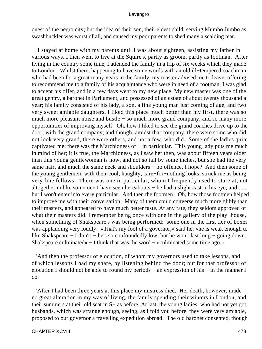quest of the negro city; but the idea of their son, their eldest child, serving Mumbo Jumbo as swashbuckler was worst of all, and caused my poor parents to shed many a scalding tear.

 'I stayed at home with my parents until I was about eighteen, assisting my father in various ways. I then went to live at the Squire's, partly as groom, partly as footman. After living in the country some time, I attended the family in a trip of six weeks which they made to London. Whilst there, happening to have some words with an old ill−tempered coachman, who had been for a great many years in the family, my master advised me to leave, offering to recommend me to a family of his acquaintance who were in need of a footman. I was glad to accept his offer, and in a few days went to my new place. My new master was one of the great gentry, a baronet in Parliament, and possessed of an estate of about twenty thousand a year; his family consisted of his lady, a son, a fine young man just coming of age, and two very sweet amiable daughters. I liked this place much better than my first, there was so much more pleasant noise and bustle − so much more grand company, and so many more opportunities of improving myself. Oh, how I liked to see the grand coaches drive up to the door, with the grand company; and though, amidst that company, there were some who did not look very grand, there were others, and not a few, who did. Some of the ladies quite captivated me; there was the Marchioness of − in particular. This young lady puts me much in mind of her; it is true, the Marchioness, as I saw her then, was about fifteen years older than this young gentlewoman is now, and not so tall by some inches, but she had the very same hair, and much the same neck and shoulders – no offence, I hope? And then some of the young gentlemen, with their cool, haughty, care−for−nothing looks, struck me as being very fine fellows. There was one in particular, whom I frequently used to stare at, not altogether unlike some one I have seen hereabouts − he had a slight cast in his eye, and . . . but I won't enter into every particular. And then the footmen! Oh, how those footmen helped to improve me with their conversation. Many of them could converse much more glibly than their masters, and appeared to have much better taste. At any rate, they seldom approved of what their masters did. I remember being once with one in the gallery of the play−house, when something of Shakspeare's was being performed: some one in the first tier of boxes was applauding very loudly. «That's my fool of a governor,» said he; «he is weak enough to like Shakspeare − I don't; − he's so confoundedly low, but he won't last long − going down. Shakspeare culminated» − I think that was the word − «culminated some time ago.»

 'And then the professor of elocution, of whom my governors used to take lessons, and of which lessons I had my share, by listening behind the door; but for that professor of elocution I should not be able to round my periods − an expression of his − in the manner I do.

 'After I had been three years at this place my mistress died. Her death, however, made no great alteration in my way of living, the family spending their winters in London, and their summers at their old seat in S− as before. At last, the young ladies, who had not yet got husbands, which was strange enough, seeing, as I told you before, they were very amiable, proposed to our governor a travelling expedition abroad. The old baronet consented, though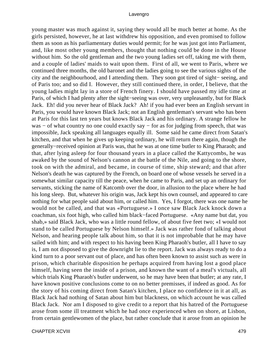young master was much against it, saying they would all be much better at home. As the girls persisted, however, he at last withdrew his opposition, and even promised to follow them as soon as his parliamentary duties would permit; for he was just got into Parliament, and, like most other young members, thought that nothing could be done in the House without him. So the old gentleman and the two young ladies set off, taking me with them, and a couple of ladies' maids to wait upon them. First of all, we went to Paris, where we continued three months, the old baronet and the ladies going to see the various sights of the city and the neighbourhood, and I attending them. They soon got tired of sight− seeing, and of Paris too; and so did I. However, they still continued there, in order, I believe, that the young ladies might lay in a store of French finery. I should have passed my idle time at Paris, of which I had plenty after the sight−seeing was over, very unpleasantly, but for Black Jack. Eh! did you never hear of Black Jack? Ah! if you had ever been an English servant in Paris, you would have known Black Jack; not an English gentleman's servant who has been at Paris for this last ten years but knows Black Jack and his ordinary. A strange fellow he was − of what country no one could exactly say − for as for judging from speech, that was impossible, Jack speaking all languages equally ill. Some said he came direct from Satan's kitchen, and that when he gives up keeping ordinary, he will return there again, though the generally−received opinion at Paris was, that he was at one time butler to King Pharaoh; and that, after lying asleep for four thousand years in a place called the Kattycombs, he was awaked by the sound of Nelson's cannon at the battle of the Nile, and going to the shore, took on with the admiral, and became, in course of time, ship steward; and that after Nelson's death he was captured by the French, on board one of whose vessels he served in a somewhat similar capacity till the peace, when he came to Paris, and set up an ordinary for servants, sticking the name of Katcomb over the door, in allusion to the place where he had his long sleep. But, whatever his origin was, Jack kept his own counsel, and appeared to care nothing for what people said about him, or called him. Yes, I forgot, there was one name he would not be called, and that was «Portuguese.» I once saw Black Jack knock down a coachman, six foot high, who called him black−faced Portuguese. «Any name but dat, you shab,» said Black Jack, who was a little round fellow, of about five feet two; «I would not stand to be called Portuguese by Nelson himself.» Jack was rather fond of talking about Nelson, and hearing people talk about him, so that it is not improbable that he may have sailed with him; and with respect to his having been King Pharaoh's butler, all I have to say is, I am not disposed to give the downright lie to the report. Jack was always ready to do a kind turn to a poor servant out of place, and has often been known to assist such as were in prison, which charitable disposition he perhaps acquired from having lost a good place himself, having seen the inside of a prison, and known the want of a meal's victuals, all which trials King Pharaoh's butler underwent, so he may have been that butler; at any rate, I have known positive conclusions come to on no better premisses, if indeed as good. As for the story of his coming direct from Satan's kitchen, I place no confidence in it at all, as Black Jack had nothing of Satan about him but blackness, on which account he was called Black Jack. Nor am I disposed to give credit to a report that his hatred of the Portuguese arose from some ill treatment which he had once experienced when on shore, at Lisbon, from certain gentlewomen of the place, but rather conclude that it arose from an opinion he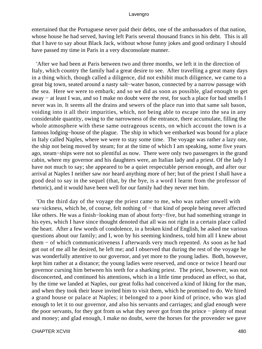entertained that the Portuguese never paid their debts, one of the ambassadors of that nation, whose house he had served, having left Paris several thousand francs in his debt. This is all that I have to say about Black Jack, without whose funny jokes and good ordinary I should have passed my time in Paris in a very disconsolate manner.

 'After we had been at Paris between two and three months, we left it in the direction of Italy, which country the family had a great desire to see. After travelling a great many days in a thing which, though called a diligence, did not exhibit much diligence, we came to a great big town, seated around a nasty salt−water bason, connected by a narrow passage with the sea. Here we were to embark; and so we did as soon as possible, glad enough to get away − at least I was, and so I make no doubt were the rest, for such a place for bad smells I never was in. It seems all the drains and sewers of the place run into that same salt bason, voiding into it all their impurities, which, not being able to escape into the sea in any considerable quantity, owing to the narrowness of the entrance, there accumulate, filling the whole atmosphere with these same outrageous scents, on which account the town is a famous lodging−house of the plague. The ship in which we embarked was bound for a place in Italy called Naples, where we were to stay some time. The voyage was rather a lazy one, the ship not being moved by steam; for at the time of which I am speaking, some five years ago, steam−ships were not so plentiful as now. There were only two passengers in the grand cabin, where my governor and his daughters were, an Italian lady and a priest. Of the lady I have not much to say; she appeared to be a quiet respectable person enough, and after our arrival at Naples I neither saw nor heard anything more of her; but of the priest I shall have a good deal to say in the sequel (that, by the bye, is a word I learnt from the professor of rhetoric), and it would have been well for our family had they never met him.

 'On the third day of the voyage the priest came to me, who was rather unwell with sea–sickness, which he, of course, felt nothing of – that kind of people being never affected like others. He was a finish−looking man of about forty−five, but had something strange in his eyes, which I have since thought denoted that all was not right in a certain place called the heart. After a few words of condolence, in a broken kind of English, he asked me various questions about our family; and I, won by his seeming kindness, told him all I knew about them − of which communicativeness I afterwards very much repented. As soon as he had got out of me all he desired, he left me; and I observed that during the rest of the voyage he was wonderfully attentive to our governor, and yet more to the young ladies. Both, however, kept him rather at a distance; the young ladies were reserved, and once or twice I heard our governor cursing him between his teeth for a sharking priest. The priest, however, was not disconcerted, and continued his attentions, which in a little time produced an effect, so that, by the time we landed at Naples, our great folks had conceived a kind of liking for the man, and when they took their leave invited him to visit them, which he promised to do. We hired a grand house or palace at Naples; it belonged to a poor kind of prince, who was glad enough to let it to our governor, and also his servants and carriages; and glad enough were the poor servants, for they got from us what they never got from the prince − plenty of meat and money; and glad enough, I make no doubt, were the horses for the provender we gave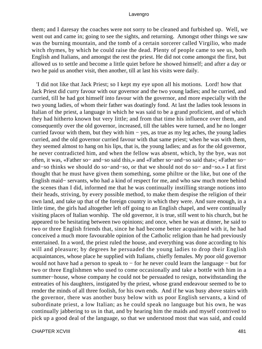them; and I daresay the coaches were not sorry to be cleaned and furbished up. Well, we went out and came in; going to see the sights, and returning. Amongst other things we saw was the burning mountain, and the tomb of a certain sorcerer called Virgilio, who made witch rhymes, by which he could raise the dead. Plenty of people came to see us, both English and Italians, and amongst the rest the priest. He did not come amongst the first, but allowed us to settle and become a little quiet before he showed himself; and after a day or two he paid us another visit, then another, till at last his visits were daily.

 'I did not like that Jack Priest; so I kept my eye upon all his motions. Lord! how that Jack Priest did curry favour with our governor and the two young ladies; and he curried, and curried, till he had got himself into favour with the governor, and more especially with the two young ladies, of whom their father was doatingly fond. At last the ladies took lessons in Italian of the priest, a language in which he was said to be a grand proficient, and of which they had hitherto known but very little; and from that time his influence over them, and consequently over the old governor, increased, till the tables were turned, and he no longer curried favour with them, but they with him − yes, as true as my leg aches, the young ladies curried, and the old governor curried favour with that same priest; when he was with them, they seemed almost to hang on his lips, that is, the young ladies; and as for the old governor, he never contradicted him, and when the fellow was absent, which, by the bye, was not often, it was, «Father so− and−so said this,» and «Father so−and−so said that»; «Father so− and−so thinks we should do so−and−so, or that we should not do so− and−so.» I at first thought that he must have given them something, some philtre or the like, but one of the English maid− servants, who had a kind of respect for me, and who saw much more behind the scenes than I did, informed me that he was continually instilling strange notions into their heads, striving, by every possible method, to make them despise the religion of their own land, and take up that of the foreign country in which they were. And sure enough, in a little time, the girls had altogether left off going to an English chapel, and were continually visiting places of Italian worship. The old governor, it is true, still went to his church, but he appeared to be hesitating between two opinions; and once, when he was at dinner, he said to two or three English friends that, since he had become better acquainted with it, he had conceived a much more favourable opinion of the Catholic religion than he had previously entertained. In a word, the priest ruled the house, and everything was done according to his will and pleasure; by degrees he persuaded the young ladies to drop their English acquaintances, whose place he supplied with Italians, chiefly females. My poor old governor would not have had a person to speak to − for he never could learn the language − but for two or three Englishmen who used to come occasionally and take a bottle with him in a summer−house, whose company he could not be persuaded to resign, notwithstanding the entreaties of his daughters, instigated by the priest, whose grand endeavour seemed to be to render the minds of all three foolish, for his own ends. And if he was busy above stairs with the governor, there was another busy below with us poor English servants, a kind of subordinate priest, a low Italian; as he could speak no language but his own, he was continually jabbering to us in that, and by hearing him the maids and myself contrived to pick up a good deal of the language, so that we understood most that was said, and could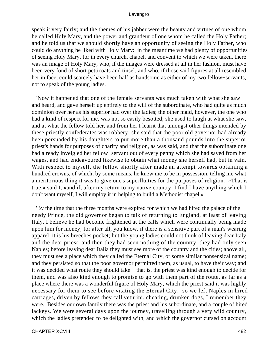speak it very fairly; and the themes of his jabber were the beauty and virtues of one whom he called Holy Mary, and the power and grandeur of one whom he called the Holy Father; and he told us that we should shortly have an opportunity of seeing the Holy Father, who could do anything he liked with Holy Mary: in the meantime we had plenty of opportunities of seeing Holy Mary, for in every church, chapel, and convent to which we were taken, there was an image of Holy Mary, who, if the images were dressed at all in her fashion, must have been very fond of short petticoats and tinsel, and who, if those said figures at all resembled her in face, could scarcely have been half as handsome as either of my two fellow−servants, not to speak of the young ladies.

 'Now it happened that one of the female servants was much taken with what she saw and heard, and gave herself up entirely to the will of the subordinate, who had quite as much dominion over her as his superior had over the ladies; the other maid, however, the one who had a kind of respect for me, was not so easily besotted; she used to laugh at what she saw, and at what the fellow told her, and from her I learnt that amongst other things intended by these priestly confederates was robbery; she said that the poor old governor had already been persuaded by his daughters to put more than a thousand pounds into the superior priest's hands for purposes of charity and religion, as was said, and that the subordinate one had already inveigled her fellow−servant out of every penny which she had saved from her wages, and had endeavoured likewise to obtain what money she herself had, but in vain. With respect to myself, the fellow shortly after made an attempt towards obtaining a hundred crowns, of which, by some means, he knew me to be in possession, telling me what a meritorious thing it was to give one's superfluities for the purposes of religion. «That is true,» said I, «and if, after my return to my native country, I find I have anything which I don't want myself, I will employ it in helping to build a Methodist chapel.»

 'By the time that the three months were expired for which we had hired the palace of the needy Prince, the old governor began to talk of returning to England, at least of leaving Italy. I believe he had become frightened at the calls which were continually being made upon him for money; for after all, you know, if there is a sensitive part of a man's wearing apparel, it is his breeches pocket; but the young ladies could not think of leaving dear Italy and the dear priest; and then they had seen nothing of the country, they had only seen Naples; before leaving dear Italia they must see more of the country and the cities; above all, they must see a place which they called the Eternal City, or some similar nonsensical name; and they persisted so that the poor governor permitted them, as usual, to have their way; and it was decided what route they should take − that is, the priest was kind enough to decide for them, and was also kind enough to promise to go with them part of the route, as far as a place where there was a wonderful figure of Holy Mary, which the priest said it was highly necessary for them to see before visiting the Eternal City: so we left Naples in hired carriages, driven by fellows they call veturini, cheating, drunken dogs, I remember they were. Besides our own family there was the priest and his subordinate, and a couple of hired lackeys. We were several days upon the journey, travelling through a very wild country, which the ladies pretended to be delighted with, and which the governor cursed on account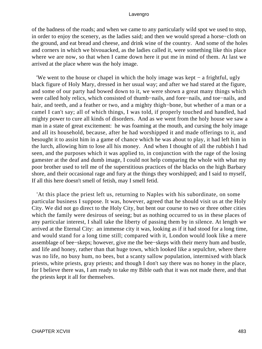of the badness of the roads; and when we came to any particularly wild spot we used to stop, in order to enjoy the scenery, as the ladies said; and then we would spread a horse−cloth on the ground, and eat bread and cheese, and drink wine of the country. And some of the holes and corners in which we bivouacked, as the ladies called it, were something like this place where we are now, so that when I came down here it put me in mind of them. At last we arrived at the place where was the holy image.

 'We went to the house or chapel in which the holy image was kept − a frightful, ugly black figure of Holy Mary, dressed in her usual way; and after we had stared at the figure, and some of our party had bowed down to it, we were shown a great many things which were called holy relics, which consisted of thumb−nails, and fore−nails, and toe−nails, and hair, and teeth, and a feather or two, and a mighty thigh−bone, but whether of a man or a camel I can't say; all of which things, I was told, if properly touched and handled, had mighty power to cure all kinds of disorders. And as we went from the holy house we saw a man in a state of great excitement: he was foaming at the mouth, and cursing the holy image and all its household, because, after he had worshipped it and made offerings to it, and besought it to assist him in a game of chance which he was about to play, it had left him in the lurch, allowing him to lose all his money. And when I thought of all the rubbish I had seen, and the purposes which it was applied to, in conjunction with the rage of the losing gamester at the deaf and dumb image, I could not help comparing the whole with what my poor brother used to tell me of the superstitious practices of the blacks on the high Barbary shore, and their occasional rage and fury at the things they worshipped; and I said to myself, If all this here doesn't smell of fetish, may I smell fetid.

 'At this place the priest left us, returning to Naples with his subordinate, on some particular business I suppose. It was, however, agreed that he should visit us at the Holy City. We did not go direct to the Holy City, but bent our course to two or three other cities which the family were desirous of seeing; but as nothing occurred to us in these places of any particular interest, I shall take the liberty of passing them by in silence. At length we arrived at the Eternal City: an immense city it was, looking as if it had stood for a long time, and would stand for a long time still; compared with it, London would look like a mere assemblage of bee−skeps; however, give me the bee−skeps with their merry hum and bustle, and life and honey, rather than that huge town, which looked like a sepulchre, where there was no life, no busy hum, no bees, but a scanty sallow population, intermixed with black priests, white priests, gray priests; and though I don't say there was no honey in the place, for I believe there was, I am ready to take my Bible oath that it was not made there, and that the priests kept it all for themselves.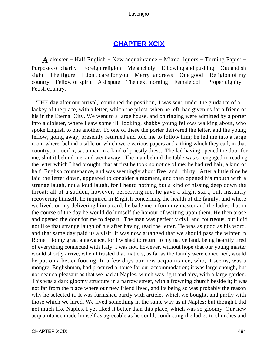## **[CHAPTER XCIX](#page-498-0)**

<span id="page-484-0"></span>*A* cloister – Half English – New acquaintance – Mixed liquors – Turning Papist – Purposes of charity − Foreign religion − Melancholy − Elbowing and pushing − Outlandish sight − The figure − I don't care for you − Merry−andrews − One good − Religion of my country − Fellow of spirit − A dispute − The next morning − Female doll − Proper dignity − Fetish country.

 'THE day after our arrival,' continued the postilion, 'I was sent, under the guidance of a lackey of the place, with a letter, which the priest, when he left, had given us for a friend of his in the Eternal City. We went to a large house, and on ringing were admitted by a porter into a cloister, where I saw some ill−looking, shabby young fellows walking about, who spoke English to one another. To one of these the porter delivered the letter, and the young fellow, going away, presently returned and told me to follow him; he led me into a large room where, behind a table on which were various papers and a thing which they call, in that country, a crucifix, sat a man in a kind of priestly dress. The lad having opened the door for me, shut it behind me, and went away. The man behind the table was so engaged in reading the letter which I had brought, that at first he took no notice of me; he had red hair, a kind of half−English countenance, and was seemingly about five−and− thirty. After a little time he laid the letter down, appeared to consider a moment, and then opened his mouth with a strange laugh, not a loud laugh, for I heard nothing but a kind of hissing deep down the throat; all of a sudden, however, perceiving me, he gave a slight start, but, instantly recovering himself, he inquired in English concerning the health of the family, and where we lived: on my delivering him a card, he bade me inform my master and the ladies that in the course of the day he would do himself the honour of waiting upon them. He then arose and opened the door for me to depart. The man was perfectly civil and courteous, but I did not like that strange laugh of his after having read the letter. He was as good as his word, and that same day paid us a visit. It was now arranged that we should pass the winter in Rome − to my great annoyance, for I wished to return to my native land, being heartily tired of everything connected with Italy. I was not, however, without hope that our young master would shortly arrive, when I trusted that matters, as far as the family were concerned, would be put on a better footing. In a few days our new acquaintance, who, it seems, was a mongrel Englishman, had procured a house for our accommodation; it was large enough, but not near so pleasant as that we had at Naples, which was light and airy, with a large garden. This was a dark gloomy structure in a narrow street, with a frowning church beside it; it was not far from the place where our new friend lived, and its being so was probably the reason why he selected it. It was furnished partly with articles which we bought, and partly with those which we hired. We lived something in the same way as at Naples; but though I did not much like Naples, I yet liked it better than this place, which was so gloomy. Our new acquaintance made himself as agreeable as he could, conducting the ladies to churches and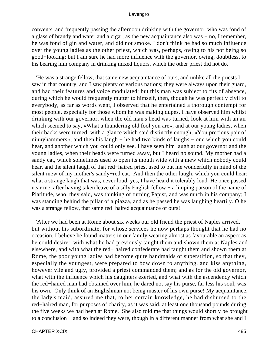convents, and frequently passing the afternoon drinking with the governor, who was fond of a glass of brandy and water and a cigar, as the new acquaintance also was − no, I remember, he was fond of gin and water, and did not smoke. I don't think he had so much influence over the young ladies as the other priest, which was, perhaps, owing to his not being so good−looking; but I am sure he had more influence with the governor, owing, doubtless, to his bearing him company in drinking mixed liquors, which the other priest did not do.

 'He was a strange fellow, that same new acquaintance of ours, and unlike all the priests I saw in that country, and I saw plenty of various nations; they were always upon their guard, and had their features and voice modulated; but this man was subject to fits of absence, during which he would frequently mutter to himself, then, though he was perfectly civil to everybody, as far as words went, I observed that he entertained a thorough contempt for most people, especially for those whom he was making dupes. I have observed him whilst drinking with our governor, when the old man's head was turned, look at him with an air which seemed to say, «What a thundering old fool you are»; and at our young ladies, when their backs were turned, with a glance which said distinctly enough, «You precious pair of ninnyhammers»; and then his laugh − he had two kinds of laughs − one which you could hear, and another which you could only see. I have seen him laugh at our governor and the young ladies, when their heads were turned away, but I heard no sound. My mother had a sandy cat, which sometimes used to open its mouth wide with a mew which nobody could hear, and the silent laugh of that red−haired priest used to put me wonderfully in mind of the silent mew of my mother's sandy−red cat. And then the other laugh, which you could hear; what a strange laugh that was, never loud, yes, I have heard it tolerably loud. He once passed near me, after having taken leave of a silly English fellow – a limping parson of the name of Platitude, who, they said, was thinking of turning Papist, and was much in his company; I was standing behind the pillar of a piazza, and as he passed he was laughing heartily. O he was a strange fellow, that same red−haired acquaintance of ours!

 'After we had been at Rome about six weeks our old friend the priest of Naples arrived, but without his subordinate, for whose services he now perhaps thought that he had no occasion. I believe he found matters in our family wearing almost as favourable an aspect as he could desire: with what he had previously taught them and shown them at Naples and elsewhere, and with what the red− haired confederate had taught them and shown them at Rome, the poor young ladies had become quite handmaids of superstition, so that they, especially the youngest, were prepared to bow down to anything, and kiss anything, however vile and ugly, provided a priest commanded them; and as for the old governor, what with the influence which his daughters exerted, and what with the ascendency which the red−haired man had obtained over him, he dared not say his purse, far less his soul, was his own. Only think of an Englishman not being master of his own purse! My acquaintance, the lady's maid, assured me that, to her certain knowledge, he had disbursed to the red−haired man, for purposes of charity, as it was said, at least one thousand pounds during the five weeks we had been at Rome. She also told me that things would shortly be brought to a conclusion − and so indeed they were, though in a different manner from what she and I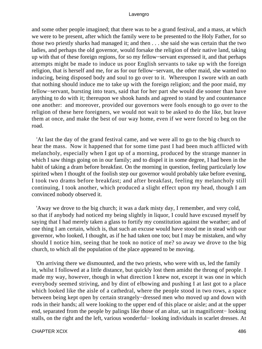and some other people imagined; that there was to be a grand festival, and a mass, at which we were to be present, after which the family were to be presented to the Holy Father, for so those two priestly sharks had managed it; and then . . . she said she was certain that the two ladies, and perhaps the old governor, would forsake the religion of their native land, taking up with that of these foreign regions, for so my fellow−servant expressed it, and that perhaps attempts might be made to induce us poor English servants to take up with the foreign religion, that is herself and me, for as for our fellow−servant, the other maid, she wanted no inducing, being disposed body and soul to go over to it. Whereupon I swore with an oath that nothing should induce me to take up with the foreign religion; and the poor maid, my fellow−servant, bursting into tears, said that for her part she would die sooner than have anything to do with it; thereupon we shook hands and agreed to stand by and countenance one another: and moreover, provided our governors were fools enough to go over to the religion of these here foreigners, we would not wait to be asked to do the like, but leave them at once, and make the best of our way home, even if we were forced to beg on the road.

 'At last the day of the grand festival came, and we were all to go to the big church to hear the mass. Now it happened that for some time past I had been much afflicted with melancholy, especially when I got up of a morning, produced by the strange manner in which I saw things going on in our family; and to dispel it in some degree, I had been in the habit of taking a dram before breakfast. On the morning in question, feeling particularly low spirited when I thought of the foolish step our governor would probably take before evening, I took two drams before breakfast; and after breakfast, feeling my melancholy still continuing, I took another, which produced a slight effect upon my head, though I am convinced nobody observed it.

 'Away we drove to the big church; it was a dark misty day, I remember, and very cold, so that if anybody had noticed my being slightly in liquor, I could have excused myself by saying that I had merely taken a glass to fortify my constitution against the weather; and of one thing I am certain, which is, that such an excuse would have stood me in stead with our governor, who looked, I thought, as if he had taken one too; but I may be mistaken, and why should I notice him, seeing that he took no notice of me? so away we drove to the big church, to which all the population of the place appeared to be moving.

 'On arriving there we dismounted, and the two priests, who were with us, led the family in, whilst I followed at a little distance, but quickly lost them amidst the throng of people. I made my way, however, though in what direction I knew not, except it was one in which everybody seemed striving, and by dint of elbowing and pushing I at last got to a place which looked like the aisle of a cathedral, where the people stood in two rows, a space between being kept open by certain strangely−dressed men who moved up and down with rods in their hands; all were looking to the upper end of this place or aisle; and at the upper end, separated from the people by palings like those of an altar, sat in magnificent− looking stalls, on the right and the left, various wonderful− looking individuals in scarlet dresses. At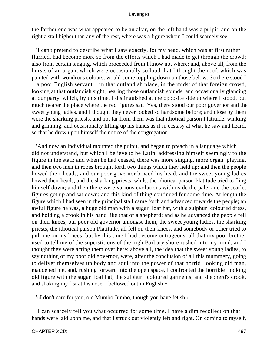the farther end was what appeared to be an altar, on the left hand was a pulpit, and on the right a stall higher than any of the rest, where was a figure whom I could scarcely see.

 'I can't pretend to describe what I saw exactly, for my head, which was at first rather flurried, had become more so from the efforts which I had made to get through the crowd; also from certain singing, which proceeded from I know not where; and, above all, from the bursts of an organ, which were occasionally so loud that I thought the roof, which was painted with wondrous colours, would come toppling down on those below. So there stood I − a poor English servant − in that outlandish place, in the midst of that foreign crowd, looking at that outlandish sight, hearing those outlandish sounds, and occasionally glancing at our party, which, by this time, I distinguished at the opposite side to where I stood, but much nearer the place where the red figures sat. Yes, there stood our poor governor and the sweet young ladies, and I thought they never looked so handsome before; and close by them were the sharking priests, and not far from them was that idiotical parson Platitude, winking and grinning, and occasionally lifting up his hands as if in ecstasy at what he saw and heard, so that he drew upon himself the notice of the congregation.

 'And now an individual mounted the pulpit, and began to preach in a language which I did not understand, but which I believe to be Latin, addressing himself seemingly to the figure in the stall; and when he had ceased, there was more singing, more organ−playing, and then two men in robes brought forth two things which they held up; and then the people bowed their heads, and our poor governor bowed his head, and the sweet young ladies bowed their heads, and the sharking priests, whilst the idiotical parson Platitude tried to fling himself down; and then there were various evolutions withinside the pale, and the scarlet figures got up and sat down; and this kind of thing continued for some time. At length the figure which I had seen in the principal stall came forth and advanced towards the people; an awful figure he was, a huge old man with a sugar−loaf hat, with a sulphur−coloured dress, and holding a crook in his hand like that of a shepherd; and as he advanced the people fell on their knees, our poor old governor amongst them; the sweet young ladies, the sharking priests, the idiotical parson Platitude, all fell on their knees, and somebody or other tried to pull me on my knees; but by this time I had become outrageous; all that my poor brother used to tell me of the superstitions of the high Barbary shore rushed into my mind, and I thought they were acting them over here; above all, the idea that the sweet young ladies, to say nothing of my poor old governor, were, after the conclusion of all this mummery, going to deliver themselves up body and soul into the power of that horrid−looking old man, maddened me, and, rushing forward into the open space, I confronted the horrible−looking old figure with the sugar−loaf hat, the sulphur− coloured garments, and shepherd's crook, and shaking my fist at his nose, I bellowed out in English −

'«I don't care for you, old Mumbo Jumbo, though you have fetish!»

 'I can scarcely tell you what occurred for some time. I have a dim recollection that hands were laid upon me, and that I struck out violently left and right. On coming to myself,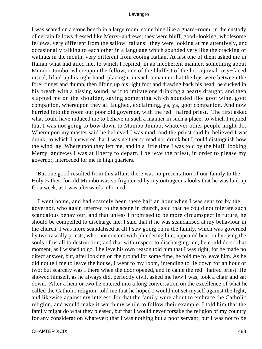I was seated on a stone bench in a large room, something like a guard−room, in the custody of certain fellows dressed like Merry−andrews; they were bluff, good−looking, wholesome fellows, very different from the sallow Italians: they were looking at me attentively, and occasionally talking to each other in a language which sounded very like the cracking of walnuts in the mouth, very different from cooing Italian. At last one of them asked me in Italian what had ailed me, to which I replied, in an incoherent manner, something about Mumbo Jumbo; whereupon the fellow, one of the bluffest of the lot, a jovial rosy−faced rascal, lifted up his right hand, placing it in such a manner that the lips were between the fore−finger and thumb, then lifting up his right foot and drawing back his head, he sucked in his breath with a hissing sound, as if to imitate one drinking a hearty draught, and then slapped me on the shoulder, saying something which sounded like goot wine, goot companion, whereupon they all laughed, exclaiming, ya, ya, goot companion. And now hurried into the room our poor old governor, with the red− haired priest. The first asked what could have induced me to behave in such a manner in such a place, to which I replied that I was not going to bow down to Mumbo Jumbo, whatever other people might do. Whereupon my master said he believed I was mad, and the priest said he believed I was drunk; to which I answered that I was neither so mad nor drunk but I could distinguish how the wind lay. Whereupon they left me, and in a little time I was told by the bluff−looking Merry−andrews I was at liberty to depart. I believe the priest, in order to please my governor, interceded for me in high quarters.

 'But one good resulted from this affair; there was no presentation of our family to the Holy Father, for old Mumbo was so frightened by my outrageous looks that he was laid up for a week, as I was afterwards informed.

 'I went home, and had scarcely been there half an hour when I was sent for by the governor, who again referred to the scene in church, said that he could not tolerate such scandalous behaviour, and that unless I promised to be more circumspect in future, he should be compelled to discharge me. I said that if he was scandalised at my behaviour in the church, I was more scandalised at all I saw going on in the family, which was governed by two rascally priests, who, not content with plundering him, appeared bent on hurrying the souls of us all to destruction; and that with respect to discharging me, he could do so that moment, as I wished to go. I believe his own reason told him that I was right, for he made no direct answer, but, after looking on the ground for some time, he told me to leave him. As he did not tell me to leave the house, I went to my room, intending to lie down for an hour or two; but scarcely was I there when the door opened, and in came the red− haired priest. He showed himself, as he always did, perfectly civil, asked me how I was, took a chair and sat down. After a hem or two he entered into a long conversation on the excellence of what he called the Catholic religion; told me that he hoped I would not set myself against the light, and likewise against my interest; for that the family were about to embrace the Catholic religion, and would make it worth my while to follow their example. I told him that the family might do what they pleased, but that I would never forsake the religion of my country for any consideration whatever; that I was nothing but a poor servant, but I was not to be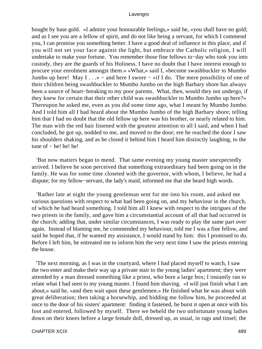bought by base gold. «I admire your honourable feelings,» said he, «you shall have no gold; and as I see you are a fellow of spirit, and do not like being a servant, for which I commend you, I can promise you something better. I have a good deal of influence in this place, and if you will not set your face against the light, but embrace the Catholic religion, I will undertake to make your fortune. You remember those fine fellows to−day who took you into custody, they are the guards of his Holiness. I have no doubt that I have interest enough to procure your enrolment amongst them.» «What,» said I, «become swashbuckler to Mumbo Jumbo up here! May I . . .» – and here I swore – «if I do. The mere possibility of one of their children being swashbuckler to Mumbo Jumbo on the high Barbary shore has always been a source of heart−breaking to my poor parents. What, then, would they not undergo, if they knew for certain that their other child was swashbuckler to Mumbo Jumbo up here?» Thereupon he asked me, even as you did some time ago, what I meant by Mumbo Jumbo. And I told him all I had heard about the Mumbo Jumbo of the high Barbary shore; telling him that I had no doubt that the old fellow up here was his brother, or nearly related to him. The man with the red hair listened with the greatest attention to all I said, and when I had concluded, he got up, nodded to me, and moved to the door; ere he reached the door I saw his shoulders shaking, and as he closed it behind him I heard him distinctly laughing, to the tune of − he! he! he!

 'But now matters began to mend. That same evening my young master unexpectedly arrived. I believe he soon perceived that something extraordinary had been going on in the family. He was for some time closeted with the governor, with whom, I believe, he had a dispute; for my fellow−servant, the lady's maid, informed me that she heard high words.

 'Rather late at night the young gentleman sent for me into his room, and asked me various questions with respect to what had been going on, and my behaviour in the church, of which he had heard something. I told him all I knew with respect to the intrigues of the two priests in the family, and gave him a circumstantial account of all that had occurred in the church; adding that, under similar circumstances, I was ready to play the same part over again. Instead of blaming me, he commended my behaviour, told me I was a fine fellow, and said he hoped that, if he wanted my assistance, I would stand by him: this I promised to do. Before I left him, he entreated me to inform him the very next time I saw the priests entering the house.

 'The next morning, as I was in the courtyard, where I had placed myself to watch, I saw the two enter and make their way up a private stair to the young ladies' apartment; they were attended by a man dressed something like a priest, who bore a large box; I instantly ran to relate what I had seen to my young master. I found him shaving. «I will just finish what I am about,» said he, «and then wait upon these gentlemen.» He finished what he was about with great deliberation; then taking a horsewhip, and bidding me follow him, he proceeded at once to the door of his sisters' apartment: finding it fastened, he burst it open at once with his foot and entered, followed by myself. There we beheld the two unfortunate young ladies down on their knees before a large female doll, dressed up, as usual, in rags and tinsel; the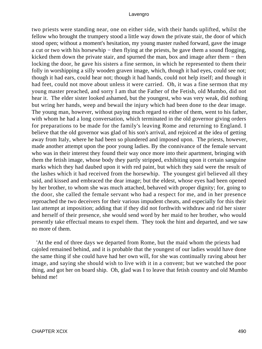two priests were standing near, one on either side, with their hands uplifted, whilst the fellow who brought the trumpery stood a little way down the private stair, the door of which stood open; without a moment's hesitation, my young master rushed forward, gave the image a cut or two with his horsewhip − then flying at the priests, he gave them a sound flogging, kicked them down the private stair, and spurned the man, box and image after them − then locking the door, he gave his sisters a fine sermon, in which he represented to them their folly in worshipping a silly wooden graven image, which, though it had eyes, could see not; though it had ears, could hear not; though it had hands, could not help itself; and though it had feet, could not move about unless it were carried. Oh, it was a fine sermon that my young master preached, and sorry I am that the Father of the Fetish, old Mumbo, did not hear it. The elder sister looked ashamed, but the youngest, who was very weak, did nothing but wring her hands, weep and bewail the injury which had been done to the dear image. The young man, however, without paying much regard to either of them, went to his father, with whom he had a long conversation, which terminated in the old governor giving orders for preparations to be made for the family's leaving Rome and returning to England. I believe that the old governor was glad of his son's arrival, and rejoiced at the idea of getting away from Italy, where he had been so plundered and imposed upon. The priests, however, made another attempt upon the poor young ladies. By the connivance of the female servant who was in their interest they found their way once more into their apartment, bringing with them the fetish image, whose body they partly stripped, exhibiting upon it certain sanguine marks which they had daubed upon it with red paint, but which they said were the result of the lashes which it had received from the horsewhip. The youngest girl believed all they said, and kissed and embraced the dear image; but the eldest, whose eyes had been opened by her brother, to whom she was much attached, behaved with proper dignity; for, going to the door, she called the female servant who had a respect for me, and in her presence reproached the two deceivers for their various impudent cheats, and especially for this their last attempt at imposition; adding that if they did not forthwith withdraw and rid her sister and herself of their presence, she would send word by her maid to her brother, who would presently take effectual means to expel them. They took the hint and departed, and we saw no more of them.

 'At the end of three days we departed from Rome, but the maid whom the priests had cajoled remained behind, and it is probable that the youngest of our ladies would have done the same thing if she could have had her own will, for she was continually raving about her image, and saying she should wish to live with it in a convent; but we watched the poor thing, and got her on board ship. Oh, glad was I to leave that fetish country and old Mumbo behind me!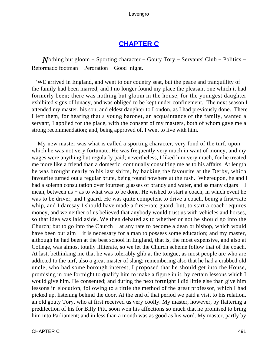# **[CHAPTER C](#page-498-0)**

<span id="page-491-0"></span>*N*othing but gloom – Sporting character – Gouty Tory – Servants' Club – Politics – Reformado footman − Peroration − Good−night.

 'WE arrived in England, and went to our country seat, but the peace and tranquillity of the family had been marred, and I no longer found my place the pleasant one which it had formerly been; there was nothing but gloom in the house, for the youngest daughter exhibited signs of lunacy, and was obliged to be kept under confinement. The next season I attended my master, his son, and eldest daughter to London, as I had previously done. There I left them, for hearing that a young baronet, an acquaintance of the family, wanted a servant, I applied for the place, with the consent of my masters, both of whom gave me a strong recommendation; and, being approved of, I went to live with him.

 'My new master was what is called a sporting character, very fond of the turf, upon which he was not very fortunate. He was frequently very much in want of money, and my wages were anything but regularly paid; nevertheless, I liked him very much, for he treated me more like a friend than a domestic, continually consulting me as to his affairs. At length he was brought nearly to his last shifts, by backing the favourite at the Derby, which favourite turned out a regular brute, being found nowhere at the rush. Whereupon, he and I had a solemn consultation over fourteen glasses of brandy and water, and as many cigars – I mean, between us – as to what was to be done. He wished to start a coach, in which event he was to be driver, and I guard. He was quite competent to drive a coach, being a first−rate whip, and I daresay I should have made a first−rate guard; but, to start a coach requires money, and we neither of us believed that anybody would trust us with vehicles and horses, so that idea was laid aside. We then debated as to whether or not he should go into the Church; but to go into the Church − at any rate to become a dean or bishop, which would have been our aim – it is necessary for a man to possess some education; and my master, although he had been at the best school in England, that is, the most expensive, and also at College, was almost totally illiterate, so we let the Church scheme follow that of the coach. At last, bethinking me that he was tolerably glib at the tongue, as most people are who are addicted to the turf, also a great master of slang; remembering also that he had a crabbed old uncle, who had some borough interest, I proposed that he should get into the House, promising in one fortnight to qualify him to make a figure in it, by certain lessons which I would give him. He consented; and during the next fortnight I did little else than give him lessons in elocution, following to a tittle the method of the great professor, which I had picked up, listening behind the door. At the end of that period we paid a visit to his relation, an old gouty Tory, who at first received us very coolly. My master, however, by flattering a predilection of his for Billy Pitt, soon won his affections so much that he promised to bring him into Parliament; and in less than a month was as good as his word. My master, partly by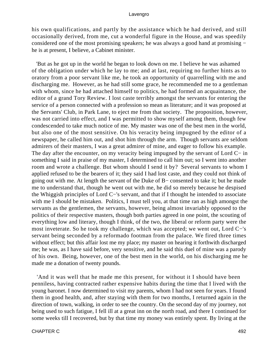his own qualifications, and partly by the assistance which he had derived, and still occasionally derived, from me, cut a wonderful figure in the House, and was speedily considered one of the most promising speakers; he was always a good hand at promising − he is at present, I believe, a Cabinet minister.

 'But as he got up in the world he began to look down on me. I believe he was ashamed of the obligation under which he lay to me; and at last, requiring no further hints as to oratory from a poor servant like me, he took an opportunity of quarrelling with me and discharging me. However, as he had still some grace, he recommended me to a gentleman with whom, since he had attached himself to politics, he had formed an acquaintance, the editor of a grand Tory Review. I lost caste terribly amongst the servants for entering the service of a person connected with a profession so mean as literature; and it was proposed at the Servants' Club, in Park Lane, to eject me from that society. The proposition, however, was not carried into effect, and I was permitted to show myself among them, though few condescended to take much notice of me. My master was one of the best men in the world, but also one of the most sensitive. On his veracity being impugned by the editor of a newspaper, he called him out, and shot him through the arm. Though servants are seldom admirers of their masters, I was a great admirer of mine, and eager to follow his example. The day after the encounter, on my veracity being impugned by the servant of Lord C− in something I said in praise of my master, I determined to call him out; so I went into another room and wrote a challenge. But whom should I send it by? Several servants to whom I applied refused to be the bearers of it; they said I had lost caste, and they could not think of going out with me. At length the servant of the Duke of B− consented to take it; but he made me to understand that, though he went out with me, he did so merely because he despised the Whiggish principles of Lord C−'s servant, and that if I thought he intended to associate with me I should be mistaken. Politics, I must tell you, at that time ran as high amongst the servants as the gentlemen, the servants, however, being almost invariably opposed to the politics of their respective masters, though both parties agreed in one point, the scouting of everything low and literary, though I think, of the two, the liberal or reform party were the most inveterate. So he took my challenge, which was accepted; we went out, Lord C−'s servant being seconded by a reformado footman from the palace. We fired three times without effect; but this affair lost me my place; my master on hearing it forthwith discharged me; he was, as I have said before, very sensitive, and he said this duel of mine was a parody of his own. Being, however, one of the best men in the world, on his discharging me he made me a donation of twenty pounds.

 'And it was well that he made me this present, for without it I should have been penniless, having contracted rather expensive habits during the time that I lived with the young baronet. I now determined to visit my parents, whom I had not seen for years. I found them in good health, and, after staying with them for two months, I returned again in the direction of town, walking, in order to see the country. On the second day of my journey, not being used to such fatigue, I fell ill at a great inn on the north road, and there I continued for some weeks till I recovered, but by that time my money was entirely spent. By living at the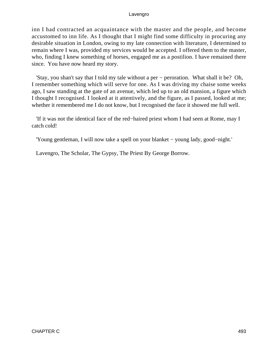inn I had contracted an acquaintance with the master and the people, and become accustomed to inn life. As I thought that I might find some difficulty in procuring any desirable situation in London, owing to my late connection with literature, I determined to remain where I was, provided my services would be accepted. I offered them to the master, who, finding I knew something of horses, engaged me as a postilion. I have remained there since. You have now heard my story.

 'Stay, you shan't say that I told my tale without a per − peroration. What shall it be? Oh, I remember something which will serve for one. As I was driving my chaise some weeks ago, I saw standing at the gate of an avenue, which led up to an old mansion, a figure which I thought I recognised. I looked at it attentively, and the figure, as I passed, looked at me; whether it remembered me I do not know, but I recognised the face it showed me full well.

 'If it was not the identical face of the red−haired priest whom I had seen at Rome, may I catch cold!

'Young gentleman, I will now take a spell on your blanket − young lady, good−night.'

Lavengro, The Scholar, The Gypsy, The Priest By George Borrow.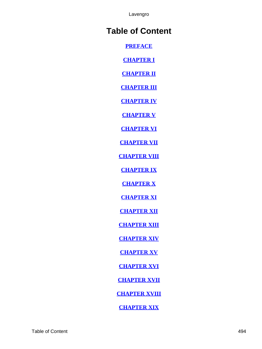# **Table of Content**

**[PREFACE](#page-3-0)**

**[CHAPTER I](#page-6-0)**

**[CHAPTER II](#page-12-0)**

**[CHAPTER III](#page-16-0)**

**[CHAPTER IV](#page-22-0)**

**[CHAPTER V](#page-27-0)**

**[CHAPTER VI](#page-35-0)**

**[CHAPTER VII](#page-40-0)**

**[CHAPTER VIII](#page-46-0)**

**[CHAPTER IX](#page-50-0)**

**[CHAPTER X](#page-55-0)**

**[CHAPTER XI](#page-59-0)**

**[CHAPTER XII](#page-63-0)**

**[CHAPTER XIII](#page-70-0)**

**[CHAPTER XIV](#page-75-0)**

**[CHAPTER XV](#page-81-0)**

**[CHAPTER XVI](#page-86-0)**

**[CHAPTER XVII](#page-90-0)**

**[CHAPTER XVIII](#page-98-0)**

**[CHAPTER XIX](#page-101-0)**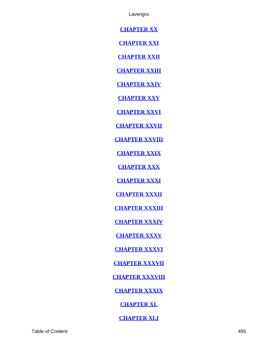**[CHAPTER XX](#page-106-0)**

**[CHAPTER XXI](#page-109-0)**

**[CHAPTER XXII](#page-113-0)**

**[CHAPTER XXIII](#page-118-0)**

**[CHAPTER XXIV](#page-125-0)**

**[CHAPTER XXV](#page-132-0)**

**[CHAPTER XXVI](#page-138-0)**

**[CHAPTER XXVII](#page-144-0)**

**[CHAPTER XXVIII](#page-152-0)**

**[CHAPTER XXIX](#page-154-0)**

**[CHAPTER XXX](#page-157-0)**

**[CHAPTER XXXI](#page-163-0)**

**[CHAPTER XXXII](#page-168-0)**

**[CHAPTER XXXIII](#page-172-0)**

**[CHAPTER XXXIV](#page-176-0)**

**[CHAPTER XXXV](#page-178-0)**

**[CHAPTER XXXVI](#page-182-0)**

**[CHAPTER XXXVII](#page-186-0)**

**[CHAPTER XXXVIII](#page-190-0)**

**[CHAPTER XXXIX](#page-193-0)**

**[CHAPTER XL](#page-198-0)**

**[CHAPTER XLI](#page-202-0)**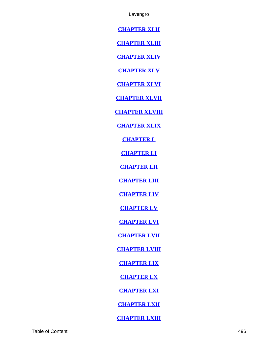**[CHAPTER XLII](#page-207-0)**

**[CHAPTER XLIII](#page-212-0)**

**[CHAPTER XLIV](#page-214-0)**

**[CHAPTER XLV](#page-219-0)**

**[CHAPTER XLVI](#page-224-0)**

**[CHAPTER XLVII](#page-227-0)**

**[CHAPTER XLVIII](#page-232-0)**

**[CHAPTER XLIX](#page-235-0)**

**[CHAPTER L](#page-238-0)**

**[CHAPTER LI](#page-242-0)**

**[CHAPTER LII](#page-246-0)**

**[CHAPTER LIII](#page-249-0)**

**[CHAPTER LIV](#page-256-0)**

**[CHAPTER LV](#page-260-0)**

**[CHAPTER LVI](#page-263-0)**

**[CHAPTER LVII](#page-265-0)**

**[CHAPTER LVIII](#page-268-0)**

**[CHAPTER LIX](#page-271-0)**

**[CHAPTER LX](#page-274-0)**

**[CHAPTER LXI](#page-280-0)**

**[CHAPTER LXII](#page-281-0)**

**[CHAPTER LXIII](#page-286-0)**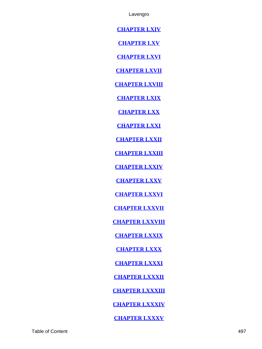**[CHAPTER LXIV](#page-291-0)**

**[CHAPTER LXV](#page-298-0)**

**[CHAPTER LXVI](#page-301-0)**

**[CHAPTER LXVII](#page-306-0)**

**[CHAPTER LXVIII](#page-313-0)**

**[CHAPTER LXIX](#page-322-0)**

**[CHAPTER LXX](#page-327-0)**

**[CHAPTER LXXI](#page-333-0)**

**[CHAPTER LXXII](#page-343-0)**

**[CHAPTER LXXIII](#page-347-0)**

**[CHAPTER LXXIV](#page-353-0)**

**[CHAPTER LXXV](#page-357-0)**

**[CHAPTER LXXVI](#page-362-0)**

**[CHAPTER LXXVII](#page-369-0)**

**[CHAPTER LXXVIII](#page-373-0)**

**[CHAPTER LXXIX](#page-375-0)**

**[CHAPTER LXXX](#page-380-0)**

**[CHAPTER LXXXI](#page-383-0)**

**[CHAPTER LXXXII](#page-390-0)**

**[CHAPTER LXXXIII](#page-392-0)**

**[CHAPTER LXXXIV](#page-395-0)**

**[CHAPTER LXXXV](#page-399-0)**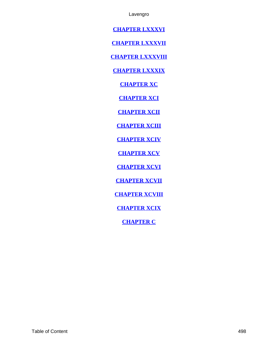<span id="page-498-0"></span>**[CHAPTER LXXXVI](#page-408-0)**

**[CHAPTER LXXXVII](#page-412-0)**

**[CHAPTER LXXXVIII](#page-414-0)**

**[CHAPTER LXXXIX](#page-422-0)**

**[CHAPTER XC](#page-428-0)**

**[CHAPTER XCI](#page-436-0)**

**[CHAPTER XCII](#page-438-0)**

**[CHAPTER XCIII](#page-442-0)**

**[CHAPTER XCIV](#page-445-0)**

**[CHAPTER XCV](#page-456-0)**

**[CHAPTER XCVI](#page-464-0)**

**[CHAPTER XCVII](#page-468-0)**

**[CHAPTER XCVIII](#page-476-0)**

**[CHAPTER XCIX](#page-484-0)**

**[CHAPTER C](#page-491-0)**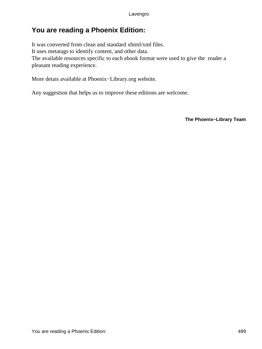# **You are reading a Phoenix Edition:**

It was converted from clean and standard xhtml/xml files. It uses metatags to identify content, and other data. The available resources specific to each ebook format were used to give the reader a pleasant reading experience.

More detais available at Phoenix−Library.org website.

Any suggestion that helps us to improve these editions are welcome.

**The Phoenix−Library Team**